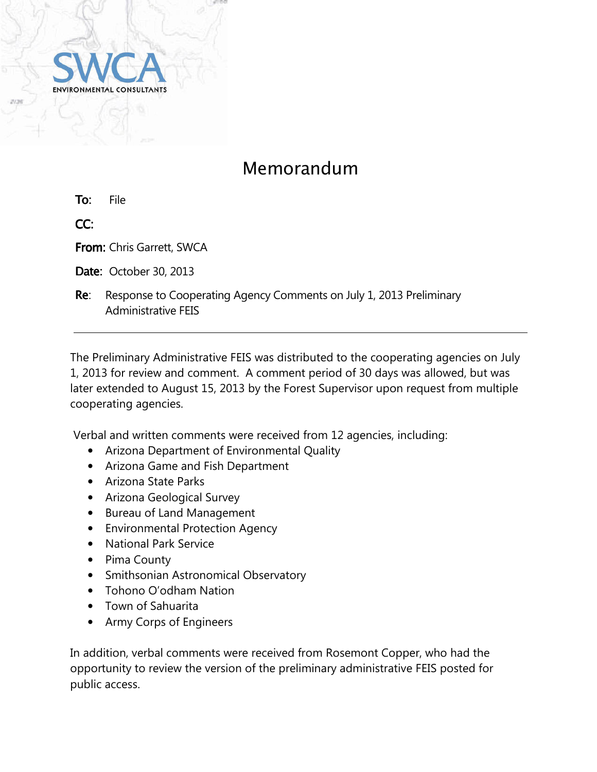

## Memorandum

To: File

CC:

From: Chris Garrett, SWCA

**Date: October 30, 2013** 

Re: Response to Cooperating Agency Comments on July 1, 2013 Preliminary Administrative FEIS

The Preliminary Administrative FEIS was distributed to the cooperating agencies on July 1, 2013 for review and comment. A comment period of 30 days was allowed, but was later extended to August 15, 2013 by the Forest Supervisor upon request from multiple cooperating agencies.

Verbal and written comments were received from 12 agencies, including:

- Arizona Department of Environmental Quality
- Arizona Game and Fish Department
- Arizona State Parks
- Arizona Geological Survey
- Bureau of Land Management
- Environmental Protection Agency
- National Park Service
- Pima County
- Smithsonian Astronomical Observatory
- Tohono O'odham Nation
- Town of Sahuarita
- Army Corps of Engineers

In addition, verbal comments were received from Rosemont Copper, who had the opportunity to review the version of the preliminary administrative FEIS posted for public access.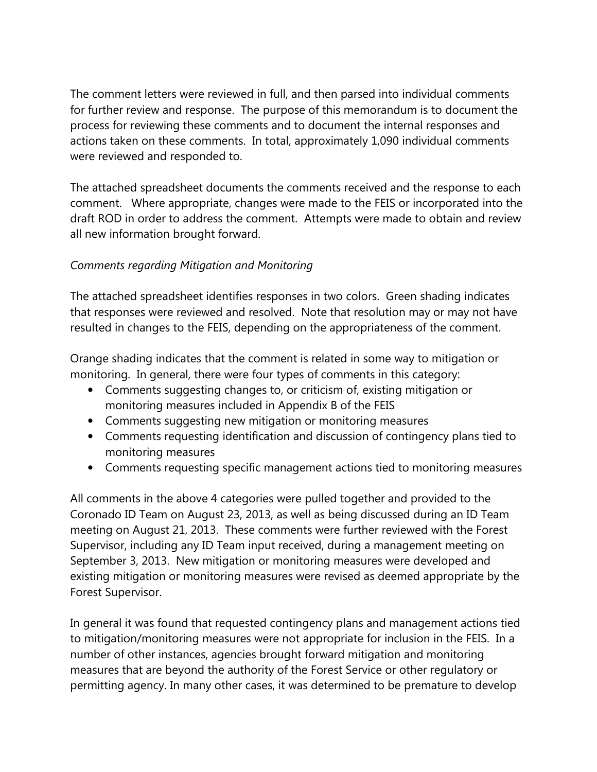The comment letters were reviewed in full, and then parsed into individual comments for further review and response. The purpose of this memorandum is to document the process for reviewing these comments and to document the internal responses and actions taken on these comments. In total, approximately 1,090 individual comments were reviewed and responded to.

The attached spreadsheet documents the comments received and the response to each comment. Where appropriate, changes were made to the FEIS or incorporated into the draft ROD in order to address the comment. Attempts were made to obtain and review all new information brought forward.

## Comments regarding Mitigation and Monitoring

The attached spreadsheet identifies responses in two colors. Green shading indicates that responses were reviewed and resolved. Note that resolution may or may not have resulted in changes to the FEIS, depending on the appropriateness of the comment.

Orange shading indicates that the comment is related in some way to mitigation or monitoring. In general, there were four types of comments in this category:

- Comments suggesting changes to, or criticism of, existing mitigation or monitoring measures included in Appendix B of the FEIS
- Comments suggesting new mitigation or monitoring measures
- Comments requesting identification and discussion of contingency plans tied to monitoring measures
- Comments requesting specific management actions tied to monitoring measures

All comments in the above 4 categories were pulled together and provided to the Coronado ID Team on August 23, 2013, as well as being discussed during an ID Team meeting on August 21, 2013. These comments were further reviewed with the Forest Supervisor, including any ID Team input received, during a management meeting on September 3, 2013. New mitigation or monitoring measures were developed and existing mitigation or monitoring measures were revised as deemed appropriate by the Forest Supervisor.

In general it was found that requested contingency plans and management actions tied to mitigation/monitoring measures were not appropriate for inclusion in the FEIS. In a number of other instances, agencies brought forward mitigation and monitoring measures that are beyond the authority of the Forest Service or other regulatory or permitting agency. In many other cases, it was determined to be premature to develop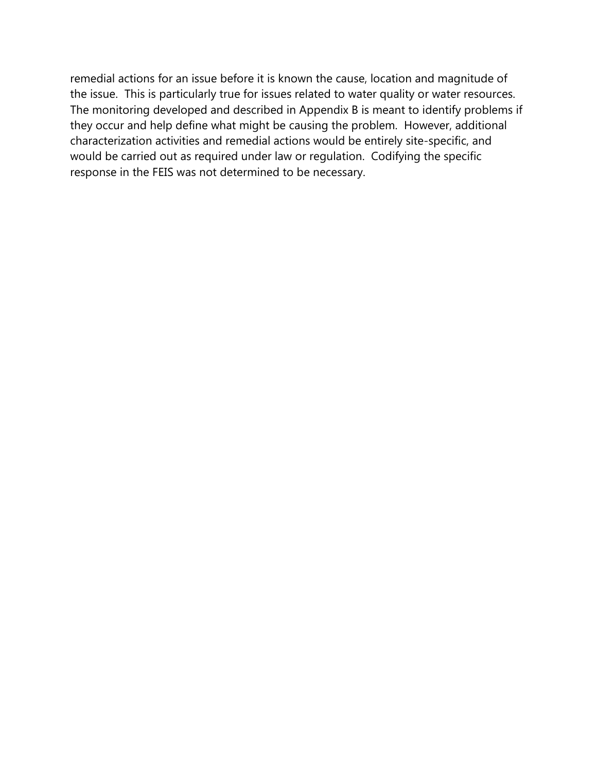remedial actions for an issue before it is known the cause, location and magnitude of the issue. This is particularly true for issues related to water quality or water resources. The monitoring developed and described in Appendix B is meant to identify problems if they occur and help define what might be causing the problem. However, additional characterization activities and remedial actions would be entirely site-specific, and would be carried out as required under law or regulation. Codifying the specific response in the FEIS was not determined to be necessary.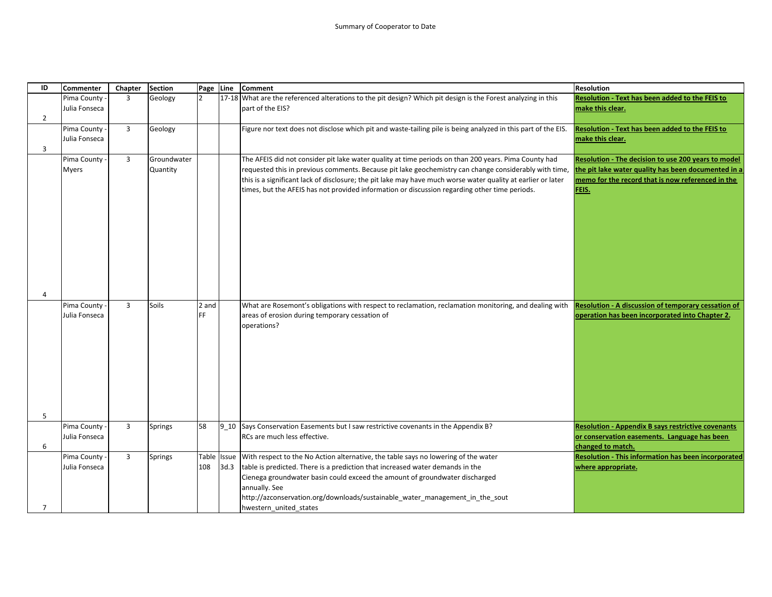| ID             | <b>Commenter</b> | Chapter        | <b>Section</b> | Page Line      |      | <b>Comment</b>                                                                                                | <b>Resolution</b>                                          |
|----------------|------------------|----------------|----------------|----------------|------|---------------------------------------------------------------------------------------------------------------|------------------------------------------------------------|
|                | Pima County      | $\overline{3}$ | Geology        | $\overline{2}$ |      | 17-18 What are the referenced alterations to the pit design? Which pit design is the Forest analyzing in this | Resolution - Text has been added to the FEIS to            |
|                | Julia Fonseca    |                |                |                |      | part of the EIS?                                                                                              | make this clear.                                           |
| $\overline{2}$ |                  |                |                |                |      |                                                                                                               |                                                            |
|                | Pima County      | $\overline{3}$ | Geology        |                |      | Figure nor text does not disclose which pit and waste-tailing pile is being analyzed in this part of the EIS. | Resolution - Text has been added to the FEIS to            |
|                | Julia Fonseca    |                |                |                |      |                                                                                                               | make this clear.                                           |
| 3              |                  |                |                |                |      |                                                                                                               |                                                            |
|                | Pima County      | 3              | Groundwater    |                |      | The AFEIS did not consider pit lake water quality at time periods on than 200 years. Pima County had          | Resolution - The decision to use 200 years to model        |
|                | <b>Myers</b>     |                | Quantity       |                |      | requested this in previous comments. Because pit lake geochemistry can change considerably with time,         | the pit lake water quality has been documented in a        |
|                |                  |                |                |                |      | this is a significant lack of disclosure; the pit lake may have much worse water quality at earlier or later  | memo for the record that is now referenced in the          |
|                |                  |                |                |                |      | times, but the AFEIS has not provided information or discussion regarding other time periods.                 | FEIS.                                                      |
|                |                  |                |                |                |      |                                                                                                               |                                                            |
|                |                  |                |                |                |      |                                                                                                               |                                                            |
|                |                  |                |                |                |      |                                                                                                               |                                                            |
|                |                  |                |                |                |      |                                                                                                               |                                                            |
|                |                  |                |                |                |      |                                                                                                               |                                                            |
|                |                  |                |                |                |      |                                                                                                               |                                                            |
|                |                  |                |                |                |      |                                                                                                               |                                                            |
|                |                  |                |                |                |      |                                                                                                               |                                                            |
|                |                  |                |                |                |      |                                                                                                               |                                                            |
| 4              |                  |                |                |                |      |                                                                                                               |                                                            |
|                | Pima County      | $\overline{3}$ | Soils          | 2 and          |      | What are Rosemont's obligations with respect to reclamation, reclamation monitoring, and dealing with         | Resolution - A discussion of temporary cessation of        |
|                | Julia Fonseca    |                |                | FF             |      | areas of erosion during temporary cessation of                                                                | operation has been incorporated into Chapter 2.            |
|                |                  |                |                |                |      | operations?                                                                                                   |                                                            |
|                |                  |                |                |                |      |                                                                                                               |                                                            |
|                |                  |                |                |                |      |                                                                                                               |                                                            |
|                |                  |                |                |                |      |                                                                                                               |                                                            |
|                |                  |                |                |                |      |                                                                                                               |                                                            |
|                |                  |                |                |                |      |                                                                                                               |                                                            |
|                |                  |                |                |                |      |                                                                                                               |                                                            |
|                |                  |                |                |                |      |                                                                                                               |                                                            |
| 5              |                  |                |                |                |      |                                                                                                               |                                                            |
|                | Pima County      | $\overline{3}$ | <b>Springs</b> | 58             |      | 9 10 Says Conservation Easements but I saw restrictive covenants in the Appendix B?                           | <b>Resolution - Appendix B says restrictive covenants</b>  |
|                | Julia Fonseca    |                |                |                |      | RCs are much less effective.                                                                                  | or conservation easements. Language has been               |
| 6              |                  |                |                |                |      |                                                                                                               | changed to match.                                          |
|                | Pima County -    | 3              | Springs        |                |      | Table Issue With respect to the No Action alternative, the table says no lowering of the water                | <b>Resolution - This information has been incorporated</b> |
|                | Julia Fonseca    |                |                | 108            | 3d.3 | table is predicted. There is a prediction that increased water demands in the                                 | where appropriate.                                         |
|                |                  |                |                |                |      | Cienega groundwater basin could exceed the amount of groundwater discharged                                   |                                                            |
|                |                  |                |                |                |      | annually. See                                                                                                 |                                                            |
|                |                  |                |                |                |      | http://azconservation.org/downloads/sustainable_water_management_in_the_sout                                  |                                                            |
| $\overline{7}$ |                  |                |                |                |      | hwestern united states                                                                                        |                                                            |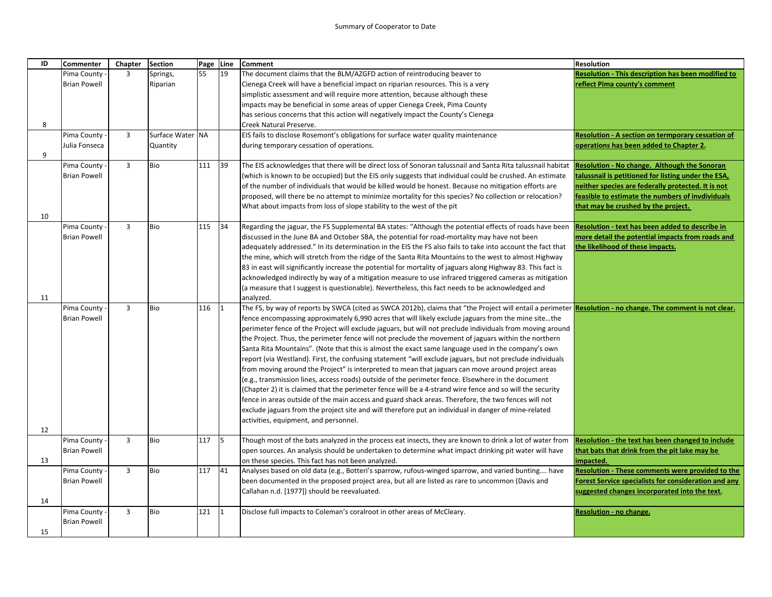| ID | <b>Commenter</b>                     | Chapter        | <b>Section</b>   | Page Line |           | <b>Comment</b>                                                                                                                                              | <b>Resolution</b>                                                                                   |
|----|--------------------------------------|----------------|------------------|-----------|-----------|-------------------------------------------------------------------------------------------------------------------------------------------------------------|-----------------------------------------------------------------------------------------------------|
|    | Pima County                          | 3              | Springs,         | 55        | 19        | The document claims that the BLM/AZGFD action of reintroducing beaver to                                                                                    | <b>Resolution - This description has been modified to</b>                                           |
|    | <b>Brian Powell</b>                  |                | Riparian         |           |           | Cienega Creek will have a beneficial impact on riparian resources. This is a very                                                                           | reflect Pima county's comment                                                                       |
|    |                                      |                |                  |           |           | simplistic assessment and will require more attention, because although these                                                                               |                                                                                                     |
|    |                                      |                |                  |           |           | impacts may be beneficial in some areas of upper Cienega Creek, Pima County                                                                                 |                                                                                                     |
|    |                                      |                |                  |           |           | has serious concerns that this action will negatively impact the County's Cienega                                                                           |                                                                                                     |
| 8  |                                      |                |                  |           |           | Creek Natural Preserve.                                                                                                                                     |                                                                                                     |
|    | Pima County                          | $\overline{3}$ | Surface Water NA |           |           | EIS fails to disclose Rosemont's obligations for surface water quality maintenance                                                                          | Resolution - A section on termporary cessation of                                                   |
|    | Julia Fonseca                        |                | Quantity         |           |           | during temporary cessation of operations.                                                                                                                   | operations has been added to Chapter 2.                                                             |
| 9  |                                      |                |                  |           |           |                                                                                                                                                             |                                                                                                     |
|    | Pima County                          | $\overline{3}$ | <b>Bio</b>       | 111       | 39        | The EIS acknowledges that there will be direct loss of Sonoran talussnail and Santa Rita talussnail habitat                                                 | Resolution - No change. Although the Sonoran                                                        |
|    | <b>Brian Powell</b>                  |                |                  |           |           | (which is known to be occupied) but the EIS only suggests that individual could be crushed. An estimate                                                     | talussnail is petitioned for listing under the ESA,                                                 |
|    |                                      |                |                  |           |           | of the number of individuals that would be killed would be honest. Because no mitigation efforts are                                                        | neither species are federally protected. It is not                                                  |
|    |                                      |                |                  |           |           | proposed, will there be no attempt to minimize mortality for this species? No collection or relocation?                                                     | feasible to estimate the numbers of invdividuals                                                    |
|    |                                      |                |                  |           |           | What about impacts from loss of slope stability to the west of the pit                                                                                      | that may be crushed by the project.                                                                 |
| 10 |                                      | $\overline{3}$ | <b>Bio</b>       | 115       | 34        |                                                                                                                                                             |                                                                                                     |
|    | Pima County -<br><b>Brian Powell</b> |                |                  |           |           | Regarding the jaguar, the FS Supplemental BA states: "Although the potential effects of roads have been                                                     | Resolution - text has been added to describe in<br>more detail the potential impacts from roads and |
|    |                                      |                |                  |           |           | discussed in the June BA and October SBA, the potential for road-mortality may have not been                                                                |                                                                                                     |
|    |                                      |                |                  |           |           | adequately addressed." In its determination in the EIS the FS also fails to take into account the fact that                                                 | the likelihood of these impacts.                                                                    |
|    |                                      |                |                  |           |           | the mine, which will stretch from the ridge of the Santa Rita Mountains to the west to almost Highway                                                       |                                                                                                     |
|    |                                      |                |                  |           |           | 83 in east will significantly increase the potential for mortality of jaguars along Highway 83. This fact is                                                |                                                                                                     |
|    |                                      |                |                  |           |           | acknowledged indirectly by way of a mitigation measure to use infrared triggered cameras as mitigation                                                      |                                                                                                     |
| 11 |                                      |                |                  |           |           | (a measure that I suggest is questionable). Nevertheless, this fact needs to be acknowledged and<br>analyzed.                                               |                                                                                                     |
|    | Pima County                          | $\overline{3}$ | Bio              | 116       | $\vert$ 1 | The FS, by way of reports by SWCA (cited as SWCA 2012b), claims that "the Project will entail a perimeter Resolution - no change. The comment is not clear. |                                                                                                     |
|    | <b>Brian Powell</b>                  |                |                  |           |           | fence encompassing approximately 6,990 acres that will likely exclude jaguars from the mine sitethe                                                         |                                                                                                     |
|    |                                      |                |                  |           |           | perimeter fence of the Project will exclude jaguars, but will not preclude individuals from moving around                                                   |                                                                                                     |
|    |                                      |                |                  |           |           | the Project. Thus, the perimeter fence will not preclude the movement of jaguars within the northern                                                        |                                                                                                     |
|    |                                      |                |                  |           |           | Santa Rita Mountains". (Note that this is almost the exact same language used in the company's own                                                          |                                                                                                     |
|    |                                      |                |                  |           |           | report (via Westland). First, the confusing statement "will exclude jaguars, but not preclude individuals                                                   |                                                                                                     |
|    |                                      |                |                  |           |           | from moving around the Project" is interpreted to mean that jaguars can move around project areas                                                           |                                                                                                     |
|    |                                      |                |                  |           |           | (e.g., transmission lines, access roads) outside of the perimeter fence. Elsewhere in the document                                                          |                                                                                                     |
|    |                                      |                |                  |           |           | (Chapter 2) it is claimed that the perimeter fence will be a 4-strand wire fence and so will the security                                                   |                                                                                                     |
|    |                                      |                |                  |           |           | fence in areas outside of the main access and guard shack areas. Therefore, the two fences will not                                                         |                                                                                                     |
|    |                                      |                |                  |           |           | exclude jaguars from the project site and will therefore put an individual in danger of mine-related                                                        |                                                                                                     |
|    |                                      |                |                  |           |           | activities, equipment, and personnel.                                                                                                                       |                                                                                                     |
| 12 |                                      |                |                  |           |           |                                                                                                                                                             |                                                                                                     |
|    | Pima County -                        | 3              | Bio              | 117       | 15        | Though most of the bats analyzed in the process eat insects, they are known to drink a lot of water from                                                    | Resolution - the text has been changed to include                                                   |
|    | <b>Brian Powell</b>                  |                |                  |           |           | open sources. An analysis should be undertaken to determine what impact drinking pit water will have                                                        | that bats that drink from the pit lake may be                                                       |
| 13 |                                      |                |                  |           |           | on these species. This fact has not been analyzed.                                                                                                          | impacted.                                                                                           |
|    | Pima County -                        | $\overline{3}$ | Bio              | 117       | 41        | Analyses based on old data (e.g., Botteri's sparrow, rufous-winged sparrow, and varied bunting have                                                         | Resolution - These comments were provided to the                                                    |
|    | <b>Brian Powell</b>                  |                |                  |           |           | been documented in the proposed project area, but all are listed as rare to uncommon (Davis and                                                             | <b>Forest Service specialists for consideration and any</b>                                         |
|    |                                      |                |                  |           |           | Callahan n.d. [1977]) should be reevaluated.                                                                                                                | suggested changes incorporated into the text.                                                       |
| 14 |                                      |                |                  |           |           |                                                                                                                                                             |                                                                                                     |
|    | Pima County -                        | $\overline{3}$ | <b>Bio</b>       | 121       |           | Disclose full impacts to Coleman's coralroot in other areas of McCleary.                                                                                    | <b>Resolution - no change.</b>                                                                      |
|    | <b>Brian Powell</b>                  |                |                  |           |           |                                                                                                                                                             |                                                                                                     |
| 15 |                                      |                |                  |           |           |                                                                                                                                                             |                                                                                                     |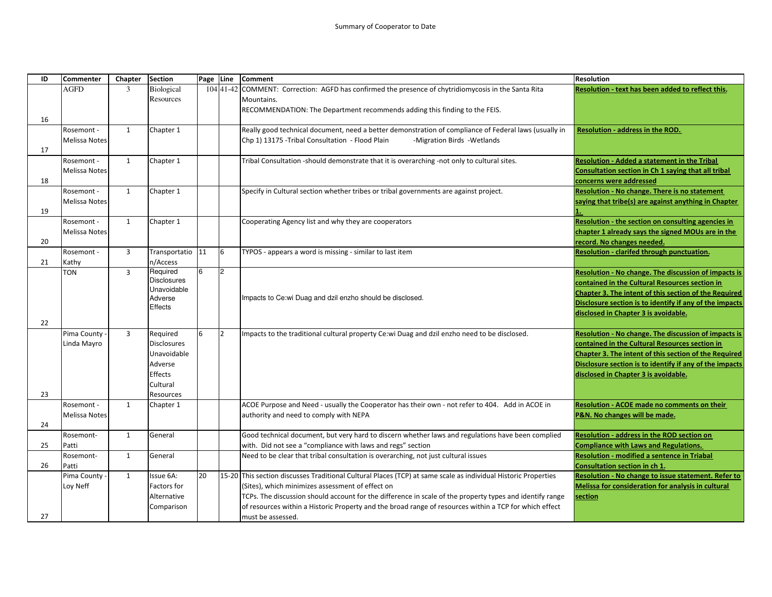| ID | <b>Commenter</b>     | Chapter        | <b>Section</b>                 | Page Line |          | <b>Comment</b>                                                                                                                                                   | <b>Resolution</b>                                       |
|----|----------------------|----------------|--------------------------------|-----------|----------|------------------------------------------------------------------------------------------------------------------------------------------------------------------|---------------------------------------------------------|
|    | AGFD                 | 3              | Biological                     |           |          | 104 41-42 COMMENT: Correction: AGFD has confirmed the presence of chytridiomycosis in the Santa Rita                                                             | Resolution - text has been added to reflect this.       |
|    |                      |                | Resources                      |           |          | Mountains.                                                                                                                                                       |                                                         |
|    |                      |                |                                |           |          | RECOMMENDATION: The Department recommends adding this finding to the FEIS.                                                                                       |                                                         |
| 16 |                      |                |                                |           |          |                                                                                                                                                                  |                                                         |
|    | Rosemont -           | $\mathbf{1}$   | Chapter 1                      |           |          | Really good technical document, need a better demonstration of compliance of Federal laws (usually in                                                            | <b>Resolution - address in the ROD.</b>                 |
|    | Melissa Notes        |                |                                |           |          | Chp 1) 13175 - Tribal Consultation - Flood Plain<br>-Migration Birds -Wetlands                                                                                   |                                                         |
| 17 |                      |                |                                |           |          |                                                                                                                                                                  |                                                         |
|    | Rosemont -           | 1              | Chapter 1                      |           |          | Tribal Consultation -should demonstrate that it is overarching -not only to cultural sites.                                                                      | <b>Resolution - Added a statement in the Tribal</b>     |
|    | Melissa Notes        |                |                                |           |          |                                                                                                                                                                  | Consultation section in Ch 1 saying that all tribal     |
| 18 |                      |                |                                |           |          |                                                                                                                                                                  | concerns were addressed                                 |
|    | Rosemont -           | 1              | Chapter 1                      |           |          | Specify in Cultural section whether tribes or tribal governments are against project.                                                                            | Resolution - No change. There is no statement           |
|    | Melissa Notes        |                |                                |           |          |                                                                                                                                                                  | saying that tribe(s) are against anything in Chapter    |
| 19 |                      |                |                                |           |          |                                                                                                                                                                  |                                                         |
|    | Rosemont -           | 1              | Chapter 1                      |           |          | Cooperating Agency list and why they are cooperators                                                                                                             | Resolution - the section on consulting agencies in      |
|    | <b>Melissa Notes</b> |                |                                |           |          |                                                                                                                                                                  | chapter 1 already says the signed MOUs are in the       |
| 20 |                      |                |                                |           |          |                                                                                                                                                                  | record. No changes needed.                              |
|    | Rosemont -           | 3              | Transportatio                  | 11        | 6        | TYPOS - appears a word is missing - similar to last item                                                                                                         | Resolution - clarifed through punctuation.              |
| 21 | Kathy                |                | n/Access                       |           |          |                                                                                                                                                                  |                                                         |
|    | <b>TON</b>           | $\overline{3}$ | Required<br><b>Disclosures</b> | 6         | 12       |                                                                                                                                                                  | Resolution - No change. The discussion of impacts is    |
|    |                      |                | Unavoidable                    |           |          |                                                                                                                                                                  | contained in the Cultural Resources section in          |
|    |                      |                | Adverse                        |           |          | Impacts to Ce:wi Duag and dzil enzho should be disclosed.                                                                                                        | Chapter 3. The intent of this section of the Required   |
|    |                      |                | <b>Effects</b>                 |           |          |                                                                                                                                                                  | Disclosure section is to identify if any of the impacts |
|    |                      |                |                                |           |          |                                                                                                                                                                  | disclosed in Chapter 3 is avoidable.                    |
| 22 |                      |                |                                |           |          |                                                                                                                                                                  |                                                         |
|    | Pima County          | $\overline{3}$ | Required                       | 6         | <b>2</b> | Impacts to the traditional cultural property Ce:wi Duag and dzil enzho need to be disclosed.                                                                     | Resolution - No change. The discussion of impacts is    |
|    | Linda Mayro          |                | <b>Disclosures</b>             |           |          |                                                                                                                                                                  | contained in the Cultural Resources section in          |
|    |                      |                | Unavoidable                    |           |          |                                                                                                                                                                  | Chapter 3. The intent of this section of the Required   |
|    |                      |                | Adverse                        |           |          |                                                                                                                                                                  | Disclosure section is to identify if any of the impacts |
|    |                      |                | Effects                        |           |          |                                                                                                                                                                  | disclosed in Chapter 3 is avoidable.                    |
|    |                      |                | Cultural                       |           |          |                                                                                                                                                                  |                                                         |
| 23 |                      |                | Resources                      |           |          |                                                                                                                                                                  |                                                         |
|    | Rosemont -           | $\mathbf{1}$   | Chapter 1                      |           |          | ACOE Purpose and Need - usually the Cooperator has their own - not refer to 404. Add in ACOE in                                                                  | <b>Resolution - ACOE made no comments on their</b>      |
|    | Melissa Notes        |                |                                |           |          | authority and need to comply with NEPA                                                                                                                           | P&N. No changes will be made.                           |
| 24 |                      | $\mathbf{1}$   | General                        |           |          |                                                                                                                                                                  | Resolution - address in the ROD section on              |
| 25 | Rosemont-            |                |                                |           |          | Good technical document, but very hard to discern whether laws and regulations have been complied<br>with. Did not see a "compliance with laws and regs" section | <b>Compliance with Laws and Regulations.</b>            |
|    | Patti<br>Rosemont-   | $\mathbf{1}$   | General                        |           |          | Need to be clear that tribal consultation is overarching, not just cultural issues                                                                               | <b>Resolution - modified a sentence in Triabal</b>      |
| 26 | Patti                |                |                                |           |          |                                                                                                                                                                  | Consultation section in ch 1.                           |
|    | Pima County          | 1              | Issue 6A:                      | 20        |          | 15-20 This section discusses Traditional Cultural Places (TCP) at same scale as individual Historic Properties                                                   | Resolution - No change to issue statement. Refer to     |
|    | Loy Neff             |                | Factors for                    |           |          | (Sites), which minimizes assessment of effect on                                                                                                                 | Melissa for consideration for analysis in cultural      |
|    |                      |                | Alternative                    |           |          | TCPs. The discussion should account for the difference in scale of the property types and identify range                                                         | section                                                 |
|    |                      |                | Comparison                     |           |          | of resources within a Historic Property and the broad range of resources within a TCP for which effect                                                           |                                                         |
| 27 |                      |                |                                |           |          | must be assessed.                                                                                                                                                |                                                         |
|    |                      |                |                                |           |          |                                                                                                                                                                  |                                                         |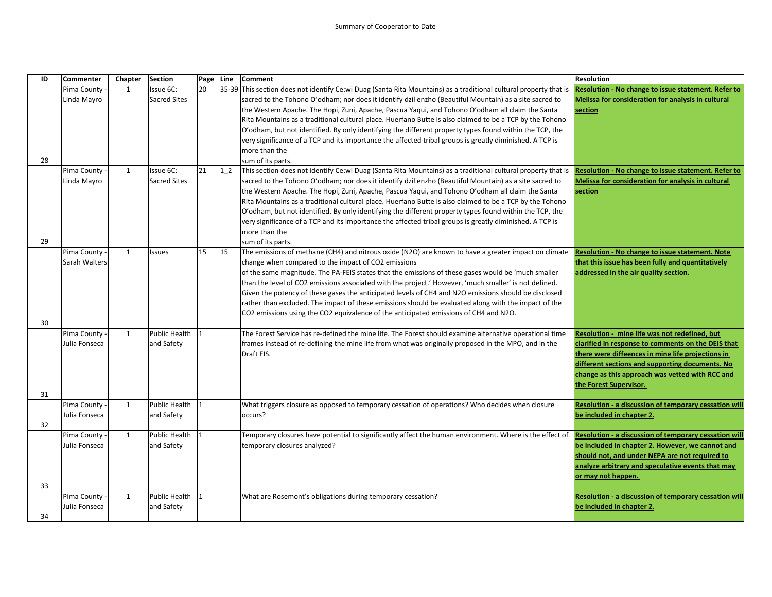| ID | <b>Commenter</b> | Chapter      | <b>Section</b>       | Page Line    |       | <b>Comment</b>                                                                                                    | <b>Resolution</b>                                      |
|----|------------------|--------------|----------------------|--------------|-------|-------------------------------------------------------------------------------------------------------------------|--------------------------------------------------------|
|    | Pima County      | 1            | Issue 6C:            | 20           |       | 35-39 This section does not identify Ce:wi Duag (Santa Rita Mountains) as a traditional cultural property that is | Resolution - No change to issue statement. Refer to    |
|    | Linda Mayro      |              | <b>Sacred Sites</b>  |              |       | sacred to the Tohono O'odham; nor does it identify dzil enzho (Beautiful Mountain) as a site sacred to            | Melissa for consideration for analysis in cultural     |
|    |                  |              |                      |              |       | the Western Apache. The Hopi, Zuni, Apache, Pascua Yaqui, and Tohono O'odham all claim the Santa                  | section                                                |
|    |                  |              |                      |              |       | Rita Mountains as a traditional cultural place. Huerfano Butte is also claimed to be a TCP by the Tohono          |                                                        |
|    |                  |              |                      |              |       | O'odham, but not identified. By only identifying the different property types found within the TCP, the           |                                                        |
|    |                  |              |                      |              |       | very significance of a TCP and its importance the affected tribal groups is greatly diminished. A TCP is          |                                                        |
|    |                  |              |                      |              |       | more than the                                                                                                     |                                                        |
| 28 |                  |              |                      |              |       | sum of its parts.                                                                                                 |                                                        |
|    | Pima County      | 1            | Issue 6C:            | 21           | $1-2$ | This section does not identify Ce:wi Duag (Santa Rita Mountains) as a traditional cultural property that is       | Resolution - No change to issue statement. Refer to    |
|    | Linda Mayro      |              | <b>Sacred Sites</b>  |              |       | sacred to the Tohono O'odham; nor does it identify dzil enzho (Beautiful Mountain) as a site sacred to            | Melissa for consideration for analysis in cultural     |
|    |                  |              |                      |              |       | the Western Apache. The Hopi, Zuni, Apache, Pascua Yaqui, and Tohono O'odham all claim the Santa                  | section                                                |
|    |                  |              |                      |              |       | Rita Mountains as a traditional cultural place. Huerfano Butte is also claimed to be a TCP by the Tohono          |                                                        |
|    |                  |              |                      |              |       | O'odham, but not identified. By only identifying the different property types found within the TCP, the           |                                                        |
|    |                  |              |                      |              |       | very significance of a TCP and its importance the affected tribal groups is greatly diminished. A TCP is          |                                                        |
|    |                  |              |                      |              |       | more than the                                                                                                     |                                                        |
| 29 |                  |              |                      |              |       | sum of its parts.                                                                                                 |                                                        |
|    | Pima County -    | $\mathbf{1}$ | <b>Issues</b>        | 15           | 15    | The emissions of methane (CH4) and nitrous oxide (N2O) are known to have a greater impact on climate              | <b>Resolution - No change to issue statement. Note</b> |
|    | Sarah Walters    |              |                      |              |       | change when compared to the impact of CO2 emissions                                                               | that this issue has been fully and quantitatively      |
|    |                  |              |                      |              |       | of the same magnitude. The PA-FEIS states that the emissions of these gases would be 'much smaller                | addressed in the air quality section.                  |
|    |                  |              |                      |              |       | than the level of CO2 emissions associated with the project.' However, 'much smaller' is not defined.             |                                                        |
|    |                  |              |                      |              |       | Given the potency of these gases the anticipated levels of CH4 and N2O emissions should be disclosed              |                                                        |
|    |                  |              |                      |              |       | rather than excluded. The impact of these emissions should be evaluated along with the impact of the              |                                                        |
| 30 |                  |              |                      |              |       | CO2 emissions using the CO2 equivalence of the anticipated emissions of CH4 and N2O.                              |                                                        |
|    | Pima County -    | 1            | Public Health        | l 1          |       | The Forest Service has re-defined the mine life. The Forest should examine alternative operational time           | Resolution - mine life was not redefined, but          |
|    | Julia Fonseca    |              | and Safety           |              |       | frames instead of re-defining the mine life from what was originally proposed in the MPO, and in the              | clarified in response to comments on the DEIS that     |
|    |                  |              |                      |              |       | Draft EIS.                                                                                                        | there were diffeences in mine life projections in      |
|    |                  |              |                      |              |       |                                                                                                                   | different sections and supporting documents. No        |
|    |                  |              |                      |              |       |                                                                                                                   | change as this approach was vetted with RCC and        |
|    |                  |              |                      |              |       |                                                                                                                   | the Forest Supervisor.                                 |
| 31 |                  |              |                      |              |       |                                                                                                                   |                                                        |
|    | Pima County -    | 1            | Public Health        | 11           |       | What triggers closure as opposed to temporary cessation of operations? Who decides when closure                   | Resolution - a discussion of temporary cessation wil   |
|    | Julia Fonseca    |              | and Safety           |              |       | occurs?                                                                                                           | be included in chapter 2.                              |
| 32 |                  |              |                      |              |       |                                                                                                                   |                                                        |
|    | Pima County -    | 1            | <b>Public Health</b> | $\mathbf{1}$ |       | Temporary closures have potential to significantly affect the human environment. Where is the effect of           | Resolution - a discussion of temporary cessation will  |
|    | Julia Fonseca    |              | and Safety           |              |       | temporary closures analyzed?                                                                                      | be included in chapter 2. However, we cannot and       |
|    |                  |              |                      |              |       |                                                                                                                   | should not, and under NEPA are not required to         |
|    |                  |              |                      |              |       |                                                                                                                   | analyze arbitrary and speculative events that may      |
|    |                  |              |                      |              |       |                                                                                                                   | or may not happen.                                     |
| 33 |                  |              |                      |              |       |                                                                                                                   |                                                        |
|    | Pima County -    | 1            | Public Health        |              |       | What are Rosemont's obligations during temporary cessation?                                                       | Resolution - a discussion of temporary cessation will  |
|    | Julia Fonseca    |              | and Safety           |              |       |                                                                                                                   | be included in chapter 2.                              |
| 34 |                  |              |                      |              |       |                                                                                                                   |                                                        |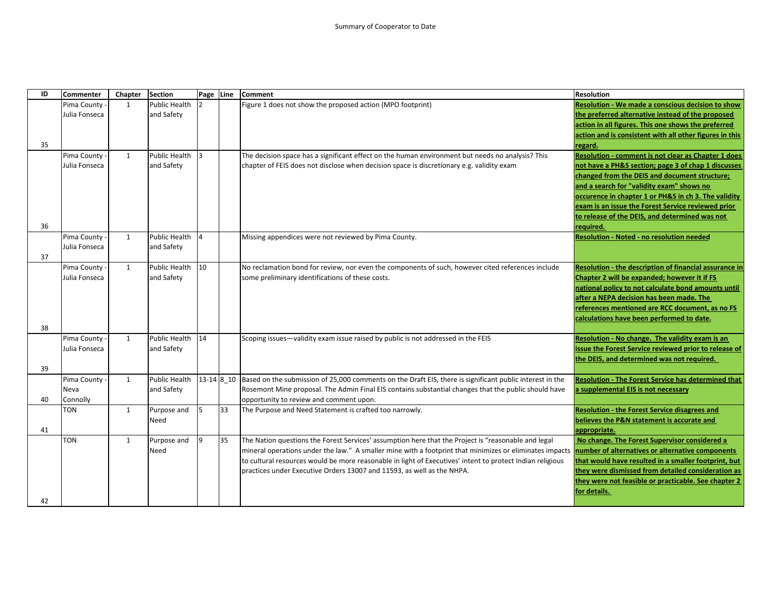| ID | <b>Commenter</b> | Chapter      | <b>Section</b>       | Page Line  |    | <b>Comment</b>                                                                                                                                           | <b>Resolution</b>                                          |
|----|------------------|--------------|----------------------|------------|----|----------------------------------------------------------------------------------------------------------------------------------------------------------|------------------------------------------------------------|
|    | Pima County -    | 1            | <b>Public Health</b> | 2          |    | Figure 1 does not show the proposed action (MPO footprint)                                                                                               | Resolution - We made a conscious decision to show          |
|    | Julia Fonseca    |              | and Safety           |            |    |                                                                                                                                                          | the preferred alternative instead of the proposed          |
|    |                  |              |                      |            |    |                                                                                                                                                          | action in all figures. This one shows the preferred        |
|    |                  |              |                      |            |    |                                                                                                                                                          | action and is consistent with all other figures in this    |
| 35 |                  |              |                      |            |    |                                                                                                                                                          | regard.                                                    |
|    | Pima County      | 1            | <b>Public Health</b> | 3          |    | The decision space has a significant effect on the human environment but needs no analysis? This                                                         | <b>Resolution - comment is not clear as Chapter 1 does</b> |
|    | Julia Fonseca    |              | and Safety           |            |    | chapter of FEIS does not disclose when decision space is discretionary e.g. validity exam                                                                | not have a PH&S section; page 3 of chap 1 discusses        |
|    |                  |              |                      |            |    |                                                                                                                                                          | changed from the DEIS and document structure;              |
|    |                  |              |                      |            |    |                                                                                                                                                          | and a search for "validity exam" shows no                  |
|    |                  |              |                      |            |    |                                                                                                                                                          | occurence in chapter 1 or PH&S in ch 3. The validity       |
|    |                  |              |                      |            |    |                                                                                                                                                          | exam is an issue the Forest Service reviewed prior         |
|    |                  |              |                      |            |    |                                                                                                                                                          | to release of the DEIS, and determined was not             |
| 36 |                  |              |                      |            |    |                                                                                                                                                          | required.                                                  |
|    | Pima County -    | $\mathbf{1}$ | Public Health        | 4          |    | Missing appendices were not reviewed by Pima County.                                                                                                     | <b>Resolution - Noted - no resolution needed</b>           |
|    | Julia Fonseca    |              | and Safety           |            |    |                                                                                                                                                          |                                                            |
| 37 |                  |              |                      |            |    |                                                                                                                                                          |                                                            |
|    | Pima County      | $\mathbf{1}$ | <b>Public Health</b> | 10         |    | No reclamation bond for review, nor even the components of such, however cited references include                                                        | Resolution - the description of financial assurance in     |
|    | Julia Fonseca    |              | and Safety           |            |    | some preliminary identifications of these costs.                                                                                                         | Chapter 2 will be expanded; however it if FS               |
|    |                  |              |                      |            |    |                                                                                                                                                          | national policy to not calculate bond amounts until        |
|    |                  |              |                      |            |    |                                                                                                                                                          | after a NEPA decision has been made. The                   |
|    |                  |              |                      |            |    |                                                                                                                                                          | references mentioned are RCC document, as no FS            |
|    |                  |              |                      |            |    |                                                                                                                                                          | calculations have been performed to date.                  |
| 38 |                  |              |                      |            |    |                                                                                                                                                          |                                                            |
|    | Pima County      | 1            | <b>Public Health</b> | 14         |    | Scoping issues-validity exam issue raised by public is not addressed in the FEIS                                                                         | Resolution - No change. The validity exam is an            |
|    | Julia Fonseca    |              | and Safety           |            |    |                                                                                                                                                          | issue the Forest Service reviewed prior to release of      |
| 39 |                  |              |                      |            |    |                                                                                                                                                          | the DEIS, and determined was not required.                 |
|    | Pima County      | $\mathbf{1}$ | <b>Public Health</b> | 13-14 8 10 |    | Based on the submission of 25,000 comments on the Draft EIS, there is significant public interest in the                                                 | <b>Resolution - The Forest Service has determined that</b> |
|    | Neva             |              | and Safety           |            |    | Rosemont Mine proposal. The Admin Final EIS contains substantial changes that the public should have                                                     | a supplemental EIS is not necessary                        |
| 40 | Connolly         |              |                      |            |    | opportunity to review and comment upon.                                                                                                                  |                                                            |
|    | <b>TON</b>       | $\mathbf{1}$ | Purpose and          | 5          | 33 | The Purpose and Need Statement is crafted too narrowly.                                                                                                  | <b>Resolution - the Forest Service disagrees and</b>       |
|    |                  |              | Need                 |            |    |                                                                                                                                                          | believes the P&N statement is accurate and                 |
| 41 |                  |              |                      |            |    |                                                                                                                                                          | appropriate.                                               |
|    | <b>TON</b>       | $\mathbf{1}$ | Purpose and          | 9          | 35 | The Nation questions the Forest Services' assumption here that the Project is "reasonable and legal                                                      | No change. The Forest Supervisor considered a              |
|    |                  |              | Need                 |            |    | mineral operations under the law." A smaller mine with a footprint that minimizes or eliminates impacts number of alternatives or alternative components |                                                            |
|    |                  |              |                      |            |    | to cultural resources would be more reasonable in light of Executives' intent to protect Indian religious                                                | that would have resulted in a smaller footprint, but       |
|    |                  |              |                      |            |    | practices under Executive Orders 13007 and 11593, as well as the NHPA.                                                                                   | they were dismissed from detailed consideration as         |
|    |                  |              |                      |            |    |                                                                                                                                                          | they were not feasible or practicable. See chapter 2       |
|    |                  |              |                      |            |    |                                                                                                                                                          | for details.                                               |
| 42 |                  |              |                      |            |    |                                                                                                                                                          |                                                            |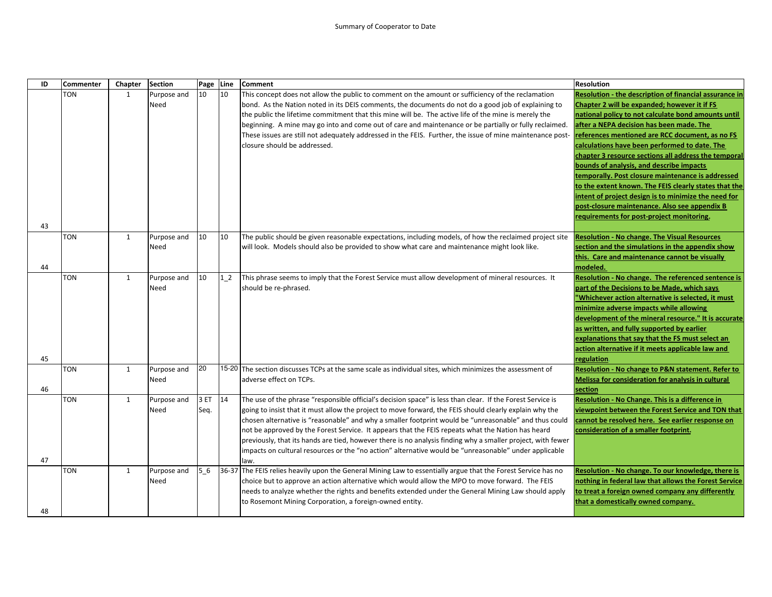| ID | <b>Commenter</b> | Chapter      | <b>Section</b> | Page | Line   | <b>Comment</b>                                                                                                                                                                                                   | Resolution                                                 |
|----|------------------|--------------|----------------|------|--------|------------------------------------------------------------------------------------------------------------------------------------------------------------------------------------------------------------------|------------------------------------------------------------|
|    | TON              | 1            | Purpose and    | 10   | 10     | This concept does not allow the public to comment on the amount or sufficiency of the reclamation                                                                                                                | Resolution - the description of financial assurance in     |
|    |                  |              | Need           |      |        | bond. As the Nation noted in its DEIS comments, the documents do not do a good job of explaining to                                                                                                              | Chapter 2 will be expanded; however it if FS               |
|    |                  |              |                |      |        | the public the lifetime commitment that this mine will be. The active life of the mine is merely the                                                                                                             | national policy to not calculate bond amounts until        |
|    |                  |              |                |      |        | beginning. A mine may go into and come out of care and maintenance or be partially or fully reclaimed.                                                                                                           | after a NEPA decision has been made. The                   |
|    |                  |              |                |      |        | These issues are still not adequately addressed in the FEIS. Further, the issue of mine maintenance post-                                                                                                        | eferences mentioned are RCC document, as no FS             |
|    |                  |              |                |      |        | closure should be addressed.                                                                                                                                                                                     | calculations have been performed to date. The              |
|    |                  |              |                |      |        |                                                                                                                                                                                                                  | chapter 3 resource sections all address the temporal       |
|    |                  |              |                |      |        |                                                                                                                                                                                                                  | bounds of analysis, and describe impacts                   |
|    |                  |              |                |      |        |                                                                                                                                                                                                                  | temporally. Post closure maintenance is addressed          |
|    |                  |              |                |      |        |                                                                                                                                                                                                                  | to the extent known. The FEIS clearly states that the      |
|    |                  |              |                |      |        |                                                                                                                                                                                                                  | intent of project design is to minimize the need for       |
|    |                  |              |                |      |        |                                                                                                                                                                                                                  | post-closure maintenance. Also see appendix B              |
|    |                  |              |                |      |        |                                                                                                                                                                                                                  | requirements for post-project monitoring.                  |
| 43 |                  |              |                |      |        |                                                                                                                                                                                                                  |                                                            |
|    | TON              | 1            | Purpose and    | 10   | 10     | The public should be given reasonable expectations, including models, of how the reclaimed project site                                                                                                          | <b>Resolution - No change. The Visual Resources</b>        |
|    |                  |              | Need           |      |        | will look. Models should also be provided to show what care and maintenance might look like.                                                                                                                     | section and the simulations in the appendix show           |
|    |                  |              |                |      |        |                                                                                                                                                                                                                  | this. Care and maintenance cannot be visually              |
| 44 |                  |              |                |      |        |                                                                                                                                                                                                                  | modeled.                                                   |
|    | <b>TON</b>       | $\mathbf{1}$ | Purpose and    | 10   | $1\,2$ | This phrase seems to imply that the Forest Service must allow development of mineral resources. It                                                                                                               | Resolution - No change. The referenced sentence is         |
|    |                  |              | Need           |      |        | should be re-phrased.                                                                                                                                                                                            | part of the Decisions to be Made, which says               |
|    |                  |              |                |      |        |                                                                                                                                                                                                                  | 'Whichever action alternative is selected, it must         |
|    |                  |              |                |      |        |                                                                                                                                                                                                                  | minimize adverse impacts while allowing                    |
|    |                  |              |                |      |        |                                                                                                                                                                                                                  | development of the mineral resource." It is accurate       |
|    |                  |              |                |      |        |                                                                                                                                                                                                                  | as written, and fully supported by earlier                 |
|    |                  |              |                |      |        |                                                                                                                                                                                                                  | explanations that say that the FS must select an           |
|    |                  |              |                |      |        |                                                                                                                                                                                                                  | action alternative if it meets applicable law and          |
| 45 |                  |              |                |      |        |                                                                                                                                                                                                                  | regulation                                                 |
|    | TON              | 1            | Purpose and    | 20   |        | 15-20 The section discusses TCPs at the same scale as individual sites, which minimizes the assessment of                                                                                                        | Resolution - No change to P&N statement. Refer to          |
|    |                  |              | Need           |      |        | adverse effect on TCPs.                                                                                                                                                                                          | Melissa for consideration for analysis in cultural         |
| 46 | <b>TON</b>       | $\mathbf{1}$ |                | 3 ET | 14     | The use of the phrase "responsible official's decision space" is less than clear. If the Forest Service is                                                                                                       | section<br>Resolution - No Change. This is a difference in |
|    |                  |              | Purpose and    |      |        |                                                                                                                                                                                                                  | viewpoint between the Forest Service and TON that          |
|    |                  |              | Need           | Seq. |        | going to insist that it must allow the project to move forward, the FEIS should clearly explain why the<br>chosen alternative is "reasonable" and why a smaller footprint would be "unreasonable" and thus could | cannot be resolved here. See earlier response on           |
|    |                  |              |                |      |        | not be approved by the Forest Service. It appears that the FEIS repeats what the Nation has heard                                                                                                                | consideration of a smaller footprint.                      |
|    |                  |              |                |      |        |                                                                                                                                                                                                                  |                                                            |
|    |                  |              |                |      |        | previously, that its hands are tied, however there is no analysis finding why a smaller project, with fewer                                                                                                      |                                                            |
| 47 |                  |              |                |      |        | impacts on cultural resources or the "no action" alternative would be "unreasonable" under applicable<br>law.                                                                                                    |                                                            |
|    | <b>TON</b>       | $\mathbf{1}$ | Purpose and    | 5 6  |        | 36-37 The FEIS relies heavily upon the General Mining Law to essentially argue that the Forest Service has no                                                                                                    | Resolution - No change. To our knowledge, there is         |
|    |                  |              | Need           |      |        | choice but to approve an action alternative which would allow the MPO to move forward. The FEIS                                                                                                                  | nothing in federal law that allows the Forest Service      |
|    |                  |              |                |      |        | needs to analyze whether the rights and benefits extended under the General Mining Law should apply                                                                                                              | to treat a foreign owned company any differently           |
|    |                  |              |                |      |        | to Rosemont Mining Corporation, a foreign-owned entity.                                                                                                                                                          | that a domestically owned company.                         |
| 48 |                  |              |                |      |        |                                                                                                                                                                                                                  |                                                            |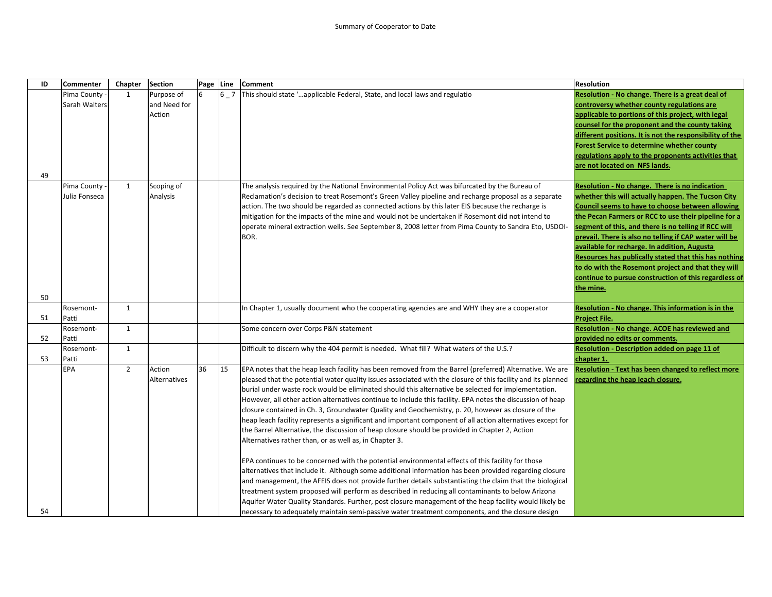| ID | Commenter     | Chapter        | <b>Section</b> | Page Line |         | <b>Comment</b>                                                                                               | <b>Resolution</b>                                        |
|----|---------------|----------------|----------------|-----------|---------|--------------------------------------------------------------------------------------------------------------|----------------------------------------------------------|
|    | Pima County   | $\mathbf{1}$   | Purpose of     |           | $6 - 7$ | This should state 'applicable Federal, State, and local laws and regulatio                                   | Resolution - No change. There is a great deal of         |
|    | Sarah Walters |                | and Need for   |           |         |                                                                                                              | controversy whether county regulations are               |
|    |               |                | Action         |           |         |                                                                                                              | applicable to portions of this project, with legal       |
|    |               |                |                |           |         |                                                                                                              | counsel for the proponent and the county taking          |
|    |               |                |                |           |         |                                                                                                              | different positions. It is not the responsibility of the |
|    |               |                |                |           |         |                                                                                                              | <b>Forest Service to determine whether county</b>        |
|    |               |                |                |           |         |                                                                                                              | regulations apply to the proponents activities that      |
|    |               |                |                |           |         |                                                                                                              | are not located on NFS lands.                            |
| 49 |               |                |                |           |         |                                                                                                              |                                                          |
|    | Pima County   | $\mathbf{1}$   | Scoping of     |           |         | The analysis required by the National Environmental Policy Act was bifurcated by the Bureau of               | Resolution - No change. There is no indication           |
|    | Julia Fonseca |                | Analysis       |           |         | Reclamation's decision to treat Rosemont's Green Valley pipeline and recharge proposal as a separate         | whether this will actually happen. The Tucson City       |
|    |               |                |                |           |         | action. The two should be regarded as connected actions by this later EIS because the recharge is            | <b>Council seems to have to choose between allowing</b>  |
|    |               |                |                |           |         | mitigation for the impacts of the mine and would not be undertaken if Rosemont did not intend to             | the Pecan Farmers or RCC to use their pipeline for a     |
|    |               |                |                |           |         | operate mineral extraction wells. See September 8, 2008 letter from Pima County to Sandra Eto, USDOI-        | segment of this, and there is no telling if RCC will     |
|    |               |                |                |           |         | BOR.                                                                                                         | prevail. There is also no telling if CAP water will be   |
|    |               |                |                |           |         |                                                                                                              | available for recharge. In addition, Augusta             |
|    |               |                |                |           |         |                                                                                                              | Resources has publically stated that this has nothing    |
|    |               |                |                |           |         |                                                                                                              | to do with the Rosemont project and that they will       |
|    |               |                |                |           |         |                                                                                                              | continue to pursue construction of this regardless of    |
|    |               |                |                |           |         |                                                                                                              | the mine.                                                |
| 50 |               |                |                |           |         |                                                                                                              |                                                          |
|    | Rosemont-     | $\mathbf{1}$   |                |           |         | In Chapter 1, usually document who the cooperating agencies are and WHY they are a cooperator                | Resolution - No change. This information is in the       |
| 51 | Patti         |                |                |           |         |                                                                                                              | Project File.                                            |
|    | Rosemont-     | $\mathbf{1}$   |                |           |         | Some concern over Corps P&N statement                                                                        | <b>Resolution - No change. ACOE has reviewed and</b>     |
| 52 | Patti         |                |                |           |         |                                                                                                              | provided no edits or comments.                           |
|    | Rosemont-     | $\mathbf{1}$   |                |           |         | Difficult to discern why the 404 permit is needed. What fill? What waters of the U.S.?                       | Resolution - Description added on page 11 of             |
| 53 | Patti         |                |                |           |         |                                                                                                              | chapter 1.                                               |
|    | <b>EPA</b>    | $\overline{2}$ | Action         | 36        | 15      | EPA notes that the heap leach facility has been removed from the Barrel (preferred) Alternative. We are      | Resolution - Text has been changed to reflect more       |
|    |               |                | Alternatives   |           |         | pleased that the potential water quality issues associated with the closure of this facility and its planned | regarding the heap leach closure.                        |
|    |               |                |                |           |         | burial under waste rock would be eliminated should this alternative be selected for implementation.          |                                                          |
|    |               |                |                |           |         | However, all other action alternatives continue to include this facility. EPA notes the discussion of heap   |                                                          |
|    |               |                |                |           |         | closure contained in Ch. 3, Groundwater Quality and Geochemistry, p. 20, however as closure of the           |                                                          |
|    |               |                |                |           |         | heap leach facility represents a significant and important component of all action alternatives except for   |                                                          |
|    |               |                |                |           |         | the Barrel Alternative, the discussion of heap closure should be provided in Chapter 2, Action               |                                                          |
|    |               |                |                |           |         | Alternatives rather than, or as well as, in Chapter 3.                                                       |                                                          |
|    |               |                |                |           |         | EPA continues to be concerned with the potential environmental effects of this facility for those            |                                                          |
|    |               |                |                |           |         | alternatives that include it. Although some additional information has been provided regarding closure       |                                                          |
|    |               |                |                |           |         | and management, the AFEIS does not provide further details substantiating the claim that the biological      |                                                          |
|    |               |                |                |           |         | treatment system proposed will perform as described in reducing all contaminants to below Arizona            |                                                          |
|    |               |                |                |           |         | Aquifer Water Quality Standards. Further, post closure management of the heap facility would likely be       |                                                          |
| 54 |               |                |                |           |         |                                                                                                              |                                                          |
|    |               |                |                |           |         | necessary to adequately maintain semi-passive water treatment components, and the closure design             |                                                          |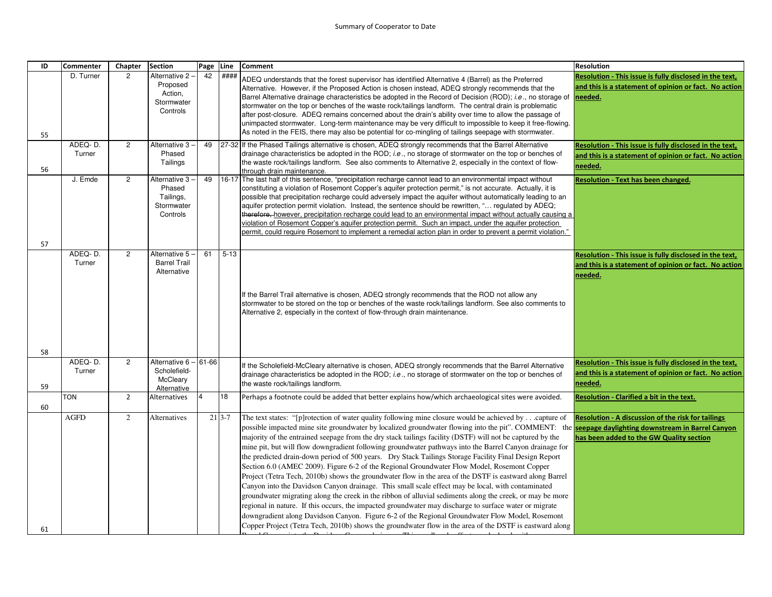| ID | Commenter         | Chapter        | <b>Section</b>                                                   | Page  | Line          | <b>Comment</b>                                                                                                                                                                                                                                                                                                                                                                                                                                                                                                                                                                                                                                                                                                                                                                                                                                                                                                                                                                                                                                                                                                                                                                                                                                                                                                                                            | <b>Resolution</b>                                                                                                           |
|----|-------------------|----------------|------------------------------------------------------------------|-------|---------------|-----------------------------------------------------------------------------------------------------------------------------------------------------------------------------------------------------------------------------------------------------------------------------------------------------------------------------------------------------------------------------------------------------------------------------------------------------------------------------------------------------------------------------------------------------------------------------------------------------------------------------------------------------------------------------------------------------------------------------------------------------------------------------------------------------------------------------------------------------------------------------------------------------------------------------------------------------------------------------------------------------------------------------------------------------------------------------------------------------------------------------------------------------------------------------------------------------------------------------------------------------------------------------------------------------------------------------------------------------------|-----------------------------------------------------------------------------------------------------------------------------|
|    | D. Turner         | $\overline{2}$ | Alternative 2 -<br>Proposed<br>Action,<br>Stormwater<br>Controls | 42    | ####          | ADEQ understands that the forest supervisor has identified Alternative 4 (Barrel) as the Preferred<br>Alternative. However, if the Proposed Action is chosen instead, ADEQ strongly recommends that the<br>Barrel Alternative drainage characteristics be adopted in the Record of Decision (ROD); i.e., no storage of<br>stormwater on the top or benches of the waste rock/tailings landform. The central drain is problematic<br>after post-closure. ADEQ remains concerned about the drain's ability over time to allow the passage of<br>unimpacted stormwater. Long-term maintenance may be very difficult to impossible to keep it free-flowing.                                                                                                                                                                                                                                                                                                                                                                                                                                                                                                                                                                                                                                                                                                   | Resolution - This issue is fully disclosed in the text,<br>and this is a statement of opinion or fact. No action<br>needed. |
| 55 |                   |                |                                                                  |       |               | As noted in the FEIS, there may also be potential for co-mingling of tailings seepage with stormwater.                                                                                                                                                                                                                                                                                                                                                                                                                                                                                                                                                                                                                                                                                                                                                                                                                                                                                                                                                                                                                                                                                                                                                                                                                                                    |                                                                                                                             |
| 56 | ADEQ-D.<br>Turner | $\overline{c}$ | Alternative 3<br>Phased<br>Tailings                              | 49    |               | 27-32 If the Phased Tailings alternative is chosen, ADEQ strongly recommends that the Barrel Alternative<br>drainage characteristics be adopted in the ROD; i.e., no storage of stormwater on the top or benches of<br>the waste rock/tailings landform. See also comments to Alternative 2, especially in the context of flow-<br>through drain maintenance.                                                                                                                                                                                                                                                                                                                                                                                                                                                                                                                                                                                                                                                                                                                                                                                                                                                                                                                                                                                             | Resolution - This issue is fully disclosed in the text,<br>and this is a statement of opinion or fact. No action<br>needed. |
| 57 | J. Emde           | $\overline{2}$ | Alternative 3<br>Phased<br>Tailings,<br>Stormwater<br>Controls   | 49    |               | 16-17 The last half of this sentence, "precipitation recharge cannot lead to an environmental impact without<br>constituting a violation of Rosemont Copper's aquifer protection permit," is not accurate. Actually, it is<br>possible that precipitation recharge could adversely impact the aquifer without automatically leading to an<br>aquifer protection permit violation. Instead, the sentence should be rewritten, " regulated by ADEQ;<br>therefore, however, precipitation recharge could lead to an environmental impact without actually causing a<br>violation of Rosemont Copper's aquifer protection permit. Such an impact, under the aquifer protection<br>oermit, could require Rosemont to implement a remedial action plan in order to prevent a permit violation."                                                                                                                                                                                                                                                                                                                                                                                                                                                                                                                                                                 | <b>Resolution - Text has been changed.</b>                                                                                  |
| 58 | ADEQ-D.<br>Turner | $\overline{c}$ | Alternative 5<br><b>Barrel Trail</b><br>Alternative              | 61    | $5 - 13$      | f the Barrel Trail alternative is chosen, ADEQ strongly recommends that the ROD not allow any<br>stormwater to be stored on the top or benches of the waste rock/tailings landform. See also comments to<br>Alternative 2, especially in the context of flow-through drain maintenance.                                                                                                                                                                                                                                                                                                                                                                                                                                                                                                                                                                                                                                                                                                                                                                                                                                                                                                                                                                                                                                                                   | Resolution - This issue is fully disclosed in the text,<br>and this is a statement of opinion or fact. No action<br>needed. |
| 59 | ADEQ-D.<br>Turner | $\overline{c}$ | Alternative 6<br>Scholefield-<br>McCleary<br>Alternative         | 61-66 |               | f the Scholefield-McCleary alternative is chosen, ADEQ strongly recommends that the Barrel Alternative<br>drainage characteristics be adopted in the ROD; i.e., no storage of stormwater on the top or benches of<br>the waste rock/tailings landform.                                                                                                                                                                                                                                                                                                                                                                                                                                                                                                                                                                                                                                                                                                                                                                                                                                                                                                                                                                                                                                                                                                    | Resolution - This issue is fully disclosed in the text,<br>and this is a statement of opinion or fact. No action<br>needed. |
| 60 | <b>TON</b>        | $\overline{2}$ | Alternatives                                                     |       | 18            | Perhaps a footnote could be added that better explains how/which archaeological sites were avoided.                                                                                                                                                                                                                                                                                                                                                                                                                                                                                                                                                                                                                                                                                                                                                                                                                                                                                                                                                                                                                                                                                                                                                                                                                                                       | Resolution - Clarified a bit in the text.                                                                                   |
| 61 | <b>AGFD</b>       | 2              | Alternatives                                                     |       | $21 \, 3 - 7$ | The text states: "[p]rotection of water quality following mine closure would be achieved bycapture of<br>possible impacted mine site groundwater by localized groundwater flowing into the pit". COMMENT: the <b>seepage daylighting downstream in Barrel Canyon</b><br>majority of the entrained seepage from the dry stack tailings facility (DSTF) will not be captured by the<br>mine pit, but will flow downgradient following groundwater pathways into the Barrel Canyon drainage for<br>the predicted drain-down period of 500 years. Dry Stack Tailings Storage Facility Final Design Report<br>Section 6.0 (AMEC 2009). Figure 6-2 of the Regional Groundwater Flow Model, Rosemont Copper<br>Project (Tetra Tech, 2010b) shows the groundwater flow in the area of the DSTF is eastward along Barrel<br>Canyon into the Davidson Canyon drainage. This small scale effect may be local, with contaminated<br>groundwater migrating along the creek in the ribbon of alluvial sediments along the creek, or may be more<br>regional in nature. If this occurs, the impacted groundwater may discharge to surface water or migrate<br>downgradient along Davidson Canyon. Figure 6-2 of the Regional Groundwater Flow Model, Rosemont<br>Copper Project (Tetra Tech, 2010b) shows the groundwater flow in the area of the DSTF is eastward along | Resolution - A discussion of the risk for tailings<br>has been added to the GW Quality section                              |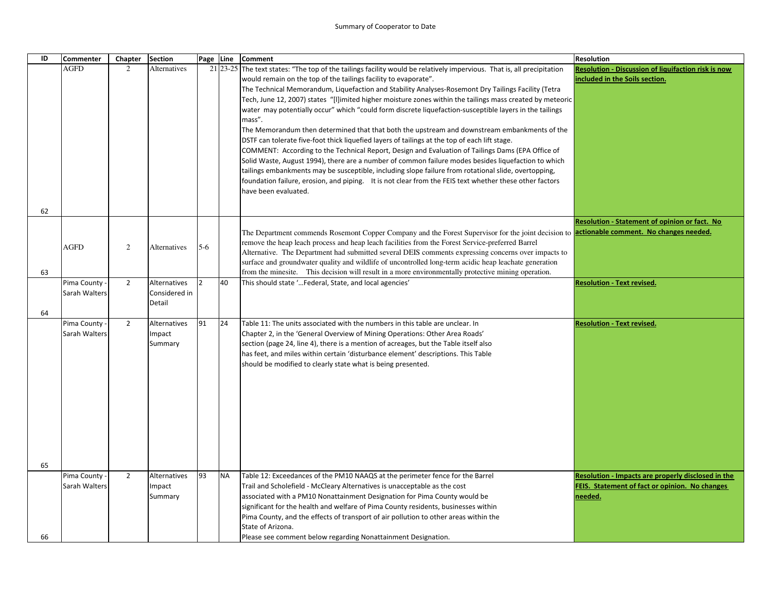| ID | Commenter     | Chapter        | <b>Section</b>      | Page Line      |           | <b>Comment</b>                                                                                                                                                                                                | <b>Resolution</b>                                   |
|----|---------------|----------------|---------------------|----------------|-----------|---------------------------------------------------------------------------------------------------------------------------------------------------------------------------------------------------------------|-----------------------------------------------------|
|    | <b>AGFD</b>   | $\overline{2}$ | Alternatives        |                |           | 21 23-25 The text states: "The top of the tailings facility would be relatively impervious. That is, all precipitation                                                                                        | Resolution - Discussion of liquifaction risk is now |
|    |               |                |                     |                |           | would remain on the top of the tailings facility to evaporate".                                                                                                                                               | included in the Soils section.                      |
|    |               |                |                     |                |           | The Technical Memorandum, Liquefaction and Stability Analyses-Rosemont Dry Tailings Facility (Tetra                                                                                                           |                                                     |
|    |               |                |                     |                |           | Tech, June 12, 2007) states "[I]imited higher moisture zones within the tailings mass created by meteoric                                                                                                     |                                                     |
|    |               |                |                     |                |           | water may potentially occur" which "could form discrete liquefaction-susceptible layers in the tailings                                                                                                       |                                                     |
|    |               |                |                     |                |           | mass".                                                                                                                                                                                                        |                                                     |
|    |               |                |                     |                |           | The Memorandum then determined that that both the upstream and downstream embankments of the                                                                                                                  |                                                     |
|    |               |                |                     |                |           | DSTF can tolerate five-foot thick liquefied layers of tailings at the top of each lift stage.                                                                                                                 |                                                     |
|    |               |                |                     |                |           | COMMENT: According to the Technical Report, Design and Evaluation of Tailings Dams (EPA Office of                                                                                                             |                                                     |
|    |               |                |                     |                |           | Solid Waste, August 1994), there are a number of common failure modes besides liquefaction to which                                                                                                           |                                                     |
|    |               |                |                     |                |           | tailings embankments may be susceptible, including slope failure from rotational slide, overtopping,                                                                                                          |                                                     |
|    |               |                |                     |                |           | foundation failure, erosion, and piping. It is not clear from the FEIS text whether these other factors                                                                                                       |                                                     |
|    |               |                |                     |                |           | have been evaluated.                                                                                                                                                                                          |                                                     |
|    |               |                |                     |                |           |                                                                                                                                                                                                               |                                                     |
| 62 |               |                |                     |                |           |                                                                                                                                                                                                               |                                                     |
|    |               |                |                     |                |           |                                                                                                                                                                                                               | Resolution - Statement of opinion or fact. No       |
|    |               |                |                     |                |           | The Department commends Rosemont Copper Company and the Forest Supervisor for the joint decision to <b>actionable comment. No changes needed.</b>                                                             |                                                     |
|    | <b>AGFD</b>   | 2              | <b>Alternatives</b> | $5-6$          |           | remove the heap leach process and heap leach facilities from the Forest Service-preferred Barrel                                                                                                              |                                                     |
|    |               |                |                     |                |           | Alternative. The Department had submitted several DEIS comments expressing concerns over impacts to<br>surface and groundwater quality and wildlife of uncontrolled long-term acidic heap leachate generation |                                                     |
| 63 |               |                |                     |                |           | from the minesite. This decision will result in a more environmentally protective mining operation.                                                                                                           |                                                     |
|    | Pima County   | $\overline{2}$ | Alternatives        | $\overline{2}$ | 40        | This should state ' Federal, State, and local agencies'                                                                                                                                                       | <b>Resolution - Text revised.</b>                   |
|    | Sarah Walters |                | Considered in       |                |           |                                                                                                                                                                                                               |                                                     |
|    |               |                | Detail              |                |           |                                                                                                                                                                                                               |                                                     |
| 64 |               |                |                     |                |           |                                                                                                                                                                                                               |                                                     |
|    | Pima County   | $\overline{2}$ | Alternatives        | 91             | 24        | Table 11: The units associated with the numbers in this table are unclear. In                                                                                                                                 | <b>Resolution - Text revised.</b>                   |
|    | Sarah Walters |                | Impact              |                |           | Chapter 2, in the 'General Overview of Mining Operations: Other Area Roads'                                                                                                                                   |                                                     |
|    |               |                | Summary             |                |           | section (page 24, line 4), there is a mention of acreages, but the Table itself also                                                                                                                          |                                                     |
|    |               |                |                     |                |           | has feet, and miles within certain 'disturbance element' descriptions. This Table                                                                                                                             |                                                     |
|    |               |                |                     |                |           | should be modified to clearly state what is being presented.                                                                                                                                                  |                                                     |
|    |               |                |                     |                |           |                                                                                                                                                                                                               |                                                     |
|    |               |                |                     |                |           |                                                                                                                                                                                                               |                                                     |
|    |               |                |                     |                |           |                                                                                                                                                                                                               |                                                     |
|    |               |                |                     |                |           |                                                                                                                                                                                                               |                                                     |
|    |               |                |                     |                |           |                                                                                                                                                                                                               |                                                     |
|    |               |                |                     |                |           |                                                                                                                                                                                                               |                                                     |
|    |               |                |                     |                |           |                                                                                                                                                                                                               |                                                     |
|    |               |                |                     |                |           |                                                                                                                                                                                                               |                                                     |
| 65 |               |                |                     |                |           |                                                                                                                                                                                                               |                                                     |
|    | Pima County   | $\overline{2}$ | Alternatives        | 93             | <b>NA</b> | Table 12: Exceedances of the PM10 NAAQS at the perimeter fence for the Barrel                                                                                                                                 | Resolution - Impacts are properly disclosed in the  |
|    | Sarah Walters |                | Impact              |                |           | Trail and Scholefield - McCleary Alternatives is unacceptable as the cost                                                                                                                                     | FEIS. Statement of fact or opinion. No changes      |
|    |               |                | Summary             |                |           | associated with a PM10 Nonattainment Designation for Pima County would be                                                                                                                                     | needed.                                             |
|    |               |                |                     |                |           | significant for the health and welfare of Pima County residents, businesses within                                                                                                                            |                                                     |
|    |               |                |                     |                |           | Pima County, and the effects of transport of air pollution to other areas within the                                                                                                                          |                                                     |
|    |               |                |                     |                |           | State of Arizona.                                                                                                                                                                                             |                                                     |
| 66 |               |                |                     |                |           | Please see comment below regarding Nonattainment Designation.                                                                                                                                                 |                                                     |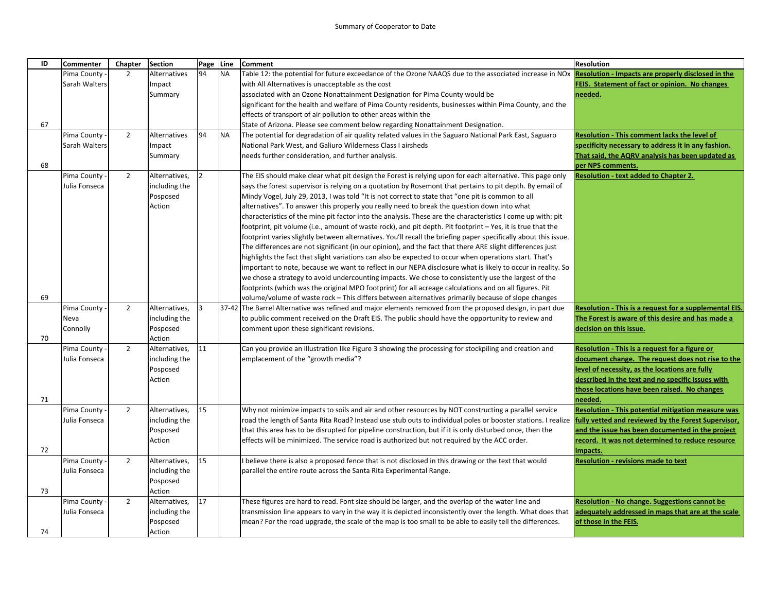| ID | <b>Commenter</b> | Chapter        | <b>Section</b>      | Page          | Line      | <b>Comment</b>                                                                                                                                                       | <b>Resolution</b>                                         |
|----|------------------|----------------|---------------------|---------------|-----------|----------------------------------------------------------------------------------------------------------------------------------------------------------------------|-----------------------------------------------------------|
|    | Pima County -    | $\overline{2}$ | <b>Alternatives</b> | 94            | <b>NA</b> | Table 12: the potential for future exceedance of the Ozone NAAQS due to the associated increase in NOx Resolution - Impacts are properly disclosed in the            |                                                           |
|    | Sarah Walters    |                | Impact              |               |           | with All Alternatives is unacceptable as the cost                                                                                                                    | FEIS. Statement of fact or opinion. No changes            |
|    |                  |                | Summary             |               |           | associated with an Ozone Nonattainment Designation for Pima County would be                                                                                          | needed.                                                   |
|    |                  |                |                     |               |           | significant for the health and welfare of Pima County residents, businesses within Pima County, and the                                                              |                                                           |
|    |                  |                |                     |               |           | effects of transport of air pollution to other areas within the                                                                                                      |                                                           |
| 67 |                  |                |                     |               |           | State of Arizona. Please see comment below regarding Nonattainment Designation.                                                                                      |                                                           |
|    | Pima County      | $\overline{2}$ | <b>Alternatives</b> | 94            | <b>NA</b> | The potential for degradation of air quality related values in the Saguaro National Park East, Saguaro                                                               | Resolution - This comment lacks the level of              |
|    | Sarah Walters    |                | Impact              |               |           | National Park West, and Galiuro Wilderness Class I airsheds                                                                                                          | specificity necessary to address it in any fashion.       |
|    |                  |                | Summary             |               |           | needs further consideration, and further analysis.                                                                                                                   | That said, the AQRV analysis has been updated as          |
| 68 |                  |                |                     |               |           |                                                                                                                                                                      | per NPS comments.                                         |
|    | Pima County      | $\overline{2}$ | Alternatives,       | $\mathcal{P}$ |           | The EIS should make clear what pit design the Forest is relying upon for each alternative. This page only                                                            | <b>Resolution - text added to Chapter 2.</b>              |
|    | Julia Fonseca    |                | including the       |               |           | says the forest supervisor is relying on a quotation by Rosemont that pertains to pit depth. By email of                                                             |                                                           |
|    |                  |                | Posposed            |               |           | Mindy Vogel, July 29, 2013, I was told "It is not correct to state that "one pit is common to all                                                                    |                                                           |
|    |                  |                | Action              |               |           | alternatives". To answer this properly you really need to break the question down into what                                                                          |                                                           |
|    |                  |                |                     |               |           | characteristics of the mine pit factor into the analysis. These are the characteristics I come up with: pit                                                          |                                                           |
|    |                  |                |                     |               |           | footprint, pit volume (i.e., amount of waste rock), and pit depth. Pit footprint - Yes, it is true that the                                                          |                                                           |
|    |                  |                |                     |               |           | footprint varies slightly between alternatives. You'll recall the briefing paper specifically about this issue.                                                      |                                                           |
|    |                  |                |                     |               |           | The differences are not significant (in our opinion), and the fact that there ARE slight differences just                                                            |                                                           |
|    |                  |                |                     |               |           | highlights the fact that slight variations can also be expected to occur when operations start. That's                                                               |                                                           |
|    |                  |                |                     |               |           | important to note, because we want to reflect in our NEPA disclosure what is likely to occur in reality. So                                                          |                                                           |
|    |                  |                |                     |               |           | we chose a strategy to avoid undercounting impacts. We chose to consistently use the largest of the                                                                  |                                                           |
|    |                  |                |                     |               |           | footprints (which was the original MPO footprint) for all acreage calculations and on all figures. Pit                                                               |                                                           |
| 69 |                  |                |                     |               |           | volume/volume of waste rock – This differs between alternatives primarily because of slope changes                                                                   |                                                           |
|    | Pima County      | $\overline{2}$ | Alternatives,       | R             |           | 37-42 The Barrel Alternative was refined and major elements removed from the proposed design, in part due                                                            | Resolution - This is a request for a supplemental EIS.    |
|    | Neva             |                | including the       |               |           | to public comment received on the Draft EIS. The public should have the opportunity to review and                                                                    | The Forest is aware of this desire and has made a         |
|    | Connolly         |                | Posposed            |               |           | comment upon these significant revisions.                                                                                                                            | decision on this issue.                                   |
| 70 |                  |                | Action              |               |           |                                                                                                                                                                      |                                                           |
|    | Pima County      | $\overline{2}$ | Alternatives,       | 11            |           | Can you provide an illustration like Figure 3 showing the processing for stockpiling and creation and                                                                | Resolution - This is a request for a figure or            |
|    | Julia Fonseca    |                | including the       |               |           | emplacement of the "growth media"?                                                                                                                                   | document change. The request does not rise to the         |
|    |                  |                | Posposed            |               |           |                                                                                                                                                                      | level of necessity, as the locations are fully            |
|    |                  |                | Action              |               |           |                                                                                                                                                                      | described in the text and no specific issues with         |
|    |                  |                |                     |               |           |                                                                                                                                                                      | those locations have been raised. No changes              |
| 71 |                  |                |                     |               |           |                                                                                                                                                                      | needed.                                                   |
|    | Pima County      | $\overline{2}$ | Alternatives,       | 15            |           | Why not minimize impacts to soils and air and other resources by NOT constructing a parallel service                                                                 | <b>Resolution - This potential mitigation measure was</b> |
|    | Julia Fonseca    |                | including the       |               |           | road the length of Santa Rita Road? Instead use stub outs to individual poles or booster stations. I realize                                                         | fully vetted and reviewed by the Forest Supervisor,       |
|    |                  |                | Posposed            |               |           | that this area has to be disrupted for pipeline construction, but if it is only disturbed once, then the                                                             | and the issue has been documented in the project          |
|    |                  |                | Action              |               |           | effects will be minimized. The service road is authorized but not required by the ACC order.                                                                         | record. It was not determined to reduce resource          |
| 72 |                  |                |                     |               |           |                                                                                                                                                                      | impacts.                                                  |
|    | Pima County      | $\overline{2}$ | Alternatives,       | 15            |           | believe there is also a proposed fence that is not disclosed in this drawing or the text that would                                                                  | <b>Resolution - revisions made to text</b>                |
|    | Julia Fonseca    |                | including the       |               |           | parallel the entire route across the Santa Rita Experimental Range.                                                                                                  |                                                           |
|    |                  |                | Posposed            |               |           |                                                                                                                                                                      |                                                           |
| 73 |                  |                | Action              |               |           |                                                                                                                                                                      |                                                           |
|    | Pima County      | $\overline{2}$ | Alternatives,       | 17            |           | These figures are hard to read. Font size should be larger, and the overlap of the water line and                                                                    | Resolution - No change. Suggestions cannot be             |
|    | Julia Fonseca    |                | including the       |               |           | transmission line appears to vary in the way it is depicted inconsistently over the length. What does that <b>adequately addressed in maps that are at the scale</b> |                                                           |
|    |                  |                | Posposed            |               |           | mean? For the road upgrade, the scale of the map is too small to be able to easily tell the differences.                                                             | of those in the FEIS.                                     |
| 74 |                  |                | Action              |               |           |                                                                                                                                                                      |                                                           |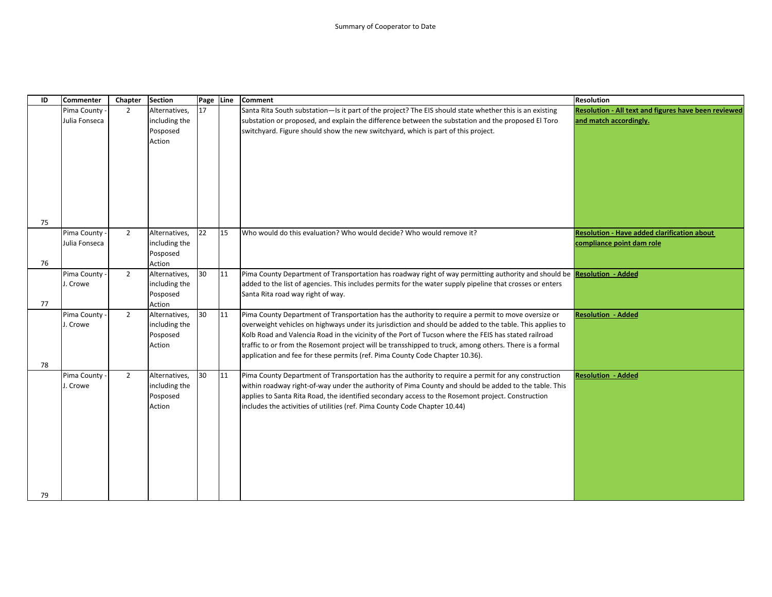| ID | Commenter     | Chapter        | <b>Section</b> | Page Line |    | Comment                                                                                                                        | <b>Resolution</b>                                    |
|----|---------------|----------------|----------------|-----------|----|--------------------------------------------------------------------------------------------------------------------------------|------------------------------------------------------|
|    | Pima County   | $\overline{2}$ | Alternatives,  | 17        |    | Santa Rita South substation-Is it part of the project? The EIS should state whether this is an existing                        | Resolution - All text and figures have been reviewed |
|    | Julia Fonseca |                | including the  |           |    | substation or proposed, and explain the difference between the substation and the proposed El Toro                             | and match accordingly.                               |
|    |               |                | Posposed       |           |    | switchyard. Figure should show the new switchyard, which is part of this project.                                              |                                                      |
|    |               |                | Action         |           |    |                                                                                                                                |                                                      |
|    |               |                |                |           |    |                                                                                                                                |                                                      |
|    |               |                |                |           |    |                                                                                                                                |                                                      |
|    |               |                |                |           |    |                                                                                                                                |                                                      |
|    |               |                |                |           |    |                                                                                                                                |                                                      |
|    |               |                |                |           |    |                                                                                                                                |                                                      |
|    |               |                |                |           |    |                                                                                                                                |                                                      |
|    |               |                |                |           |    |                                                                                                                                |                                                      |
| 75 |               |                |                |           |    |                                                                                                                                |                                                      |
|    | Pima County - | $\overline{2}$ | Alternatives,  | 22        | 15 | Who would do this evaluation? Who would decide? Who would remove it?                                                           | <b>Resolution - Have added clarification about</b>   |
|    | Julia Fonseca |                | including the  |           |    |                                                                                                                                | compliance point dam role                            |
|    |               |                | Posposed       |           |    |                                                                                                                                |                                                      |
| 76 |               |                | Action         |           |    |                                                                                                                                |                                                      |
|    | Pima County - | $\overline{2}$ | Alternatives,  | 30        | 11 | Pima County Department of Transportation has roadway right of way permitting authority and should be <b>Resolution - Added</b> |                                                      |
|    | J. Crowe      |                | including the  |           |    | added to the list of agencies. This includes permits for the water supply pipeline that crosses or enters                      |                                                      |
|    |               |                | Posposed       |           |    | Santa Rita road way right of way.                                                                                              |                                                      |
| 77 |               |                | Action         |           |    |                                                                                                                                |                                                      |
|    | Pima County   | $\overline{2}$ | Alternatives,  | 30        | 11 | Pima County Department of Transportation has the authority to require a permit to move oversize or                             | <b>Resolution - Added</b>                            |
|    | J. Crowe      |                | including the  |           |    | overweight vehicles on highways under its jurisdiction and should be added to the table. This applies to                       |                                                      |
|    |               |                | Posposed       |           |    | Kolb Road and Valencia Road in the vicinity of the Port of Tucson where the FEIS has stated railroad                           |                                                      |
|    |               |                | Action         |           |    | traffic to or from the Rosemont project will be transshipped to truck, among others. There is a formal                         |                                                      |
|    |               |                |                |           |    | application and fee for these permits (ref. Pima County Code Chapter 10.36).                                                   |                                                      |
| 78 |               |                |                |           |    |                                                                                                                                |                                                      |
|    | Pima County   | $\overline{2}$ | Alternatives,  | 30        | 11 | Pima County Department of Transportation has the authority to require a permit for any construction                            | <b>Resolution - Added</b>                            |
|    | J. Crowe      |                | including the  |           |    | within roadway right-of-way under the authority of Pima County and should be added to the table. This                          |                                                      |
|    |               |                | Posposed       |           |    | applies to Santa Rita Road, the identified secondary access to the Rosemont project. Construction                              |                                                      |
|    |               |                | Action         |           |    | includes the activities of utilities (ref. Pima County Code Chapter 10.44)                                                     |                                                      |
|    |               |                |                |           |    |                                                                                                                                |                                                      |
|    |               |                |                |           |    |                                                                                                                                |                                                      |
|    |               |                |                |           |    |                                                                                                                                |                                                      |
|    |               |                |                |           |    |                                                                                                                                |                                                      |
|    |               |                |                |           |    |                                                                                                                                |                                                      |
|    |               |                |                |           |    |                                                                                                                                |                                                      |
|    |               |                |                |           |    |                                                                                                                                |                                                      |
| 79 |               |                |                |           |    |                                                                                                                                |                                                      |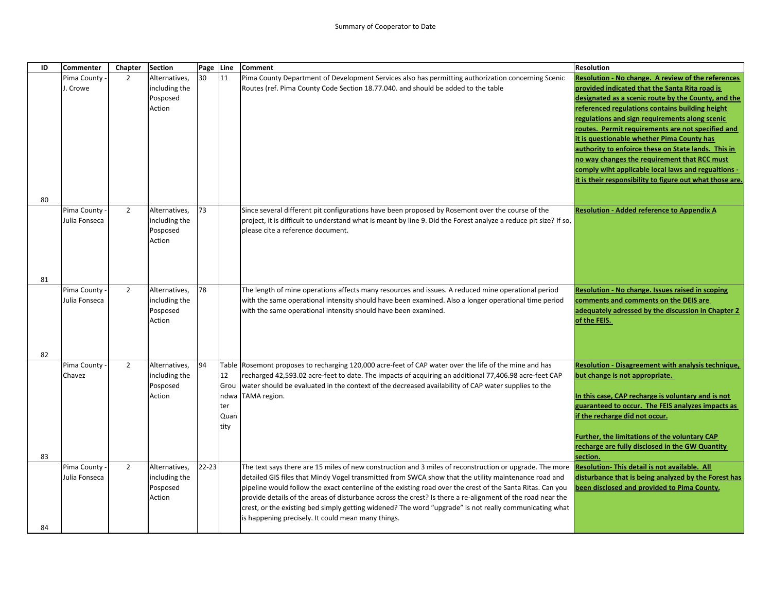| ID | <b>Commenter</b>             | Chapter        | <b>Section</b>                 | Page      | Line       | <b>Comment</b>                                                                                                                                                                                               | <b>Resolution</b>                                                                                               |
|----|------------------------------|----------------|--------------------------------|-----------|------------|--------------------------------------------------------------------------------------------------------------------------------------------------------------------------------------------------------------|-----------------------------------------------------------------------------------------------------------------|
|    | Pima County                  | $\overline{2}$ | Alternatives,                  | 30        | 11         | Pima County Department of Development Services also has permitting authorization concerning Scenic                                                                                                           | <b>Resolution - No change. A review of the references</b>                                                       |
|    | J. Crowe                     |                | including the                  |           |            | Routes (ref. Pima County Code Section 18.77.040. and should be added to the table                                                                                                                            | provided indicated that the Santa Rita road is                                                                  |
|    |                              |                | Posposed<br>Action             |           |            |                                                                                                                                                                                                              | designated as a scenic route by the County, and the<br>referenced regulations contains building height          |
|    |                              |                |                                |           |            |                                                                                                                                                                                                              | regulations and sign requirements along scenic                                                                  |
|    |                              |                |                                |           |            |                                                                                                                                                                                                              | routes. Permit requirements are not specified and                                                               |
|    |                              |                |                                |           |            |                                                                                                                                                                                                              | it is questionable whether Pima County has                                                                      |
|    |                              |                |                                |           |            |                                                                                                                                                                                                              | authority to enfoirce these on State lands. This in                                                             |
|    |                              |                |                                |           |            |                                                                                                                                                                                                              | no way changes the requirement that RCC must                                                                    |
|    |                              |                |                                |           |            |                                                                                                                                                                                                              | comply wiht applicable local laws and regualtions -<br>it is their responsibility to figure out what those are. |
|    |                              |                |                                |           |            |                                                                                                                                                                                                              |                                                                                                                 |
| 80 |                              |                |                                |           |            |                                                                                                                                                                                                              |                                                                                                                 |
|    | Pima County                  | 2              | Alternatives,                  | 73        |            | Since several different pit configurations have been proposed by Rosemont over the course of the                                                                                                             | <b>Resolution - Added reference to Appendix A</b>                                                               |
|    | Julia Fonseca                |                | including the                  |           |            | project, it is difficult to understand what is meant by line 9. Did the Forest analyze a reduce pit size? If so,                                                                                             |                                                                                                                 |
|    |                              |                | Posposed<br>Action             |           |            | please cite a reference document.                                                                                                                                                                            |                                                                                                                 |
|    |                              |                |                                |           |            |                                                                                                                                                                                                              |                                                                                                                 |
|    |                              |                |                                |           |            |                                                                                                                                                                                                              |                                                                                                                 |
|    |                              |                |                                |           |            |                                                                                                                                                                                                              |                                                                                                                 |
| 81 |                              |                |                                |           |            |                                                                                                                                                                                                              |                                                                                                                 |
|    | Pima County<br>Julia Fonseca | $\overline{2}$ | Alternatives,<br>including the | 78        |            | The length of mine operations affects many resources and issues. A reduced mine operational period<br>with the same operational intensity should have been examined. Also a longer operational time period   | Resolution - No change. Issues raised in scoping<br>comments and comments on the DEIS are                       |
|    |                              |                | Posposed                       |           |            | with the same operational intensity should have been examined.                                                                                                                                               | adequately adressed by the discussion in Chapter 2                                                              |
|    |                              |                | Action                         |           |            |                                                                                                                                                                                                              | of the FEIS.                                                                                                    |
|    |                              |                |                                |           |            |                                                                                                                                                                                                              |                                                                                                                 |
|    |                              |                |                                |           |            |                                                                                                                                                                                                              |                                                                                                                 |
| 82 |                              |                |                                |           |            |                                                                                                                                                                                                              |                                                                                                                 |
|    | Pima County                  | $\overline{2}$ | Alternatives,                  | 94        | Table      | Rosemont proposes to recharging 120,000 acre-feet of CAP water over the life of the mine and has                                                                                                             | <b>Resolution - Disagreement with analysis technique,</b>                                                       |
|    | Chavez                       |                | including the<br>Posposed      |           | 12<br>Grou | recharged 42,593.02 acre-feet to date. The impacts of acquiring an additional 77,406.98 acre-feet CAP<br>water should be evaluated in the context of the decreased availability of CAP water supplies to the | but change is not appropriate.                                                                                  |
|    |                              |                | Action                         |           | ndwa       | TAMA region.                                                                                                                                                                                                 | In this case, CAP recharge is voluntary and is not                                                              |
|    |                              |                |                                |           | ter        |                                                                                                                                                                                                              | guaranteed to occur. The FEIS analyzes impacts as                                                               |
|    |                              |                |                                |           | Quan       |                                                                                                                                                                                                              | if the recharge did not occur.                                                                                  |
|    |                              |                |                                |           | tity       |                                                                                                                                                                                                              |                                                                                                                 |
|    |                              |                |                                |           |            |                                                                                                                                                                                                              | Further, the limitations of the voluntary CAP                                                                   |
| 83 |                              |                |                                |           |            |                                                                                                                                                                                                              | recharge are fully disclosed in the GW Quantity<br>section.                                                     |
|    | Pima County                  | $\overline{2}$ | Alternatives,                  | $22 - 23$ |            | The text says there are 15 miles of new construction and 3 miles of reconstruction or upgrade. The more                                                                                                      | Resolution- This detail is not available. All                                                                   |
|    | Julia Fonseca                |                | including the                  |           |            | detailed GIS files that Mindy Vogel transmitted from SWCA show that the utility maintenance road and                                                                                                         | disturbance that is being analyzed by the Forest has                                                            |
|    |                              |                | Posposed                       |           |            | pipeline would follow the exact centerline of the existing road over the crest of the Santa Ritas. Can you                                                                                                   | been disclosed and provided to Pima County.                                                                     |
|    |                              |                | Action                         |           |            | provide details of the areas of disturbance across the crest? Is there a re-alignment of the road near the                                                                                                   |                                                                                                                 |
|    |                              |                |                                |           |            | crest, or the existing bed simply getting widened? The word "upgrade" is not really communicating what<br>is happening precisely. It could mean many things.                                                 |                                                                                                                 |
| 84 |                              |                |                                |           |            |                                                                                                                                                                                                              |                                                                                                                 |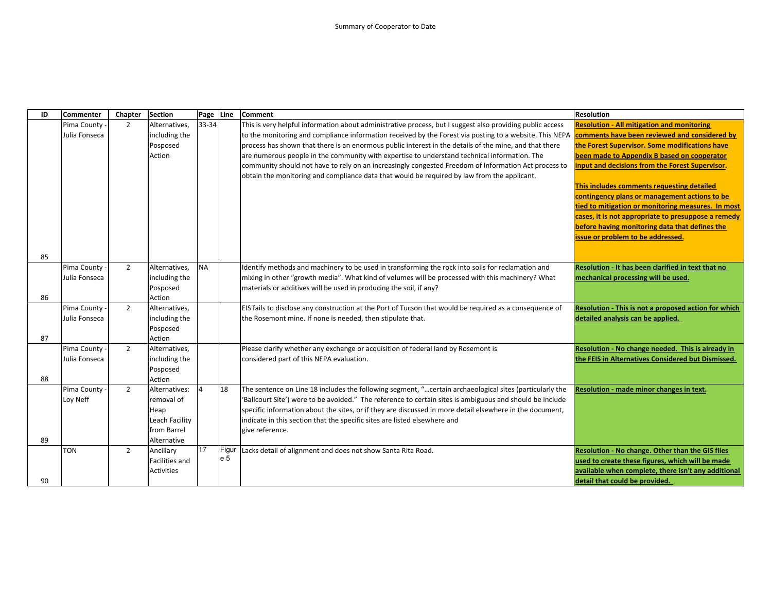| ID | <b>Commenter</b> | Chapter        | <b>Section</b>          | Page      | Line  | <b>Comment</b>                                                                                            | <b>Resolution</b>                                    |
|----|------------------|----------------|-------------------------|-----------|-------|-----------------------------------------------------------------------------------------------------------|------------------------------------------------------|
|    | Pima County      | $\overline{2}$ | Alternatives,           | 33-34     |       | This is very helpful information about administrative process, but I suggest also providing public access | <b>Resolution - All mitigation and monitoring</b>    |
|    | Julia Fonseca    |                | including the           |           |       | to the monitoring and compliance information received by the Forest via posting to a website. This NEPA   | comments have been reviewed and considered by        |
|    |                  |                | Posposed                |           |       | process has shown that there is an enormous public interest in the details of the mine, and that there    | the Forest Supervisor. Some modifications have       |
|    |                  |                | Action                  |           |       | are numerous people in the community with expertise to understand technical information. The              | been made to Appendix B based on cooperator          |
|    |                  |                |                         |           |       | community should not have to rely on an increasingly congested Freedom of Information Act process to      | input and decisions from the Forest Supervisor.      |
|    |                  |                |                         |           |       | obtain the monitoring and compliance data that would be required by law from the applicant.               |                                                      |
|    |                  |                |                         |           |       |                                                                                                           | This includes comments requesting detailed           |
|    |                  |                |                         |           |       |                                                                                                           | contingency plans or management actions to be        |
|    |                  |                |                         |           |       |                                                                                                           | tied to mitigation or monitoring measures. In most   |
|    |                  |                |                         |           |       |                                                                                                           | cases, it is not appropriate to presuppose a remedy  |
|    |                  |                |                         |           |       |                                                                                                           | before having monitoring data that defines the       |
|    |                  |                |                         |           |       |                                                                                                           | issue or problem to be addressed.                    |
|    |                  |                |                         |           |       |                                                                                                           |                                                      |
| 85 |                  |                |                         |           |       |                                                                                                           |                                                      |
|    | Pima County      | $\overline{2}$ | Alternatives,           | <b>NA</b> |       | Identify methods and machinery to be used in transforming the rock into soils for reclamation and         | Resolution - It has been clarified in text that no   |
|    | Julia Fonseca    |                | including the           |           |       | mixing in other "growth media". What kind of volumes will be processed with this machinery? What          | mechanical processing will be used.                  |
| 86 |                  |                | Posposed                |           |       | materials or additives will be used in producing the soil, if any?                                        |                                                      |
|    | Pima County      | $\overline{2}$ | Action<br>Alternatives, |           |       | EIS fails to disclose any construction at the Port of Tucson that would be required as a consequence of   | Resolution - This is not a proposed action for which |
|    | Julia Fonseca    |                | including the           |           |       | the Rosemont mine. If none is needed, then stipulate that.                                                | detailed analysis can be applied.                    |
|    |                  |                | Posposed                |           |       |                                                                                                           |                                                      |
| 87 |                  |                | Action                  |           |       |                                                                                                           |                                                      |
|    | Pima County      | $\overline{2}$ | Alternatives,           |           |       | Please clarify whether any exchange or acquisition of federal land by Rosemont is                         | Resolution - No change needed. This is already in    |
|    | Julia Fonseca    |                | including the           |           |       | considered part of this NEPA evaluation.                                                                  | the FEIS in Alternatives Considered but Dismissed.   |
|    |                  |                | Posposed                |           |       |                                                                                                           |                                                      |
| 88 |                  |                | Action                  |           |       |                                                                                                           |                                                      |
|    | Pima County      | $\overline{2}$ | Alternatives:           |           | 18    | The sentence on Line 18 includes the following segment, " certain archaeological sites (particularly the  | Resolution - made minor changes in text.             |
|    | Loy Neff         |                | removal of              |           |       | 'Ballcourt Site') were to be avoided." The reference to certain sites is ambiguous and should be include  |                                                      |
|    |                  |                | Heap                    |           |       | specific information about the sites, or if they are discussed in more detail elsewhere in the document,  |                                                      |
|    |                  |                | Leach Facility          |           |       | indicate in this section that the specific sites are listed elsewhere and                                 |                                                      |
|    |                  |                | from Barrel             |           |       | give reference.                                                                                           |                                                      |
| 89 |                  |                | Alternative             |           |       |                                                                                                           |                                                      |
|    | TON              | $\overline{2}$ | Ancillary               | 17        | Figur | Lacks detail of alignment and does not show Santa Rita Road.                                              | Resolution - No change. Other than the GIS files     |
|    |                  |                | Facilities and          |           | e 5   |                                                                                                           | used to create these figures, which will be made     |
|    |                  |                | <b>Activities</b>       |           |       |                                                                                                           | available when complete, there isn't any additional  |
| 90 |                  |                |                         |           |       |                                                                                                           | detail that could be provided.                       |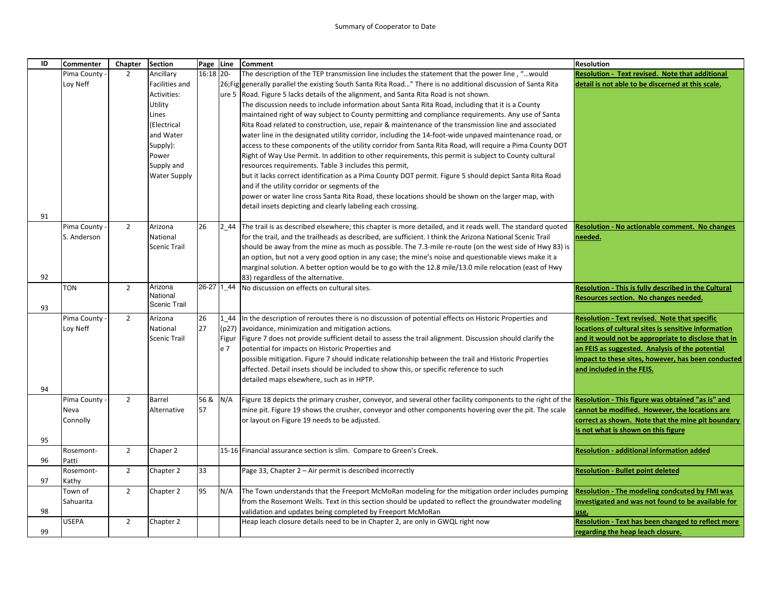| ID | <b>Commenter</b> | Chapter        | <b>Section</b>      | Page Line |       | <b>Comment</b>                                                                                                                                                      | <b>Resolution</b>                                         |
|----|------------------|----------------|---------------------|-----------|-------|---------------------------------------------------------------------------------------------------------------------------------------------------------------------|-----------------------------------------------------------|
|    | Pima County      | $\overline{2}$ | Ancillary           | 16:18 20- |       | The description of the TEP transmission line includes the statement that the power line, "would                                                                     | Resolution - Text revised. Note that additional           |
|    | Loy Neff         |                | Facilities and      |           |       | 26; Fig generally parallel the existing South Santa Rita Road" There is no additional discussion of Santa Rita                                                      | detail is not able to be discerned at this scale.         |
|    |                  |                | Activities:         |           |       | ure 5 Road. Figure 5 lacks details of the alignment, and Santa Rita Road is not shown.                                                                              |                                                           |
|    |                  |                | Utility             |           |       | The discussion needs to include information about Santa Rita Road, including that it is a County                                                                    |                                                           |
|    |                  |                | Lines               |           |       | maintained right of way subject to County permitting and compliance requirements. Any use of Santa                                                                  |                                                           |
|    |                  |                | (Electrical         |           |       | Rita Road related to construction, use, repair & maintenance of the transmission line and associated                                                                |                                                           |
|    |                  |                | and Water           |           |       | water line in the designated utility corridor, including the 14-foot-wide unpaved maintenance road, or                                                              |                                                           |
|    |                  |                | Supply):            |           |       | access to these components of the utility corridor from Santa Rita Road, will require a Pima County DOT                                                             |                                                           |
|    |                  |                | Power               |           |       | Right of Way Use Permit. In addition to other requirements, this permit is subject to County cultural                                                               |                                                           |
|    |                  |                | Supply and          |           |       | resources requirements. Table 3 includes this permit,                                                                                                               |                                                           |
|    |                  |                | <b>Water Supply</b> |           |       | but it lacks correct identification as a Pima County DOT permit. Figure 5 should depict Santa Rita Road                                                             |                                                           |
|    |                  |                |                     |           |       | and if the utility corridor or segments of the                                                                                                                      |                                                           |
|    |                  |                |                     |           |       | power or water line cross Santa Rita Road, these locations should be shown on the larger map, with                                                                  |                                                           |
|    |                  |                |                     |           |       | detail insets depicting and clearly labeling each crossing.                                                                                                         |                                                           |
| 91 |                  |                |                     |           |       |                                                                                                                                                                     |                                                           |
|    | Pima County      | $\overline{2}$ | Arizona             | 26        | 2 44  | The trail is as described elsewhere; this chapter is more detailed, and it reads well. The standard quoted                                                          | <b>Resolution - No actionable comment. No changes</b>     |
|    | S. Anderson      |                | National            |           |       | for the trail, and the trailheads as described, are sufficient. I think the Arizona National Scenic Trail                                                           | needed.                                                   |
|    |                  |                | <b>Scenic Trail</b> |           |       | should be away from the mine as much as possible. The 7.3-mile re-route (on the west side of Hwy 83) is                                                             |                                                           |
|    |                  |                |                     |           |       | an option, but not a very good option in any case; the mine's noise and questionable views make it a                                                                |                                                           |
|    |                  |                |                     |           |       | marginal solution. A better option would be to go with the 12.8 mile/13.0 mile relocation (east of Hwy                                                              |                                                           |
| 92 |                  |                |                     |           |       | 83) regardless of the alternative.                                                                                                                                  |                                                           |
|    | <b>TON</b>       | $\overline{2}$ | Arizona             |           |       | 26-27 1_44 No discussion on effects on cultural sites.                                                                                                              | Resolution - This is fully described in the Cultural      |
|    |                  |                | National            |           |       |                                                                                                                                                                     | Resources section. No changes needed.                     |
| 93 |                  |                | Scenic Trail        |           |       |                                                                                                                                                                     |                                                           |
|    | Pima County      | $\overline{2}$ | Arizona             | 26        | 1 44  | In the description of reroutes there is no discussion of potential effects on Historic Properties and                                                               | <b>Resolution - Text revised. Note that specific</b>      |
|    | Loy Neff         |                | National            | 27        | (p27) | avoidance, minimization and mitigation actions.                                                                                                                     | locations of cultural sites is sensitive information      |
|    |                  |                | <b>Scenic Trail</b> |           |       | Figur   Figure 7 does not provide sufficient detail to assess the trail alignment. Discussion should clarify the                                                    | and it would not be appropriate to disclose that in       |
|    |                  |                |                     |           | e 7   | potential for impacts on Historic Properties and                                                                                                                    | an FEIS as suggested. Analysis of the potential           |
|    |                  |                |                     |           |       | possible mitigation. Figure 7 should indicate relationship between the trail and Historic Properties                                                                | impact to these sites, however, has been conducted        |
|    |                  |                |                     |           |       | affected. Detail insets should be included to show this, or specific reference to such                                                                              | and included in the FEIS.                                 |
|    |                  |                |                     |           |       | detailed maps elsewhere, such as in HPTP.                                                                                                                           |                                                           |
| 94 |                  |                |                     |           |       |                                                                                                                                                                     |                                                           |
|    | Pima County      | $\overline{2}$ | Barrel              | 56 &      | N/A   | Figure 18 depicts the primary crusher, conveyor, and several other facility components to the right of the <b>Resolution - This figure was obtained "as is" and</b> |                                                           |
|    | Neva             |                | Alternative         | 57        |       | mine pit. Figure 19 shows the crusher, conveyor and other components hovering over the pit. The scale                                                               | cannot be modified. However, the locations are            |
|    | Connolly         |                |                     |           |       | or layout on Figure 19 needs to be adjusted.                                                                                                                        | correct as shown. Note that the mine pit boundary         |
|    |                  |                |                     |           |       |                                                                                                                                                                     | is not what is shown on this figure                       |
| 95 |                  |                |                     |           |       |                                                                                                                                                                     |                                                           |
|    | Rosemont-        | $\overline{2}$ | Chaper 2            |           |       | 15-16 Financial assurance section is slim. Compare to Green's Creek.                                                                                                | <b>Resolution - additional information added</b>          |
| 96 | Patti            |                |                     |           |       |                                                                                                                                                                     |                                                           |
|    | Rosemont-        | $\overline{2}$ | Chapter 2           | 33        |       | Page 33, Chapter 2 - Air permit is described incorrectly                                                                                                            | <b>Resolution - Bullet point deleted</b>                  |
| 97 | Kathy            |                |                     |           |       |                                                                                                                                                                     |                                                           |
|    | Town of          | $\overline{2}$ | Chapter 2           | 95        | N/A   | The Town understands that the Freeport McMoRan modeling for the mitigation order includes pumping                                                                   | Resolution - The modeling condcuted by FMI was            |
|    | Sahuarita        |                |                     |           |       | from the Rosemont Wells. Text in this section should be updated to reflect the groundwater modeling                                                                 | investigated and was not found to be available for        |
| 98 |                  |                |                     |           |       | validation and updates being completed by Freeport McMoRan                                                                                                          | use.                                                      |
|    | <b>USEPA</b>     | $\overline{2}$ | Chapter 2           |           |       | Heap leach closure details need to be in Chapter 2, are only in GWQL right now                                                                                      | <b>Resolution - Text has been changed to reflect more</b> |
| 99 |                  |                |                     |           |       |                                                                                                                                                                     | regarding the heap leach closure.                         |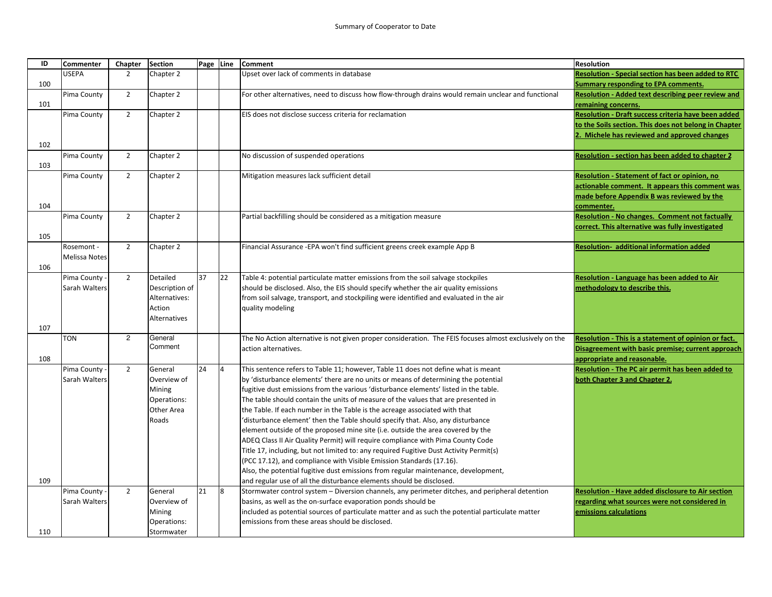| ID  | <b>Commenter</b> | Chapter        | <b>Section</b>      |    | Page Line      | <b>Comment</b>                                                                                          | <b>Resolution</b>                                         |
|-----|------------------|----------------|---------------------|----|----------------|---------------------------------------------------------------------------------------------------------|-----------------------------------------------------------|
|     | <b>USEPA</b>     | $\overline{2}$ | Chapter 2           |    |                | Upset over lack of comments in database                                                                 | <b>Resolution - Special section has been added to RTC</b> |
| 100 |                  |                |                     |    |                |                                                                                                         | <b>Summary responding to EPA comments.</b>                |
|     | Pima County      | $\overline{2}$ | Chapter 2           |    |                | For other alternatives, need to discuss how flow-through drains would remain unclear and functional     | Resolution - Added text describing peer review and        |
| 101 |                  |                |                     |    |                |                                                                                                         | remaining concerns.                                       |
|     | Pima County      | 2              | Chapter 2           |    |                | EIS does not disclose success criteria for reclamation                                                  | Resolution - Draft success criteria have been added       |
|     |                  |                |                     |    |                |                                                                                                         | to the Soils section. This does not belong in Chapter     |
|     |                  |                |                     |    |                |                                                                                                         | . Michele has reviewed and approved changes               |
| 102 |                  |                |                     |    |                |                                                                                                         |                                                           |
|     | Pima County      | $\overline{2}$ | Chapter 2           |    |                | No discussion of suspended operations                                                                   | <b>Resolution - section has been added to chapter 2</b>   |
| 103 |                  |                |                     |    |                |                                                                                                         |                                                           |
|     | Pima County      | $\overline{2}$ | Chapter 2           |    |                | Mitigation measures lack sufficient detail                                                              | Resolution - Statement of fact or opinion, no             |
|     |                  |                |                     |    |                |                                                                                                         | actionable comment. It appears this comment was           |
|     |                  |                |                     |    |                |                                                                                                         | made before Appendix B was reviewed by the                |
| 104 |                  |                |                     |    |                |                                                                                                         | commenter.                                                |
|     | Pima County      | $\overline{2}$ | Chapter 2           |    |                | Partial backfilling should be considered as a mitigation measure                                        | <b>Resolution - No changes. Comment not factually</b>     |
|     |                  |                |                     |    |                |                                                                                                         | correct. This alternative was fully investigated          |
| 105 |                  |                |                     |    |                |                                                                                                         |                                                           |
|     | Rosemont -       | $\overline{2}$ | Chapter 2           |    |                | Financial Assurance - EPA won't find sufficient greens creek example App B                              | Resolution-additional information added                   |
|     | Melissa Notes    |                |                     |    |                |                                                                                                         |                                                           |
| 106 |                  |                |                     |    |                |                                                                                                         |                                                           |
|     | Pima County      | $\overline{2}$ | Detailed            | 37 | 22             | Table 4: potential particulate matter emissions from the soil salvage stockpiles                        | Resolution - Language has been added to Air               |
|     | Sarah Walters    |                | Description of      |    |                | should be disclosed. Also, the EIS should specify whether the air quality emissions                     | methodology to describe this.                             |
|     |                  |                | Alternatives:       |    |                | from soil salvage, transport, and stockpiling were identified and evaluated in the air                  |                                                           |
|     |                  |                | Action              |    |                | quality modeling                                                                                        |                                                           |
|     |                  |                | <b>Alternatives</b> |    |                |                                                                                                         |                                                           |
| 107 |                  |                |                     |    |                |                                                                                                         |                                                           |
|     | <b>TON</b>       | $\overline{c}$ | General             |    |                | The No Action alternative is not given proper consideration. The FEIS focuses almost exclusively on the | Resolution - This is a statement of opinion or fact.      |
|     |                  |                | Comment             |    |                | action alternatives.                                                                                    | Disagreement with basic premise; current approach         |
| 108 |                  |                |                     |    |                |                                                                                                         | appropriate and reasonable.                               |
|     | Pima County      | $\overline{2}$ | General             | 24 | $\overline{4}$ | This sentence refers to Table 11; however, Table 11 does not define what is meant                       | Resolution - The PC air permit has been added to          |
|     | Sarah Walters    |                | Overview of         |    |                | by 'disturbance elements' there are no units or means of determining the potential                      | both Chapter 3 and Chapter 2.                             |
|     |                  |                | Mining              |    |                | fugitive dust emissions from the various 'disturbance elements' listed in the table.                    |                                                           |
|     |                  |                | Operations:         |    |                | The table should contain the units of measure of the values that are presented in                       |                                                           |
|     |                  |                | Other Area          |    |                | the Table. If each number in the Table is the acreage associated with that                              |                                                           |
|     |                  |                | Roads               |    |                | 'disturbance element' then the Table should specify that. Also, any disturbance                         |                                                           |
|     |                  |                |                     |    |                | element outside of the proposed mine site (i.e. outside the area covered by the                         |                                                           |
|     |                  |                |                     |    |                | ADEQ Class II Air Quality Permit) will require compliance with Pima County Code                         |                                                           |
|     |                  |                |                     |    |                | Title 17, including, but not limited to: any required Fugitive Dust Activity Permit(s)                  |                                                           |
|     |                  |                |                     |    |                | (PCC 17.12), and compliance with Visible Emission Standards (17.16).                                    |                                                           |
|     |                  |                |                     |    |                | Also, the potential fugitive dust emissions from regular maintenance, development,                      |                                                           |
| 109 |                  |                |                     |    |                |                                                                                                         |                                                           |
|     |                  | $\overline{2}$ | General             | 21 | $\overline{8}$ | and regular use of all the disturbance elements should be disclosed.                                    |                                                           |
|     | Pima County      |                |                     |    |                | Stormwater control system - Diversion channels, any perimeter ditches, and peripheral detention         | Resolution - Have added disclosure to Air section         |
|     | Sarah Walters    |                | Overview of         |    |                | basins, as well as the on-surface evaporation ponds should be                                           | regarding what sources were not considered in             |
|     |                  |                | Mining              |    |                | included as potential sources of particulate matter and as such the potential particulate matter        | emissions calculations                                    |
|     |                  |                | Operations:         |    |                | emissions from these areas should be disclosed.                                                         |                                                           |
| 110 |                  |                | Stormwater          |    |                |                                                                                                         |                                                           |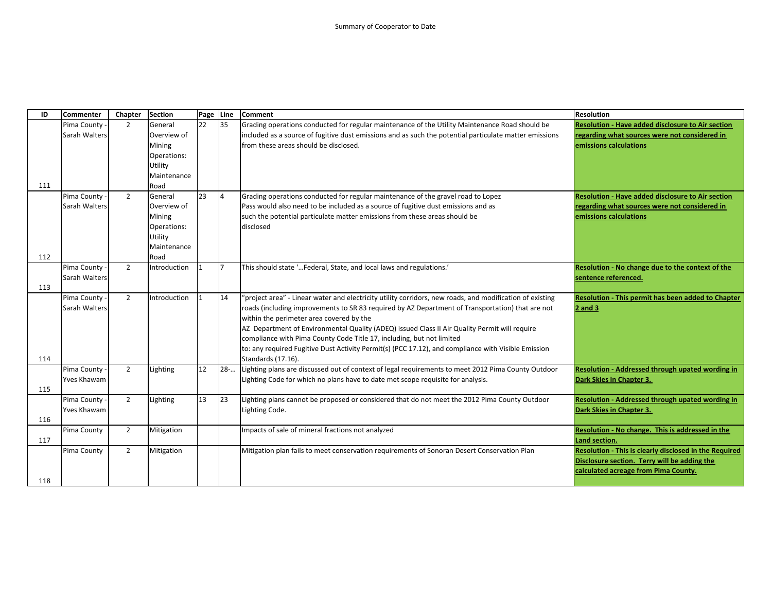| ID  | <b>Commenter</b> | Chapter        | <b>Section</b> | Page Line |                | <b>Comment</b>                                                                                           | <b>Resolution</b>                                       |
|-----|------------------|----------------|----------------|-----------|----------------|----------------------------------------------------------------------------------------------------------|---------------------------------------------------------|
|     | Pima County      | 2              | General        | 22        | 35             | Grading operations conducted for regular maintenance of the Utility Maintenance Road should be           | Resolution - Have added disclosure to Air section       |
|     | Sarah Walters    |                | Overview of    |           |                | included as a source of fugitive dust emissions and as such the potential particulate matter emissions   | regarding what sources were not considered in           |
|     |                  |                | Mining         |           |                | from these areas should be disclosed.                                                                    | emissions calculations                                  |
|     |                  |                | Operations:    |           |                |                                                                                                          |                                                         |
|     |                  |                | Utility        |           |                |                                                                                                          |                                                         |
|     |                  |                | Maintenance    |           |                |                                                                                                          |                                                         |
| 111 |                  |                | Road           |           |                |                                                                                                          |                                                         |
|     | Pima County      | 2              | General        | 23        | $\overline{4}$ | Grading operations conducted for regular maintenance of the gravel road to Lopez                         | Resolution - Have added disclosure to Air section       |
|     | Sarah Walters    |                | Overview of    |           |                | Pass would also need to be included as a source of fugitive dust emissions and as                        | regarding what sources were not considered in           |
|     |                  |                | Mining         |           |                | such the potential particulate matter emissions from these areas should be                               | emissions calculations                                  |
|     |                  |                | Operations:    |           |                | disclosed                                                                                                |                                                         |
|     |                  |                | Utility        |           |                |                                                                                                          |                                                         |
|     |                  |                | Maintenance    |           |                |                                                                                                          |                                                         |
| 112 |                  |                | Road           |           |                |                                                                                                          |                                                         |
|     | Pima County -    | $\overline{2}$ | Introduction   |           | 17             | This should state ' Federal, State, and local laws and regulations.'                                     | Resolution - No change due to the context of the        |
|     | Sarah Walters    |                |                |           |                |                                                                                                          | sentence referenced.                                    |
| 113 |                  |                |                |           |                |                                                                                                          |                                                         |
|     | Pima County -    | $\overline{2}$ | Introduction   |           | 14             | 'project area" - Linear water and electricity utility corridors, new roads, and modification of existing | Resolution - This permit has been added to Chapter      |
|     | Sarah Walters    |                |                |           |                | roads (including improvements to SR 83 required by AZ Department of Transportation) that are not         | $2$ and $3$                                             |
|     |                  |                |                |           |                | within the perimeter area covered by the                                                                 |                                                         |
|     |                  |                |                |           |                | AZ Department of Environmental Quality (ADEQ) issued Class II Air Quality Permit will require            |                                                         |
|     |                  |                |                |           |                | compliance with Pima County Code Title 17, including, but not limited                                    |                                                         |
|     |                  |                |                |           |                | to: any required Fugitive Dust Activity Permit(s) (PCC 17.12), and compliance with Visible Emission      |                                                         |
| 114 |                  |                |                |           |                | Standards (17.16).                                                                                       |                                                         |
|     | Pima County -    | $\overline{2}$ | Lighting       | 12        | $28-$          | Lighting plans are discussed out of context of legal requirements to meet 2012 Pima County Outdoor       | <b>Resolution - Addressed through upated wording in</b> |
|     | Yves Khawam      |                |                |           |                | Lighting Code for which no plans have to date met scope requisite for analysis.                          | Dark Skies in Chapter 3.                                |
| 115 |                  |                |                |           |                |                                                                                                          |                                                         |
|     | Pima County -    | $\overline{2}$ | Lighting       | 13        | 123            | Lighting plans cannot be proposed or considered that do not meet the 2012 Pima County Outdoor            | Resolution - Addressed through upated wording in        |
|     | Yves Khawam      |                |                |           |                | Lighting Code.                                                                                           | Dark Skies in Chapter 3.                                |
| 116 |                  |                |                |           |                |                                                                                                          |                                                         |
|     | Pima County      | $\overline{2}$ | Mitigation     |           |                | Impacts of sale of mineral fractions not analyzed                                                        | Resolution - No change. This is addressed in the        |
| 117 |                  |                |                |           |                |                                                                                                          | Land section.                                           |
|     | Pima County      | $\overline{2}$ | Mitigation     |           |                | Mitigation plan fails to meet conservation requirements of Sonoran Desert Conservation Plan              | Resolution - This is clearly disclosed in the Required  |
|     |                  |                |                |           |                |                                                                                                          | Disclosure section. Terry will be adding the            |
|     |                  |                |                |           |                |                                                                                                          | calculated acreage from Pima County.                    |
| 118 |                  |                |                |           |                |                                                                                                          |                                                         |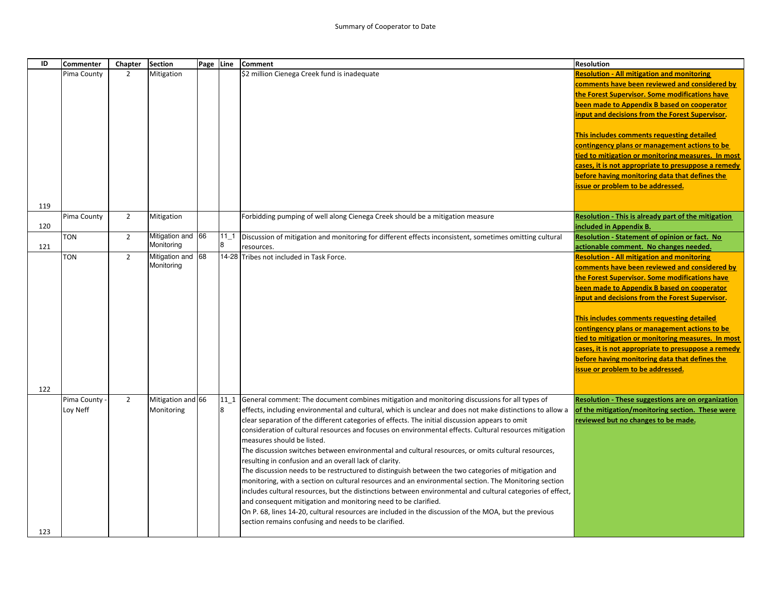| ID         | <b>Commenter</b>        | Chapter        | <b>Section</b>                  | Page Line |             | <b>Comment</b>                                                                                                                                                                                                                                                                                                                                                                                                                                                                                                                                                                                                                                                                                                                                                                                                                                                                                                                                                                                                                                                                                                                                                                               | <b>Resolution</b>                                                                                                                                                                                                                                                                                                                                                                                                                                                                                                                                         |
|------------|-------------------------|----------------|---------------------------------|-----------|-------------|----------------------------------------------------------------------------------------------------------------------------------------------------------------------------------------------------------------------------------------------------------------------------------------------------------------------------------------------------------------------------------------------------------------------------------------------------------------------------------------------------------------------------------------------------------------------------------------------------------------------------------------------------------------------------------------------------------------------------------------------------------------------------------------------------------------------------------------------------------------------------------------------------------------------------------------------------------------------------------------------------------------------------------------------------------------------------------------------------------------------------------------------------------------------------------------------|-----------------------------------------------------------------------------------------------------------------------------------------------------------------------------------------------------------------------------------------------------------------------------------------------------------------------------------------------------------------------------------------------------------------------------------------------------------------------------------------------------------------------------------------------------------|
|            | Pima County             | $\overline{2}$ | Mitigation                      |           |             | \$2 million Cienega Creek fund is inadequate                                                                                                                                                                                                                                                                                                                                                                                                                                                                                                                                                                                                                                                                                                                                                                                                                                                                                                                                                                                                                                                                                                                                                 | <b>Resolution - All mitigation and monitoring</b><br>comments have been reviewed and considered by<br>the Forest Supervisor. Some modifications have<br>been made to Appendix B based on cooperator<br>input and decisions from the Forest Supervisor.<br>This includes comments requesting detailed<br>contingency plans or management actions to be<br>tied to mitigation or monitoring measures. In most<br>cases, it is not appropriate to presuppose a remedy<br>before having monitoring data that defines the<br>issue or problem to be addressed. |
| 119        |                         |                |                                 |           |             |                                                                                                                                                                                                                                                                                                                                                                                                                                                                                                                                                                                                                                                                                                                                                                                                                                                                                                                                                                                                                                                                                                                                                                                              |                                                                                                                                                                                                                                                                                                                                                                                                                                                                                                                                                           |
| 120        | Pima County             | $\overline{2}$ | Mitigation                      |           |             | Forbidding pumping of well along Cienega Creek should be a mitigation measure                                                                                                                                                                                                                                                                                                                                                                                                                                                                                                                                                                                                                                                                                                                                                                                                                                                                                                                                                                                                                                                                                                                | <b>Resolution - This is already part of the mitigation</b><br>included in Appendix B.                                                                                                                                                                                                                                                                                                                                                                                                                                                                     |
| 121        | <b>TON</b>              | $\overline{2}$ | Mitigation and 66<br>Monitoring |           | $11_1$<br>8 | Discussion of mitigation and monitoring for different effects inconsistent, sometimes omitting cultural<br>resources.                                                                                                                                                                                                                                                                                                                                                                                                                                                                                                                                                                                                                                                                                                                                                                                                                                                                                                                                                                                                                                                                        | Resolution - Statement of opinion or fact. No<br>actionable comment. No changes needed.                                                                                                                                                                                                                                                                                                                                                                                                                                                                   |
|            | <b>TON</b>              | $\overline{2}$ | Mitigation and 68<br>Monitoring |           |             | 14-28 Tribes not included in Task Force.                                                                                                                                                                                                                                                                                                                                                                                                                                                                                                                                                                                                                                                                                                                                                                                                                                                                                                                                                                                                                                                                                                                                                     | <b>Resolution - All mitigation and monitoring</b><br>comments have been reviewed and considered by<br>the Forest Supervisor. Some modifications have<br>been made to Appendix B based on cooperator<br>input and decisions from the Forest Supervisor.<br>This includes comments requesting detailed<br>contingency plans or management actions to be<br>tied to mitigation or monitoring measures. In most<br>cases, it is not appropriate to presuppose a remedy<br>before having monitoring data that defines the<br>issue or problem to be addressed. |
| 122<br>123 | Pima County<br>Loy Neff | $\overline{2}$ | Mitigation and 66<br>Monitoring |           | 8           | 11_1 General comment: The document combines mitigation and monitoring discussions for all types of<br>effects, including environmental and cultural, which is unclear and does not make distinctions to allow a<br>clear separation of the different categories of effects. The initial discussion appears to omit<br>consideration of cultural resources and focuses on environmental effects. Cultural resources mitigation<br>measures should be listed.<br>The discussion switches between environmental and cultural resources, or omits cultural resources,<br>resulting in confusion and an overall lack of clarity.<br>The discussion needs to be restructured to distinguish between the two categories of mitigation and<br>monitoring, with a section on cultural resources and an environmental section. The Monitoring section<br>includes cultural resources, but the distinctions between environmental and cultural categories of effect,<br>and consequent mitigation and monitoring need to be clarified.<br>On P. 68, lines 14-20, cultural resources are included in the discussion of the MOA, but the previous<br>section remains confusing and needs to be clarified. | <b>Resolution - These suggestions are on organization</b><br>of the mitigation/monitoring section. These were<br>reviewed but no changes to be made.                                                                                                                                                                                                                                                                                                                                                                                                      |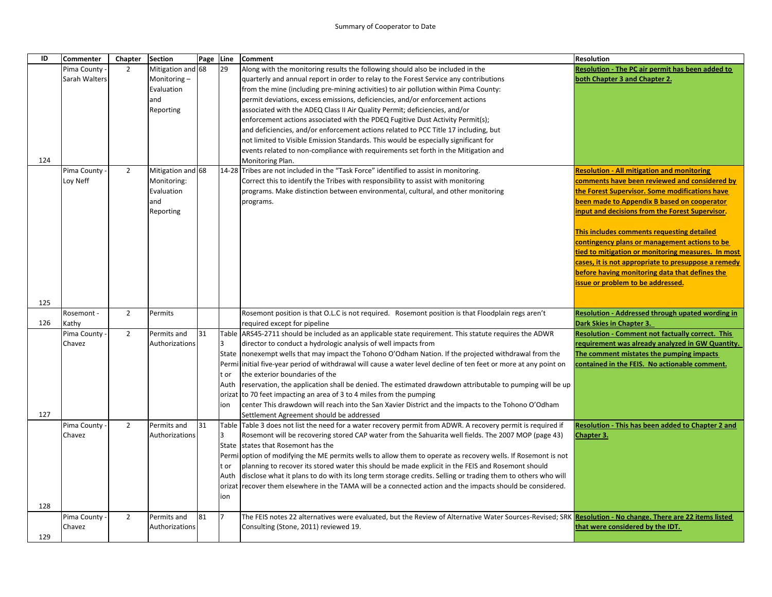| ID  | <b>Commenter</b> | Chapter        | <b>Section</b>    | Page Line |              | <b>Comment</b>                                                                                                                                            | <b>Resolution</b>                                   |
|-----|------------------|----------------|-------------------|-----------|--------------|-----------------------------------------------------------------------------------------------------------------------------------------------------------|-----------------------------------------------------|
|     | Pima County -    | $\overline{2}$ | Mitigation and 68 |           | 29           | Along with the monitoring results the following should also be included in the                                                                            | Resolution - The PC air permit has been added to    |
|     | Sarah Walters    |                | Monitoring-       |           |              | quarterly and annual report in order to relay to the Forest Service any contributions                                                                     | both Chapter 3 and Chapter 2.                       |
|     |                  |                | Evaluation        |           |              | from the mine (including pre-mining activities) to air pollution within Pima County:                                                                      |                                                     |
|     |                  |                | and               |           |              | permit deviations, excess emissions, deficiencies, and/or enforcement actions                                                                             |                                                     |
|     |                  |                | Reporting         |           |              | associated with the ADEQ Class II Air Quality Permit; deficiencies, and/or                                                                                |                                                     |
|     |                  |                |                   |           |              | enforcement actions associated with the PDEQ Fugitive Dust Activity Permit(s);                                                                            |                                                     |
|     |                  |                |                   |           |              | and deficiencies, and/or enforcement actions related to PCC Title 17 including, but                                                                       |                                                     |
|     |                  |                |                   |           |              | not limited to Visible Emission Standards. This would be especially significant for                                                                       |                                                     |
|     |                  |                |                   |           |              | events related to non-compliance with requirements set forth in the Mitigation and                                                                        |                                                     |
| 124 |                  |                |                   |           |              | Monitoring Plan.                                                                                                                                          |                                                     |
|     | Pima County      | $\overline{2}$ | Mitigation and 68 |           |              | 14-28 Tribes are not included in the "Task Force" identified to assist in monitoring.                                                                     | <b>Resolution - All mitigation and monitoring</b>   |
|     | Loy Neff         |                | Monitoring:       |           |              | Correct this to identify the Tribes with responsibility to assist with monitoring                                                                         | comments have been reviewed and considered by       |
|     |                  |                | Evaluation        |           |              | programs. Make distinction between environmental, cultural, and other monitoring                                                                          | the Forest Supervisor. Some modifications have      |
|     |                  |                | and               |           |              | programs.                                                                                                                                                 | been made to Appendix B based on cooperator         |
|     |                  |                | Reporting         |           |              |                                                                                                                                                           | input and decisions from the Forest Supervisor.     |
|     |                  |                |                   |           |              |                                                                                                                                                           | This includes comments requesting detailed          |
|     |                  |                |                   |           |              |                                                                                                                                                           | contingency plans or management actions to be       |
|     |                  |                |                   |           |              |                                                                                                                                                           | tied to mitigation or monitoring measures. In most  |
|     |                  |                |                   |           |              |                                                                                                                                                           | cases, it is not appropriate to presuppose a remedy |
|     |                  |                |                   |           |              |                                                                                                                                                           | before having monitoring data that defines the      |
|     |                  |                |                   |           |              |                                                                                                                                                           | issue or problem to be addressed.                   |
|     |                  |                |                   |           |              |                                                                                                                                                           |                                                     |
| 125 |                  |                |                   |           |              |                                                                                                                                                           |                                                     |
|     | Rosemont -       | $\overline{2}$ | Permits           |           |              | Rosemont position is that O.L.C is not required. Rosemont position is that Floodplain regs aren't                                                         | Resolution - Addressed through upated wording in    |
| 126 | Kathy            |                |                   |           |              | required except for pipeline                                                                                                                              | Dark Skies in Chapter 3.                            |
|     | Pima County      | $\overline{2}$ | Permits and       | 31        | Table        | ARS45-2711 should be included as an applicable state requirement. This statute requires the ADWR                                                          | Resolution - Comment not factually correct. This    |
|     | Chavez           |                | Authorizations    |           | $\mathbf{a}$ | director to conduct a hydrologic analysis of well impacts from                                                                                            | requirement was already analyzed in GW Quantity.    |
|     |                  |                |                   |           | State        | nonexempt wells that may impact the Tohono O'Odham Nation. If the projected withdrawal from the                                                           | The comment mistates the pumping impacts            |
|     |                  |                |                   |           | Permi        | initial five-year period of withdrawal will cause a water level decline of ten feet or more at any point on                                               | contained in the FEIS. No actionable comment.       |
|     |                  |                |                   |           | t or         | the exterior boundaries of the                                                                                                                            |                                                     |
|     |                  |                |                   |           | Auth         | reservation, the application shall be denied. The estimated drawdown attributable to pumping will be up                                                   |                                                     |
|     |                  |                |                   |           | orizat       | to 70 feet impacting an area of 3 to 4 miles from the pumping                                                                                             |                                                     |
|     |                  |                |                   |           | ion          | center This drawdown will reach into the San Xavier District and the impacts to the Tohono O'Odham                                                        |                                                     |
| 127 |                  |                |                   |           |              | Settlement Agreement should be addressed                                                                                                                  |                                                     |
|     | Pima County      | $\overline{2}$ | Permits and       | 31        | Table        | Table 3 does not list the need for a water recovery permit from ADWR. A recovery permit is required if                                                    | Resolution - This has been added to Chapter 2 and   |
|     | Chavez           |                | Authorizations    |           | $\mathbf{a}$ | Rosemont will be recovering stored CAP water from the Sahuarita well fields. The 2007 MOP (page 43)                                                       | Chapter 3.                                          |
|     |                  |                |                   |           | State        | states that Rosemont has the                                                                                                                              |                                                     |
|     |                  |                |                   |           | Permi        | option of modifying the ME permits wells to allow them to operate as recovery wells. If Rosemont is not                                                   |                                                     |
|     |                  |                |                   |           | t or         | planning to recover its stored water this should be made explicit in the FEIS and Rosemont should                                                         |                                                     |
|     |                  |                |                   |           | Auth         | disclose what it plans to do with its long term storage credits. Selling or trading them to others who will                                               |                                                     |
|     |                  |                |                   |           | orizat       | recover them elsewhere in the TAMA will be a connected action and the impacts should be considered.                                                       |                                                     |
|     |                  |                |                   |           | ion          |                                                                                                                                                           |                                                     |
| 128 |                  |                |                   |           |              |                                                                                                                                                           |                                                     |
|     | Pima County -    | $\overline{2}$ | Permits and       | 81        |              | The FEIS notes 22 alternatives were evaluated, but the Review of Alternative Water Sources-Revised; SRK Resolution - No change. There are 22 items listed |                                                     |
|     | Chavez           |                | Authorizations    |           |              | Consulting (Stone, 2011) reviewed 19.                                                                                                                     | that were considered by the IDT.                    |
| 129 |                  |                |                   |           |              |                                                                                                                                                           |                                                     |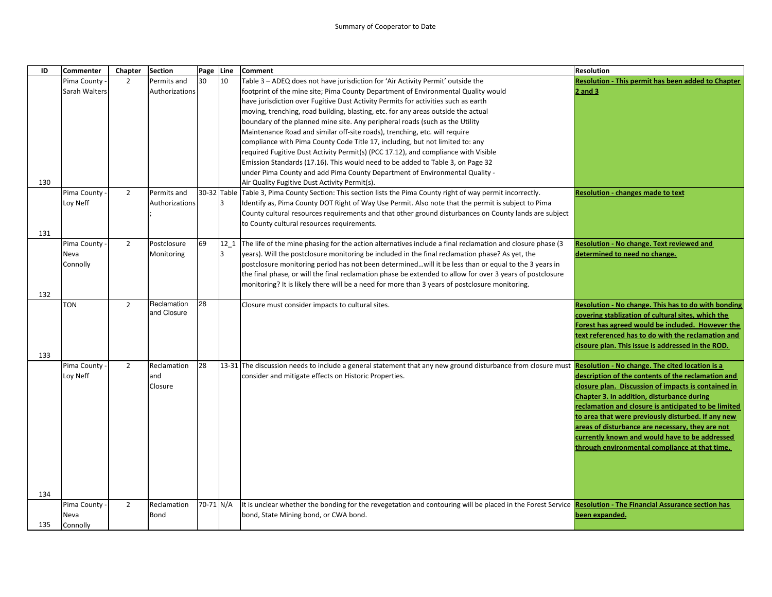| ID  | <b>Commenter</b> | Chapter        | <b>Section</b> | Page Line |      | <b>Comment</b>                                                                                                                                                     | <b>Resolution</b>                                         |
|-----|------------------|----------------|----------------|-----------|------|--------------------------------------------------------------------------------------------------------------------------------------------------------------------|-----------------------------------------------------------|
|     | Pima County -    | $\overline{2}$ | Permits and    | 30        | 10   | Table 3 - ADEQ does not have jurisdiction for 'Air Activity Permit' outside the                                                                                    | <b>Resolution - This permit has been added to Chapter</b> |
|     | Sarah Walters    |                | Authorizations |           |      | footprint of the mine site; Pima County Department of Environmental Quality would                                                                                  | $2$ and $3$                                               |
|     |                  |                |                |           |      | have jurisdiction over Fugitive Dust Activity Permits for activities such as earth                                                                                 |                                                           |
|     |                  |                |                |           |      | moving, trenching, road building, blasting, etc. for any areas outside the actual                                                                                  |                                                           |
|     |                  |                |                |           |      | boundary of the planned mine site. Any peripheral roads (such as the Utility                                                                                       |                                                           |
|     |                  |                |                |           |      | Maintenance Road and similar off-site roads), trenching, etc. will require                                                                                         |                                                           |
|     |                  |                |                |           |      | compliance with Pima County Code Title 17, including, but not limited to: any                                                                                      |                                                           |
|     |                  |                |                |           |      | required Fugitive Dust Activity Permit(s) (PCC 17.12), and compliance with Visible                                                                                 |                                                           |
|     |                  |                |                |           |      | Emission Standards (17.16). This would need to be added to Table 3, on Page 32                                                                                     |                                                           |
|     |                  |                |                |           |      | under Pima County and add Pima County Department of Environmental Quality -                                                                                        |                                                           |
| 130 |                  |                |                |           |      | Air Quality Fugitive Dust Activity Permit(s).                                                                                                                      |                                                           |
|     | Pima County      | $\overline{2}$ | Permits and    |           |      | 30-32 Table Table 3, Pima County Section: This section lists the Pima County right of way permit incorrectly.                                                      | <b>Resolution - changes made to text</b>                  |
|     | Loy Neff         |                | Authorizations |           | 3    | Identify as, Pima County DOT Right of Way Use Permit. Also note that the permit is subject to Pima                                                                 |                                                           |
|     |                  |                |                |           |      | County cultural resources requirements and that other ground disturbances on County lands are subject                                                              |                                                           |
|     |                  |                |                |           |      | to County cultural resources requirements.                                                                                                                         |                                                           |
| 131 |                  |                |                |           |      |                                                                                                                                                                    |                                                           |
|     | Pima County      | $\overline{2}$ | Postclosure    | 69        | 12 1 | The life of the mine phasing for the action alternatives include a final reclamation and closure phase (3)                                                         | <b>Resolution - No change. Text reviewed and</b>          |
|     | Neva             |                | Monitoring     |           | l3   | years). Will the postclosure monitoring be included in the final reclamation phase? As yet, the                                                                    | determined to need no change.                             |
|     | Connolly         |                |                |           |      | postclosure monitoring period has not been determinedwill it be less than or equal to the 3 years in                                                               |                                                           |
|     |                  |                |                |           |      | the final phase, or will the final reclamation phase be extended to allow for over 3 years of postclosure                                                          |                                                           |
|     |                  |                |                |           |      | monitoring? It is likely there will be a need for more than 3 years of postclosure monitoring.                                                                     |                                                           |
| 132 |                  |                |                |           |      |                                                                                                                                                                    |                                                           |
|     | <b>TON</b>       | $\overline{2}$ | Reclamation    | 28        |      | Closure must consider impacts to cultural sites.                                                                                                                   | Resolution - No change. This has to do with bonding       |
|     |                  |                | and Closure    |           |      |                                                                                                                                                                    | covering stablization of cultural sites, which the        |
|     |                  |                |                |           |      |                                                                                                                                                                    | Forest has agreed would be included. However the          |
|     |                  |                |                |           |      |                                                                                                                                                                    | text referenced has to do with the reclamation and        |
|     |                  |                |                |           |      |                                                                                                                                                                    | clsoure plan. This issue is addressed in the ROD.         |
| 133 |                  |                |                |           |      |                                                                                                                                                                    |                                                           |
|     | Pima County      | $\overline{2}$ | Reclamation    | 28        |      | 13-31 The discussion needs to include a general statement that any new ground disturbance from closure must <b>Resolution - No change. The cited location is a</b> |                                                           |
|     | Loy Neff         |                | and            |           |      | consider and mitigate effects on Historic Properties.                                                                                                              | description of the contents of the reclamation and        |
|     |                  |                | Closure        |           |      |                                                                                                                                                                    | closure plan. Discussion of impacts is contained in       |
|     |                  |                |                |           |      |                                                                                                                                                                    | Chapter 3. In addition, disturbance during                |
|     |                  |                |                |           |      |                                                                                                                                                                    | reclamation and closure is anticipated to be limited      |
|     |                  |                |                |           |      |                                                                                                                                                                    | to area that were previously disturbed. If any new        |
|     |                  |                |                |           |      |                                                                                                                                                                    | areas of disturbance are necessary, they are not          |
|     |                  |                |                |           |      |                                                                                                                                                                    | currently known and would have to be addressed            |
|     |                  |                |                |           |      |                                                                                                                                                                    | through environmental compliance at that time.            |
|     |                  |                |                |           |      |                                                                                                                                                                    |                                                           |
|     |                  |                |                |           |      |                                                                                                                                                                    |                                                           |
|     |                  |                |                |           |      |                                                                                                                                                                    |                                                           |
|     |                  |                |                |           |      |                                                                                                                                                                    |                                                           |
| 134 |                  |                |                |           |      |                                                                                                                                                                    |                                                           |
|     | Pima County      | $\overline{2}$ | Reclamation    | 70-71 N/A |      | It is unclear whether the bonding for the revegetation and contouring will be placed in the Forest Service Resolution - The Financial Assurance section has        |                                                           |
|     | Neva             |                | <b>Bond</b>    |           |      | bond, State Mining bond, or CWA bond.                                                                                                                              | been expanded.                                            |
| 135 | Connolly         |                |                |           |      |                                                                                                                                                                    |                                                           |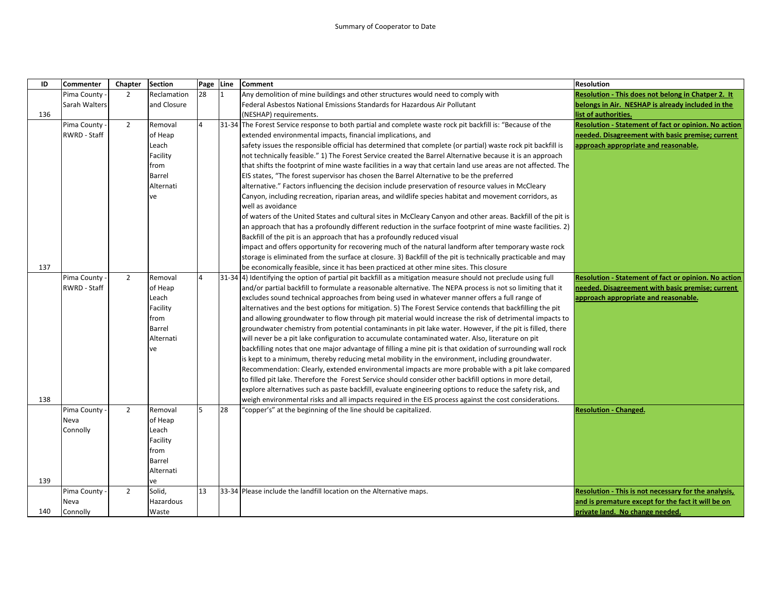| ID  | <b>Commenter</b> | Chapter        | <b>Section</b> | Page Line      |    | <b>Comment</b>                                                                                                  | <b>Resolution</b>                                    |
|-----|------------------|----------------|----------------|----------------|----|-----------------------------------------------------------------------------------------------------------------|------------------------------------------------------|
|     | Pima County -    | $\overline{2}$ | Reclamation    | 28             | 1  | Any demolition of mine buildings and other structures would need to comply with                                 | Resolution - This does not belong in Chatper 2. It   |
|     | Sarah Walters    |                | and Closure    |                |    | Federal Asbestos National Emissions Standards for Hazardous Air Pollutant                                       | belongs in Air. NESHAP is already included in the    |
| 136 |                  |                |                |                |    | (NESHAP) requirements.                                                                                          | list of authorities.                                 |
|     | Pima County -    | $\overline{2}$ | Removal        | $\Delta$       |    | 31-34 The Forest Service response to both partial and complete waste rock pit backfill is: "Because of the      | Resolution - Statement of fact or opinion. No action |
|     | RWRD - Staff     |                | of Heap        |                |    | extended environmental impacts, financial implications, and                                                     | needed. Disagreement with basic premise; current     |
|     |                  |                | Leach          |                |    | safety issues the responsible official has determined that complete (or partial) waste rock pit backfill is     | approach appropriate and reasonable.                 |
|     |                  |                | Facility       |                |    | not technically feasible." 1) The Forest Service created the Barrel Alternative because it is an approach       |                                                      |
|     |                  |                | from           |                |    | that shifts the footprint of mine waste facilities in a way that certain land use areas are not affected. The   |                                                      |
|     |                  |                | Barrel         |                |    | EIS states, "The forest supervisor has chosen the Barrel Alternative to be the preferred                        |                                                      |
|     |                  |                | Alternati      |                |    | alternative." Factors influencing the decision include preservation of resource values in McCleary              |                                                      |
|     |                  |                | ve             |                |    | Canyon, including recreation, riparian areas, and wildlife species habitat and movement corridors, as           |                                                      |
|     |                  |                |                |                |    | well as avoidance                                                                                               |                                                      |
|     |                  |                |                |                |    | of waters of the United States and cultural sites in McCleary Canyon and other areas. Backfill of the pit is    |                                                      |
|     |                  |                |                |                |    | an approach that has a profoundly different reduction in the surface footprint of mine waste facilities. 2)     |                                                      |
|     |                  |                |                |                |    | Backfill of the pit is an approach that has a profoundly reduced visual                                         |                                                      |
|     |                  |                |                |                |    | impact and offers opportunity for recovering much of the natural landform after temporary waste rock            |                                                      |
|     |                  |                |                |                |    | storage is eliminated from the surface at closure. 3) Backfill of the pit is technically practicable and may    |                                                      |
| 137 |                  |                |                |                |    | be economically feasible, since it has been practiced at other mine sites. This closure                         |                                                      |
|     | Pima County      | $\overline{2}$ | Removal        | $\overline{4}$ |    | [31-34 4] Identifying the option of partial pit backfill as a mitigation measure should not preclude using full | Resolution - Statement of fact or opinion. No action |
|     | RWRD - Staff     |                | of Heap        |                |    | and/or partial backfill to formulate a reasonable alternative. The NEPA process is not so limiting that it      | needed. Disagreement with basic premise; current     |
|     |                  |                | Leach          |                |    | excludes sound technical approaches from being used in whatever manner offers a full range of                   | approach appropriate and reasonable.                 |
|     |                  |                | Facility       |                |    | alternatives and the best options for mitigation. 5) The Forest Service contends that backfilling the pit       |                                                      |
|     |                  |                | from           |                |    | and allowing groundwater to flow through pit material would increase the risk of detrimental impacts to         |                                                      |
|     |                  |                | Barrel         |                |    | groundwater chemistry from potential contaminants in pit lake water. However, if the pit is filled, there       |                                                      |
|     |                  |                | Alternati      |                |    | will never be a pit lake configuration to accumulate contaminated water. Also, literature on pit                |                                                      |
|     |                  |                | ve             |                |    | backfilling notes that one major advantage of filling a mine pit is that oxidation of surrounding wall rock     |                                                      |
|     |                  |                |                |                |    | is kept to a minimum, thereby reducing metal mobility in the environment, including groundwater.                |                                                      |
|     |                  |                |                |                |    | Recommendation: Clearly, extended environmental impacts are more probable with a pit lake compared              |                                                      |
|     |                  |                |                |                |    | to filled pit lake. Therefore the Forest Service should consider other backfill options in more detail,         |                                                      |
|     |                  |                |                |                |    | explore alternatives such as paste backfill, evaluate engineering options to reduce the safety risk, and        |                                                      |
| 138 |                  |                |                |                |    | weigh environmental risks and all impacts required in the EIS process against the cost considerations.          |                                                      |
|     | Pima County      | $\overline{2}$ | Removal        | 5              | 28 | "copper's" at the beginning of the line should be capitalized.                                                  | <b>Resolution - Changed.</b>                         |
|     | Neva             |                | of Heap        |                |    |                                                                                                                 |                                                      |
|     | Connolly         |                | Leach          |                |    |                                                                                                                 |                                                      |
|     |                  |                | Facility       |                |    |                                                                                                                 |                                                      |
|     |                  |                | from           |                |    |                                                                                                                 |                                                      |
|     |                  |                | Barrel         |                |    |                                                                                                                 |                                                      |
|     |                  |                | Alternati      |                |    |                                                                                                                 |                                                      |
| 139 |                  |                | ve             |                |    |                                                                                                                 |                                                      |
|     | Pima County      | $\overline{2}$ | Solid,         | 13             |    | 33-34 Please include the landfill location on the Alternative maps.                                             | Resolution - This is not necessary for the analysis, |
|     | Neva             |                | Hazardous      |                |    |                                                                                                                 | and is premature except for the fact it will be on   |
| 140 | Connolly         |                | Waste          |                |    |                                                                                                                 | private land. No change needed.                      |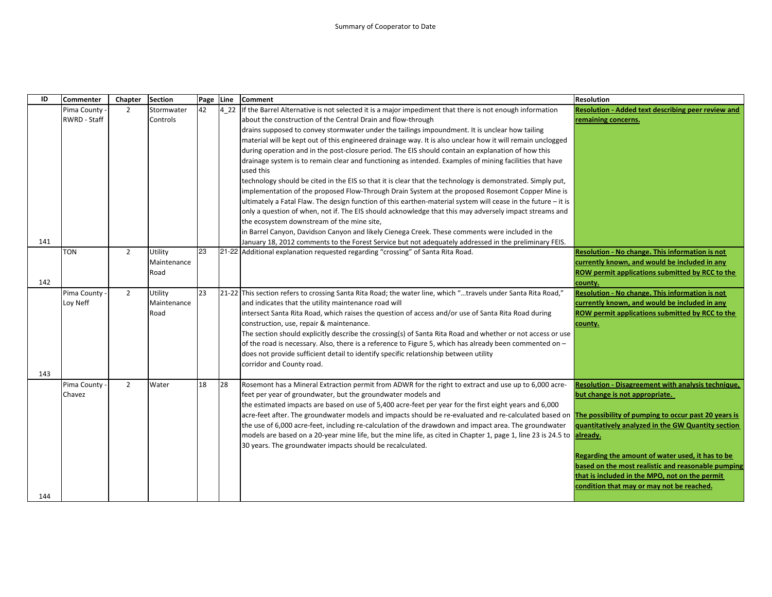| ID  | <b>Commenter</b> | Chapter        | <b>Section</b> | Page | Line  | <b>Comment</b>                                                                                                                                             | <b>Resolution</b>                                  |
|-----|------------------|----------------|----------------|------|-------|------------------------------------------------------------------------------------------------------------------------------------------------------------|----------------------------------------------------|
|     | Pima County      | 2              | Stormwater     | 42   | 4 2 2 | If the Barrel Alternative is not selected it is a major impediment that there is not enough information                                                    | Resolution - Added text describing peer review and |
|     | RWRD - Staff     |                | Controls       |      |       | about the construction of the Central Drain and flow-through                                                                                               | remaining concerns.                                |
|     |                  |                |                |      |       | drains supposed to convey stormwater under the tailings impoundment. It is unclear how tailing                                                             |                                                    |
|     |                  |                |                |      |       | material will be kept out of this engineered drainage way. It is also unclear how it will remain unclogged                                                 |                                                    |
|     |                  |                |                |      |       | during operation and in the post-closure period. The EIS should contain an explanation of how this                                                         |                                                    |
|     |                  |                |                |      |       | drainage system is to remain clear and functioning as intended. Examples of mining facilities that have                                                    |                                                    |
|     |                  |                |                |      |       | used this                                                                                                                                                  |                                                    |
|     |                  |                |                |      |       | technology should be cited in the EIS so that it is clear that the technology is demonstrated. Simply put,                                                 |                                                    |
|     |                  |                |                |      |       | implementation of the proposed Flow-Through Drain System at the proposed Rosemont Copper Mine is                                                           |                                                    |
|     |                  |                |                |      |       | ultimately a Fatal Flaw. The design function of this earthen-material system will cease in the future - it is                                              |                                                    |
|     |                  |                |                |      |       | only a question of when, not if. The EIS should acknowledge that this may adversely impact streams and                                                     |                                                    |
|     |                  |                |                |      |       | the ecosystem downstream of the mine site,                                                                                                                 |                                                    |
|     |                  |                |                |      |       | in Barrel Canyon, Davidson Canyon and likely Cienega Creek. These comments were included in the                                                            |                                                    |
| 141 |                  |                |                |      |       | January 18, 2012 comments to the Forest Service but not adequately addressed in the preliminary FEIS.                                                      |                                                    |
|     | <b>TON</b>       | $\overline{2}$ | Utility        | 23   |       | 21-22 Additional explanation requested regarding "crossing" of Santa Rita Road.                                                                            | Resolution - No change. This information is not    |
|     |                  |                | Maintenance    |      |       |                                                                                                                                                            | currently known, and would be included in any      |
|     |                  |                | Road           |      |       |                                                                                                                                                            | ROW permit applications submitted by RCC to the    |
| 142 |                  |                |                |      |       |                                                                                                                                                            | county.                                            |
|     | Pima County      | $\overline{2}$ | Utility        | 23   |       | 21-22 This section refers to crossing Santa Rita Road; the water line, which "travels under Santa Rita Road,"                                              | Resolution - No change. This information is not    |
|     | Loy Neff         |                | Maintenance    |      |       | and indicates that the utility maintenance road will                                                                                                       | currently known, and would be included in any      |
|     |                  |                | Road           |      |       | intersect Santa Rita Road, which raises the question of access and/or use of Santa Rita Road during                                                        | ROW permit applications submitted by RCC to the    |
|     |                  |                |                |      |       | construction, use, repair & maintenance.                                                                                                                   | county.                                            |
|     |                  |                |                |      |       | The section should explicitly describe the crossing(s) of Santa Rita Road and whether or not access or use                                                 |                                                    |
|     |                  |                |                |      |       | of the road is necessary. Also, there is a reference to Figure 5, which has already been commented on -                                                    |                                                    |
|     |                  |                |                |      |       | does not provide sufficient detail to identify specific relationship between utility                                                                       |                                                    |
|     |                  |                |                |      |       | corridor and County road.                                                                                                                                  |                                                    |
| 143 |                  |                |                |      |       |                                                                                                                                                            |                                                    |
|     | Pima County      | $\overline{2}$ | Water          | 18   | 28    | Rosemont has a Mineral Extraction permit from ADWR for the right to extract and use up to 6,000 acre-                                                      | Resolution - Disagreement with analysis technique, |
|     | Chavez           |                |                |      |       | feet per year of groundwater, but the groundwater models and                                                                                               | but change is not appropriate.                     |
|     |                  |                |                |      |       | the estimated impacts are based on use of 5,400 acre-feet per year for the first eight years and 6,000                                                     |                                                    |
|     |                  |                |                |      |       | acre-feet after. The groundwater models and impacts should be re-evaluated and re-calculated based on The possibility of pumping to occur past 20 years is |                                                    |
|     |                  |                |                |      |       | the use of 6,000 acre-feet, including re-calculation of the drawdown and impact area. The groundwater                                                      | quantitatively analyzed in the GW Quantity section |
|     |                  |                |                |      |       | models are based on a 20-year mine life, but the mine life, as cited in Chapter 1, page 1, line 23 is 24.5 to already.                                     |                                                    |
|     |                  |                |                |      |       | 30 years. The groundwater impacts should be recalculated.                                                                                                  | Regarding the amount of water used, it has to be   |
|     |                  |                |                |      |       |                                                                                                                                                            | based on the most realistic and reasonable pumping |
|     |                  |                |                |      |       |                                                                                                                                                            | that is included in the MPO, not on the permit     |
|     |                  |                |                |      |       |                                                                                                                                                            | condition that may or may not be reached.          |
| 144 |                  |                |                |      |       |                                                                                                                                                            |                                                    |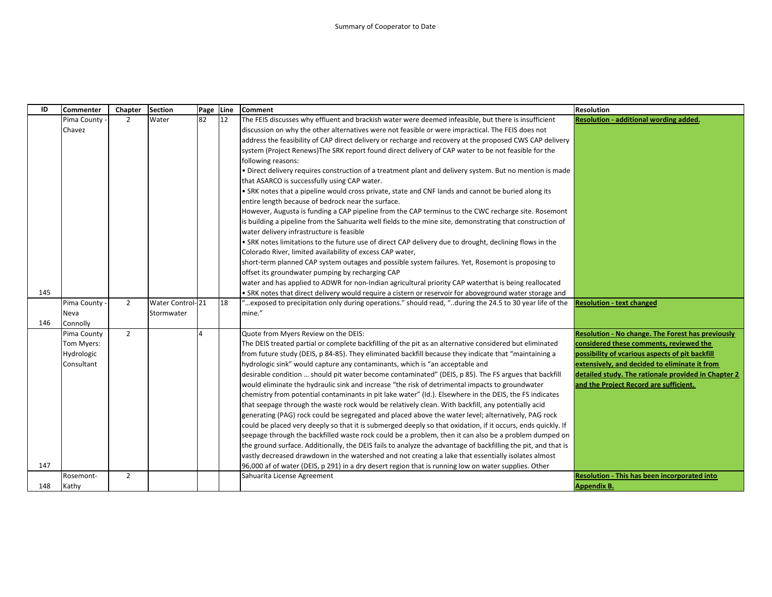| ID  | <b>Commenter</b> | Chapter        | <b>Section</b>   | Page | Line | <b>Comment</b>                                                                                                | <b>Resolution</b>                                        |
|-----|------------------|----------------|------------------|------|------|---------------------------------------------------------------------------------------------------------------|----------------------------------------------------------|
|     | Pima County      | $\overline{2}$ | Water            | 82   | 12   | The FEIS discusses why effluent and brackish water were deemed infeasible, but there is insufficient          | Resolution - additional wording added.                   |
|     | Chavez           |                |                  |      |      | discussion on why the other alternatives were not feasible or were impractical. The FEIS does not             |                                                          |
|     |                  |                |                  |      |      | address the feasibility of CAP direct delivery or recharge and recovery at the proposed CWS CAP delivery      |                                                          |
|     |                  |                |                  |      |      | system (Project Renews) The SRK report found direct delivery of CAP water to be not feasible for the          |                                                          |
|     |                  |                |                  |      |      | following reasons:                                                                                            |                                                          |
|     |                  |                |                  |      |      | . Direct delivery requires construction of a treatment plant and delivery system. But no mention is made      |                                                          |
|     |                  |                |                  |      |      | that ASARCO is successfully using CAP water.                                                                  |                                                          |
|     |                  |                |                  |      |      | . SRK notes that a pipeline would cross private, state and CNF lands and cannot be buried along its           |                                                          |
|     |                  |                |                  |      |      | entire length because of bedrock near the surface.                                                            |                                                          |
|     |                  |                |                  |      |      | However, Augusta is funding a CAP pipeline from the CAP terminus to the CWC recharge site. Rosemont           |                                                          |
|     |                  |                |                  |      |      | is building a pipeline from the Sahuarita well fields to the mine site, demonstrating that construction of    |                                                          |
|     |                  |                |                  |      |      | water delivery infrastructure is feasible                                                                     |                                                          |
|     |                  |                |                  |      |      | . SRK notes limitations to the future use of direct CAP delivery due to drought, declining flows in the       |                                                          |
|     |                  |                |                  |      |      | Colorado River, limited availability of excess CAP water,                                                     |                                                          |
|     |                  |                |                  |      |      | short-term planned CAP system outages and possible system failures. Yet, Rosemont is proposing to             |                                                          |
|     |                  |                |                  |      |      | offset its groundwater pumping by recharging CAP                                                              |                                                          |
|     |                  |                |                  |      |      | water and has applied to ADWR for non-Indian agricultural priority CAP waterthat is being reallocated         |                                                          |
| 145 |                  |                |                  |      |      | SRK notes that direct delivery would require a cistern or reservoir for aboveground water storage and         |                                                          |
|     | Pima County      | $\overline{2}$ | Water Control-21 |      | 18   | exposed to precipitation only during operations." should read, "during the 24.5 to 30 year life of the "      | <b>Resolution - text changed</b>                         |
|     | Neva             |                | Stormwater       |      |      | mine."                                                                                                        |                                                          |
| 146 | Connolly         |                |                  |      |      |                                                                                                               |                                                          |
|     | Pima County      | $\overline{2}$ |                  |      |      | Quote from Myers Review on the DEIS:                                                                          | <b>Resolution - No change. The Forest has previously</b> |
|     | Tom Myers:       |                |                  |      |      | The DEIS treated partial or complete backfilling of the pit as an alternative considered but eliminated       | considered these comments, reviewed the                  |
|     | Hydrologic       |                |                  |      |      | from future study (DEIS, p 84-85). They eliminated backfill because they indicate that "maintaining a         | possibility of vcarious aspects of pit backfill          |
|     | Consultant       |                |                  |      |      | hydrologic sink" would capture any contaminants, which is "an acceptable and                                  | extensively, and decided to eliminate it from            |
|     |                  |                |                  |      |      | desirable condition  should pit water become contaminated" (DEIS, p 85). The FS argues that backfill          | detailed study. The rationale provided in Chapter 2      |
|     |                  |                |                  |      |      | would eliminate the hydraulic sink and increase "the risk of detrimental impacts to groundwater               | and the Project Record are sufficient.                   |
|     |                  |                |                  |      |      | chemistry from potential contaminants in pit lake water" (Id.). Elsewhere in the DEIS, the FS indicates       |                                                          |
|     |                  |                |                  |      |      | that seepage through the waste rock would be relatively clean. With backfill, any potentially acid            |                                                          |
|     |                  |                |                  |      |      | generating (PAG) rock could be segregated and placed above the water level; alternatively, PAG rock           |                                                          |
|     |                  |                |                  |      |      | could be placed very deeply so that it is submerged deeply so that oxidation, if it occurs, ends quickly. If  |                                                          |
|     |                  |                |                  |      |      | seepage through the backfilled waste rock could be a problem, then it can also be a problem dumped on         |                                                          |
|     |                  |                |                  |      |      | the ground surface. Additionally, the DEIS fails to analyze the advantage of backfilling the pit, and that is |                                                          |
|     |                  |                |                  |      |      | vastly decreased drawdown in the watershed and not creating a lake that essentially isolates almost           |                                                          |
| 147 |                  |                |                  |      |      | 96,000 af of water (DEIS, p 291) in a dry desert region that is running low on water supplies. Other          |                                                          |
|     | Rosemont-        | $\overline{2}$ |                  |      |      | Sahuarita License Agreement                                                                                   | Resolution - This has been incorporated into             |
| 148 | Kathy            |                |                  |      |      |                                                                                                               | <b>Appendix B.</b>                                       |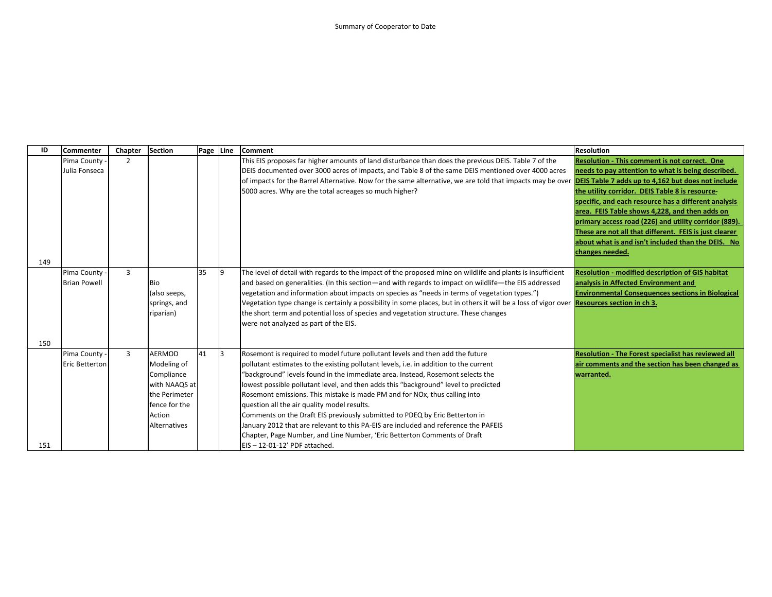| ID  | Commenter           | Chapter        | Section       |     |              | Page Line Comment                                                                                                                                                   | <b>Resolution</b>                                          |
|-----|---------------------|----------------|---------------|-----|--------------|---------------------------------------------------------------------------------------------------------------------------------------------------------------------|------------------------------------------------------------|
|     | Pima County -       | $\mathcal{P}$  |               |     |              | This EIS proposes far higher amounts of land disturbance than does the previous DEIS. Table 7 of the                                                                | <b>Resolution - This comment is not correct. One</b>       |
|     | Julia Fonseca       |                |               |     |              | DEIS documented over 3000 acres of impacts, and Table 8 of the same DEIS mentioned over 4000 acres                                                                  | needs to pay attention to what is being described.         |
|     |                     |                |               |     |              | of impacts for the Barrel Alternative. Now for the same alternative, we are told that impacts may be over <b>DEIS Table 7 adds up to 4,162 but does not include</b> |                                                            |
|     |                     |                |               |     |              | 5000 acres. Why are the total acreages so much higher?                                                                                                              | the utility corridor. DEIS Table 8 is resource-            |
|     |                     |                |               |     |              |                                                                                                                                                                     | specific, and each resource has a different analysis       |
|     |                     |                |               |     |              |                                                                                                                                                                     | area. FEIS Table shows 4,228, and then adds on             |
|     |                     |                |               |     |              |                                                                                                                                                                     | primary access road (226) and utility corridor (889).      |
|     |                     |                |               |     |              |                                                                                                                                                                     | These are not all that different. FEIS is just clearer     |
|     |                     |                |               |     |              |                                                                                                                                                                     | about what is and isn't included than the DEIS. No         |
|     |                     |                |               |     |              |                                                                                                                                                                     | changes needed.                                            |
| 149 |                     |                |               |     |              |                                                                                                                                                                     |                                                            |
|     | Pima County         | $\overline{3}$ |               | 135 | $\vert$ 9    | The level of detail with regards to the impact of the proposed mine on wildlife and plants is insufficient                                                          | <b>Resolution - modified description of GIS habitat</b>    |
|     | <b>Brian Powell</b> |                | <b>Bio</b>    |     |              | and based on generalities. (In this section—and with regards to impact on wildlife—the EIS addressed                                                                | analysis in Affected Environment and                       |
|     |                     |                | (also seeps,  |     |              | vegetation and information about impacts on species as "needs in terms of vegetation types.")                                                                       | <b>Environmental Consequences sections in Biological</b>   |
|     |                     |                | springs, and  |     |              | Vegetation type change is certainly a possibility in some places, but in others it will be a loss of vigor over <b>Resources section in ch 3.</b>                   |                                                            |
|     |                     |                | riparian)     |     |              | the short term and potential loss of species and vegetation structure. These changes                                                                                |                                                            |
|     |                     |                |               |     |              | were not analyzed as part of the EIS.                                                                                                                               |                                                            |
|     |                     |                |               |     |              |                                                                                                                                                                     |                                                            |
| 150 |                     |                |               |     |              |                                                                                                                                                                     |                                                            |
|     | Pima County -       | 3              | <b>AERMOD</b> | 41  | <sub>3</sub> | Rosemont is required to model future pollutant levels and then add the future                                                                                       | <b>Resolution - The Forest specialist has reviewed all</b> |
|     | Eric Betterton      |                | Modeling of   |     |              | pollutant estimates to the existing pollutant levels, i.e. in addition to the current                                                                               | air comments and the section has been changed as           |
|     |                     |                | Compliance    |     |              | "background" levels found in the immediate area. Instead, Rosemont selects the                                                                                      | warranted.                                                 |
|     |                     |                | with NAAQS at |     |              | lowest possible pollutant level, and then adds this "background" level to predicted                                                                                 |                                                            |
|     |                     |                | the Perimeter |     |              | Rosemont emissions. This mistake is made PM and for NO <sub>x</sub> , thus calling into                                                                             |                                                            |
|     |                     |                | fence for the |     |              | question all the air quality model results.                                                                                                                         |                                                            |
|     |                     |                | Action        |     |              | Comments on the Draft EIS previously submitted to PDEQ by Eric Betterton in                                                                                         |                                                            |
|     |                     |                | Alternatives  |     |              | January 2012 that are relevant to this PA-EIS are included and reference the PAFEIS                                                                                 |                                                            |
|     |                     |                |               |     |              | Chapter, Page Number, and Line Number, 'Eric Betterton Comments of Draft                                                                                            |                                                            |
| 151 |                     |                |               |     |              | EIS-12-01-12' PDF attached.                                                                                                                                         |                                                            |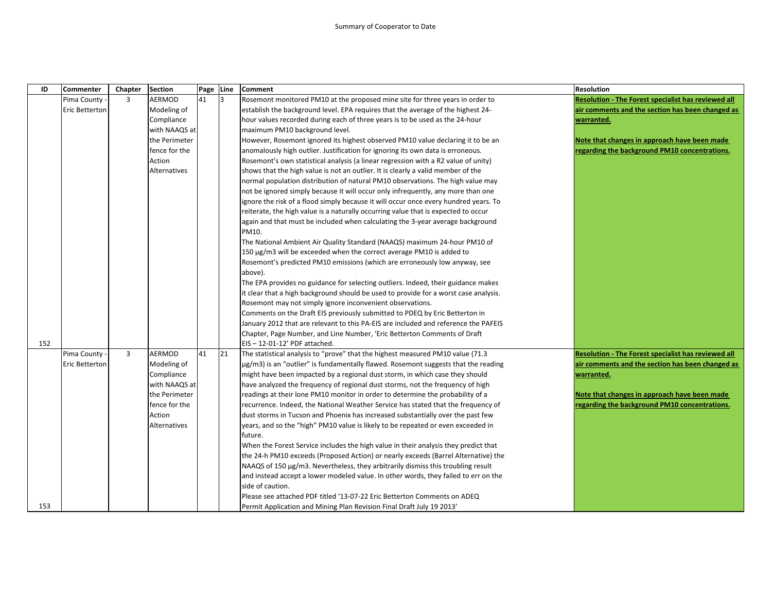| ID  | <b>Commenter</b>      | Chapter        | <b>Section</b>      | Page Line |    | <b>Comment</b>                                                                          | <b>Resolution</b>                                   |
|-----|-----------------------|----------------|---------------------|-----------|----|-----------------------------------------------------------------------------------------|-----------------------------------------------------|
|     | Pima County           | $\overline{3}$ | AERMOD              | 41        | 13 | Rosemont monitored PM10 at the proposed mine site for three years in order to           | Resolution - The Forest specialist has reviewed all |
|     | <b>Eric Betterton</b> |                | Modeling of         |           |    | establish the background level. EPA requires that the average of the highest 24-        | air comments and the section has been changed as    |
|     |                       |                | Compliance          |           |    | hour values recorded during each of three years is to be used as the 24-hour            | warranted.                                          |
|     |                       |                | with NAAQS at       |           |    | maximum PM10 background level.                                                          |                                                     |
|     |                       |                | the Perimeter       |           |    | However, Rosemont ignored its highest observed PM10 value declaring it to be an         | Note that changes in approach have been made        |
|     |                       |                | fence for the       |           |    | anomalously high outlier. Justification for ignoring its own data is erroneous.         | regarding the background PM10 concentrations.       |
|     |                       |                | Action              |           |    | Rosemont's own statistical analysis (a linear regression with a R2 value of unity)      |                                                     |
|     |                       |                | Alternatives        |           |    | shows that the high value is not an outlier. It is clearly a valid member of the        |                                                     |
|     |                       |                |                     |           |    | normal population distribution of natural PM10 observations. The high value may         |                                                     |
|     |                       |                |                     |           |    | not be ignored simply because it will occur only infrequently, any more than one        |                                                     |
|     |                       |                |                     |           |    | ignore the risk of a flood simply because it will occur once every hundred years. To    |                                                     |
|     |                       |                |                     |           |    | reiterate, the high value is a naturally occurring value that is expected to occur      |                                                     |
|     |                       |                |                     |           |    | again and that must be included when calculating the 3-year average background          |                                                     |
|     |                       |                |                     |           |    | PM10.                                                                                   |                                                     |
|     |                       |                |                     |           |    | The National Ambient Air Quality Standard (NAAQS) maximum 24-hour PM10 of               |                                                     |
|     |                       |                |                     |           |    | 150 µg/m3 will be exceeded when the correct average PM10 is added to                    |                                                     |
|     |                       |                |                     |           |    | Rosemont's predicted PM10 emissions (which are erroneously low anyway, see              |                                                     |
|     |                       |                |                     |           |    | above).                                                                                 |                                                     |
|     |                       |                |                     |           |    | The EPA provides no guidance for selecting outliers. Indeed, their guidance makes       |                                                     |
|     |                       |                |                     |           |    | it clear that a high background should be used to provide for a worst case analysis.    |                                                     |
|     |                       |                |                     |           |    | Rosemont may not simply ignore inconvenient observations.                               |                                                     |
|     |                       |                |                     |           |    | Comments on the Draft EIS previously submitted to PDEQ by Eric Betterton in             |                                                     |
|     |                       |                |                     |           |    | January 2012 that are relevant to this PA-EIS are included and reference the PAFEIS     |                                                     |
|     |                       |                |                     |           |    | Chapter, Page Number, and Line Number, 'Eric Betterton Comments of Draft                |                                                     |
| 152 |                       |                |                     |           |    | $EIS - 12-01-12'$ PDF attached.                                                         |                                                     |
|     | Pima County -         | $\overline{3}$ | AERMOD              | 41        | 21 | The statistical analysis to "prove" that the highest measured PM10 value (71.3          | Resolution - The Forest specialist has reviewed all |
|     | <b>Eric Betterton</b> |                | Modeling of         |           |    | $\mu$ g/m3) is an "outlier" is fundamentally flawed. Rosemont suggests that the reading | air comments and the section has been changed as    |
|     |                       |                | Compliance          |           |    | might have been impacted by a regional dust storm, in which case they should            | warranted.                                          |
|     |                       |                | with NAAQS at       |           |    | have analyzed the frequency of regional dust storms, not the frequency of high          |                                                     |
|     |                       |                | the Perimeter       |           |    | readings at their lone PM10 monitor in order to determine the probability of a          | Note that changes in approach have been made        |
|     |                       |                | fence for the       |           |    | recurrence. Indeed, the National Weather Service has stated that the frequency of       | regarding the background PM10 concentrations.       |
|     |                       |                | Action              |           |    | dust storms in Tucson and Phoenix has increased substantially over the past few         |                                                     |
|     |                       |                | <b>Alternatives</b> |           |    | years, and so the "high" PM10 value is likely to be repeated or even exceeded in        |                                                     |
|     |                       |                |                     |           |    | future.                                                                                 |                                                     |
|     |                       |                |                     |           |    | When the Forest Service includes the high value in their analysis they predict that     |                                                     |
|     |                       |                |                     |           |    | the 24-h PM10 exceeds (Proposed Action) or nearly exceeds (Barrel Alternative) the      |                                                     |
|     |                       |                |                     |           |    | NAAQS of 150 µg/m3. Nevertheless, they arbitrarily dismiss this troubling result        |                                                     |
|     |                       |                |                     |           |    | and instead accept a lower modeled value. In other words, they failed to err on the     |                                                     |
|     |                       |                |                     |           |    | side of caution.                                                                        |                                                     |
|     |                       |                |                     |           |    | Please see attached PDF titled '13-07-22 Eric Betterton Comments on ADEQ                |                                                     |
| 153 |                       |                |                     |           |    | Permit Application and Mining Plan Revision Final Draft July 19 2013'                   |                                                     |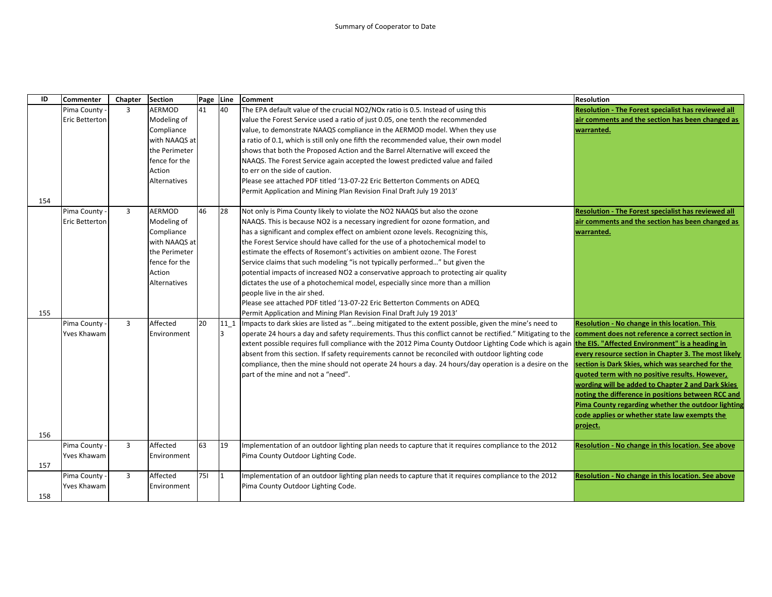| ID  | <b>Commenter</b>      | Chapter        | <b>Section</b>      | Page | Line | Comment                                                                                                                                                           | <b>Resolution</b>                                          |
|-----|-----------------------|----------------|---------------------|------|------|-------------------------------------------------------------------------------------------------------------------------------------------------------------------|------------------------------------------------------------|
|     | Pima County           | 3              | AERMOD              | 41   | 40   | The EPA default value of the crucial NO2/NOx ratio is 0.5. Instead of using this                                                                                  | Resolution - The Forest specialist has reviewed all        |
|     | Eric Betterton        |                | Modeling of         |      |      | value the Forest Service used a ratio of just 0.05, one tenth the recommended                                                                                     | air comments and the section has been changed as           |
|     |                       |                | Compliance          |      |      | value, to demonstrate NAAQS compliance in the AERMOD model. When they use                                                                                         | warranted.                                                 |
|     |                       |                | with NAAQS at       |      |      | a ratio of 0.1, which is still only one fifth the recommended value, their own model                                                                              |                                                            |
|     |                       |                | the Perimeter       |      |      | shows that both the Proposed Action and the Barrel Alternative will exceed the                                                                                    |                                                            |
|     |                       |                | fence for the       |      |      | NAAQS. The Forest Service again accepted the lowest predicted value and failed                                                                                    |                                                            |
|     |                       |                | Action              |      |      | to err on the side of caution.                                                                                                                                    |                                                            |
|     |                       |                | <b>Alternatives</b> |      |      | Please see attached PDF titled '13-07-22 Eric Betterton Comments on ADEQ                                                                                          |                                                            |
|     |                       |                |                     |      |      | Permit Application and Mining Plan Revision Final Draft July 19 2013'                                                                                             |                                                            |
| 154 |                       |                |                     |      |      |                                                                                                                                                                   |                                                            |
|     | Pima County -         | $\overline{3}$ | <b>AERMOD</b>       | 46   | 28   | Not only is Pima County likely to violate the NO2 NAAQS but also the ozone                                                                                        | <b>Resolution - The Forest specialist has reviewed all</b> |
|     | <b>Eric Betterton</b> |                | Modeling of         |      |      | NAAQS. This is because NO2 is a necessary ingredient for ozone formation, and                                                                                     | air comments and the section has been changed as           |
|     |                       |                | Compliance          |      |      | has a significant and complex effect on ambient ozone levels. Recognizing this,                                                                                   | warranted.                                                 |
|     |                       |                | with NAAQS at       |      |      | the Forest Service should have called for the use of a photochemical model to                                                                                     |                                                            |
|     |                       |                | the Perimeter       |      |      | estimate the effects of Rosemont's activities on ambient ozone. The Forest                                                                                        |                                                            |
|     |                       |                | fence for the       |      |      | Service claims that such modeling "is not typically performed" but given the                                                                                      |                                                            |
|     |                       |                | Action              |      |      | potential impacts of increased NO2 a conservative approach to protecting air quality                                                                              |                                                            |
|     |                       |                | Alternatives        |      |      | dictates the use of a photochemical model, especially since more than a million                                                                                   |                                                            |
|     |                       |                |                     |      |      | people live in the air shed.                                                                                                                                      |                                                            |
|     |                       |                |                     |      |      | Please see attached PDF titled '13-07-22 Eric Betterton Comments on ADEQ                                                                                          |                                                            |
| 155 |                       |                |                     |      |      | Permit Application and Mining Plan Revision Final Draft July 19 2013'                                                                                             |                                                            |
|     | Pima County -         | 3              | Affected            | 20   | 11 1 | Impacts to dark skies are listed as "being mitigated to the extent possible, given the mine's need to                                                             | Resolution - No change in this location. This              |
|     | <b>Yves Khawam</b>    |                | Environment         |      | 3    | operate 24 hours a day and safety requirements. Thus this conflict cannot be rectified." Mitigating to the <b>comment does not reference a correct section in</b> |                                                            |
|     |                       |                |                     |      |      | extent possible requires full compliance with the 2012 Pima County Outdoor Lighting Code which is again the EIS. "Affected Environment" is a heading in           |                                                            |
|     |                       |                |                     |      |      | absent from this section. If safety requirements cannot be reconciled with outdoor lighting code                                                                  | every resource section in Chapter 3. The most likely       |
|     |                       |                |                     |      |      | compliance, then the mine should not operate 24 hours a day. 24 hours/day operation is a desire on the                                                            | section is Dark Skies, which was searched for the          |
|     |                       |                |                     |      |      | part of the mine and not a "need".                                                                                                                                | quoted term with no positive results. However,             |
|     |                       |                |                     |      |      |                                                                                                                                                                   | wording will be added to Chapter 2 and Dark Skies          |
|     |                       |                |                     |      |      |                                                                                                                                                                   | noting the difference in positions between RCC and         |
|     |                       |                |                     |      |      |                                                                                                                                                                   | Pima County regarding whether the outdoor lighting         |
|     |                       |                |                     |      |      |                                                                                                                                                                   | code applies or whether state law exempts the              |
|     |                       |                |                     |      |      |                                                                                                                                                                   | project.                                                   |
| 156 |                       |                |                     |      |      |                                                                                                                                                                   |                                                            |
|     | Pima County -         | 3              | Affected            | 63   | 19   | Implementation of an outdoor lighting plan needs to capture that it requires compliance to the 2012                                                               | Resolution - No change in this location. See above         |
|     | Yves Khawam           |                | Environment         |      |      | Pima County Outdoor Lighting Code.                                                                                                                                |                                                            |
| 157 |                       |                |                     |      |      |                                                                                                                                                                   |                                                            |
|     | Pima County -         | $\overline{3}$ | Affected            | 751  | I1   | Implementation of an outdoor lighting plan needs to capture that it requires compliance to the 2012                                                               | Resolution - No change in this location. See above         |
|     | <b>Yves Khawam</b>    |                | Environment         |      |      | Pima County Outdoor Lighting Code.                                                                                                                                |                                                            |
| 158 |                       |                |                     |      |      |                                                                                                                                                                   |                                                            |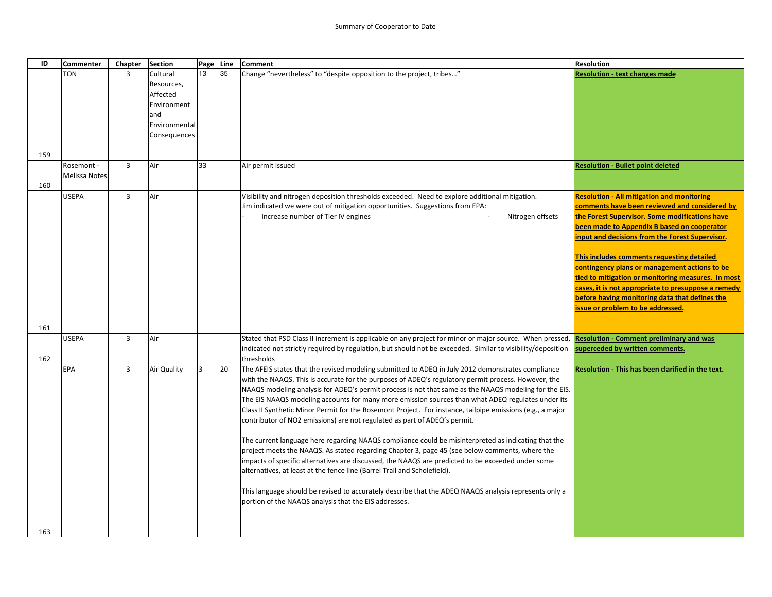| ID  | Commenter            | Chapter        | <b>Section</b>         | Page Line |    | <b>Comment</b>                                                                                                                                                                                               | <b>Resolution</b>                                   |
|-----|----------------------|----------------|------------------------|-----------|----|--------------------------------------------------------------------------------------------------------------------------------------------------------------------------------------------------------------|-----------------------------------------------------|
|     | <b>TON</b>           | 3              | Cultural<br>Resources, | 13        | 35 | Change "nevertheless" to "despite opposition to the project, tribes"                                                                                                                                         | <b>Resolution - text changes made</b>               |
|     |                      |                | Affected               |           |    |                                                                                                                                                                                                              |                                                     |
|     |                      |                | Environment            |           |    |                                                                                                                                                                                                              |                                                     |
|     |                      |                | and                    |           |    |                                                                                                                                                                                                              |                                                     |
|     |                      |                | Environmental          |           |    |                                                                                                                                                                                                              |                                                     |
|     |                      |                | Consequences           |           |    |                                                                                                                                                                                                              |                                                     |
| 159 |                      |                |                        |           |    |                                                                                                                                                                                                              |                                                     |
|     | Rosemont -           | $\overline{3}$ | Air                    | 33        |    | Air permit issued                                                                                                                                                                                            | <b>Resolution - Bullet point deleted</b>            |
| 160 | <b>Melissa Notes</b> |                |                        |           |    |                                                                                                                                                                                                              |                                                     |
|     | <b>USEPA</b>         | $\overline{3}$ | Air                    |           |    | Visibility and nitrogen deposition thresholds exceeded. Need to explore additional mitigation.                                                                                                               | <b>Resolution - All mitigation and monitoring</b>   |
|     |                      |                |                        |           |    | Jim indicated we were out of mitigation opportunities. Suggestions from EPA:                                                                                                                                 | comments have been reviewed and considered by       |
|     |                      |                |                        |           |    | Nitrogen offsets<br>Increase number of Tier IV engines                                                                                                                                                       | the Forest Supervisor. Some modifications have      |
|     |                      |                |                        |           |    |                                                                                                                                                                                                              | been made to Appendix B based on cooperator         |
|     |                      |                |                        |           |    |                                                                                                                                                                                                              | input and decisions from the Forest Supervisor.     |
|     |                      |                |                        |           |    |                                                                                                                                                                                                              | This includes comments requesting detailed          |
|     |                      |                |                        |           |    |                                                                                                                                                                                                              | contingency plans or management actions to be       |
|     |                      |                |                        |           |    |                                                                                                                                                                                                              | tied to mitigation or monitoring measures. In most  |
|     |                      |                |                        |           |    |                                                                                                                                                                                                              | cases, it is not appropriate to presuppose a remedy |
|     |                      |                |                        |           |    |                                                                                                                                                                                                              | before having monitoring data that defines the      |
|     |                      |                |                        |           |    |                                                                                                                                                                                                              | issue or problem to be addressed.                   |
| 161 |                      |                |                        |           |    |                                                                                                                                                                                                              |                                                     |
|     | <b>USEPA</b>         | 3              | Air                    |           |    | Stated that PSD Class II increment is applicable on any project for minor or major source. When pressed,                                                                                                     | <b>Resolution - Comment preliminary and was</b>     |
|     |                      |                |                        |           |    | indicated not strictly required by regulation, but should not be exceeded. Similar to visibility/deposition                                                                                                  | superceded by written comments.                     |
| 162 |                      |                |                        |           |    | thresholds                                                                                                                                                                                                   |                                                     |
|     | <b>EPA</b>           | $\overline{3}$ | Air Quality            | 3         | 20 | The AFEIS states that the revised modeling submitted to ADEQ in July 2012 demonstrates compliance                                                                                                            | Resolution - This has been clarified in the text.   |
|     |                      |                |                        |           |    | with the NAAQS. This is accurate for the purposes of ADEQ's regulatory permit process. However, the<br>NAAQS modeling analysis for ADEQ's permit process is not that same as the NAAQS modeling for the EIS. |                                                     |
|     |                      |                |                        |           |    | The EIS NAAQS modeling accounts for many more emission sources than what ADEQ regulates under its                                                                                                            |                                                     |
|     |                      |                |                        |           |    | Class II Synthetic Minor Permit for the Rosemont Project. For instance, tailpipe emissions (e.g., a major                                                                                                    |                                                     |
|     |                      |                |                        |           |    | contributor of NO2 emissions) are not regulated as part of ADEQ's permit.                                                                                                                                    |                                                     |
|     |                      |                |                        |           |    |                                                                                                                                                                                                              |                                                     |
|     |                      |                |                        |           |    | The current language here regarding NAAQS compliance could be misinterpreted as indicating that the                                                                                                          |                                                     |
|     |                      |                |                        |           |    | project meets the NAAQS. As stated regarding Chapter 3, page 45 (see below comments, where the<br>impacts of specific alternatives are discussed, the NAAQS are predicted to be exceeded under some          |                                                     |
|     |                      |                |                        |           |    | alternatives, at least at the fence line (Barrel Trail and Scholefield).                                                                                                                                     |                                                     |
|     |                      |                |                        |           |    |                                                                                                                                                                                                              |                                                     |
|     |                      |                |                        |           |    | This language should be revised to accurately describe that the ADEQ NAAQS analysis represents only a<br>portion of the NAAQS analysis that the EIS addresses.                                               |                                                     |
|     |                      |                |                        |           |    |                                                                                                                                                                                                              |                                                     |
|     |                      |                |                        |           |    |                                                                                                                                                                                                              |                                                     |
| 163 |                      |                |                        |           |    |                                                                                                                                                                                                              |                                                     |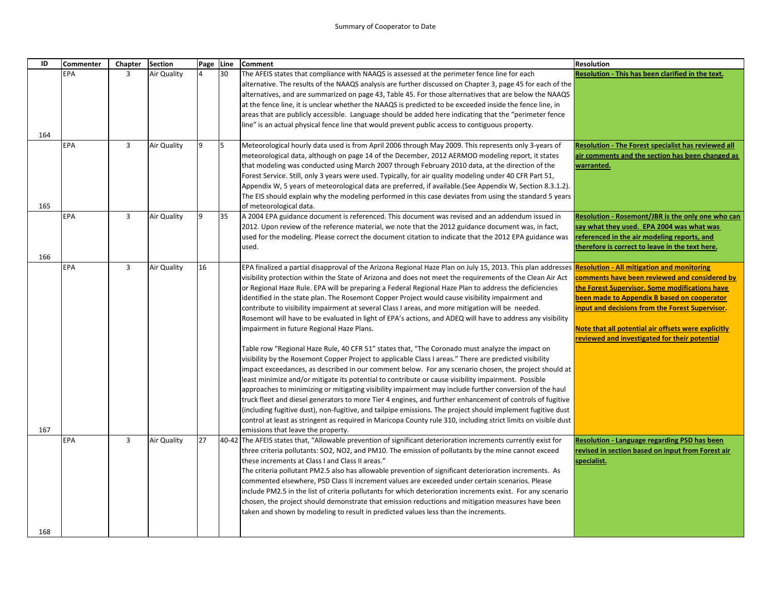| ID  | <b>Commenter</b> | Chapter        | <b>Section</b> | Page Line      |    | <b>Comment</b>                                                                                                 | <b>Resolution</b>                                                                                    |
|-----|------------------|----------------|----------------|----------------|----|----------------------------------------------------------------------------------------------------------------|------------------------------------------------------------------------------------------------------|
|     | EPA              | 3              | Air Quality    | $\overline{4}$ | 30 | The AFEIS states that compliance with NAAQS is assessed at the perimeter fence line for each                   | Resolution - This has been clarified in the text.                                                    |
|     |                  |                |                |                |    | alternative. The results of the NAAQS analysis are further discussed on Chapter 3, page 45 for each of the     |                                                                                                      |
|     |                  |                |                |                |    | alternatives, and are summarized on page 43, Table 45. For those alternatives that are below the NAAQS         |                                                                                                      |
|     |                  |                |                |                |    | at the fence line, it is unclear whether the NAAQS is predicted to be exceeded inside the fence line, in       |                                                                                                      |
|     |                  |                |                |                |    | areas that are publicly accessible. Language should be added here indicating that the "perimeter fence"        |                                                                                                      |
|     |                  |                |                |                |    | line" is an actual physical fence line that would prevent public access to contiguous property.                |                                                                                                      |
| 164 |                  |                |                |                |    |                                                                                                                |                                                                                                      |
|     | EPA              | 3              | Air Quality    | 9              | 15 | Meteorological hourly data used is from April 2006 through May 2009. This represents only 3-years of           | Resolution - The Forest specialist has reviewed all                                                  |
|     |                  |                |                |                |    | meteorological data, although on page 14 of the December, 2012 AERMOD modeling report, it states               | air comments and the section has been changed as                                                     |
|     |                  |                |                |                |    | that modeling was conducted using March 2007 through February 2010 data, at the direction of the               | warranted.                                                                                           |
|     |                  |                |                |                |    | Forest Service. Still, only 3 years were used. Typically, for air quality modeling under 40 CFR Part 51,       |                                                                                                      |
|     |                  |                |                |                |    | Appendix W, 5 years of meteorological data are preferred, if available. (See Appendix W, Section 8.3.1.2).     |                                                                                                      |
|     |                  |                |                |                |    | The EIS should explain why the modeling performed in this case deviates from using the standard 5 years        |                                                                                                      |
| 165 |                  |                |                |                |    | of meteorological data.                                                                                        |                                                                                                      |
|     | EPA              | $\overline{3}$ | Air Quality    | 9              | 35 | A 2004 EPA guidance document is referenced. This document was revised and an addendum issued in                | Resolution - Rosemont/JBR is the only one who can                                                    |
|     |                  |                |                |                |    | [2012. Upon review of the reference material, we note that the 2012 guidance document was, in fact,            | say what they used. EPA 2004 was what was                                                            |
|     |                  |                |                |                |    | used for the modeling. Please correct the document citation to indicate that the 2012 EPA guidance was         | referenced in the air modeling reports, and                                                          |
|     |                  |                |                |                |    | used.                                                                                                          | therefore is correct to leave in the text here.                                                      |
| 166 |                  |                |                |                |    |                                                                                                                |                                                                                                      |
|     | EPA              | 3              | Air Quality    | 16             |    | EPA finalized a partial disapproval of the Arizona Regional Haze Plan on July 15, 2013. This plan addresses    | <b>Resolution - All mitigation and monitoring</b>                                                    |
|     |                  |                |                |                |    | visibility protection within the State of Arizona and does not meet the requirements of the Clean Air Act      | comments have been reviewed and considered by                                                        |
|     |                  |                |                |                |    | or Regional Haze Rule. EPA will be preparing a Federal Regional Haze Plan to address the deficiencies          | the Forest Supervisor. Some modifications have                                                       |
|     |                  |                |                |                |    | identified in the state plan. The Rosemont Copper Project would cause visibility impairment and                | been made to Appendix B based on cooperator                                                          |
|     |                  |                |                |                |    | contribute to visibility impairment at several Class I areas, and more mitigation will be needed.              | input and decisions from the Forest Supervisor.                                                      |
|     |                  |                |                |                |    | Rosemont will have to be evaluated in light of EPA's actions, and ADEQ will have to address any visibility     |                                                                                                      |
|     |                  |                |                |                |    | impairment in future Regional Haze Plans.                                                                      | Note that all potential air offsets were explicitly<br>reviewed and investigated for their potential |
|     |                  |                |                |                |    | Table row "Regional Haze Rule, 40 CFR 51" states that, "The Coronado must analyze the impact on                |                                                                                                      |
|     |                  |                |                |                |    | visibility by the Rosemont Copper Project to applicable Class I areas." There are predicted visibility         |                                                                                                      |
|     |                  |                |                |                |    | impact exceedances, as described in our comment below. For any scenario chosen, the project should at          |                                                                                                      |
|     |                  |                |                |                |    | least minimize and/or mitigate its potential to contribute or cause visibility impairment. Possible            |                                                                                                      |
|     |                  |                |                |                |    | approaches to minimizing or mitigating visibility impairment may include further conversion of the haul        |                                                                                                      |
|     |                  |                |                |                |    | truck fleet and diesel generators to more Tier 4 engines, and further enhancement of controls of fugitive      |                                                                                                      |
|     |                  |                |                |                |    | (including fugitive dust), non-fugitive, and tailpipe emissions. The project should implement fugitive dust    |                                                                                                      |
|     |                  |                |                |                |    | control at least as stringent as required in Maricopa County rule 310, including strict limits on visible dust |                                                                                                      |
| 167 |                  |                |                |                |    | emissions that leave the property.                                                                             |                                                                                                      |
|     | EPA              | $\overline{3}$ | Air Quality    | 27             |    | 40-42 The AFEIS states that, "Allowable prevention of significant deterioration increments currently exist for | <b>Resolution - Language regarding PSD has been</b>                                                  |
|     |                  |                |                |                |    | three criteria pollutants: SO2, NO2, and PM10. The emission of pollutants by the mine cannot exceed            | revised in section based on input from Forest air                                                    |
|     |                  |                |                |                |    | these increments at Class I and Class II areas."                                                               | specialist.                                                                                          |
|     |                  |                |                |                |    | The criteria pollutant PM2.5 also has allowable prevention of significant deterioration increments. As         |                                                                                                      |
|     |                  |                |                |                |    | commented elsewhere, PSD Class II increment values are exceeded under certain scenarios. Please                |                                                                                                      |
|     |                  |                |                |                |    | include PM2.5 in the list of criteria pollutants for which deterioration increments exist. For any scenario    |                                                                                                      |
|     |                  |                |                |                |    | chosen, the project should demonstrate that emission reductions and mitigation measures have been              |                                                                                                      |
|     |                  |                |                |                |    | taken and shown by modeling to result in predicted values less than the increments.                            |                                                                                                      |
|     |                  |                |                |                |    |                                                                                                                |                                                                                                      |
| 168 |                  |                |                |                |    |                                                                                                                |                                                                                                      |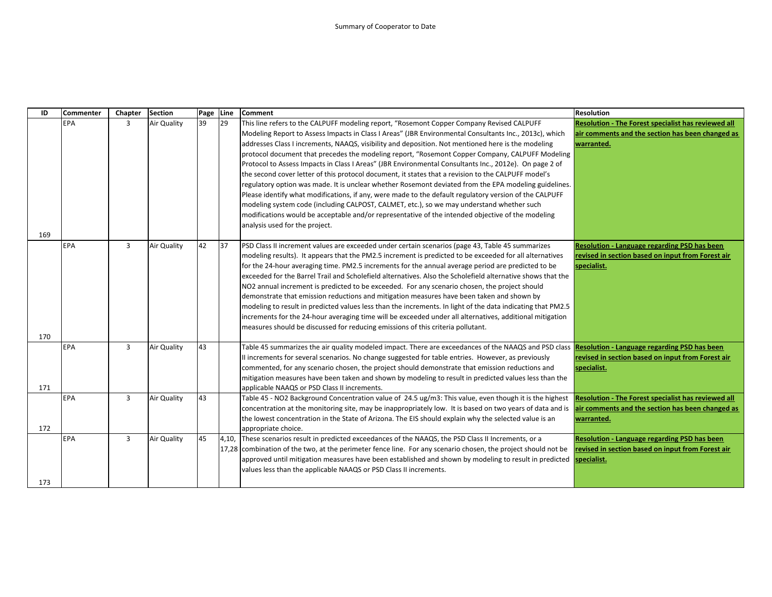| ID  | <b>Commenter</b> | Chapter | <b>Section</b> | Page | Line | <b>Comment</b>                                                                                                                                                                                                                                                                                                                                                                                                                                                                                                                                                                                                                                                                                                                                                                                                                                                                                                                                                                                                                                                                       | <b>Resolution</b>                                                                                                            |
|-----|------------------|---------|----------------|------|------|--------------------------------------------------------------------------------------------------------------------------------------------------------------------------------------------------------------------------------------------------------------------------------------------------------------------------------------------------------------------------------------------------------------------------------------------------------------------------------------------------------------------------------------------------------------------------------------------------------------------------------------------------------------------------------------------------------------------------------------------------------------------------------------------------------------------------------------------------------------------------------------------------------------------------------------------------------------------------------------------------------------------------------------------------------------------------------------|------------------------------------------------------------------------------------------------------------------------------|
|     | <b>EPA</b>       | 3       | Air Quality    | 39   | 29   | This line refers to the CALPUFF modeling report, "Rosemont Copper Company Revised CALPUFF<br>Modeling Report to Assess Impacts in Class I Areas" (JBR Environmental Consultants Inc., 2013c), which<br>addresses Class I increments, NAAQS, visibility and deposition. Not mentioned here is the modeling<br>protocol document that precedes the modeling report, "Rosemont Copper Company, CALPUFF Modeling<br>Protocol to Assess Impacts in Class I Areas" (JBR Environmental Consultants Inc., 2012e). On page 2 of<br>the second cover letter of this protocol document, it states that a revision to the CALPUFF model's<br>regulatory option was made. It is unclear whether Rosemont deviated from the EPA modeling guidelines.<br>Please identify what modifications, if any, were made to the default regulatory version of the CALPUFF<br>modeling system code (including CALPOST, CALMET, etc.), so we may understand whether such<br>modifications would be acceptable and/or representative of the intended objective of the modeling<br>analysis used for the project. | <b>Resolution - The Forest specialist has reviewed all</b><br>air comments and the section has been changed as<br>warranted. |
| 169 |                  |         |                |      |      |                                                                                                                                                                                                                                                                                                                                                                                                                                                                                                                                                                                                                                                                                                                                                                                                                                                                                                                                                                                                                                                                                      |                                                                                                                              |
| 170 | <b>EPA</b>       | 3       | Air Quality    | 42   | 37   | PSD Class II increment values are exceeded under certain scenarios (page 43, Table 45 summarizes<br>modeling results). It appears that the PM2.5 increment is predicted to be exceeded for all alternatives<br>for the 24-hour averaging time. PM2.5 increments for the annual average period are predicted to be<br>exceeded for the Barrel Trail and Scholefield alternatives. Also the Scholefield alternative shows that the<br>NO2 annual increment is predicted to be exceeded. For any scenario chosen, the project should<br>demonstrate that emission reductions and mitigation measures have been taken and shown by<br>modeling to result in predicted values less than the increments. In light of the data indicating that PM2.5<br>increments for the 24-hour averaging time will be exceeded under all alternatives, additional mitigation<br>measures should be discussed for reducing emissions of this criteria pollutant.                                                                                                                                         | Resolution - Language regarding PSD has been<br>revised in section based on input from Forest air<br>specialist.             |
| 171 | <b>EPA</b>       | 3       | Air Quality    | 43   |      | Table 45 summarizes the air quality modeled impact. There are exceedances of the NAAQS and PSD class Resolution - Language regarding PSD has been<br>Il increments for several scenarios. No change suggested for table entries. However, as previously<br>commented, for any scenario chosen, the project should demonstrate that emission reductions and<br>mitigation measures have been taken and shown by modeling to result in predicted values less than the<br>applicable NAAQS or PSD Class II increments.                                                                                                                                                                                                                                                                                                                                                                                                                                                                                                                                                                  | revised in section based on input from Forest air<br>specialist.                                                             |
| 172 | <b>EPA</b>       | 3       | Air Quality    | 43   |      | Table 45 - NO2 Background Concentration value of 24.5 ug/m3: This value, even though it is the highest<br>concentration at the monitoring site, may be inappropriately low. It is based on two years of data and is<br>the lowest concentration in the State of Arizona. The EIS should explain why the selected value is an<br>appropriate choice.                                                                                                                                                                                                                                                                                                                                                                                                                                                                                                                                                                                                                                                                                                                                  | <b>Resolution - The Forest specialist has reviewed all</b><br>air comments and the section has been changed as<br>warranted. |
| 173 | <b>EPA</b>       | 3       | Air Quality    | 45   |      | 4,10, These scenarios result in predicted exceedances of the NAAQS, the PSD Class II Increments, or a<br>17,28 combination of the two, at the perimeter fence line. For any scenario chosen, the project should not be<br>approved until mitigation measures have been established and shown by modeling to result in predicted<br>values less than the applicable NAAQS or PSD Class II increments.                                                                                                                                                                                                                                                                                                                                                                                                                                                                                                                                                                                                                                                                                 | <b>Resolution - Language regarding PSD has been</b><br>revised in section based on input from Forest air<br>specialist.      |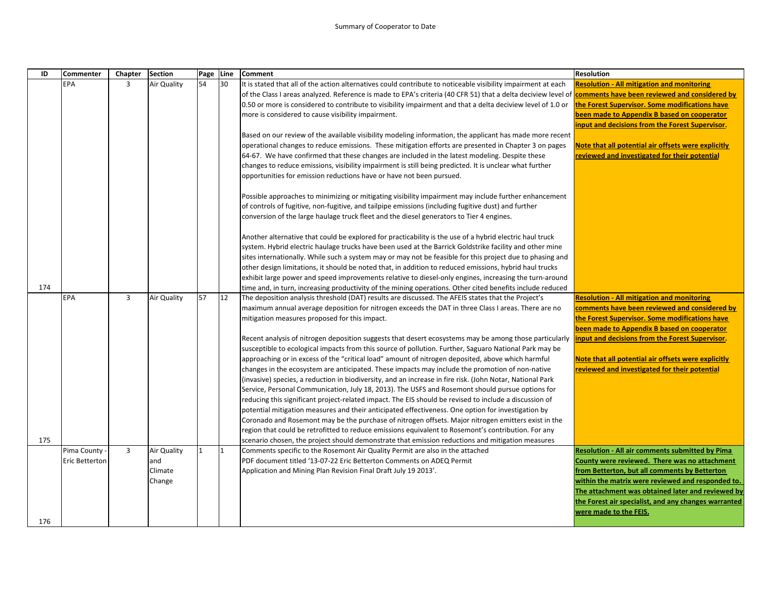| ID  | <b>Commenter</b> | Chapter        | <b>Section</b>     | Page Line |    | <b>Comment</b>                                                                                                                                              | <b>Resolution</b>                                                                               |
|-----|------------------|----------------|--------------------|-----------|----|-------------------------------------------------------------------------------------------------------------------------------------------------------------|-------------------------------------------------------------------------------------------------|
|     | EPA              | $\overline{3}$ | Air Quality        | 54        | 30 | It is stated that all of the action alternatives could contribute to noticeable visibility impairment at each                                               | <b>Resolution - All mitigation and monitoring</b>                                               |
|     |                  |                |                    |           |    | of the Class I areas analyzed. Reference is made to EPA's criteria (40 CFR 51) that a delta deciview level of comments have been reviewed and considered by |                                                                                                 |
|     |                  |                |                    |           |    | 0.50 or more is considered to contribute to visibility impairment and that a delta deciview level of 1.0 or                                                 | the Forest Supervisor. Some modifications have                                                  |
|     |                  |                |                    |           |    | more is considered to cause visibility impairment.                                                                                                          | been made to Appendix B based on cooperator                                                     |
|     |                  |                |                    |           |    |                                                                                                                                                             | input and decisions from the Forest Supervisor.                                                 |
|     |                  |                |                    |           |    | Based on our review of the available visibility modeling information, the applicant has made more recent                                                    |                                                                                                 |
|     |                  |                |                    |           |    | operational changes to reduce emissions. These mitigation efforts are presented in Chapter 3 on pages                                                       | Note that all potential air offsets were explicitly                                             |
|     |                  |                |                    |           |    | 64-67. We have confirmed that these changes are included in the latest modeling. Despite these                                                              | reviewed and investigated for their potential                                                   |
|     |                  |                |                    |           |    | changes to reduce emissions, visibility impairment is still being predicted. It is unclear what further                                                     |                                                                                                 |
|     |                  |                |                    |           |    | opportunities for emission reductions have or have not been pursued.                                                                                        |                                                                                                 |
|     |                  |                |                    |           |    |                                                                                                                                                             |                                                                                                 |
|     |                  |                |                    |           |    | Possible approaches to minimizing or mitigating visibility impairment may include further enhancement                                                       |                                                                                                 |
|     |                  |                |                    |           |    | of controls of fugitive, non-fugitive, and tailpipe emissions (including fugitive dust) and further                                                         |                                                                                                 |
|     |                  |                |                    |           |    | conversion of the large haulage truck fleet and the diesel generators to Tier 4 engines.                                                                    |                                                                                                 |
|     |                  |                |                    |           |    |                                                                                                                                                             |                                                                                                 |
|     |                  |                |                    |           |    | Another alternative that could be explored for practicability is the use of a hybrid electric haul truck                                                    |                                                                                                 |
|     |                  |                |                    |           |    | system. Hybrid electric haulage trucks have been used at the Barrick Goldstrike facility and other mine                                                     |                                                                                                 |
|     |                  |                |                    |           |    | sites internationally. While such a system may or may not be feasible for this project due to phasing and                                                   |                                                                                                 |
|     |                  |                |                    |           |    | other design limitations, it should be noted that, in addition to reduced emissions, hybrid haul trucks                                                     |                                                                                                 |
|     |                  |                |                    |           |    | exhibit large power and speed improvements relative to diesel-only engines, increasing the turn-around                                                      |                                                                                                 |
| 174 |                  |                |                    |           |    | time and, in turn, increasing productivity of the mining operations. Other cited benefits include reduced                                                   |                                                                                                 |
|     | EPA              | 3              | <b>Air Quality</b> | 57        | 12 | The deposition analysis threshold (DAT) results are discussed. The AFEIS states that the Project's                                                          | <b>Resolution - All mitigation and monitoring</b>                                               |
|     |                  |                |                    |           |    | maximum annual average deposition for nitrogen exceeds the DAT in three Class I areas. There are no<br>mitigation measures proposed for this impact.        | comments have been reviewed and considered by<br>the Forest Supervisor. Some modifications have |
|     |                  |                |                    |           |    |                                                                                                                                                             | been made to Appendix B based on cooperator                                                     |
|     |                  |                |                    |           |    | Recent analysis of nitrogen deposition suggests that desert ecosystems may be among those particularly                                                      | input and decisions from the Forest Supervisor.                                                 |
|     |                  |                |                    |           |    | susceptible to ecological impacts from this source of pollution. Further, Saguaro National Park may be                                                      |                                                                                                 |
|     |                  |                |                    |           |    | approaching or in excess of the "critical load" amount of nitrogen deposited, above which harmful                                                           | Note that all potential air offsets were explicitly                                             |
|     |                  |                |                    |           |    | changes in the ecosystem are anticipated. These impacts may include the promotion of non-native                                                             | reviewed and investigated for their potential                                                   |
|     |                  |                |                    |           |    | invasive) species, a reduction in biodiversity, and an increase in fire risk. (John Notar, National Park)                                                   |                                                                                                 |
|     |                  |                |                    |           |    | Service, Personal Communication, July 18, 2013). The USFS and Rosemont should pursue options for                                                            |                                                                                                 |
|     |                  |                |                    |           |    | reducing this significant project-related impact. The EIS should be revised to include a discussion of                                                      |                                                                                                 |
|     |                  |                |                    |           |    | potential mitigation measures and their anticipated effectiveness. One option for investigation by                                                          |                                                                                                 |
|     |                  |                |                    |           |    | Coronado and Rosemont may be the purchase of nitrogen offsets. Major nitrogen emitters exist in the                                                         |                                                                                                 |
|     |                  |                |                    |           |    | region that could be retrofitted to reduce emissions equivalent to Rosemont's contribution. For any                                                         |                                                                                                 |
| 175 |                  |                |                    |           |    | scenario chosen, the project should demonstrate that emission reductions and mitigation measures                                                            |                                                                                                 |
|     | Pima County -    | 3              | <b>Air Quality</b> |           | 11 | Comments specific to the Rosemont Air Quality Permit are also in the attached                                                                               | <b>Resolution - All air comments submitted by Pima</b>                                          |
|     | Eric Betterton   |                | and                |           |    | PDF document titled '13-07-22 Eric Betterton Comments on ADEQ Permit                                                                                        | County were reviewed. There was no attachment                                                   |
|     |                  |                | Climate            |           |    | Application and Mining Plan Revision Final Draft July 19 2013'.                                                                                             | from Betterton, but all comments by Betterton                                                   |
|     |                  |                | Change             |           |    |                                                                                                                                                             | within the matrix were reviewed and responded to.                                               |
|     |                  |                |                    |           |    |                                                                                                                                                             | The attachment was obtained later and reviewed by                                               |
|     |                  |                |                    |           |    |                                                                                                                                                             | the Forest air specialist, and any changes warranted                                            |
|     |                  |                |                    |           |    |                                                                                                                                                             | were made to the FEIS.                                                                          |
| 176 |                  |                |                    |           |    |                                                                                                                                                             |                                                                                                 |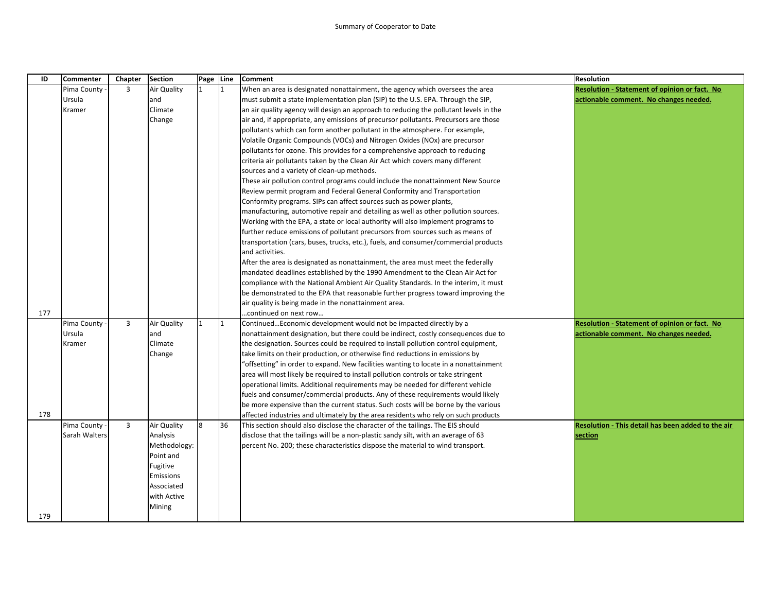| ID  | <b>Commenter</b> | Chapter        | <b>Section</b> | Page Line |    | <b>Comment</b>                                                                        | <b>Resolution</b>                                    |
|-----|------------------|----------------|----------------|-----------|----|---------------------------------------------------------------------------------------|------------------------------------------------------|
|     | Pima County      | 3              | Air Quality    |           | 1  | When an area is designated nonattainment, the agency which oversees the area          | <b>Resolution - Statement of opinion or fact. No</b> |
|     | Ursula           |                | and            |           |    | must submit a state implementation plan (SIP) to the U.S. EPA. Through the SIP,       | actionable comment. No changes needed.               |
|     | Kramer           |                | Climate        |           |    | an air quality agency will design an approach to reducing the pollutant levels in the |                                                      |
|     |                  |                | Change         |           |    | air and, if appropriate, any emissions of precursor pollutants. Precursors are those  |                                                      |
|     |                  |                |                |           |    | pollutants which can form another pollutant in the atmosphere. For example,           |                                                      |
|     |                  |                |                |           |    | Volatile Organic Compounds (VOCs) and Nitrogen Oxides (NOx) are precursor             |                                                      |
|     |                  |                |                |           |    | pollutants for ozone. This provides for a comprehensive approach to reducing          |                                                      |
|     |                  |                |                |           |    | criteria air pollutants taken by the Clean Air Act which covers many different        |                                                      |
|     |                  |                |                |           |    | sources and a variety of clean-up methods.                                            |                                                      |
|     |                  |                |                |           |    | These air pollution control programs could include the nonattainment New Source       |                                                      |
|     |                  |                |                |           |    | Review permit program and Federal General Conformity and Transportation               |                                                      |
|     |                  |                |                |           |    | Conformity programs. SIPs can affect sources such as power plants,                    |                                                      |
|     |                  |                |                |           |    | manufacturing, automotive repair and detailing as well as other pollution sources.    |                                                      |
|     |                  |                |                |           |    | Working with the EPA, a state or local authority will also implement programs to      |                                                      |
|     |                  |                |                |           |    | further reduce emissions of pollutant precursors from sources such as means of        |                                                      |
|     |                  |                |                |           |    | transportation (cars, buses, trucks, etc.), fuels, and consumer/commercial products   |                                                      |
|     |                  |                |                |           |    | and activities.                                                                       |                                                      |
|     |                  |                |                |           |    | After the area is designated as nonattainment, the area must meet the federally       |                                                      |
|     |                  |                |                |           |    | mandated deadlines established by the 1990 Amendment to the Clean Air Act for         |                                                      |
|     |                  |                |                |           |    | compliance with the National Ambient Air Quality Standards. In the interim, it must   |                                                      |
|     |                  |                |                |           |    | be demonstrated to the EPA that reasonable further progress toward improving the      |                                                      |
|     |                  |                |                |           |    | air quality is being made in the nonattainment area.                                  |                                                      |
| 177 |                  |                |                |           |    | continued on next row                                                                 |                                                      |
|     | Pima County      | 3              | Air Quality    | 1         | I1 | ContinuedEconomic development would not be impacted directly by a                     | <b>Resolution - Statement of opinion or fact. No</b> |
|     | Ursula           |                | and            |           |    | nonattainment designation, but there could be indirect, costly consequences due to    | actionable comment. No changes needed.               |
|     | Kramer           |                | Climate        |           |    | the designation. Sources could be required to install pollution control equipment,    |                                                      |
|     |                  |                | Change         |           |    | take limits on their production, or otherwise find reductions in emissions by         |                                                      |
|     |                  |                |                |           |    | "offsetting" in order to expand. New facilities wanting to locate in a nonattainment  |                                                      |
|     |                  |                |                |           |    | area will most likely be required to install pollution controls or take stringent     |                                                      |
|     |                  |                |                |           |    | operational limits. Additional requirements may be needed for different vehicle       |                                                      |
|     |                  |                |                |           |    | fuels and consumer/commercial products. Any of these requirements would likely        |                                                      |
|     |                  |                |                |           |    | be more expensive than the current status. Such costs will be borne by the various    |                                                      |
| 178 |                  |                |                |           |    | affected industries and ultimately by the area residents who rely on such products    |                                                      |
|     | Pima County      | $\overline{3}$ | Air Quality    | 8         | 36 | This section should also disclose the character of the tailings. The EIS should       | Resolution - This detail has been added to the air   |
|     | Sarah Walters    |                | Analysis       |           |    | disclose that the tailings will be a non-plastic sandy silt, with an average of 63    | section                                              |
|     |                  |                | Methodology:   |           |    | percent No. 200; these characteristics dispose the material to wind transport.        |                                                      |
|     |                  |                | Point and      |           |    |                                                                                       |                                                      |
|     |                  |                | Fugitive       |           |    |                                                                                       |                                                      |
|     |                  |                | Emissions      |           |    |                                                                                       |                                                      |
|     |                  |                | Associated     |           |    |                                                                                       |                                                      |
|     |                  |                | with Active    |           |    |                                                                                       |                                                      |
|     |                  |                | Mining         |           |    |                                                                                       |                                                      |
| 179 |                  |                |                |           |    |                                                                                       |                                                      |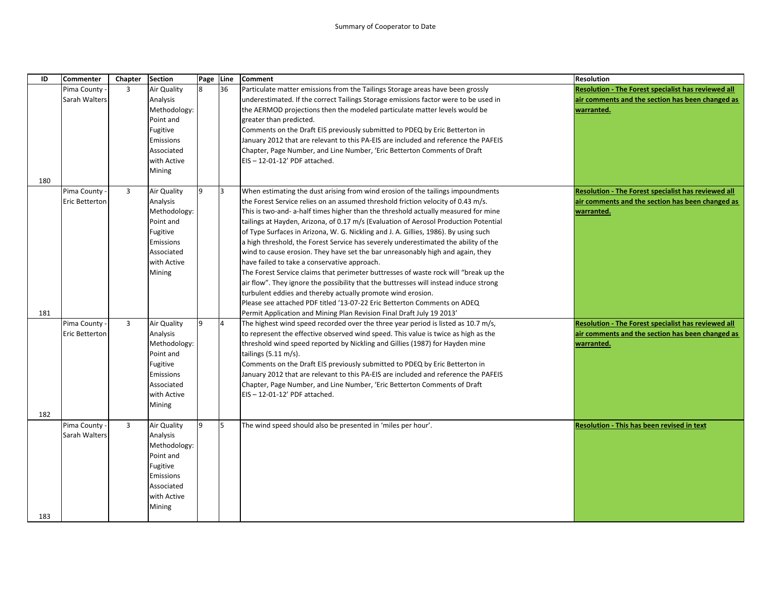| ID  | <b>Commenter</b> | Chapter | <b>Section</b> | Page Line |                | <b>Comment</b>                                                                               | <b>Resolution</b>                                          |
|-----|------------------|---------|----------------|-----------|----------------|----------------------------------------------------------------------------------------------|------------------------------------------------------------|
|     | Pima County      | 3       | Air Quality    |           | 36             | Particulate matter emissions from the Tailings Storage areas have been grossly               | <b>Resolution - The Forest specialist has reviewed all</b> |
|     | Sarah Walters    |         | Analysis       |           |                | underestimated. If the correct Tailings Storage emissions factor were to be used in          | air comments and the section has been changed as           |
|     |                  |         | Methodology:   |           |                | the AERMOD projections then the modeled particulate matter levels would be                   | warranted.                                                 |
|     |                  |         | Point and      |           |                | greater than predicted.                                                                      |                                                            |
|     |                  |         | Fugitive       |           |                | Comments on the Draft EIS previously submitted to PDEQ by Eric Betterton in                  |                                                            |
|     |                  |         | Emissions      |           |                | January 2012 that are relevant to this PA-EIS are included and reference the PAFEIS          |                                                            |
|     |                  |         | Associated     |           |                | Chapter, Page Number, and Line Number, 'Eric Betterton Comments of Draft                     |                                                            |
|     |                  |         | with Active    |           |                | EIS-12-01-12' PDF attached.                                                                  |                                                            |
|     |                  |         | Mining         |           |                |                                                                                              |                                                            |
| 180 |                  |         |                |           |                |                                                                                              |                                                            |
|     | Pima County      | 3       | Air Quality    | 9         | l3             | When estimating the dust arising from wind erosion of the tailings impoundments              | Resolution - The Forest specialist has reviewed all        |
|     | Eric Betterton   |         | Analysis       |           |                | the Forest Service relies on an assumed threshold friction velocity of 0.43 m/s.             | air comments and the section has been changed as           |
|     |                  |         | Methodology:   |           |                | This is two-and- a-half times higher than the threshold actually measured for mine           | warranted.                                                 |
|     |                  |         | Point and      |           |                | tailings at Hayden, Arizona, of 0.17 m/s (Evaluation of Aerosol Production Potential         |                                                            |
|     |                  |         | Fugitive       |           |                | of Type Surfaces in Arizona, W. G. Nickling and J. A. Gillies, 1986). By using such          |                                                            |
|     |                  |         | Emissions      |           |                | a high threshold, the Forest Service has severely underestimated the ability of the          |                                                            |
|     |                  |         | Associated     |           |                | wind to cause erosion. They have set the bar unreasonably high and again, they               |                                                            |
|     |                  |         | with Active    |           |                | have failed to take a conservative approach.                                                 |                                                            |
|     |                  |         | Mining         |           |                | The Forest Service claims that perimeter buttresses of waste rock will "break up the         |                                                            |
|     |                  |         |                |           |                | air flow". They ignore the possibility that the buttresses will instead induce strong        |                                                            |
|     |                  |         |                |           |                | turbulent eddies and thereby actually promote wind erosion.                                  |                                                            |
|     |                  |         |                |           |                | Please see attached PDF titled '13-07-22 Eric Betterton Comments on ADEQ                     |                                                            |
| 181 |                  |         |                |           |                | Permit Application and Mining Plan Revision Final Draft July 19 2013'                        |                                                            |
|     | Pima County      | 3       | Air Quality    | q         | $\overline{4}$ | The highest wind speed recorded over the three year period is listed as $10.7 \text{ m/s}$ , | <b>Resolution - The Forest specialist has reviewed all</b> |
|     | Eric Betterton   |         | Analysis       |           |                | to represent the effective observed wind speed. This value is twice as high as the           | air comments and the section has been changed as           |
|     |                  |         | Methodology:   |           |                | threshold wind speed reported by Nickling and Gillies (1987) for Hayden mine                 | warranted.                                                 |
|     |                  |         | Point and      |           |                | tailings $(5.11 \text{ m/s})$ .                                                              |                                                            |
|     |                  |         | Fugitive       |           |                | Comments on the Draft EIS previously submitted to PDEQ by Eric Betterton in                  |                                                            |
|     |                  |         | Emissions      |           |                | January 2012 that are relevant to this PA-EIS are included and reference the PAFEIS          |                                                            |
|     |                  |         | Associated     |           |                | Chapter, Page Number, and Line Number, 'Eric Betterton Comments of Draft                     |                                                            |
|     |                  |         | with Active    |           |                | EIS-12-01-12' PDF attached.                                                                  |                                                            |
|     |                  |         | Mining         |           |                |                                                                                              |                                                            |
| 182 | Pima County -    | 3       | Air Quality    | 9         | l5.            | The wind speed should also be presented in 'miles per hour'.                                 | Resolution - This has been revised in text                 |
|     | Sarah Walters    |         | Analysis       |           |                |                                                                                              |                                                            |
|     |                  |         | Methodology:   |           |                |                                                                                              |                                                            |
|     |                  |         | Point and      |           |                |                                                                                              |                                                            |
|     |                  |         | Fugitive       |           |                |                                                                                              |                                                            |
|     |                  |         | Emissions      |           |                |                                                                                              |                                                            |
|     |                  |         | Associated     |           |                |                                                                                              |                                                            |
|     |                  |         | with Active    |           |                |                                                                                              |                                                            |
|     |                  |         | Mining         |           |                |                                                                                              |                                                            |
| 183 |                  |         |                |           |                |                                                                                              |                                                            |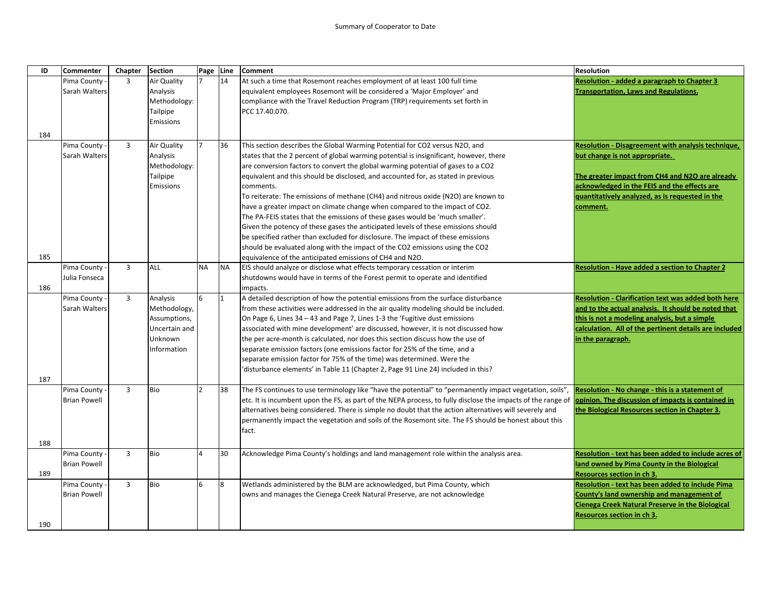| ID  | <b>Commenter</b>    | Chapter        | <b>Section</b>        | Page Line     |           | Comment                                                                                                      | <b>Resolution</b>                                          |
|-----|---------------------|----------------|-----------------------|---------------|-----------|--------------------------------------------------------------------------------------------------------------|------------------------------------------------------------|
|     | Pima County         | $\overline{3}$ | Air Quality           |               | 14        | At such a time that Rosemont reaches employment of at least 100 full time                                    | Resolution - added a paragraph to Chapter 3                |
|     | Sarah Walters       |                | Analysis              |               |           | equivalent employees Rosemont will be considered a 'Major Employer' and                                      | <b>Transportation, Laws and Regulations.</b>               |
|     |                     |                | Methodology:          |               |           | compliance with the Travel Reduction Program (TRP) requirements set forth in                                 |                                                            |
|     |                     |                | Tailpipe              |               |           | PCC 17.40.070.                                                                                               |                                                            |
|     |                     |                | Emissions             |               |           |                                                                                                              |                                                            |
| 184 |                     |                |                       |               |           |                                                                                                              |                                                            |
|     | Pima County         | $\overline{3}$ | Air Quality           | 7             | 36        | This section describes the Global Warming Potential for CO2 versus N2O, and                                  | Resolution - Disagreement with analysis technique,         |
|     | Sarah Walters       |                | Analysis              |               |           | states that the 2 percent of global warming potential is insignificant, however, there                       | but change is not appropriate.                             |
|     |                     |                | Methodology:          |               |           | are conversion factors to convert the global warming potential of gases to a CO2                             |                                                            |
|     |                     |                |                       |               |           |                                                                                                              |                                                            |
|     |                     |                | Tailpipe<br>Emissions |               |           | equivalent and this should be disclosed, and accounted for, as stated in previous                            | The greater impact from CH4 and N2O are already            |
|     |                     |                |                       |               |           | comments.                                                                                                    | acknowledged in the FEIS and the effects are               |
|     |                     |                |                       |               |           | To reiterate: The emissions of methane (CH4) and nitrous oxide (N2O) are known to                            | quantitatively analyzed, as is requested in the            |
|     |                     |                |                       |               |           | have a greater impact on climate change when compared to the impact of CO2.                                  | comment.                                                   |
|     |                     |                |                       |               |           | The PA-FEIS states that the emissions of these gases would be 'much smaller'.                                |                                                            |
|     |                     |                |                       |               |           | Given the potency of these gases the anticipated levels of these emissions should                            |                                                            |
|     |                     |                |                       |               |           | be specified rather than excluded for disclosure. The impact of these emissions                              |                                                            |
|     |                     |                |                       |               |           | should be evaluated along with the impact of the CO2 emissions using the CO2                                 |                                                            |
| 185 |                     |                |                       |               |           | equivalence of the anticipated emissions of CH4 and N2O.                                                     |                                                            |
|     | Pima County -       | 3              | ALL                   | <b>NA</b>     | <b>NA</b> | EIS should analyze or disclose what effects temporary cessation or interim                                   | <b>Resolution - Have added a section to Chapter 2</b>      |
|     | Julia Fonseca       |                |                       |               |           | shutdowns would have in terms of the Forest permit to operate and identified                                 |                                                            |
| 186 |                     |                |                       |               |           | impacts.                                                                                                     |                                                            |
|     | Pima County -       | $\overline{3}$ | Analysis              | 6             | 1         | A detailed description of how the potential emissions from the surface disturbance                           | <b>Resolution - Clarification text was added both here</b> |
|     | Sarah Walters       |                | Methodology,          |               |           | from these activities were addressed in the air quality modeling should be included.                         | and to the actual analysis. It should be noted that        |
|     |                     |                | Assumptions,          |               |           | On Page 6, Lines 34 - 43 and Page 7, Lines 1-3 the 'Fugitive dust emissions                                  | this is not a modeling analysis, but a simple              |
|     |                     |                | Uncertain and         |               |           | associated with mine development' are discussed, however, it is not discussed how                            | calculation. All of the pertinent details are included     |
|     |                     |                | Unknown               |               |           | the per acre-month is calculated, nor does this section discuss how the use of                               | in the paragraph.                                          |
|     |                     |                | Information           |               |           | separate emission factors (one emissions factor for 25% of the time, and a                                   |                                                            |
|     |                     |                |                       |               |           | separate emission factor for 75% of the time) was determined. Were the                                       |                                                            |
|     |                     |                |                       |               |           | 'disturbance elements' in Table 11 (Chapter 2, Page 91 Line 24) included in this?                            |                                                            |
| 187 |                     |                |                       |               |           |                                                                                                              |                                                            |
|     | Pima County         | $\overline{3}$ | Bio                   | $\mathcal{D}$ | 38        | The FS continues to use terminology like "have the potential" to "permanently impact vegetation, soils",     | Resolution - No change - this is a statement of            |
|     | <b>Brian Powell</b> |                |                       |               |           | etc. It is incumbent upon the FS, as part of the NEPA process, to fully disclose the impacts of the range of | opinion. The discussion of impacts is contained in         |
|     |                     |                |                       |               |           | alternatives being considered. There is simple no doubt that the action alternatives will severely and       | the Biological Resources section in Chapter 3.             |
|     |                     |                |                       |               |           | permanently impact the vegetation and soils of the Rosemont site. The FS should be honest about this         |                                                            |
|     |                     |                |                       |               |           | fact.                                                                                                        |                                                            |
| 188 |                     |                |                       |               |           |                                                                                                              |                                                            |
|     | Pima County         | 3              | Bio                   | 4             | 30        | Acknowledge Pima County's holdings and land management role within the analysis area.                        | Resolution - text has been added to include acres of       |
|     | <b>Brian Powell</b> |                |                       |               |           |                                                                                                              | land owned by Pima County in the Biological                |
| 189 |                     |                |                       |               |           |                                                                                                              | <b>Resources section in ch 3.</b>                          |
|     | Pima County         | 3              | Bio                   | 6             | 8         | Wetlands administered by the BLM are acknowledged, but Pima County, which                                    | Resolution - text has been added to include Pima           |
|     | <b>Brian Powell</b> |                |                       |               |           | owns and manages the Cienega Creek Natural Preserve, are not acknowledge                                     | County's land ownership and management of                  |
|     |                     |                |                       |               |           |                                                                                                              | Cienega Creek Natural Preserve in the Biological           |
|     |                     |                |                       |               |           |                                                                                                              | Resources section in ch 3.                                 |
| 190 |                     |                |                       |               |           |                                                                                                              |                                                            |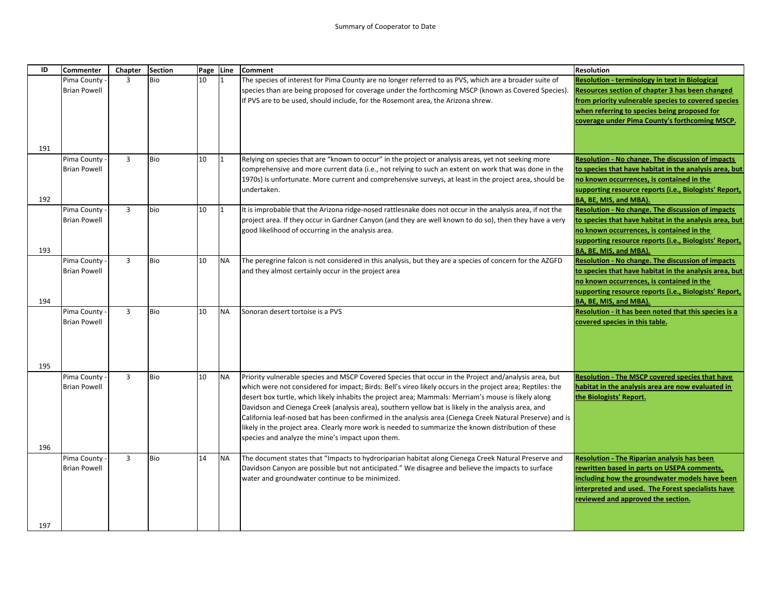| ID  | Commenter           | Chapter        | <b>Section</b> | Page Line |             | <b>Comment</b>                                                                                                                                                                                                  | <b>Resolution</b>                                                                                      |
|-----|---------------------|----------------|----------------|-----------|-------------|-----------------------------------------------------------------------------------------------------------------------------------------------------------------------------------------------------------------|--------------------------------------------------------------------------------------------------------|
|     | Pima County         | 3              | <b>Bio</b>     | 10        | 11.         | The species of interest for Pima County are no longer referred to as PVS, which are a broader suite of                                                                                                          | <b>Resolution - terminology in text in Biological</b>                                                  |
|     | <b>Brian Powell</b> |                |                |           |             | species than are being proposed for coverage under the forthcoming MSCP (known as Covered Species).<br>If PVS are to be used, should include, for the Rosemont area, the Arizona shrew.                         | Resources section of chapter 3 has been changed<br>from priority vulnerable species to covered species |
|     |                     |                |                |           |             |                                                                                                                                                                                                                 | when referring to species being proposed for                                                           |
|     |                     |                |                |           |             |                                                                                                                                                                                                                 | coverage under Pima County's forthcoming MSCP.                                                         |
|     |                     |                |                |           |             |                                                                                                                                                                                                                 |                                                                                                        |
| 191 |                     |                |                |           |             |                                                                                                                                                                                                                 |                                                                                                        |
|     | Pima County         | $\overline{3}$ | Bio            | 10        | $ 1\rangle$ | Relying on species that are "known to occur" in the project or analysis areas, yet not seeking more                                                                                                             | <b>Resolution - No change. The discussion of impacts</b>                                               |
|     | <b>Brian Powell</b> |                |                |           |             | comprehensive and more current data (i.e., not relying to such an extent on work that was done in the<br>1970s) is unfortunate. More current and comprehensive surveys, at least in the project area, should be | to species that have habitat in the analysis area, but<br>no known occurrences, is contained in the    |
|     |                     |                |                |           |             | undertaken.                                                                                                                                                                                                     | supporting resource reports (i.e., Biologists' Report,                                                 |
| 192 |                     |                |                |           |             |                                                                                                                                                                                                                 | BA, BE, MIS, and MBA).                                                                                 |
|     | Pima County         | $\overline{3}$ | bio            | 10        | $\vert$ 1   | It is improbable that the Arizona ridge-nosed rattlesnake does not occur in the analysis area, if not the                                                                                                       | Resolution - No change. The discussion of impacts                                                      |
|     | <b>Brian Powell</b> |                |                |           |             | project area. If they occur in Gardner Canyon (and they are well known to do so), then they have a very<br>good likelihood of occurring in the analysis area.                                                   | to species that have habitat in the analysis area, but<br>no known occurrences, is contained in the    |
|     |                     |                |                |           |             |                                                                                                                                                                                                                 | supporting resource reports (i.e., Biologists' Report,                                                 |
| 193 |                     |                |                |           |             |                                                                                                                                                                                                                 | BA, BE, MIS, and MBA).                                                                                 |
|     | Pima County -       | $\overline{3}$ | Bio            | 10        | <b>NA</b>   | The peregrine falcon is not considered in this analysis, but they are a species of concern for the AZGFD                                                                                                        | <b>Resolution - No change. The discussion of impacts</b>                                               |
|     | <b>Brian Powell</b> |                |                |           |             | and they almost certainly occur in the project area                                                                                                                                                             | to species that have habitat in the analysis area, but<br>no known occurrences, is contained in the    |
|     |                     |                |                |           |             |                                                                                                                                                                                                                 | supporting resource reports (i.e., Biologists' Report,                                                 |
| 194 |                     |                |                |           |             |                                                                                                                                                                                                                 | BA, BE, MIS, and MBA).                                                                                 |
|     | Pima County -       | $\overline{3}$ | Bio            | 10        | <b>NA</b>   | Sonoran desert tortoise is a PVS                                                                                                                                                                                | Resolution - it has been noted that this species is a                                                  |
|     | <b>Brian Powell</b> |                |                |           |             |                                                                                                                                                                                                                 | covered species in this table.                                                                         |
|     |                     |                |                |           |             |                                                                                                                                                                                                                 |                                                                                                        |
|     |                     |                |                |           |             |                                                                                                                                                                                                                 |                                                                                                        |
| 195 |                     |                |                |           |             |                                                                                                                                                                                                                 |                                                                                                        |
|     | Pima County         | $\overline{3}$ | Bio            | 10        | <b>NA</b>   | Priority vulnerable species and MSCP Covered Species that occur in the Project and/analysis area, but                                                                                                           | <b>Resolution - The MSCP covered species that have</b>                                                 |
|     | <b>Brian Powell</b> |                |                |           |             | which were not considered for impact; Birds: Bell's vireo likely occurs in the project area; Reptiles: the                                                                                                      | habitat in the analysis area are now evaluated in                                                      |
|     |                     |                |                |           |             | desert box turtle, which likely inhabits the project area; Mammals: Merriam's mouse is likely along<br>Davidson and Cienega Creek (analysis area), southern yellow bat is likely in the analysis area, and      | the Biologists' Report.                                                                                |
|     |                     |                |                |           |             | California leaf-nosed bat has been confirmed in the analysis area (Cienega Creek Natural Preserve) and is                                                                                                       |                                                                                                        |
|     |                     |                |                |           |             | likely in the project area. Clearly more work is needed to summarize the known distribution of these                                                                                                            |                                                                                                        |
|     |                     |                |                |           |             | species and analyze the mine's impact upon them.                                                                                                                                                                |                                                                                                        |
| 196 | Pima County         | 3              | Bio            | 14        | <b>NA</b>   | The document states that "Impacts to hydroriparian habitat along Cienega Creek Natural Preserve and                                                                                                             | <b>Resolution - The Riparian analysis has been</b>                                                     |
|     | <b>Brian Powell</b> |                |                |           |             | Davidson Canyon are possible but not anticipated." We disagree and believe the impacts to surface                                                                                                               | rewritten based in parts on USEPA comments,                                                            |
|     |                     |                |                |           |             | water and groundwater continue to be minimized.                                                                                                                                                                 | including how the groundwater models have been                                                         |
|     |                     |                |                |           |             |                                                                                                                                                                                                                 | interpreted and used. The Forest specialists have                                                      |
|     |                     |                |                |           |             |                                                                                                                                                                                                                 | reviewed and approved the section.                                                                     |
|     |                     |                |                |           |             |                                                                                                                                                                                                                 |                                                                                                        |
| 197 |                     |                |                |           |             |                                                                                                                                                                                                                 |                                                                                                        |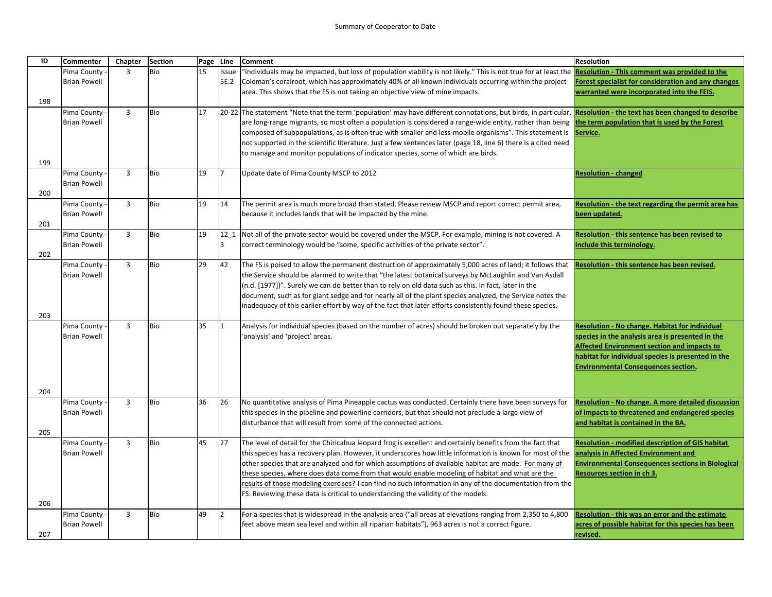| ID  | <b>Commenter</b>                   | Chapter        | <b>Section</b> | Page Line |                | <b>Comment</b>                                                                                                                                                        | <b>Resolution</b>                                                                                |
|-----|------------------------------------|----------------|----------------|-----------|----------------|-----------------------------------------------------------------------------------------------------------------------------------------------------------------------|--------------------------------------------------------------------------------------------------|
|     | Pima County -                      | 3              | <b>Bio</b>     | 15        | <b>Issue</b>   | 'Individuals may be impacted, but loss of population viability is not likely." This is not true for at least the <b>Resolution - This comment was provided to the</b> |                                                                                                  |
|     | <b>Brian Powell</b>                |                |                |           | 5E.2           | Coleman's coralroot, which has approximately 40% of all known individuals occurring within the project                                                                | Forest specialist for consideration and any changes                                              |
|     |                                    |                |                |           |                | area. This shows that the FS is not taking an objective view of mine impacts.                                                                                         | warranted were incorporated into the FEIS.                                                       |
| 198 |                                    |                |                |           |                |                                                                                                                                                                       |                                                                                                  |
|     | Pima County -                      | $\overline{3}$ | <b>Bio</b>     | 17        |                | [20-22] The statement "Note that the term 'population' may have different connotations, but birds, in particular, Resolution - the text has been changed to describe  |                                                                                                  |
|     | <b>Brian Powell</b>                |                |                |           |                | are long-range migrants, so most often a population is considered a range-wide entity, rather than being                                                              | the term population that is used by the Forest                                                   |
|     |                                    |                |                |           |                | composed of subpopulations, as is often true with smaller and less-mobile organisms". This statement is Service.                                                      |                                                                                                  |
|     |                                    |                |                |           |                | not supported in the scientific literature. Just a few sentences later (page 18, line 6) there is a cited need                                                        |                                                                                                  |
|     |                                    |                |                |           |                | to manage and monitor populations of indicator species, some of which are birds.                                                                                      |                                                                                                  |
| 199 |                                    |                |                |           | 17             |                                                                                                                                                                       |                                                                                                  |
|     | Pima County<br><b>Brian Powell</b> | 3              | Bio            | 19        |                | Update date of Pima County MSCP to 2012                                                                                                                               | <b>Resolution - changed</b>                                                                      |
| 200 |                                    |                |                |           |                |                                                                                                                                                                       |                                                                                                  |
|     | Pima County -                      | $\overline{3}$ | Bio            | 19        | 14             | The permit area is much more broad than stated. Please review MSCP and report correct permit area,                                                                    | Resolution - the text regarding the permit area has                                              |
|     | <b>Brian Powell</b>                |                |                |           |                | because it includes lands that will be impacted by the mine.                                                                                                          | been updated.                                                                                    |
| 201 |                                    |                |                |           |                |                                                                                                                                                                       |                                                                                                  |
|     | Pima County -                      | $\overline{3}$ | <b>Bio</b>     | 19        | 12 1           | Not all of the private sector would be covered under the MSCP. For example, mining is not covered. A                                                                  | Resolution - this sentence has been revised to                                                   |
|     | <b>Brian Powell</b>                |                |                |           | <sup>3</sup>   | correct terminology would be "some, specific activities of the private sector".                                                                                       | include this terminology.                                                                        |
| 202 |                                    |                |                |           |                |                                                                                                                                                                       |                                                                                                  |
|     | Pima County -                      | $\overline{3}$ | Bio            | 29        | 42             | The FS is poised to allow the permanent destruction of approximately 5,000 acres of land; it follows that                                                             | Resolution - this sentence has been revised.                                                     |
|     | <b>Brian Powell</b>                |                |                |           |                | the Service should be alarmed to write that "the latest botanical surveys by McLaughlin and Van Asdall                                                                |                                                                                                  |
|     |                                    |                |                |           |                | (n.d. [1977])". Surely we can do better than to rely on old data such as this. In fact, later in the                                                                  |                                                                                                  |
|     |                                    |                |                |           |                | document, such as for giant sedge and for nearly all of the plant species analyzed, the Service notes the                                                             |                                                                                                  |
|     |                                    |                |                |           |                | inadequacy of this earlier effort by way of the fact that later efforts consistently found these species.                                                             |                                                                                                  |
| 203 |                                    |                |                |           |                |                                                                                                                                                                       |                                                                                                  |
|     | Pima County -                      | $\overline{3}$ | <b>Bio</b>     | 35        | I1             | Analysis for individual species (based on the number of acres) should be broken out separately by the                                                                 | Resolution - No change. Habitat for individual                                                   |
|     | <b>Brian Powell</b>                |                |                |           |                | 'analysis' and 'project' areas.                                                                                                                                       | species in the analysis area is presented in the                                                 |
|     |                                    |                |                |           |                |                                                                                                                                                                       | <b>Affected Environment section and impacts to</b>                                               |
|     |                                    |                |                |           |                |                                                                                                                                                                       | habitat for individual species is presented in the<br><b>Environmental Consequences section.</b> |
|     |                                    |                |                |           |                |                                                                                                                                                                       |                                                                                                  |
|     |                                    |                |                |           |                |                                                                                                                                                                       |                                                                                                  |
| 204 |                                    |                |                |           |                |                                                                                                                                                                       |                                                                                                  |
|     | Pima County -                      | $\overline{3}$ | <b>Bio</b>     | 36        | 26             | No quantitative analysis of Pima Pineapple cactus was conducted. Certainly there have been surveys for                                                                | <b>Resolution - No change. A more detailed discussion</b>                                        |
|     | <b>Brian Powell</b>                |                |                |           |                | this species in the pipeline and powerline corridors, but that should not preclude a large view of                                                                    | of impacts to threatened and endangered species                                                  |
| 205 |                                    |                |                |           |                | disturbance that will result from some of the connected actions.                                                                                                      | and habitat is contained in the BA.                                                              |
|     | Pima County                        | $\overline{3}$ | <b>Bio</b>     | 45        | 27             | The level of detail for the Chiricahua leopard frog is excellent and certainly benefits from the fact that                                                            | <b>Resolution - modified description of GIS habitat</b>                                          |
|     | <b>Brian Powell</b>                |                |                |           |                | this species has a recovery plan. However, it underscores how little information is known for most of the                                                             | analysis in Affected Environment and                                                             |
|     |                                    |                |                |           |                | other species that are analyzed and for which assumptions of available habitat are made. For many of                                                                  | <b>Environmental Consequences sections in Biological</b>                                         |
|     |                                    |                |                |           |                | these species, where does data come from that would enable modeling of habitat and what are the                                                                       | Resources section in ch 3.                                                                       |
|     |                                    |                |                |           |                | results of those modeling exercises? I can find no such information in any of the documentation from the                                                              |                                                                                                  |
|     |                                    |                |                |           |                | FS. Reviewing these data is critical to understanding the validity of the models.                                                                                     |                                                                                                  |
| 206 |                                    |                |                |           |                |                                                                                                                                                                       |                                                                                                  |
|     | Pima County                        | $\overline{3}$ | <b>Bio</b>     | 49        | $\overline{2}$ | For a species that is widespread in the analysis area ("all areas at elevations ranging from 2,350 to 4,800                                                           | Resolution - this was an error and the estimate                                                  |
|     | <b>Brian Powell</b>                |                |                |           |                | feet above mean sea level and within all riparian habitats"), 963 acres is not a correct figure.                                                                      | acres of possible habitat for this species has been                                              |
| 207 |                                    |                |                |           |                |                                                                                                                                                                       | revised.                                                                                         |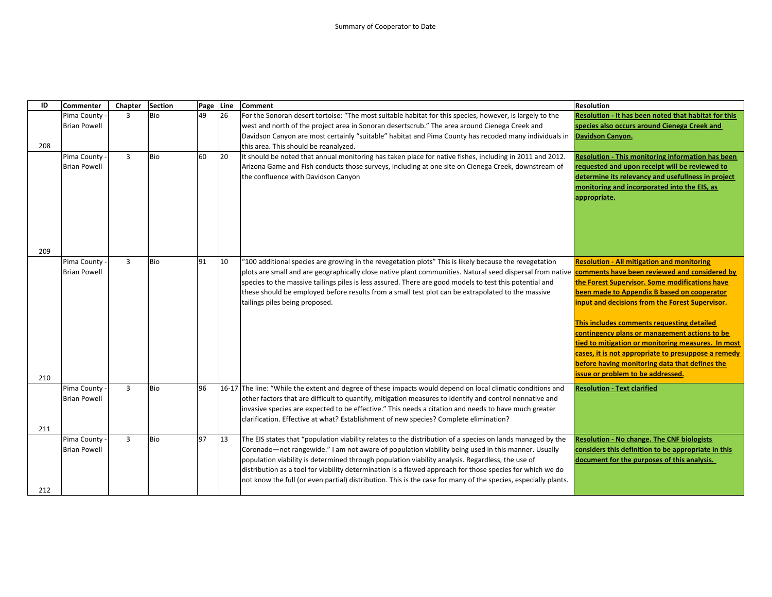| ID  | Commenter                            | Chapter        | <b>Section</b> | Page Line |     | <b>Comment</b>                                                                                                                                                 | <b>Resolution</b>                                                                                        |
|-----|--------------------------------------|----------------|----------------|-----------|-----|----------------------------------------------------------------------------------------------------------------------------------------------------------------|----------------------------------------------------------------------------------------------------------|
|     | Pima County                          | $\overline{3}$ | Bio            | 49        | 26  | For the Sonoran desert tortoise: "The most suitable habitat for this species, however, is largely to the                                                       | Resolution - it has been noted that habitat for this                                                     |
|     | <b>Brian Powell</b>                  |                |                |           |     | west and north of the project area in Sonoran desertscrub." The area around Cienega Creek and                                                                  | species also occurs around Cienega Creek and                                                             |
|     |                                      |                |                |           |     | Davidson Canyon are most certainly "suitable" habitat and Pima County has recoded many individuals in <b>Davidson Canyon.</b>                                  |                                                                                                          |
| 208 |                                      |                |                |           |     | this area. This should be reanalyzed.                                                                                                                          |                                                                                                          |
|     | Pima County -                        | $\overline{3}$ | <b>Bio</b>     | 60        | 120 | It should be noted that annual monitoring has taken place for native fishes, including in 2011 and 2012.                                                       | <b>Resolution - This monitoring information has been</b>                                                 |
|     | <b>Brian Powell</b>                  |                |                |           |     | Arizona Game and Fish conducts those surveys, including at one site on Cienega Creek, downstream of                                                            | requested and upon receipt will be reviewed to                                                           |
|     |                                      |                |                |           |     | the confluence with Davidson Canyon                                                                                                                            | determine its relevancy and usefullness in project                                                       |
|     |                                      |                |                |           |     |                                                                                                                                                                | monitoring and incorporated into the EIS, as                                                             |
|     |                                      |                |                |           |     |                                                                                                                                                                | appropriate.                                                                                             |
|     |                                      |                |                |           |     |                                                                                                                                                                |                                                                                                          |
|     |                                      |                |                |           |     |                                                                                                                                                                |                                                                                                          |
|     |                                      |                |                |           |     |                                                                                                                                                                |                                                                                                          |
|     |                                      |                |                |           |     |                                                                                                                                                                |                                                                                                          |
| 209 |                                      |                |                |           |     |                                                                                                                                                                |                                                                                                          |
|     | Pima County -                        | $\overline{3}$ | <b>Bio</b>     | 91        | 10  | "100 additional species are growing in the revegetation plots" This is likely because the revegetation                                                         | <b>Resolution - All mitigation and monitoring</b>                                                        |
|     | <b>Brian Powell</b>                  |                |                |           |     | plots are small and are geographically close native plant communities. Natural seed dispersal from native <b>comments have been reviewed and considered by</b> |                                                                                                          |
|     |                                      |                |                |           |     | species to the massive tailings piles is less assured. There are good models to test this potential and                                                        | the Forest Supervisor. Some modifications have                                                           |
|     |                                      |                |                |           |     | these should be employed before results from a small test plot can be extrapolated to the massive                                                              | been made to Appendix B based on cooperator                                                              |
|     |                                      |                |                |           |     | tailings piles being proposed.                                                                                                                                 | input and decisions from the Forest Supervisor.                                                          |
|     |                                      |                |                |           |     |                                                                                                                                                                |                                                                                                          |
|     |                                      |                |                |           |     |                                                                                                                                                                | This includes comments requesting detailed                                                               |
|     |                                      |                |                |           |     |                                                                                                                                                                | contingency plans or management actions to be<br>tied to mitigation or monitoring measures. In most      |
|     |                                      |                |                |           |     |                                                                                                                                                                | cases, it is not appropriate to presuppose a remedy                                                      |
|     |                                      |                |                |           |     |                                                                                                                                                                | before having monitoring data that defines the                                                           |
|     |                                      |                |                |           |     |                                                                                                                                                                | issue or problem to be addressed.                                                                        |
| 210 |                                      |                |                |           |     |                                                                                                                                                                |                                                                                                          |
|     | Pima County -                        | $\overline{3}$ | Bio            | 96        |     | 16-17 The line: "While the extent and degree of these impacts would depend on local climatic conditions and                                                    | <b>Resolution - Text clarified</b>                                                                       |
|     | <b>Brian Powell</b>                  |                |                |           |     | other factors that are difficult to quantify, mitigation measures to identify and control nonnative and                                                        |                                                                                                          |
|     |                                      |                |                |           |     | invasive species are expected to be effective." This needs a citation and needs to have much greater                                                           |                                                                                                          |
|     |                                      |                |                |           |     | clarification. Effective at what? Establishment of new species? Complete elimination?                                                                          |                                                                                                          |
| 211 |                                      | $\overline{3}$ | Bio            | 97        | 13  | The EIS states that "population viability relates to the distribution of a species on lands managed by the                                                     |                                                                                                          |
|     | Pima County -<br><b>Brian Powell</b> |                |                |           |     | Coronado—not rangewide." I am not aware of population viability being used in this manner. Usually                                                             | <b>Resolution - No change. The CNF biologists</b><br>considers this definition to be appropriate in this |
|     |                                      |                |                |           |     | population viability is determined through population viability analysis. Regardless, the use of                                                               | document for the purposes of this analysis.                                                              |
|     |                                      |                |                |           |     | distribution as a tool for viability determination is a flawed approach for those species for which we do                                                      |                                                                                                          |
|     |                                      |                |                |           |     | not know the full (or even partial) distribution. This is the case for many of the species, especially plants.                                                 |                                                                                                          |
| 212 |                                      |                |                |           |     |                                                                                                                                                                |                                                                                                          |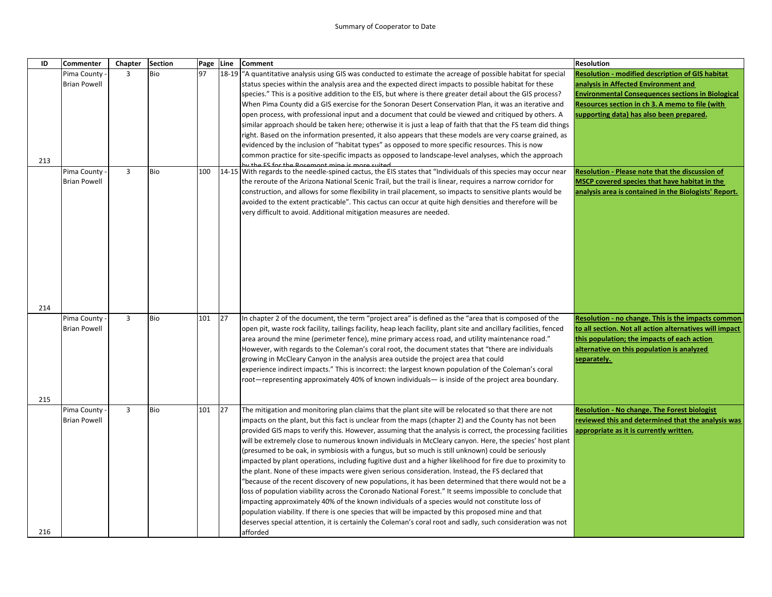| ID  | <b>Commenter</b>    | Chapter | <b>Section</b> | Page Line |       | <b>Comment</b>                                                                                                     | <b>Resolution</b>                                        |
|-----|---------------------|---------|----------------|-----------|-------|--------------------------------------------------------------------------------------------------------------------|----------------------------------------------------------|
|     | Pima County         | 3       | Bio            | 97        | 18-19 | "A quantitative analysis using GIS was conducted to estimate the acreage of possible habitat for special           | <b>Resolution - modified description of GIS habitat</b>  |
|     | <b>Brian Powell</b> |         |                |           |       | status species within the analysis area and the expected direct impacts to possible habitat for these              | analysis in Affected Environment and                     |
|     |                     |         |                |           |       | species." This is a positive addition to the EIS, but where is there greater detail about the GIS process?         | <b>Environmental Consequences sections in Biological</b> |
|     |                     |         |                |           |       | When Pima County did a GIS exercise for the Sonoran Desert Conservation Plan, it was an iterative and              | Resources section in ch 3. A memo to file (with          |
|     |                     |         |                |           |       | open process, with professional input and a document that could be viewed and critiqued by others. A               | supporting data) has also been prepared.                 |
|     |                     |         |                |           |       | similar approach should be taken here; otherwise it is just a leap of faith that that the FS team did things       |                                                          |
|     |                     |         |                |           |       | right. Based on the information presented, it also appears that these models are very coarse grained, as           |                                                          |
|     |                     |         |                |           |       | evidenced by the inclusion of "habitat types" as opposed to more specific resources. This is now                   |                                                          |
|     |                     |         |                |           |       | common practice for site-specific impacts as opposed to landscape-level analyses, which the approach               |                                                          |
| 213 |                     |         |                |           |       | the ES for the Pesament mine is more suited                                                                        |                                                          |
|     | Pima County         | 3       | Bio            | 100       |       | 14-15 With regards to the needle-spined cactus, the EIS states that "Individuals of this species may occur near    | Resolution - Please note that the discussion of          |
|     | <b>Brian Powell</b> |         |                |           |       | the reroute of the Arizona National Scenic Trail, but the trail is linear, requires a narrow corridor for          | MSCP covered species that have habitat in the            |
|     |                     |         |                |           |       | construction, and allows for some flexibility in trail placement, so impacts to sensitive plants would be          | analysis area is contained in the Biologists' Report.    |
|     |                     |         |                |           |       | avoided to the extent practicable". This cactus can occur at quite high densities and therefore will be            |                                                          |
|     |                     |         |                |           |       | very difficult to avoid. Additional mitigation measures are needed.                                                |                                                          |
|     |                     |         |                |           |       |                                                                                                                    |                                                          |
|     |                     |         |                |           |       |                                                                                                                    |                                                          |
|     |                     |         |                |           |       |                                                                                                                    |                                                          |
|     |                     |         |                |           |       |                                                                                                                    |                                                          |
|     |                     |         |                |           |       |                                                                                                                    |                                                          |
|     |                     |         |                |           |       |                                                                                                                    |                                                          |
|     |                     |         |                |           |       |                                                                                                                    |                                                          |
|     |                     |         |                |           |       |                                                                                                                    |                                                          |
| 214 |                     |         |                |           |       |                                                                                                                    |                                                          |
|     | Pima County         | 3       | Bio            | 101       | 27    | In chapter 2 of the document, the term "project area" is defined as the "area that is composed of the              | Resolution - no change. This is the impacts common       |
|     | <b>Brian Powell</b> |         |                |           |       | open pit, waste rock facility, tailings facility, heap leach facility, plant site and ancillary facilities, fenced | to all section. Not all action alternatives will impact  |
|     |                     |         |                |           |       | ".area around the mine (perimeter fence), mine primary access road, and utility maintenance road                   | this population; the impacts of each action              |
|     |                     |         |                |           |       | However, with regards to the Coleman's coral root, the document states that "there are individuals                 | alternative on this population is analyzed               |
|     |                     |         |                |           |       | growing in McCleary Canyon in the analysis area outside the project area that could                                | separately.                                              |
|     |                     |         |                |           |       | experience indirect impacts." This is incorrect: the largest known population of the Coleman's coral               |                                                          |
|     |                     |         |                |           |       | root—representing approximately 40% of known individuals— is inside of the project area boundary.                  |                                                          |
|     |                     |         |                |           |       |                                                                                                                    |                                                          |
| 215 |                     |         |                |           |       |                                                                                                                    |                                                          |
|     | Pima County -       | 3       | Bio            | 101       | 27    | The mitigation and monitoring plan claims that the plant site will be relocated so that there are not              | <b>Resolution - No change. The Forest biologist</b>      |
|     | <b>Brian Powell</b> |         |                |           |       | impacts on the plant, but this fact is unclear from the maps (chapter 2) and the County has not been               | reviewed this and determined that the analysis was       |
|     |                     |         |                |           |       | provided GIS maps to verify this. However, assuming that the analysis is correct, the processing facilities        | appropriate as it is currently written.                  |
|     |                     |         |                |           |       | will be extremely close to numerous known individuals in McCleary canyon. Here, the species' host plant            |                                                          |
|     |                     |         |                |           |       | (presumed to be oak, in symbiosis with a fungus, but so much is still unknown) could be seriously                  |                                                          |
|     |                     |         |                |           |       | impacted by plant operations, including fugitive dust and a higher likelihood for fire due to proximity to         |                                                          |
|     |                     |         |                |           |       | the plant. None of these impacts were given serious consideration. Instead, the FS declared that                   |                                                          |
|     |                     |         |                |           |       | because of the recent discovery of new populations, it has been determined that there would not be a               |                                                          |
|     |                     |         |                |           |       | loss of population viability across the Coronado National Forest." It seems impossible to conclude that            |                                                          |
|     |                     |         |                |           |       | impacting approximately 40% of the known individuals of a species would not constitute loss of                     |                                                          |
|     |                     |         |                |           |       | population viability. If there is one species that will be impacted by this proposed mine and that                 |                                                          |
|     |                     |         |                |           |       |                                                                                                                    |                                                          |
|     |                     |         |                |           |       | deserves special attention, it is certainly the Coleman's coral root and sadly, such consideration was not         |                                                          |
| 216 |                     |         |                |           |       | afforded                                                                                                           |                                                          |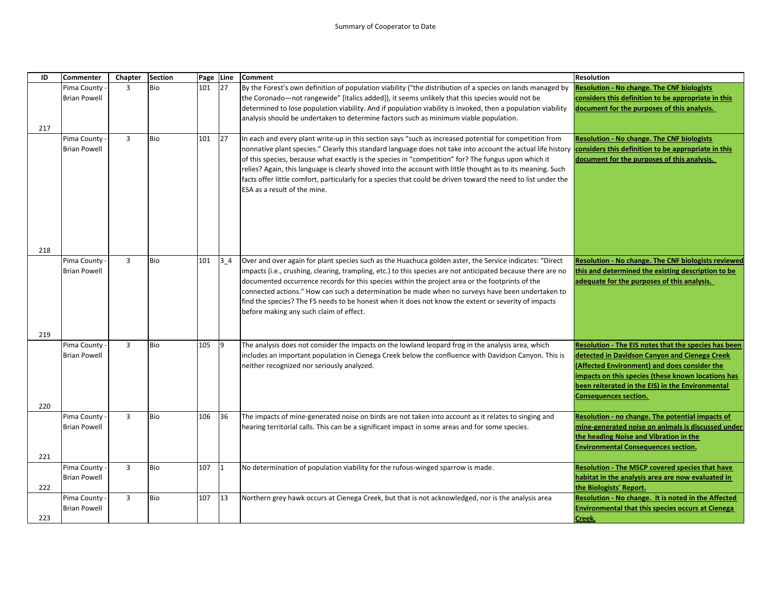| ID  | Commenter                          | Chapter        | <b>Section</b> | Page Line |             | <b>Comment</b>                                                                                                                                                                                                                                                                                                                                                                                                                                                                                                                                                                                                                                           | Resolution                                                                                                                                                                                                                                                                                      |
|-----|------------------------------------|----------------|----------------|-----------|-------------|----------------------------------------------------------------------------------------------------------------------------------------------------------------------------------------------------------------------------------------------------------------------------------------------------------------------------------------------------------------------------------------------------------------------------------------------------------------------------------------------------------------------------------------------------------------------------------------------------------------------------------------------------------|-------------------------------------------------------------------------------------------------------------------------------------------------------------------------------------------------------------------------------------------------------------------------------------------------|
|     | Pima County                        | $\overline{3}$ | <b>Bio</b>     | 101       | 127         | By the Forest's own definition of population viability ("the distribution of a species on lands managed by                                                                                                                                                                                                                                                                                                                                                                                                                                                                                                                                               | <b>Resolution - No change. The CNF biologists</b>                                                                                                                                                                                                                                               |
|     | <b>Brian Powell</b>                |                |                |           |             | the Coronado-not rangewide" [italics added]), it seems unlikely that this species would not be                                                                                                                                                                                                                                                                                                                                                                                                                                                                                                                                                           | considers this definition to be appropriate in this                                                                                                                                                                                                                                             |
|     |                                    |                |                |           |             | determined to lose population viability. And if population viability is invoked, then a population viability                                                                                                                                                                                                                                                                                                                                                                                                                                                                                                                                             | document for the purposes of this analysis.                                                                                                                                                                                                                                                     |
|     |                                    |                |                |           |             | analysis should be undertaken to determine factors such as minimum viable population.                                                                                                                                                                                                                                                                                                                                                                                                                                                                                                                                                                    |                                                                                                                                                                                                                                                                                                 |
| 217 |                                    |                |                |           |             |                                                                                                                                                                                                                                                                                                                                                                                                                                                                                                                                                                                                                                                          |                                                                                                                                                                                                                                                                                                 |
|     | Pima County<br><b>Brian Powell</b> | 3              | Bio            | 101       | 27          | In each and every plant write-up in this section says "such as increased potential for competition from<br>nonnative plant species." Clearly this standard language does not take into account the actual life history <b>considers this definition to be appropriate in this</b><br>of this species, because what exactly is the species in "competition" for? The fungus upon which it<br>relies? Again, this language is clearly shoved into the account with little thought as to its meaning. Such<br>facts offer little comfort, particularly for a species that could be driven toward the need to list under the<br>ESA as a result of the mine. | <b>Resolution - No change. The CNF biologists</b><br>document for the purposes of this analysis.                                                                                                                                                                                                |
| 218 |                                    |                |                |           |             |                                                                                                                                                                                                                                                                                                                                                                                                                                                                                                                                                                                                                                                          |                                                                                                                                                                                                                                                                                                 |
|     | Pima County<br><b>Brian Powell</b> | $\overline{3}$ | Bio            | 101       | $3-4$       | Over and over again for plant species such as the Huachuca golden aster, the Service indicates: "Direct<br>impacts (i.e., crushing, clearing, trampling, etc.) to this species are not anticipated because there are no<br>documented occurrence records for this species within the project area or the footprints of the<br>connected actions." How can such a determination be made when no surveys have been undertaken to<br>find the species? The FS needs to be honest when it does not know the extent or severity of impacts<br>before making any such claim of effect.                                                                         | <b>Resolution - No change. The CNF biologists reviewed</b><br>this and determined the existing description to be<br>adequate for the purposes of this analysis.                                                                                                                                 |
| 219 |                                    |                |                |           |             |                                                                                                                                                                                                                                                                                                                                                                                                                                                                                                                                                                                                                                                          |                                                                                                                                                                                                                                                                                                 |
|     | Pima County<br><b>Brian Powell</b> | $\overline{3}$ | Bio            | 105       | $\vert$ 9   | The analysis does not consider the impacts on the lowland leopard frog in the analysis area, which<br>includes an important population in Cienega Creek below the confluence with Davidson Canyon. This is<br>neither recognized nor seriously analyzed.                                                                                                                                                                                                                                                                                                                                                                                                 | Resolution - The EIS notes that the species has been<br>detected in Davidson Canyon and Cienega Creek<br>(Affected Environment) and does consider the<br>impacts on this species (these known locations has<br>been reiterated in the EIS) in the Environmental<br><b>Consequences section.</b> |
| 220 |                                    |                |                |           |             |                                                                                                                                                                                                                                                                                                                                                                                                                                                                                                                                                                                                                                                          |                                                                                                                                                                                                                                                                                                 |
| 221 | Pima County<br><b>Brian Powell</b> | 3              | Bio            | 106       | 36          | The impacts of mine-generated noise on birds are not taken into account as it relates to singing and<br>hearing territorial calls. This can be a significant impact in some areas and for some species.                                                                                                                                                                                                                                                                                                                                                                                                                                                  | Resolution - no change. The potential impacts of<br>mine-generated noise on animals is discussed under<br>the heading Noise and Vibration in the<br><b>Environmental Consequences section.</b>                                                                                                  |
|     | Pima County                        | $\overline{3}$ | Bio            | 107       | $ 1\rangle$ | No determination of population viability for the rufous-winged sparrow is made.                                                                                                                                                                                                                                                                                                                                                                                                                                                                                                                                                                          | Resolution - The MSCP covered species that have                                                                                                                                                                                                                                                 |
| 222 | <b>Brian Powell</b>                |                |                |           |             |                                                                                                                                                                                                                                                                                                                                                                                                                                                                                                                                                                                                                                                          | habitat in the analysis area are now evaluated in<br>the Biologists' Report.                                                                                                                                                                                                                    |
|     | Pima County<br><b>Brian Powell</b> | $\overline{3}$ | Bio            | 107       | 13          | Northern grey hawk occurs at Cienega Creek, but that is not acknowledged, nor is the analysis area                                                                                                                                                                                                                                                                                                                                                                                                                                                                                                                                                       | Resolution - No change. It is noted in the Affected<br><b>Environmental that this species occurs at Cienega</b>                                                                                                                                                                                 |
| 223 |                                    |                |                |           |             |                                                                                                                                                                                                                                                                                                                                                                                                                                                                                                                                                                                                                                                          | Creek.                                                                                                                                                                                                                                                                                          |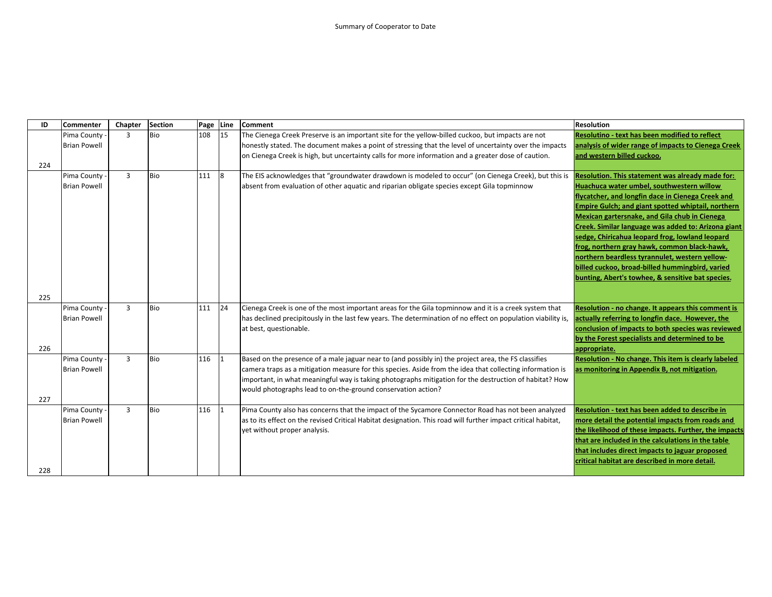| ID  | <b>Commenter</b>                     | Chapter        | <b>Section</b> | Page | Line | <b>Comment</b>                                                                                                                                                                                                                                                                                                                                                                              | <b>Resolution</b>                                                                                                                                                                                                                                                                                                                                                                                                                                                                                                                                                                    |
|-----|--------------------------------------|----------------|----------------|------|------|---------------------------------------------------------------------------------------------------------------------------------------------------------------------------------------------------------------------------------------------------------------------------------------------------------------------------------------------------------------------------------------------|--------------------------------------------------------------------------------------------------------------------------------------------------------------------------------------------------------------------------------------------------------------------------------------------------------------------------------------------------------------------------------------------------------------------------------------------------------------------------------------------------------------------------------------------------------------------------------------|
|     | Pima County<br><b>Brian Powell</b>   | $\overline{3}$ | <b>Bio</b>     | 108  | 15   | The Cienega Creek Preserve is an important site for the yellow-billed cuckoo, but impacts are not<br>honestly stated. The document makes a point of stressing that the level of uncertainty over the impacts                                                                                                                                                                                | Resolutino - text has been modified to reflect<br>analysis of wider range of impacts to Cienega Creek                                                                                                                                                                                                                                                                                                                                                                                                                                                                                |
|     |                                      |                |                |      |      | on Cienega Creek is high, but uncertainty calls for more information and a greater dose of caution.                                                                                                                                                                                                                                                                                         | and western billed cuckoo.                                                                                                                                                                                                                                                                                                                                                                                                                                                                                                                                                           |
| 224 |                                      |                |                |      |      |                                                                                                                                                                                                                                                                                                                                                                                             |                                                                                                                                                                                                                                                                                                                                                                                                                                                                                                                                                                                      |
|     | Pima County -<br><b>Brian Powell</b> | $\overline{3}$ | <b>Bio</b>     | 111  | 8    | The EIS acknowledges that "groundwater drawdown is modeled to occur" (on Cienega Creek), but this is<br>absent from evaluation of other aquatic and riparian obligate species except Gila topminnow                                                                                                                                                                                         | Resolution. This statement was already made for:<br>Huachuca water umbel, southwestern willow<br>flycatcher, and longfin dace in Cienega Creek and<br><b>Empire Gulch; and giant spotted whiptail, northern</b><br>Mexican gartersnake, and Gila chub in Cienega<br>Creek. Similar language was added to: Arizona giant<br>sedge, Chiricahua leopard frog, lowland leopard<br>frog, northern gray hawk, common black-hawk,<br>northern beardless tyrannulet, western yellow-<br>billed cuckoo, broad-billed hummingbird, varied<br>bunting, Abert's towhee, & sensitive bat species. |
| 225 |                                      |                |                |      |      |                                                                                                                                                                                                                                                                                                                                                                                             |                                                                                                                                                                                                                                                                                                                                                                                                                                                                                                                                                                                      |
| 226 | Pima County -<br><b>Brian Powell</b> | $\overline{3}$ | <b>Bio</b>     | 111  | 24   | Cienega Creek is one of the most important areas for the Gila topminnow and it is a creek system that<br>has declined precipitously in the last few years. The determination of no effect on population viability is,<br>at best, questionable.                                                                                                                                             | Resolution - no change. It appears this comment is<br>actually referring to longfin dace. However, the<br>conclusion of impacts to both species was reviewed<br>by the Forest specialists and determined to be<br>appropriate.                                                                                                                                                                                                                                                                                                                                                       |
| 227 | Pima County<br><b>Brian Powell</b>   | $\overline{3}$ | <b>Bio</b>     | 116  |      | Based on the presence of a male jaguar near to (and possibly in) the project area, the FS classifies<br>camera traps as a mitigation measure for this species. Aside from the idea that collecting information is<br>important, in what meaningful way is taking photographs mitigation for the destruction of habitat? How<br>would photographs lead to on-the-ground conservation action? | Resolution - No change. This item is clearly labeled<br>as monitoring in Appendix B, not mitigation.                                                                                                                                                                                                                                                                                                                                                                                                                                                                                 |
| 228 | Pima County -<br><b>Brian Powell</b> | $\overline{3}$ | <b>Bio</b>     | 116  |      | Pima County also has concerns that the impact of the Sycamore Connector Road has not been analyzed<br>as to its effect on the revised Critical Habitat designation. This road will further impact critical habitat,<br>yet without proper analysis.                                                                                                                                         | Resolution - text has been added to describe in<br>more detail the potential impacts from roads and<br>the likelihood of these impacts. Further, the impacts<br>that are included in the calculations in the table<br>that includes direct impacts to jaguar proposed<br>critical habitat are described in more detail.                                                                                                                                                                                                                                                              |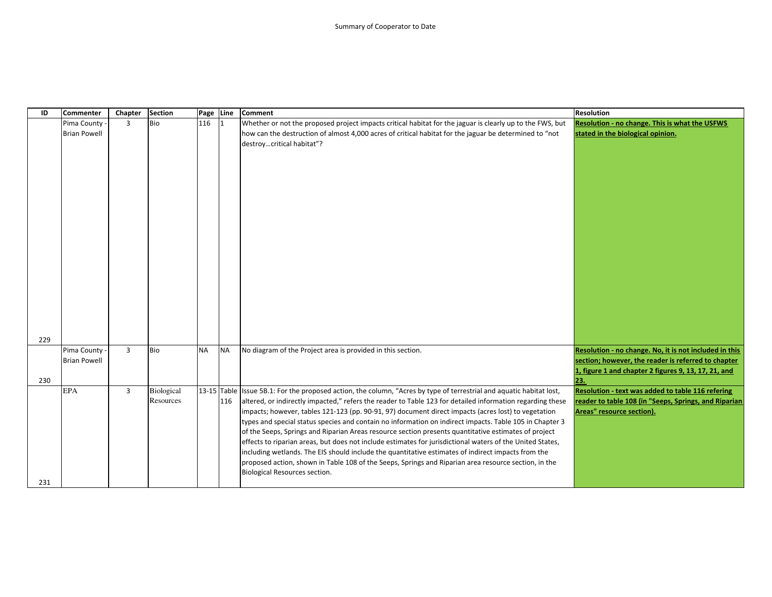| ID  | <b>Commenter</b>    | Chapter        | <b>Section</b> | Page Line |           | <b>Comment</b>                                                                                                                                                                                                  | <b>Resolution</b>                                      |
|-----|---------------------|----------------|----------------|-----------|-----------|-----------------------------------------------------------------------------------------------------------------------------------------------------------------------------------------------------------------|--------------------------------------------------------|
|     | Pima County         | $\overline{3}$ | <b>Bio</b>     | 116       |           | Whether or not the proposed project impacts critical habitat for the jaguar is clearly up to the FWS, but                                                                                                       | Resolution - no change. This is what the USFWS         |
|     | <b>Brian Powell</b> |                |                |           |           | how can the destruction of almost 4,000 acres of critical habitat for the jaguar be determined to "not                                                                                                          | stated in the biological opinion.                      |
|     |                     |                |                |           |           | destroycritical habitat"?                                                                                                                                                                                       |                                                        |
|     |                     |                |                |           |           |                                                                                                                                                                                                                 |                                                        |
|     |                     |                |                |           |           |                                                                                                                                                                                                                 |                                                        |
|     |                     |                |                |           |           |                                                                                                                                                                                                                 |                                                        |
|     |                     |                |                |           |           |                                                                                                                                                                                                                 |                                                        |
|     |                     |                |                |           |           |                                                                                                                                                                                                                 |                                                        |
|     |                     |                |                |           |           |                                                                                                                                                                                                                 |                                                        |
|     |                     |                |                |           |           |                                                                                                                                                                                                                 |                                                        |
|     |                     |                |                |           |           |                                                                                                                                                                                                                 |                                                        |
|     |                     |                |                |           |           |                                                                                                                                                                                                                 |                                                        |
|     |                     |                |                |           |           |                                                                                                                                                                                                                 |                                                        |
|     |                     |                |                |           |           |                                                                                                                                                                                                                 |                                                        |
|     |                     |                |                |           |           |                                                                                                                                                                                                                 |                                                        |
|     |                     |                |                |           |           |                                                                                                                                                                                                                 |                                                        |
|     |                     |                |                |           |           |                                                                                                                                                                                                                 |                                                        |
|     |                     |                |                |           |           |                                                                                                                                                                                                                 |                                                        |
|     |                     |                |                |           |           |                                                                                                                                                                                                                 |                                                        |
|     |                     |                |                |           |           |                                                                                                                                                                                                                 |                                                        |
| 229 |                     |                |                |           |           |                                                                                                                                                                                                                 |                                                        |
|     | Pima County -       | $\overline{3}$ | <b>Bio</b>     | <b>NA</b> | <b>NA</b> | No diagram of the Project area is provided in this section.                                                                                                                                                     | Resolution - no change. No, it is not included in this |
|     | <b>Brian Powell</b> |                |                |           |           |                                                                                                                                                                                                                 | section; however, the reader is referred to chapter    |
|     |                     |                |                |           |           |                                                                                                                                                                                                                 | 1, figure 1 and chapter 2 figures 9, 13, 17, 21, and   |
| 230 |                     |                |                |           |           |                                                                                                                                                                                                                 | 23.                                                    |
|     | <b>EPA</b>          | $\overline{3}$ | Biological     |           |           | 13-15 Table Issue 5B.1: For the proposed action, the column, "Acres by type of terrestrial and aquatic habitat lost,                                                                                            | Resolution - text was added to table 116 refering      |
|     |                     |                | Resources      |           | 116       | altered, or indirectly impacted," refers the reader to Table 123 for detailed information regarding these                                                                                                       | reader to table 108 (in "Seeps, Springs, and Riparian  |
|     |                     |                |                |           |           | impacts; however, tables 121-123 (pp. 90-91, 97) document direct impacts (acres lost) to vegetation                                                                                                             | Areas" resource section).                              |
|     |                     |                |                |           |           | types and special status species and contain no information on indirect impacts. Table 105 in Chapter 3                                                                                                         |                                                        |
|     |                     |                |                |           |           | of the Seeps, Springs and Riparian Areas resource section presents quantitative estimates of project                                                                                                            |                                                        |
|     |                     |                |                |           |           | effects to riparian areas, but does not include estimates for jurisdictional waters of the United States,<br>including wetlands. The EIS should include the quantitative estimates of indirect impacts from the |                                                        |
|     |                     |                |                |           |           | proposed action, shown in Table 108 of the Seeps, Springs and Riparian area resource section, in the                                                                                                            |                                                        |
|     |                     |                |                |           |           | Biological Resources section.                                                                                                                                                                                   |                                                        |
| 231 |                     |                |                |           |           |                                                                                                                                                                                                                 |                                                        |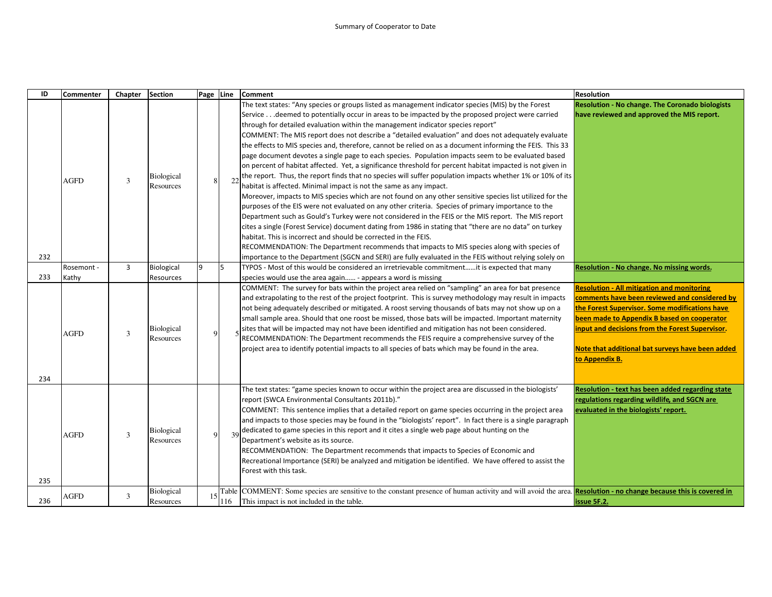| ID  | <b>Commenter</b>    | Chapter | <b>Section</b>                 | Page Line   |     | <b>Comment</b>                                                                                                                                                                                                                                                                                                                                                                                                                                                                                                                                                                                                                                                                                                                                                                                                                                                                                                                                                                                                                                                                                                                                                                                                                                                                                                                                                                                                                                                                                                             | <b>Resolution</b>                                                                                                                                                                                                                                                                                                            |
|-----|---------------------|---------|--------------------------------|-------------|-----|----------------------------------------------------------------------------------------------------------------------------------------------------------------------------------------------------------------------------------------------------------------------------------------------------------------------------------------------------------------------------------------------------------------------------------------------------------------------------------------------------------------------------------------------------------------------------------------------------------------------------------------------------------------------------------------------------------------------------------------------------------------------------------------------------------------------------------------------------------------------------------------------------------------------------------------------------------------------------------------------------------------------------------------------------------------------------------------------------------------------------------------------------------------------------------------------------------------------------------------------------------------------------------------------------------------------------------------------------------------------------------------------------------------------------------------------------------------------------------------------------------------------------|------------------------------------------------------------------------------------------------------------------------------------------------------------------------------------------------------------------------------------------------------------------------------------------------------------------------------|
|     | AGFD                | 3       | <b>Biological</b><br>Resources | 8           | 22  | The text states: "Any species or groups listed as management indicator species (MIS) by the Forest<br>Service deemed to potentially occur in areas to be impacted by the proposed project were carried<br>through for detailed evaluation within the management indicator species report"<br>COMMENT: The MIS report does not describe a "detailed evaluation" and does not adequately evaluate<br>the effects to MIS species and, therefore, cannot be relied on as a document informing the FEIS. This 33<br>page document devotes a single page to each species. Population impacts seem to be evaluated based<br>on percent of habitat affected. Yet, a significance threshold for percent habitat impacted is not given in<br>the report. Thus, the report finds that no species will suffer population impacts whether 1% or 10% of its<br>habitat is affected. Minimal impact is not the same as any impact.<br>Moreover, impacts to MIS species which are not found on any other sensitive species list utilized for the<br>purposes of the EIS were not evaluated on any other criteria. Species of primary importance to the<br>Department such as Gould's Turkey were not considered in the FEIS or the MIS report. The MIS report<br>cites a single (Forest Service) document dating from 1986 in stating that "there are no data" on turkey<br>habitat. This is incorrect and should be corrected in the FEIS.<br>RECOMMENDATION: The Department recommends that impacts to MIS species along with species of | <b>Resolution - No change. The Coronado biologists</b><br>have reviewed and approved the MIS report.                                                                                                                                                                                                                         |
| 232 |                     |         |                                |             |     | importance to the Department (SGCN and SERI) are fully evaluated in the FEIS without relying solely on                                                                                                                                                                                                                                                                                                                                                                                                                                                                                                                                                                                                                                                                                                                                                                                                                                                                                                                                                                                                                                                                                                                                                                                                                                                                                                                                                                                                                     |                                                                                                                                                                                                                                                                                                                              |
| 233 | Rosemont -<br>Kathy | 3       | Biological<br>Resources        | 9           | 5   | TYPOS - Most of this would be considered an irretrievable commitmentit is expected that many<br>species would use the area again - appears a word is missing                                                                                                                                                                                                                                                                                                                                                                                                                                                                                                                                                                                                                                                                                                                                                                                                                                                                                                                                                                                                                                                                                                                                                                                                                                                                                                                                                               | <b>Resolution - No change. No missing words.</b>                                                                                                                                                                                                                                                                             |
| 234 | AGFD                | 3       | <b>Biological</b><br>Resources | 9           |     | COMMENT: The survey for bats within the project area relied on "sampling" an area for bat presence<br>and extrapolating to the rest of the project footprint. This is survey methodology may result in impacts<br>not being adequately described or mitigated. A roost serving thousands of bats may not show up on a<br>small sample area. Should that one roost be missed, those bats will be impacted. Important maternity<br>sites that will be impacted may not have been identified and mitigation has not been considered.<br>RECOMMENDATION: The Department recommends the FEIS require a comprehensive survey of the<br>project area to identify potential impacts to all species of bats which may be found in the area.                                                                                                                                                                                                                                                                                                                                                                                                                                                                                                                                                                                                                                                                                                                                                                                         | <b>Resolution - All mitigation and monitoring</b><br>comments have been reviewed and considered by<br>the Forest Supervisor. Some modifications have<br>been made to Appendix B based on cooperator<br>input and decisions from the Forest Supervisor.<br>Note that additional bat surveys have been added<br>to Appendix B. |
| 235 | AGFD                | 3       | Biological<br>Resources        | $\mathbf Q$ | 39  | The text states: "game species known to occur within the project area are discussed in the biologists'<br>report (SWCA Environmental Consultants 2011b)."<br>COMMENT: This sentence implies that a detailed report on game species occurring in the project area<br>and impacts to those species may be found in the "biologists' report". In fact there is a single paragraph<br>dedicated to game species in this report and it cites a single web page about hunting on the<br>Department's website as its source.<br>RECOMMENDATION: The Department recommends that impacts to Species of Economic and<br>Recreational Importance (SERI) be analyzed and mitigation be identified. We have offered to assist the<br>Forest with this task.                                                                                                                                                                                                                                                                                                                                                                                                                                                                                                                                                                                                                                                                                                                                                                             | Resolution - text has been added regarding state<br>regulations regarding wildlife, and SGCN are<br>evaluated in the biologists' report.                                                                                                                                                                                     |
| 236 | AGFD                | 3       | <b>Biological</b><br>Resources | 15          | 116 | Table COMMENT: Some species are sensitive to the constant presence of human activity and will avoid the area. Resolution - no change because this is covered in<br>This impact is not included in the table.                                                                                                                                                                                                                                                                                                                                                                                                                                                                                                                                                                                                                                                                                                                                                                                                                                                                                                                                                                                                                                                                                                                                                                                                                                                                                                               | issue 5F.2.                                                                                                                                                                                                                                                                                                                  |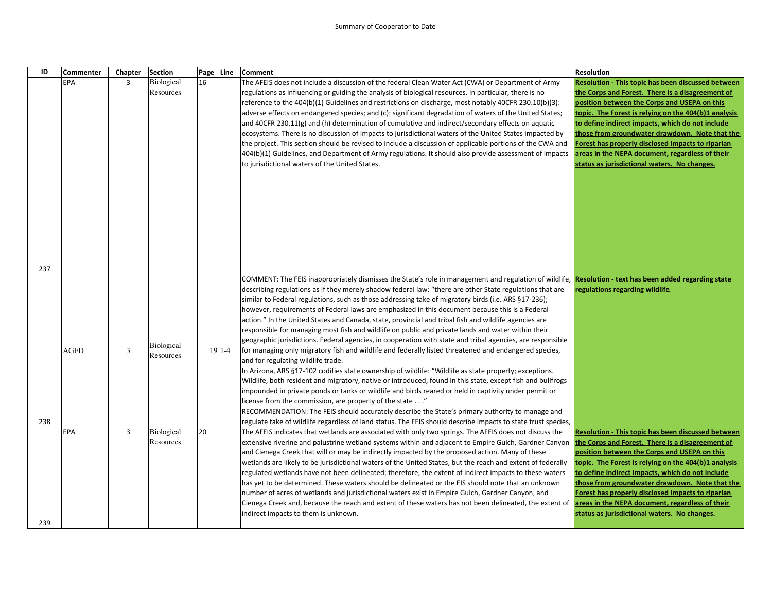## Summary of Cooperator to Date

| ID         | <b>Commenter</b> | Chapter        | <b>Section</b>                 |    | Page Line  | <b>Comment</b>                                                                                                                                                                                                                                                                                                                                                                                                                                                                                                                                                                                                                                                                                                                                                                                                                                                                                                                                                                                                                                                                                                                                                                                                                                                                                                                                                                                                                                                                                                                | <b>Resolution</b>                                                                                                                                                                                                                                                                                                                                                                                                                                                            |
|------------|------------------|----------------|--------------------------------|----|------------|-------------------------------------------------------------------------------------------------------------------------------------------------------------------------------------------------------------------------------------------------------------------------------------------------------------------------------------------------------------------------------------------------------------------------------------------------------------------------------------------------------------------------------------------------------------------------------------------------------------------------------------------------------------------------------------------------------------------------------------------------------------------------------------------------------------------------------------------------------------------------------------------------------------------------------------------------------------------------------------------------------------------------------------------------------------------------------------------------------------------------------------------------------------------------------------------------------------------------------------------------------------------------------------------------------------------------------------------------------------------------------------------------------------------------------------------------------------------------------------------------------------------------------|------------------------------------------------------------------------------------------------------------------------------------------------------------------------------------------------------------------------------------------------------------------------------------------------------------------------------------------------------------------------------------------------------------------------------------------------------------------------------|
|            | EPA              | $\overline{3}$ | Biological<br>Resources        | 16 |            | The AFEIS does not include a discussion of the federal Clean Water Act (CWA) or Department of Army<br>regulations as influencing or guiding the analysis of biological resources. In particular, there is no<br>reference to the 404(b)(1) Guidelines and restrictions on discharge, most notably 40CFR 230.10(b)(3):<br>adverse effects on endangered species; and (c): significant degradation of waters of the United States;<br>and 40CFR 230.11(g) and (h) determination of cumulative and indirect/secondary effects on aquatic<br>ecosystems. There is no discussion of impacts to jurisdictional waters of the United States impacted by<br>the project. This section should be revised to include a discussion of applicable portions of the CWA and<br>404(b)(1) Guidelines, and Department of Army regulations. It should also provide assessment of impacts<br>to jurisdictional waters of the United States.                                                                                                                                                                                                                                                                                                                                                                                                                                                                                                                                                                                                     | Resolution - This topic has been discussed between<br>the Corps and Forest. There is a disagreement of<br>position between the Corps and USEPA on this<br>topic. The Forest is relying on the 404(b)1 analysis<br>to define indirect impacts, which do not include<br>those from groundwater drawdown. Note that the<br>Forest has properly disclosed impacts to riparian<br>areas in the NEPA document, regardless of their<br>status as jurisdictional waters. No changes. |
| 237<br>238 | AGFD             | 3              | <b>Biological</b><br>Resources |    | $191 - -4$ | COMMENT: The FEIS inappropriately dismisses the State's role in management and regulation of wildlife,<br>describing regulations as if they merely shadow federal law: "there are other State regulations that are<br>similar to Federal regulations, such as those addressing take of migratory birds (i.e. ARS §17-236);<br>however, requirements of Federal laws are emphasized in this document because this is a Federal<br>action." In the United States and Canada, state, provincial and tribal fish and wildlife agencies are<br>responsible for managing most fish and wildlife on public and private lands and water within their<br>geographic jurisdictions. Federal agencies, in cooperation with state and tribal agencies, are responsible<br>for managing only migratory fish and wildlife and federally listed threatened and endangered species,<br>and for regulating wildlife trade.<br>In Arizona, ARS §17-102 codifies state ownership of wildlife: "Wildlife as state property; exceptions.<br>Wildlife, both resident and migratory, native or introduced, found in this state, except fish and bullfrogs<br>impounded in private ponds or tanks or wildlife and birds reared or held in captivity under permit or<br>" license from the commission, are property of the state "<br>RECOMMENDATION: The FEIS should accurately describe the State's primary authority to manage and<br>regulate take of wildlife regardless of land status. The FEIS should describe impacts to state trust species, | Resolution - text has been added regarding state<br>regulations regarding wildlife.                                                                                                                                                                                                                                                                                                                                                                                          |
| 239        | EPA              | 3              | <b>Biological</b><br>Resources | 20 |            | The AFEIS indicates that wetlands are associated with only two springs. The AFEIS does not discuss the<br>extensive riverine and palustrine wetland systems within and adjacent to Empire Gulch, Gardner Canyon<br>and Cienega Creek that will or may be indirectly impacted by the proposed action. Many of these<br>wetlands are likely to be jurisdictional waters of the United States, but the reach and extent of federally<br>regulated wetlands have not been delineated; therefore, the extent of indirect impacts to these waters<br>has yet to be determined. These waters should be delineated or the EIS should note that an unknown<br>number of acres of wetlands and jurisdictional waters exist in Empire Gulch, Gardner Canyon, and<br>Cienega Creek and, because the reach and extent of these waters has not been delineated, the extent of<br>indirect impacts to them is unknown.                                                                                                                                                                                                                                                                                                                                                                                                                                                                                                                                                                                                                       | Resolution - This topic has been discussed between<br>the Corps and Forest. There is a disagreement of<br>position between the Corps and USEPA on this<br>topic. The Forest is relying on the 404(b)1 analysis<br>to define indirect impacts, which do not include<br>those from groundwater drawdown. Note that the<br>Forest has properly disclosed impacts to riparian<br>areas in the NEPA document, regardless of their<br>status as jurisdictional waters. No changes. |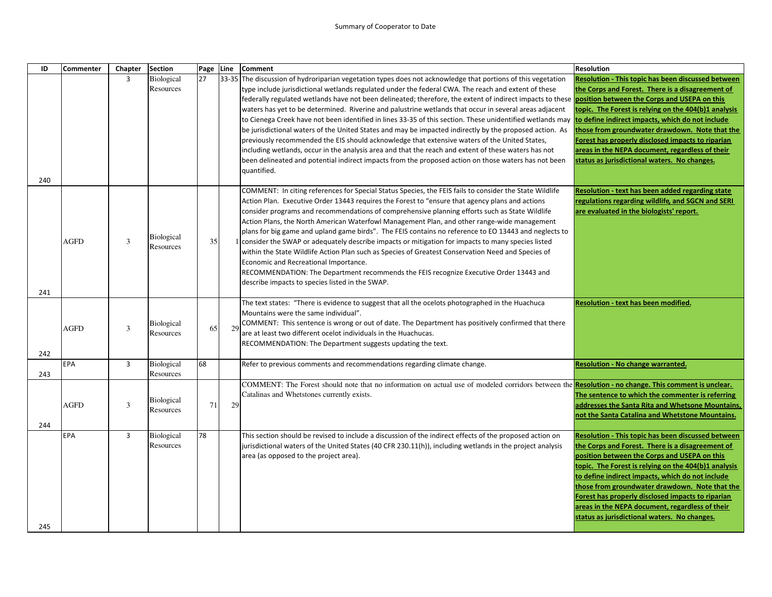## Summary of Cooperator to Date

| ID  | Commenter | Chapter        | Section                        | Page Line |    | <b>Comment</b>                                                                                                                                                | <b>Resolution</b>                                    |
|-----|-----------|----------------|--------------------------------|-----------|----|---------------------------------------------------------------------------------------------------------------------------------------------------------------|------------------------------------------------------|
|     |           | 3              | Biological                     | 27        |    | 33-35 The discussion of hydroriparian vegetation types does not acknowledge that portions of this vegetation                                                  | Resolution - This topic has been discussed between   |
|     |           |                | Resources                      |           |    | type include jurisdictional wetlands regulated under the federal CWA. The reach and extent of these                                                           | the Corps and Forest. There is a disagreement of     |
|     |           |                |                                |           |    | federally regulated wetlands have not been delineated; therefore, the extent of indirect impacts to these <b>position between the Corps and USEPA on this</b> |                                                      |
|     |           |                |                                |           |    | waters has yet to be determined. Riverine and palustrine wetlands that occur in several areas adjacent                                                        | topic. The Forest is relying on the 404(b)1 analysis |
|     |           |                |                                |           |    | to Cienega Creek have not been identified in lines 33-35 of this section. These unidentified wetlands may                                                     | to define indirect impacts, which do not include     |
|     |           |                |                                |           |    | be jurisdictional waters of the United States and may be impacted indirectly by the proposed action. As                                                       | those from groundwater drawdown. Note that the       |
|     |           |                |                                |           |    | previously recommended the EIS should acknowledge that extensive waters of the United States,                                                                 | Forest has properly disclosed impacts to riparian    |
|     |           |                |                                |           |    | including wetlands, occur in the analysis area and that the reach and extent of these waters has not                                                          | areas in the NEPA document, regardless of their      |
|     |           |                |                                |           |    | been delineated and potential indirect impacts from the proposed action on those waters has not been                                                          | status as jurisdictional waters. No changes.         |
|     |           |                |                                |           |    | quantified.                                                                                                                                                   |                                                      |
| 240 |           |                |                                |           |    |                                                                                                                                                               |                                                      |
|     |           |                |                                |           |    | COMMENT: In citing references for Special Status Species, the FEIS fails to consider the State Wildlife                                                       | Resolution - text has been added regarding state     |
|     |           |                |                                |           |    | Action Plan. Executive Order 13443 requires the Forest to "ensure that agency plans and actions                                                               | regulations regarding wildlife, and SGCN and SERI    |
|     |           |                |                                |           |    | consider programs and recommendations of comprehensive planning efforts such as State Wildlife                                                                | are evaluated in the biologists' report.             |
|     |           |                |                                |           |    | Action Plans, the North American Waterfowl Management Plan, and other range-wide management                                                                   |                                                      |
|     |           |                | <b>Biological</b>              |           |    | plans for big game and upland game birds". The FEIS contains no reference to EO 13443 and neglects to                                                         |                                                      |
|     | AGFD      | 3              | Resources                      | 35        |    | 1 consider the SWAP or adequately describe impacts or mitigation for impacts to many species listed                                                           |                                                      |
|     |           |                |                                |           |    | within the State Wildlife Action Plan such as Species of Greatest Conservation Need and Species of                                                            |                                                      |
|     |           |                |                                |           |    | Economic and Recreational Importance.                                                                                                                         |                                                      |
|     |           |                |                                |           |    | RECOMMENDATION: The Department recommends the FEIS recognize Executive Order 13443 and                                                                        |                                                      |
| 241 |           |                |                                |           |    | describe impacts to species listed in the SWAP.                                                                                                               |                                                      |
|     |           |                |                                |           |    | The text states: "There is evidence to suggest that all the ocelots photographed in the Huachuca                                                              | Resolution - text has been modified.                 |
|     |           |                |                                |           |    | Mountains were the same individual".                                                                                                                          |                                                      |
|     |           |                | Biological                     |           |    | COMMENT: This sentence is wrong or out of date. The Department has positively confirmed that there                                                            |                                                      |
|     | AGFD      | 3              | Resources                      | 65        | 29 | are at least two different ocelot individuals in the Huachucas.                                                                                               |                                                      |
|     |           |                |                                |           |    | RECOMMENDATION: The Department suggests updating the text.                                                                                                    |                                                      |
| 242 |           |                |                                |           |    |                                                                                                                                                               |                                                      |
|     | EPA       | $\overline{3}$ | Biological                     | 68        |    | Refer to previous comments and recommendations regarding climate change.                                                                                      | <b>Resolution - No change warranted.</b>             |
| 243 |           |                | Resources                      |           |    |                                                                                                                                                               |                                                      |
|     |           |                |                                |           |    | COMMENT: The Forest should note that no information on actual use of modeled corridors between the <b>Resolution - no change. This comment is unclear.</b>    |                                                      |
|     |           |                |                                |           |    | Catalinas and Whetstones currently exists.                                                                                                                    | The sentence to which the commenter is referring     |
|     | AGFD      | 3              | <b>Biological</b><br>Resources | 71        | 29 |                                                                                                                                                               | addresses the Santa Rita and Whetsone Mountains,     |
|     |           |                |                                |           |    |                                                                                                                                                               | not the Santa Catalina and Whetstone Mountains.      |
| 244 |           |                |                                |           |    |                                                                                                                                                               |                                                      |
|     | EPA       | 3              | Biological                     | 78        |    | This section should be revised to include a discussion of the indirect effects of the proposed action on                                                      | Resolution - This topic has been discussed between   |
|     |           |                | Resources                      |           |    | [jurisdictional waters of the United States (40 CFR 230.11(h)), including wetlands in the project analysis                                                    | the Corps and Forest. There is a disagreement of     |
|     |           |                |                                |           |    | area (as opposed to the project area).                                                                                                                        | position between the Corps and USEPA on this         |
|     |           |                |                                |           |    |                                                                                                                                                               | topic. The Forest is relying on the 404(b)1 analysis |
|     |           |                |                                |           |    |                                                                                                                                                               | to define indirect impacts, which do not include     |
|     |           |                |                                |           |    |                                                                                                                                                               | those from groundwater drawdown. Note that the       |
|     |           |                |                                |           |    |                                                                                                                                                               | Forest has properly disclosed impacts to riparian    |
|     |           |                |                                |           |    |                                                                                                                                                               | areas in the NEPA document, regardless of their      |
| 245 |           |                |                                |           |    |                                                                                                                                                               | status as jurisdictional waters. No changes.         |
|     |           |                |                                |           |    |                                                                                                                                                               |                                                      |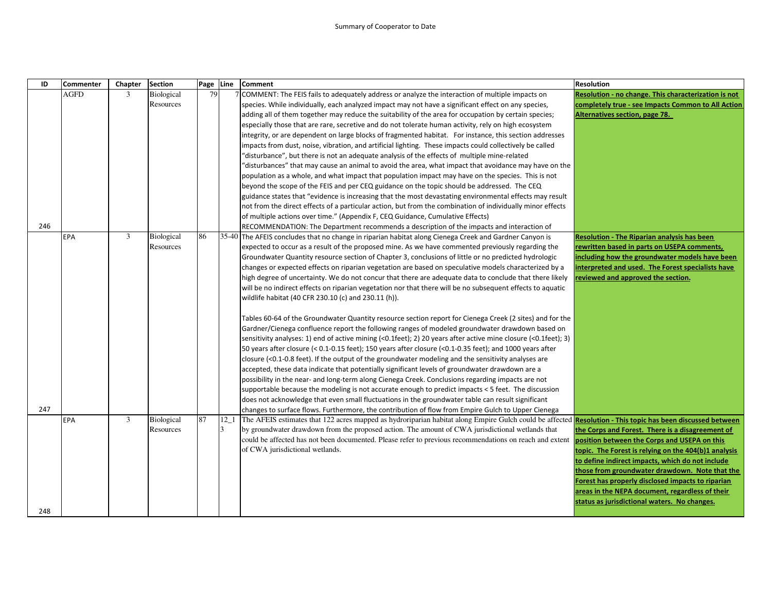## Summary of Cooperator to Date

| ID  | <b>Commenter</b> | Chapter        | Section    |    | Page Line | <b>Comment</b>                                                                                                                                                    | <b>Resolution</b>                                    |
|-----|------------------|----------------|------------|----|-----------|-------------------------------------------------------------------------------------------------------------------------------------------------------------------|------------------------------------------------------|
|     | <b>AGFD</b>      | $\mathfrak{Z}$ | Biological | 79 |           | COMMENT: The FEIS fails to adequately address or analyze the interaction of multiple impacts on                                                                   | Resolution - no change. This characterization is not |
|     |                  |                | Resources  |    |           | species. While individually, each analyzed impact may not have a significant effect on any species,                                                               | completely true - see Impacts Common to All Action   |
|     |                  |                |            |    |           | adding all of them together may reduce the suitability of the area for occupation by certain species;                                                             | Alternatives section, page 78.                       |
|     |                  |                |            |    |           | especially those that are rare, secretive and do not tolerate human activity, rely on high ecosystem                                                              |                                                      |
|     |                  |                |            |    |           | integrity, or are dependent on large blocks of fragmented habitat. For instance, this section addresses                                                           |                                                      |
|     |                  |                |            |    |           | impacts from dust, noise, vibration, and artificial lighting. These impacts could collectively be called                                                          |                                                      |
|     |                  |                |            |    |           | "disturbance", but there is not an adequate analysis of the effects of multiple mine-related                                                                      |                                                      |
|     |                  |                |            |    |           | disturbances" that may cause an animal to avoid the area, what impact that avoidance may have on the                                                              |                                                      |
|     |                  |                |            |    |           | population as a whole, and what impact that population impact may have on the species. This is not                                                                |                                                      |
|     |                  |                |            |    |           | beyond the scope of the FEIS and per CEQ guidance on the topic should be addressed. The CEQ                                                                       |                                                      |
|     |                  |                |            |    |           | guidance states that "evidence is increasing that the most devastating environmental effects may result                                                           |                                                      |
|     |                  |                |            |    |           | not from the direct effects of a particular action, but from the combination of individually minor effects                                                        |                                                      |
|     |                  |                |            |    |           | of multiple actions over time." (Appendix F, CEQ Guidance, Cumulative Effects)                                                                                    |                                                      |
| 246 |                  |                |            |    |           | RECOMMENDATION: The Department recommends a description of the impacts and interaction of                                                                         |                                                      |
|     | <b>EPA</b>       | 3              | Biological | 86 | 35-40     | The AFEIS concludes that no change in riparian habitat along Cienega Creek and Gardner Canyon is                                                                  | <b>Resolution - The Riparian analysis has been</b>   |
|     |                  |                | Resources  |    |           | expected to occur as a result of the proposed mine. As we have commented previously regarding the                                                                 | rewritten based in parts on USEPA comments,          |
|     |                  |                |            |    |           | Groundwater Quantity resource section of Chapter 3, conclusions of little or no predicted hydrologic                                                              | including how the groundwater models have been       |
|     |                  |                |            |    |           | changes or expected effects on riparian vegetation are based on speculative models characterized by a                                                             | interpreted and used. The Forest specialists have    |
|     |                  |                |            |    |           | high degree of uncertainty. We do not concur that there are adequate data to conclude that there likely                                                           | reviewed and approved the section.                   |
|     |                  |                |            |    |           | will be no indirect effects on riparian vegetation nor that there will be no subsequent effects to aquatic                                                        |                                                      |
|     |                  |                |            |    |           | wildlife habitat (40 CFR 230.10 (c) and 230.11 (h)).                                                                                                              |                                                      |
|     |                  |                |            |    |           | Tables 60-64 of the Groundwater Quantity resource section report for Cienega Creek (2 sites) and for the                                                          |                                                      |
|     |                  |                |            |    |           | Gardner/Cienega confluence report the following ranges of modeled groundwater drawdown based on                                                                   |                                                      |
|     |                  |                |            |    |           | sensitivity analyses: 1) end of active mining (<0.1feet); 2) 20 years after active mine closure (<0.1feet); 3)                                                    |                                                      |
|     |                  |                |            |    |           | 50 years after closure (< 0.1-0.15 feet); 150 years after closure (<0.1-0.35 feet); and 1000 years after                                                          |                                                      |
|     |                  |                |            |    |           | closure (<0.1-0.8 feet). If the output of the groundwater modeling and the sensitivity analyses are                                                               |                                                      |
|     |                  |                |            |    |           | accepted, these data indicate that potentially significant levels of groundwater drawdown are a                                                                   |                                                      |
|     |                  |                |            |    |           | possibility in the near- and long-term along Cienega Creek. Conclusions regarding impacts are not                                                                 |                                                      |
|     |                  |                |            |    |           | supportable because the modeling is not accurate enough to predict impacts < 5 feet. The discussion                                                               |                                                      |
|     |                  |                |            |    |           | does not acknowledge that even small fluctuations in the groundwater table can result significant                                                                 |                                                      |
| 247 |                  |                |            |    |           | changes to surface flows. Furthermore, the contribution of flow from Empire Gulch to Upper Cienega                                                                |                                                      |
|     | <b>EPA</b>       | 3              | Biological | 87 | $12-1$    | The AFEIS estimates that 122 acres mapped as hydroriparian habitat along Empire Gulch could be affected <b>Resolution - This topic has been discussed between</b> |                                                      |
|     |                  |                | Resources  |    | 3         | by groundwater drawdown from the proposed action. The amount of CWA jurisdictional wetlands that                                                                  | the Corps and Forest. There is a disagreement of     |
|     |                  |                |            |    |           | could be affected has not been documented. Please refer to previous recommendations on reach and extent position between the Corps and USEPA on this              |                                                      |
|     |                  |                |            |    |           | of CWA jurisdictional wetlands.                                                                                                                                   | topic. The Forest is relying on the 404(b)1 analysis |
|     |                  |                |            |    |           |                                                                                                                                                                   | to define indirect impacts, which do not include     |
|     |                  |                |            |    |           |                                                                                                                                                                   | those from groundwater drawdown. Note that the       |
|     |                  |                |            |    |           |                                                                                                                                                                   | Forest has properly disclosed impacts to riparian    |
|     |                  |                |            |    |           |                                                                                                                                                                   | areas in the NEPA document, regardless of their      |
|     |                  |                |            |    |           |                                                                                                                                                                   | status as jurisdictional waters. No changes.         |
| 248 |                  |                |            |    |           |                                                                                                                                                                   |                                                      |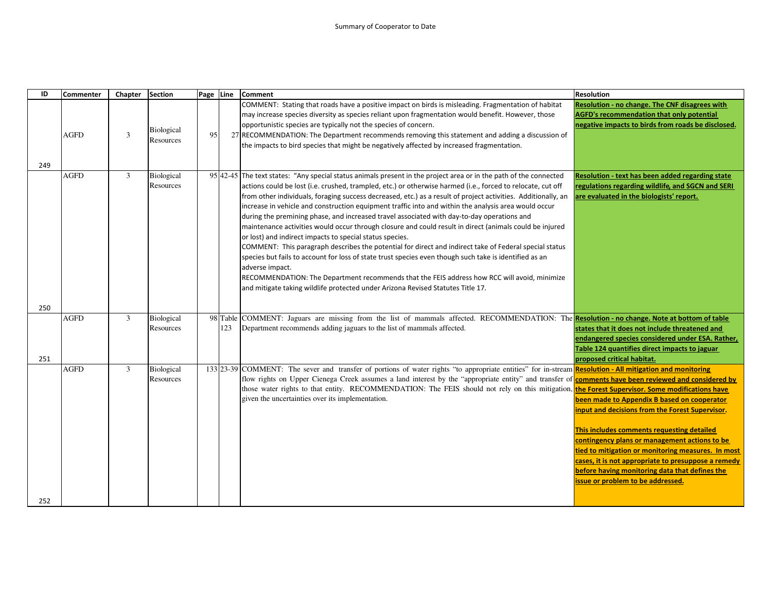| ID  | <b>Commenter</b> | Chapter        | <b>Section</b>          | Page Line |                 | Comment                                                                                                                                                                                                                                                                                                                                                                                                                                                                                                                                                                                                                                                                                                                                                                                                                                                                                                                                                                                                                                                                                                                                                  | <b>Resolution</b>                                                                                                                                                                                                                                                                                                                                                                                 |
|-----|------------------|----------------|-------------------------|-----------|-----------------|----------------------------------------------------------------------------------------------------------------------------------------------------------------------------------------------------------------------------------------------------------------------------------------------------------------------------------------------------------------------------------------------------------------------------------------------------------------------------------------------------------------------------------------------------------------------------------------------------------------------------------------------------------------------------------------------------------------------------------------------------------------------------------------------------------------------------------------------------------------------------------------------------------------------------------------------------------------------------------------------------------------------------------------------------------------------------------------------------------------------------------------------------------|---------------------------------------------------------------------------------------------------------------------------------------------------------------------------------------------------------------------------------------------------------------------------------------------------------------------------------------------------------------------------------------------------|
| 249 | <b>AGFD</b>      | 3              | Biological<br>Resources | 95        |                 | COMMENT: Stating that roads have a positive impact on birds is misleading. Fragmentation of habitat<br>may increase species diversity as species reliant upon fragmentation would benefit. However, those<br>opportunistic species are typically not the species of concern.<br>27 RECOMMENDATION: The Department recommends removing this statement and adding a discussion of<br>the impacts to bird species that might be negatively affected by increased fragmentation.                                                                                                                                                                                                                                                                                                                                                                                                                                                                                                                                                                                                                                                                             | Resolution - no change. The CNF disagrees with<br><b>AGFD's recommendation that only potential</b><br>negative impacts to birds from roads be disclosed.                                                                                                                                                                                                                                          |
|     | <b>AGFD</b>      | $\mathfrak{Z}$ | Biological<br>Resources |           |                 | 95 42-45 The text states: "Any special status animals present in the project area or in the path of the connected<br>actions could be lost (i.e. crushed, trampled, etc.) or otherwise harmed (i.e., forced to relocate, cut off<br>from other individuals, foraging success decreased, etc.) as a result of project activities. Additionally, an<br>increase in vehicle and construction equipment traffic into and within the analysis area would occur<br>during the premining phase, and increased travel associated with day-to-day operations and<br>maintenance activities would occur through closure and could result in direct (animals could be injured<br>or lost) and indirect impacts to special status species.<br>COMMENT: This paragraph describes the potential for direct and indirect take of Federal special status<br>species but fails to account for loss of state trust species even though such take is identified as an<br>adverse impact.<br>RECOMMENDATION: The Department recommends that the FEIS address how RCC will avoid, minimize<br>and mitigate taking wildlife protected under Arizona Revised Statutes Title 17. | <b>Resolution - text has been added regarding state</b><br>regulations regarding wildlife, and SGCN and SERI<br>are evaluated in the biologists' report.                                                                                                                                                                                                                                          |
| 250 | <b>AGFD</b>      | 3              | Biological              |           |                 | COMMENT: Jaguars are missing from the list of mammals affected. RECOMMENDATION: The Resolution - no change. Note at bottom of table                                                                                                                                                                                                                                                                                                                                                                                                                                                                                                                                                                                                                                                                                                                                                                                                                                                                                                                                                                                                                      |                                                                                                                                                                                                                                                                                                                                                                                                   |
| 251 |                  |                | Resources               |           | 98 Table<br>123 | Department recommends adding jaguars to the list of mammals affected.                                                                                                                                                                                                                                                                                                                                                                                                                                                                                                                                                                                                                                                                                                                                                                                                                                                                                                                                                                                                                                                                                    | states that it does not include threatened and<br>endangered species considered under ESA. Rather,<br>Table 124 quantifies direct impacts to jaguar<br>proposed critical habitat.                                                                                                                                                                                                                 |
|     | <b>AGFD</b>      | 3              | Biological<br>Resources |           |                 | 133 23-39 COMMENT: The sever and transfer of portions of water rights "to appropriate entities" for in-stream <b>Resolution - All mitigation and monitoring</b><br>flow rights on Upper Cienega Creek assumes a land interest by the "appropriate entity" and transfer of <b>comments have been reviewed and considered by</b><br>those water rights to that entity. RECOMMENDATION: The FEIS should not rely on this mitigation, the Forest Supervisor. Some modifications have<br>given the uncertainties over its implementation.                                                                                                                                                                                                                                                                                                                                                                                                                                                                                                                                                                                                                     | been made to Appendix B based on cooperator<br>input and decisions from the Forest Supervisor.<br>This includes comments requesting detailed<br>contingency plans or management actions to be<br>tied to mitigation or monitoring measures. In most<br>cases, it is not appropriate to presuppose a remedy<br>before having monitoring data that defines the<br>issue or problem to be addressed. |
| 252 |                  |                |                         |           |                 |                                                                                                                                                                                                                                                                                                                                                                                                                                                                                                                                                                                                                                                                                                                                                                                                                                                                                                                                                                                                                                                                                                                                                          |                                                                                                                                                                                                                                                                                                                                                                                                   |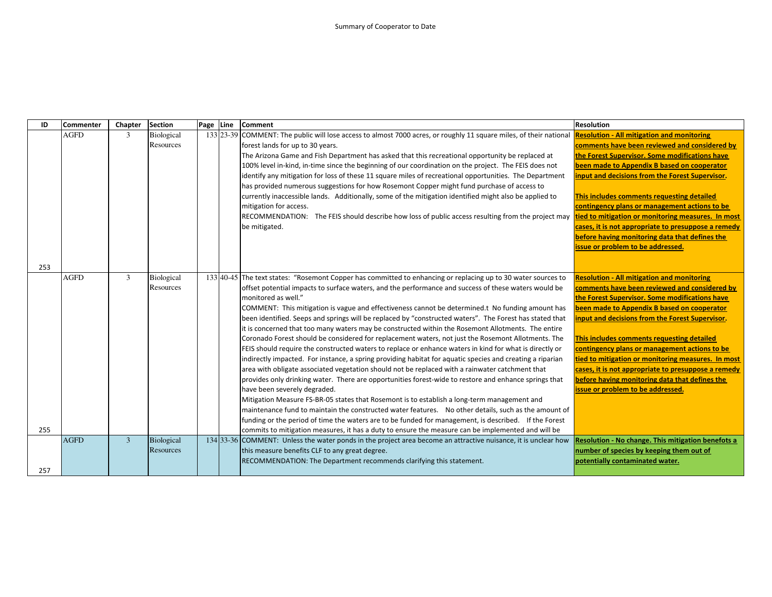| ID  | Commenter   | Chapter        | <b>Section</b> | Page Line | <b>Comment</b>                                                                                                                                                                                           | <b>Resolution</b>                                   |
|-----|-------------|----------------|----------------|-----------|----------------------------------------------------------------------------------------------------------------------------------------------------------------------------------------------------------|-----------------------------------------------------|
|     | <b>AGFD</b> | 3              | Biological     |           | 133 23-39 COMMENT: The public will lose access to almost 7000 acres, or roughly 11 square miles, of their national                                                                                       | <b>Resolution - All mitigation and monitoring</b>   |
|     |             |                | Resources      |           | forest lands for up to 30 years.                                                                                                                                                                         | comments have been reviewed and considered by       |
|     |             |                |                |           | The Arizona Game and Fish Department has asked that this recreational opportunity be replaced at                                                                                                         | the Forest Supervisor. Some modifications have      |
|     |             |                |                |           | 100% level in-kind, in-time since the beginning of our coordination on the project. The FEIS does not                                                                                                    | been made to Appendix B based on cooperator         |
|     |             |                |                |           | identify any mitigation for loss of these 11 square miles of recreational opportunities. The Department                                                                                                  | input and decisions from the Forest Supervisor.     |
|     |             |                |                |           | has provided numerous suggestions for how Rosemont Copper might fund purchase of access to                                                                                                               |                                                     |
|     |             |                |                |           | currently inaccessible lands. Additionally, some of the mitigation identified might also be applied to                                                                                                   | This includes comments requesting detailed          |
|     |             |                |                |           | mitigation for access.                                                                                                                                                                                   | contingency plans or management actions to be       |
|     |             |                |                |           | RECOMMENDATION: The FEIS should describe how loss of public access resulting from the project may tied to mitigation or monitoring measures. In most                                                     |                                                     |
|     |             |                |                |           | be mitigated.                                                                                                                                                                                            | cases, it is not appropriate to presuppose a remedy |
|     |             |                |                |           |                                                                                                                                                                                                          | before having monitoring data that defines the      |
|     |             |                |                |           |                                                                                                                                                                                                          | issue or problem to be addressed.                   |
|     |             |                |                |           |                                                                                                                                                                                                          |                                                     |
| 253 |             |                |                |           |                                                                                                                                                                                                          |                                                     |
|     | <b>AGFD</b> | 3              | Biological     |           | 133 40-45 The text states: "Rosemont Copper has committed to enhancing or replacing up to 30 water sources to                                                                                            | <b>Resolution - All mitigation and monitoring</b>   |
|     |             |                | Resources      |           | offset potential impacts to surface waters, and the performance and success of these waters would be                                                                                                     | comments have been reviewed and considered by       |
|     |             |                |                |           | monitored as well."                                                                                                                                                                                      | the Forest Supervisor. Some modifications have      |
|     |             |                |                |           | COMMENT: This mitigation is vague and effectiveness cannot be determined.t No funding amount has                                                                                                         | been made to Appendix B based on cooperator         |
|     |             |                |                |           | been identified. Seeps and springs will be replaced by "constructed waters". The Forest has stated that                                                                                                  | input and decisions from the Forest Supervisor.     |
|     |             |                |                |           | it is concerned that too many waters may be constructed within the Rosemont Allotments. The entire<br>Coronado Forest should be considered for replacement waters, not just the Rosemont Allotments. The | This includes comments requesting detailed          |
|     |             |                |                |           | FEIS should require the constructed waters to replace or enhance waters in kind for what is directly or                                                                                                  | contingency plans or management actions to be       |
|     |             |                |                |           | indirectly impacted. For instance, a spring providing habitat for aquatic species and creating a riparian                                                                                                | tied to mitigation or monitoring measures. In most  |
|     |             |                |                |           | area with obligate associated vegetation should not be replaced with a rainwater catchment that                                                                                                          | cases, it is not appropriate to presuppose a remedy |
|     |             |                |                |           | provides only drinking water. There are opportunities forest-wide to restore and enhance springs that                                                                                                    | before having monitoring data that defines the      |
|     |             |                |                |           | have been severely degraded.                                                                                                                                                                             | issue or problem to be addressed.                   |
|     |             |                |                |           | Mitigation Measure FS-BR-05 states that Rosemont is to establish a long-term management and                                                                                                              |                                                     |
|     |             |                |                |           | maintenance fund to maintain the constructed water features. No other details, such as the amount of                                                                                                     |                                                     |
|     |             |                |                |           | funding or the period of time the waters are to be funded for management, is described. If the Forest                                                                                                    |                                                     |
| 255 |             |                |                |           | commits to mitigation measures, it has a duty to ensure the measure can be implemented and will be                                                                                                       |                                                     |
|     | <b>AGFD</b> | $\overline{3}$ | Biological     |           | 134 33-36 COMMENT: Unless the water ponds in the project area become an attractive nuisance, it is unclear how                                                                                           | Resolution - No change. This mitigation benefots a  |
|     |             |                | Resources      |           | this measure benefits CLF to any great degree.                                                                                                                                                           | number of species by keeping them out of            |
|     |             |                |                |           | RECOMMENDATION: The Department recommends clarifying this statement.                                                                                                                                     | potentially contaminated water.                     |
| 257 |             |                |                |           |                                                                                                                                                                                                          |                                                     |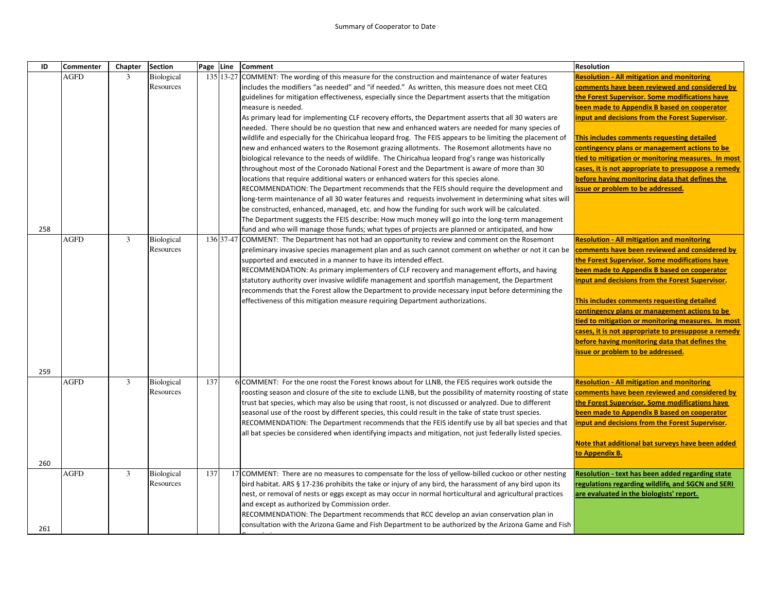| ID  | <b>Commenter</b> | Chapter | <b>Section</b>    | Page Line |           | <b>Comment</b>                                                                                                                                                                    | <b>Resolution</b>                                                                   |
|-----|------------------|---------|-------------------|-----------|-----------|-----------------------------------------------------------------------------------------------------------------------------------------------------------------------------------|-------------------------------------------------------------------------------------|
|     | <b>AGFD</b>      | 3       | <b>Biological</b> |           | 135 13-27 | COMMENT: The wording of this measure for the construction and maintenance of water features                                                                                       | <b>Resolution - All mitigation and monitoring</b>                                   |
|     |                  |         | Resources         |           |           | includes the modifiers "as needed" and "if needed." As written, this measure does not meet CEQ                                                                                    | comments have been reviewed and considered by                                       |
|     |                  |         |                   |           |           | guidelines for mitigation effectiveness, especially since the Department asserts that the mitigation                                                                              | the Forest Supervisor. Some modifications have                                      |
|     |                  |         |                   |           |           | measure is needed.                                                                                                                                                                | been made to Appendix B based on cooperator                                         |
|     |                  |         |                   |           |           | As primary lead for implementing CLF recovery efforts, the Department asserts that all 30 waters are                                                                              | input and decisions from the Forest Supervisor.                                     |
|     |                  |         |                   |           |           | needed. There should be no question that new and enhanced waters are needed for many species of                                                                                   |                                                                                     |
|     |                  |         |                   |           |           | wildlife and especially for the Chiricahua leopard frog. The FEIS appears to be limiting the placement of                                                                         | This includes comments requesting detailed                                          |
|     |                  |         |                   |           |           | new and enhanced waters to the Rosemont grazing allotments. The Rosemont allotments have no                                                                                       | contingency plans or management actions to be                                       |
|     |                  |         |                   |           |           | biological relevance to the needs of wildlife. The Chiricahua leopard frog's range was historically                                                                               | tied to mitigation or monitoring measures. In most                                  |
|     |                  |         |                   |           |           | throughout most of the Coronado National Forest and the Department is aware of more than 30                                                                                       | cases, it is not appropriate to presuppose a remedy                                 |
|     |                  |         |                   |           |           | locations that require additional waters or enhanced waters for this species alone.<br>RECOMMENDATION: The Department recommends that the FEIS should require the development and | before having monitoring data that defines the<br>issue or problem to be addressed. |
|     |                  |         |                   |           |           | long-term maintenance of all 30 water features and requests involvement in determining what sites will                                                                            |                                                                                     |
|     |                  |         |                   |           |           | be constructed, enhanced, managed, etc. and how the funding for such work will be calculated.                                                                                     |                                                                                     |
|     |                  |         |                   |           |           | The Department suggests the FEIS describe: How much money will go into the long-term management                                                                                   |                                                                                     |
| 258 |                  |         |                   |           |           | fund and who will manage those funds; what types of projects are planned or anticipated, and how                                                                                  |                                                                                     |
|     | <b>AGFD</b>      | 3       | Biological        |           |           | 136 37-47 COMMENT: The Department has not had an opportunity to review and comment on the Rosemont                                                                                | <b>Resolution - All mitigation and monitoring</b>                                   |
|     |                  |         | Resources         |           |           | preliminary invasive species management plan and as such cannot comment on whether or not it can be                                                                               | comments have been reviewed and considered by                                       |
|     |                  |         |                   |           |           | supported and executed in a manner to have its intended effect.                                                                                                                   | the Forest Supervisor. Some modifications have                                      |
|     |                  |         |                   |           |           | RECOMMENDATION: As primary implementers of CLF recovery and management efforts, and having                                                                                        | been made to Appendix B based on cooperator                                         |
|     |                  |         |                   |           |           | statutory authority over invasive wildlife management and sportfish management, the Department                                                                                    | input and decisions from the Forest Supervisor.                                     |
|     |                  |         |                   |           |           | recommends that the Forest allow the Department to provide necessary input before determining the                                                                                 |                                                                                     |
|     |                  |         |                   |           |           | effectiveness of this mitigation measure requiring Department authorizations.                                                                                                     | This includes comments requesting detailed                                          |
|     |                  |         |                   |           |           |                                                                                                                                                                                   | contingency plans or management actions to be                                       |
|     |                  |         |                   |           |           |                                                                                                                                                                                   | tied to mitigation or monitoring measures. In most                                  |
|     |                  |         |                   |           |           |                                                                                                                                                                                   | cases, it is not appropriate to presuppose a remedy                                 |
|     |                  |         |                   |           |           |                                                                                                                                                                                   | before having monitoring data that defines the                                      |
|     |                  |         |                   |           |           |                                                                                                                                                                                   | issue or problem to be addressed.                                                   |
| 259 |                  |         |                   |           |           |                                                                                                                                                                                   |                                                                                     |
|     | <b>AGFD</b>      | 3       | Biological        | 137       |           | 6 COMMENT: For the one roost the Forest knows about for LLNB, the FEIS requires work outside the                                                                                  | <b>Resolution - All mitigation and monitoring</b>                                   |
|     |                  |         | Resources         |           |           | roosting season and closure of the site to exclude LLNB, but the possibility of maternity roosting of state                                                                       | comments have been reviewed and considered by                                       |
|     |                  |         |                   |           |           | trust bat species, which may also be using that roost, is not discussed or analyzed. Due to different                                                                             | the Forest Supervisor. Some modifications have                                      |
|     |                  |         |                   |           |           | seasonal use of the roost by different species, this could result in the take of state trust species.                                                                             | been made to Appendix B based on cooperator                                         |
|     |                  |         |                   |           |           | RECOMMENDATION: The Department recommends that the FEIS identify use by all bat species and that                                                                                  | input and decisions from the Forest Supervisor.                                     |
|     |                  |         |                   |           |           | all bat species be considered when identifying impacts and mitigation, not just federally listed species.                                                                         |                                                                                     |
|     |                  |         |                   |           |           |                                                                                                                                                                                   | Note that additional bat surveys have been added                                    |
|     |                  |         |                   |           |           |                                                                                                                                                                                   | to Appendix B.                                                                      |
| 260 |                  |         |                   |           |           |                                                                                                                                                                                   |                                                                                     |
|     | <b>AGFD</b>      | 3       | Biological        | 137       |           | 17 COMMENT: There are no measures to compensate for the loss of yellow-billed cuckoo or other nesting                                                                             | <b>Resolution - text has been added regarding state</b>                             |
|     |                  |         | Resources         |           |           | bird habitat. ARS § 17-236 prohibits the take or injury of any bird, the harassment of any bird upon its                                                                          | regulations regarding wildlife, and SGCN and SERI                                   |
|     |                  |         |                   |           |           | nest, or removal of nests or eggs except as may occur in normal horticultural and agricultural practices                                                                          | are evaluated in the biologists' report.                                            |
|     |                  |         |                   |           |           | and except as authorized by Commission order.                                                                                                                                     |                                                                                     |
|     |                  |         |                   |           |           | RECOMMENDATION: The Department recommends that RCC develop an avian conservation plan in                                                                                          |                                                                                     |
| 261 |                  |         |                   |           |           | consultation with the Arizona Game and Fish Department to be authorized by the Arizona Game and Fish                                                                              |                                                                                     |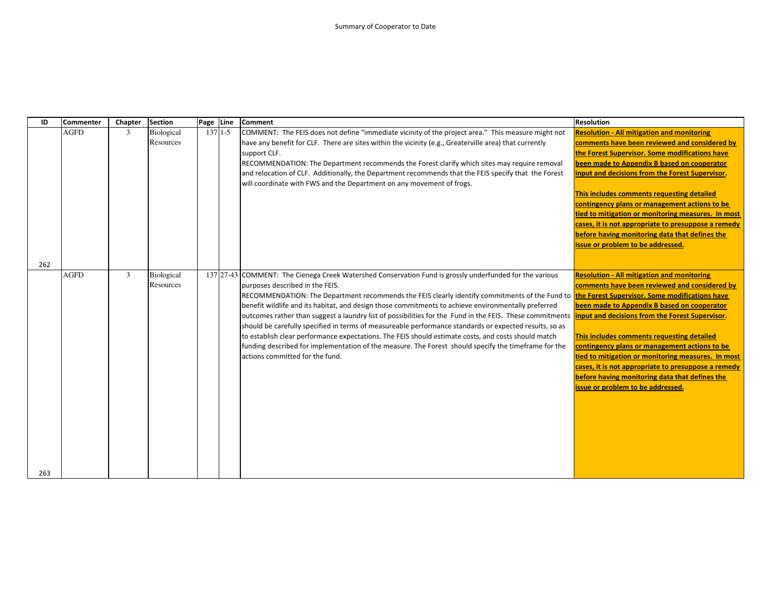| ID  | <b>Commenter</b> | Chapter        | <b>Section</b>          | Page Line |           | <b>Comment</b>                                                                                                                                                                                                                                                                                                                                                                                                                                                                                                                                                                                                                                                                                                                                                                                                                                                                                                              | <b>Resolution</b>                                                                                                                                                                                                                                                                                                                                                                                                                                                                                                                                         |
|-----|------------------|----------------|-------------------------|-----------|-----------|-----------------------------------------------------------------------------------------------------------------------------------------------------------------------------------------------------------------------------------------------------------------------------------------------------------------------------------------------------------------------------------------------------------------------------------------------------------------------------------------------------------------------------------------------------------------------------------------------------------------------------------------------------------------------------------------------------------------------------------------------------------------------------------------------------------------------------------------------------------------------------------------------------------------------------|-----------------------------------------------------------------------------------------------------------------------------------------------------------------------------------------------------------------------------------------------------------------------------------------------------------------------------------------------------------------------------------------------------------------------------------------------------------------------------------------------------------------------------------------------------------|
|     | <b>AGFD</b>      | 3              | Biological<br>Resources |           | $137$ 1-5 | COMMENT: The FEIS does not define "immediate vicinity of the project area." This measure might not<br>have any benefit for CLF. There are sites within the vicinity (e.g., Greaterville area) that currently<br>support CLF.<br>RECOMMENDATION: The Department recommends the Forest clarify which sites may require removal<br>and relocation of CLF. Additionally, the Department recommends that the FEIS specify that the Forest<br>will coordinate with FWS and the Department on any movement of frogs.                                                                                                                                                                                                                                                                                                                                                                                                               | <b>Resolution - All mitigation and monitoring</b><br>comments have been reviewed and considered by<br>the Forest Supervisor. Some modifications have<br>been made to Appendix B based on cooperator<br>input and decisions from the Forest Supervisor.<br>This includes comments requesting detailed<br>contingency plans or management actions to be<br>tied to mitigation or monitoring measures. In most<br>cases, it is not appropriate to presuppose a remedy<br>before having monitoring data that defines the<br>issue or problem to be addressed. |
| 262 |                  |                |                         |           |           |                                                                                                                                                                                                                                                                                                                                                                                                                                                                                                                                                                                                                                                                                                                                                                                                                                                                                                                             |                                                                                                                                                                                                                                                                                                                                                                                                                                                                                                                                                           |
|     | <b>AGFD</b>      | $\overline{3}$ | Biological<br>Resources |           |           | 137 27-43 COMMENT: The Cienega Creek Watershed Conservation Fund is grossly underfunded for the various<br>purposes described in the FEIS.<br>RECOMMENDATION: The Department recommends the FEIS clearly identify commitments of the Fund to the Forest Supervisor. Some modifications have<br>benefit wildlife and its habitat, and design those commitments to achieve environmentally preferred<br>outcomes rather than suggest a laundry list of possibilities for the Fund in the FEIS. These commitments linput and decisions from the Forest Supervisor.<br>should be carefully specified in terms of measureable performance standards or expected results, so as<br>to establish clear performance expectations. The FEIS should estimate costs, and costs should match<br>funding described for implementation of the measure. The Forest should specify the timeframe for the<br>actions committed for the fund. | <b>Resolution - All mitigation and monitoring</b><br>comments have been reviewed and considered by<br>been made to Appendix B based on cooperator<br>This includes comments requesting detailed<br>contingency plans or management actions to be<br>tied to mitigation or monitoring measures. In most<br>cases, it is not appropriate to presuppose a remedy<br>before having monitoring data that defines the<br>issue or problem to be addressed.                                                                                                      |
| 263 |                  |                |                         |           |           |                                                                                                                                                                                                                                                                                                                                                                                                                                                                                                                                                                                                                                                                                                                                                                                                                                                                                                                             |                                                                                                                                                                                                                                                                                                                                                                                                                                                                                                                                                           |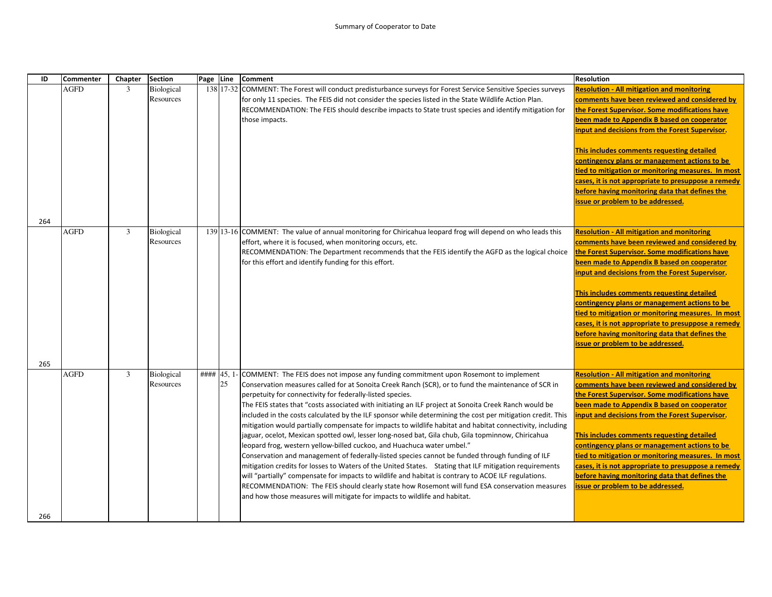| ID  | <b>Commenter</b> | Chapter        | <b>Section</b>          | Page Line |    | <b>Comment</b>                                                                                                                                                                                                                                                                                                                                                                                                                                                                                                                                                                                                                                                                                                                                                                                                                                                                                                                                                                                                                                                                                                                                                                                                                                                                             | <b>Resolution</b>                                                                                                                                                                                                                                                                                                                                                                                                                                                                                                                                         |
|-----|------------------|----------------|-------------------------|-----------|----|--------------------------------------------------------------------------------------------------------------------------------------------------------------------------------------------------------------------------------------------------------------------------------------------------------------------------------------------------------------------------------------------------------------------------------------------------------------------------------------------------------------------------------------------------------------------------------------------------------------------------------------------------------------------------------------------------------------------------------------------------------------------------------------------------------------------------------------------------------------------------------------------------------------------------------------------------------------------------------------------------------------------------------------------------------------------------------------------------------------------------------------------------------------------------------------------------------------------------------------------------------------------------------------------|-----------------------------------------------------------------------------------------------------------------------------------------------------------------------------------------------------------------------------------------------------------------------------------------------------------------------------------------------------------------------------------------------------------------------------------------------------------------------------------------------------------------------------------------------------------|
|     | <b>AGFD</b>      | $\mathfrak{Z}$ | Biological<br>Resources |           |    | 138 17-32 COMMENT: The Forest will conduct predisturbance surveys for Forest Service Sensitive Species surveys<br>for only 11 species. The FEIS did not consider the species listed in the State Wildlife Action Plan.<br>RECOMMENDATION: The FEIS should describe impacts to State trust species and identify mitigation for<br>those impacts.                                                                                                                                                                                                                                                                                                                                                                                                                                                                                                                                                                                                                                                                                                                                                                                                                                                                                                                                            | <b>Resolution - All mitigation and monitoring</b><br>comments have been reviewed and considered by<br>the Forest Supervisor. Some modifications have<br>been made to Appendix B based on cooperator<br>input and decisions from the Forest Supervisor.<br>This includes comments requesting detailed<br>contingency plans or management actions to be<br>tied to mitigation or monitoring measures. In most<br>cases, it is not appropriate to presuppose a remedy<br>before having monitoring data that defines the<br>issue or problem to be addressed. |
| 264 |                  |                |                         |           |    |                                                                                                                                                                                                                                                                                                                                                                                                                                                                                                                                                                                                                                                                                                                                                                                                                                                                                                                                                                                                                                                                                                                                                                                                                                                                                            |                                                                                                                                                                                                                                                                                                                                                                                                                                                                                                                                                           |
| 265 | <b>AGFD</b>      | $\mathfrak{Z}$ | Biological<br>Resources |           |    | 139 13-16 COMMENT: The value of annual monitoring for Chiricahua leopard frog will depend on who leads this<br>effort, where it is focused, when monitoring occurs, etc.<br>RECOMMENDATION: The Department recommends that the FEIS identify the AGFD as the logical choice<br>for this effort and identify funding for this effort.                                                                                                                                                                                                                                                                                                                                                                                                                                                                                                                                                                                                                                                                                                                                                                                                                                                                                                                                                       | <b>Resolution - All mitigation and monitoring</b><br>comments have been reviewed and considered by<br>the Forest Supervisor. Some modifications have<br>been made to Appendix B based on cooperator<br>input and decisions from the Forest Supervisor.<br>This includes comments requesting detailed<br>contingency plans or management actions to be<br>tied to mitigation or monitoring measures. In most<br>cases, it is not appropriate to presuppose a remedy<br>before having monitoring data that defines the<br>issue or problem to be addressed. |
|     | <b>AGFD</b>      | 3              | Biological<br>Resources |           | 25 | #### 45, 1- COMMENT: The FEIS does not impose any funding commitment upon Rosemont to implement<br>Conservation measures called for at Sonoita Creek Ranch (SCR), or to fund the maintenance of SCR in<br>perpetuity for connectivity for federally-listed species.<br>The FEIS states that "costs associated with initiating an ILF project at Sonoita Creek Ranch would be<br>included in the costs calculated by the ILF sponsor while determining the cost per mitigation credit. This<br>mitigation would partially compensate for impacts to wildlife habitat and habitat connectivity, including<br>jaguar, ocelot, Mexican spotted owl, lesser long-nosed bat, Gila chub, Gila topminnow, Chiricahua<br>leopard frog, western yellow-billed cuckoo, and Huachuca water umbel."<br>Conservation and management of federally-listed species cannot be funded through funding of ILF<br>mitigation credits for losses to Waters of the United States. Stating that ILF mitigation requirements<br>will "partially" compensate for impacts to wildlife and habitat is contrary to ACOE ILF regulations.<br>RECOMMENDATION: The FEIS should clearly state how Rosemont will fund ESA conservation measures<br>and how those measures will mitigate for impacts to wildlife and habitat. | <b>Resolution - All mitigation and monitoring</b><br>comments have been reviewed and considered by<br>the Forest Supervisor. Some modifications have<br>been made to Appendix B based on cooperator<br>input and decisions from the Forest Supervisor.<br>This includes comments requesting detailed<br>contingency plans or management actions to be<br>tied to mitigation or monitoring measures. In most<br>cases, it is not appropriate to presuppose a remedy<br>before having monitoring data that defines the<br>issue or problem to be addressed. |
| 266 |                  |                |                         |           |    |                                                                                                                                                                                                                                                                                                                                                                                                                                                                                                                                                                                                                                                                                                                                                                                                                                                                                                                                                                                                                                                                                                                                                                                                                                                                                            |                                                                                                                                                                                                                                                                                                                                                                                                                                                                                                                                                           |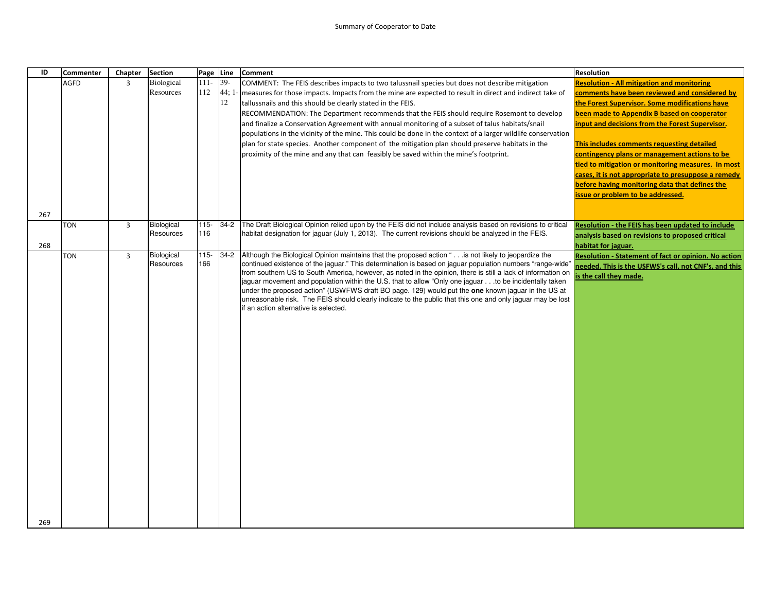| ID  | <b>Commenter</b> | Chapter        | <b>Section</b>    | Page    | Line  | Comment                                                                                                                                                                                                               | <b>Resolution</b>                                     |
|-----|------------------|----------------|-------------------|---------|-------|-----------------------------------------------------------------------------------------------------------------------------------------------------------------------------------------------------------------------|-------------------------------------------------------|
|     | <b>AGFD</b>      | $\overline{3}$ | <b>Biological</b> | $111 -$ | $39-$ | COMMENT: The FEIS describes impacts to two talussnail species but does not describe mitigation                                                                                                                        | <b>Resolution - All mitigation and monitoring</b>     |
|     |                  |                | Resources         | 112     | 44; 1 | measures for those impacts. Impacts from the mine are expected to result in direct and indirect take of                                                                                                               | comments have been reviewed and considered by         |
|     |                  |                |                   |         | 12    | tallussnails and this should be clearly stated in the FEIS.                                                                                                                                                           | the Forest Supervisor. Some modifications have        |
|     |                  |                |                   |         |       | RECOMMENDATION: The Department recommends that the FEIS should require Rosemont to develop                                                                                                                            | been made to Appendix B based on cooperator           |
|     |                  |                |                   |         |       | and finalize a Conservation Agreement with annual monitoring of a subset of talus habitats/snail                                                                                                                      | input and decisions from the Forest Supervisor.       |
|     |                  |                |                   |         |       | populations in the vicinity of the mine. This could be done in the context of a larger wildlife conservation                                                                                                          |                                                       |
|     |                  |                |                   |         |       | plan for state species. Another component of the mitigation plan should preserve habitats in the                                                                                                                      | This includes comments requesting detailed            |
|     |                  |                |                   |         |       | proximity of the mine and any that can feasibly be saved within the mine's footprint.                                                                                                                                 | contingency plans or management actions to be         |
|     |                  |                |                   |         |       |                                                                                                                                                                                                                       | tied to mitigation or monitoring measures. In most    |
|     |                  |                |                   |         |       |                                                                                                                                                                                                                       | cases, it is not appropriate to presuppose a remedy   |
|     |                  |                |                   |         |       |                                                                                                                                                                                                                       | before having monitoring data that defines the        |
|     |                  |                |                   |         |       |                                                                                                                                                                                                                       | issue or problem to be addressed.                     |
| 267 |                  |                |                   |         |       |                                                                                                                                                                                                                       |                                                       |
|     | <b>TON</b>       | 3              | Biological        | 115-    | 34-2  | The Draft Biological Opinion relied upon by the FEIS did not include analysis based on revisions to critical                                                                                                          | Resolution - the FEIS has been updated to include     |
|     |                  |                | Resources         | 116     |       | habitat designation for jaguar (July 1, 2013). The current revisions should be analyzed in the FEIS.                                                                                                                  | analysis based on revisions to proposed critical      |
| 268 |                  |                |                   |         |       |                                                                                                                                                                                                                       | habitat for jaguar.                                   |
|     | <b>TON</b>       | $\overline{3}$ | Biological        | $115 -$ |       | 34-2 Although the Biological Opinion maintains that the proposed action " is not likely to jeopardize the                                                                                                             | Resolution - Statement of fact or opinion. No action  |
|     |                  |                | Resources         | 166     |       | continued existence of the jaguar." This determination is based on jaguar population numbers "range-wide'                                                                                                             | needed. This is the USFWS's call, not CNF's, and this |
|     |                  |                |                   |         |       | from southern US to South America, however, as noted in the opinion, there is still a lack of information on<br>iaguar movement and population within the U.S. that to allow "Only one jaguarto be incidentally taken | s the call they made.                                 |
|     |                  |                |                   |         |       | under the proposed action" (USWFWS draft BO page. 129) would put the one known jaguar in the US at                                                                                                                    |                                                       |
|     |                  |                |                   |         |       | unreasonable risk. The FEIS should clearly indicate to the public that this one and only jaguar may be lost                                                                                                           |                                                       |
|     |                  |                |                   |         |       | if an action alternative is selected.                                                                                                                                                                                 |                                                       |
|     |                  |                |                   |         |       |                                                                                                                                                                                                                       |                                                       |
|     |                  |                |                   |         |       |                                                                                                                                                                                                                       |                                                       |
|     |                  |                |                   |         |       |                                                                                                                                                                                                                       |                                                       |
|     |                  |                |                   |         |       |                                                                                                                                                                                                                       |                                                       |
|     |                  |                |                   |         |       |                                                                                                                                                                                                                       |                                                       |
|     |                  |                |                   |         |       |                                                                                                                                                                                                                       |                                                       |
|     |                  |                |                   |         |       |                                                                                                                                                                                                                       |                                                       |
|     |                  |                |                   |         |       |                                                                                                                                                                                                                       |                                                       |
|     |                  |                |                   |         |       |                                                                                                                                                                                                                       |                                                       |
|     |                  |                |                   |         |       |                                                                                                                                                                                                                       |                                                       |
|     |                  |                |                   |         |       |                                                                                                                                                                                                                       |                                                       |
|     |                  |                |                   |         |       |                                                                                                                                                                                                                       |                                                       |
|     |                  |                |                   |         |       |                                                                                                                                                                                                                       |                                                       |
|     |                  |                |                   |         |       |                                                                                                                                                                                                                       |                                                       |
|     |                  |                |                   |         |       |                                                                                                                                                                                                                       |                                                       |
|     |                  |                |                   |         |       |                                                                                                                                                                                                                       |                                                       |
|     |                  |                |                   |         |       |                                                                                                                                                                                                                       |                                                       |
|     |                  |                |                   |         |       |                                                                                                                                                                                                                       |                                                       |
|     |                  |                |                   |         |       |                                                                                                                                                                                                                       |                                                       |
| 269 |                  |                |                   |         |       |                                                                                                                                                                                                                       |                                                       |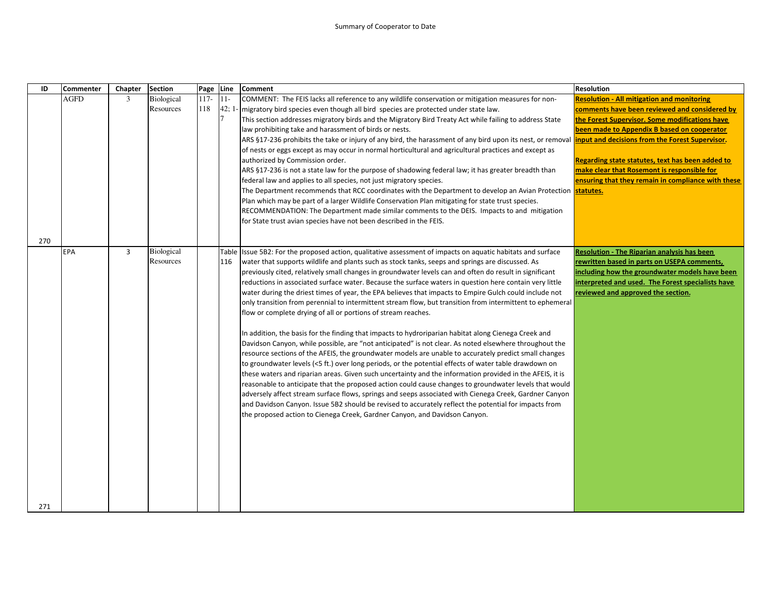| ID  | <b>Commenter</b> | Chapter        | <b>Section</b> | Page   | Line           | <b>Comment</b>                                                                                              | <b>Resolution</b>                                  |
|-----|------------------|----------------|----------------|--------|----------------|-------------------------------------------------------------------------------------------------------------|----------------------------------------------------|
|     | AGFD             | 3              | Biological     | $117-$ | $11-$          | COMMENT: The FEIS lacks all reference to any wildlife conservation or mitigation measures for non-          | <b>Resolution - All mitigation and monitoring</b>  |
|     |                  |                | Resources      | 118    | 42;1           | - migratory bird species even though all bird species are protected under state law.                        | comments have been reviewed and considered by      |
|     |                  |                |                |        | $\overline{7}$ | This section addresses migratory birds and the Migratory Bird Treaty Act while failing to address State     | the Forest Supervisor. Some modifications have     |
|     |                  |                |                |        |                | law prohibiting take and harassment of birds or nests.                                                      | been made to Appendix B based on cooperator        |
|     |                  |                |                |        |                | ARS §17-236 prohibits the take or injury of any bird, the harassment of any bird upon its nest, or removal  | input and decisions from the Forest Supervisor.    |
|     |                  |                |                |        |                | of nests or eggs except as may occur in normal horticultural and agricultural practices and except as       |                                                    |
|     |                  |                |                |        |                | authorized by Commission order.                                                                             | Regarding state statutes, text has been added to   |
|     |                  |                |                |        |                | ARS §17-236 is not a state law for the purpose of shadowing federal law; it has greater breadth than        | make clear that Rosemont is responsible for        |
|     |                  |                |                |        |                | federal law and applies to all species, not just migratory species.                                         | ensuring that they remain in compliance with these |
|     |                  |                |                |        |                | The Department recommends that RCC coordinates with the Department to develop an Avian Protection           | statutes.                                          |
|     |                  |                |                |        |                | Plan which may be part of a larger Wildlife Conservation Plan mitigating for state trust species.           |                                                    |
|     |                  |                |                |        |                | RECOMMENDATION: The Department made similar comments to the DEIS. Impacts to and mitigation                 |                                                    |
|     |                  |                |                |        |                | for State trust avian species have not been described in the FEIS.                                          |                                                    |
| 270 |                  |                |                |        |                |                                                                                                             |                                                    |
|     | <b>EPA</b>       | $\overline{3}$ | Biological     |        |                | Table Issue 5B2: For the proposed action, qualitative assessment of impacts on aquatic habitats and surface | <b>Resolution - The Riparian analysis has been</b> |
|     |                  |                | Resources      |        | 116            | water that supports wildlife and plants such as stock tanks, seeps and springs are discussed. As            | rewritten based in parts on USEPA comments,        |
|     |                  |                |                |        |                | previously cited, relatively small changes in groundwater levels can and often do result in significant     | including how the groundwater models have been     |
|     |                  |                |                |        |                | reductions in associated surface water. Because the surface waters in question here contain very little     | interpreted and used. The Forest specialists have  |
|     |                  |                |                |        |                | water during the driest times of year, the EPA believes that impacts to Empire Gulch could include not      | reviewed and approved the section.                 |
|     |                  |                |                |        |                | only transition from perennial to intermittent stream flow, but transition from intermittent to ephemeral   |                                                    |
|     |                  |                |                |        |                | flow or complete drying of all or portions of stream reaches.                                               |                                                    |
|     |                  |                |                |        |                |                                                                                                             |                                                    |
|     |                  |                |                |        |                | In addition, the basis for the finding that impacts to hydroriparian habitat along Cienega Creek and        |                                                    |
|     |                  |                |                |        |                | Davidson Canyon, while possible, are "not anticipated" is not clear. As noted elsewhere throughout the      |                                                    |
|     |                  |                |                |        |                | resource sections of the AFEIS, the groundwater models are unable to accurately predict small changes       |                                                    |
|     |                  |                |                |        |                | to groundwater levels (<5 ft.) over long periods, or the potential effects of water table drawdown on       |                                                    |
|     |                  |                |                |        |                | these waters and riparian areas. Given such uncertainty and the information provided in the AFEIS, it is    |                                                    |
|     |                  |                |                |        |                | reasonable to anticipate that the proposed action could cause changes to groundwater levels that would      |                                                    |
|     |                  |                |                |        |                | adversely affect stream surface flows, springs and seeps associated with Cienega Creek, Gardner Canyon      |                                                    |
|     |                  |                |                |        |                | and Davidson Canyon. Issue 5B2 should be revised to accurately reflect the potential for impacts from       |                                                    |
|     |                  |                |                |        |                | the proposed action to Cienega Creek, Gardner Canyon, and Davidson Canyon.                                  |                                                    |
|     |                  |                |                |        |                |                                                                                                             |                                                    |
|     |                  |                |                |        |                |                                                                                                             |                                                    |
|     |                  |                |                |        |                |                                                                                                             |                                                    |
|     |                  |                |                |        |                |                                                                                                             |                                                    |
|     |                  |                |                |        |                |                                                                                                             |                                                    |
|     |                  |                |                |        |                |                                                                                                             |                                                    |
|     |                  |                |                |        |                |                                                                                                             |                                                    |
| 271 |                  |                |                |        |                |                                                                                                             |                                                    |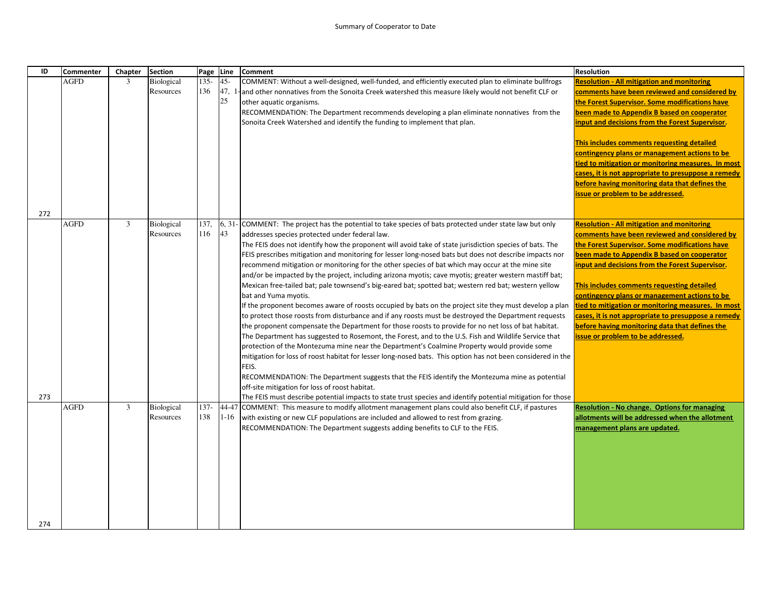| ID  | <b>Commenter</b> | Chapter | <b>Section</b>                 | Page           | Line              | Comment                                                                                                                                                                                                           | <b>Resolution</b>                                                                                      |
|-----|------------------|---------|--------------------------------|----------------|-------------------|-------------------------------------------------------------------------------------------------------------------------------------------------------------------------------------------------------------------|--------------------------------------------------------------------------------------------------------|
|     | <b>AGFD</b>      | 3       | <b>Biological</b>              | $135 -$        | $45 -$            | COMMENT: Without a well-designed, well-funded, and efficiently executed plan to eliminate bullfrogs                                                                                                               | <b>Resolution - All mitigation and monitoring</b>                                                      |
|     |                  |         | Resources                      | 136            | 47,               | and other nonnatives from the Sonoita Creek watershed this measure likely would not benefit CLF or                                                                                                                | comments have been reviewed and considered by                                                          |
|     |                  |         |                                |                | 25                | other aquatic organisms.                                                                                                                                                                                          | the Forest Supervisor. Some modifications have                                                         |
|     |                  |         |                                |                |                   | RECOMMENDATION: The Department recommends developing a plan eliminate nonnatives from the                                                                                                                         | been made to Appendix B based on cooperator                                                            |
|     |                  |         |                                |                |                   | Sonoita Creek Watershed and identify the funding to implement that plan.                                                                                                                                          | input and decisions from the Forest Supervisor.                                                        |
|     |                  |         |                                |                |                   |                                                                                                                                                                                                                   | This includes comments requesting detailed                                                             |
|     |                  |         |                                |                |                   |                                                                                                                                                                                                                   | contingency plans or management actions to be                                                          |
|     |                  |         |                                |                |                   |                                                                                                                                                                                                                   | tied to mitigation or monitoring measures. In most                                                     |
|     |                  |         |                                |                |                   |                                                                                                                                                                                                                   | cases, it is not appropriate to presuppose a remedy                                                    |
|     |                  |         |                                |                |                   |                                                                                                                                                                                                                   | before having monitoring data that defines the                                                         |
|     |                  |         |                                |                |                   |                                                                                                                                                                                                                   | issue or problem to be addressed.                                                                      |
|     |                  |         |                                |                |                   |                                                                                                                                                                                                                   |                                                                                                        |
| 272 |                  |         |                                |                |                   |                                                                                                                                                                                                                   |                                                                                                        |
|     | AGFD             | 3       | <b>Biological</b><br>Resources | 137,<br>116    | 43                | 6, 31- COMMENT: The project has the potential to take species of bats protected under state law but only                                                                                                          | <b>Resolution - All mitigation and monitoring</b><br>comments have been reviewed and considered by     |
|     |                  |         |                                |                |                   | addresses species protected under federal law.                                                                                                                                                                    | the Forest Supervisor. Some modifications have                                                         |
|     |                  |         |                                |                |                   | The FEIS does not identify how the proponent will avoid take of state jurisdiction species of bats. The<br>FEIS prescribes mitigation and monitoring for lesser long-nosed bats but does not describe impacts nor | been made to Appendix B based on cooperator                                                            |
|     |                  |         |                                |                |                   | recommend mitigation or monitoring for the other species of bat which may occur at the mine site                                                                                                                  | input and decisions from the Forest Supervisor.                                                        |
|     |                  |         |                                |                |                   | and/or be impacted by the project, including arizona myotis; cave myotis; greater western mastiff bat;                                                                                                            |                                                                                                        |
|     |                  |         |                                |                |                   | Mexican free-tailed bat; pale townsend's big-eared bat; spotted bat; western red bat; western yellow                                                                                                              | This includes comments requesting detailed                                                             |
|     |                  |         |                                |                |                   | bat and Yuma myotis.                                                                                                                                                                                              | contingency plans or management actions to be                                                          |
|     |                  |         |                                |                |                   | If the proponent becomes aware of roosts occupied by bats on the project site they must develop a plan                                                                                                            | tied to mitigation or monitoring measures. In most                                                     |
|     |                  |         |                                |                |                   | to protect those roosts from disturbance and if any roosts must be destroyed the Department requests                                                                                                              | cases, it is not appropriate to presuppose a remedy                                                    |
|     |                  |         |                                |                |                   | the proponent compensate the Department for those roosts to provide for no net loss of bat habitat.                                                                                                               | before having monitoring data that defines the                                                         |
|     |                  |         |                                |                |                   | The Department has suggested to Rosemont, the Forest, and to the U.S. Fish and Wildlife Service that                                                                                                              | issue or problem to be addressed.                                                                      |
|     |                  |         |                                |                |                   | protection of the Montezuma mine near the Department's Coalmine Property would provide some                                                                                                                       |                                                                                                        |
|     |                  |         |                                |                |                   | mitigation for loss of roost habitat for lesser long-nosed bats. This option has not been considered in the                                                                                                       |                                                                                                        |
|     |                  |         |                                |                |                   | FEIS.                                                                                                                                                                                                             |                                                                                                        |
|     |                  |         |                                |                |                   | RECOMMENDATION: The Department suggests that the FEIS identify the Montezuma mine as potential                                                                                                                    |                                                                                                        |
|     |                  |         |                                |                |                   | off-site mitigation for loss of roost habitat.                                                                                                                                                                    |                                                                                                        |
| 273 |                  |         |                                |                |                   | The FEIS must describe potential impacts to state trust species and identify potential mitigation for those                                                                                                       |                                                                                                        |
|     | AGFD             | 3       | Biological<br>Resources        | $137 -$<br>138 | 44-47<br>$1 - 16$ | COMMENT: This measure to modify allotment management plans could also benefit CLF, if pastures<br>with existing or new CLF populations are included and allowed to rest from grazing.                             | <b>Resolution - No change. Options for managing</b><br>allotments will be addressed when the allotment |
|     |                  |         |                                |                |                   | RECOMMENDATION: The Department suggests adding benefits to CLF to the FEIS.                                                                                                                                       | management plans are updated.                                                                          |
|     |                  |         |                                |                |                   |                                                                                                                                                                                                                   |                                                                                                        |
|     |                  |         |                                |                |                   |                                                                                                                                                                                                                   |                                                                                                        |
|     |                  |         |                                |                |                   |                                                                                                                                                                                                                   |                                                                                                        |
|     |                  |         |                                |                |                   |                                                                                                                                                                                                                   |                                                                                                        |
|     |                  |         |                                |                |                   |                                                                                                                                                                                                                   |                                                                                                        |
|     |                  |         |                                |                |                   |                                                                                                                                                                                                                   |                                                                                                        |
|     |                  |         |                                |                |                   |                                                                                                                                                                                                                   |                                                                                                        |
|     |                  |         |                                |                |                   |                                                                                                                                                                                                                   |                                                                                                        |
| 274 |                  |         |                                |                |                   |                                                                                                                                                                                                                   |                                                                                                        |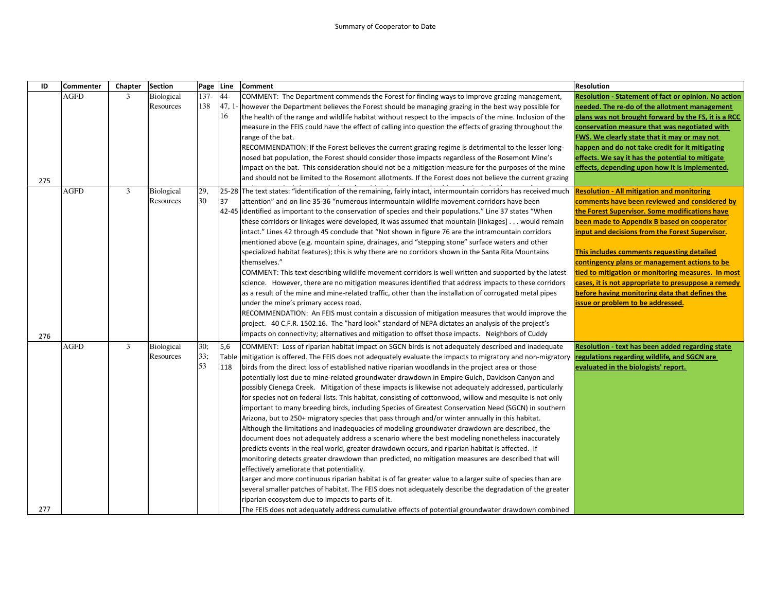| ID  | <b>Commenter</b> | Chapter        | <b>Section</b>                 | Page             | Line                  | <b>Comment</b>                                                                                                                                                                                                                                                                                                                                                                                                                                                                                                                                                                                                                                                                                                                                                                                                                                                                                                                                                                                                                                                                                                                                                                                                                                                                                                                                                                                                                                                                                                                                                                                                                                                                                        | <b>Resolution</b>                                                                                                                                                                                                                                                                                                                                                                                                                                                                                                                                         |
|-----|------------------|----------------|--------------------------------|------------------|-----------------------|-------------------------------------------------------------------------------------------------------------------------------------------------------------------------------------------------------------------------------------------------------------------------------------------------------------------------------------------------------------------------------------------------------------------------------------------------------------------------------------------------------------------------------------------------------------------------------------------------------------------------------------------------------------------------------------------------------------------------------------------------------------------------------------------------------------------------------------------------------------------------------------------------------------------------------------------------------------------------------------------------------------------------------------------------------------------------------------------------------------------------------------------------------------------------------------------------------------------------------------------------------------------------------------------------------------------------------------------------------------------------------------------------------------------------------------------------------------------------------------------------------------------------------------------------------------------------------------------------------------------------------------------------------------------------------------------------------|-----------------------------------------------------------------------------------------------------------------------------------------------------------------------------------------------------------------------------------------------------------------------------------------------------------------------------------------------------------------------------------------------------------------------------------------------------------------------------------------------------------------------------------------------------------|
| 275 | AGFD             | 3              | <b>Biological</b><br>Resources | $137 -$<br>138   | $44 -$<br>47, 1<br>16 | COMMENT: The Department commends the Forest for finding ways to improve grazing management,<br>however the Department believes the Forest should be managing grazing in the best way possible for<br>the health of the range and wildlife habitat without respect to the impacts of the mine. Inclusion of the<br>measure in the FEIS could have the effect of calling into question the effects of grazing throughout the<br>range of the bat.<br>RECOMMENDATION: If the Forest believes the current grazing regime is detrimental to the lesser long-<br>nosed bat population, the Forest should consider those impacts regardless of the Rosemont Mine's<br>impact on the bat. This consideration should not be a mitigation measure for the purposes of the mine<br>and should not be limited to the Rosemont allotments. If the Forest does not believe the current grazing                                                                                                                                                                                                                                                                                                                                                                                                                                                                                                                                                                                                                                                                                                                                                                                                                      | Resolution - Statement of fact or opinion. No action<br>needed. The re-do of the allotment management<br>plans was not brought forward by the FS, it is a RCC<br>conservation measure that was negotiated with<br>FWS. We clearly state that it may or may not<br>happen and do not take credit for it mitigating<br>effects. We say it has the potential to mitigate<br>effects, depending upon how it is implemented.                                                                                                                                   |
| 276 | <b>AGFD</b>      | 3              | <b>Biological</b><br>Resources | 29,<br>30        | 37                    | 25-28 The text states: "identification of the remaining, fairly intact, intermountain corridors has received much<br>attention" and on line 35-36 "numerous intermountain wildlife movement corridors have been<br>42-45 identified as important to the conservation of species and their populations." Line 37 states "When<br>these corridors or linkages were developed, it was assumed that mountain [linkages] would remain<br>intact." Lines 42 through 45 conclude that "Not shown in figure 76 are the intramountain corridors<br>mentioned above (e.g. mountain spine, drainages, and "stepping stone" surface waters and other<br>specialized habitat features); this is why there are no corridors shown in the Santa Rita Mountains<br>themselves."<br>COMMENT: This text describing wildlife movement corridors is well written and supported by the latest<br>science. However, there are no mitigation measures identified that address impacts to these corridors<br>as a result of the mine and mine-related traffic, other than the installation of corrugated metal pipes<br>under the mine's primary access road.<br>RECOMMENDATION: An FEIS must contain a discussion of mitigation measures that would improve the<br>project. 40 C.F.R. 1502.16. The "hard look" standard of NEPA dictates an analysis of the project's<br>impacts on connectivity; alternatives and mitigation to offset those impacts. Neighbors of Cuddy                                                                                                                                                                                                                                                    | <b>Resolution - All mitigation and monitoring</b><br>comments have been reviewed and considered by<br>the Forest Supervisor. Some modifications have<br>been made to Appendix B based on cooperator<br>input and decisions from the Forest Supervisor.<br>This includes comments requesting detailed<br>contingency plans or management actions to be<br>tied to mitigation or monitoring measures. In most<br>cases, it is not appropriate to presuppose a remedy<br>before having monitoring data that defines the<br>issue or problem to be addressed. |
| 277 | <b>AGFD</b>      | $\mathfrak{Z}$ | Biological<br>Resources        | 30;<br>33;<br>53 | 5,6<br>Table<br>118   | COMMENT: Loss of riparian habitat impact on SGCN birds is not adequately described and inadequate<br>mitigation is offered. The FEIS does not adequately evaluate the impacts to migratory and non-migratory<br>birds from the direct loss of established native riparian woodlands in the project area or those<br>potentially lost due to mine-related groundwater drawdown in Empire Gulch, Davidson Canyon and<br>possibly Cienega Creek. Mitigation of these impacts is likewise not adequately addressed, particularly<br>for species not on federal lists. This habitat, consisting of cottonwood, willow and mesquite is not only<br>important to many breeding birds, including Species of Greatest Conservation Need (SGCN) in southern<br>Arizona, but to 250+ migratory species that pass through and/or winter annually in this habitat.<br>Although the limitations and inadequacies of modeling groundwater drawdown are described, the<br>document does not adequately address a scenario where the best modeling nonetheless inaccurately<br>predicts events in the real world, greater drawdown occurs, and riparian habitat is affected. If<br>monitoring detects greater drawdown than predicted, no mitigation measures are described that will<br>effectively ameliorate that potentiality.<br>Larger and more continuous riparian habitat is of far greater value to a larger suite of species than are<br>several smaller patches of habitat. The FEIS does not adequately describe the degradation of the greater<br>riparian ecosystem due to impacts to parts of it.<br>The FEIS does not adequately address cumulative effects of potential groundwater drawdown combined | Resolution - text has been added regarding state<br>regulations regarding wildlife, and SGCN are<br>evaluated in the biologists' report.                                                                                                                                                                                                                                                                                                                                                                                                                  |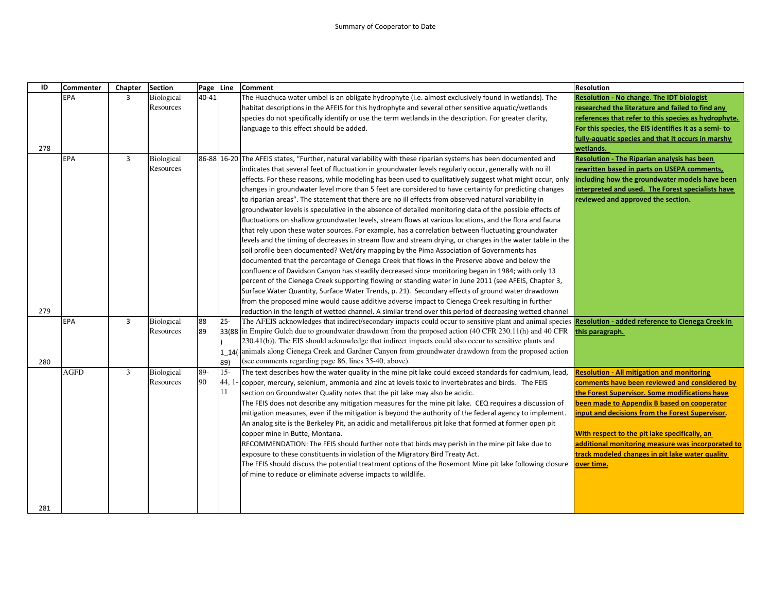| ID  | Commenter   | Chapter        | <b>Section</b>          | Page Line |                        | <b>Comment</b>                                                                                                                                                                                                                                                                                                                                                                                                                                                                                                                                                                                                                                                                                                                                                                                                                                                                                                                                                                                                                                                                                                                                                                                                                                                                                                                                                                                                                                                                                                                                                                                                      | <b>Resolution</b>                                                                                                                                                                                                                                                                                                                                                                                                             |
|-----|-------------|----------------|-------------------------|-----------|------------------------|---------------------------------------------------------------------------------------------------------------------------------------------------------------------------------------------------------------------------------------------------------------------------------------------------------------------------------------------------------------------------------------------------------------------------------------------------------------------------------------------------------------------------------------------------------------------------------------------------------------------------------------------------------------------------------------------------------------------------------------------------------------------------------------------------------------------------------------------------------------------------------------------------------------------------------------------------------------------------------------------------------------------------------------------------------------------------------------------------------------------------------------------------------------------------------------------------------------------------------------------------------------------------------------------------------------------------------------------------------------------------------------------------------------------------------------------------------------------------------------------------------------------------------------------------------------------------------------------------------------------|-------------------------------------------------------------------------------------------------------------------------------------------------------------------------------------------------------------------------------------------------------------------------------------------------------------------------------------------------------------------------------------------------------------------------------|
| 278 | EPA         | 3              | Biological<br>Resources | $40 - 41$ |                        | The Huachuca water umbel is an obligate hydrophyte (i.e. almost exclusively found in wetlands). The<br>habitat descriptions in the AFEIS for this hydrophyte and several other sensitive aquatic/wetlands<br>species do not specifically identify or use the term wetlands in the description. For greater clarity,<br>language to this effect should be added.                                                                                                                                                                                                                                                                                                                                                                                                                                                                                                                                                                                                                                                                                                                                                                                                                                                                                                                                                                                                                                                                                                                                                                                                                                                     | <b>Resolution - No change. The IDT biologist</b><br>researched the literature and failed to find any<br>references that refer to this species as hydrophyte.<br>For this species, the EIS identifies it as a semi-to<br>fully-aquatic species and that it occurs in marshy<br>wetlands.                                                                                                                                       |
|     | EPA         | $\overline{3}$ | Biological<br>Resources |           |                        | 86-88 16-20 The AFEIS states, "Further, natural variability with these riparian systems has been documented and<br>indicates that several feet of fluctuation in groundwater levels regularly occur, generally with no ill<br>effects. For these reasons, while modeling has been used to qualitatively suggest what might occur, only<br>changes in groundwater level more than 5 feet are considered to have certainty for predicting changes<br>to riparian areas". The statement that there are no ill effects from observed natural variability in<br>groundwater levels is speculative in the absence of detailed monitoring data of the possible effects of<br>fluctuations on shallow groundwater levels, stream flows at various locations, and the flora and fauna<br>that rely upon these water sources. For example, has a correlation between fluctuating groundwater<br>levels and the timing of decreases in stream flow and stream drying, or changes in the water table in the<br>soil profile been documented? Wet/dry mapping by the Pima Association of Governments has<br>documented that the percentage of Cienega Creek that flows in the Preserve above and below the<br>confluence of Davidson Canyon has steadily decreased since monitoring began in 1984; with only 13<br>percent of the Cienega Creek supporting flowing or standing water in June 2011 (see AFEIS, Chapter 3,<br>Surface Water Quantity, Surface Water Trends, p. 21). Secondary effects of ground water drawdown<br>from the proposed mine would cause additive adverse impact to Cienega Creek resulting in further | <b>Resolution - The Riparian analysis has been</b><br>rewritten based in parts on USEPA comments,<br>including how the groundwater models have been<br>interpreted and used. The Forest specialists have<br>reviewed and approved the section.                                                                                                                                                                                |
| 279 |             |                |                         |           |                        | reduction in the length of wetted channel. A similar trend over this period of decreasing wetted channel                                                                                                                                                                                                                                                                                                                                                                                                                                                                                                                                                                                                                                                                                                                                                                                                                                                                                                                                                                                                                                                                                                                                                                                                                                                                                                                                                                                                                                                                                                            |                                                                                                                                                                                                                                                                                                                                                                                                                               |
| 280 | <b>EPA</b>  | 3              | Biological<br>Resources | 88<br>89  | $25 -$<br>1 14(<br>89) | The AFEIS acknowledges that indirect/secondary impacts could occur to sensitive plant and animal species <b>Resolution - added reference to Cienega Creek in</b><br>33(88 in Empire Gulch due to groundwater drawdown from the proposed action (40 CFR 230.11(h) and 40 CFR<br>230.41(b)). The EIS should acknowledge that indirect impacts could also occur to sensitive plants and<br>animals along Cienega Creek and Gardner Canyon from groundwater drawdown from the proposed action<br>(see comments regarding page 86, lines 35-40, above).                                                                                                                                                                                                                                                                                                                                                                                                                                                                                                                                                                                                                                                                                                                                                                                                                                                                                                                                                                                                                                                                  | this paragraph.                                                                                                                                                                                                                                                                                                                                                                                                               |
| 281 | <b>AGFD</b> | 3              | Biological<br>Resources | 89-<br>90 | $15 -$<br>44, 1<br>11  | The text describes how the water quality in the mine pit lake could exceed standards for cadmium, lead,<br>copper, mercury, selenium, ammonia and zinc at levels toxic to invertebrates and birds. The FEIS<br>section on Groundwater Quality notes that the pit lake may also be acidic.<br>The FEIS does not describe any mitigation measures for the mine pit lake. CEQ requires a discussion of<br>mitigation measures, even if the mitigation is beyond the authority of the federal agency to implement.<br>An analog site is the Berkeley Pit, an acidic and metalliferous pit lake that formed at former open pit<br>copper mine in Butte, Montana.<br>RECOMMENDATION: The FEIS should further note that birds may perish in the mine pit lake due to<br>exposure to these constituents in violation of the Migratory Bird Treaty Act.<br>The FEIS should discuss the potential treatment options of the Rosemont Mine pit lake following closure<br>of mine to reduce or eliminate adverse impacts to wildlife.                                                                                                                                                                                                                                                                                                                                                                                                                                                                                                                                                                                            | <b>Resolution - All mitigation and monitoring</b><br>comments have been reviewed and considered by<br>the Forest Supervisor. Some modifications have<br>been made to Appendix B based on cooperator<br>input and decisions from the Forest Supervisor.<br>With respect to the pit lake specifically, an<br>additional monitoring measure was incorporated to<br>track modeled changes in pit lake water quality<br>over time. |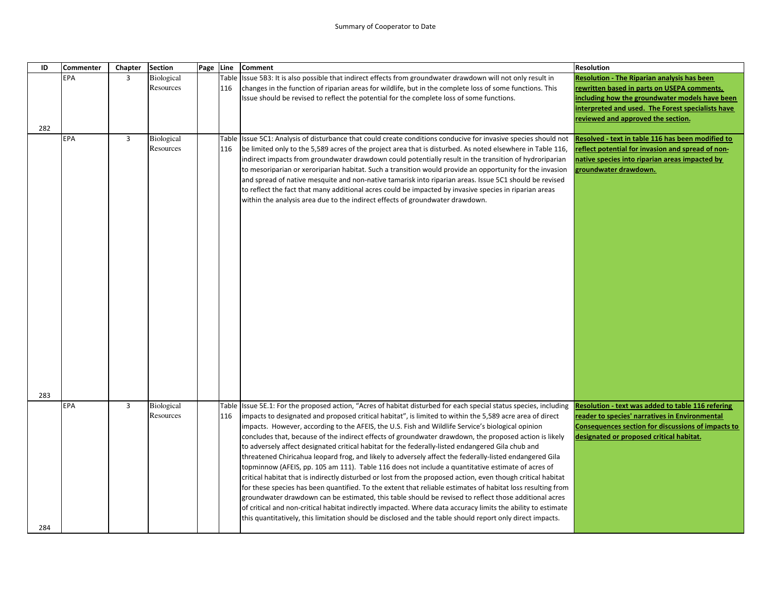| ID  | <b>Commenter</b> | Chapter        | <b>Section</b>    | Page Line |     | <b>Comment</b>                                                                                                    | <b>Resolution</b>                                  |
|-----|------------------|----------------|-------------------|-----------|-----|-------------------------------------------------------------------------------------------------------------------|----------------------------------------------------|
|     | EPA              | 3              | <b>Biological</b> |           |     | Table Issue 5B3: It is also possible that indirect effects from groundwater drawdown will not only result in      | <b>Resolution - The Riparian analysis has been</b> |
|     |                  |                | Resources         |           | 116 | changes in the function of riparian areas for wildlife, but in the complete loss of some functions. This          | rewritten based in parts on USEPA comments,        |
|     |                  |                |                   |           |     | Issue should be revised to reflect the potential for the complete loss of some functions.                         | including how the groundwater models have been     |
|     |                  |                |                   |           |     |                                                                                                                   | interpreted and used. The Forest specialists have  |
|     |                  |                |                   |           |     |                                                                                                                   | reviewed and approved the section.                 |
| 282 |                  |                |                   |           |     |                                                                                                                   |                                                    |
|     | EPA              | 3              | <b>Biological</b> |           |     | Table Issue 5C1: Analysis of disturbance that could create conditions conducive for invasive species should not   | Resolved - text in table 116 has been modified to  |
|     |                  |                | Resources         |           | 116 | be limited only to the 5,589 acres of the project area that is disturbed. As noted elsewhere in Table 116,        | reflect potential for invasion and spread of non-  |
|     |                  |                |                   |           |     | indirect impacts from groundwater drawdown could potentially result in the transition of hydroriparian            | native species into riparian areas impacted by     |
|     |                  |                |                   |           |     | to mesoriparian or xeroriparian habitat. Such a transition would provide an opportunity for the invasion          | groundwater drawdown.                              |
|     |                  |                |                   |           |     | and spread of native mesquite and non-native tamarisk into riparian areas. Issue 5C1 should be revised            |                                                    |
|     |                  |                |                   |           |     | to reflect the fact that many additional acres could be impacted by invasive species in riparian areas            |                                                    |
|     |                  |                |                   |           |     | within the analysis area due to the indirect effects of groundwater drawdown.                                     |                                                    |
|     |                  |                |                   |           |     |                                                                                                                   |                                                    |
|     |                  |                |                   |           |     |                                                                                                                   |                                                    |
|     |                  |                |                   |           |     |                                                                                                                   |                                                    |
|     |                  |                |                   |           |     |                                                                                                                   |                                                    |
|     |                  |                |                   |           |     |                                                                                                                   |                                                    |
|     |                  |                |                   |           |     |                                                                                                                   |                                                    |
|     |                  |                |                   |           |     |                                                                                                                   |                                                    |
|     |                  |                |                   |           |     |                                                                                                                   |                                                    |
|     |                  |                |                   |           |     |                                                                                                                   |                                                    |
|     |                  |                |                   |           |     |                                                                                                                   |                                                    |
|     |                  |                |                   |           |     |                                                                                                                   |                                                    |
|     |                  |                |                   |           |     |                                                                                                                   |                                                    |
|     |                  |                |                   |           |     |                                                                                                                   |                                                    |
|     |                  |                |                   |           |     |                                                                                                                   |                                                    |
|     |                  |                |                   |           |     |                                                                                                                   |                                                    |
|     |                  |                |                   |           |     |                                                                                                                   |                                                    |
|     |                  |                |                   |           |     |                                                                                                                   |                                                    |
|     |                  |                |                   |           |     |                                                                                                                   |                                                    |
|     |                  |                |                   |           |     |                                                                                                                   |                                                    |
| 283 |                  |                |                   |           |     |                                                                                                                   |                                                    |
|     | EPA              | $\overline{3}$ | Biological        |           |     | Table Issue 5E.1: For the proposed action, "Acres of habitat disturbed for each special status species, including | Resolution - text was added to table 116 refering  |
|     |                  |                | Resources         |           | 116 | impacts to designated and proposed critical habitat", is limited to within the 5,589 acre area of direct          | reader to species' narratives in Environmental     |
|     |                  |                |                   |           |     | impacts. However, according to the AFEIS, the U.S. Fish and Wildlife Service's biological opinion                 | Consequences section for discussions of impacts to |
|     |                  |                |                   |           |     | concludes that, because of the indirect effects of groundwater drawdown, the proposed action is likely            | designated or proposed critical habitat.           |
|     |                  |                |                   |           |     | to adversely affect designated critical habitat for the federally-listed endangered Gila chub and                 |                                                    |
|     |                  |                |                   |           |     | threatened Chiricahua leopard frog, and likely to adversely affect the federally-listed endangered Gila           |                                                    |
|     |                  |                |                   |           |     | topminnow (AFEIS, pp. 105 am 111). Table 116 does not include a quantitative estimate of acres of                 |                                                    |
|     |                  |                |                   |           |     | critical habitat that is indirectly disturbed or lost from the proposed action, even though critical habitat      |                                                    |
|     |                  |                |                   |           |     | for these species has been quantified. To the extent that reliable estimates of habitat loss resulting from       |                                                    |
|     |                  |                |                   |           |     | groundwater drawdown can be estimated, this table should be revised to reflect those additional acres             |                                                    |
|     |                  |                |                   |           |     | of critical and non-critical habitat indirectly impacted. Where data accuracy limits the ability to estimate      |                                                    |
|     |                  |                |                   |           |     | this quantitatively, this limitation should be disclosed and the table should report only direct impacts.         |                                                    |
| 284 |                  |                |                   |           |     |                                                                                                                   |                                                    |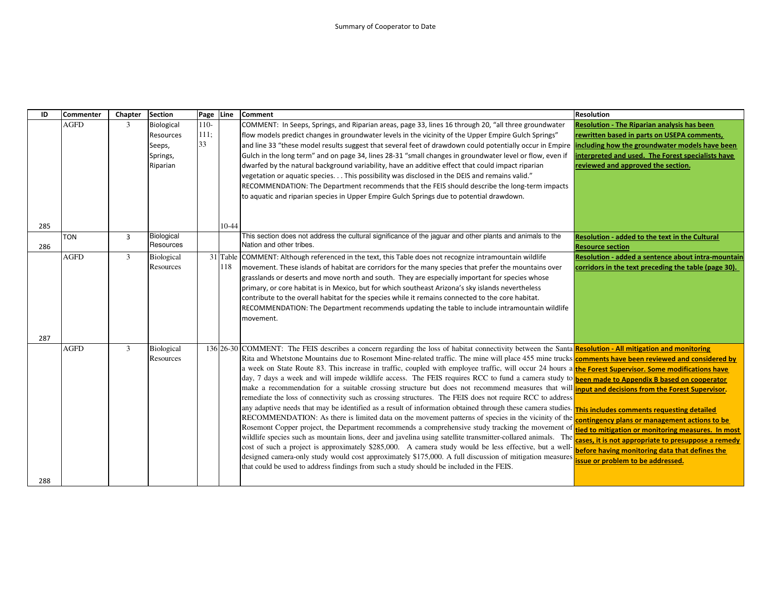| ID  | <b>Commenter</b> | Chapter        | <b>Section</b>          | Page   | Line    | <b>Comment</b>                                                                                                                                                | <b>Resolution</b>                                    |
|-----|------------------|----------------|-------------------------|--------|---------|---------------------------------------------------------------------------------------------------------------------------------------------------------------|------------------------------------------------------|
|     | <b>AGFD</b>      | 3              | <b>Biological</b>       | $110-$ |         | COMMENT: In Seeps, Springs, and Riparian areas, page 33, lines 16 through 20, "all three groundwater                                                          | <b>Resolution - The Riparian analysis has been</b>   |
|     |                  |                | Resources               | 111:   |         | "flow models predict changes in groundwater levels in the vicinity of the Upper Empire Gulch Springs                                                          | rewritten based in parts on USEPA comments,          |
|     |                  |                | Seeps,                  | 33     |         | and line 33 "these model results suggest that several feet of drawdown could potentially occur in Empire                                                      | ncluding how the groundwater models have been        |
|     |                  |                | Springs,                |        |         | Gulch in the long term" and on page 34, lines 28-31 "small changes in groundwater level or flow, even if                                                      | nterpreted and used. The Forest specialists have     |
|     |                  |                | Riparian                |        |         | dwarfed by the natural background variability, have an additive effect that could impact riparian                                                             | reviewed and approved the section.                   |
|     |                  |                |                         |        |         | vegetation or aquatic species. This possibility was disclosed in the DEIS and remains valid."                                                                 |                                                      |
|     |                  |                |                         |        |         | RECOMMENDATION: The Department recommends that the FEIS should describe the long-term impacts                                                                 |                                                      |
|     |                  |                |                         |        |         | to aquatic and riparian species in Upper Empire Gulch Springs due to potential drawdown.                                                                      |                                                      |
|     |                  |                |                         |        |         |                                                                                                                                                               |                                                      |
|     |                  |                |                         |        |         |                                                                                                                                                               |                                                      |
| 285 |                  |                |                         |        | $10-44$ |                                                                                                                                                               |                                                      |
|     | <b>TON</b>       | $\overline{3}$ | Biological<br>Resources |        |         | This section does not address the cultural significance of the jaguar and other plants and animals to the<br>Nation and other tribes.                         | Resolution - added to the text in the Cultural       |
| 286 |                  |                |                         |        |         |                                                                                                                                                               | <b>Resource section</b>                              |
|     | <b>AGFD</b>      | $\overline{3}$ | Biological              |        |         | 31 Table COMMENT: Although referenced in the text, this Table does not recognize intramountain wildlife                                                       | Resolution - added a sentence about intra-mountain   |
|     |                  |                | Resources               |        | 118     | movement. These islands of habitat are corridors for the many species that prefer the mountains over                                                          | corridors in the text preceding the table (page 30). |
|     |                  |                |                         |        |         | grasslands or deserts and move north and south. They are especially important for species whose                                                               |                                                      |
|     |                  |                |                         |        |         | primary, or core habitat is in Mexico, but for which southeast Arizona's sky islands nevertheless                                                             |                                                      |
|     |                  |                |                         |        |         | contribute to the overall habitat for the species while it remains connected to the core habitat.                                                             |                                                      |
|     |                  |                |                         |        |         | RECOMMENDATION: The Department recommends updating the table to include intramountain wildlife                                                                |                                                      |
|     |                  |                |                         |        |         | movement.                                                                                                                                                     |                                                      |
| 287 |                  |                |                         |        |         |                                                                                                                                                               |                                                      |
|     | <b>AGFD</b>      | $\overline{3}$ | Biological              |        |         | 136 26-30 COMMENT: The FEIS describes a concern regarding the loss of habitat connectivity between the Santa Resolution - All mitigation and monitoring       |                                                      |
|     |                  |                | Resources               |        |         | Rita and Whetstone Mountains due to Rosemont Mine-related traffic. The mine will place 455 mine trucks <b>comments have been reviewed and considered by</b>   |                                                      |
|     |                  |                |                         |        |         | a week on State Route 83. This increase in traffic, coupled with employee traffic, will occur 24 hours a the Forest Supervisor. Some modifications have       |                                                      |
|     |                  |                |                         |        |         | day, 7 days a week and will impede wildlife access. The FEIS requires RCC to fund a camera study to been made to Appendix B based on cooperator               |                                                      |
|     |                  |                |                         |        |         | make a recommendation for a suitable crossing structure but does not recommend measures that will <b>input and decisions from the Forest Supervisor</b> .     |                                                      |
|     |                  |                |                         |        |         | remediate the loss of connectivity such as crossing structures. The FEIS does not require RCC to address                                                      |                                                      |
|     |                  |                |                         |        |         | any adaptive needs that may be identified as a result of information obtained through these camera studies. <b>This includes comments requesting detailed</b> |                                                      |
|     |                  |                |                         |        |         | RECOMMENDATION: As there is limited data on the movement patterns of species in the vicinity of the                                                           | contingency plans or management actions to be        |
|     |                  |                |                         |        |         | Rosemont Copper project, the Department recommends a comprehensive study tracking the movement of                                                             | tied to mitigation or monitoring measures. In most   |
|     |                  |                |                         |        |         | wildlife species such as mountain lions, deer and javelina using satellite transmitter-collared animals. The                                                  | cases, it is not appropriate to presuppose a remedy  |
|     |                  |                |                         |        |         | cost of such a project is approximately \$285,000. A camera study would be less effective, but a well-                                                        | before having monitoring data that defines the       |
|     |                  |                |                         |        |         | designed camera-only study would cost approximately \$175,000. A full discussion of mitigation measures                                                       | ssue or problem to be addressed.                     |
|     |                  |                |                         |        |         | that could be used to address findings from such a study should be included in the FEIS.                                                                      |                                                      |
| 288 |                  |                |                         |        |         |                                                                                                                                                               |                                                      |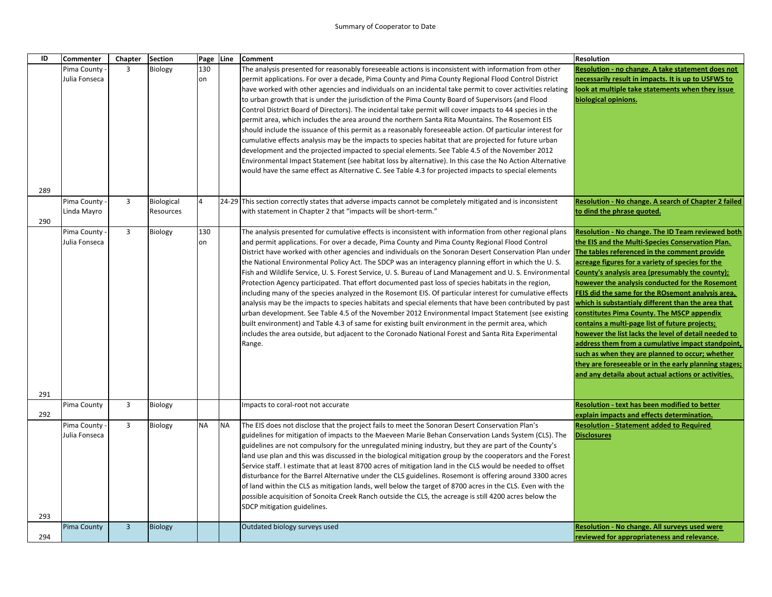| ID  | <b>Commenter</b> | Chapter        | <b>Section</b> | Page Line |           | <b>Comment</b>                                                                                                                                                                                                        | <b>Resolution</b>                                                                                      |
|-----|------------------|----------------|----------------|-----------|-----------|-----------------------------------------------------------------------------------------------------------------------------------------------------------------------------------------------------------------------|--------------------------------------------------------------------------------------------------------|
|     | Pima County      | 3              | Biology        | 130       |           | The analysis presented for reasonably foreseeable actions is inconsistent with information from other                                                                                                                 | Resolution - no change. A take statement does not                                                      |
|     | Julia Fonseca    |                |                | on        |           | permit applications. For over a decade, Pima County and Pima County Regional Flood Control District                                                                                                                   | necessarily result in impacts. It is up to USFWS to                                                    |
|     |                  |                |                |           |           | have worked with other agencies and individuals on an incidental take permit to cover activities relating                                                                                                             | ook at multiple take statements when they issue                                                        |
|     |                  |                |                |           |           | to urban growth that is under the jurisdiction of the Pima County Board of Supervisors (and Flood                                                                                                                     | biological opinions.                                                                                   |
|     |                  |                |                |           |           | Control District Board of Directors). The incidental take permit will cover impacts to 44 species in the                                                                                                              |                                                                                                        |
|     |                  |                |                |           |           | permit area, which includes the area around the northern Santa Rita Mountains. The Rosemont EIS                                                                                                                       |                                                                                                        |
|     |                  |                |                |           |           | should include the issuance of this permit as a reasonably foreseeable action. Of particular interest for                                                                                                             |                                                                                                        |
|     |                  |                |                |           |           | cumulative effects analysis may be the impacts to species habitat that are projected for future urban                                                                                                                 |                                                                                                        |
|     |                  |                |                |           |           | development and the projected impacted to special elements. See Table 4.5 of the November 2012                                                                                                                        |                                                                                                        |
|     |                  |                |                |           |           | Environmental Impact Statement (see habitat loss by alternative). In this case the No Action Alternative                                                                                                              |                                                                                                        |
|     |                  |                |                |           |           | would have the same effect as Alternative C. See Table 4.3 for projected impacts to special elements                                                                                                                  |                                                                                                        |
| 289 |                  |                |                |           |           |                                                                                                                                                                                                                       |                                                                                                        |
|     | Pima County -    | 3              | Biological     | 4         |           | 24-29 This section correctly states that adverse impacts cannot be completely mitigated and is inconsistent                                                                                                           | Resolution - No change. A search of Chapter 2 failed                                                   |
|     | Linda Mayro      |                | Resources      |           |           | with statement in Chapter 2 that "impacts will be short-term."                                                                                                                                                        | to dind the phrase quoted.                                                                             |
| 290 |                  |                |                |           |           |                                                                                                                                                                                                                       |                                                                                                        |
|     | Pima County      | $\overline{3}$ | Biology        | 130       |           | The analysis presented for cumulative effects is inconsistent with information from other regional plans                                                                                                              | Resolution - No change. The ID Team reviewed both                                                      |
|     | Julia Fonseca    |                |                | on        |           | and permit applications. For over a decade, Pima County and Pima County Regional Flood Control                                                                                                                        | the EIS and the Multi-Species Conservation Plan.                                                       |
|     |                  |                |                |           |           | District have worked with other agencies and individuals on the Sonoran Desert Conservation Plan under The tables referenced in the comment provide                                                                   |                                                                                                        |
|     |                  |                |                |           |           | the National Environmental Policy Act. The SDCP was an interagency planning effort in which the U.S.                                                                                                                  | acreage figures for a variety of species for the                                                       |
|     |                  |                |                |           |           | Fish and Wildlife Service, U. S. Forest Service, U. S. Bureau of Land Management and U. S. Environmental                                                                                                              | County's analysis area (presumably the county);                                                        |
|     |                  |                |                |           |           | Protection Agency participated. That effort documented past loss of species habitats in the region,                                                                                                                   | however the analysis conducted for the Rosemont                                                        |
|     |                  |                |                |           |           | including many of the species analyzed in the Rosemont EIS. Of particular interest for cumulative effects                                                                                                             | EIS did the same for the ROsemont analysis area,                                                       |
|     |                  |                |                |           |           | analysis may be the impacts to species habitats and special elements that have been contributed by past                                                                                                               | which is substantialy different than the area that                                                     |
|     |                  |                |                |           |           | urban development. See Table 4.5 of the November 2012 Environmental Impact Statement (see existing                                                                                                                    | constitutes Pima County. The MSCP appendix                                                             |
|     |                  |                |                |           |           | built environment) and Table 4.3 of same for existing built environment in the permit area, which<br>includes the area outside, but adjacent to the Coronado National Forest and Santa Rita Experimental              | contains a multi-page list of future projects;<br>however the list lacks the level of detail needed to |
|     |                  |                |                |           |           | Range.                                                                                                                                                                                                                | address them from a cumulative impact standpoint,                                                      |
|     |                  |                |                |           |           |                                                                                                                                                                                                                       | such as when they are planned to occur; whether                                                        |
|     |                  |                |                |           |           |                                                                                                                                                                                                                       | they are foreseeable or in the early planning stages;                                                  |
|     |                  |                |                |           |           |                                                                                                                                                                                                                       | and any detaila about actual actions or activities.                                                    |
|     |                  |                |                |           |           |                                                                                                                                                                                                                       |                                                                                                        |
| 291 |                  |                |                |           |           |                                                                                                                                                                                                                       |                                                                                                        |
|     | Pima County      | 3              | Biology        |           |           | Impacts to coral-root not accurate                                                                                                                                                                                    | Resolution - text has been modified to better                                                          |
| 292 |                  |                |                |           |           |                                                                                                                                                                                                                       | explain impacts and effects determination.                                                             |
|     | Pima County      | $\overline{3}$ | Biology        | <b>NA</b> | <b>NA</b> | The EIS does not disclose that the project fails to meet the Sonoran Desert Conservation Plan's                                                                                                                       | <b>Resolution - Statement added to Required</b>                                                        |
|     | Julia Fonseca    |                |                |           |           | guidelines for mitigation of impacts to the Maeveen Marie Behan Conservation Lands System (CLS). The                                                                                                                  | <b>Disclosures</b>                                                                                     |
|     |                  |                |                |           |           | guidelines are not compulsory for the unregulated mining industry, but they are part of the County's                                                                                                                  |                                                                                                        |
|     |                  |                |                |           |           | land use plan and this was discussed in the biological mitigation group by the cooperators and the Forest                                                                                                             |                                                                                                        |
|     |                  |                |                |           |           | Service staff. I estimate that at least 8700 acres of mitigation land in the CLS would be needed to offset<br>disturbance for the Barrel Alternative under the CLS guidelines. Rosemont is offering around 3300 acres |                                                                                                        |
|     |                  |                |                |           |           | of land within the CLS as mitigation lands, well below the target of 8700 acres in the CLS. Even with the                                                                                                             |                                                                                                        |
|     |                  |                |                |           |           | possible acquisition of Sonoita Creek Ranch outside the CLS, the acreage is still 4200 acres below the                                                                                                                |                                                                                                        |
|     |                  |                |                |           |           | SDCP mitigation guidelines.                                                                                                                                                                                           |                                                                                                        |
| 293 |                  |                |                |           |           |                                                                                                                                                                                                                       |                                                                                                        |
|     | Pima County      | $\overline{3}$ | <b>Biology</b> |           |           | Outdated biology surveys used                                                                                                                                                                                         | Resolution - No change. All surveys used were                                                          |
| 294 |                  |                |                |           |           |                                                                                                                                                                                                                       | reviewed for appropriateness and relevance.                                                            |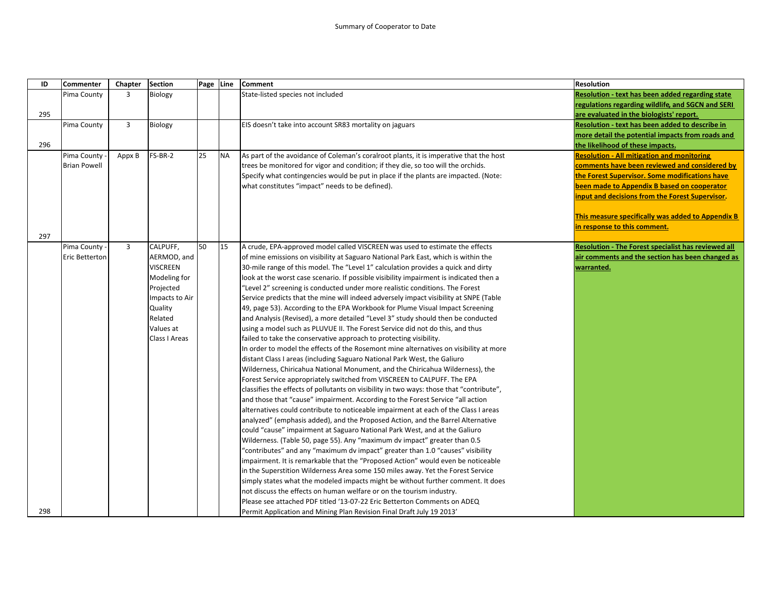| ID  | <b>Commenter</b>    | Chapter        | <b>Section</b>  | Page Line |           | <b>Comment</b>                                                                           | Resolution                                                 |
|-----|---------------------|----------------|-----------------|-----------|-----------|------------------------------------------------------------------------------------------|------------------------------------------------------------|
|     | Pima County         | 3              | Biology         |           |           | State-listed species not included                                                        | Resolution - text has been added regarding state           |
|     |                     |                |                 |           |           |                                                                                          | regulations regarding wildlife, and SGCN and SERI          |
| 295 |                     |                |                 |           |           |                                                                                          | are evaluated in the biologists' report.                   |
|     | Pima County         | 3              | Biology         |           |           | EIS doesn't take into account SR83 mortality on jaguars                                  | Resolution - text has been added to describe in            |
|     |                     |                |                 |           |           |                                                                                          | more detail the potential impacts from roads and           |
| 296 |                     |                |                 |           |           |                                                                                          | the likelihood of these impacts.                           |
|     | Pima County         | Appx B         | FS-BR-2         | 25        | <b>NA</b> | As part of the avoidance of Coleman's coralroot plants, it is imperative that the host   | <b>Resolution - All mitigation and monitoring</b>          |
|     | <b>Brian Powell</b> |                |                 |           |           | trees be monitored for vigor and condition; if they die, so too will the orchids.        | comments have been reviewed and considered by              |
|     |                     |                |                 |           |           | Specify what contingencies would be put in place if the plants are impacted. (Note:      | the Forest Supervisor. Some modifications have             |
|     |                     |                |                 |           |           | what constitutes "impact" needs to be defined).                                          | been made to Appendix B based on cooperator                |
|     |                     |                |                 |           |           |                                                                                          | input and decisions from the Forest Supervisor.            |
|     |                     |                |                 |           |           |                                                                                          |                                                            |
|     |                     |                |                 |           |           |                                                                                          | This measure specifically was added to Appendix B          |
|     |                     |                |                 |           |           |                                                                                          | in response to this comment.                               |
| 297 |                     |                |                 |           |           |                                                                                          |                                                            |
|     | Pima County -       | $\overline{3}$ | CALPUFF,        | 50        | 15        | A crude, EPA-approved model called VISCREEN was used to estimate the effects             | <b>Resolution - The Forest specialist has reviewed all</b> |
|     | Eric Betterton      |                | AERMOD, and     |           |           | of mine emissions on visibility at Saguaro National Park East, which is within the       | air comments and the section has been changed as           |
|     |                     |                | <b>VISCREEN</b> |           |           | 30-mile range of this model. The "Level 1" calculation provides a quick and dirty        | warranted.                                                 |
|     |                     |                | Modeling for    |           |           | look at the worst case scenario. If possible visibility impairment is indicated then a   |                                                            |
|     |                     |                | Projected       |           |           | 'Level 2" screening is conducted under more realistic conditions. The Forest             |                                                            |
|     |                     |                | Impacts to Air  |           |           | Service predicts that the mine will indeed adversely impact visibility at SNPE (Table    |                                                            |
|     |                     |                | Quality         |           |           | 49, page 53). According to the EPA Workbook for Plume Visual Impact Screening            |                                                            |
|     |                     |                | Related         |           |           | and Analysis (Revised), a more detailed "Level 3" study should then be conducted         |                                                            |
|     |                     |                | Values at       |           |           | using a model such as PLUVUE II. The Forest Service did not do this, and thus            |                                                            |
|     |                     |                | Class I Areas   |           |           | failed to take the conservative approach to protecting visibility.                       |                                                            |
|     |                     |                |                 |           |           | In order to model the effects of the Rosemont mine alternatives on visibility at more    |                                                            |
|     |                     |                |                 |           |           | distant Class I areas (including Saguaro National Park West, the Galiuro                 |                                                            |
|     |                     |                |                 |           |           | Wilderness, Chiricahua National Monument, and the Chiricahua Wilderness), the            |                                                            |
|     |                     |                |                 |           |           | Forest Service appropriately switched from VISCREEN to CALPUFF. The EPA                  |                                                            |
|     |                     |                |                 |           |           | classifies the effects of pollutants on visibility in two ways: those that "contribute", |                                                            |
|     |                     |                |                 |           |           | and those that "cause" impairment. According to the Forest Service "all action           |                                                            |
|     |                     |                |                 |           |           | alternatives could contribute to noticeable impairment at each of the Class I areas      |                                                            |
|     |                     |                |                 |           |           | analyzed" (emphasis added), and the Proposed Action, and the Barrel Alternative          |                                                            |
|     |                     |                |                 |           |           | could "cause" impairment at Saguaro National Park West, and at the Galiuro               |                                                            |
|     |                     |                |                 |           |           | Wilderness. (Table 50, page 55). Any "maximum dv impact" greater than 0.5                |                                                            |
|     |                     |                |                 |           |           | 'contributes" and any "maximum dv impact" greater than 1.0 "causes" visibility           |                                                            |
|     |                     |                |                 |           |           | impairment. It is remarkable that the "Proposed Action" would even be noticeable         |                                                            |
|     |                     |                |                 |           |           | in the Superstition Wilderness Area some 150 miles away. Yet the Forest Service          |                                                            |
|     |                     |                |                 |           |           | simply states what the modeled impacts might be without further comment. It does         |                                                            |
|     |                     |                |                 |           |           | not discuss the effects on human welfare or on the tourism industry.                     |                                                            |
|     |                     |                |                 |           |           | Please see attached PDF titled '13-07-22 Eric Betterton Comments on ADEQ                 |                                                            |
| 298 |                     |                |                 |           |           | Permit Application and Mining Plan Revision Final Draft July 19 2013'                    |                                                            |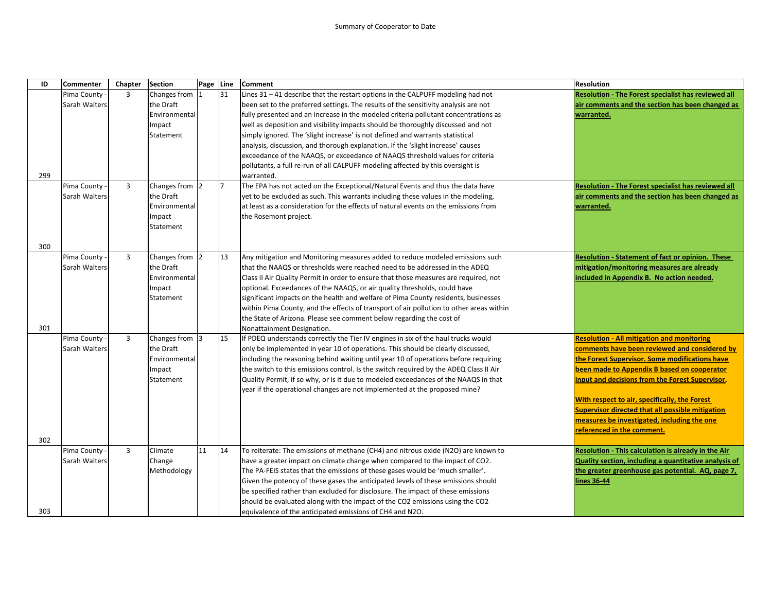| ID  | Commenter     | Chapter | <b>Section</b> | Page Line |    | <b>Comment</b>                                                                          | <b>Resolution</b>                                            |
|-----|---------------|---------|----------------|-----------|----|-----------------------------------------------------------------------------------------|--------------------------------------------------------------|
|     | Pima County   | 3       | Changes from 1 |           | 31 | Lines $31 - 41$ describe that the restart options in the CALPUFF modeling had not       | <b>Resolution - The Forest specialist has reviewed all</b>   |
|     | Sarah Walters |         | the Draft      |           |    | been set to the preferred settings. The results of the sensitivity analysis are not     | air comments and the section has been changed as             |
|     |               |         | Environmental  |           |    | fully presented and an increase in the modeled criteria pollutant concentrations as     | warranted.                                                   |
|     |               |         | Impact         |           |    | well as deposition and visibility impacts should be thoroughly discussed and not        |                                                              |
|     |               |         | Statement      |           |    | simply ignored. The 'slight increase' is not defined and warrants statistical           |                                                              |
|     |               |         |                |           |    | analysis, discussion, and thorough explanation. If the 'slight increase' causes         |                                                              |
|     |               |         |                |           |    | exceedance of the NAAQS, or exceedance of NAAQS threshold values for criteria           |                                                              |
|     |               |         |                |           |    | pollutants, a full re-run of all CALPUFF modeling affected by this oversight is         |                                                              |
| 299 |               |         |                |           |    | warranted.                                                                              |                                                              |
|     | Pima County   | 3       | Changes from 2 |           | 17 | The EPA has not acted on the Exceptional/Natural Events and thus the data have          | Resolution - The Forest specialist has reviewed all          |
|     | Sarah Walters |         | the Draft      |           |    | yet to be excluded as such. This warrants including these values in the modeling,       | air comments and the section has been changed as             |
|     |               |         | Environmental  |           |    | at least as a consideration for the effects of natural events on the emissions from     | <u>warranted.</u>                                            |
|     |               |         | Impact         |           |    | the Rosemont project.                                                                   |                                                              |
|     |               |         | Statement      |           |    |                                                                                         |                                                              |
| 300 |               |         |                |           |    |                                                                                         |                                                              |
|     | Pima County   | 3       | Changes from 2 |           | 13 | Any mitigation and Monitoring measures added to reduce modeled emissions such           | Resolution - Statement of fact or opinion. These             |
|     | Sarah Walters |         | the Draft      |           |    | that the NAAQS or thresholds were reached need to be addressed in the ADEQ              | mitigation/monitoring measures are already                   |
|     |               |         | Environmental  |           |    | Class II Air Quality Permit in order to ensure that those measures are required, not    | included in Appendix B. No action needed.                    |
|     |               |         | Impact         |           |    | optional. Exceedances of the NAAQS, or air quality thresholds, could have               |                                                              |
|     |               |         | Statement      |           |    | significant impacts on the health and welfare of Pima County residents, businesses      |                                                              |
|     |               |         |                |           |    | within Pima County, and the effects of transport of air pollution to other areas within |                                                              |
|     |               |         |                |           |    | the State of Arizona. Please see comment below regarding the cost of                    |                                                              |
| 301 |               |         |                |           |    | Nonattainment Designation.                                                              |                                                              |
|     | Pima County   | 3       | Changes from 3 |           | 15 | If PDEQ understands correctly the Tier IV engines in six of the haul trucks would       | <b>Resolution - All mitigation and monitoring</b>            |
|     | Sarah Walters |         | the Draft      |           |    | only be implemented in year 10 of operations. This should be clearly discussed,         | comments have been reviewed and considered by                |
|     |               |         | Environmental  |           |    | including the reasoning behind waiting until year 10 of operations before requiring     | the Forest Supervisor. Some modifications have               |
|     |               |         | Impact         |           |    | the switch to this emissions control. Is the switch required by the ADEQ Class II Air   | been made to Appendix B based on cooperator                  |
|     |               |         | Statement      |           |    | Quality Permit, if so why, or is it due to modeled exceedances of the NAAQS in that     | input and decisions from the Forest Supervisor.              |
|     |               |         |                |           |    | year if the operational changes are not implemented at the proposed mine?               |                                                              |
|     |               |         |                |           |    |                                                                                         | With respect to air, specifically, the Forest                |
|     |               |         |                |           |    |                                                                                         | Supervisor directed that all possible mitigation             |
|     |               |         |                |           |    |                                                                                         | measures be investigated, including the one                  |
|     |               |         |                |           |    |                                                                                         | referenced in the comment.                                   |
| 302 | Pima County   | 3       | Climate        | 11        | 14 | To reiterate: The emissions of methane (CH4) and nitrous oxide (N2O) are known to       | Resolution - This calculation is already in the Air          |
|     | Sarah Walters |         | Change         |           |    | have a greater impact on climate change when compared to the impact of CO2.             | <b>Quality section, including a quantitative analysis of</b> |
|     |               |         | Methodology    |           |    | The PA-FEIS states that the emissions of these gases would be 'much smaller'.           | the greater greenhouse gas potential. AQ, page 7,            |
|     |               |         |                |           |    | Given the potency of these gases the anticipated levels of these emissions should       | <u>lines 36-44</u>                                           |
|     |               |         |                |           |    | be specified rather than excluded for disclosure. The impact of these emissions         |                                                              |
|     |               |         |                |           |    | should be evaluated along with the impact of the CO2 emissions using the CO2            |                                                              |
| 303 |               |         |                |           |    | equivalence of the anticipated emissions of CH4 and N2O.                                |                                                              |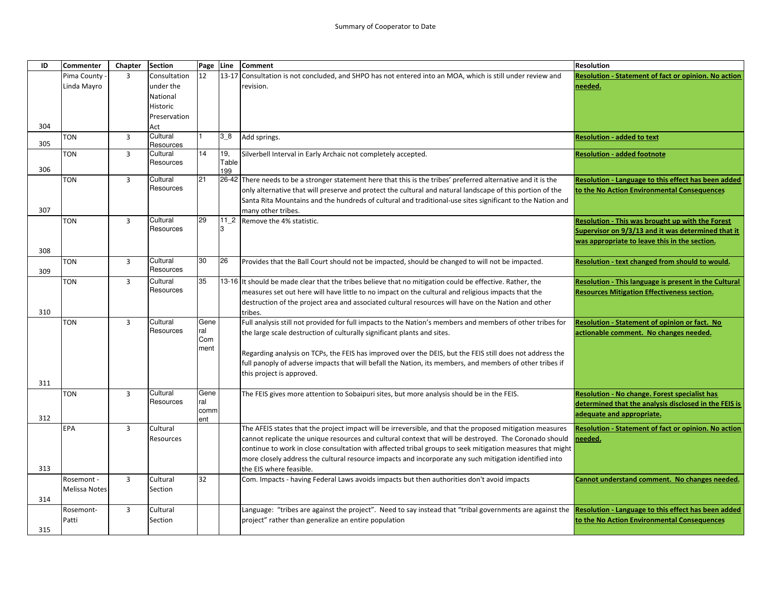| ID  | <b>Commenter</b> | Chapter        | <b>Section</b>        | Page        | Line       | <b>Comment</b>                                                                                                 | <b>Resolution</b>                                            |
|-----|------------------|----------------|-----------------------|-------------|------------|----------------------------------------------------------------------------------------------------------------|--------------------------------------------------------------|
|     | Pima County      | 3              | Consultation          | 12          | $13 - 17$  | Consultation is not concluded, and SHPO has not entered into an MOA, which is still under review and           | Resolution - Statement of fact or opinion. No action         |
|     | Linda Mayro      |                | under the             |             |            | revision.                                                                                                      | needed.                                                      |
|     |                  |                | National              |             |            |                                                                                                                |                                                              |
|     |                  |                | Historic              |             |            |                                                                                                                |                                                              |
|     |                  |                | Preservation          |             |            |                                                                                                                |                                                              |
| 304 |                  |                | Act                   |             |            |                                                                                                                |                                                              |
| 305 | <b>TON</b>       | $\overline{3}$ | Cultural              |             | 38         | Add springs.                                                                                                   | <b>Resolution - added to text</b>                            |
|     | TON              | 3              | Resources<br>Cultural | 14          | 19,        | Silverbell Interval in Early Archaic not completely accepted.                                                  | <b>Resolution - added footnote</b>                           |
|     |                  |                | Resources             |             | Table      |                                                                                                                |                                                              |
| 306 |                  |                |                       |             | 199        |                                                                                                                |                                                              |
|     | TON              | $\overline{3}$ | Cultural              | 21          |            | 26-42 There needs to be a stronger statement here that this is the tribes' preferred alternative and it is the | Resolution - Language to this effect has been added          |
|     |                  |                | Resources             |             |            | only alternative that will preserve and protect the cultural and natural landscape of this portion of the      | to the No Action Environmental Consequences                  |
|     |                  |                |                       |             |            | Santa Rita Mountains and the hundreds of cultural and traditional-use sites significant to the Nation and      |                                                              |
| 307 |                  |                |                       |             |            | many other tribes.                                                                                             |                                                              |
|     | <b>TON</b>       | $\overline{3}$ | Cultural<br>Resources | 29          | $112$<br>3 | Remove the 4% statistic.                                                                                       | Resolution - This was brought up with the Forest             |
|     |                  |                |                       |             |            |                                                                                                                | Supervisor on 9/3/13 and it was determined that it           |
|     |                  |                |                       |             |            |                                                                                                                | was appropriate to leave this in the section.                |
| 308 |                  |                | Cultural              | 30          | 26         |                                                                                                                |                                                              |
| 309 | <b>TON</b>       | 3              | Resources             |             |            | Provides that the Ball Court should not be impacted, should be changed to will not be impacted.                | Resolution - text changed from should to would.              |
|     | TON              | $\overline{3}$ | Cultural              | 35          |            | 13-16 It should be made clear that the tribes believe that no mitigation could be effective. Rather, the       | <b>Resolution - This language is present in the Cultural</b> |
|     |                  |                | Resources             |             |            | measures set out here will have little to no impact on the cultural and religious impacts that the             | <b>Resources Mitigation Effectiveness section.</b>           |
|     |                  |                |                       |             |            | destruction of the project area and associated cultural resources will have on the Nation and other            |                                                              |
| 310 |                  |                |                       |             |            | tribes.                                                                                                        |                                                              |
|     | <b>TON</b>       | $\overline{3}$ | Cultural              | Gene        |            | Full analysis still not provided for full impacts to the Nation's members and members of other tribes for      | Resolution - Statement of opinion or fact. No                |
|     |                  |                | Resources             | ral         |            | the large scale destruction of culturally significant plants and sites.                                        | actionable comment. No changes needed.                       |
|     |                  |                |                       | Com         |            |                                                                                                                |                                                              |
|     |                  |                |                       | ment        |            | Regarding analysis on TCPs, the FEIS has improved over the DEIS, but the FEIS still does not address the       |                                                              |
|     |                  |                |                       |             |            | full panoply of adverse impacts that will befall the Nation, its members, and members of other tribes if       |                                                              |
|     |                  |                |                       |             |            | this project is approved.                                                                                      |                                                              |
| 311 |                  |                |                       |             |            |                                                                                                                |                                                              |
|     | <b>TON</b>       | $\overline{3}$ | Cultural              | Gene        |            | The FEIS gives more attention to Sobaipuri sites, but more analysis should be in the FEIS.                     | <b>Resolution - No change. Forest specialist has</b>         |
|     |                  |                | Resources             | ral         |            |                                                                                                                | determined that the analysis disclosed in the FEIS is        |
| 312 |                  |                |                       | comm<br>ent |            |                                                                                                                | adequate and appropriate.                                    |
|     | EPA              | 3              | Cultural              |             |            | The AFEIS states that the project impact will be irreversible, and that the proposed mitigation measures       | <b>Resolution - Statement of fact or opinion. No action</b>  |
|     |                  |                | Resources             |             |            | cannot replicate the unique resources and cultural context that will be destroyed. The Coronado should         | needed.                                                      |
|     |                  |                |                       |             |            | continue to work in close consultation with affected tribal groups to seek mitigation measures that might      |                                                              |
|     |                  |                |                       |             |            | more closely address the cultural resource impacts and incorporate any such mitigation identified into         |                                                              |
| 313 |                  |                |                       |             |            | the EIS where feasible.                                                                                        |                                                              |
|     | Rosemont -       | 3              | Cultural              | 32          |            | Com. Impacts - having Federal Laws avoids impacts but then authorities don't avoid impacts                     | Cannot understand comment. No changes needed.                |
|     | Melissa Notes    |                | Section               |             |            |                                                                                                                |                                                              |
| 314 |                  |                |                       |             |            |                                                                                                                |                                                              |
|     | Rosemont-        | 3              | Cultural              |             |            | Language: "tribes are against the project". Need to say instead that "tribal governments are against the       | <b>Resolution - Language to this effect has been added</b>   |
|     | Patti            |                | Section               |             |            | project" rather than generalize an entire population                                                           | to the No Action Environmental Consequences                  |
| 315 |                  |                |                       |             |            |                                                                                                                |                                                              |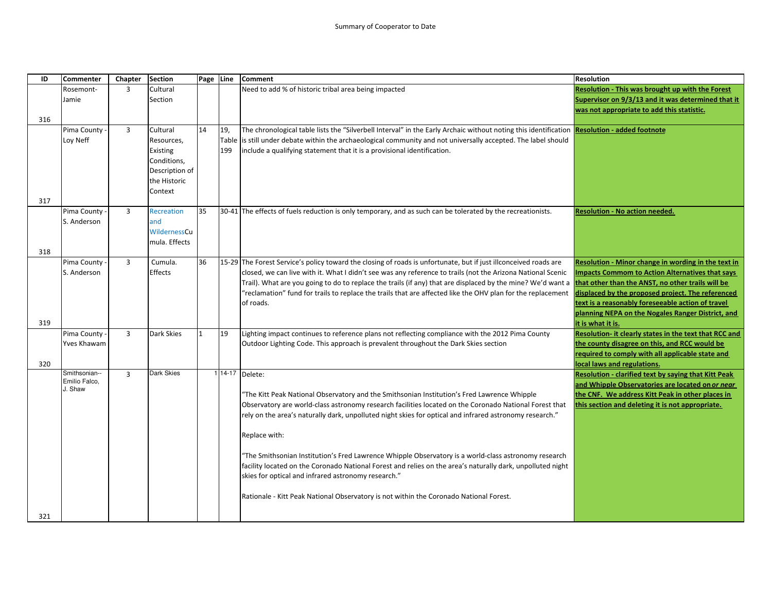| ID  | <b>Commenter</b>   | Chapter        | <b>Section</b>      | Page Line |       | Comment                                                                                                                                                                                                           | <b>Resolution</b>                                           |
|-----|--------------------|----------------|---------------------|-----------|-------|-------------------------------------------------------------------------------------------------------------------------------------------------------------------------------------------------------------------|-------------------------------------------------------------|
|     | Rosemont-          | $\overline{3}$ | Cultural            |           |       | Need to add % of historic tribal area being impacted                                                                                                                                                              | <b>Resolution - This was brought up with the Forest</b>     |
|     | Jamie              |                | Section             |           |       |                                                                                                                                                                                                                   | Supervisor on 9/3/13 and it was determined that it          |
|     |                    |                |                     |           |       |                                                                                                                                                                                                                   | was not appropriate to add this statistic.                  |
| 316 |                    |                |                     |           |       |                                                                                                                                                                                                                   |                                                             |
|     | Pima County        | $\overline{3}$ | Cultural            | 14        | 19,   | The chronological table lists the "Silverbell Interval" in the Early Archaic without noting this identification Resolution - added footnote                                                                       |                                                             |
|     | Loy Neff           |                | Resources,          |           | Table | is still under debate within the archaeological community and not universally accepted. The label should                                                                                                          |                                                             |
|     |                    |                | Existing            |           | 199   | include a qualifying statement that it is a provisional identification.                                                                                                                                           |                                                             |
|     |                    |                | Conditions,         |           |       |                                                                                                                                                                                                                   |                                                             |
|     |                    |                | Description of      |           |       |                                                                                                                                                                                                                   |                                                             |
|     |                    |                | the Historic        |           |       |                                                                                                                                                                                                                   |                                                             |
|     |                    |                | Context             |           |       |                                                                                                                                                                                                                   |                                                             |
| 317 |                    |                |                     |           |       |                                                                                                                                                                                                                   |                                                             |
|     | Pima County        | $\overline{3}$ | <b>Recreation</b>   | 35        |       | 30-41 The effects of fuels reduction is only temporary, and as such can be tolerated by the recreationists.                                                                                                       | <u> Resolution - No action needed.</u>                      |
|     | S. Anderson        |                | and<br>WildernessCu |           |       |                                                                                                                                                                                                                   |                                                             |
|     |                    |                | mula. Effects       |           |       |                                                                                                                                                                                                                   |                                                             |
| 318 |                    |                |                     |           |       |                                                                                                                                                                                                                   |                                                             |
|     | Pima County        | $\overline{3}$ | Cumula.             | 36        |       | 15-29 The Forest Service's policy toward the closing of roads is unfortunate, but if just illconceived roads are                                                                                                  | Resolution - Minor change in wording in the text in         |
|     | S. Anderson        |                | Effects             |           |       | closed, we can live with it. What I didn't see was any reference to trails (not the Arizona National Scenic                                                                                                       | mpacts Commom to Action Alternatives that says              |
|     |                    |                |                     |           |       | Trail). What are you going to do to replace the trails (if any) that are displaced by the mine? We'd want a <b> that other than the ANST, no other trails will be</b>                                             |                                                             |
|     |                    |                |                     |           |       | "reclamation" fund for trails to replace the trails that are affected like the OHV plan for the replacement                                                                                                       | displaced by the proposed project. The referenced           |
|     |                    |                |                     |           |       | of roads.                                                                                                                                                                                                         | text is a reasonably foreseeable action of travel           |
|     |                    |                |                     |           |       |                                                                                                                                                                                                                   | planning NEPA on the Nogales Ranger District, and           |
| 319 |                    |                |                     |           |       |                                                                                                                                                                                                                   | it is what it is.                                           |
|     | Pima County -      | $\overline{3}$ | Dark Skies          |           | 19    | Lighting impact continues to reference plans not reflecting compliance with the 2012 Pima County                                                                                                                  | Resolution- it clearly states in the text that RCC and      |
|     | <b>Yves Khawam</b> |                |                     |           |       | Outdoor Lighting Code. This approach is prevalent throughout the Dark Skies section                                                                                                                               | the county disagree on this, and RCC would be               |
|     |                    |                |                     |           |       |                                                                                                                                                                                                                   | required to comply with all applicable state and            |
| 320 | Smithsonian--      |                | Dark Skies          |           |       |                                                                                                                                                                                                                   | local laws and regulations.                                 |
|     | Emilio Falco,      | $\overline{3}$ |                     |           |       | $1 14-17$ Delete:                                                                                                                                                                                                 | <b>Resolution - clarified text by saying that Kitt Peak</b> |
|     | J. Shaw            |                |                     |           |       |                                                                                                                                                                                                                   | and Whipple Observatories are located on or near            |
|     |                    |                |                     |           |       | "The Kitt Peak National Observatory and the Smithsonian Institution's Fred Lawrence Whipple                                                                                                                       | the CNF. We address Kitt Peak in other places in            |
|     |                    |                |                     |           |       | Observatory are world-class astronomy research facilities located on the Coronado National Forest that<br>"rely on the area's naturally dark, unpolluted night skies for optical and infrared astronomy research. | this section and deleting it is not appropriate.            |
|     |                    |                |                     |           |       |                                                                                                                                                                                                                   |                                                             |
|     |                    |                |                     |           |       | Replace with:                                                                                                                                                                                                     |                                                             |
|     |                    |                |                     |           |       |                                                                                                                                                                                                                   |                                                             |
|     |                    |                |                     |           |       | The Smithsonian Institution's Fred Lawrence Whipple Observatory is a world-class astronomy research                                                                                                               |                                                             |
|     |                    |                |                     |           |       | facility located on the Coronado National Forest and relies on the area's naturally dark, unpolluted night                                                                                                        |                                                             |
|     |                    |                |                     |           |       |                                                                                                                                                                                                                   |                                                             |
|     |                    |                |                     |           |       | Rationale - Kitt Peak National Observatory is not within the Coronado National Forest.                                                                                                                            |                                                             |
| 321 |                    |                |                     |           |       |                                                                                                                                                                                                                   |                                                             |
|     |                    |                |                     |           |       | skies for optical and infrared astronomy research."                                                                                                                                                               |                                                             |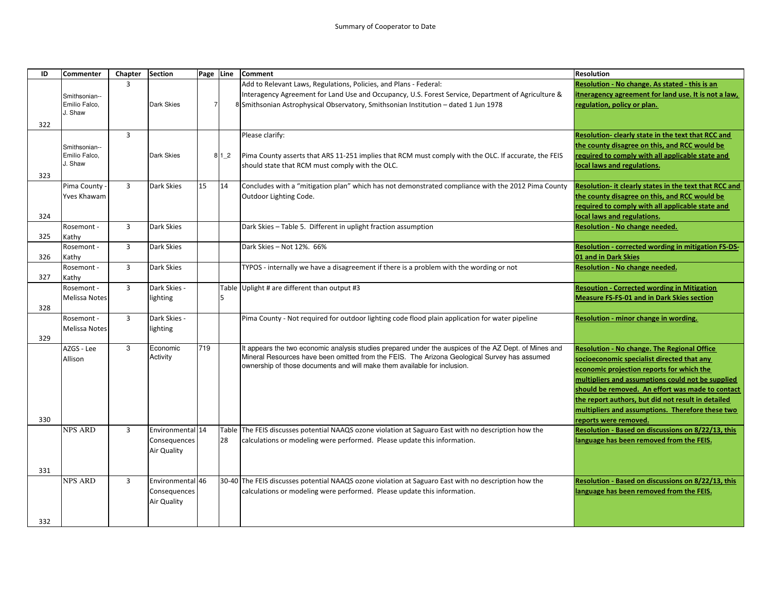| ID  | Commenter      | Chapter        | <b>Section</b>   | Page Line      |       | <b>Comment</b>                                                                                        | <b>Resolution</b>                                      |
|-----|----------------|----------------|------------------|----------------|-------|-------------------------------------------------------------------------------------------------------|--------------------------------------------------------|
|     |                | 3              |                  |                |       | Add to Relevant Laws, Regulations, Policies, and Plans - Federal:                                     | Resolution - No change. As stated - this is an         |
|     | Smithsonian--  |                |                  |                |       | Interagency Agreement for Land Use and Occupancy, U.S. Forest Service, Department of Agriculture &    | itneragency agreement for land use. It is not a law,   |
|     | Emilio Falco,  |                | Dark Skies       | $\overline{7}$ |       | 8 Smithsonian Astrophysical Observatory, Smithsonian Institution - dated 1 Jun 1978                   | regulation, policy or plan.                            |
|     | J. Shaw        |                |                  |                |       |                                                                                                       |                                                        |
| 322 |                |                |                  |                |       |                                                                                                       |                                                        |
|     |                | $\overline{3}$ |                  |                |       | Please clarify:                                                                                       | Resolution- clearly state in the text that RCC and     |
|     | Smithsonian--  |                |                  |                |       |                                                                                                       | the county disagree on this, and RCC would be          |
|     | Emilio Falco,  |                | Dark Skies       |                | 8 1 2 | Pima County asserts that ARS 11-251 implies that RCM must comply with the OLC. If accurate, the FEIS  | required to comply with all applicable state and       |
|     | J. Shaw        |                |                  |                |       | should state that RCM must comply with the OLC.                                                       | local laws and regulations.                            |
| 323 |                |                |                  |                |       |                                                                                                       |                                                        |
|     | Pima County    | $\overline{3}$ | Dark Skies       | 15             | 14    | Concludes with a "mitigation plan" which has not demonstrated compliance with the 2012 Pima County    | Resolution- it clearly states in the text that RCC and |
|     | Yves Khawam    |                |                  |                |       | Outdoor Lighting Code.                                                                                | the county disagree on this, and RCC would be          |
|     |                |                |                  |                |       |                                                                                                       | required to comply with all applicable state and       |
| 324 |                |                |                  |                |       |                                                                                                       | local laws and regulations.                            |
|     | Rosemont -     | 3              | Dark Skies       |                |       | Dark Skies - Table 5. Different in uplight fraction assumption                                        | Resolution - No change needed.                         |
| 325 | Kathy          |                |                  |                |       |                                                                                                       |                                                        |
|     | Rosemont -     | 3              | Dark Skies       |                |       | Dark Skies - Not 12%, 66%                                                                             | Resolution - corrected wording in mitigation FS-DS-    |
| 326 | Kathy          |                |                  |                |       |                                                                                                       | 01 and in Dark Skies                                   |
|     | Rosemont -     | $\overline{3}$ | Dark Skies       |                |       | TYPOS - internally we have a disagreement if there is a problem with the wording or not               | Resolution - No change needed.                         |
| 327 | Kathy          |                |                  |                |       |                                                                                                       |                                                        |
|     | Rosemont -     | 3              | Dark Skies -     |                |       | Table Uplight # are different than output #3                                                          | <b>Resoution - Corrected wording in Mitigation</b>     |
|     | Melissa Notes  |                | lighting         |                | 5     |                                                                                                       | <b>Measure FS-FS-01 and in Dark Skies section</b>      |
| 328 |                |                |                  |                |       |                                                                                                       |                                                        |
|     | Rosemont -     | $\overline{3}$ | Dark Skies -     |                |       | Pima County - Not required for outdoor lighting code flood plain application for water pipeline       | Resolution - minor change in wording.                  |
|     | Melissa Notes  |                | lighting         |                |       |                                                                                                       |                                                        |
| 329 |                |                |                  |                |       |                                                                                                       |                                                        |
|     | AZGS - Lee     | 3              | Economic         | 719            |       | It appears the two economic analysis studies prepared under the auspices of the AZ Dept. of Mines and | <b>Resolution - No change. The Regional Office</b>     |
|     | Allison        |                | Activity         |                |       | Mineral Resources have been omitted from the FEIS. The Arizona Geological Survey has assumed          | socioeconomic specialist directed that any             |
|     |                |                |                  |                |       | ownership of those documents and will make them available for inclusion.                              | economic projection reports for which the              |
|     |                |                |                  |                |       |                                                                                                       | multipliers and assumptions could not be supplied      |
|     |                |                |                  |                |       |                                                                                                       | should be removed. An effort was made to contact       |
|     |                |                |                  |                |       |                                                                                                       | the report authors, but did not result in detailed     |
|     |                |                |                  |                |       |                                                                                                       | multipliers and assumptions. Therefore these two       |
| 330 |                |                |                  |                |       |                                                                                                       | reports were removed.                                  |
|     | NPS ARD        | 3              | Environmental 14 |                |       | Table The FEIS discusses potential NAAQS ozone violation at Saguaro East with no description how the  | Resolution - Based on discussions on 8/22/13, this     |
|     |                |                | Consequences     |                | 28    | calculations or modeling were performed. Please update this information.                              | language has been removed from the FEIS.               |
|     |                |                | Air Quality      |                |       |                                                                                                       |                                                        |
|     |                |                |                  |                |       |                                                                                                       |                                                        |
| 331 |                |                |                  |                |       |                                                                                                       |                                                        |
|     | <b>NPS ARD</b> | 3              | Environmental 46 |                |       | 30-40 The FEIS discusses potential NAAQS ozone violation at Saguaro East with no description how the  | Resolution - Based on discussions on 8/22/13, this     |
|     |                |                | Consequences     |                |       | calculations or modeling were performed. Please update this information.                              | language has been removed from the FEIS.               |
|     |                |                | Air Quality      |                |       |                                                                                                       |                                                        |
|     |                |                |                  |                |       |                                                                                                       |                                                        |
| 332 |                |                |                  |                |       |                                                                                                       |                                                        |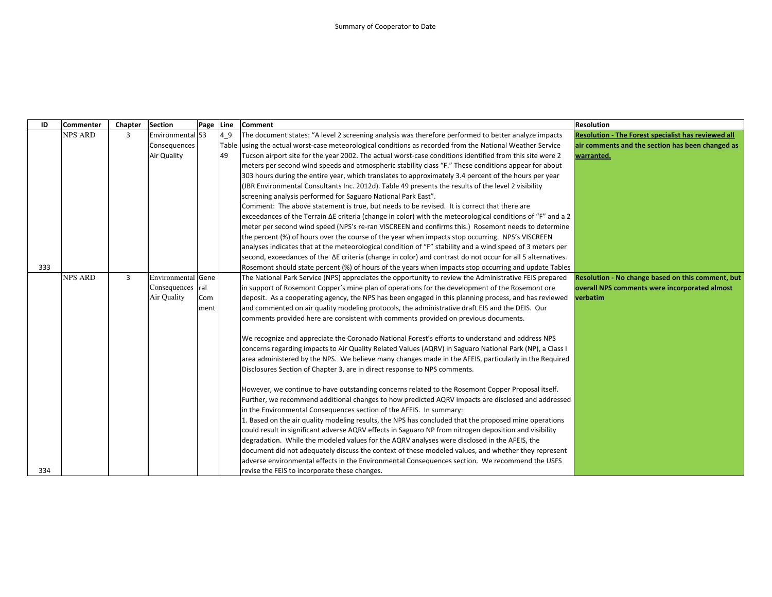| ID  | Commenter      | Chapter        | Section            | Page Line |    | <b>Comment</b>                                                                                                     | <b>Resolution</b>                                          |
|-----|----------------|----------------|--------------------|-----------|----|--------------------------------------------------------------------------------------------------------------------|------------------------------------------------------------|
|     | <b>NPS ARD</b> | 3              | Environmental 53   |           | 49 | The document states: "A level 2 screening analysis was therefore performed to better analyze impacts               | <b>Resolution - The Forest specialist has reviewed all</b> |
|     |                |                | Consequences       |           |    | Table using the actual worst-case meteorological conditions as recorded from the National Weather Service          | air comments and the section has been changed as           |
|     |                |                | Air Quality        |           | 49 | Tucson airport site for the year 2002. The actual worst-case conditions identified from this site were 2           | warranted.                                                 |
|     |                |                |                    |           |    | meters per second wind speeds and atmospheric stability class "F." These conditions appear for about               |                                                            |
|     |                |                |                    |           |    | 303 hours during the entire year, which translates to approximately 3.4 percent of the hours per year              |                                                            |
|     |                |                |                    |           |    | (JBR Environmental Consultants Inc. 2012d). Table 49 presents the results of the level 2 visibility                |                                                            |
|     |                |                |                    |           |    | screening analysis performed for Saguaro National Park East".                                                      |                                                            |
|     |                |                |                    |           |    | Comment: The above statement is true, but needs to be revised. It is correct that there are                        |                                                            |
|     |                |                |                    |           |    | exceedances of the Terrain $\Delta E$ criteria (change in color) with the meteorological conditions of "F" and a 2 |                                                            |
|     |                |                |                    |           |    | meter per second wind speed (NPS's re-ran VISCREEN and confirms this.) Rosemont needs to determine                 |                                                            |
|     |                |                |                    |           |    | the percent (%) of hours over the course of the year when impacts stop occurring. NPS's VISCREEN                   |                                                            |
|     |                |                |                    |           |    | analyses indicates that at the meteorological condition of "F" stability and a wind speed of 3 meters per          |                                                            |
|     |                |                |                    |           |    | second, exceedances of the $\Delta E$ criteria (change in color) and contrast do not occur for all 5 alternatives. |                                                            |
| 333 |                |                |                    |           |    | Rosemont should state percent (%) of hours of the years when impacts stop occurring and update Tables              |                                                            |
|     | <b>NPS ARD</b> | $\overline{3}$ | Environmental Gene |           |    | The National Park Service (NPS) appreciates the opportunity to review the Administrative FEIS prepared             | Resolution - No change based on this comment, but          |
|     |                |                | Consequences ral   |           |    | in support of Rosemont Copper's mine plan of operations for the development of the Rosemont ore                    | overall NPS comments were incorporated almost              |
|     |                |                | Air Quality        | Com       |    | deposit. As a cooperating agency, the NPS has been engaged in this planning process, and has reviewed              | verbatim                                                   |
|     |                |                |                    | ment      |    | and commented on air quality modeling protocols, the administrative draft EIS and the DEIS. Our                    |                                                            |
|     |                |                |                    |           |    | comments provided here are consistent with comments provided on previous documents.                                |                                                            |
|     |                |                |                    |           |    | We recognize and appreciate the Coronado National Forest's efforts to understand and address NPS                   |                                                            |
|     |                |                |                    |           |    | concerns regarding impacts to Air Quality Related Values (AQRV) in Saguaro National Park (NP), a Class I           |                                                            |
|     |                |                |                    |           |    | area administered by the NPS. We believe many changes made in the AFEIS, particularly in the Required              |                                                            |
|     |                |                |                    |           |    | Disclosures Section of Chapter 3, are in direct response to NPS comments.                                          |                                                            |
|     |                |                |                    |           |    | However, we continue to have outstanding concerns related to the Rosemont Copper Proposal itself.                  |                                                            |
|     |                |                |                    |           |    | Further, we recommend additional changes to how predicted AQRV impacts are disclosed and addressed                 |                                                            |
|     |                |                |                    |           |    | in the Environmental Consequences section of the AFEIS. In summary:                                                |                                                            |
|     |                |                |                    |           |    | 1. Based on the air quality modeling results, the NPS has concluded that the proposed mine operations              |                                                            |
|     |                |                |                    |           |    | could result in significant adverse AQRV effects in Saguaro NP from nitrogen deposition and visibility             |                                                            |
|     |                |                |                    |           |    | degradation. While the modeled values for the AQRV analyses were disclosed in the AFEIS, the                       |                                                            |
|     |                |                |                    |           |    | document did not adequately discuss the context of these modeled values, and whether they represent                |                                                            |
|     |                |                |                    |           |    | adverse environmental effects in the Environmental Consequences section. We recommend the USFS                     |                                                            |
| 334 |                |                |                    |           |    | revise the FEIS to incorporate these changes.                                                                      |                                                            |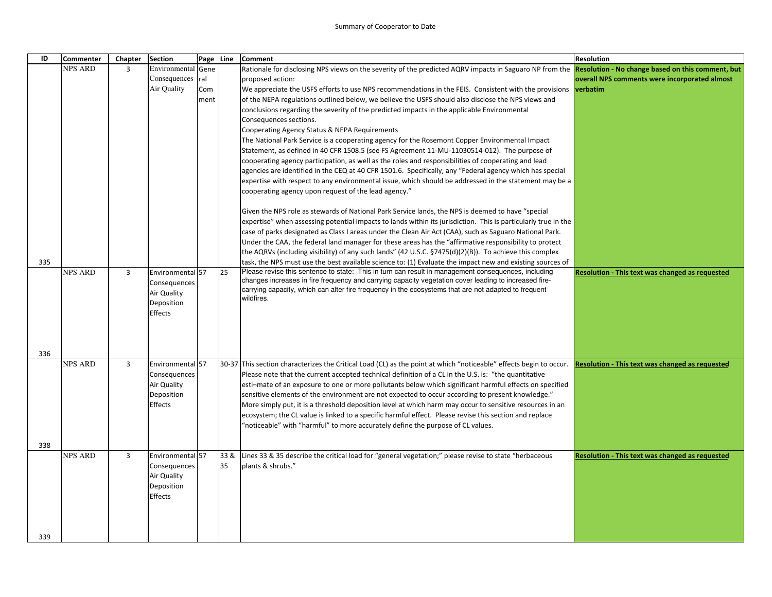| ID  | Commenter      | Chapter        | <b>Section</b>              | Page Line |      | <b>Comment</b>                                                                                                                                                                                               | <b>Resolution</b>                                      |
|-----|----------------|----------------|-----------------------------|-----------|------|--------------------------------------------------------------------------------------------------------------------------------------------------------------------------------------------------------------|--------------------------------------------------------|
|     | <b>NPS ARD</b> | 3              | Environmental Gene          |           |      | Rationale for disclosing NPS views on the severity of the predicted AQRV impacts in Saguaro NP from the Resolution - No change based on this comment, but                                                    |                                                        |
|     |                |                | Consequences ral            |           |      | proposed action:                                                                                                                                                                                             | overall NPS comments were incorporated almost          |
|     |                |                | Air Quality                 | Com       |      | We appreciate the USFS efforts to use NPS recommendations in the FEIS. Consistent with the provisions verbatim                                                                                               |                                                        |
|     |                |                |                             | ment      |      | of the NEPA regulations outlined below, we believe the USFS should also disclose the NPS views and                                                                                                           |                                                        |
|     |                |                |                             |           |      | conclusions regarding the severity of the predicted impacts in the applicable Environmental                                                                                                                  |                                                        |
|     |                |                |                             |           |      | Consequences sections.                                                                                                                                                                                       |                                                        |
|     |                |                |                             |           |      | Cooperating Agency Status & NEPA Requirements                                                                                                                                                                |                                                        |
|     |                |                |                             |           |      | The National Park Service is a cooperating agency for the Rosemont Copper Environmental Impact<br>Statement, as defined in 40 CFR 1508.5 (see FS Agreement 11-MU-11030514-012). The purpose of               |                                                        |
|     |                |                |                             |           |      | cooperating agency participation, as well as the roles and responsibilities of cooperating and lead                                                                                                          |                                                        |
|     |                |                |                             |           |      | agencies are identified in the CEQ at 40 CFR 1501.6. Specifically, any "Federal agency which has special                                                                                                     |                                                        |
|     |                |                |                             |           |      | expertise with respect to any environmental issue, which should be addressed in the statement may be a                                                                                                       |                                                        |
|     |                |                |                             |           |      | cooperating agency upon request of the lead agency."                                                                                                                                                         |                                                        |
|     |                |                |                             |           |      | Given the NPS role as stewards of National Park Service lands, the NPS is deemed to have "special                                                                                                            |                                                        |
|     |                |                |                             |           |      | expertise" when assessing potential impacts to lands within its jurisdiction. This is particularly true in the                                                                                               |                                                        |
|     |                |                |                             |           |      | case of parks designated as Class I areas under the Clean Air Act (CAA), such as Saguaro National Park.                                                                                                      |                                                        |
|     |                |                |                             |           |      | Under the CAA, the federal land manager for these areas has the "affirmative responsibility to protect                                                                                                       |                                                        |
|     |                |                |                             |           |      | the AQRVs (including visibility) of any such lands" (42 U.S.C. §7475(d)(2)(B)). To achieve this complex                                                                                                      |                                                        |
| 335 |                |                |                             |           |      | task, the NPS must use the best available science to: (1) Evaluate the impact new and existing sources of                                                                                                    |                                                        |
|     | <b>NPS ARD</b> | $\overline{3}$ | Environmental 57            |           | 25   | Please revise this sentence to state: This in turn can result in management consequences, including<br>changes increases in fire frequency and carrying capacity vegetation cover leading to increased fire- | <b>Resolution - This text was changed as requested</b> |
|     |                |                | Consequences<br>Air Quality |           |      | carrying capacity, which can alter fire frequency in the ecosystems that are not adapted to frequent                                                                                                         |                                                        |
|     |                |                | Deposition                  |           |      | wildfires.                                                                                                                                                                                                   |                                                        |
|     |                |                | <b>Effects</b>              |           |      |                                                                                                                                                                                                              |                                                        |
|     |                |                |                             |           |      |                                                                                                                                                                                                              |                                                        |
|     |                |                |                             |           |      |                                                                                                                                                                                                              |                                                        |
|     |                |                |                             |           |      |                                                                                                                                                                                                              |                                                        |
| 336 |                |                |                             |           |      |                                                                                                                                                                                                              |                                                        |
|     | <b>NPS ARD</b> | $\overline{3}$ | Environmental 57            |           |      | 30-37 This section characterizes the Critical Load (CL) as the point at which "noticeable" effects begin to occur.                                                                                           | <b>Resolution - This text was changed as requested</b> |
|     |                |                | Consequences                |           |      | Please note that the current accepted technical definition of a CL in the U.S. is: "the quantitative                                                                                                         |                                                        |
|     |                |                | Air Quality                 |           |      | esti-mate of an exposure to one or more pollutants below which significant harmful effects on specified                                                                                                      |                                                        |
|     |                |                | Deposition<br>Effects       |           |      | sensitive elements of the environment are not expected to occur according to present knowledge."<br>More simply put, it is a threshold deposition level at which harm may occur to sensitive resources in an |                                                        |
|     |                |                |                             |           |      | ecosystem; the CL value is linked to a specific harmful effect. Please revise this section and replace                                                                                                       |                                                        |
|     |                |                |                             |           |      | 'noticeable" with "harmful" to more accurately define the purpose of CL values.                                                                                                                              |                                                        |
|     |                |                |                             |           |      |                                                                                                                                                                                                              |                                                        |
| 338 |                |                |                             |           |      |                                                                                                                                                                                                              |                                                        |
|     | <b>NPS ARD</b> | 3              | Environmental 57            |           | 33 & | Lines 33 & 35 describe the critical load for "general vegetation;" please revise to state "herbaceous                                                                                                        | Resolution - This text was changed as requested        |
|     |                |                | Consequences<br>Air Quality |           | 35   | plants & shrubs."                                                                                                                                                                                            |                                                        |
|     |                |                | Deposition                  |           |      |                                                                                                                                                                                                              |                                                        |
|     |                |                | Effects                     |           |      |                                                                                                                                                                                                              |                                                        |
|     |                |                |                             |           |      |                                                                                                                                                                                                              |                                                        |
|     |                |                |                             |           |      |                                                                                                                                                                                                              |                                                        |
|     |                |                |                             |           |      |                                                                                                                                                                                                              |                                                        |
| 339 |                |                |                             |           |      |                                                                                                                                                                                                              |                                                        |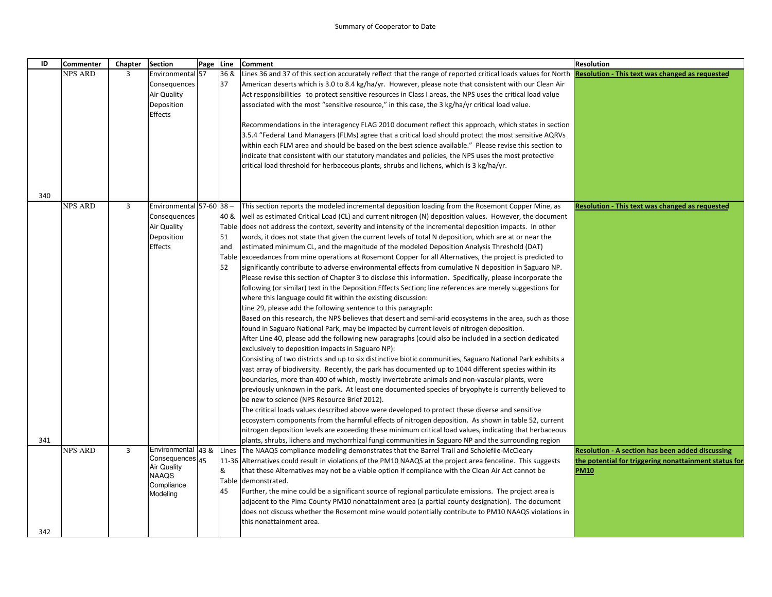| ID  | <b>Commenter</b> | Chapter        | <b>Section</b>                        | Page Line |      | <b>Comment</b>                                                                                                                                                            | <b>Resolution</b>                                      |
|-----|------------------|----------------|---------------------------------------|-----------|------|---------------------------------------------------------------------------------------------------------------------------------------------------------------------------|--------------------------------------------------------|
|     | NPS ARD          | 3              | Environmental 57                      |           | 36 & | Lines 36 and 37 of this section accurately reflect that the range of reported critical loads values for North Resolution - This text was changed as requested             |                                                        |
|     |                  |                | Consequences                          |           | 37   | American deserts which is 3.0 to 8.4 kg/ha/yr. However, please note that consistent with our Clean Air                                                                    |                                                        |
|     |                  |                | Air Quality                           |           |      | Act responsibilities to protect sensitive resources in Class I areas, the NPS uses the critical load value                                                                |                                                        |
|     |                  |                | Deposition<br>Effects                 |           |      | associated with the most "sensitive resource," in this case, the 3 kg/ha/yr critical load value.                                                                          |                                                        |
|     |                  |                |                                       |           |      | Recommendations in the interagency FLAG 2010 document reflect this approach, which states in section                                                                      |                                                        |
|     |                  |                |                                       |           |      | 3.5.4 "Federal Land Managers (FLMs) agree that a critical load should protect the most sensitive AQRVs                                                                    |                                                        |
|     |                  |                |                                       |           |      | within each FLM area and should be based on the best science available." Please revise this section to                                                                    |                                                        |
|     |                  |                |                                       |           |      | indicate that consistent with our statutory mandates and policies, the NPS uses the most protective                                                                       |                                                        |
|     |                  |                |                                       |           |      | critical load threshold for herbaceous plants, shrubs and lichens, which is 3 kg/ha/yr.                                                                                   |                                                        |
|     |                  |                |                                       |           |      |                                                                                                                                                                           |                                                        |
| 340 |                  |                |                                       |           |      |                                                                                                                                                                           |                                                        |
|     | <b>NPS ARD</b>   | $\overline{3}$ | Environmental 57-60 38 -              |           |      | This section reports the modeled incremental deposition loading from the Rosemont Copper Mine, as                                                                         | <b>Resolution - This text was changed as requested</b> |
|     |                  |                | Consequences                          |           | 40 & | well as estimated Critical Load (CL) and current nitrogen (N) deposition values. However, the document                                                                    |                                                        |
|     |                  |                | Air Quality                           |           |      | Table does not address the context, severity and intensity of the incremental deposition impacts. In other                                                                |                                                        |
|     |                  |                | Deposition                            |           | 51   | words, it does not state that given the current levels of total N deposition, which are at or near the                                                                    |                                                        |
|     |                  |                | Effects                               |           | and  | estimated minimum CL, and the magnitude of the modeled Deposition Analysis Threshold (DAT)                                                                                |                                                        |
|     |                  |                |                                       |           |      | Table exceedances from mine operations at Rosemont Copper for all Alternatives, the project is predicted to                                                               |                                                        |
|     |                  |                |                                       |           | 52   | significantly contribute to adverse environmental effects from cumulative N deposition in Saguaro NP.                                                                     |                                                        |
|     |                  |                |                                       |           |      | Please revise this section of Chapter 3 to disclose this information. Specifically, please incorporate the                                                                |                                                        |
|     |                  |                |                                       |           |      | following (or similar) text in the Deposition Effects Section; line references are merely suggestions for                                                                 |                                                        |
|     |                  |                |                                       |           |      | where this language could fit within the existing discussion:                                                                                                             |                                                        |
|     |                  |                |                                       |           |      | Line 29, please add the following sentence to this paragraph:<br>Based on this research, the NPS believes that desert and semi-arid ecosystems in the area, such as those |                                                        |
|     |                  |                |                                       |           |      | found in Saguaro National Park, may be impacted by current levels of nitrogen deposition.                                                                                 |                                                        |
|     |                  |                |                                       |           |      | After Line 40, please add the following new paragraphs (could also be included in a section dedicated                                                                     |                                                        |
|     |                  |                |                                       |           |      | exclusively to deposition impacts in Saguaro NP):                                                                                                                         |                                                        |
|     |                  |                |                                       |           |      | Consisting of two districts and up to six distinctive biotic communities, Saguaro National Park exhibits a                                                                |                                                        |
|     |                  |                |                                       |           |      | vast array of biodiversity. Recently, the park has documented up to 1044 different species within its                                                                     |                                                        |
|     |                  |                |                                       |           |      | boundaries, more than 400 of which, mostly invertebrate animals and non-vascular plants, were                                                                             |                                                        |
|     |                  |                |                                       |           |      | previously unknown in the park. At least one documented species of bryophyte is currently believed to                                                                     |                                                        |
|     |                  |                |                                       |           |      | be new to science (NPS Resource Brief 2012).                                                                                                                              |                                                        |
|     |                  |                |                                       |           |      | The critical loads values described above were developed to protect these diverse and sensitive                                                                           |                                                        |
|     |                  |                |                                       |           |      | ecosystem components from the harmful effects of nitrogen deposition. As shown in table 52, current                                                                       |                                                        |
|     |                  |                |                                       |           |      | nitrogen deposition levels are exceeding these minimum critical load values, indicating that herbaceous                                                                   |                                                        |
| 341 |                  |                |                                       |           |      | plants, shrubs, lichens and mychorrhizal fungi communities in Saguaro NP and the surrounding region                                                                       |                                                        |
|     | <b>NPS ARD</b>   | $\overline{3}$ | Environmental 43 &                    |           |      | Lines The NAAQS compliance modeling demonstrates that the Barrel Trail and Scholefile-McCleary                                                                            | Resolution - A section has been added discussing       |
|     |                  |                | Consequences 45<br><b>Air Quality</b> |           |      | 11-36 Alternatives could result in violations of the PM10 NAAQS at the project area fenceline. This suggests                                                              | the potential for triggering nonattainment status for  |
|     |                  |                | <b>NAAQS</b>                          |           | &    | that these Alternatives may not be a viable option if compliance with the Clean Air Act cannot be                                                                         | <b>PM10</b>                                            |
|     |                  |                | Compliance                            |           |      | Table demonstrated.                                                                                                                                                       |                                                        |
|     |                  |                | Modeling                              |           | 45   | Further, the mine could be a significant source of regional particulate emissions. The project area is                                                                    |                                                        |
|     |                  |                |                                       |           |      | adjacent to the Pima County PM10 nonattainment area (a partial county designation). The document                                                                          |                                                        |
|     |                  |                |                                       |           |      |                                                                                                                                                                           |                                                        |
|     |                  |                |                                       |           |      | does not discuss whether the Rosemont mine would potentially contribute to PM10 NAAQS violations in<br>this nonattainment area.                                           |                                                        |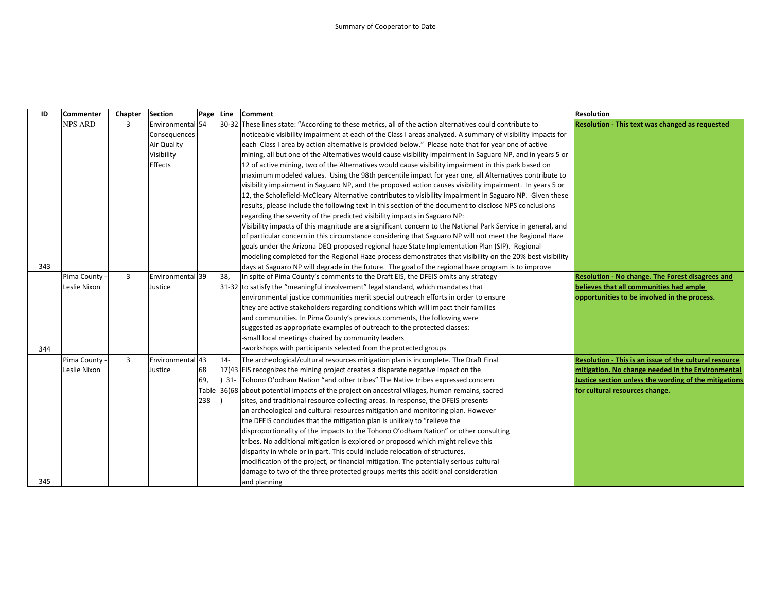| ID  | <b>Commenter</b> | Chapter        | <b>Section</b>   | Page | Line  | <b>Comment</b>                                                                                              | <b>Resolution</b>                                      |
|-----|------------------|----------------|------------------|------|-------|-------------------------------------------------------------------------------------------------------------|--------------------------------------------------------|
|     | NPS ARD          | 3              | Environmental 54 |      |       | 30-32 These lines state: "According to these metrics, all of the action alternatives could contribute to    | <b>Resolution - This text was changed as requested</b> |
|     |                  |                | Consequences     |      |       | noticeable visibility impairment at each of the Class I areas analyzed. A summary of visibility impacts for |                                                        |
|     |                  |                | Air Quality      |      |       | each Class I area by action alternative is provided below." Please note that for year one of active         |                                                        |
|     |                  |                | Visibility       |      |       | mining, all but one of the Alternatives would cause visibility impairment in Saguaro NP, and in years 5 or  |                                                        |
|     |                  |                | Effects          |      |       | 12 of active mining, two of the Alternatives would cause visibility impairment in this park based on        |                                                        |
|     |                  |                |                  |      |       | maximum modeled values. Using the 98th percentile impact for year one, all Alternatives contribute to       |                                                        |
|     |                  |                |                  |      |       | visibility impairment in Saguaro NP, and the proposed action causes visibility impairment. In years 5 or    |                                                        |
|     |                  |                |                  |      |       | 12, the Scholefield-McCleary Alternative contributes to visibility impairment in Saguaro NP. Given these    |                                                        |
|     |                  |                |                  |      |       | results, please include the following text in this section of the document to disclose NPS conclusions      |                                                        |
|     |                  |                |                  |      |       | regarding the severity of the predicted visibility impacts in Saguaro NP:                                   |                                                        |
|     |                  |                |                  |      |       | Visibility impacts of this magnitude are a significant concern to the National Park Service in general, and |                                                        |
|     |                  |                |                  |      |       | of particular concern in this circumstance considering that Saguaro NP will not meet the Regional Haze      |                                                        |
|     |                  |                |                  |      |       | goals under the Arizona DEQ proposed regional haze State Implementation Plan (SIP). Regional                |                                                        |
|     |                  |                |                  |      |       | modeling completed for the Regional Haze process demonstrates that visibility on the 20% best visibility    |                                                        |
| 343 |                  |                |                  |      |       | days at Saguaro NP will degrade in the future. The goal of the regional haze program is to improve          |                                                        |
|     | Pima County      | $\overline{3}$ | Environmental 39 |      | 38,   | In spite of Pima County's comments to the Draft EIS, the DFEIS omits any strategy                           | Resolution - No change. The Forest disagrees and       |
|     | Leslie Nixon     |                | Justice          |      |       | 31-32 to satisfy the "meaningful involvement" legal standard, which mandates that                           | believes that all communities had ample                |
|     |                  |                |                  |      |       | environmental justice communities merit special outreach efforts in order to ensure                         | opportunities to be involved in the process.           |
|     |                  |                |                  |      |       | they are active stakeholders regarding conditions which will impact their families                          |                                                        |
|     |                  |                |                  |      |       | and communities. In Pima County's previous comments, the following were                                     |                                                        |
|     |                  |                |                  |      |       | suggested as appropriate examples of outreach to the protected classes:                                     |                                                        |
|     |                  |                |                  |      |       | -small local meetings chaired by community leaders                                                          |                                                        |
| 344 |                  |                |                  |      |       | workshops with participants selected from the protected groups                                              |                                                        |
|     | Pima County      | $\overline{3}$ | Environmental 43 |      | $14-$ | The archeological/cultural resources mitigation plan is incomplete. The Draft Final                         | Resolution - This is an issue of the cultural resource |
|     | Leslie Nixon     |                | Justice          | 68   |       | 17(43 EIS recognizes the mining project creates a disparate negative impact on the                          | mitigation. No change needed in the Environmental      |
|     |                  |                |                  | 69,  |       | 31- Tohono O'odham Nation "and other tribes" The Native tribes expressed concern                            | Justice section unless the wording of the mitigations  |
|     |                  |                |                  |      |       | Table 36(68 about potential impacts of the project on ancestral villages, human remains, sacred             | for cultural resources change.                         |
|     |                  |                |                  | 238  |       | sites, and traditional resource collecting areas. In response, the DFEIS presents                           |                                                        |
|     |                  |                |                  |      |       | an archeological and cultural resources mitigation and monitoring plan. However                             |                                                        |
|     |                  |                |                  |      |       | the DFEIS concludes that the mitigation plan is unlikely to "relieve the                                    |                                                        |
|     |                  |                |                  |      |       | disproportionality of the impacts to the Tohono O'odham Nation" or other consulting                         |                                                        |
|     |                  |                |                  |      |       | tribes. No additional mitigation is explored or proposed which might relieve this                           |                                                        |
|     |                  |                |                  |      |       | disparity in whole or in part. This could include relocation of structures,                                 |                                                        |
|     |                  |                |                  |      |       | modification of the project, or financial mitigation. The potentially serious cultural                      |                                                        |
|     |                  |                |                  |      |       | damage to two of the three protected groups merits this additional consideration                            |                                                        |
| 345 |                  |                |                  |      |       | and planning                                                                                                |                                                        |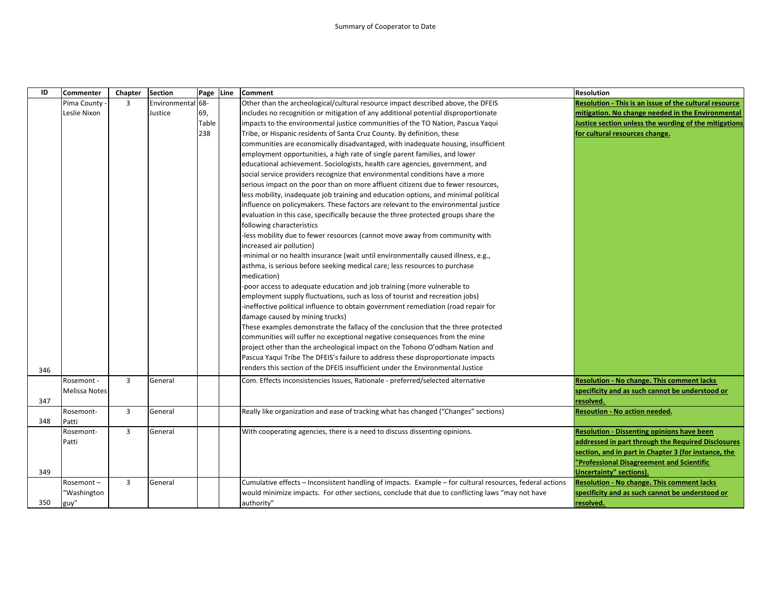| ID  | Commenter     | Chapter        | <b>Section</b> | Page Line | <b>Comment</b>                                                                                           | <b>Resolution</b>                                      |
|-----|---------------|----------------|----------------|-----------|----------------------------------------------------------------------------------------------------------|--------------------------------------------------------|
|     | Pima County   | 3              | Environmenta   | 68-       | Other than the archeological/cultural resource impact described above, the DFEIS                         | Resolution - This is an issue of the cultural resource |
|     | Leslie Nixon  |                | Justice        | 69,       | includes no recognition or mitigation of any additional potential disproportionate                       | mitigation. No change needed in the Environmental      |
|     |               |                |                | Table     | impacts to the environmental justice communities of the TO Nation, Pascua Yaqui                          | Justice section unless the wording of the mitigations  |
|     |               |                |                | 238       | Tribe, or Hispanic residents of Santa Cruz County. By definition, these                                  | for cultural resources change.                         |
|     |               |                |                |           | communities are economically disadvantaged, with inadequate housing, insufficient                        |                                                        |
|     |               |                |                |           | employment opportunities, a high rate of single parent families, and lower                               |                                                        |
|     |               |                |                |           | educational achievement. Sociologists, health care agencies, government, and                             |                                                        |
|     |               |                |                |           | social service providers recognize that environmental conditions have a more                             |                                                        |
|     |               |                |                |           | serious impact on the poor than on more affluent citizens due to fewer resources,                        |                                                        |
|     |               |                |                |           | less mobility, inadequate job training and education options, and minimal political                      |                                                        |
|     |               |                |                |           | influence on policymakers. These factors are relevant to the environmental justice                       |                                                        |
|     |               |                |                |           | evaluation in this case, specifically because the three protected groups share the                       |                                                        |
|     |               |                |                |           | following characteristics                                                                                |                                                        |
|     |               |                |                |           | -less mobility due to fewer resources (cannot move away from community with                              |                                                        |
|     |               |                |                |           | increased air pollution)                                                                                 |                                                        |
|     |               |                |                |           | -minimal or no health insurance (wait until environmentally caused illness, e.g.,                        |                                                        |
|     |               |                |                |           | asthma, is serious before seeking medical care; less resources to purchase                               |                                                        |
|     |               |                |                |           | medication)                                                                                              |                                                        |
|     |               |                |                |           | -poor access to adequate education and job training (more vulnerable to                                  |                                                        |
|     |               |                |                |           | employment supply fluctuations, such as loss of tourist and recreation jobs)                             |                                                        |
|     |               |                |                |           | -ineffective political influence to obtain government remediation (road repair for                       |                                                        |
|     |               |                |                |           | damage caused by mining trucks)                                                                          |                                                        |
|     |               |                |                |           | These examples demonstrate the fallacy of the conclusion that the three protected                        |                                                        |
|     |               |                |                |           | communities will suffer no exceptional negative consequences from the mine                               |                                                        |
|     |               |                |                |           | project other than the archeological impact on the Tohono O'odham Nation and                             |                                                        |
|     |               |                |                |           | Pascua Yaqui Tribe The DFEIS's failure to address these disproportionate impacts                         |                                                        |
| 346 |               |                |                |           | renders this section of the DFEIS insufficient under the Environmental Justice                           |                                                        |
|     | Rosemont -    | 3              | General        |           | Com. Effects inconsistencies Issues, Rationale - preferred/selected alternative                          | <b>Resolution - No change. This comment lacks</b>      |
|     | Melissa Notes |                |                |           |                                                                                                          | specificity and as such cannot be understood or        |
| 347 |               |                |                |           |                                                                                                          | resolved.                                              |
|     | Rosemont-     | 3              | General        |           | Really like organization and ease of tracking what has changed ("Changes" sections)                      | <b>Resoution - No action needed.</b>                   |
| 348 | Patti         |                |                |           |                                                                                                          |                                                        |
|     | Rosemont-     | 3              | General        |           | With cooperating agencies, there is a need to discuss dissenting opinions.                               | <b>Resolution - Dissenting opinions have been</b>      |
|     | Patti         |                |                |           |                                                                                                          | addressed in part through the Required Disclosures     |
|     |               |                |                |           |                                                                                                          | section, and in part in Chapter 3 (for instance, the   |
|     |               |                |                |           |                                                                                                          | "Professional Disagreement and Scientific              |
| 349 |               |                |                |           |                                                                                                          | <b>Uncertainty" sections).</b>                         |
|     | Rosemont-     | $\overline{3}$ | General        |           | Cumulative effects – Inconsistent handling of impacts. Example – for cultural resources, federal actions | <b>Resolution - No change. This comment lacks</b>      |
|     | "Washington   |                |                |           | would minimize impacts. For other sections, conclude that due to conflicting laws "may not have          | specificity and as such cannot be understood or        |
| 350 | guy"          |                |                |           | authority"                                                                                               | resolved.                                              |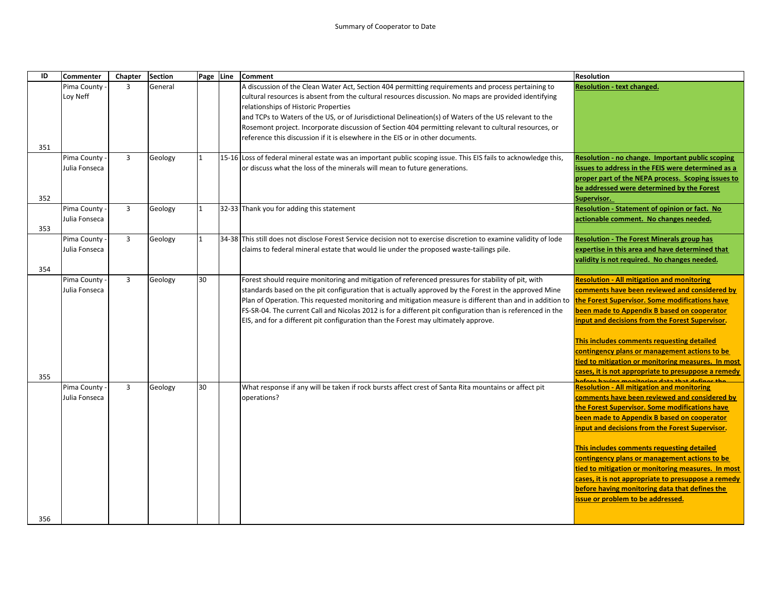| ID  | <b>Commenter</b> | Chapter        | <b>Section</b> | Page Line    | <b>Comment</b>                                                                                                                                                                                                                                                          | <b>Resolution</b>                                                                                         |
|-----|------------------|----------------|----------------|--------------|-------------------------------------------------------------------------------------------------------------------------------------------------------------------------------------------------------------------------------------------------------------------------|-----------------------------------------------------------------------------------------------------------|
|     | Pima County      | 3              | General        |              | A discussion of the Clean Water Act, Section 404 permitting requirements and process pertaining to                                                                                                                                                                      | <b>Resolution - text changed.</b>                                                                         |
|     | Loy Neff         |                |                |              | cultural resources is absent from the cultural resources discussion. No maps are provided identifying                                                                                                                                                                   |                                                                                                           |
|     |                  |                |                |              | relationships of Historic Properties                                                                                                                                                                                                                                    |                                                                                                           |
|     |                  |                |                |              | and TCPs to Waters of the US, or of Jurisdictional Delineation(s) of Waters of the US relevant to the                                                                                                                                                                   |                                                                                                           |
|     |                  |                |                |              | Rosemont project. Incorporate discussion of Section 404 permitting relevant to cultural resources, or                                                                                                                                                                   |                                                                                                           |
|     |                  |                |                |              | reference this discussion if it is elsewhere in the EIS or in other documents.                                                                                                                                                                                          |                                                                                                           |
| 351 |                  |                |                |              |                                                                                                                                                                                                                                                                         |                                                                                                           |
|     | Pima County -    | $\overline{3}$ | Geology        | 1            | 15-16 Loss of federal mineral estate was an important public scoping issue. This EIS fails to acknowledge this,                                                                                                                                                         | Resolution - no change. Important public scoping                                                          |
|     | Julia Fonseca    |                |                |              | or discuss what the loss of the minerals will mean to future generations.                                                                                                                                                                                               | issues to address in the FEIS were determined as a                                                        |
|     |                  |                |                |              |                                                                                                                                                                                                                                                                         | proper part of the NEPA process. Scoping issues to                                                        |
|     |                  |                |                |              |                                                                                                                                                                                                                                                                         | be addressed were determined by the Forest                                                                |
| 352 |                  |                |                |              |                                                                                                                                                                                                                                                                         | Supervisor.                                                                                               |
|     | Pima County -    | 3              | Geology        | $\mathbf{1}$ | 32-33 Thank you for adding this statement                                                                                                                                                                                                                               | <b>Resolution - Statement of opinion or fact. No</b>                                                      |
|     | Julia Fonseca    |                |                |              |                                                                                                                                                                                                                                                                         | actionable comment. No changes needed.                                                                    |
| 353 |                  |                |                |              |                                                                                                                                                                                                                                                                         |                                                                                                           |
|     | Pima County -    | 3              | Geology        |              | 34-38 This still does not disclose Forest Service decision not to exercise discretion to examine validity of lode                                                                                                                                                       | <b>Resolution - The Forest Minerals group has</b>                                                         |
|     | Julia Fonseca    |                |                |              | claims to federal mineral estate that would lie under the proposed waste-tailings pile.                                                                                                                                                                                 | expertise in this area and have determined that                                                           |
|     |                  |                |                |              |                                                                                                                                                                                                                                                                         | validity is not required. No changes needed.                                                              |
| 354 |                  |                |                |              |                                                                                                                                                                                                                                                                         |                                                                                                           |
|     | Pima County -    | $\overline{3}$ | Geology        | 30           | Forest should require monitoring and mitigation of referenced pressures for stability of pit, with                                                                                                                                                                      | <b>Resolution - All mitigation and monitoring</b>                                                         |
|     | Julia Fonseca    |                |                |              | standards based on the pit configuration that is actually approved by the Forest in the approved Mine<br>Plan of Operation. This requested monitoring and mitigation measure is different than and in addition to the <b>Forest Supervisor. Some modifications have</b> | comments have been reviewed and considered by                                                             |
|     |                  |                |                |              | FS-SR-04. The current Call and Nicolas 2012 is for a different pit configuration than is referenced in the                                                                                                                                                              | been made to Appendix B based on cooperator                                                               |
|     |                  |                |                |              | EIS, and for a different pit configuration than the Forest may ultimately approve.                                                                                                                                                                                      | input and decisions from the Forest Supervisor.                                                           |
|     |                  |                |                |              |                                                                                                                                                                                                                                                                         |                                                                                                           |
|     |                  |                |                |              |                                                                                                                                                                                                                                                                         | This includes comments requesting detailed                                                                |
|     |                  |                |                |              |                                                                                                                                                                                                                                                                         | contingency plans or management actions to be                                                             |
|     |                  |                |                |              |                                                                                                                                                                                                                                                                         | tied to mitigation or monitoring measures. In most                                                        |
|     |                  |                |                |              |                                                                                                                                                                                                                                                                         | cases, it is not appropriate to presuppose a remedy                                                       |
| 355 |                  |                |                |              |                                                                                                                                                                                                                                                                         | <u>uafara haying manitaring data that dafingo the</u>                                                     |
|     | Pima County      | $\overline{3}$ | Geology        | 30           | What response if any will be taken if rock bursts affect crest of Santa Rita mountains or affect pit                                                                                                                                                                    | <b>Resolution - All mitigation and monitoring</b>                                                         |
|     | Julia Fonseca    |                |                |              | operations?                                                                                                                                                                                                                                                             | comments have been reviewed and considered by                                                             |
|     |                  |                |                |              |                                                                                                                                                                                                                                                                         | the Forest Supervisor. Some modifications have                                                            |
|     |                  |                |                |              |                                                                                                                                                                                                                                                                         | been made to Appendix B based on cooperator                                                               |
|     |                  |                |                |              |                                                                                                                                                                                                                                                                         | input and decisions from the Forest Supervisor.                                                           |
|     |                  |                |                |              |                                                                                                                                                                                                                                                                         |                                                                                                           |
|     |                  |                |                |              |                                                                                                                                                                                                                                                                         | This includes comments requesting detailed                                                                |
|     |                  |                |                |              |                                                                                                                                                                                                                                                                         | contingency plans or management actions to be                                                             |
|     |                  |                |                |              |                                                                                                                                                                                                                                                                         | tied to mitigation or monitoring measures. In most<br>cases, it is not appropriate to presuppose a remedy |
|     |                  |                |                |              |                                                                                                                                                                                                                                                                         | before having monitoring data that defines the                                                            |
|     |                  |                |                |              |                                                                                                                                                                                                                                                                         | issue or problem to be addressed.                                                                         |
|     |                  |                |                |              |                                                                                                                                                                                                                                                                         |                                                                                                           |
| 356 |                  |                |                |              |                                                                                                                                                                                                                                                                         |                                                                                                           |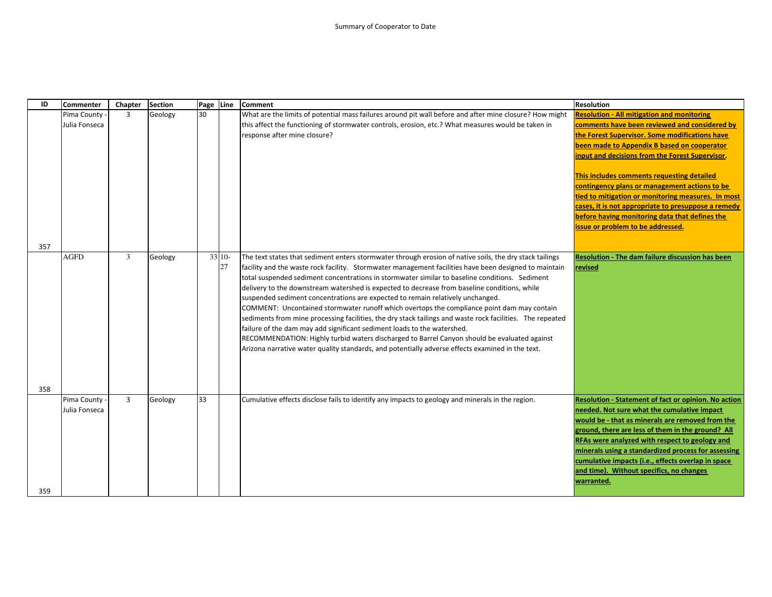| ID         | <b>Commenter</b>               | Chapter        | <b>Section</b> | Page Line |              | <b>Comment</b>                                                                                                                                                                                                                                                                                                                                                                                                                                                                                                                                                                                                                                                                                                                                                                                                                                                                                                                                                                                 | <b>Resolution</b>                                                                                                                                                                                                                                                                                                                                                                                                                                                                                                                                         |
|------------|--------------------------------|----------------|----------------|-----------|--------------|------------------------------------------------------------------------------------------------------------------------------------------------------------------------------------------------------------------------------------------------------------------------------------------------------------------------------------------------------------------------------------------------------------------------------------------------------------------------------------------------------------------------------------------------------------------------------------------------------------------------------------------------------------------------------------------------------------------------------------------------------------------------------------------------------------------------------------------------------------------------------------------------------------------------------------------------------------------------------------------------|-----------------------------------------------------------------------------------------------------------------------------------------------------------------------------------------------------------------------------------------------------------------------------------------------------------------------------------------------------------------------------------------------------------------------------------------------------------------------------------------------------------------------------------------------------------|
|            | Pima County<br>Julia Fonseca   | $\overline{3}$ | Geology        | 30        |              | What are the limits of potential mass failures around pit wall before and after mine closure? How might<br>this affect the functioning of stormwater controls, erosion, etc.? What measures would be taken in<br>response after mine closure?                                                                                                                                                                                                                                                                                                                                                                                                                                                                                                                                                                                                                                                                                                                                                  | <b>Resolution - All mitigation and monitoring</b><br>comments have been reviewed and considered by<br>the Forest Supervisor. Some modifications have<br>been made to Appendix B based on cooperator<br>input and decisions from the Forest Supervisor.<br>This includes comments requesting detailed<br>contingency plans or management actions to be<br>tied to mitigation or monitoring measures. In most<br>cases, it is not appropriate to presuppose a remedy<br>before having monitoring data that defines the<br>issue or problem to be addressed. |
| 357<br>358 | <b>AGFD</b>                    | 3              | Geology        |           | 33 10-<br>27 | The text states that sediment enters stormwater through erosion of native soils, the dry stack tailings<br>facility and the waste rock facility. Stormwater management facilities have been designed to maintain<br>total suspended sediment concentrations in stormwater similar to baseline conditions. Sediment<br>delivery to the downstream watershed is expected to decrease from baseline conditions, while<br>suspended sediment concentrations are expected to remain relatively unchanged.<br>COMMENT: Uncontained stormwater runoff which overtops the compliance point dam may contain<br>sediments from mine processing facilities, the dry stack tailings and waste rock facilities. The repeated<br>failure of the dam may add significant sediment loads to the watershed.<br>RECOMMENDATION: Highly turbid waters discharged to Barrel Canyon should be evaluated against<br>Arizona narrative water quality standards, and potentially adverse effects examined in the text. | Resolution - The dam failure discussion has been<br>revised                                                                                                                                                                                                                                                                                                                                                                                                                                                                                               |
| 359        | Pima County -<br>Julia Fonseca | $\overline{3}$ | Geology        | 33        |              | Cumulative effects disclose fails to identify any impacts to geology and minerals in the region.                                                                                                                                                                                                                                                                                                                                                                                                                                                                                                                                                                                                                                                                                                                                                                                                                                                                                               | Resolution - Statement of fact or opinion. No action<br>needed. Not sure what the cumulative impact<br>would be - that as minerals are removed from the<br>ground, there are less of them in the ground? All<br>RFAs were analyzed with respect to geology and<br>minerals using a standardized process for assessing<br>cumulative impacts (i.e., effects overlap in space<br>and time). Without specifics, no changes<br>warranted.                                                                                                                     |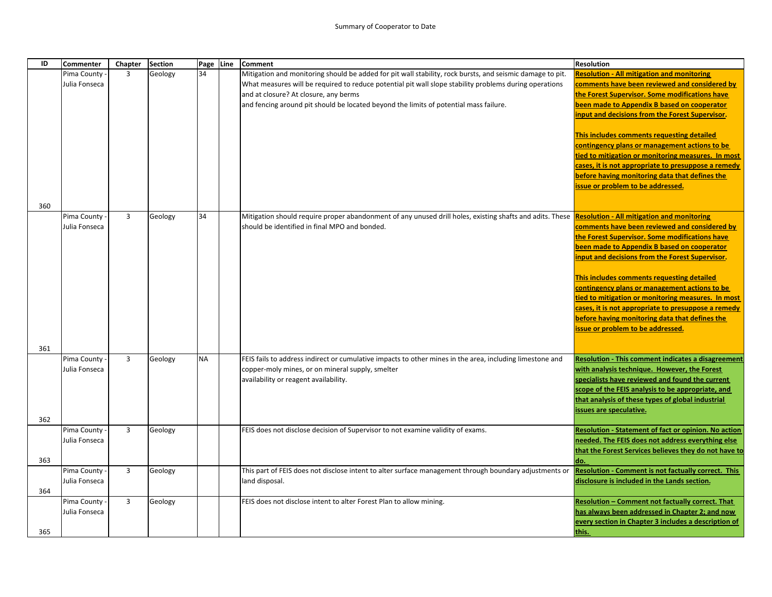| ID         | Commenter                      | Chapter        | <b>Section</b> | Page Line | <b>Comment</b>                                                                                                                                                                                                                                                                                                                                        | <b>Resolution</b>                                                                                                                                                                                                                                                                                                                                                                                                                                                                                                                                                |
|------------|--------------------------------|----------------|----------------|-----------|-------------------------------------------------------------------------------------------------------------------------------------------------------------------------------------------------------------------------------------------------------------------------------------------------------------------------------------------------------|------------------------------------------------------------------------------------------------------------------------------------------------------------------------------------------------------------------------------------------------------------------------------------------------------------------------------------------------------------------------------------------------------------------------------------------------------------------------------------------------------------------------------------------------------------------|
|            | Pima County<br>Julia Fonseca   | $\overline{3}$ | Geology        | 34        | Mitigation and monitoring should be added for pit wall stability, rock bursts, and seismic damage to pit.<br>What measures will be required to reduce potential pit wall slope stability problems during operations<br>and at closure? At closure, any berms<br>and fencing around pit should be located beyond the limits of potential mass failure. | <b>Resolution - All mitigation and monitoring</b><br>comments have been reviewed and considered by<br>the Forest Supervisor. Some modifications have<br>been made to Appendix B based on cooperator<br>input and decisions from the Forest Supervisor.<br>This includes comments requesting detailed<br><b>contingency plans or management actions to be</b><br>tied to mitigation or monitoring measures. In most<br>cases, it is not appropriate to presuppose a remedy<br>before having monitoring data that defines the<br>issue or problem to be addressed. |
| 360        |                                |                |                |           |                                                                                                                                                                                                                                                                                                                                                       |                                                                                                                                                                                                                                                                                                                                                                                                                                                                                                                                                                  |
|            | Pima County -<br>Julia Fonseca | $\overline{3}$ | Geology        | 34        | Mitigation should require proper abandonment of any unused drill holes, existing shafts and adits. These Resolution - All mitigation and monitoring<br>should be identified in final MPO and bonded.                                                                                                                                                  | comments have been reviewed and considered by<br>the Forest Supervisor. Some modifications have<br>been made to Appendix B based on cooperator<br>input and decisions from the Forest Supervisor.<br>This includes comments requesting detailed<br>contingency plans or management actions to be<br>tied to mitigation or monitoring measures. In most<br>cases, it is not appropriate to presuppose a remedy<br>before having monitoring data that defines the                                                                                                  |
|            |                                |                |                |           |                                                                                                                                                                                                                                                                                                                                                       | issue or problem to be addressed.                                                                                                                                                                                                                                                                                                                                                                                                                                                                                                                                |
|            |                                |                |                |           |                                                                                                                                                                                                                                                                                                                                                       |                                                                                                                                                                                                                                                                                                                                                                                                                                                                                                                                                                  |
| 361<br>362 | Pima County -<br>Julia Fonseca | $\overline{3}$ | Geology        | <b>NA</b> | FEIS fails to address indirect or cumulative impacts to other mines in the area, including limestone and<br>copper-moly mines, or on mineral supply, smelter<br>availability or reagent availability.                                                                                                                                                 | <b>Resolution - This comment indicates a disagreement</b><br>with analysis technique. However, the Forest<br>specialists have reviewed and found the current<br>scope of the FEIS analysis to be appropriate, and<br>that analysis of these types of global industrial<br>issues are speculative.                                                                                                                                                                                                                                                                |
|            | Pima County                    | $\overline{3}$ | Geology        |           | FEIS does not disclose decision of Supervisor to not examine validity of exams.                                                                                                                                                                                                                                                                       | Resolution - Statement of fact or opinion. No action                                                                                                                                                                                                                                                                                                                                                                                                                                                                                                             |
| 363        | Julia Fonseca                  |                |                |           |                                                                                                                                                                                                                                                                                                                                                       | needed. The FEIS does not address everything else<br>that the Forest Services believes they do not have to<br>do.                                                                                                                                                                                                                                                                                                                                                                                                                                                |
|            | Pima County<br>Julia Fonseca   | $\overline{3}$ | Geology        |           | This part of FEIS does not disclose intent to alter surface management through boundary adjustments or<br>land disposal.                                                                                                                                                                                                                              | Resolution - Comment is not factually correct. This<br>disclosure is included in the Lands section.                                                                                                                                                                                                                                                                                                                                                                                                                                                              |
| 364        |                                |                |                |           |                                                                                                                                                                                                                                                                                                                                                       |                                                                                                                                                                                                                                                                                                                                                                                                                                                                                                                                                                  |
| 365        | Pima County<br>Julia Fonseca   | $\overline{3}$ | Geology        |           | FEIS does not disclose intent to alter Forest Plan to allow mining.                                                                                                                                                                                                                                                                                   | Resolution - Comment not factually correct. That<br>has always been addressed in Chapter 2; and now<br>every section in Chapter 3 includes a description of<br>this.                                                                                                                                                                                                                                                                                                                                                                                             |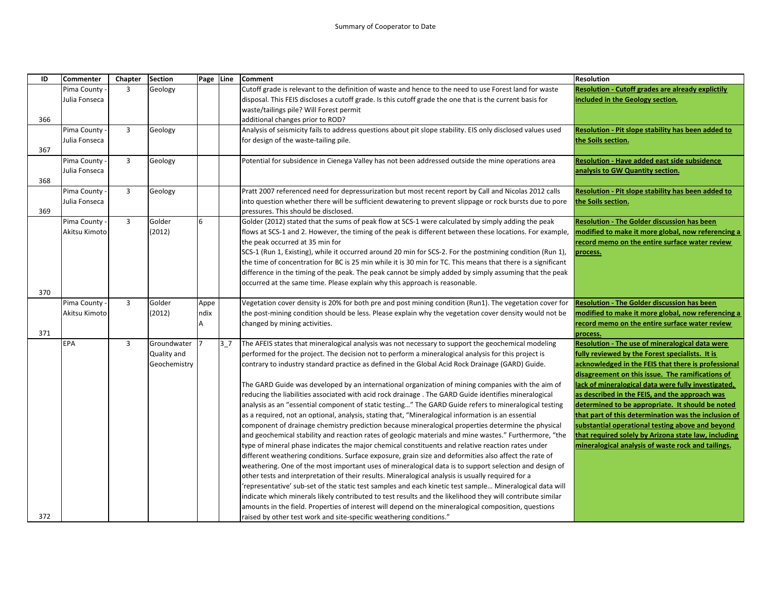| ID  | <b>Commenter</b> | Chapter        | <b>Section</b> | Page Line |                | <b>Comment</b>                                                                                                                                                                                             | <b>Resolution</b>                                                                                     |
|-----|------------------|----------------|----------------|-----------|----------------|------------------------------------------------------------------------------------------------------------------------------------------------------------------------------------------------------------|-------------------------------------------------------------------------------------------------------|
|     | Pima County      | 3              | Geology        |           |                | Cutoff grade is relevant to the definition of waste and hence to the need to use Forest land for waste                                                                                                     | <b>Resolution - Cutoff grades are already explictily</b>                                              |
|     | Julia Fonseca    |                |                |           |                | disposal. This FEIS discloses a cutoff grade. Is this cutoff grade the one that is the current basis for                                                                                                   | included in the Geology section.                                                                      |
|     |                  |                |                |           |                | waste/tailings pile? Will Forest permit                                                                                                                                                                    |                                                                                                       |
| 366 |                  |                |                |           |                | additional changes prior to ROD?                                                                                                                                                                           |                                                                                                       |
|     | Pima County -    | $\overline{3}$ | Geology        |           |                | Analysis of seismicity fails to address questions about pit slope stability. EIS only disclosed values used                                                                                                | Resolution - Pit slope stability has been added to                                                    |
|     | Julia Fonseca    |                |                |           |                | for design of the waste-tailing pile.                                                                                                                                                                      | the Soils section.                                                                                    |
| 367 |                  |                |                |           |                |                                                                                                                                                                                                            |                                                                                                       |
|     | Pima County      | $\overline{3}$ | Geology        |           |                | Potential for subsidence in Cienega Valley has not been addressed outside the mine operations area                                                                                                         | Resolution - Have added east side subsidence                                                          |
|     | Julia Fonseca    |                |                |           |                |                                                                                                                                                                                                            | analysis to GW Quantity section.                                                                      |
| 368 |                  |                |                |           |                |                                                                                                                                                                                                            |                                                                                                       |
|     | Pima County -    | $\overline{3}$ | Geology        |           |                | Pratt 2007 referenced need for depressurization but most recent report by Call and Nicolas 2012 calls                                                                                                      | Resolution - Pit slope stability has been added to                                                    |
| 369 | Julia Fonseca    |                |                |           |                | nto question whether there will be sufficient dewatering to prevent slippage or rock bursts due to pore<br>pressures. This should be disclosed.                                                            | the Soils section.                                                                                    |
|     | Pima County -    | $\overline{3}$ | Golder         | 6         |                | Golder (2012) stated that the sums of peak flow at SCS-1 were calculated by simply adding the peak                                                                                                         | <b>Resolution - The Golder discussion has been</b>                                                    |
|     | Akitsu Kimoto    |                | (2012)         |           |                | flows at SCS-1 and 2. However, the timing of the peak is different between these locations. For example,                                                                                                   | modified to make it more global, now referencing a                                                    |
|     |                  |                |                |           |                | the peak occurred at 35 min for                                                                                                                                                                            | record memo on the entire surface water review                                                        |
|     |                  |                |                |           |                | SCS-1 (Run 1, Existing), while it occurred around 20 min for SCS-2. For the postmining condition (Run 1),                                                                                                  | process.                                                                                              |
|     |                  |                |                |           |                | the time of concentration for BC is 25 min while it is 30 min for TC. This means that there is a significant                                                                                               |                                                                                                       |
|     |                  |                |                |           |                | difference in the timing of the peak. The peak cannot be simply added by simply assuming that the peak                                                                                                     |                                                                                                       |
|     |                  |                |                |           |                | occurred at the same time. Please explain why this approach is reasonable.                                                                                                                                 |                                                                                                       |
| 370 |                  |                |                |           |                |                                                                                                                                                                                                            |                                                                                                       |
|     | Pima County      | $\overline{3}$ | Golder         | Appe      |                | Vegetation cover density is 20% for both pre and post mining condition (Run1). The vegetation cover for                                                                                                    | <b>Resolution - The Golder discussion has been</b>                                                    |
|     | Akitsu Kimoto    |                | (2012)         | ndix      |                | the post-mining condition should be less. Please explain why the vegetation cover density would not be                                                                                                     | modified to make it more global, now referencing a                                                    |
|     |                  |                |                |           |                | changed by mining activities.                                                                                                                                                                              | record memo on the entire surface water review                                                        |
| 371 |                  |                |                |           |                |                                                                                                                                                                                                            | process.                                                                                              |
|     | EPA              | $\overline{3}$ | Groundwater    |           | 3 <sub>7</sub> | The AFEIS states that mineralogical analysis was not necessary to support the geochemical modeling                                                                                                         | Resolution - The use of mineralogical data were                                                       |
|     |                  |                | Quality and    |           |                | performed for the project. The decision not to perform a mineralogical analysis for this project is                                                                                                        | fully reviewed by the Forest specialists. It is                                                       |
|     |                  |                | Geochemistry   |           |                | contrary to industry standard practice as defined in the Global Acid Rock Drainage (GARD) Guide.                                                                                                           | acknowledged in the FEIS that there is professional                                                   |
|     |                  |                |                |           |                |                                                                                                                                                                                                            | disagreement on this issue. The ramifications of                                                      |
|     |                  |                |                |           |                | The GARD Guide was developed by an international organization of mining companies with the aim of<br>reducing the liabilities associated with acid rock drainage . The GARD Guide identifies mineralogical | lack of mineralogical data were fully investigated,<br>as described in the FEIS, and the approach was |
|     |                  |                |                |           |                | analysis as an "essential component of static testing" The GARD Guide refers to mineralogical testing                                                                                                      | determined to be appropriate. It should be noted                                                      |
|     |                  |                |                |           |                | as a required, not an optional, analysis, stating that, "Mineralogical information is an essential                                                                                                         | that part of this determination was the inclusion of                                                  |
|     |                  |                |                |           |                | component of drainage chemistry prediction because mineralogical properties determine the physical                                                                                                         | substantial operational testing above and beyond                                                      |
|     |                  |                |                |           |                | and geochemical stability and reaction rates of geologic materials and mine wastes." Furthermore, "the                                                                                                     | that required solely by Arizona state law, including                                                  |
|     |                  |                |                |           |                | type of mineral phase indicates the major chemical constituents and relative reaction rates under                                                                                                          | mineralogical analysis of waste rock and tailings.                                                    |
|     |                  |                |                |           |                | different weathering conditions. Surface exposure, grain size and deformities also affect the rate of                                                                                                      |                                                                                                       |
|     |                  |                |                |           |                | weathering. One of the most important uses of mineralogical data is to support selection and design of                                                                                                     |                                                                                                       |
|     |                  |                |                |           |                | other tests and interpretation of their results. Mineralogical analysis is usually required for a                                                                                                          |                                                                                                       |
|     |                  |                |                |           |                | representative' sub-set of the static test samples and each kinetic test sample Mineralogical data will                                                                                                    |                                                                                                       |
|     |                  |                |                |           |                | ndicate which minerals likely contributed to test results and the likelihood they will contribute similar                                                                                                  |                                                                                                       |
|     |                  |                |                |           |                | amounts in the field. Properties of interest will depend on the mineralogical composition, questions                                                                                                       |                                                                                                       |
| 372 |                  |                |                |           |                | raised by other test work and site-specific weathering conditions."                                                                                                                                        |                                                                                                       |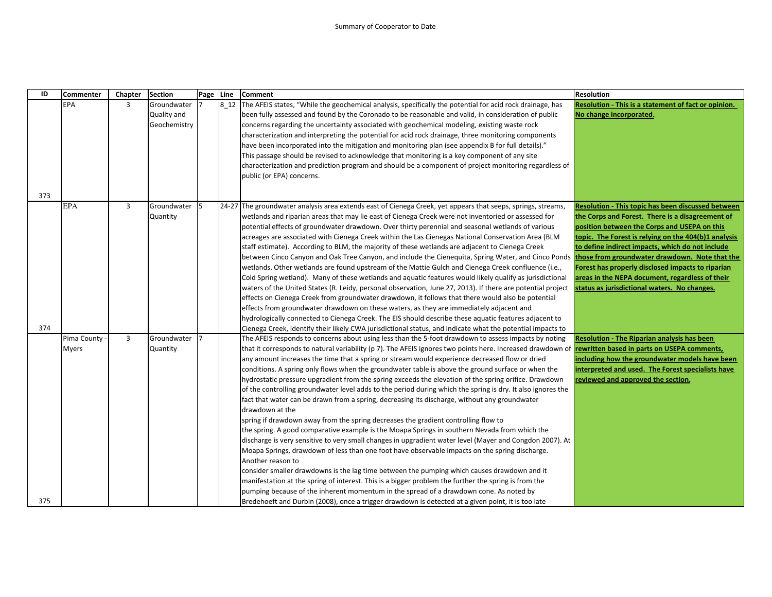| ID  | <b>Commenter</b>            | Chapter        | <b>Section</b>                             | Page Line | Comment                                                                                                                                                                                                                                                                                                                                                                                                                                                                                                                                                                                                                                                                                                                                                                                                                                                                                                                                                                                                                                                                                                                                                                                                                                                                                                                                                                                                                                                                                                                                               | <b>Resolution</b>                                                                                                                                                                                                                                                                                                                                                                                                                                                                   |
|-----|-----------------------------|----------------|--------------------------------------------|-----------|-------------------------------------------------------------------------------------------------------------------------------------------------------------------------------------------------------------------------------------------------------------------------------------------------------------------------------------------------------------------------------------------------------------------------------------------------------------------------------------------------------------------------------------------------------------------------------------------------------------------------------------------------------------------------------------------------------------------------------------------------------------------------------------------------------------------------------------------------------------------------------------------------------------------------------------------------------------------------------------------------------------------------------------------------------------------------------------------------------------------------------------------------------------------------------------------------------------------------------------------------------------------------------------------------------------------------------------------------------------------------------------------------------------------------------------------------------------------------------------------------------------------------------------------------------|-------------------------------------------------------------------------------------------------------------------------------------------------------------------------------------------------------------------------------------------------------------------------------------------------------------------------------------------------------------------------------------------------------------------------------------------------------------------------------------|
|     | <b>EPA</b>                  | 3              | Groundwater<br>Quality and<br>Geochemistry |           | 8_12 The AFEIS states, "While the geochemical analysis, specifically the potential for acid rock drainage, has<br>been fully assessed and found by the Coronado to be reasonable and valid, in consideration of public<br>concerns regarding the uncertainty associated with geochemical modeling, existing waste rock<br>characterization and interpreting the potential for acid rock drainage, three monitoring components<br>have been incorporated into the mitigation and monitoring plan (see appendix B for full details)."<br>This passage should be revised to acknowledge that monitoring is a key component of any site                                                                                                                                                                                                                                                                                                                                                                                                                                                                                                                                                                                                                                                                                                                                                                                                                                                                                                                   | Resolution - This is a statement of fact or opinion.<br>No change incorporated.                                                                                                                                                                                                                                                                                                                                                                                                     |
| 373 |                             |                |                                            |           | characterization and prediction program and should be a component of project monitoring regardless of<br>public (or EPA) concerns.                                                                                                                                                                                                                                                                                                                                                                                                                                                                                                                                                                                                                                                                                                                                                                                                                                                                                                                                                                                                                                                                                                                                                                                                                                                                                                                                                                                                                    |                                                                                                                                                                                                                                                                                                                                                                                                                                                                                     |
|     | <b>EPA</b>                  | $\overline{3}$ | Groundwater<br>Quantity                    | 15        | [24-27] The groundwater analysis area extends east of Cienega Creek, yet appears that seeps, springs, streams,<br>wetlands and riparian areas that may lie east of Cienega Creek were not inventoried or assessed for<br>potential effects of groundwater drawdown. Over thirty perennial and seasonal wetlands of various<br>acreages are associated with Cienega Creek within the Las Cienegas National Conservation Area (BLM<br>staff estimate). According to BLM, the majority of these wetlands are adjacent to Cienega Creek<br>between Cinco Canyon and Oak Tree Canyon, and include the Cienequita, Spring Water, and Cinco Ponds<br>wetlands. Other wetlands are found upstream of the Mattie Gulch and Cienega Creek confluence (i.e.,<br>Cold Spring wetland). Many of these wetlands and aquatic features would likely qualify as jurisdictional<br>waters of the United States (R. Leidy, personal observation, June 27, 2013). If there are potential project<br>effects on Cienega Creek from groundwater drawdown, it follows that there would also be potential<br>effects from groundwater drawdown on these waters, as they are immediately adjacent and                                                                                                                                                                                                                                                                                                                                                                          | <b>Resolution - This topic has been discussed between</b><br>the Corps and Forest. There is a disagreement of<br>position between the Corps and USEPA on this<br>topic. The Forest is relying on the 404(b)1 analysis<br>to define indirect impacts, which do not include<br>those from groundwater drawdown. Note that the<br>Forest has properly disclosed impacts to riparian<br>areas in the NEPA document, regardless of their<br>status as jurisdictional waters. No changes. |
| 374 |                             |                |                                            |           | hydrologically connected to Cienega Creek. The EIS should describe these aquatic features adjacent to<br>Cienega Creek, identify their likely CWA jurisdictional status, and indicate what the potential impacts to                                                                                                                                                                                                                                                                                                                                                                                                                                                                                                                                                                                                                                                                                                                                                                                                                                                                                                                                                                                                                                                                                                                                                                                                                                                                                                                                   |                                                                                                                                                                                                                                                                                                                                                                                                                                                                                     |
|     | Pima County<br><b>Myers</b> | 3              | Groundwater<br>Quantity                    | 17        | The AFEIS responds to concerns about using less than the 5-foot drawdown to assess impacts by noting<br>that it corresponds to natural variability (p 7). The AFEIS ignores two points here. Increased drawdown of <b>rewritten based in parts on USEPA comments</b> ,<br>any amount increases the time that a spring or stream would experience decreased flow or dried<br>conditions. A spring only flows when the groundwater table is above the ground surface or when the<br>hydrostatic pressure upgradient from the spring exceeds the elevation of the spring orifice. Drawdown<br>of the controlling groundwater level adds to the period during which the spring is dry. It also ignores the<br>fact that water can be drawn from a spring, decreasing its discharge, without any groundwater<br>drawdown at the<br>spring if drawdown away from the spring decreases the gradient controlling flow to<br>the spring. A good comparative example is the Moapa Springs in southern Nevada from which the<br>discharge is very sensitive to very small changes in upgradient water level (Mayer and Congdon 2007). At<br>Moapa Springs, drawdown of less than one foot have observable impacts on the spring discharge.<br>Another reason to<br>consider smaller drawdowns is the lag time between the pumping which causes drawdown and it<br>manifestation at the spring of interest. This is a bigger problem the further the spring is from the<br>pumping because of the inherent momentum in the spread of a drawdown cone. As noted by | <b>Resolution - The Riparian analysis has been</b><br>including how the groundwater models have been<br>interpreted and used. The Forest specialists have<br>reviewed and approved the section.                                                                                                                                                                                                                                                                                     |
| 375 |                             |                |                                            |           | Bredehoeft and Durbin (2008), once a trigger drawdown is detected at a given point, it is too late                                                                                                                                                                                                                                                                                                                                                                                                                                                                                                                                                                                                                                                                                                                                                                                                                                                                                                                                                                                                                                                                                                                                                                                                                                                                                                                                                                                                                                                    |                                                                                                                                                                                                                                                                                                                                                                                                                                                                                     |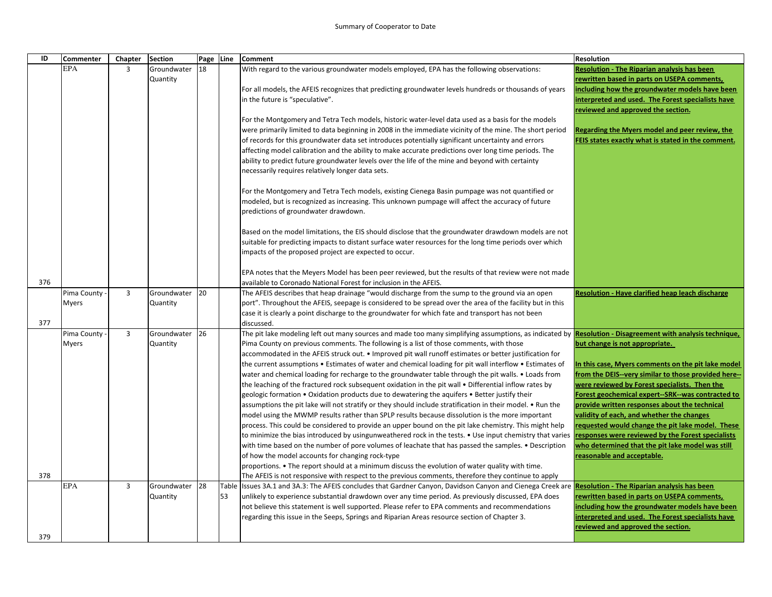| ID  | <b>Commenter</b> | Chapter        | <b>Section</b> | Page Line |    | <b>Comment</b>                                                                                                                                                                                    | <b>Resolution</b>                                                                       |
|-----|------------------|----------------|----------------|-----------|----|---------------------------------------------------------------------------------------------------------------------------------------------------------------------------------------------------|-----------------------------------------------------------------------------------------|
|     | <b>EPA</b>       | 3              | Groundwater    | 18        |    | With regard to the various groundwater models employed, EPA has the following observations:                                                                                                       | Resolution - The Riparian analysis has been                                             |
|     |                  |                | Quantity       |           |    |                                                                                                                                                                                                   | rewritten based in parts on USEPA comments,                                             |
|     |                  |                |                |           |    | For all models, the AFEIS recognizes that predicting groundwater levels hundreds or thousands of years                                                                                            | ncluding how the groundwater models have been                                           |
|     |                  |                |                |           |    | in the future is "speculative".                                                                                                                                                                   | interpreted and used. The Forest specialists have                                       |
|     |                  |                |                |           |    |                                                                                                                                                                                                   | reviewed and approved the section.                                                      |
|     |                  |                |                |           |    | For the Montgomery and Tetra Tech models, historic water-level data used as a basis for the models                                                                                                |                                                                                         |
|     |                  |                |                |           |    | were primarily limited to data beginning in 2008 in the immediate vicinity of the mine. The short period                                                                                          | Regarding the Myers model and peer review, the                                          |
|     |                  |                |                |           |    | of records for this groundwater data set introduces potentially significant uncertainty and errors                                                                                                | FEIS states exactly what is stated in the comment.                                      |
|     |                  |                |                |           |    | affecting model calibration and the ability to make accurate predictions over long time periods. The                                                                                              |                                                                                         |
|     |                  |                |                |           |    | ability to predict future groundwater levels over the life of the mine and beyond with certainty                                                                                                  |                                                                                         |
|     |                  |                |                |           |    | necessarily requires relatively longer data sets.                                                                                                                                                 |                                                                                         |
|     |                  |                |                |           |    | For the Montgomery and Tetra Tech models, existing Cienega Basin pumpage was not quantified or                                                                                                    |                                                                                         |
|     |                  |                |                |           |    | modeled, but is recognized as increasing. This unknown pumpage will affect the accuracy of future                                                                                                 |                                                                                         |
|     |                  |                |                |           |    | predictions of groundwater drawdown.                                                                                                                                                              |                                                                                         |
|     |                  |                |                |           |    | Based on the model limitations, the EIS should disclose that the groundwater drawdown models are not                                                                                              |                                                                                         |
|     |                  |                |                |           |    | suitable for predicting impacts to distant surface water resources for the long time periods over which                                                                                           |                                                                                         |
|     |                  |                |                |           |    | impacts of the proposed project are expected to occur.                                                                                                                                            |                                                                                         |
|     |                  |                |                |           |    |                                                                                                                                                                                                   |                                                                                         |
|     |                  |                |                |           |    | EPA notes that the Meyers Model has been peer reviewed, but the results of that review were not made                                                                                              |                                                                                         |
| 376 |                  |                |                |           |    | available to Coronado National Forest for inclusion in the AFEIS.                                                                                                                                 |                                                                                         |
|     | Pima County -    | $\overline{3}$ | Groundwater    | <b>20</b> |    | The AFEIS describes that heap drainage "would discharge from the sump to the ground via an open                                                                                                   | <b>Resolution - Have clarified heap leach discharge</b>                                 |
|     | <b>Myers</b>     |                | Quantity       |           |    | port". Throughout the AFEIS, seepage is considered to be spread over the area of the facility but in this                                                                                         |                                                                                         |
|     |                  |                |                |           |    | case it is clearly a point discharge to the groundwater for which fate and transport has not been                                                                                                 |                                                                                         |
| 377 |                  |                |                |           |    | discussed.                                                                                                                                                                                        |                                                                                         |
|     | Pima County      | $\overline{3}$ | Groundwater    | 26        |    | The pit lake modeling left out many sources and made too many simplifying assumptions, as indicated by Resolution - Disagreement with analysis technique,                                         |                                                                                         |
|     | <b>Myers</b>     |                | Quantity       |           |    | Pima County on previous comments. The following is a list of those comments, with those<br>accommodated in the AFEIS struck out. • Improved pit wall runoff estimates or better justification for | but change is not appropriate.                                                          |
|     |                  |                |                |           |    | the current assumptions • Estimates of water and chemical loading for pit wall interflow • Estimates of                                                                                           | In this case, Myers comments on the pit lake model                                      |
|     |                  |                |                |           |    | water and chemical loading for recharge to the groundwater table through the pit walls. • Loads from                                                                                              | from the DEIS--very similar to those provided here--                                    |
|     |                  |                |                |           |    | the leaching of the fractured rock subsequent oxidation in the pit wall • Differential inflow rates by                                                                                            | were reviewed by Forest specialists. Then the                                           |
|     |                  |                |                |           |    | geologic formation • Oxidation products due to dewatering the aquifers • Better justify their                                                                                                     | Forest geochemical expert--SRK--was contracted to                                       |
|     |                  |                |                |           |    | assumptions the pit lake will not stratify or they should include stratification in their model. • Run the                                                                                        | provide written responses about the technical                                           |
|     |                  |                |                |           |    | model using the MWMP results rather than SPLP results because dissolution is the more important                                                                                                   | validity of each, and whether the changes                                               |
|     |                  |                |                |           |    | process. This could be considered to provide an upper bound on the pit lake chemistry. This might help                                                                                            | requested would change the pit lake model. These                                        |
|     |                  |                |                |           |    | to minimize the bias introduced by usingunweathered rock in the tests. • Use input chemistry that varies                                                                                          | responses were reviewed by the Forest specialists                                       |
|     |                  |                |                |           |    | with time based on the number of pore volumes of leachate that has passed the samples. • Description                                                                                              | who determined that the pit lake model was still                                        |
|     |                  |                |                |           |    | of how the model accounts for changing rock-type                                                                                                                                                  | reasonable and acceptable.                                                              |
|     |                  |                |                |           |    | proportions. • The report should at a minimum discuss the evolution of water quality with time.                                                                                                   |                                                                                         |
| 378 |                  |                |                |           |    | The AFEIS is not responsive with respect to the previous comments, therefore they continue to apply                                                                                               |                                                                                         |
|     | <b>EPA</b>       | $\overline{3}$ | Groundwater    | 28        |    | Table  Issues 3A.1 and 3A.3: The AFEIS concludes that Gardner Canyon, Davidson Canyon and Cienega Creek are  Resolution - The Riparian analysis has been                                          |                                                                                         |
|     |                  |                | Quantity       |           | 53 | unlikely to experience substantial drawdown over any time period. As previously discussed, EPA does                                                                                               | ewritten based in parts on USEPA comments,                                              |
|     |                  |                |                |           |    | not believe this statement is well supported. Please refer to EPA comments and recommendations                                                                                                    | including how the groundwater models have been                                          |
|     |                  |                |                |           |    | regarding this issue in the Seeps, Springs and Riparian Areas resource section of Chapter 3.                                                                                                      | interpreted and used. The Forest specialists have<br>reviewed and approved the section. |
| 379 |                  |                |                |           |    |                                                                                                                                                                                                   |                                                                                         |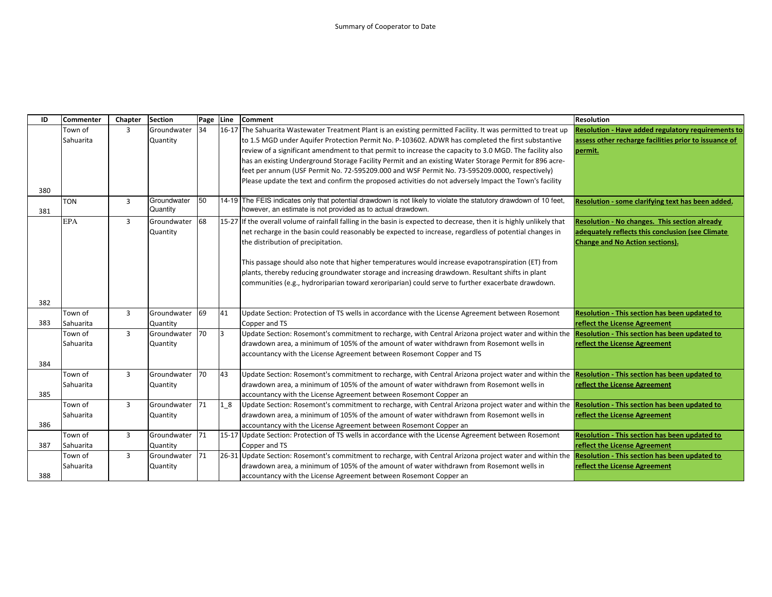| ID  | <b>Commenter</b> | Chapter        | <b>Section</b>          | Page | Line      | <b>Comment</b>                                                                                                                                                                   | <b>Resolution</b>                                     |
|-----|------------------|----------------|-------------------------|------|-----------|----------------------------------------------------------------------------------------------------------------------------------------------------------------------------------|-------------------------------------------------------|
|     | Town of          | 3              | Groundwater             | 34   |           | 16-17 The Sahuarita Wastewater Treatment Plant is an existing permitted Facility. It was permitted to treat up                                                                   | Resolution - Have added regulatory requirements to    |
|     | Sahuarita        |                | Quantity                |      |           | to 1.5 MGD under Aquifer Protection Permit No. P-103602. ADWR has completed the first substantive                                                                                | assess other recharge facilities prior to issuance of |
|     |                  |                |                         |      |           | review of a significant amendment to that permit to increase the capacity to 3.0 MGD. The facility also                                                                          | permit.                                               |
|     |                  |                |                         |      |           | has an existing Underground Storage Facility Permit and an existing Water Storage Permit for 896 acre-                                                                           |                                                       |
|     |                  |                |                         |      |           | feet per annum (USF Permit No. 72-595209.000 and WSF Permit No. 73-595209.0000, respectively)                                                                                    |                                                       |
|     |                  |                |                         |      |           | Please update the text and confirm the proposed activities do not adversely Impact the Town's facility                                                                           |                                                       |
| 380 |                  |                |                         |      |           |                                                                                                                                                                                  |                                                       |
| 381 | <b>TON</b>       | $\overline{3}$ | Groundwater<br>Quantity | 50   |           | 14-19 The FEIS indicates only that potential drawdown is not likely to violate the statutory drawdown of 10 feet,<br>however, an estimate is not provided as to actual drawdown. | Resolution - some clarifying text has been added.     |
|     | <b>EPA</b>       | $\overline{3}$ | Groundwater             | 68   |           | 15-27 If the overall volume of rainfall falling in the basin is expected to decrease, then it is highly unlikely that                                                            | Resolution - No changes. This section already         |
|     |                  |                | Quantity                |      |           | net recharge in the basin could reasonably be expected to increase, regardless of potential changes in                                                                           | adequately reflects this conclusion (see Climate      |
|     |                  |                |                         |      |           | the distribution of precipitation.                                                                                                                                               | <b>Change and No Action sections).</b>                |
|     |                  |                |                         |      |           |                                                                                                                                                                                  |                                                       |
|     |                  |                |                         |      |           | This passage should also note that higher temperatures would increase evapotranspiration (ET) from                                                                               |                                                       |
|     |                  |                |                         |      |           | plants, thereby reducing groundwater storage and increasing drawdown. Resultant shifts in plant                                                                                  |                                                       |
|     |                  |                |                         |      |           | communities (e.g., hydroriparian toward xeroriparian) could serve to further exacerbate drawdown.                                                                                |                                                       |
| 382 |                  |                |                         |      |           |                                                                                                                                                                                  |                                                       |
|     | Town of          | $\overline{3}$ | Groundwater             | 69   | 41        | Update Section: Protection of TS wells in accordance with the License Agreement between Rosemont                                                                                 | <b>Resolution - This section has been updated to</b>  |
| 383 | Sahuarita        |                | Quantity                |      |           | Copper and TS                                                                                                                                                                    | reflect the License Agreement                         |
|     | Town of          | $\overline{3}$ | Groundwater             | 70   | $\vert$ 3 | Update Section: Rosemont's commitment to recharge, with Central Arizona project water and within the Resolution - This section has been updated to                               |                                                       |
|     | Sahuarita        |                | Quantity                |      |           | drawdown area, a minimum of 105% of the amount of water withdrawn from Rosemont wells in                                                                                         | reflect the License Agreement                         |
|     |                  |                |                         |      |           | accountancy with the License Agreement between Rosemont Copper and TS                                                                                                            |                                                       |
| 384 |                  |                |                         |      |           |                                                                                                                                                                                  |                                                       |
|     | Town of          | $\overline{3}$ | Groundwater             | 70   | 43        | Update Section: Rosemont's commitment to recharge, with Central Arizona project water and within the Resolution - This section has been updated to                               |                                                       |
|     | Sahuarita        |                | Quantity                |      |           | drawdown area, a minimum of 105% of the amount of water withdrawn from Rosemont wells in                                                                                         | reflect the License Agreement                         |
| 385 |                  |                |                         |      |           | accountancy with the License Agreement between Rosemont Copper an                                                                                                                |                                                       |
|     | Town of          | $\overline{3}$ | Groundwater             | 71   | $1_{8}$   | Update Section: Rosemont's commitment to recharge, with Central Arizona project water and within the                                                                             | Resolution - This section has been updated to         |
|     | Sahuarita        |                | Quantity                |      |           | drawdown area, a minimum of 105% of the amount of water withdrawn from Rosemont wells in                                                                                         | reflect the License Agreement                         |
| 386 |                  |                |                         |      |           | accountancy with the License Agreement between Rosemont Copper an                                                                                                                |                                                       |
|     | Town of          | $\overline{3}$ | Groundwater             | 71   |           | 15-17 Update Section: Protection of TS wells in accordance with the License Agreement between Rosemont                                                                           | Resolution - This section has been updated to         |
| 387 | Sahuarita        |                | Quantity                |      |           | Copper and TS                                                                                                                                                                    | reflect the License Agreement                         |
|     | Town of          | $\overline{3}$ | Groundwater             | 71   |           | 26-31 Update Section: Rosemont's commitment to recharge, with Central Arizona project water and within the Resolution - This section has been updated to                         |                                                       |
|     | Sahuarita        |                | Quantity                |      |           | drawdown area, a minimum of 105% of the amount of water withdrawn from Rosemont wells in                                                                                         | reflect the License Agreement                         |
| 388 |                  |                |                         |      |           | accountancy with the License Agreement between Rosemont Copper an                                                                                                                |                                                       |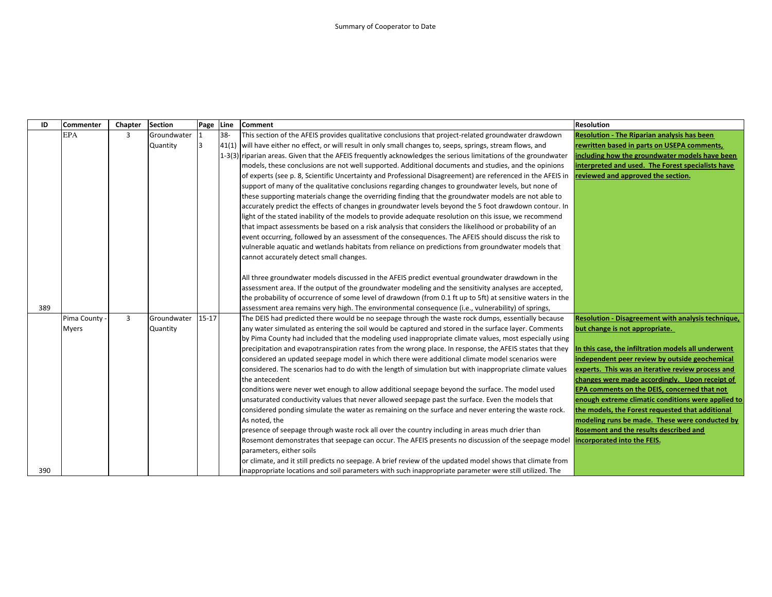| ID  | Commenter    | Chapter        | Section     | Page Line |        | <b>Comment</b>                                                                                                 | <b>Resolution</b>                                   |
|-----|--------------|----------------|-------------|-----------|--------|----------------------------------------------------------------------------------------------------------------|-----------------------------------------------------|
|     | <b>EPA</b>   | 3              | Groundwater |           | $38 -$ | This section of the AFEIS provides qualitative conclusions that project-related groundwater drawdown           | <b>Resolution - The Riparian analysis has been</b>  |
|     |              |                | Quantity    | l3        |        | [41(1) will have either no effect, or will result in only small changes to, seeps, springs, stream flows, and  | rewritten based in parts on USEPA comments,         |
|     |              |                |             |           |        | 1-3(3) riparian areas. Given that the AFEIS frequently acknowledges the serious limitations of the groundwater | including how the groundwater models have been      |
|     |              |                |             |           |        | models, these conclusions are not well supported. Additional documents and studies, and the opinions           | interpreted and used. The Forest specialists have   |
|     |              |                |             |           |        | of experts (see p. 8, Scientific Uncertainty and Professional Disagreement) are referenced in the AFEIS in     | reviewed and approved the section.                  |
|     |              |                |             |           |        | support of many of the qualitative conclusions regarding changes to groundwater levels, but none of            |                                                     |
|     |              |                |             |           |        | these supporting materials change the overriding finding that the groundwater models are not able to           |                                                     |
|     |              |                |             |           |        | accurately predict the effects of changes in groundwater levels beyond the 5 foot drawdown contour. In         |                                                     |
|     |              |                |             |           |        | light of the stated inability of the models to provide adequate resolution on this issue, we recommend         |                                                     |
|     |              |                |             |           |        | that impact assessments be based on a risk analysis that considers the likelihood or probability of an         |                                                     |
|     |              |                |             |           |        | event occurring, followed by an assessment of the consequences. The AFEIS should discuss the risk to           |                                                     |
|     |              |                |             |           |        | vulnerable aquatic and wetlands habitats from reliance on predictions from groundwater models that             |                                                     |
|     |              |                |             |           |        | cannot accurately detect small changes.                                                                        |                                                     |
|     |              |                |             |           |        |                                                                                                                |                                                     |
|     |              |                |             |           |        | All three groundwater models discussed in the AFEIS predict eventual groundwater drawdown in the               |                                                     |
|     |              |                |             |           |        | assessment area. If the output of the groundwater modeling and the sensitivity analyses are accepted,          |                                                     |
|     |              |                |             |           |        | the probability of occurrence of some level of drawdown (from 0.1 ft up to 5ft) at sensitive waters in the     |                                                     |
| 389 |              |                |             |           |        | assessment area remains very high. The environmental consequence (i.e., vulnerability) of springs,             |                                                     |
|     | Pima County  | $\overline{3}$ | Groundwater | $15 - 17$ |        | The DEIS had predicted there would be no seepage through the waste rock dumps, essentially because             | Resolution - Disagreement with analysis technique,  |
|     | <b>Myers</b> |                | Quantity    |           |        | any water simulated as entering the soil would be captured and stored in the surface layer. Comments           | but change is not appropriate.                      |
|     |              |                |             |           |        | by Pima County had included that the modeling used inappropriate climate values, most especially using         |                                                     |
|     |              |                |             |           |        | precipitation and evapotranspiration rates from the wrong place. In response, the AFEIS states that they       | In this case, the infiltration models all underwent |
|     |              |                |             |           |        | considered an updated seepage model in which there were additional climate model scenarios were                | independent peer review by outside geochemical      |
|     |              |                |             |           |        | considered. The scenarios had to do with the length of simulation but with inappropriate climate values        | experts. This was an iterative review process and   |
|     |              |                |             |           |        | the antecedent                                                                                                 | changes were made accordingly. Upon receipt of      |
|     |              |                |             |           |        | conditions were never wet enough to allow additional seepage beyond the surface. The model used                | EPA comments on the DEIS, concerned that not        |
|     |              |                |             |           |        | unsaturated conductivity values that never allowed seepage past the surface. Even the models that              | enough extreme climatic conditions were applied to  |
|     |              |                |             |           |        | considered ponding simulate the water as remaining on the surface and never entering the waste rock.           | the models, the Forest requested that additional    |
|     |              |                |             |           |        | As noted, the                                                                                                  | modeling runs be made. These were conducted by      |
|     |              |                |             |           |        | presence of seepage through waste rock all over the country including in areas much drier than                 | Rosemont and the results described and              |
|     |              |                |             |           |        | Rosemont demonstrates that seepage can occur. The AFEIS presents no discussion of the seepage model            | incorporated into the FEIS.                         |
|     |              |                |             |           |        | parameters, either soils                                                                                       |                                                     |
|     |              |                |             |           |        | or climate, and it still predicts no seepage. A brief review of the updated model shows that climate from      |                                                     |
| 390 |              |                |             |           |        | inappropriate locations and soil parameters with such inappropriate parameter were still utilized. The         |                                                     |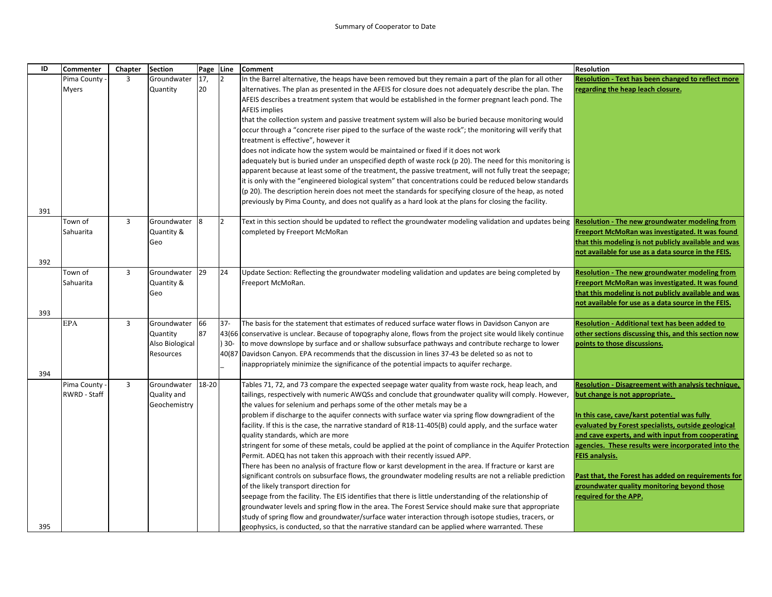| ID  | Commenter    | Chapter        | <b>Section</b>  | Page  | Line    | <b>Comment</b>                                                                                                                                                                                                   | <b>Resolution</b>                                                                                   |
|-----|--------------|----------------|-----------------|-------|---------|------------------------------------------------------------------------------------------------------------------------------------------------------------------------------------------------------------------|-----------------------------------------------------------------------------------------------------|
|     | Pima County  | 3              | Groundwater     | 17,   | 12      | In the Barrel alternative, the heaps have been removed but they remain a part of the plan for all other                                                                                                          | <b>Resolution - Text has been changed to reflect more</b>                                           |
|     | <b>Myers</b> |                | Quantity        | 20    |         | alternatives. The plan as presented in the AFEIS for closure does not adequately describe the plan. The                                                                                                          | regarding the heap leach closure.                                                                   |
|     |              |                |                 |       |         | AFEIS describes a treatment system that would be established in the former pregnant leach pond. The                                                                                                              |                                                                                                     |
|     |              |                |                 |       |         | <b>AFEIS implies</b>                                                                                                                                                                                             |                                                                                                     |
|     |              |                |                 |       |         | that the collection system and passive treatment system will also be buried because monitoring would                                                                                                             |                                                                                                     |
|     |              |                |                 |       |         | occur through a "concrete riser piped to the surface of the waste rock"; the monitoring will verify that                                                                                                         |                                                                                                     |
|     |              |                |                 |       |         | treatment is effective", however it                                                                                                                                                                              |                                                                                                     |
|     |              |                |                 |       |         | does not indicate how the system would be maintained or fixed if it does not work                                                                                                                                |                                                                                                     |
|     |              |                |                 |       |         | adequately but is buried under an unspecified depth of waste rock (p 20). The need for this monitoring is                                                                                                        |                                                                                                     |
|     |              |                |                 |       |         | apparent because at least some of the treatment, the passive treatment, will not fully treat the seepage;                                                                                                        |                                                                                                     |
|     |              |                |                 |       |         | it is only with the "engineered biological system" that concentrations could be reduced below standards                                                                                                          |                                                                                                     |
|     |              |                |                 |       |         | (p 20). The description herein does not meet the standards for specifying closure of the heap, as noted                                                                                                          |                                                                                                     |
|     |              |                |                 |       |         | previously by Pima County, and does not qualify as a hard look at the plans for closing the facility.                                                                                                            |                                                                                                     |
| 391 |              |                |                 |       |         |                                                                                                                                                                                                                  |                                                                                                     |
|     | Town of      | 3              | Groundwater     | 8     | 2       | Text in this section should be updated to reflect the groundwater modeling validation and updates being                                                                                                          | <b>Resolution - The new groundwater modeling from</b>                                               |
|     | Sahuarita    |                | Quantity &      |       |         | completed by Freeport McMoRan                                                                                                                                                                                    | Freeport McMoRan was investigated. It was found                                                     |
|     |              |                | Geo             |       |         |                                                                                                                                                                                                                  | that this modeling is not publicly available and was                                                |
| 392 |              |                |                 |       |         |                                                                                                                                                                                                                  | not available for use as a data source in the FEIS.                                                 |
|     | Town of      | $\overline{3}$ | Groundwater     | 29    | 24      | Update Section: Reflecting the groundwater modeling validation and updates are being completed by                                                                                                                | <b>Resolution - The new groundwater modeling from</b>                                               |
|     | Sahuarita    |                | Quantity &      |       |         | Freeport McMoRan.                                                                                                                                                                                                | Freeport McMoRan was investigated. It was found                                                     |
|     |              |                | Geo             |       |         |                                                                                                                                                                                                                  | that this modeling is not publicly available and was                                                |
|     |              |                |                 |       |         |                                                                                                                                                                                                                  | not available for use as a data source in the FEIS.                                                 |
| 393 |              |                |                 |       |         |                                                                                                                                                                                                                  |                                                                                                     |
|     | <b>EPA</b>   | 3              | Groundwater     | 66    | $37 -$  | The basis for the statement that estimates of reduced surface water flows in Davidson Canyon are                                                                                                                 | Resolution - Additional text has been added to                                                      |
|     |              |                | Quantity        | 87    |         | 43(66 conservative is unclear. Because of topography alone, flows from the project site would likely continue                                                                                                    | other sections discussing this, and this section now                                                |
|     |              |                | Also Biological |       | $) 30-$ | to move downslope by surface and or shallow subsurface pathways and contribute recharge to lower                                                                                                                 | points to those discussions.                                                                        |
|     |              |                | Resources       |       |         | 40(87 Davidson Canyon. EPA recommends that the discussion in lines 37-43 be deleted so as not to                                                                                                                 |                                                                                                     |
|     |              |                |                 |       |         | inappropriately minimize the significance of the potential impacts to aquifer recharge.                                                                                                                          |                                                                                                     |
| 394 |              |                |                 |       |         |                                                                                                                                                                                                                  |                                                                                                     |
|     | Pima County  | 3              | Groundwater     | 18-20 |         | Tables 71, 72, and 73 compare the expected seepage water quality from waste rock, heap leach, and                                                                                                                | Resolution - Disagreement with analysis technique,                                                  |
|     | RWRD - Staff |                | Quality and     |       |         | tailings, respectively with numeric AWQSs and conclude that groundwater quality will comply. However,                                                                                                            | but change is not appropriate.                                                                      |
|     |              |                | Geochemistry    |       |         | the values for selenium and perhaps some of the other metals may be a                                                                                                                                            |                                                                                                     |
|     |              |                |                 |       |         | problem if discharge to the aquifer connects with surface water via spring flow downgradient of the<br>facility. If this is the case, the narrative standard of R18-11-405(B) could apply, and the surface water | In this case, cave/karst potential was fully<br>evaluated by Forest specialists, outside geological |
|     |              |                |                 |       |         | quality standards, which are more                                                                                                                                                                                | and cave experts, and with input from cooperating                                                   |
|     |              |                |                 |       |         | stringent for some of these metals, could be applied at the point of compliance in the Aquifer Protection                                                                                                        | agencies. These results were incorporated into the                                                  |
|     |              |                |                 |       |         | Permit. ADEQ has not taken this approach with their recently issued APP.                                                                                                                                         | <b>FEIS analysis.</b>                                                                               |
|     |              |                |                 |       |         | There has been no analysis of fracture flow or karst development in the area. If fracture or karst are                                                                                                           |                                                                                                     |
|     |              |                |                 |       |         | significant controls on subsurface flows, the groundwater modeling results are not a reliable prediction                                                                                                         | Past that, the Forest has added on requirements for                                                 |
|     |              |                |                 |       |         | of the likely transport direction for                                                                                                                                                                            | groundwater quality monitoring beyond those                                                         |
|     |              |                |                 |       |         | seepage from the facility. The EIS identifies that there is little understanding of the relationship of                                                                                                          | required for the APP.                                                                               |
|     |              |                |                 |       |         | groundwater levels and spring flow in the area. The Forest Service should make sure that appropriate                                                                                                             |                                                                                                     |
|     |              |                |                 |       |         | study of spring flow and groundwater/surface water interaction through isotope studies, tracers, or                                                                                                              |                                                                                                     |
| 395 |              |                |                 |       |         | geophysics, is conducted, so that the narrative standard can be applied where warranted. These                                                                                                                   |                                                                                                     |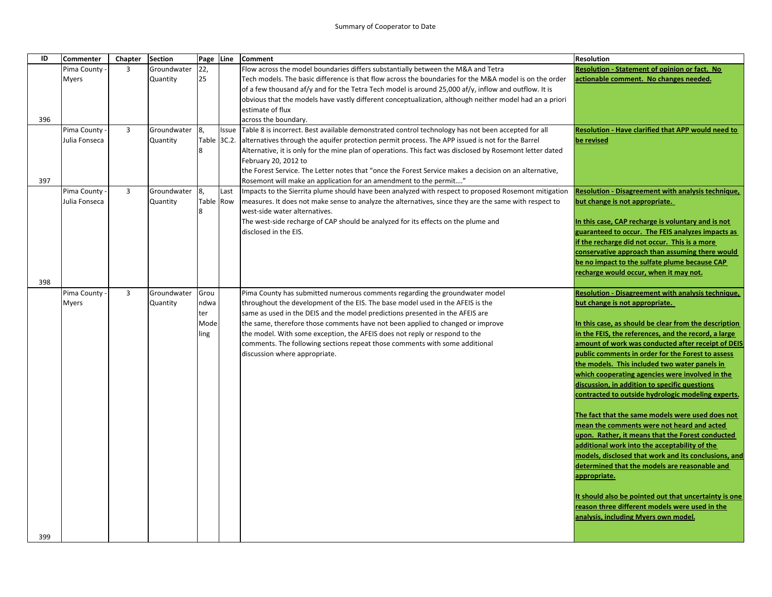| ID  | Commenter                   | Chapter        | <b>Section</b>          | Page Line      |       | <b>Comment</b>                                                                                                                                                | <b>Resolution</b>                                                                    |
|-----|-----------------------------|----------------|-------------------------|----------------|-------|---------------------------------------------------------------------------------------------------------------------------------------------------------------|--------------------------------------------------------------------------------------|
|     | Pima County                 | $\overline{3}$ | Groundwater             | 22,            |       | Flow across the model boundaries differs substantially between the M&A and Tetra                                                                              | <b>Resolution - Statement of opinion or fact. No</b>                                 |
|     | <b>Myers</b>                |                | Quantity                | 25             |       | Tech models. The basic difference is that flow across the boundaries for the M&A model is on the order                                                        | actionable comment. No changes needed.                                               |
|     |                             |                |                         |                |       | of a few thousand af/y and for the Tetra Tech model is around 25,000 af/y, inflow and outflow. It is                                                          |                                                                                      |
|     |                             |                |                         |                |       | obvious that the models have vastly different conceptualization, although neither model had an a priori<br>estimate of flux                                   |                                                                                      |
| 396 |                             |                |                         |                |       | across the boundary.                                                                                                                                          |                                                                                      |
|     | Pima County -               | 3              | Groundwater             | 8,             | Issue | Table 8 is incorrect. Best available demonstrated control technology has not been accepted for all                                                            | Resolution - Have clarified that APP would need to                                   |
|     | Julia Fonseca               |                | Quantity                | Table 3C.2.    |       | alternatives through the aquifer protection permit process. The APP issued is not for the Barrel                                                              | be revised                                                                           |
|     |                             |                |                         | 8              |       | Alternative, it is only for the mine plan of operations. This fact was disclosed by Rosemont letter dated                                                     |                                                                                      |
|     |                             |                |                         |                |       | February 20, 2012 to                                                                                                                                          |                                                                                      |
|     |                             |                |                         |                |       | the Forest Service. The Letter notes that "once the Forest Service makes a decision on an alternative,                                                        |                                                                                      |
| 397 |                             |                |                         |                |       | Rosemont will make an application for an amendment to the permit"                                                                                             |                                                                                      |
|     | Pima County                 | 3              | Groundwater             | 8,             | Last  | Impacts to the Sierrita plume should have been analyzed with respect to proposed Rosemont mitigation                                                          | <b>Resolution - Disagreement with analysis technique,</b>                            |
|     | Julia Fonseca               |                | Quantity                | Table Row<br>Ջ |       | measures. It does not make sense to analyze the alternatives, since they are the same with respect to<br>west-side water alternatives.                        | but change is not appropriate.                                                       |
|     |                             |                |                         |                |       | The west-side recharge of CAP should be analyzed for its effects on the plume and                                                                             | In this case, CAP recharge is voluntary and is not                                   |
|     |                             |                |                         |                |       | disclosed in the EIS.                                                                                                                                         | guaranteed to occur. The FEIS analyzes impacts as                                    |
|     |                             |                |                         |                |       |                                                                                                                                                               | if the recharge did not occur. This is a more                                        |
|     |                             |                |                         |                |       |                                                                                                                                                               | conservative approach than assuming there would                                      |
|     |                             |                |                         |                |       |                                                                                                                                                               | be no impact to the sulfate plume because CAP                                        |
|     |                             |                |                         |                |       |                                                                                                                                                               | recharge would occur, when it may not.                                               |
| 398 |                             |                |                         |                |       |                                                                                                                                                               |                                                                                      |
|     | Pima County<br><b>Myers</b> | $\overline{3}$ | Groundwater<br>Quantity | Grou<br>ndwa   |       | Pima County has submitted numerous comments regarding the groundwater model<br>throughout the development of the EIS. The base model used in the AFEIS is the | Resolution - Disagreement with analysis technique,<br>but change is not appropriate. |
|     |                             |                |                         | ter            |       | same as used in the DEIS and the model predictions presented in the AFEIS are                                                                                 |                                                                                      |
|     |                             |                |                         | Mode           |       | the same, therefore those comments have not been applied to changed or improve                                                                                | In this case, as should be clear from the description                                |
|     |                             |                |                         | ling           |       | the model. With some exception, the AFEIS does not reply or respond to the                                                                                    | in the FEIS, the references, and the record, a large                                 |
|     |                             |                |                         |                |       | comments. The following sections repeat those comments with some additional                                                                                   | amount of work was conducted after receipt of DEIS                                   |
|     |                             |                |                         |                |       | discussion where appropriate.                                                                                                                                 | public comments in order for the Forest to assess                                    |
|     |                             |                |                         |                |       |                                                                                                                                                               | the models. This included two water panels in                                        |
|     |                             |                |                         |                |       |                                                                                                                                                               | which cooperating agencies were involved in the                                      |
|     |                             |                |                         |                |       |                                                                                                                                                               | discussion, in addition to specific questions                                        |
|     |                             |                |                         |                |       |                                                                                                                                                               | contracted to outside hydrologic modeling experts.                                   |
|     |                             |                |                         |                |       |                                                                                                                                                               | The fact that the same models were used does not                                     |
|     |                             |                |                         |                |       |                                                                                                                                                               | mean the comments were not heard and acted                                           |
|     |                             |                |                         |                |       |                                                                                                                                                               | upon. Rather, it means that the Forest conducted                                     |
|     |                             |                |                         |                |       |                                                                                                                                                               | additional work into the acceptability of the                                        |
|     |                             |                |                         |                |       |                                                                                                                                                               | models, disclosed that work and its conclusions, and                                 |
|     |                             |                |                         |                |       |                                                                                                                                                               | determined that the models are reasonable and                                        |
|     |                             |                |                         |                |       |                                                                                                                                                               | appropriate.                                                                         |
|     |                             |                |                         |                |       |                                                                                                                                                               | It should also be pointed out that uncertainty is one                                |
|     |                             |                |                         |                |       |                                                                                                                                                               | reason three different models were used in the                                       |
|     |                             |                |                         |                |       |                                                                                                                                                               | analysis, including Myers own model.                                                 |
|     |                             |                |                         |                |       |                                                                                                                                                               |                                                                                      |
| 399 |                             |                |                         |                |       |                                                                                                                                                               |                                                                                      |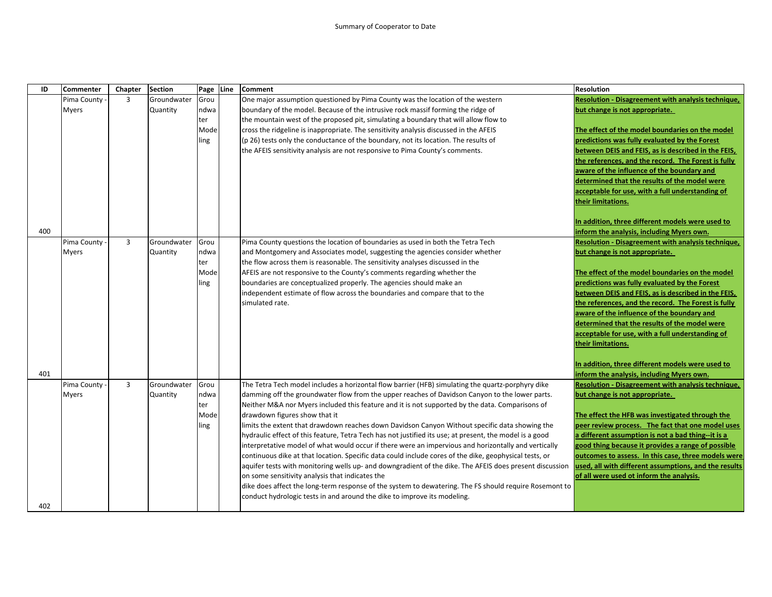| ID  | <b>Commenter</b> | Chapter        | <b>Section</b> | Page Line | <b>Comment</b>                                                                                          | <b>Resolution</b>                                     |
|-----|------------------|----------------|----------------|-----------|---------------------------------------------------------------------------------------------------------|-------------------------------------------------------|
|     | Pima County      | $\overline{3}$ | Groundwater    | Grou      | One major assumption questioned by Pima County was the location of the western                          | Resolution - Disagreement with analysis technique,    |
|     | <b>Myers</b>     |                | Quantity       | ndwa      | boundary of the model. Because of the intrusive rock massif forming the ridge of                        | but change is not appropriate.                        |
|     |                  |                |                | ter       | the mountain west of the proposed pit, simulating a boundary that will allow flow to                    |                                                       |
|     |                  |                |                | Mode      | cross the ridgeline is inappropriate. The sensitivity analysis discussed in the AFEIS                   | The effect of the model boundaries on the model       |
|     |                  |                |                | ling      | (p 26) tests only the conductance of the boundary, not its location. The results of                     | predictions was fully evaluated by the Forest         |
|     |                  |                |                |           | the AFEIS sensitivity analysis are not responsive to Pima County's comments.                            | between DEIS and FEIS, as is described in the FEIS,   |
|     |                  |                |                |           |                                                                                                         | the references, and the record. The Forest is fully   |
|     |                  |                |                |           |                                                                                                         | aware of the influence of the boundary and            |
|     |                  |                |                |           |                                                                                                         | determined that the results of the model were         |
|     |                  |                |                |           |                                                                                                         | acceptable for use, with a full understanding of      |
|     |                  |                |                |           |                                                                                                         | their limitations.                                    |
|     |                  |                |                |           |                                                                                                         | In addition, three different models were used to      |
| 400 |                  |                |                |           |                                                                                                         | inform the analysis, including Myers own.             |
|     | Pima County      | $\overline{3}$ | Groundwater    | Grou      | Pima County questions the location of boundaries as used in both the Tetra Tech                         | Resolution - Disagreement with analysis technique,    |
|     | <b>Myers</b>     |                | Quantity       | ndwa      | and Montgomery and Associates model, suggesting the agencies consider whether                           | but change is not appropriate.                        |
|     |                  |                |                | ter       | the flow across them is reasonable. The sensitivity analyses discussed in the                           |                                                       |
|     |                  |                |                | Mode      | AFEIS are not responsive to the County's comments regarding whether the                                 | The effect of the model boundaries on the model       |
|     |                  |                |                | ling      | boundaries are conceptualized properly. The agencies should make an                                     | predictions was fully evaluated by the Forest         |
|     |                  |                |                |           | independent estimate of flow across the boundaries and compare that to the                              | between DEIS and FEIS, as is described in the FEIS,   |
|     |                  |                |                |           | simulated rate.                                                                                         | the references, and the record. The Forest is fully   |
|     |                  |                |                |           |                                                                                                         | aware of the influence of the boundary and            |
|     |                  |                |                |           |                                                                                                         | determined that the results of the model were         |
|     |                  |                |                |           |                                                                                                         | acceptable for use, with a full understanding of      |
|     |                  |                |                |           |                                                                                                         | their limitations.                                    |
|     |                  |                |                |           |                                                                                                         | In addition, three different models were used to      |
| 401 |                  |                |                |           |                                                                                                         | inform the analysis, including Myers own.             |
|     | Pima County      | $\overline{3}$ | Groundwater    | Grou      | The Tetra Tech model includes a horizontal flow barrier (HFB) simulating the quartz-porphyry dike       | Resolution - Disagreement with analysis technique,    |
|     | <b>Myers</b>     |                | Quantity       | ndwa      | damming off the groundwater flow from the upper reaches of Davidson Canyon to the lower parts.          | but change is not appropriate.                        |
|     |                  |                |                | ter       | Neither M&A nor Myers included this feature and it is not supported by the data. Comparisons of         |                                                       |
|     |                  |                |                | Mode      | drawdown figures show that it                                                                           | The effect the HFB was investigated through the       |
|     |                  |                |                | ling      | limits the extent that drawdown reaches down Davidson Canyon Without specific data showing the          | peer review process. The fact that one model uses     |
|     |                  |                |                |           | hydraulic effect of this feature, Tetra Tech has not justified its use; at present, the model is a good | a different assumption is not a bad thing--it is a    |
|     |                  |                |                |           | interpretative model of what would occur if there were an impervious and horizontally and vertically    | good thing because it provides a range of possible    |
|     |                  |                |                |           | continuous dike at that location. Specific data could include cores of the dike, geophysical tests, or  | outcomes to assess. In this case, three models were   |
|     |                  |                |                |           | aquifer tests with monitoring wells up- and downgradient of the dike. The AFEIS does present discussion | used, all with different assumptions, and the results |
|     |                  |                |                |           | on some sensitivity analysis that indicates the                                                         | of all were used ot inform the analysis.              |
|     |                  |                |                |           | dike does affect the long-term response of the system to dewatering. The FS should require Rosemont to  |                                                       |
|     |                  |                |                |           | conduct hydrologic tests in and around the dike to improve its modeling.                                |                                                       |
| 402 |                  |                |                |           |                                                                                                         |                                                       |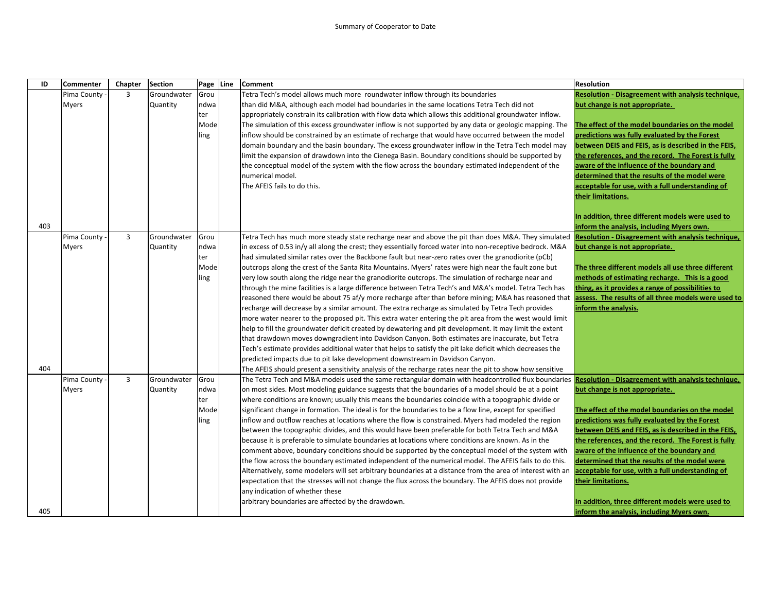## Summary of Cooperator to Date

| ID  | <b>Commenter</b> | Chapter        | <b>Section</b> | Page Line | <b>Comment</b>                                                                                             | <b>Resolution</b>                                         |
|-----|------------------|----------------|----------------|-----------|------------------------------------------------------------------------------------------------------------|-----------------------------------------------------------|
|     | Pima County      | 3              | Groundwater    | Grou      | Tetra Tech's model allows much more roundwater inflow through its boundaries                               | Resolution - Disagreement with analysis technique,        |
|     | <b>Myers</b>     |                | Quantity       | ndwa      | than did M&A, although each model had boundaries in the same locations Tetra Tech did not                  | but change is not appropriate.                            |
|     |                  |                |                | ter       | appropriately constrain its calibration with flow data which allows this additional groundwater inflow.    |                                                           |
|     |                  |                |                | Mode      | The simulation of this excess groundwater inflow is not supported by any data or geologic mapping. The     | The effect of the model boundaries on the model           |
|     |                  |                |                | ling      | inflow should be constrained by an estimate of recharge that would have occurred between the model         | predictions was fully evaluated by the Forest             |
|     |                  |                |                |           | domain boundary and the basin boundary. The excess groundwater inflow in the Tetra Tech model may          | between DEIS and FEIS, as is described in the FEIS,       |
|     |                  |                |                |           | limit the expansion of drawdown into the Cienega Basin. Boundary conditions should be supported by         | the references, and the record. The Forest is fully       |
|     |                  |                |                |           | the conceptual model of the system with the flow across the boundary estimated independent of the          | aware of the influence of the boundary and                |
|     |                  |                |                |           | numerical model.                                                                                           | determined that the results of the model were             |
|     |                  |                |                |           | The AFEIS fails to do this.                                                                                | acceptable for use, with a full understanding of          |
|     |                  |                |                |           |                                                                                                            | their limitations.                                        |
|     |                  |                |                |           |                                                                                                            |                                                           |
|     |                  |                |                |           |                                                                                                            | In addition, three different models were used to          |
| 403 |                  |                |                |           |                                                                                                            | inform the analysis, including Myers own.                 |
|     | Pima County      | $\overline{3}$ | Groundwater    | Grou      | Tetra Tech has much more steady state recharge near and above the pit than does M&A. They simulated        | Resolution - Disagreement with analysis technique,        |
|     | <b>Myers</b>     |                | Quantity       | ndwa      | in excess of 0.53 in/y all along the crest; they essentially forced water into non-receptive bedrock. M&A  | but change is not appropriate.                            |
|     |                  |                |                | ter       | had simulated similar rates over the Backbone fault but near-zero rates over the granodiorite (pCb)        |                                                           |
|     |                  |                |                | Mode      | outcrops along the crest of the Santa Rita Mountains. Myers' rates were high near the fault zone but       | The three different models all use three different        |
|     |                  |                |                | ling      | very low south along the ridge near the granodiorite outcrops. The simulation of recharge near and         | methods of estimating recharge. This is a good            |
|     |                  |                |                |           | through the mine facilities is a large difference between Tetra Tech's and M&A's model. Tetra Tech has     | thing, as it provides a range of possibilities to         |
|     |                  |                |                |           | reasoned there would be about 75 af/y more recharge after than before mining; M&A has reasoned that        | assess. The results of all three models were used to      |
|     |                  |                |                |           | recharge will decrease by a similar amount. The extra recharge as simulated by Tetra Tech provides         | inform the analysis.                                      |
|     |                  |                |                |           | more water nearer to the proposed pit. This extra water entering the pit area from the west would limit    |                                                           |
|     |                  |                |                |           | help to fill the groundwater deficit created by dewatering and pit development. It may limit the extent    |                                                           |
|     |                  |                |                |           | that drawdown moves downgradient into Davidson Canyon. Both estimates are inaccurate, but Tetra            |                                                           |
|     |                  |                |                |           | Tech's estimate provides additional water that helps to satisfy the pit lake deficit which decreases the   |                                                           |
|     |                  |                |                |           | predicted impacts due to pit lake development downstream in Davidson Canyon.                               |                                                           |
| 404 |                  |                |                |           | The AFEIS should present a sensitivity analysis of the recharge rates near the pit to show how sensitive   |                                                           |
|     | Pima County      | 3              | Groundwater    | Grou      | The Tetra Tech and M&A models used the same rectangular domain with headcontrolled flux boundaries         | <b>Resolution - Disagreement with analysis technique,</b> |
|     | <b>Myers</b>     |                | Quantity       | ndwa      | on most sides. Most modeling guidance suggests that the boundaries of a model should be at a point         | but change is not appropriate.                            |
|     |                  |                |                | ter       | where conditions are known; usually this means the boundaries coincide with a topographic divide or        |                                                           |
|     |                  |                |                | Mode      | significant change in formation. The ideal is for the boundaries to be a flow line, except for specified   | The effect of the model boundaries on the model           |
|     |                  |                |                | ling      | inflow and outflow reaches at locations where the flow is constrained. Myers had modeled the region        | predictions was fully evaluated by the Forest             |
|     |                  |                |                |           | between the topographic divides, and this would have been preferable for both Tetra Tech and M&A           | between DEIS and FEIS, as is described in the FEIS,       |
|     |                  |                |                |           | because it is preferable to simulate boundaries at locations where conditions are known. As in the         | the references, and the record. The Forest is fully       |
|     |                  |                |                |           | comment above, boundary conditions should be supported by the conceptual model of the system with          | aware of the influence of the boundary and                |
|     |                  |                |                |           | the flow across the boundary estimated independent of the numerical model. The AFEIS fails to do this.     | determined that the results of the model were             |
|     |                  |                |                |           | Alternatively, some modelers will set arbitrary boundaries at a distance from the area of interest with an | acceptable for use, with a full understanding of          |
|     |                  |                |                |           | expectation that the stresses will not change the flux across the boundary. The AFEIS does not provide     | their limitations.                                        |
|     |                  |                |                |           | any indication of whether these                                                                            | In addition, three different models were used to          |
|     |                  |                |                |           | arbitrary boundaries are affected by the drawdown.                                                         |                                                           |
| 405 |                  |                |                |           |                                                                                                            | inform the analysis, including Myers own.                 |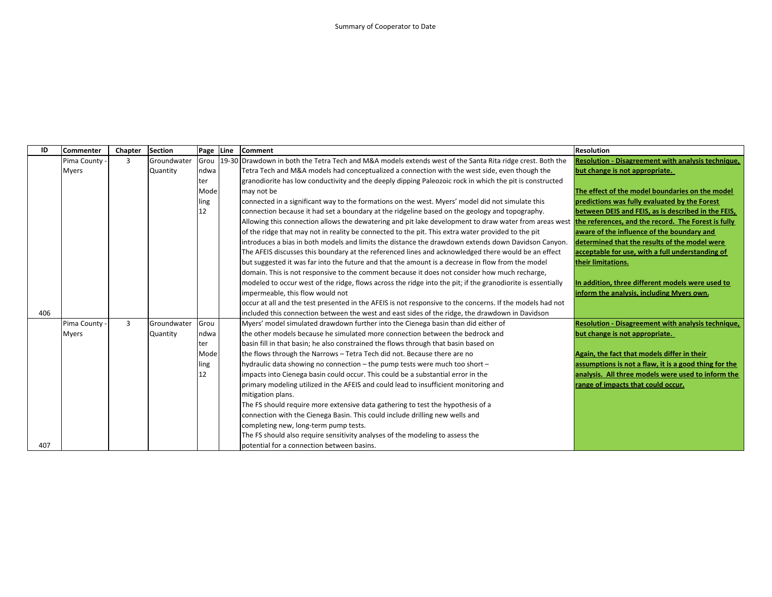| ID  | <b>Commenter</b> | Chapter        | <b>Section</b> | Page | Line  | <b>Comment</b>                                                                                              | <b>Resolution</b>                                         |
|-----|------------------|----------------|----------------|------|-------|-------------------------------------------------------------------------------------------------------------|-----------------------------------------------------------|
|     | Pima County      | 3              | Groundwater    | Grou | 19-30 | Drawdown in both the Tetra Tech and M&A models extends west of the Santa Rita ridge crest. Both the         | <b>Resolution - Disagreement with analysis technique,</b> |
|     | <b>Myers</b>     |                | Quantity       | ndwa |       | Tetra Tech and M&A models had conceptualized a connection with the west side, even though the               | but change is not appropriate.                            |
|     |                  |                |                | ter  |       | granodiorite has low conductivity and the deeply dipping Paleozoic rock in which the pit is constructed     |                                                           |
|     |                  |                |                | Mode |       | may not be                                                                                                  | The effect of the model boundaries on the model           |
|     |                  |                |                | ling |       | connected in a significant way to the formations on the west. Myers' model did not simulate this            | predictions was fully evaluated by the Forest             |
|     |                  |                |                | 12   |       | connection because it had set a boundary at the ridgeline based on the geology and topography.              | between DEIS and FEIS, as is described in the FEIS,       |
|     |                  |                |                |      |       | Allowing this connection allows the dewatering and pit lake development to draw water from areas west       | the references, and the record. The Forest is fully       |
|     |                  |                |                |      |       | of the ridge that may not in reality be connected to the pit. This extra water provided to the pit          | aware of the influence of the boundary and                |
|     |                  |                |                |      |       | introduces a bias in both models and limits the distance the drawdown extends down Davidson Canyon.         | determined that the results of the model were             |
|     |                  |                |                |      |       | The AFEIS discusses this boundary at the referenced lines and acknowledged there would be an effect         | acceptable for use, with a full understanding of          |
|     |                  |                |                |      |       | but suggested it was far into the future and that the amount is a decrease in flow from the model           | their limitations.                                        |
|     |                  |                |                |      |       | domain. This is not responsive to the comment because it does not consider how much recharge,               |                                                           |
|     |                  |                |                |      |       | modeled to occur west of the ridge, flows across the ridge into the pit; if the granodiorite is essentially | In addition, three different models were used to          |
|     |                  |                |                |      |       | impermeable, this flow would not                                                                            | inform the analysis, including Myers own.                 |
|     |                  |                |                |      |       | occur at all and the test presented in the AFEIS is not responsive to the concerns. If the models had not   |                                                           |
| 406 |                  |                |                |      |       | included this connection between the west and east sides of the ridge, the drawdown in Davidson             |                                                           |
|     | Pima County      | $\overline{3}$ | Groundwater    | Grou |       | Myers' model simulated drawdown further into the Cienega basin than did either of                           | Resolution - Disagreement with analysis technique,        |
|     | Myers            |                | Quantity       | ndwa |       | the other models because he simulated more connection between the bedrock and                               | but change is not appropriate.                            |
|     |                  |                |                | ter  |       | basin fill in that basin; he also constrained the flows through that basin based on                         |                                                           |
|     |                  |                |                | Mode |       | the flows through the Narrows - Tetra Tech did not. Because there are no                                    | Again, the fact that models differ in their               |
|     |                  |                |                | ling |       | hydraulic data showing no connection – the pump tests were much too short –                                 | assumptions is not a flaw, it is a good thing for the     |
|     |                  |                |                | 12   |       | impacts into Cienega basin could occur. This could be a substantial error in the                            | analysis. All three models were used to inform the        |
|     |                  |                |                |      |       | primary modeling utilized in the AFEIS and could lead to insufficient monitoring and                        | range of impacts that could occur.                        |
|     |                  |                |                |      |       | mitigation plans.                                                                                           |                                                           |
|     |                  |                |                |      |       | The FS should require more extensive data gathering to test the hypothesis of a                             |                                                           |
|     |                  |                |                |      |       | connection with the Cienega Basin. This could include drilling new wells and                                |                                                           |
|     |                  |                |                |      |       | completing new, long-term pump tests.                                                                       |                                                           |
|     |                  |                |                |      |       | The FS should also require sensitivity analyses of the modeling to assess the                               |                                                           |
| 407 |                  |                |                |      |       | potential for a connection between basins.                                                                  |                                                           |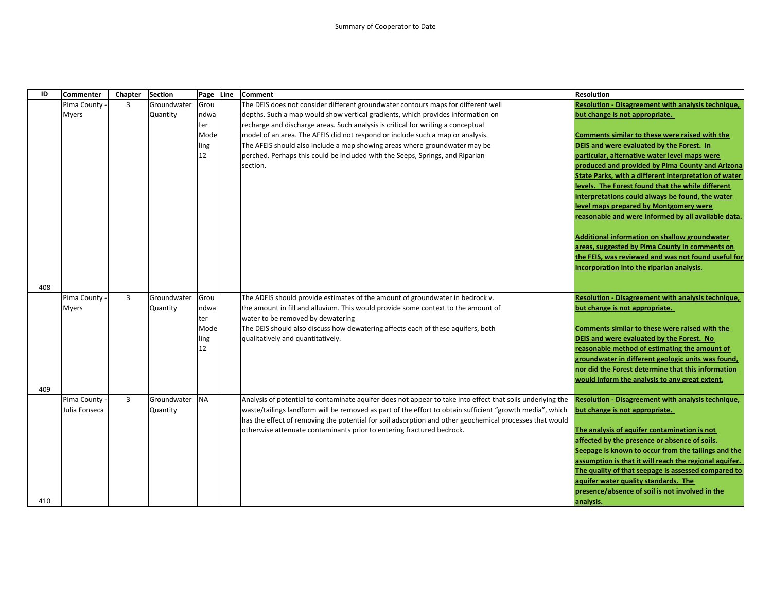| ID  | <b>Commenter</b> | Chapter        | <b>Section</b> | Page Line | <b>Comment</b>                                                                                             | <b>Resolution</b>                                         |
|-----|------------------|----------------|----------------|-----------|------------------------------------------------------------------------------------------------------------|-----------------------------------------------------------|
|     | Pima County      | $\overline{3}$ | Groundwater    | Grou      | The DEIS does not consider different groundwater contours maps for different well                          | Resolution - Disagreement with analysis technique,        |
|     | <b>Myers</b>     |                | Quantity       | ndwa      | depths. Such a map would show vertical gradients, which provides information on                            | but change is not appropriate.                            |
|     |                  |                |                | ter       | recharge and discharge areas. Such analysis is critical for writing a conceptual                           |                                                           |
|     |                  |                |                | Mode      | model of an area. The AFEIS did not respond or include such a map or analysis.                             | Comments similar to these were raised with the            |
|     |                  |                |                | ling      | The AFEIS should also include a map showing areas where groundwater may be                                 | DEIS and were evaluated by the Forest. In                 |
|     |                  |                |                | 12        | perched. Perhaps this could be included with the Seeps, Springs, and Riparian                              | particular, alternative water level maps were             |
|     |                  |                |                |           | section.                                                                                                   | produced and provided by Pima County and Arizona          |
|     |                  |                |                |           |                                                                                                            | State Parks, with a different interpretation of water     |
|     |                  |                |                |           |                                                                                                            | levels. The Forest found that the while different         |
|     |                  |                |                |           |                                                                                                            | interpretations could always be found, the water          |
|     |                  |                |                |           |                                                                                                            | level maps prepared by Montgomery were                    |
|     |                  |                |                |           |                                                                                                            | reasonable and were informed by all available data.       |
|     |                  |                |                |           |                                                                                                            |                                                           |
|     |                  |                |                |           |                                                                                                            | Additional information on shallow groundwater             |
|     |                  |                |                |           |                                                                                                            | areas, suggested by Pima County in comments on            |
|     |                  |                |                |           |                                                                                                            | the FEIS, was reviewed and was not found useful for       |
|     |                  |                |                |           |                                                                                                            | incorporation into the riparian analysis.                 |
|     |                  |                |                |           |                                                                                                            |                                                           |
| 408 |                  |                |                |           |                                                                                                            |                                                           |
|     | Pima County      | $\overline{3}$ | Groundwater    | Grou      | The ADEIS should provide estimates of the amount of groundwater in bedrock v.                              | <b>Resolution - Disagreement with analysis technique,</b> |
|     | <b>Myers</b>     |                | Quantity       | ndwa      | the amount in fill and alluvium. This would provide some context to the amount of                          | but change is not appropriate.                            |
|     |                  |                |                | ter       | water to be removed by dewatering                                                                          |                                                           |
|     |                  |                |                | Mode      | The DEIS should also discuss how dewatering affects each of these aquifers, both                           | Comments similar to these were raised with the            |
|     |                  |                |                | ling      | qualitatively and quantitatively.                                                                          | DEIS and were evaluated by the Forest. No                 |
|     |                  |                |                | 12        |                                                                                                            | reasonable method of estimating the amount of             |
|     |                  |                |                |           |                                                                                                            | groundwater in different geologic units was found,        |
|     |                  |                |                |           |                                                                                                            | nor did the Forest determine that this information        |
|     |                  |                |                |           |                                                                                                            | would inform the analysis to any great extent.            |
| 409 |                  |                |                |           |                                                                                                            |                                                           |
|     | Pima County -    | $\overline{3}$ | Groundwater    | <b>NA</b> | Analysis of potential to contaminate aquifer does not appear to take into effect that soils underlying the | Resolution - Disagreement with analysis technique,        |
|     | Julia Fonseca    |                | Quantity       |           | waste/tailings landform will be removed as part of the effort to obtain sufficient "growth media", which   | but change is not appropriate.                            |
|     |                  |                |                |           | has the effect of removing the potential for soil adsorption and other geochemical processes that would    |                                                           |
|     |                  |                |                |           | otherwise attenuate contaminants prior to entering fractured bedrock.                                      | The analysis of aquifer contamination is not              |
|     |                  |                |                |           |                                                                                                            | affected by the presence or absence of soils.             |
|     |                  |                |                |           |                                                                                                            | Seepage is known to occur from the tailings and the       |
|     |                  |                |                |           |                                                                                                            | assumption is that it will reach the regional aquifer.    |
|     |                  |                |                |           |                                                                                                            | The quality of that seepage is assessed compared to       |
|     |                  |                |                |           |                                                                                                            | aquifer water quality standards. The                      |
|     |                  |                |                |           |                                                                                                            | presence/absence of soil is not involved in the           |
| 410 |                  |                |                |           |                                                                                                            | analysis.                                                 |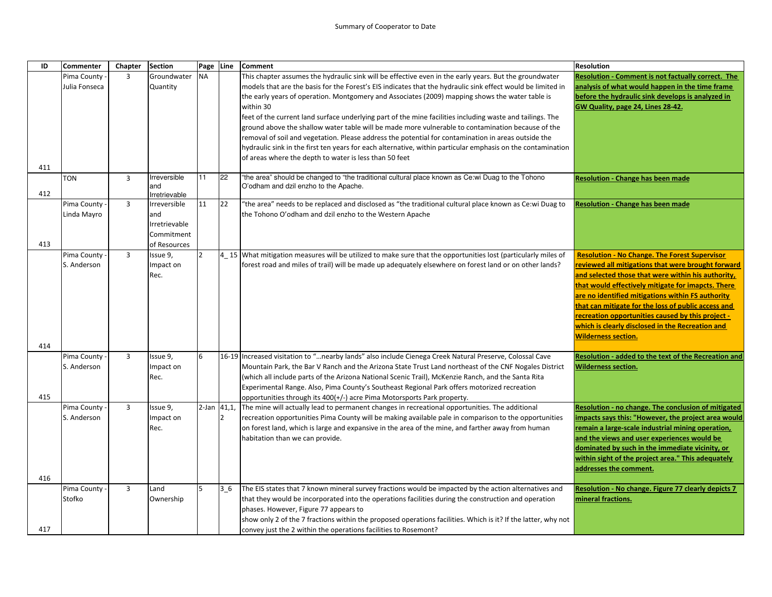| ID  | Commenter     | Chapter        | <b>Section</b> | Page           | Line           | Comment                                                                                                        | <b>Resolution</b>                                                                                        |
|-----|---------------|----------------|----------------|----------------|----------------|----------------------------------------------------------------------------------------------------------------|----------------------------------------------------------------------------------------------------------|
|     | Pima County   | $\overline{3}$ | Groundwater    | <b>NA</b>      |                | This chapter assumes the hydraulic sink will be effective even in the early years. But the groundwater         | <b>Resolution - Comment is not factually correct. The</b>                                                |
|     | Julia Fonseca |                | Quantity       |                |                | models that are the basis for the Forest's EIS indicates that the hydraulic sink effect would be limited in    | analysis of what would happen in the time frame                                                          |
|     |               |                |                |                |                | the early years of operation. Montgomery and Associates (2009) mapping shows the water table is                | before the hydraulic sink develops is analyzed in                                                        |
|     |               |                |                |                |                | within 30                                                                                                      | GW Quality, page 24, Lines 28-42.                                                                        |
|     |               |                |                |                |                | feet of the current land surface underlying part of the mine facilities including waste and tailings. The      |                                                                                                          |
|     |               |                |                |                |                | ground above the shallow water table will be made more vulnerable to contamination because of the              |                                                                                                          |
|     |               |                |                |                |                | removal of soil and vegetation. Please address the potential for contamination in areas outside the            |                                                                                                          |
|     |               |                |                |                |                | hydraulic sink in the first ten years for each alternative, within particular emphasis on the contamination    |                                                                                                          |
|     |               |                |                |                |                | of areas where the depth to water is less than 50 feet                                                         |                                                                                                          |
| 411 | <b>TON</b>    | $\overline{3}$ | Irreversible   | 11             | 22             | "the area" should be changed to "the traditional cultural place known as Ce:wi Duag to the Tohono              | <b>Resolution - Change has been made</b>                                                                 |
|     |               |                | and            |                |                | O'odham and dzil enzho to the Apache.                                                                          |                                                                                                          |
| 412 |               |                | Irretrievable  |                |                |                                                                                                                |                                                                                                          |
|     | Pima County   | $\overline{3}$ | Irreversible   | 11             | 22             | the area" needs to be replaced and disclosed as "the traditional cultural place known as Ce:wi Duag to"        | <b>Resolution - Change has been made</b>                                                                 |
|     | Linda Mayro   |                | and            |                |                | the Tohono O'odham and dzil enzho to the Western Apache                                                        |                                                                                                          |
|     |               |                | Irretrievable  |                |                |                                                                                                                |                                                                                                          |
|     |               |                | Commitment     |                |                |                                                                                                                |                                                                                                          |
| 413 |               |                | of Resources   |                |                |                                                                                                                |                                                                                                          |
|     | Pima County   | $\overline{3}$ | Issue 9,       | $\overline{2}$ |                | 4 15 What mitigation measures will be utilized to make sure that the opportunities lost (particularly miles of | <b>Resolution - No Change. The Forest Supervisor</b>                                                     |
|     | S. Anderson   |                | Impact on      |                |                | forest road and miles of trail) will be made up adequately elsewhere on forest land or on other lands?         | reviewed all mitigations that were brought forward                                                       |
|     |               |                | Rec.           |                |                |                                                                                                                | and selected those that were within his authority,<br>that would effectively mitigate for imapcts. There |
|     |               |                |                |                |                |                                                                                                                | are no identified mitigations within FS authority                                                        |
|     |               |                |                |                |                |                                                                                                                | that can mitigate for the loss of public access and                                                      |
|     |               |                |                |                |                |                                                                                                                | recreation opportunities caused by this project -                                                        |
|     |               |                |                |                |                |                                                                                                                | which is clearly disclosed in the Recreation and                                                         |
|     |               |                |                |                |                |                                                                                                                | <b>Wilderness section.</b>                                                                               |
| 414 |               |                |                |                |                |                                                                                                                |                                                                                                          |
|     | Pima County   | $\overline{3}$ | Issue 9,       | 6              |                | 16-19 Increased visitation to "nearby lands" also include Cienega Creek Natural Preserve, Colossal Cave        | Resolution - added to the text of the Recreation and                                                     |
|     | S. Anderson   |                | Impact on      |                |                | Mountain Park, the Bar V Ranch and the Arizona State Trust Land northeast of the CNF Nogales District          | <b>Wilderness section.</b>                                                                               |
|     |               |                | Rec.           |                |                | (which all include parts of the Arizona National Scenic Trail), McKenzie Ranch, and the Santa Rita             |                                                                                                          |
|     |               |                |                |                |                | Experimental Range. Also, Pima County's Southeast Regional Park offers motorized recreation                    |                                                                                                          |
| 415 |               |                |                |                |                | opportunities through its 400(+/-) acre Pima Motorsports Park property.                                        |                                                                                                          |
|     | Pima County   | $\overline{3}$ | Issue 9,       | 2-Jan 41,1,    |                | The mine will actually lead to permanent changes in recreational opportunities. The additional                 | Resolution - no change. The conclusion of mitigated                                                      |
|     | S. Anderson   |                | Impact on      |                | 12             | recreation opportunities Pima County will be making available pale in comparison to the opportunities          | mpacts says this: "However, the project area would                                                       |
|     |               |                | Rec.           |                |                | on forest land, which is large and expansive in the area of the mine, and farther away from human              | remain a large-scale industrial mining operation,                                                        |
|     |               |                |                |                |                | habitation than we can provide.                                                                                | and the views and user experiences would be                                                              |
|     |               |                |                |                |                |                                                                                                                | dominated by such in the immediate vicinity, or                                                          |
|     |               |                |                |                |                |                                                                                                                | within sight of the project area." This adequately                                                       |
| 416 |               |                |                |                |                |                                                                                                                | addresses the comment.                                                                                   |
|     | Pima County   | $\overline{3}$ | Land           | 5              | 3 <sub>6</sub> | The EIS states that 7 known mineral survey fractions would be impacted by the action alternatives and          | Resolution - No change. Figure 77 clearly depicts 7                                                      |
|     | Stofko        |                | Ownership      |                |                | that they would be incorporated into the operations facilities during the construction and operation           | mineral fractions.                                                                                       |
|     |               |                |                |                |                | phases. However, Figure 77 appears to                                                                          |                                                                                                          |
|     |               |                |                |                |                | show only 2 of the 7 fractions within the proposed operations facilities. Which is it? If the latter, why not  |                                                                                                          |
| 417 |               |                |                |                |                | convey just the 2 within the operations facilities to Rosemont?                                                |                                                                                                          |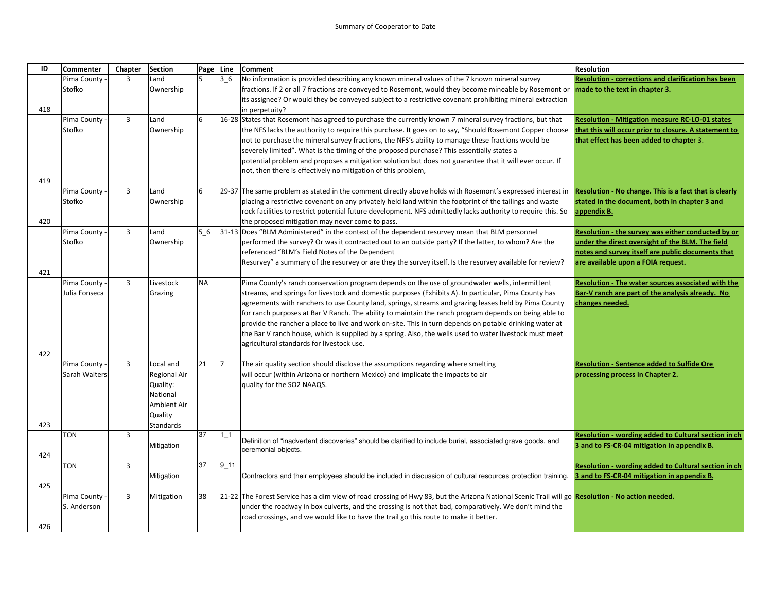| ID  | <b>Commenter</b> | Chapter        | <b>Section</b>      | Page Line |                | <b>Comment</b>                                                                                                                                     | <b>Resolution</b>                                          |
|-----|------------------|----------------|---------------------|-----------|----------------|----------------------------------------------------------------------------------------------------------------------------------------------------|------------------------------------------------------------|
|     | Pima County      | 3              | Land                |           | 3 <sub>6</sub> | No information is provided describing any known mineral values of the 7 known mineral survey                                                       | <b>Resolution - corrections and clarification has been</b> |
|     | Stofko           |                | Ownership           |           |                | fractions. If 2 or all 7 fractions are conveyed to Rosemont, would they become mineable by Rosemont or                                             | nade to the text in chapter 3.                             |
|     |                  |                |                     |           |                | its assignee? Or would they be conveyed subject to a restrictive covenant prohibiting mineral extraction                                           |                                                            |
| 418 |                  |                |                     |           |                | in perpetuity?                                                                                                                                     |                                                            |
|     | Pima County      | $\overline{3}$ | Land                | 6         |                | 16-28 States that Rosemont has agreed to purchase the currently known 7 mineral survey fractions, but that                                         | <b>Resolution - Mitigation measure RC-LO-01 states</b>     |
|     | Stofko           |                | Ownership           |           |                | the NFS lacks the authority to require this purchase. It goes on to say, "Should Rosemont Copper choose                                            | that this will occur prior to closure. A statement to      |
|     |                  |                |                     |           |                | not to purchase the mineral survey fractions, the NFS's ability to manage these fractions would be                                                 | that effect has been added to chapter 3.                   |
|     |                  |                |                     |           |                | severely limited". What is the timing of the proposed purchase? This essentially states a                                                          |                                                            |
|     |                  |                |                     |           |                | potential problem and proposes a mitigation solution but does not guarantee that it will ever occur. If                                            |                                                            |
|     |                  |                |                     |           |                | not, then there is effectively no mitigation of this problem,                                                                                      |                                                            |
| 419 |                  |                |                     |           |                |                                                                                                                                                    |                                                            |
|     | Pima County      | $\overline{3}$ | Land                | 6         |                | 29-37 The same problem as stated in the comment directly above holds with Rosemont's expressed interest in                                         | Resolution - No change. This is a fact that is clearly     |
|     | Stofko           |                | Ownership           |           |                | placing a restrictive covenant on any privately held land within the footprint of the tailings and waste                                           | stated in the document, both in chapter 3 and              |
| 420 |                  |                |                     |           |                | rock facilities to restrict potential future development. NFS admittedly lacks authority to require this. So                                       | appendix B.                                                |
|     | Pima County      | $\overline{3}$ | Land                | 5 6       |                | the proposed mitigation may never come to pass.<br>31-13 Does "BLM Administered" in the context of the dependent resurvey mean that BLM personnel  | Resolution - the survey was either conducted by or         |
|     | Stofko           |                | Ownership           |           |                | performed the survey? Or was it contracted out to an outside party? If the latter, to whom? Are the                                                | under the direct oversight of the BLM. The field           |
|     |                  |                |                     |           |                | referenced "BLM's Field Notes of the Dependent                                                                                                     | notes and survey itself are public documents that          |
|     |                  |                |                     |           |                | Resurvey" a summary of the resurvey or are they the survey itself. Is the resurvey available for review?                                           | are available upon a FOIA request.                         |
| 421 |                  |                |                     |           |                |                                                                                                                                                    |                                                            |
|     | Pima County -    | $\overline{3}$ | Livestock           | <b>NA</b> |                | Pima County's ranch conservation program depends on the use of groundwater wells, intermittent                                                     | Resolution - The water sources associated with the         |
|     | Julia Fonseca    |                | Grazing             |           |                | streams, and springs for livestock and domestic purposes (Exhibits A). In particular, Pima County has                                              | Bar-V ranch are part of the analysis already. No           |
|     |                  |                |                     |           |                | agreements with ranchers to use County land, springs, streams and grazing leases held by Pima County                                               | changes needed.                                            |
|     |                  |                |                     |           |                | for ranch purposes at Bar V Ranch. The ability to maintain the ranch program depends on being able to                                              |                                                            |
|     |                  |                |                     |           |                | provide the rancher a place to live and work on-site. This in turn depends on potable drinking water at                                            |                                                            |
|     |                  |                |                     |           |                | the Bar V ranch house, which is supplied by a spring. Also, the wells used to water livestock must meet                                            |                                                            |
|     |                  |                |                     |           |                | agricultural standards for livestock use.                                                                                                          |                                                            |
| 422 |                  |                |                     |           |                |                                                                                                                                                    |                                                            |
|     | Pima County -    | $\overline{3}$ | Local and           | 21        |                | The air quality section should disclose the assumptions regarding where smelting                                                                   | <b>Resolution - Sentence added to Sulfide Ore</b>          |
|     | Sarah Walters    |                | <b>Regional Air</b> |           |                | will occur (within Arizona or northern Mexico) and implicate the impacts to air                                                                    | processing process in Chapter 2.                           |
|     |                  |                | Quality:            |           |                | quality for the SO2 NAAQS.                                                                                                                         |                                                            |
|     |                  |                | National            |           |                |                                                                                                                                                    |                                                            |
|     |                  |                | Ambient Air         |           |                |                                                                                                                                                    |                                                            |
|     |                  |                | Quality             |           |                |                                                                                                                                                    |                                                            |
| 423 |                  |                | Standards           |           |                |                                                                                                                                                    |                                                            |
|     | <b>TON</b>       | 3              |                     | 37        | $1_{-1}$       | Definition of "inadvertent discoveries" should be clarified to include burial, associated grave goods, and                                         | Resolution - wording added to Cultural section in ch       |
|     |                  |                | Mitigation          |           |                | ceremonial objects.                                                                                                                                | 3 and to FS-CR-04 mitigation in appendix B.                |
| 424 |                  |                |                     | 37        | 9 11           |                                                                                                                                                    |                                                            |
|     | TON              | $\overline{3}$ |                     |           |                |                                                                                                                                                    | Resolution - wording added to Cultural section in ch       |
| 425 |                  |                | Mitigation          |           |                | Contractors and their employees should be included in discussion of cultural resources protection training.                                        | 3 and to FS-CR-04 mitigation in appendix B.                |
|     | Pima County      | $\overline{3}$ | Mitigation          | 38        |                | [21-22] The Forest Service has a dim view of road crossing of Hwy 83, but the Arizona National Scenic Trail will go Resolution - No action needed. |                                                            |
|     | S. Anderson      |                |                     |           |                | under the roadway in box culverts, and the crossing is not that bad, comparatively. We don't mind the                                              |                                                            |
|     |                  |                |                     |           |                | road crossings, and we would like to have the trail go this route to make it better.                                                               |                                                            |
| 426 |                  |                |                     |           |                |                                                                                                                                                    |                                                            |
|     |                  |                |                     |           |                |                                                                                                                                                    |                                                            |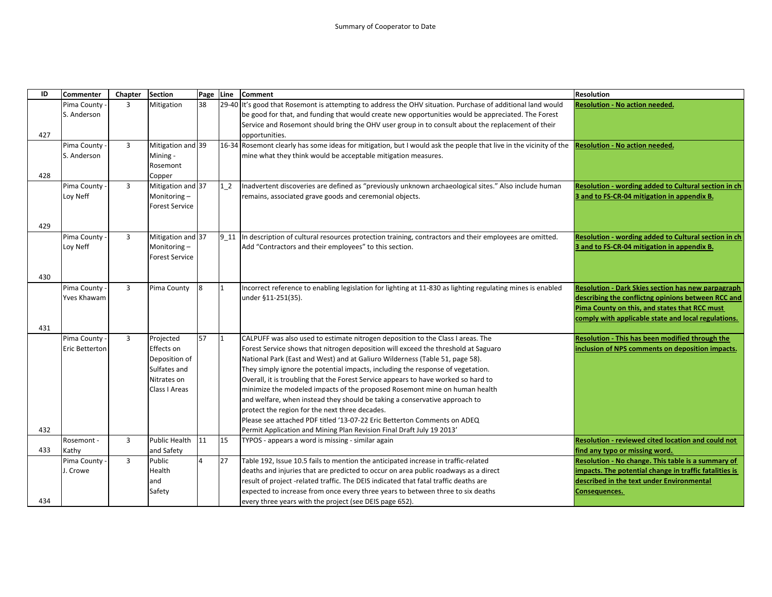| ID  | <b>Commenter</b>     | Chapter        | Section                      | Page Line |                | <b>Comment</b>                                                                                                                                           | <b>Resolution</b>                                         |
|-----|----------------------|----------------|------------------------------|-----------|----------------|----------------------------------------------------------------------------------------------------------------------------------------------------------|-----------------------------------------------------------|
|     | Pima County          | 3              | Mitigation                   | 38        |                | 29-40 It's good that Rosemont is attempting to address the OHV situation. Purchase of additional land would                                              | <b>Resolution - No action needed.</b>                     |
|     | S. Anderson          |                |                              |           |                | be good for that, and funding that would create new opportunities would be appreciated. The Forest                                                       |                                                           |
|     |                      |                |                              |           |                | Service and Rosemont should bring the OHV user group in to consult about the replacement of their                                                        |                                                           |
| 427 |                      |                |                              |           |                | opportunities.                                                                                                                                           |                                                           |
|     | Pima County          | $\overline{3}$ | Mitigation and 39            |           |                | 16-34 Rosemont clearly has some ideas for mitigation, but I would ask the people that live in the vicinity of the                                        | <b>Resolution - No action needed.</b>                     |
|     | S. Anderson          |                | Mining -                     |           |                | mine what they think would be acceptable mitigation measures.                                                                                            |                                                           |
|     |                      |                | Rosemont                     |           |                |                                                                                                                                                          |                                                           |
| 428 |                      |                | Copper                       |           |                |                                                                                                                                                          |                                                           |
|     | Pima County          | $\overline{3}$ | Mitigation and 37            |           | 1 <sub>2</sub> | Inadvertent discoveries are defined as "previously unknown archaeological sites." Also include human                                                     | Resolution - wording added to Cultural section in ch      |
|     | Loy Neff             |                | Monitoring-                  |           |                | remains, associated grave goods and ceremonial objects.                                                                                                  | 3 and to FS-CR-04 mitigation in appendix B.               |
|     |                      |                | <b>Forest Service</b>        |           |                |                                                                                                                                                          |                                                           |
|     |                      |                |                              |           |                |                                                                                                                                                          |                                                           |
| 429 |                      |                |                              |           |                |                                                                                                                                                          |                                                           |
|     | Pima County          | $\overline{3}$ | Mitigation and 37            |           |                | $\vert$ 9_11 $\vert$ In description of cultural resources protection training, contractors and their employees are omitted.                              | Resolution - wording added to Cultural section in ch      |
|     | Loy Neff             |                | Monitoring-                  |           |                | Add "Contractors and their employees" to this section.                                                                                                   | 3 and to FS-CR-04 mitigation in appendix B.               |
|     |                      |                | <b>Forest Service</b>        |           |                |                                                                                                                                                          |                                                           |
|     |                      |                |                              |           |                |                                                                                                                                                          |                                                           |
| 430 |                      |                |                              |           |                |                                                                                                                                                          |                                                           |
|     | Pima County          | $\overline{3}$ | Pima County                  | 8         | 11             | Incorrect reference to enabling legislation for lighting at 11-830 as lighting regulating mines is enabled                                               | <b>Resolution - Dark Skies section has new parpagraph</b> |
|     | <b>Yves Khawam</b>   |                |                              |           |                | under §11-251(35).                                                                                                                                       | describing the conflictng opinions between RCC and        |
|     |                      |                |                              |           |                |                                                                                                                                                          | Pima County on this, and states that RCC must             |
|     |                      |                |                              |           |                |                                                                                                                                                          | comply with applicable state and local regulations.       |
| 431 |                      |                |                              |           | $\vert$ 1      |                                                                                                                                                          |                                                           |
|     | Pima County -        | $\overline{3}$ | Projected                    | 57        |                | CALPUFF was also used to estimate nitrogen deposition to the Class I areas. The                                                                          | Resolution - This has been modified through the           |
|     | Eric Betterton       |                | Effects on                   |           |                | Forest Service shows that nitrogen deposition will exceed the threshold at Saguaro                                                                       | inclusion of NPS comments on deposition impacts.          |
|     |                      |                | Deposition of                |           |                | National Park (East and West) and at Galiuro Wilderness (Table 51, page 58).                                                                             |                                                           |
|     |                      |                | Sulfates and                 |           |                | They simply ignore the potential impacts, including the response of vegetation.                                                                          |                                                           |
|     |                      |                | Nitrates on<br>Class I Areas |           |                | Overall, it is troubling that the Forest Service appears to have worked so hard to                                                                       |                                                           |
|     |                      |                |                              |           |                | minimize the modeled impacts of the proposed Rosemont mine on human health<br>and welfare, when instead they should be taking a conservative approach to |                                                           |
|     |                      |                |                              |           |                | protect the region for the next three decades.                                                                                                           |                                                           |
|     |                      |                |                              |           |                | Please see attached PDF titled '13-07-22 Eric Betterton Comments on ADEQ                                                                                 |                                                           |
| 432 |                      |                |                              |           |                |                                                                                                                                                          |                                                           |
|     | Rosemont -           | $\overline{3}$ | <b>Public Health</b>         | 11        | 15             | Permit Application and Mining Plan Revision Final Draft July 19 2013'                                                                                    | <b>Resolution - reviewed cited location and could not</b> |
| 433 |                      |                | and Safety                   |           |                | TYPOS - appears a word is missing - similar again                                                                                                        | find any typo or missing word.                            |
|     | Kathy<br>Pima County | $\overline{3}$ | Public                       | 4         | 27             | Table 192, Issue 10.5 fails to mention the anticipated increase in traffic-related                                                                       | Resolution - No change. This table is a summary of        |
|     | J. Crowe             |                | Health                       |           |                | deaths and injuries that are predicted to occur on area public roadways as a direct                                                                      | impacts. The potential change in traffic fatalities is    |
|     |                      |                | and                          |           |                | result of project -related traffic. The DEIS indicated that fatal traffic deaths are                                                                     | described in the text under Environmental                 |
|     |                      |                | Safety                       |           |                | expected to increase from once every three years to between three to six deaths                                                                          | Consequences.                                             |
| 434 |                      |                |                              |           |                | every three years with the project (see DEIS page 652).                                                                                                  |                                                           |
|     |                      |                |                              |           |                |                                                                                                                                                          |                                                           |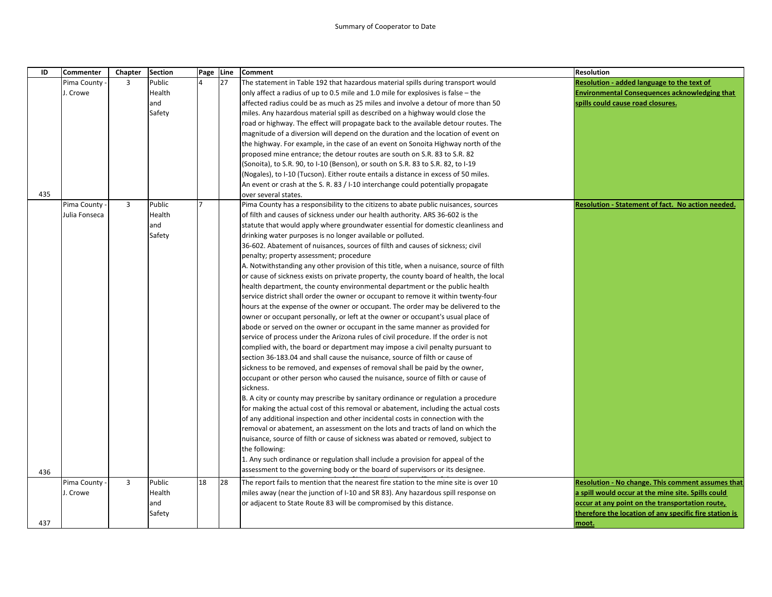## Summary of Cooperator to Date

| ID  | <b>Commenter</b> | Chapter        | <b>Section</b> | Page Line |    | <b>Comment</b>                                                                                                                                                    | <b>Resolution</b>                                        |
|-----|------------------|----------------|----------------|-----------|----|-------------------------------------------------------------------------------------------------------------------------------------------------------------------|----------------------------------------------------------|
|     | Pima County      | $\overline{3}$ | Public         |           | 27 | The statement in Table 192 that hazardous material spills during transport would                                                                                  | Resolution - added language to the text of               |
|     | J. Crowe         |                | Health         |           |    | only affect a radius of up to 0.5 mile and 1.0 mile for explosives is false $-$ the                                                                               | <b>Environmental Consequences acknowledging that</b>     |
|     |                  |                | and            |           |    | affected radius could be as much as 25 miles and involve a detour of more than 50                                                                                 | spills could cause road closures.                        |
|     |                  |                | Safety         |           |    | miles. Any hazardous material spill as described on a highway would close the                                                                                     |                                                          |
|     |                  |                |                |           |    | road or highway. The effect will propagate back to the available detour routes. The                                                                               |                                                          |
|     |                  |                |                |           |    | magnitude of a diversion will depend on the duration and the location of event on                                                                                 |                                                          |
|     |                  |                |                |           |    | the highway. For example, in the case of an event on Sonoita Highway north of the                                                                                 |                                                          |
|     |                  |                |                |           |    | proposed mine entrance; the detour routes are south on S.R. 83 to S.R. 82                                                                                         |                                                          |
|     |                  |                |                |           |    | (Sonoita), to S.R. 90, to I-10 (Benson), or south on S.R. 83 to S.R. 82, to I-19                                                                                  |                                                          |
|     |                  |                |                |           |    | (Nogales), to I-10 (Tucson). Either route entails a distance in excess of 50 miles.                                                                               |                                                          |
|     |                  |                |                |           |    | An event or crash at the S. R. 83 / I-10 interchange could potentially propagate                                                                                  |                                                          |
| 435 |                  |                |                |           |    | over several states.                                                                                                                                              |                                                          |
|     | Pima County      | $\overline{3}$ | Public         | 7         |    | Pima County has a responsibility to the citizens to abate public nuisances, sources                                                                               | Resolution - Statement of fact. No action needed.        |
|     | Julia Fonseca    |                | Health         |           |    | of filth and causes of sickness under our health authority. ARS 36-602 is the                                                                                     |                                                          |
|     |                  |                | and            |           |    | statute that would apply where groundwater essential for domestic cleanliness and                                                                                 |                                                          |
|     |                  |                | Safety         |           |    | drinking water purposes is no longer available or polluted.                                                                                                       |                                                          |
|     |                  |                |                |           |    | 36-602. Abatement of nuisances, sources of filth and causes of sickness; civil                                                                                    |                                                          |
|     |                  |                |                |           |    | penalty; property assessment; procedure                                                                                                                           |                                                          |
|     |                  |                |                |           |    | A. Notwithstanding any other provision of this title, when a nuisance, source of filth                                                                            |                                                          |
|     |                  |                |                |           |    | or cause of sickness exists on private property, the county board of health, the local                                                                            |                                                          |
|     |                  |                |                |           |    | health department, the county environmental department or the public health<br>service district shall order the owner or occupant to remove it within twenty-four |                                                          |
|     |                  |                |                |           |    | hours at the expense of the owner or occupant. The order may be delivered to the                                                                                  |                                                          |
|     |                  |                |                |           |    | owner or occupant personally, or left at the owner or occupant's usual place of                                                                                   |                                                          |
|     |                  |                |                |           |    | abode or served on the owner or occupant in the same manner as provided for                                                                                       |                                                          |
|     |                  |                |                |           |    | service of process under the Arizona rules of civil procedure. If the order is not                                                                                |                                                          |
|     |                  |                |                |           |    | complied with, the board or department may impose a civil penalty pursuant to                                                                                     |                                                          |
|     |                  |                |                |           |    | section 36-183.04 and shall cause the nuisance, source of filth or cause of                                                                                       |                                                          |
|     |                  |                |                |           |    | sickness to be removed, and expenses of removal shall be paid by the owner,                                                                                       |                                                          |
|     |                  |                |                |           |    | occupant or other person who caused the nuisance, source of filth or cause of                                                                                     |                                                          |
|     |                  |                |                |           |    | sickness.                                                                                                                                                         |                                                          |
|     |                  |                |                |           |    | B. A city or county may prescribe by sanitary ordinance or regulation a procedure                                                                                 |                                                          |
|     |                  |                |                |           |    | for making the actual cost of this removal or abatement, including the actual costs                                                                               |                                                          |
|     |                  |                |                |           |    | of any additional inspection and other incidental costs in connection with the                                                                                    |                                                          |
|     |                  |                |                |           |    | removal or abatement, an assessment on the lots and tracts of land on which the                                                                                   |                                                          |
|     |                  |                |                |           |    | nuisance, source of filth or cause of sickness was abated or removed, subject to                                                                                  |                                                          |
|     |                  |                |                |           |    | the following:                                                                                                                                                    |                                                          |
|     |                  |                |                |           |    | 1. Any such ordinance or regulation shall include a provision for appeal of the                                                                                   |                                                          |
| 436 |                  |                |                |           |    | assessment to the governing body or the board of supervisors or its designee.                                                                                     |                                                          |
|     | Pima County      | $\overline{3}$ | Public         | 18        | 28 | The report fails to mention that the nearest fire station to the mine site is over 10                                                                             | <b>Resolution - No change. This comment assumes that</b> |
|     | J. Crowe         |                | Health         |           |    | miles away (near the junction of I-10 and SR 83). Any hazardous spill response on                                                                                 | a spill would occur at the mine site. Spills could       |
|     |                  |                | and            |           |    | or adjacent to State Route 83 will be compromised by this distance.                                                                                               | occur at any point on the transportation route,          |
|     |                  |                | Safety         |           |    |                                                                                                                                                                   | therefore the location of any specific fire station is   |
| 437 |                  |                |                |           |    |                                                                                                                                                                   | moot.                                                    |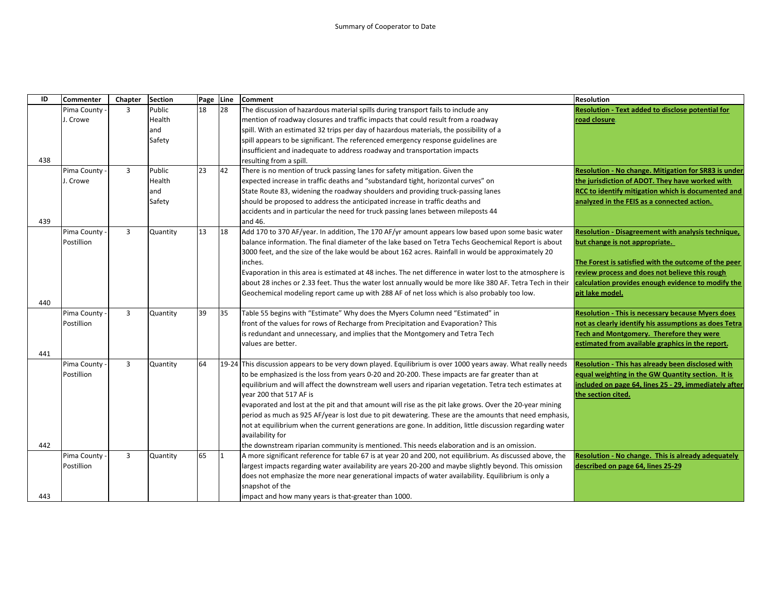| ID  | <b>Commenter</b> | Chapter        | <b>Section</b> | Page Line |    | <b>Comment</b>                                                                                               | <b>Resolution</b>                                           |
|-----|------------------|----------------|----------------|-----------|----|--------------------------------------------------------------------------------------------------------------|-------------------------------------------------------------|
|     | Pima County      | $\overline{3}$ | Public         | 18        | 28 | The discussion of hazardous material spills during transport fails to include any                            | Resolution - Text added to disclose potential for           |
|     | J. Crowe         |                | Health         |           |    | mention of roadway closures and traffic impacts that could result from a roadway                             | road closure.                                               |
|     |                  |                | and            |           |    | spill. With an estimated 32 trips per day of hazardous materials, the possibility of a                       |                                                             |
|     |                  |                | Safety         |           |    | spill appears to be significant. The referenced emergency response guidelines are                            |                                                             |
|     |                  |                |                |           |    | insufficient and inadequate to address roadway and transportation impacts                                    |                                                             |
| 438 |                  |                |                |           |    | resulting from a spill.                                                                                      |                                                             |
|     | Pima County      | $\overline{3}$ | Public         | 23        | 42 | There is no mention of truck passing lanes for safety mitigation. Given the                                  | <b>Resolution - No change. Mitigation for SR83 is under</b> |
|     | J. Crowe         |                | Health         |           |    | expected increase in traffic deaths and "substandard tight, horizontal curves" on                            | the jurisdiction of ADOT. They have worked with             |
|     |                  |                | and            |           |    | State Route 83, widening the roadway shoulders and providing truck-passing lanes                             | RCC to identify mitigation which is documented and          |
|     |                  |                | Safety         |           |    | should be proposed to address the anticipated increase in traffic deaths and                                 | analyzed in the FEIS as a connected action.                 |
|     |                  |                |                |           |    | accidents and in particular the need for truck passing lanes between mileposts 44                            |                                                             |
| 439 |                  |                |                |           |    | and 46.                                                                                                      |                                                             |
|     | Pima County      | $\overline{3}$ | Quantity       | 13        | 18 | Add 170 to 370 AF/year. In addition, The 170 AF/yr amount appears low based upon some basic water            | Resolution - Disagreement with analysis technique,          |
|     | Postillion       |                |                |           |    | balance information. The final diameter of the lake based on Tetra Techs Geochemical Report is about         | but change is not appropriate.                              |
|     |                  |                |                |           |    | 3000 feet, and the size of the lake would be about 162 acres. Rainfall in would be approximately 20          |                                                             |
|     |                  |                |                |           |    | inches.                                                                                                      | The Forest is satisfied with the outcome of the peer        |
|     |                  |                |                |           |    | Evaporation in this area is estimated at 48 inches. The net difference in water lost to the atmosphere is    | review process and does not believe this rough              |
|     |                  |                |                |           |    | about 28 inches or 2.33 feet. Thus the water lost annually would be more like 380 AF. Tetra Tech in their    | calculation provides enough evidence to modify the          |
|     |                  |                |                |           |    | Geochemical modeling report came up with 288 AF of net loss which is also probably too low.                  | pit lake model.                                             |
| 440 |                  |                |                |           |    |                                                                                                              |                                                             |
|     | Pima County      | 3              | Quantity       | 39        | 35 | Table 55 begins with "Estimate" Why does the Myers Column need "Estimated" in                                | <b>Resolution - This is necessary because Myers does</b>    |
|     | Postillion       |                |                |           |    | front of the values for rows of Recharge from Precipitation and Evaporation? This                            | not as clearly identify his assumptions as does Tetra       |
|     |                  |                |                |           |    | is redundant and unnecessary, and implies that the Montgomery and Tetra Tech                                 | Tech and Montgomery. Therefore they were                    |
|     |                  |                |                |           |    | values are better.                                                                                           | estimated from available graphics in the report.            |
| 441 |                  |                |                |           |    |                                                                                                              |                                                             |
|     | Pima County      | $\overline{3}$ | Quantity       | 64        |    | 19-24 This discussion appears to be very down played. Equilibrium is over 1000 years away. What really needs | <b>Resolution - This has already been disclosed with</b>    |
|     | Postillion       |                |                |           |    | to be emphasized is the loss from years 0-20 and 20-200. These impacts are far greater than at               | equal weighting in the GW Quantity section. It is           |
|     |                  |                |                |           |    | equilibrium and will affect the downstream well users and riparian vegetation. Tetra tech estimates at       | included on page 64, lines 25 - 29, immediately after       |
|     |                  |                |                |           |    | vear 200 that 517 AF is                                                                                      | the section cited.                                          |
|     |                  |                |                |           |    | evaporated and lost at the pit and that amount will rise as the pit lake grows. Over the 20-year mining      |                                                             |
|     |                  |                |                |           |    | period as much as 925 AF/year is lost due to pit dewatering. These are the amounts that need emphasis,       |                                                             |
|     |                  |                |                |           |    | not at equilibrium when the current generations are gone. In addition, little discussion regarding water     |                                                             |
|     |                  |                |                |           |    | availability for                                                                                             |                                                             |
| 442 |                  |                |                |           |    | the downstream riparian community is mentioned. This needs elaboration and is an omission.                   |                                                             |
|     | Pima County      | $\overline{3}$ | Quantity       | 65        |    | A more significant reference for table 67 is at year 20 and 200, not equilibrium. As discussed above, the    | Resolution - No change. This is already adequately          |
|     | Postillion       |                |                |           |    | largest impacts regarding water availability are years 20-200 and maybe slightly beyond. This omission       | described on page 64, lines 25-29                           |
|     |                  |                |                |           |    | does not emphasize the more near generational impacts of water availability. Equilibrium is only a           |                                                             |
|     |                  |                |                |           |    | snapshot of the                                                                                              |                                                             |
| 443 |                  |                |                |           |    | impact and how many years is that-greater than 1000.                                                         |                                                             |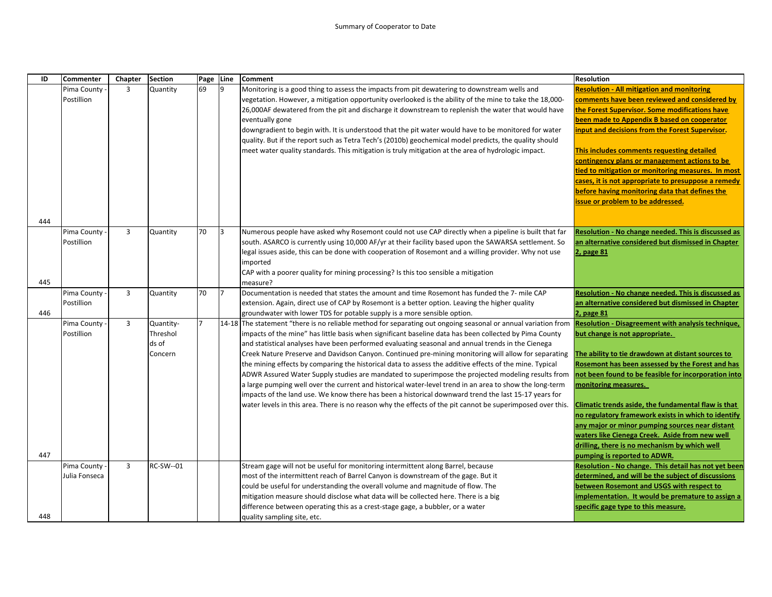| ID  | <b>Commenter</b>             | Chapter        | <b>Section</b>                            | Page Line |    | <b>Comment</b>                                                                                                                                                                                                                                                                                                                                                                                                                                                                                                                                                                                                                                                                                                                                                                                                                                                                                                                                                                        | <b>Resolution</b>                                                                                                                                                                                                                                                                                                                                                                                                                                                                                                                                                                        |
|-----|------------------------------|----------------|-------------------------------------------|-----------|----|---------------------------------------------------------------------------------------------------------------------------------------------------------------------------------------------------------------------------------------------------------------------------------------------------------------------------------------------------------------------------------------------------------------------------------------------------------------------------------------------------------------------------------------------------------------------------------------------------------------------------------------------------------------------------------------------------------------------------------------------------------------------------------------------------------------------------------------------------------------------------------------------------------------------------------------------------------------------------------------|------------------------------------------------------------------------------------------------------------------------------------------------------------------------------------------------------------------------------------------------------------------------------------------------------------------------------------------------------------------------------------------------------------------------------------------------------------------------------------------------------------------------------------------------------------------------------------------|
|     | Pima County<br>Postillion    | $\overline{3}$ | Quantity                                  | 69        | 19 | Monitoring is a good thing to assess the impacts from pit dewatering to downstream wells and<br>vegetation. However, a mitigation opportunity overlooked is the ability of the mine to take the 18,000-<br>26,000AF dewatered from the pit and discharge it downstream to replenish the water that would have<br>eventually gone<br>downgradient to begin with. It is understood that the pit water would have to be monitored for water<br>quality. But if the report such as Tetra Tech's (2010b) geochemical model predicts, the quality should<br>meet water quality standards. This mitigation is truly mitigation at the area of hydrologic impact.                                                                                                                                                                                                                                                                                                                             | <b>Resolution - All mitigation and monitoring</b><br>comments have been reviewed and considered by<br>the Forest Supervisor. Some modifications have<br>been made to Appendix B based on cooperator<br>input and decisions from the Forest Supervisor.<br>This includes comments requesting detailed<br>contingency plans or management actions to be<br>tied to mitigation or monitoring measures. In most<br>cases, it is not appropriate to presuppose a remedy<br>before having monitoring data that defines the<br>issue or problem to be addressed.                                |
| 444 |                              |                |                                           |           |    |                                                                                                                                                                                                                                                                                                                                                                                                                                                                                                                                                                                                                                                                                                                                                                                                                                                                                                                                                                                       |                                                                                                                                                                                                                                                                                                                                                                                                                                                                                                                                                                                          |
| 445 | Pima County<br>Postillion    | $\overline{3}$ | Quantity                                  | 70        | 13 | Numerous people have asked why Rosemont could not use CAP directly when a pipeline is built that far<br>south. ASARCO is currently using 10,000 AF/yr at their facility based upon the SAWARSA settlement. So<br>legal issues aside, this can be done with cooperation of Rosemont and a willing provider. Why not use<br>imported<br>CAP with a poorer quality for mining processing? Is this too sensible a mitigation<br>measure?                                                                                                                                                                                                                                                                                                                                                                                                                                                                                                                                                  | Resolution - No change needed. This is discussed as<br>an alternative considered but dismissed in Chapter<br>2, page 81                                                                                                                                                                                                                                                                                                                                                                                                                                                                  |
|     | Pima County                  | $\overline{3}$ | Quantity                                  | 70        | 17 | Documentation is needed that states the amount and time Rosemont has funded the 7- mile CAP                                                                                                                                                                                                                                                                                                                                                                                                                                                                                                                                                                                                                                                                                                                                                                                                                                                                                           | Resolution - No change needed. This is discussed as                                                                                                                                                                                                                                                                                                                                                                                                                                                                                                                                      |
| 446 | Postillion                   |                |                                           |           |    | extension. Again, direct use of CAP by Rosemont is a better option. Leaving the higher quality<br>groundwater with lower TDS for potable supply is a more sensible option.                                                                                                                                                                                                                                                                                                                                                                                                                                                                                                                                                                                                                                                                                                                                                                                                            | an alternative considered but dismissed in Chapter<br>2, page 81                                                                                                                                                                                                                                                                                                                                                                                                                                                                                                                         |
| 447 | Pima County<br>Postillion    | $\overline{3}$ | Quantity-<br>Threshol<br>ds of<br>Concern | 7         |    | 14-18 The statement "there is no reliable method for separating out ongoing seasonal or annual variation from<br>impacts of the mine" has little basis when significant baseline data has been collected by Pima County<br>and statistical analyses have been performed evaluating seasonal and annual trends in the Cienega<br>Creek Nature Preserve and Davidson Canyon. Continued pre-mining monitoring will allow for separating<br>the mining effects by comparing the historical data to assess the additive effects of the mine. Typical<br>ADWR Assured Water Supply studies are mandated to superimpose the projected modeling results from<br>a large pumping well over the current and historical water-level trend in an area to show the long-term<br>impacts of the land use. We know there has been a historical downward trend the last 15-17 years for<br>water levels in this area. There is no reason why the effects of the pit cannot be superimposed over this. | <b>Resolution - Disagreement with analysis technique,</b><br>but change is not appropriate.<br>The ability to tie drawdown at distant sources to<br>Rosemont has been assessed by the Forest and has<br>not been found to be feasible for incorporation into<br>monitoring measures.<br>Climatic trends aside, the fundamental flaw is that<br>no regulatory framework exists in which to identify<br>any major or minor pumping sources near distant<br>waters like Cienega Creek. Aside from new well<br>drilling, there is no mechanism by which well<br>pumping is reported to ADWR. |
|     | Pima County<br>Julia Fonseca | $\overline{3}$ | RC-SW--01                                 |           |    | Stream gage will not be useful for monitoring intermittent along Barrel, because<br>most of the intermittent reach of Barrel Canyon is downstream of the gage. But it<br>could be useful for understanding the overall volume and magnitude of flow. The<br>mitigation measure should disclose what data will be collected here. There is a big<br>difference between operating this as a crest-stage gage, a bubbler, or a water                                                                                                                                                                                                                                                                                                                                                                                                                                                                                                                                                     | Resolution - No change. This detail has not yet been<br>determined, and will be the subject of discussions<br>between Rosemont and USGS with respect to<br>implementation. It would be premature to assign a<br>specific gage type to this measure.                                                                                                                                                                                                                                                                                                                                      |
| 448 |                              |                |                                           |           |    | quality sampling site, etc.                                                                                                                                                                                                                                                                                                                                                                                                                                                                                                                                                                                                                                                                                                                                                                                                                                                                                                                                                           |                                                                                                                                                                                                                                                                                                                                                                                                                                                                                                                                                                                          |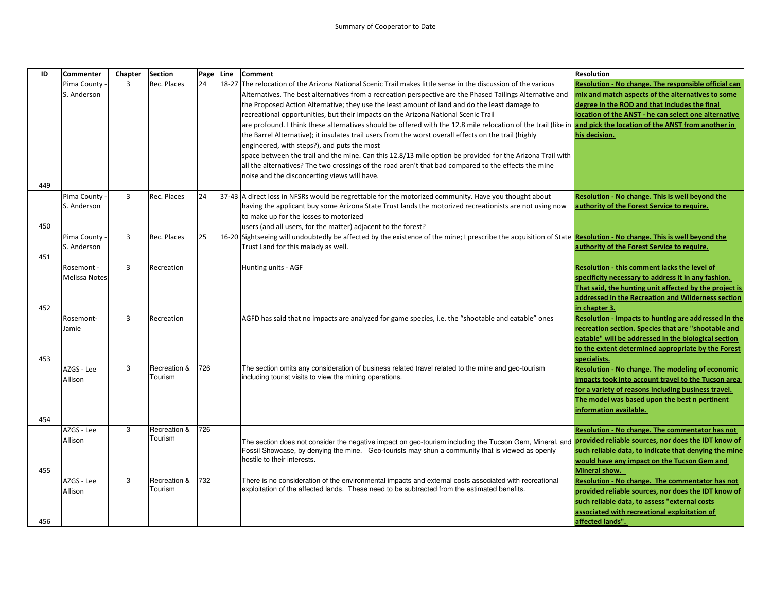| ID  | Commenter            | Chapter        | <b>Section</b> | Page Line | <b>Comment</b>                                                                                                                                                           | <b>Resolution</b>                                       |
|-----|----------------------|----------------|----------------|-----------|--------------------------------------------------------------------------------------------------------------------------------------------------------------------------|---------------------------------------------------------|
|     | Pima County          | $\overline{3}$ | Rec. Places    | 24        | 18-27 The relocation of the Arizona National Scenic Trail makes little sense in the discussion of the various                                                            | Resolution - No change. The responsible official can    |
|     | S. Anderson          |                |                |           | Alternatives. The best alternatives from a recreation perspective are the Phased Tailings Alternative and                                                                | mix and match aspects of the alternatives to some       |
|     |                      |                |                |           | the Proposed Action Alternative; they use the least amount of land and do the least damage to                                                                            | degree in the ROD and that includes the final           |
|     |                      |                |                |           | recreational opportunities, but their impacts on the Arizona National Scenic Trail                                                                                       | location of the ANST - he can select one alternative    |
|     |                      |                |                |           | are profound. I think these alternatives should be offered with the 12.8 mile relocation of the trail (like in <b>and pick the location of the ANST from another in</b>  |                                                         |
|     |                      |                |                |           | the Barrel Alternative); it insulates trail users from the worst overall effects on the trail (highly                                                                    | his decision.                                           |
|     |                      |                |                |           | engineered, with steps?), and puts the most                                                                                                                              |                                                         |
|     |                      |                |                |           | space between the trail and the mine. Can this 12.8/13 mile option be provided for the Arizona Trail with                                                                |                                                         |
|     |                      |                |                |           | all the alternatives? The two crossings of the road aren't that bad compared to the effects the mine                                                                     |                                                         |
|     |                      |                |                |           | noise and the disconcerting views will have.                                                                                                                             |                                                         |
| 449 |                      |                |                |           |                                                                                                                                                                          |                                                         |
|     | Pima County          | $\overline{3}$ | Rec. Places    | 24        | 37-43 A direct loss in NFSRs would be regrettable for the motorized community. Have you thought about                                                                    | Resolution - No change. This is well beyond the         |
|     | S. Anderson          |                |                |           | having the applicant buy some Arizona State Trust lands the motorized recreationists are not using now                                                                   | authority of the Forest Service to require.             |
|     |                      |                |                |           | to make up for the losses to motorized                                                                                                                                   |                                                         |
| 450 |                      |                |                |           | users (and all users, for the matter) adjacent to the forest?                                                                                                            |                                                         |
|     | Pima County          | $\overline{3}$ | Rec. Places    | 25        | 16-20 Sightseeing will undoubtedly be affected by the existence of the mine; I prescribe the acquisition of State Resolution - No change. This is well beyond the        |                                                         |
| 451 | S. Anderson          |                |                |           | Trust Land for this malady as well.                                                                                                                                      | authority of the Forest Service to require.             |
|     | Rosemont -           | $\overline{3}$ | Recreation     |           |                                                                                                                                                                          | Resolution - this comment lacks the level of            |
|     | <b>Melissa Notes</b> |                |                |           | Hunting units - AGF                                                                                                                                                      | specificity necessary to address it in any fashion.     |
|     |                      |                |                |           |                                                                                                                                                                          | That said, the hunting unit affected by the project is  |
|     |                      |                |                |           |                                                                                                                                                                          | addressed in the Recreation and Wilderness section      |
| 452 |                      |                |                |           |                                                                                                                                                                          | in chapter 3.                                           |
|     | Rosemont-            | $\overline{3}$ | Recreation     |           | AGFD has said that no impacts are analyzed for game species, i.e. the "shootable and eatable" ones                                                                       | Resolution - Impacts to hunting are addressed in the    |
|     | Jamie                |                |                |           |                                                                                                                                                                          | recreation section. Species that are "shootable and     |
|     |                      |                |                |           |                                                                                                                                                                          | eatable" will be addressed in the biological section    |
|     |                      |                |                |           |                                                                                                                                                                          | to the extent determined appropriate by the Forest      |
| 453 |                      |                |                |           |                                                                                                                                                                          | specialists.                                            |
|     | AZGS - Lee           | 3              | Recreation &   | 726       | The section omits any consideration of business related travel related to the mine and geo-tourism                                                                       | <b>Resolution - No change. The modeling of economic</b> |
|     | Allison              |                | Tourism        |           | including tourist visits to view the mining operations.                                                                                                                  | impacts took into account travel to the Tucson area     |
|     |                      |                |                |           |                                                                                                                                                                          | for a variety of reasons including business travel.     |
|     |                      |                |                |           |                                                                                                                                                                          | The model was based upon the best n pertinent           |
|     |                      |                |                |           |                                                                                                                                                                          | information available.                                  |
| 454 |                      |                |                |           |                                                                                                                                                                          |                                                         |
|     | AZGS - Lee           | 3              | Recreation &   | 726       |                                                                                                                                                                          | Resolution - No change. The commentator has not         |
|     | Allison              |                | Tourism        |           | The section does not consider the negative impact on geo-tourism including the Tucson Gem, Mineral, and <mark>provided reliable sources, nor does the IDT know of</mark> |                                                         |
|     |                      |                |                |           | Fossil Showcase, by denying the mine. Geo-tourists may shun a community that is viewed as openly                                                                         | such reliable data, to indicate that denying the mine   |
|     |                      |                |                |           | nostile to their interests.                                                                                                                                              | would have any impact on the Tucson Gem and             |
| 455 |                      |                |                |           |                                                                                                                                                                          | <b>Mineral show.</b>                                    |
|     | AZGS - Lee           | 3              | Recreation &   | 732       | There is no consideration of the environmental impacts and external costs associated with recreational                                                                   | Resolution - No change. The commentator has not         |
|     | Allison              |                | Tourism        |           | exploitation of the affected lands. These need to be subtracted from the estimated benefits.                                                                             | provided reliable sources, nor does the IDT know of     |
|     |                      |                |                |           |                                                                                                                                                                          | such reliable data, to assess "external costs           |
|     |                      |                |                |           |                                                                                                                                                                          | associated with recreational exploitation of            |
| 456 |                      |                |                |           |                                                                                                                                                                          | affected lands".                                        |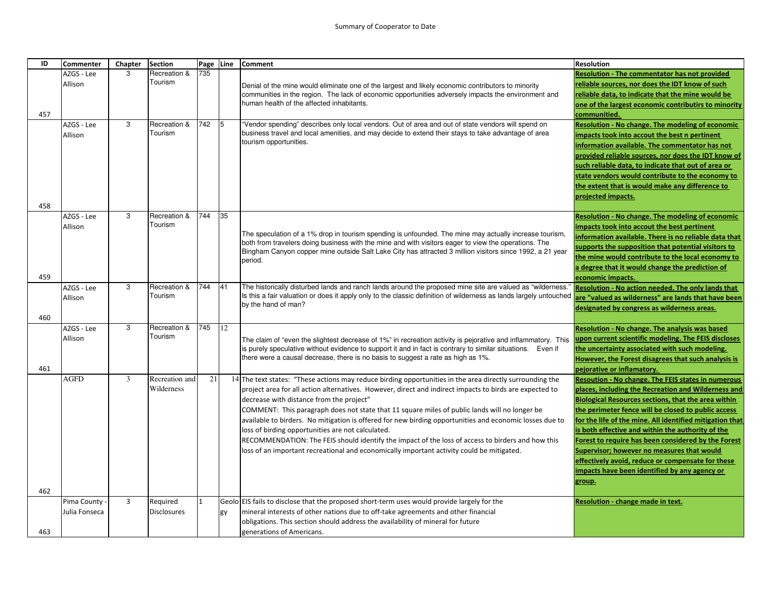| ID  | <b>Commenter</b> | Chapter        | <b>Section</b>     | Page | Line | <b>Comment</b>                                                                                                                                         | <b>Resolution</b>                                                                                        |
|-----|------------------|----------------|--------------------|------|------|--------------------------------------------------------------------------------------------------------------------------------------------------------|----------------------------------------------------------------------------------------------------------|
|     | AZGS - Lee       | 3              | Recreation &       | 735  |      |                                                                                                                                                        | <b>Resolution - The commentator has not provided</b>                                                     |
|     | Allison          |                | Tourism            |      |      | Denial of the mine would eliminate one of the largest and likely economic contributors to minority                                                     | reliable sources, nor does the IDT know of such                                                          |
|     |                  |                |                    |      |      | communities in the region. The lack of economic opportunities adversely impacts the environment and                                                    | reliable data, to indicate that the mine would be                                                        |
|     |                  |                |                    |      |      | human health of the affected inhabitants.                                                                                                              | one of the largest economic contributirs to minority                                                     |
| 457 |                  |                |                    |      |      |                                                                                                                                                        | communitied.                                                                                             |
|     | AZGS - Lee       | 3              | Recreation &       | 742  | 5    | "Vendor spending" describes only local vendors. Out of area and out of state vendors will spend on                                                     | Resolution - No change. The modeling of economic                                                         |
|     | Allison          |                | Tourism            |      |      | business travel and local amenities, and may decide to extend their stays to take advantage of area<br>tourism opportunities.                          | impacts took into accout the best n pertinent                                                            |
|     |                  |                |                    |      |      |                                                                                                                                                        | information available. The commentator has not                                                           |
|     |                  |                |                    |      |      |                                                                                                                                                        | provided reliable sources, nor does the IDT know of                                                      |
|     |                  |                |                    |      |      |                                                                                                                                                        | such reliable data, to indicate that out of area or                                                      |
|     |                  |                |                    |      |      |                                                                                                                                                        | state vendors would contribute to the economy to                                                         |
|     |                  |                |                    |      |      |                                                                                                                                                        | the extent that is would make any difference to                                                          |
|     |                  |                |                    |      |      |                                                                                                                                                        | projected impacts.                                                                                       |
| 458 | AZGS - Lee       | 3              | Recreation &       | 744  | 35   |                                                                                                                                                        | Resolution - No change. The modeling of economic                                                         |
|     | Allison          |                | Tourism            |      |      |                                                                                                                                                        | impacts took into accout the best pertinent                                                              |
|     |                  |                |                    |      |      | The speculation of a 1% drop in tourism spending is unfounded. The mine may actually increase tourism,                                                 | information available. There is no reliable data that                                                    |
|     |                  |                |                    |      |      | both from travelers doing business with the mine and with visitors eager to view the operations. The                                                   | supports the supposition that potential visitors to                                                      |
|     |                  |                |                    |      |      | Bingham Canyon copper mine outside Salt Lake City has attracted 3 million visitors since 1992, a 21 year                                               | the mine would contribute to the local economy to                                                        |
|     |                  |                |                    |      |      | period.                                                                                                                                                | a degree that it would change the prediction of                                                          |
| 459 |                  |                |                    |      |      |                                                                                                                                                        | economic impacts.                                                                                        |
|     | AZGS - Lee       | 3              | Recreation &       | 744  | 41   | The historically disturbed lands and ranch lands around the proposed mine site are valued as "wilderness.                                              | Resolution - No action needed. The only lands that                                                       |
|     | Allison          |                | Tourism            |      |      | Is this a fair valuation or does it apply only to the classic definition of wilderness as lands largely untouched                                      | are "valued as wilderness" are lands that have been                                                      |
|     |                  |                |                    |      |      | by the hand of man?                                                                                                                                    | designated by congress as wilderness areas.                                                              |
| 460 |                  |                |                    |      |      |                                                                                                                                                        |                                                                                                          |
|     | AZGS - Lee       | 3              | Recreation &       | 745  | 12   |                                                                                                                                                        | Resolution - No change. The analysis was based                                                           |
|     | Allison          |                | Tourism            |      |      | The claim of "even the slightest decrease of 1%" in recreation activity is pejorative and inflammatory. This                                           | upon current scientific modeling. The FEIS discloses                                                     |
|     |                  |                |                    |      |      | is purely speculative without evidence to support it and in fact is contrary to similar situations. Even if                                            | the uncertainty associated with such modeling.                                                           |
|     |                  |                |                    |      |      | there were a causal decrease, there is no basis to suggest a rate as high as 1%.                                                                       | However, the Forest disagrees that such analysis is                                                      |
| 461 |                  |                |                    |      |      |                                                                                                                                                        | pejorative or inflamatory.                                                                               |
|     | <b>AGFD</b>      | 3              | Recreation and     | 21   |      | 14 The text states: "These actions may reduce birding opportunities in the area directly surrounding the                                               | Resoution - No change. The FEIS states in numerous                                                       |
|     |                  |                | Wilderness         |      |      | project area for all action alternatives. However, direct and indirect impacts to birds are expected to                                                | places, including the Recreation and Wilderness and                                                      |
|     |                  |                |                    |      |      | decrease with distance from the project"                                                                                                               | Biological Resources sections, that the area within                                                      |
|     |                  |                |                    |      |      | COMMENT: This paragraph does not state that 11 square miles of public lands will no longer be                                                          | the perimeter fence will be closed to public access                                                      |
|     |                  |                |                    |      |      | available to birders. No mitigation is offered for new birding opportunities and economic losses due to                                                | for the life of the mine. All identified mitigation that                                                 |
|     |                  |                |                    |      |      | loss of birding opportunities are not calculated.<br>RECOMMENDATION: The FEIS should identify the impact of the loss of access to birders and how this | is both effective and within the authority of the<br>Forest to require has been considered by the Forest |
|     |                  |                |                    |      |      | loss of an important recreational and economically important activity could be mitigated.                                                              | Supervisor; however no measures that would                                                               |
|     |                  |                |                    |      |      |                                                                                                                                                        | effectively avoid, reduce or compensate for these                                                        |
|     |                  |                |                    |      |      |                                                                                                                                                        | impacts have been identified by any agency or                                                            |
|     |                  |                |                    |      |      |                                                                                                                                                        | group.                                                                                                   |
| 462 |                  |                |                    |      |      |                                                                                                                                                        |                                                                                                          |
|     | Pima County      | $\overline{3}$ | Required           |      |      | Geolo EIS fails to disclose that the proposed short-term uses would provide largely for the                                                            | Resolution - change made in text.                                                                        |
|     | Julia Fonseca    |                | <b>Disclosures</b> |      | gy   | mineral interests of other nations due to off-take agreements and other financial                                                                      |                                                                                                          |
|     |                  |                |                    |      |      | obligations. This section should address the availability of mineral for future                                                                        |                                                                                                          |
| 463 |                  |                |                    |      |      | generations of Americans.                                                                                                                              |                                                                                                          |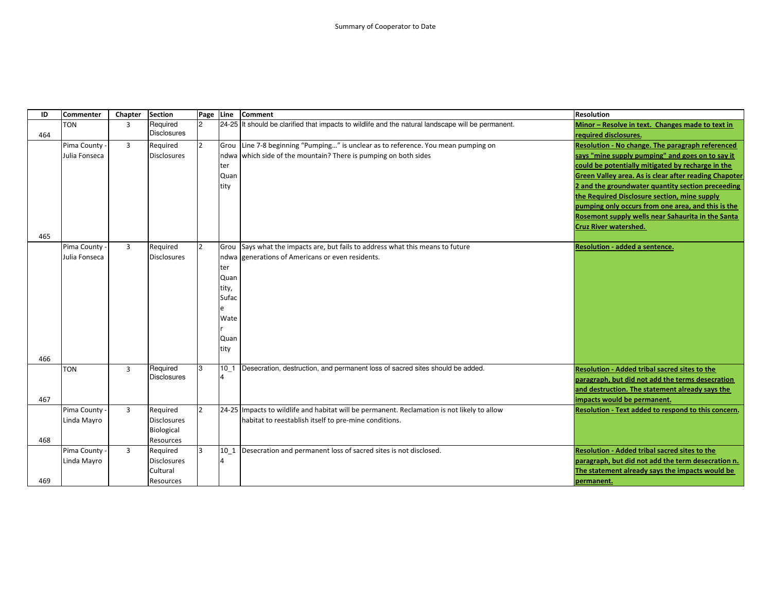| ID  | <b>Commenter</b> | Chapter        | <b>Section</b>                 | Page           | Line                     | <b>Comment</b>                                                                                     | <b>Resolution</b>                                            |
|-----|------------------|----------------|--------------------------------|----------------|--------------------------|----------------------------------------------------------------------------------------------------|--------------------------------------------------------------|
|     | <b>TON</b>       | 3              | Required                       |                |                          | 24-25 It should be clarified that impacts to wildlife and the natural landscape will be permanent. | Minor - Resolve in text. Changes made to text in             |
| 464 |                  |                | <b>Disclosures</b>             |                |                          |                                                                                                    | required disclosures.                                        |
|     | Pima County -    | $\overline{3}$ | Required                       | $\overline{2}$ | Grou                     | Line 7-8 beginning "Pumping" is unclear as to reference. You mean pumping on                       | Resolution - No change. The paragraph referenced             |
|     | Julia Fonseca    |                | <b>Disclosures</b>             |                | ndwa                     | which side of the mountain? There is pumping on both sides                                         | says "mine supply pumping" and goes on to say it             |
|     |                  |                |                                |                | ter                      |                                                                                                    | could be potentially mitigated by recharge in the            |
|     |                  |                |                                |                | Quan                     |                                                                                                    | <b>Green Valley area. As is clear after reading Chapoter</b> |
|     |                  |                |                                |                | tity                     |                                                                                                    | 2 and the groundwater quantity section preceeding            |
|     |                  |                |                                |                |                          |                                                                                                    | the Required Disclosure section, mine supply                 |
|     |                  |                |                                |                |                          |                                                                                                    | pumping only occurs from one area, and this is the           |
|     |                  |                |                                |                |                          |                                                                                                    | Rosemont supply wells near Sahaurita in the Santa            |
|     |                  |                |                                |                |                          |                                                                                                    | <b>Cruz River watershed.</b>                                 |
| 465 |                  |                |                                |                |                          |                                                                                                    |                                                              |
|     | Pima County -    | $\overline{3}$ | Required                       | $\overline{2}$ | Grou                     | Says what the impacts are, but fails to address what this means to future                          | <b>Resolution - added a sentence.</b>                        |
|     | Julia Fonseca    |                | <b>Disclosures</b>             |                | ndwa                     | generations of Americans or even residents.                                                        |                                                              |
|     |                  |                |                                |                | ter                      |                                                                                                    |                                                              |
|     |                  |                |                                |                | Quan                     |                                                                                                    |                                                              |
|     |                  |                |                                |                | tity,                    |                                                                                                    |                                                              |
|     |                  |                |                                |                | Sufac                    |                                                                                                    |                                                              |
|     |                  |                |                                |                | e                        |                                                                                                    |                                                              |
|     |                  |                |                                |                | Wate                     |                                                                                                    |                                                              |
|     |                  |                |                                |                |                          |                                                                                                    |                                                              |
|     |                  |                |                                |                | Quan                     |                                                                                                    |                                                              |
|     |                  |                |                                |                | tity                     |                                                                                                    |                                                              |
| 466 |                  |                |                                |                |                          |                                                                                                    |                                                              |
|     | <b>TON</b>       | $\overline{3}$ | Required<br><b>Disclosures</b> | 3              | $10_1$<br>$\overline{4}$ | Desecration, destruction, and permanent loss of sacred sites should be added.                      | <b>Resolution - Added tribal sacred sites to the</b>         |
|     |                  |                |                                |                |                          |                                                                                                    | paragraph, but did not add the terms desecration             |
|     |                  |                |                                |                |                          |                                                                                                    | and destruction. The statement already says the              |
| 467 |                  |                |                                |                |                          |                                                                                                    | impacts would be permanent.                                  |
|     | Pima County -    | $\overline{3}$ | Required                       | $\mathcal{P}$  |                          | 24-25 Impacts to wildlife and habitat will be permanent. Reclamation is not likely to allow        | Resolution - Text added to respond to this concern.          |
|     | Linda Mayro      |                | <b>Disclosures</b>             |                |                          | habitat to reestablish itself to pre-mine conditions.                                              |                                                              |
|     |                  |                | Biological                     |                |                          |                                                                                                    |                                                              |
| 468 |                  |                | Resources                      |                |                          |                                                                                                    |                                                              |
|     | Pima County -    | $\overline{3}$ | Required                       | 3              | 10 1                     | Desecration and permanent loss of sacred sites is not disclosed.                                   | <b>Resolution - Added tribal sacred sites to the</b>         |
|     | Linda Mayro      |                | <b>Disclosures</b>             |                | $\overline{4}$           |                                                                                                    | paragraph, but did not add the term desecration n.           |
|     |                  |                | Cultural                       |                |                          |                                                                                                    | The statement already says the impacts would be              |
| 469 |                  |                | Resources                      |                |                          |                                                                                                    | permanent.                                                   |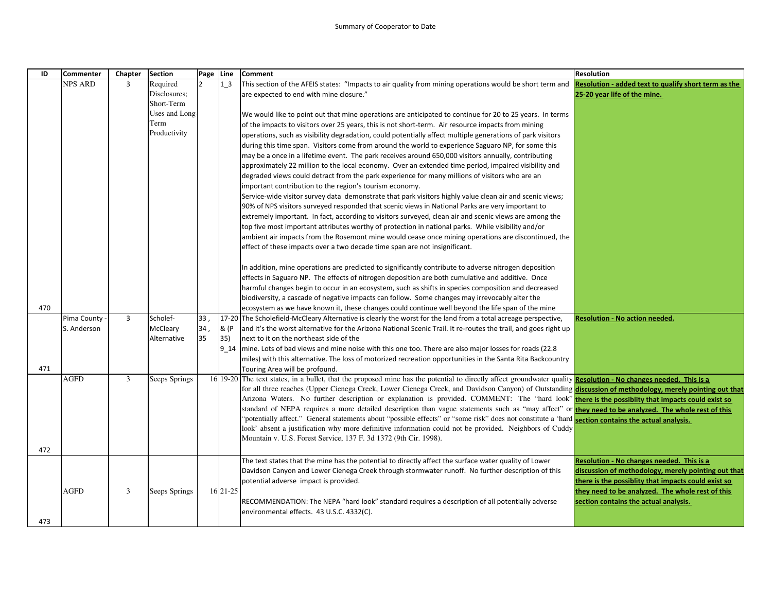| ID  | Commenter      | Chapter        | <b>Section</b> | Page Line |            | <b>Comment</b>                                                                                                                                                   | <b>Resolution</b>                                    |
|-----|----------------|----------------|----------------|-----------|------------|------------------------------------------------------------------------------------------------------------------------------------------------------------------|------------------------------------------------------|
|     | <b>NPS ARD</b> | 3              | Required       |           | $1-3$      | This section of the AFEIS states: "Impacts to air quality from mining operations would be short term and                                                         | Resolution - added text to qualify short term as the |
|     |                |                | Disclosures;   |           |            | are expected to end with mine closure."                                                                                                                          | 25-20 year life of the mine.                         |
|     |                |                | Short-Term     |           |            |                                                                                                                                                                  |                                                      |
|     |                |                | Uses and Long- |           |            | We would like to point out that mine operations are anticipated to continue for 20 to 25 years. In terms                                                         |                                                      |
|     |                |                | Term           |           |            | of the impacts to visitors over 25 years, this is not short-term. Air resource impacts from mining                                                               |                                                      |
|     |                |                | Productivity   |           |            | operations, such as visibility degradation, could potentially affect multiple generations of park visitors                                                       |                                                      |
|     |                |                |                |           |            | during this time span. Visitors come from around the world to experience Saguaro NP, for some this                                                               |                                                      |
|     |                |                |                |           |            | may be a once in a lifetime event. The park receives around 650,000 visitors annually, contributing                                                              |                                                      |
|     |                |                |                |           |            | approximately 22 million to the local economy. Over an extended time period, impaired visibility and                                                             |                                                      |
|     |                |                |                |           |            | degraded views could detract from the park experience for many millions of visitors who are an                                                                   |                                                      |
|     |                |                |                |           |            | important contribution to the region's tourism economy.                                                                                                          |                                                      |
|     |                |                |                |           |            | Service-wide visitor survey data demonstrate that park visitors highly value clean air and scenic views;                                                         |                                                      |
|     |                |                |                |           |            | 90% of NPS visitors surveyed responded that scenic views in National Parks are very important to                                                                 |                                                      |
|     |                |                |                |           |            | extremely important. In fact, according to visitors surveyed, clean air and scenic views are among the                                                           |                                                      |
|     |                |                |                |           |            | top five most important attributes worthy of protection in national parks. While visibility and/or                                                               |                                                      |
|     |                |                |                |           |            | ambient air impacts from the Rosemont mine would cease once mining operations are discontinued, the                                                              |                                                      |
|     |                |                |                |           |            | effect of these impacts over a two decade time span are not insignificant.                                                                                       |                                                      |
|     |                |                |                |           |            |                                                                                                                                                                  |                                                      |
|     |                |                |                |           |            | In addition, mine operations are predicted to significantly contribute to adverse nitrogen deposition                                                            |                                                      |
|     |                |                |                |           |            | effects in Saguaro NP. The effects of nitrogen deposition are both cumulative and additive. Once                                                                 |                                                      |
|     |                |                |                |           |            | harmful changes begin to occur in an ecosystem, such as shifts in species composition and decreased                                                              |                                                      |
|     |                |                |                |           |            | biodiversity, a cascade of negative impacts can follow. Some changes may irrevocably alter the                                                                   |                                                      |
| 470 |                |                |                |           |            | ecosystem as we have known it, these changes could continue well beyond the life span of the mine                                                                |                                                      |
|     | Pima County    | $\overline{3}$ | Scholef-       | 33        |            | 17-20 The Scholefield-McCleary Alternative is clearly the worst for the land from a total acreage perspective,                                                   | <b>Resolution - No action needed.</b>                |
|     | S. Anderson    |                | McCleary       | 34,       | & (P       | and it's the worst alternative for the Arizona National Scenic Trail. It re-routes the trail, and goes right up                                                  |                                                      |
|     |                |                | Alternative    | 35        | 35)        | next to it on the northeast side of the                                                                                                                          |                                                      |
|     |                |                |                |           | 9 14       | mine. Lots of bad views and mine noise with this one too. There are also major losses for roads (22.8)                                                           |                                                      |
|     |                |                |                |           |            | miles) with this alternative. The loss of motorized recreation opportunities in the Santa Rita Backcountry                                                       |                                                      |
| 471 |                |                |                |           |            | Touring Area will be profound.                                                                                                                                   |                                                      |
|     | AGFD           | 3              | Seeps Springs  |           |            | 16 19-20 The text states, in a bullet, that the proposed mine has the potential to directly affect groundwater quality Resolution - No changes needed. This is a |                                                      |
|     |                |                |                |           |            | for all three reaches (Upper Cienega Creek, Lower Cienega Creek, and Davidson Canyon) of Outstanding discussion of methodology, merely pointing out that         |                                                      |
|     |                |                |                |           |            | Arizona Waters. No further description or explanation is provided. COMMENT: The "hard look" there is the possibity that impacts could exist so                   |                                                      |
|     |                |                |                |           |            | standard of NEPA requires a more detailed description than vague statements such as "may affect" or they need to be analyzed. The whole rest of this             |                                                      |
|     |                |                |                |           |            | "potentially affect." General statements about "possible effects" or "some risk" does not constitute a 'hard section contains the actual analysis.               |                                                      |
|     |                |                |                |           |            | look' absent a justification why more definitive information could not be provided. Neighbors of Cuddy                                                           |                                                      |
|     |                |                |                |           |            | Mountain v. U.S. Forest Service, 137 F. 3d 1372 (9th Cir. 1998).                                                                                                 |                                                      |
| 472 |                |                |                |           |            |                                                                                                                                                                  |                                                      |
|     |                |                |                |           |            | The text states that the mine has the potential to directly affect the surface water quality of Lower                                                            | Resolution - No changes needed. This is a            |
|     |                |                |                |           |            | Davidson Canyon and Lower Cienega Creek through stormwater runoff. No further description of this                                                                | discussion of methodology, merely pointing out that  |
|     |                |                |                |           |            | potential adverse impact is provided.                                                                                                                            | there is the possiblity that impacts could exist so  |
|     | <b>AGFD</b>    | 3              | Seeps Springs  |           | 16 21 - 25 |                                                                                                                                                                  | they need to be analyzed. The whole rest of this     |
|     |                |                |                |           |            | RECOMMENDATION: The NEPA "hard look" standard requires a description of all potentially adverse                                                                  | section contains the actual analysis.                |
|     |                |                |                |           |            | environmental effects. 43 U.S.C. 4332(C).                                                                                                                        |                                                      |
| 473 |                |                |                |           |            |                                                                                                                                                                  |                                                      |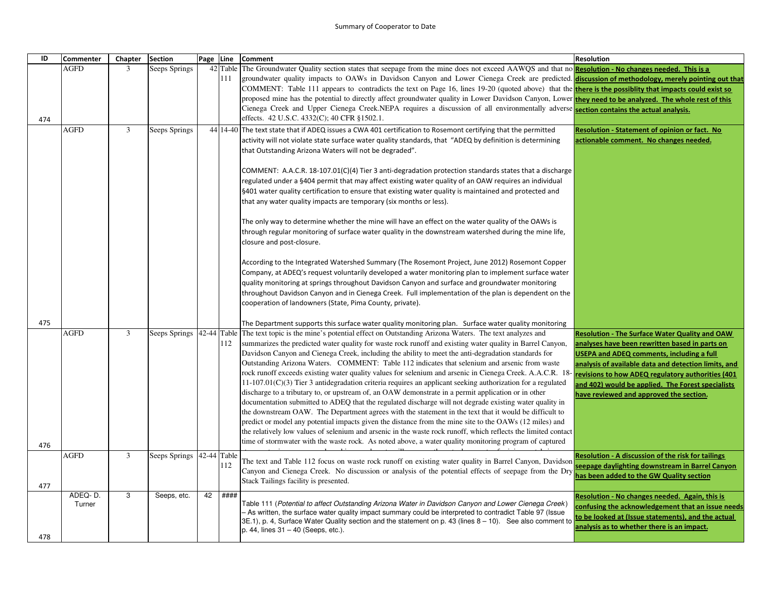| ID  | <b>Commenter</b> | Chapter | <b>Section</b> | Page Line   |      | <b>Comment</b>                                                                                                                                                                                                                                                                                   | <b>Resolution</b>                                                                                           |
|-----|------------------|---------|----------------|-------------|------|--------------------------------------------------------------------------------------------------------------------------------------------------------------------------------------------------------------------------------------------------------------------------------------------------|-------------------------------------------------------------------------------------------------------------|
|     | <b>AGFD</b>      | 3       | Seeps Springs  |             |      | 42 Table The Groundwater Quality section states that seepage from the mine does not exceed AAWQS and that no <b>Resolution - No changes needed. This is a</b>                                                                                                                                    |                                                                                                             |
|     |                  |         |                |             | 111  | groundwater quality impacts to OAWs in Davidson Canyon and Lower Cienega Creek are predicted. discussion of methodology, merely pointing out that                                                                                                                                                |                                                                                                             |
|     |                  |         |                |             |      | COMMENT: Table 111 appears to contradicts the text on Page 16, lines 19-20 (quoted above) that the the the possibility that impacts could exist so                                                                                                                                               |                                                                                                             |
|     |                  |         |                |             |      | proposed mine has the potential to directly affect groundwater quality in Lower Davidson Canyon, Lower they need to be analyzed. The whole rest of this<br>Cienega Creek and Upper Cienega Creek.NEPA requires a discussion of all environmentally adverse section contains the actual analysis. |                                                                                                             |
| 474 |                  |         |                |             |      | effects. 42 U.S.C. 4332(C); 40 CFR §1502.1.                                                                                                                                                                                                                                                      |                                                                                                             |
|     | AGFD             | 3       | Seeps Springs  |             |      | 44 14-40 The text state that if ADEQ issues a CWA 401 certification to Rosemont certifying that the permitted                                                                                                                                                                                    | <b>Resolution - Statement of opinion or fact. No</b>                                                        |
|     |                  |         |                |             |      | activity will not violate state surface water quality standards, that "ADEQ by definition is determining                                                                                                                                                                                         | actionable comment. No changes needed.                                                                      |
|     |                  |         |                |             |      | that Outstanding Arizona Waters will not be degraded".                                                                                                                                                                                                                                           |                                                                                                             |
|     |                  |         |                |             |      |                                                                                                                                                                                                                                                                                                  |                                                                                                             |
|     |                  |         |                |             |      | COMMENT: A.A.C.R. 18-107.01(C)(4) Tier 3 anti-degradation protection standards states that a discharge                                                                                                                                                                                           |                                                                                                             |
|     |                  |         |                |             |      | regulated under a §404 permit that may affect existing water quality of an OAW requires an individual                                                                                                                                                                                            |                                                                                                             |
|     |                  |         |                |             |      | §401 water quality certification to ensure that existing water quality is maintained and protected and<br>that any water quality impacts are temporary (six months or less).                                                                                                                     |                                                                                                             |
|     |                  |         |                |             |      |                                                                                                                                                                                                                                                                                                  |                                                                                                             |
|     |                  |         |                |             |      | The only way to determine whether the mine will have an effect on the water quality of the OAWs is                                                                                                                                                                                               |                                                                                                             |
|     |                  |         |                |             |      | through regular monitoring of surface water quality in the downstream watershed during the mine life,                                                                                                                                                                                            |                                                                                                             |
|     |                  |         |                |             |      | closure and post-closure.                                                                                                                                                                                                                                                                        |                                                                                                             |
|     |                  |         |                |             |      |                                                                                                                                                                                                                                                                                                  |                                                                                                             |
|     |                  |         |                |             |      | According to the Integrated Watershed Summary (The Rosemont Project, June 2012) Rosemont Copper                                                                                                                                                                                                  |                                                                                                             |
|     |                  |         |                |             |      | Company, at ADEQ's request voluntarily developed a water monitoring plan to implement surface water                                                                                                                                                                                              |                                                                                                             |
|     |                  |         |                |             |      | quality monitoring at springs throughout Davidson Canyon and surface and groundwater monitoring<br>throughout Davidson Canyon and in Cienega Creek. Full implementation of the plan is dependent on the                                                                                          |                                                                                                             |
|     |                  |         |                |             |      | cooperation of landowners (State, Pima County, private).                                                                                                                                                                                                                                         |                                                                                                             |
|     |                  |         |                |             |      |                                                                                                                                                                                                                                                                                                  |                                                                                                             |
| 475 |                  |         |                |             |      | The Department supports this surface water quality monitoring plan. Surface water quality monitoring                                                                                                                                                                                             |                                                                                                             |
|     | <b>AGFD</b>      | 3       | Seeps Springs  |             |      | 42-44 Table The text topic is the mine's potential effect on Outstanding Arizona Waters. The text analyzes and                                                                                                                                                                                   | <b>Resolution - The Surface Water Quality and OAW</b>                                                       |
|     |                  |         |                |             | 112  | summarizes the predicted water quality for waste rock runoff and existing water quality in Barrel Canyon,                                                                                                                                                                                        | analyses have been rewritten based in parts on                                                              |
|     |                  |         |                |             |      | Davidson Canyon and Cienega Creek, including the ability to meet the anti-degradation standards for<br>Outstanding Arizona Waters. COMMENT: Table 112 indicates that selenium and arsenic from waste                                                                                             | <b>USEPA and ADEQ comments, including a full</b>                                                            |
|     |                  |         |                |             |      | rock runoff exceeds existing water quality values for selenium and arsenic in Cienega Creek. A.A.C.R. 18                                                                                                                                                                                         | analysis of available data and detection limits, and<br>revisions to how ADEQ regulatory authorities (401   |
|     |                  |         |                |             |      | $11-107.01(C)(3)$ Tier 3 antidegradation criteria requires an applicant seeking authorization for a regulated                                                                                                                                                                                    | and 402) would be applied. The Forest specialists                                                           |
|     |                  |         |                |             |      | discharge to a tributary to, or upstream of, an OAW demonstrate in a permit application or in other                                                                                                                                                                                              | have reviewed and approved the section.                                                                     |
|     |                  |         |                |             |      | documentation submitted to ADEQ that the regulated discharge will not degrade existing water quality in                                                                                                                                                                                          |                                                                                                             |
|     |                  |         |                |             |      | the downstream OAW. The Department agrees with the statement in the text that it would be difficult to                                                                                                                                                                                           |                                                                                                             |
|     |                  |         |                |             |      | predict or model any potential impacts given the distance from the mine site to the OAWs (12 miles) and                                                                                                                                                                                          |                                                                                                             |
|     |                  |         |                |             |      | the relatively low values of selenium and arsenic in the waste rock runoff, which reflects the limited contact<br>time of stormwater with the waste rock. As noted above, a water quality monitoring program of captured                                                                         |                                                                                                             |
| 476 |                  |         |                |             |      |                                                                                                                                                                                                                                                                                                  |                                                                                                             |
|     | <b>AGFD</b>      | 3       | Seeps Springs  | 42-44 Table | 112  | The text and Table 112 focus on waste rock runoff on existing water quality in Barrel Canyon, Davidson                                                                                                                                                                                           | <b>Resolution - A discussion of the risk for tailings</b><br>eepage daylighting downstream in Barrel Canyon |
|     |                  |         |                |             |      | Canyon and Cienega Creek. No discussion or analysis of the potential effects of seepage from the Dry                                                                                                                                                                                             | has been added to the GW Quality section                                                                    |
| 477 |                  |         |                |             |      | Stack Tailings facility is presented.                                                                                                                                                                                                                                                            |                                                                                                             |
|     | ADEQ-D.          | 3       | Seeps, etc.    | 42          | #### |                                                                                                                                                                                                                                                                                                  | Resolution - No changes needed. Again, this is                                                              |
|     | Turner           |         |                |             |      | (Table 111 (Potential to affect Outstanding Arizona Water in Davidson Canyon and Lower Cienega Creek<br>- As written, the surface water quality impact summary could be interpreted to contradict Table 97 (Issue                                                                                | confusing the acknowledgement that an issue needs                                                           |
|     |                  |         |                |             |      | 3E.1), p. 4, Surface Water Quality section and the statement on p. 43 (lines 8 - 10). See also comment to                                                                                                                                                                                        | o be looked at (Issue statements), and the actual                                                           |
|     |                  |         |                |             |      | p. 44, lines 31 - 40 (Seeps, etc.).                                                                                                                                                                                                                                                              | analysis as to whether there is an impact.                                                                  |
| 478 |                  |         |                |             |      |                                                                                                                                                                                                                                                                                                  |                                                                                                             |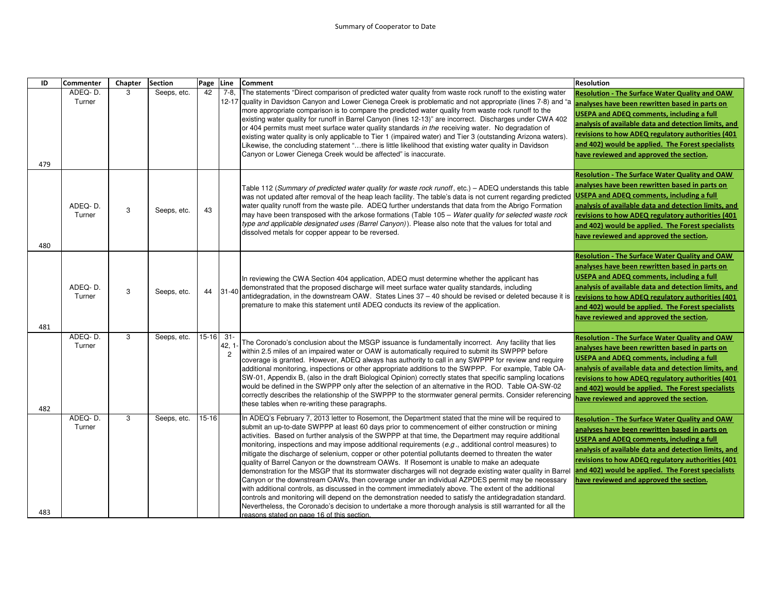| ID  | Commenter         | Chapter | <b>Section</b> | Page Line |                                   | <b>Comment</b>                                                                                                                                                                                                                                                                                                                                                                                                                                                                                                                                                                                                                                                                                                                                                                                                                                                                                                                                                                                                                                                                                                                                                                                                                              | <b>Resolution</b>                                                                                                                                                                                                                                                                                                                                                        |
|-----|-------------------|---------|----------------|-----------|-----------------------------------|---------------------------------------------------------------------------------------------------------------------------------------------------------------------------------------------------------------------------------------------------------------------------------------------------------------------------------------------------------------------------------------------------------------------------------------------------------------------------------------------------------------------------------------------------------------------------------------------------------------------------------------------------------------------------------------------------------------------------------------------------------------------------------------------------------------------------------------------------------------------------------------------------------------------------------------------------------------------------------------------------------------------------------------------------------------------------------------------------------------------------------------------------------------------------------------------------------------------------------------------|--------------------------------------------------------------------------------------------------------------------------------------------------------------------------------------------------------------------------------------------------------------------------------------------------------------------------------------------------------------------------|
| 479 | ADEQ-D.<br>Turner | 3       | Seeps, etc.    | 42        | $7-8$                             | The statements "Direct comparison of predicted water quality from waste rock runoff to the existing water<br>12-17 quality in Davidson Canyon and Lower Cienega Creek is problematic and not appropriate (lines 7-8) and "a<br>more appropriate comparison is to compare the predicted water quality from waste rock runoff to the<br>existing water quality for runoff in Barrel Canyon (lines 12-13)" are incorrect. Discharges under CWA 402<br>or 404 permits must meet surface water quality standards in the receiving water. No degradation of<br>existing water quality is only applicable to Tier 1 (impaired water) and Tier 3 (outstanding Arizona waters).<br>Likewise, the concluding statement "there is little likelihood that existing water quality in Davidson<br>Canyon or Lower Cienega Creek would be affected" is inaccurate.                                                                                                                                                                                                                                                                                                                                                                                         | <b>Resolution - The Surface Water Quality and OAW</b><br>analyses have been rewritten based in parts on<br><b>USEPA and ADEQ comments, including a full</b><br>analysis of available data and detection limits, and<br>revisions to how ADEQ regulatory authorities (401<br>and 402) would be applied. The Forest specialists<br>have reviewed and approved the section. |
| 480 | ADEQ-D.<br>Turner | 3       | Seeps, etc.    | 43        |                                   | Table 112 (Summary of predicted water quality for waste rock runoff, etc.) – ADEQ understands this table<br>was not updated after removal of the heap leach facility. The table's data is not current regarding predicted<br>water quality runoff from the waste pile. ADEQ further understands that data from the Abrigo Formation<br>may have been transposed with the arkose formations (Table 105 - Water quality for selected waste rock<br>type and applicable designated uses (Barrel Canyon)). Please also note that the values for total and<br>dissolved metals for copper appear to be reversed.                                                                                                                                                                                                                                                                                                                                                                                                                                                                                                                                                                                                                                 | <b>Resolution - The Surface Water Quality and OAW</b><br>analyses have been rewritten based in parts on<br><b>USEPA and ADEQ comments, including a full</b><br>analysis of available data and detection limits, and<br>revisions to how ADEQ regulatory authorities (401<br>and 402) would be applied. The Forest specialists<br>have reviewed and approved the section. |
| 481 | ADEQ-D.<br>Turner | 3       | Seeps, etc.    | 44        | $31 - 40$                         | In reviewing the CWA Section 404 application, ADEQ must determine whether the applicant has<br>demonstrated that the proposed discharge will meet surface water quality standards, including<br>antidegradation, in the downstream OAW. States Lines 37 - 40 should be revised or deleted because it is<br>premature to make this statement until ADEQ conducts its review of the application.                                                                                                                                                                                                                                                                                                                                                                                                                                                                                                                                                                                                                                                                                                                                                                                                                                              | <b>Resolution - The Surface Water Quality and OAW</b><br>analyses have been rewritten based in parts on<br>USEPA and ADEQ comments, including a full<br>analysis of available data and detection limits, and<br>revisions to how ADEQ regulatory authorities (401<br>and 402) would be applied. The Forest specialists<br>have reviewed and approved the section.        |
| 482 | ADEQ-D.<br>Turner | 3       | Seeps, etc.    | $15 - 16$ | $31 -$<br>42, 1<br>$\overline{2}$ | The Coronado's conclusion about the MSGP issuance is fundamentally incorrect. Any facility that lies<br>within 2.5 miles of an impaired water or OAW is automatically required to submit its SWPPP before<br>coverage is granted. However, ADEQ always has authority to call in any SWPPP for review and require<br>additional monitoring, inspections or other appropriate additions to the SWPPP. For example, Table OA-<br>SW-01, Appendix B, (also in the draft Biological Opinion) correctly states that specific sampling locations<br>would be defined in the SWPPP only after the selection of an alternative in the ROD. Table OA-SW-02<br>correctly describes the relationship of the SWPPP to the stormwater general permits. Consider referencing<br>these tables when re-writing these paragraphs.                                                                                                                                                                                                                                                                                                                                                                                                                             | <b>Resolution - The Surface Water Quality and OAW</b><br>analyses have been rewritten based in parts on<br><b>USEPA and ADEQ comments, including a full</b><br>analysis of available data and detection limits, and<br>revisions to how ADEQ regulatory authorities (401<br>and 402) would be applied. The Forest specialists<br>have reviewed and approved the section. |
| 483 | ADEQ-D.<br>Turner | 3       | Seeps, etc.    | $15 - 16$ |                                   | In ADEQ's February 7, 2013 letter to Rosemont, the Department stated that the mine will be required to<br>submit an up-to-date SWPPP at least 60 days prior to commencement of either construction or mining<br>activities. Based on further analysis of the SWPPP at that time, the Department may require additional<br>monitoring, inspections and may impose additional requirements $(e.g.,$ additional control measures) to<br>mitigate the discharge of selenium, copper or other potential pollutants deemed to threaten the water<br>quality of Barrel Canyon or the downstream OAWs. If Rosemont is unable to make an adequate<br>demonstration for the MSGP that its stormwater discharges will not degrade existing water quality in Barrel<br>Canyon or the downstream OAWs, then coverage under an individual AZPDES permit may be necessary<br>with additional controls, as discussed in the comment immediately above. The extent of the additional<br>controls and monitoring will depend on the demonstration needed to satisfy the antidegradation standard.<br>Nevertheless, the Coronado's decision to undertake a more thorough analysis is still warranted for all the<br>reasons stated on page 16 of this section. | <b>Resolution - The Surface Water Quality and OAW</b><br>analyses have been rewritten based in parts on<br><b>USEPA and ADEQ comments, including a full</b><br>analysis of available data and detection limits, and<br>revisions to how ADEQ regulatory authorities (401<br>and 402) would be applied. The Forest specialists<br>have reviewed and approved the section. |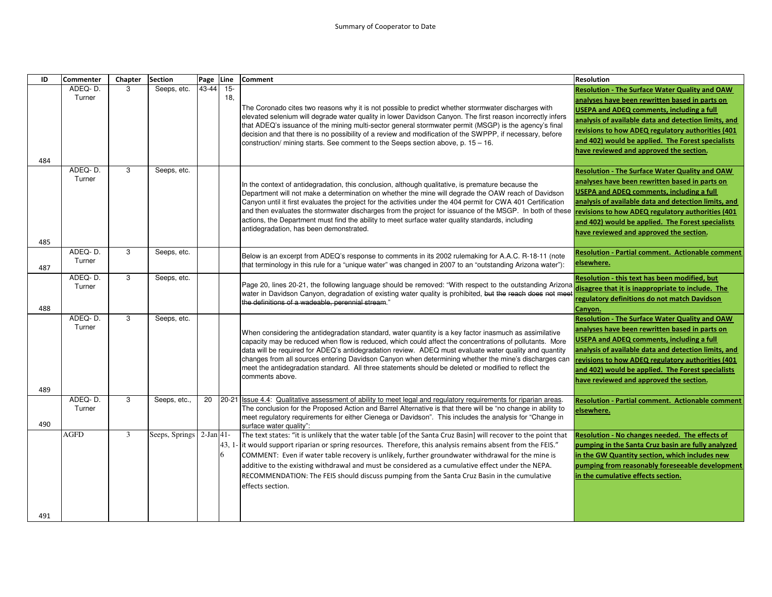| ID  | <b>Commenter</b>  | Chapter        | <b>Section</b> | Page Line   |               | <b>Comment</b>                                                                                                                                                                                                                                                                                                                                                                                                                                                                                                                                                                        | <b>Resolution</b>                                                                                                                                                                                                                                                                                                                                                        |
|-----|-------------------|----------------|----------------|-------------|---------------|---------------------------------------------------------------------------------------------------------------------------------------------------------------------------------------------------------------------------------------------------------------------------------------------------------------------------------------------------------------------------------------------------------------------------------------------------------------------------------------------------------------------------------------------------------------------------------------|--------------------------------------------------------------------------------------------------------------------------------------------------------------------------------------------------------------------------------------------------------------------------------------------------------------------------------------------------------------------------|
| 484 | ADEQ-D.<br>Turner | 3              | Seeps, etc.    | 43-44       | $15 -$<br>18. | The Coronado cites two reasons why it is not possible to predict whether stormwater discharges with<br>elevated selenium will degrade water quality in lower Davidson Canyon. The first reason incorrectly infers<br>that ADEQ's issuance of the mining multi-sector general stormwater permit (MSGP) is the agency's final<br>decision and that there is no possibility of a review and modification of the SWPPP, if necessary, before<br>construction/ mining starts. See comment to the Seeps section above, p. 15 - 16.                                                          | <b>Resolution - The Surface Water Quality and OAW</b><br>analyses have been rewritten based in parts on<br>USEPA and ADEQ comments, including a full<br>analysis of available data and detection limits, and<br>revisions to how ADEQ regulatory authorities (401<br>and 402) would be applied. The Forest specialists<br>have reviewed and approved the section.        |
| 485 | ADEQ-D.<br>Turner | 3              | Seeps, etc.    |             |               | In the context of antidegradation, this conclusion, although qualitative, is premature because the<br>Department will not make a determination on whether the mine will degrade the OAW reach of Davidson<br>Canyon until it first evaluates the project for the activities under the 404 permit for CWA 401 Certification<br>and then evaluates the stormwater discharges from the project for issuance of the MSGP. In both of these<br>actions, the Department must find the ability to meet surface water quality standards, including<br>antidegradation, has been demonstrated. | <b>Resolution - The Surface Water Quality and OAW</b><br>analyses have been rewritten based in parts on<br><b>USEPA and ADEQ comments, including a full</b><br>analysis of available data and detection limits, and<br>revisions to how ADEQ regulatory authorities (401<br>and 402) would be applied. The Forest specialists<br>have reviewed and approved the section. |
| 487 | ADEQ-D.<br>Turner | 3              | Seeps, etc.    |             |               | Below is an excerpt from ADEQ's response to comments in its 2002 rulemaking for A.A.C. R-18-11 (note<br>that terminology in this rule for a "unique water" was changed in 2007 to an "outstanding Arizona water"):                                                                                                                                                                                                                                                                                                                                                                    | <b>Resolution - Partial comment. Actionable comment</b><br>elsewhere.                                                                                                                                                                                                                                                                                                    |
| 488 | ADEQ-D.<br>Turner | 3              | Seeps, etc.    |             |               | Page 20, lines 20-21, the following language should be removed: "With respect to the outstanding Arizona<br>water in Davidson Canyon, degradation of existing water quality is prohibited, but the reach does not meet<br>the definitions of a wadeable, perennial stream."                                                                                                                                                                                                                                                                                                           | Resolution - this text has been modified, but<br>disagree that it is inappropriate to include. The<br>regulatory definitions do not match Davidson<br>Canyon.                                                                                                                                                                                                            |
| 489 | ADEQ-D.<br>Turner | 3              | Seeps, etc.    |             |               | When considering the antidegradation standard, water quantity is a key factor inasmuch as assimilative<br>capacity may be reduced when flow is reduced, which could affect the concentrations of pollutants. More<br>data will be required for ADEQ's antidegradation review. ADEQ must evaluate water quality and quantity<br>changes from all sources entering Davidson Canyon when determining whether the mine's discharges can<br>meet the antidegradation standard. All three statements should be deleted or modified to reflect the<br>comments above.                        | <b>Resolution - The Surface Water Quality and OAW</b><br>analyses have been rewritten based in parts on<br><b>USEPA and ADEQ comments, including a full</b><br>analysis of available data and detection limits, and<br>revisions to how ADEQ regulatory authorities (401<br>and 402) would be applied. The Forest specialists<br>have reviewed and approved the section. |
| 490 | ADEQ-D.<br>Turner | 3              | Seeps, etc.,   | 20          | 20-21         | Issue 4.4: Qualitative assessment of ability to meet legal and regulatory requirements for riparian areas.<br>The conclusion for the Proposed Action and Barrel Alternative is that there will be "no change in ability to<br>meet regulatory requirements for either Cienega or Davidson". This includes the analysis for "Change in<br>surface water quality":                                                                                                                                                                                                                      | <b>Resolution - Partial comment. Actionable comment</b><br>elsewhere.                                                                                                                                                                                                                                                                                                    |
| 491 | <b>AGFD</b>       | $\overline{3}$ | Seeps, Springs | $2-Jan 41-$ | 43, 1<br>6    | The text states: "it is unlikely that the water table [of the Santa Cruz Basin] will recover to the point that<br>it would support riparian or spring resources. Therefore, this analysis remains absent from the FEIS."<br>COMMENT: Even if water table recovery is unlikely, further groundwater withdrawal for the mine is<br>additive to the existing withdrawal and must be considered as a cumulative effect under the NEPA.<br>RECOMMENDATION: The FEIS should discuss pumping from the Santa Cruz Basin in the cumulative<br>effects section.                                 | Resolution - No changes needed. The effects of<br>pumping in the Santa Cruz basin are fully analyzed<br>in the GW Quantity section, which includes new<br>pumping from reasonably foreseeable development<br>in the cumulative effects section.                                                                                                                          |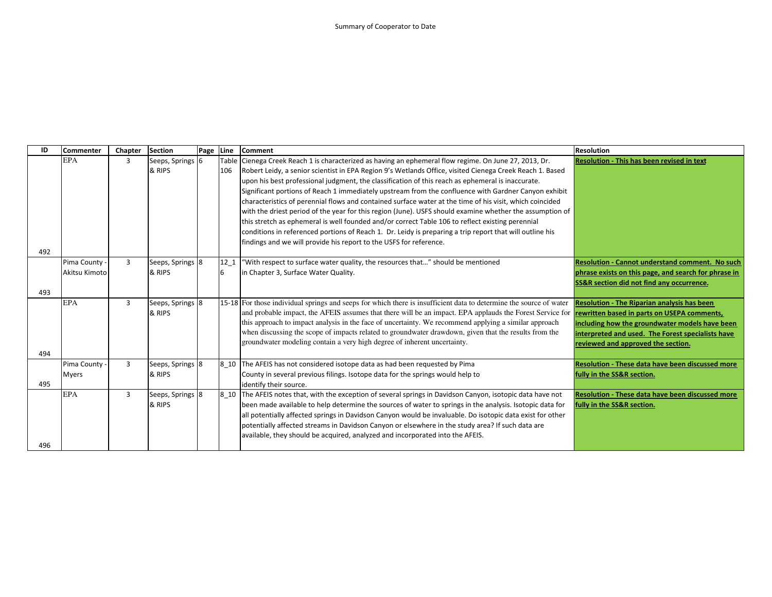| ID  | <b>Commenter</b> | Chapter | <b>Section</b>   | Page Line |                 | Comment                                                                                                                                                     | <b>Resolution</b>                                       |
|-----|------------------|---------|------------------|-----------|-----------------|-------------------------------------------------------------------------------------------------------------------------------------------------------------|---------------------------------------------------------|
|     | <b>EPA</b>       | 3       | Seeps, Springs 6 |           | Table           | Cienega Creek Reach 1 is characterized as having an ephemeral flow regime. On June 27, 2013, Dr.                                                            | <b>Resolution - This has been revised in text</b>       |
|     |                  |         | & RIPS           |           | 106             | Robert Leidy, a senior scientist in EPA Region 9's Wetlands Office, visited Cienega Creek Reach 1. Based                                                    |                                                         |
|     |                  |         |                  |           |                 | upon his best professional judgment, the classification of this reach as ephemeral is inaccurate.                                                           |                                                         |
|     |                  |         |                  |           |                 | Significant portions of Reach 1 immediately upstream from the confluence with Gardner Canyon exhibit                                                        |                                                         |
|     |                  |         |                  |           |                 | characteristics of perennial flows and contained surface water at the time of his visit, which coincided                                                    |                                                         |
|     |                  |         |                  |           |                 | with the driest period of the year for this region (June). USFS should examine whether the assumption of                                                    |                                                         |
|     |                  |         |                  |           |                 | this stretch as ephemeral is well founded and/or correct Table 106 to reflect existing perennial                                                            |                                                         |
|     |                  |         |                  |           |                 | conditions in referenced portions of Reach 1. Dr. Leidy is preparing a trip report that will outline his                                                    |                                                         |
|     |                  |         |                  |           |                 | findings and we will provide his report to the USFS for reference.                                                                                          |                                                         |
| 492 |                  |         |                  |           |                 |                                                                                                                                                             |                                                         |
|     | Pima County      | 3       | Seeps, Springs 8 |           | 12 <sub>1</sub> | "With respect to surface water quality, the resources that" should be mentioned                                                                             | <b>Resolution - Cannot understand comment. No such</b>  |
|     | Akitsu Kimoto    |         | & RIPS           |           | 6               | in Chapter 3, Surface Water Quality.                                                                                                                        | phrase exists on this page, and search for phrase in    |
|     |                  |         |                  |           |                 |                                                                                                                                                             | <b>SS&amp;R section did not find any occurrence.</b>    |
| 493 |                  |         |                  |           |                 |                                                                                                                                                             |                                                         |
|     | <b>EPA</b>       | 3       | Seeps, Springs 8 |           |                 | 15-18 For those individual springs and seeps for which there is insufficient data to determine the source of water                                          | <b>Resolution - The Riparian analysis has been</b>      |
|     |                  |         | & RIPS           |           |                 | and probable impact, the AFEIS assumes that there will be an impact. EPA applauds the Forest Service for <b>rewritten based in parts on USEPA comments,</b> |                                                         |
|     |                  |         |                  |           |                 | this approach to impact analysis in the face of uncertainty. We recommend applying a similar approach                                                       | including how the groundwater models have been          |
|     |                  |         |                  |           |                 | when discussing the scope of impacts related to groundwater drawdown, given that the results from the                                                       | interpreted and used. The Forest specialists have       |
|     |                  |         |                  |           |                 | groundwater modeling contain a very high degree of inherent uncertainty.                                                                                    | reviewed and approved the section.                      |
| 494 |                  |         |                  |           |                 |                                                                                                                                                             |                                                         |
|     | Pima County -    | 3       | Seeps, Springs 8 |           |                 | 8_10 The AFEIS has not considered isotope data as had been requested by Pima                                                                                | <b>Resolution - These data have been discussed more</b> |
|     | <b>Myers</b>     |         | & RIPS           |           |                 | County in several previous filings. Isotope data for the springs would help to                                                                              | fully in the SS&R section.                              |
| 495 |                  |         |                  |           |                 | identify their source.                                                                                                                                      |                                                         |
|     | <b>EPA</b>       | 3       | Seeps, Springs 8 |           | 8 10            | The AFEIS notes that, with the exception of several springs in Davidson Canyon, isotopic data have not                                                      | Resolution - These data have been discussed more        |
|     |                  |         | & RIPS           |           |                 | been made available to help determine the sources of water to springs in the analysis. Isotopic data for                                                    | fully in the SS&R section.                              |
|     |                  |         |                  |           |                 | all potentially affected springs in Davidson Canyon would be invaluable. Do isotopic data exist for other                                                   |                                                         |
|     |                  |         |                  |           |                 | potentially affected streams in Davidson Canyon or elsewhere in the study area? If such data are                                                            |                                                         |
|     |                  |         |                  |           |                 | available, they should be acquired, analyzed and incorporated into the AFEIS.                                                                               |                                                         |
| 496 |                  |         |                  |           |                 |                                                                                                                                                             |                                                         |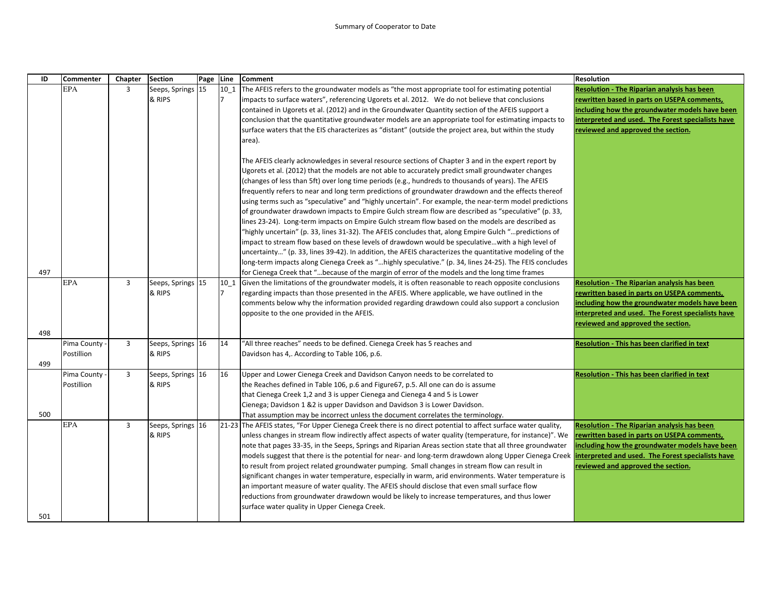| ID  | <b>Commenter</b> | Chapter        | <b>Section</b>    | Page Line |        | <b>Comment</b>                                                                                                                                                                                            | <b>Resolution</b>                                   |
|-----|------------------|----------------|-------------------|-----------|--------|-----------------------------------------------------------------------------------------------------------------------------------------------------------------------------------------------------------|-----------------------------------------------------|
|     | EPA              | $\overline{3}$ | Seeps, Springs 15 |           | $10_1$ | The AFEIS refers to the groundwater models as "the most appropriate tool for estimating potential                                                                                                         | Resolution - The Riparian analysis has been         |
|     |                  |                | & RIPS            |           |        | impacts to surface waters", referencing Ugorets et al. 2012. We do not believe that conclusions                                                                                                           | rewritten based in parts on USEPA comments,         |
|     |                  |                |                   |           |        | contained in Ugorets et al. (2012) and in the Groundwater Quantity section of the AFEIS support a                                                                                                         | including how the groundwater models have been      |
|     |                  |                |                   |           |        | conclusion that the quantitative groundwater models are an appropriate tool for estimating impacts to                                                                                                     | nterpreted and used. The Forest specialists have    |
|     |                  |                |                   |           |        | surface waters that the EIS characterizes as "distant" (outside the project area, but within the study                                                                                                    | reviewed and approved the section.                  |
|     |                  |                |                   |           |        | area).                                                                                                                                                                                                    |                                                     |
|     |                  |                |                   |           |        |                                                                                                                                                                                                           |                                                     |
|     |                  |                |                   |           |        | The AFEIS clearly acknowledges in several resource sections of Chapter 3 and in the expert report by                                                                                                      |                                                     |
|     |                  |                |                   |           |        | Ugorets et al. (2012) that the models are not able to accurately predict small groundwater changes                                                                                                        |                                                     |
|     |                  |                |                   |           |        | (changes of less than 5ft) over long time periods (e.g., hundreds to thousands of years). The AFEIS                                                                                                       |                                                     |
|     |                  |                |                   |           |        | frequently refers to near and long term predictions of groundwater drawdown and the effects thereof                                                                                                       |                                                     |
|     |                  |                |                   |           |        | using terms such as "speculative" and "highly uncertain". For example, the near-term model predictions                                                                                                    |                                                     |
|     |                  |                |                   |           |        | of groundwater drawdown impacts to Empire Gulch stream flow are described as "speculative" (p. 33,<br>lines 23-24). Long-term impacts on Empire Gulch stream flow based on the models are described as    |                                                     |
|     |                  |                |                   |           |        |                                                                                                                                                                                                           |                                                     |
|     |                  |                |                   |           |        | "highly uncertain" (p. 33, lines 31-32). The AFEIS concludes that, along Empire Gulch "predictions of<br>impact to stream flow based on these levels of drawdown would be speculativewith a high level of |                                                     |
|     |                  |                |                   |           |        | uncertainty" (p. 33, lines 39-42). In addition, the AFEIS characterizes the quantitative modeling of the                                                                                                  |                                                     |
|     |                  |                |                   |           |        | long-term impacts along Cienega Creek as "highly speculative." (p. 34, lines 24-25). The FEIS concludes                                                                                                   |                                                     |
| 497 |                  |                |                   |           |        | for Cienega Creek that "because of the margin of error of the models and the long time frames                                                                                                             |                                                     |
|     | <b>EPA</b>       | $\overline{3}$ | Seeps, Springs 15 |           | 10 1   | Given the limitations of the groundwater models, it is often reasonable to reach opposite conclusions                                                                                                     | <b>Resolution - The Riparian analysis has been</b>  |
|     |                  |                | & RIPS            |           |        | regarding impacts than those presented in the AFEIS. Where applicable, we have outlined in the                                                                                                            | rewritten based in parts on USEPA comments,         |
|     |                  |                |                   |           |        | comments below why the information provided regarding drawdown could also support a conclusion                                                                                                            | including how the groundwater models have been      |
|     |                  |                |                   |           |        | opposite to the one provided in the AFEIS.                                                                                                                                                                | interpreted and used. The Forest specialists have   |
|     |                  |                |                   |           |        |                                                                                                                                                                                                           | reviewed and approved the section.                  |
| 498 |                  |                |                   |           |        |                                                                                                                                                                                                           |                                                     |
|     | Pima County      | 3              | Seeps, Springs 16 |           | 14     | "All three reaches" needs to be defined. Cienega Creek has 5 reaches and                                                                                                                                  | <b>Resolution - This has been clarified in text</b> |
|     | Postillion       |                | & RIPS            |           |        | Davidson has 4,. According to Table 106, p.6.                                                                                                                                                             |                                                     |
| 499 |                  |                |                   |           |        |                                                                                                                                                                                                           |                                                     |
|     | Pima County      | $\overline{3}$ | Seeps, Springs 16 |           | 16     | Upper and Lower Cienega Creek and Davidson Canyon needs to be correlated to                                                                                                                               | Resolution - This has been clarified in text        |
|     | Postillion       |                | & RIPS            |           |        | the Reaches defined in Table 106, p.6 and Figure 67, p.5. All one can do is assume                                                                                                                        |                                                     |
|     |                  |                |                   |           |        | that Cienega Creek 1,2 and 3 is upper Cienega and Cienega 4 and 5 is Lower                                                                                                                                |                                                     |
|     |                  |                |                   |           |        | Cienega; Davidson 1 &2 is upper Davidson and Davidson 3 is Lower Davidson.                                                                                                                                |                                                     |
| 500 |                  |                |                   |           |        | That assumption may be incorrect unless the document correlates the terminology.                                                                                                                          |                                                     |
|     | <b>EPA</b>       | $\overline{3}$ | Seeps, Springs 16 |           |        | [21-23] The AFEIS states, "For Upper Cienega Creek there is no direct potential to affect surface water quality,                                                                                          | <b>Resolution - The Riparian analysis has been</b>  |
|     |                  |                | & RIPS            |           |        | unless changes in stream flow indirectly affect aspects of water quality (temperature, for instance)". We                                                                                                 | rewritten based in parts on USEPA comments,         |
|     |                  |                |                   |           |        | note that pages 33-35, in the Seeps, Springs and Riparian Areas section state that all three groundwater                                                                                                  | ncluding how the groundwater models have been       |
|     |                  |                |                   |           |        | models suggest that there is the potential for near- and long-term drawdown along Upper Cienega Creek                                                                                                     | nterpreted and used. The Forest specialists have    |
|     |                  |                |                   |           |        | to result from project related groundwater pumping. Small changes in stream flow can result in                                                                                                            | reviewed and approved the section.                  |
|     |                  |                |                   |           |        | significant changes in water temperature, especially in warm, arid environments. Water temperature is                                                                                                     |                                                     |
|     |                  |                |                   |           |        | an important measure of water quality. The AFEIS should disclose that even small surface flow                                                                                                             |                                                     |
|     |                  |                |                   |           |        | reductions from groundwater drawdown would be likely to increase temperatures, and thus lower                                                                                                             |                                                     |
|     |                  |                |                   |           |        | surface water quality in Upper Cienega Creek.                                                                                                                                                             |                                                     |
| 501 |                  |                |                   |           |        |                                                                                                                                                                                                           |                                                     |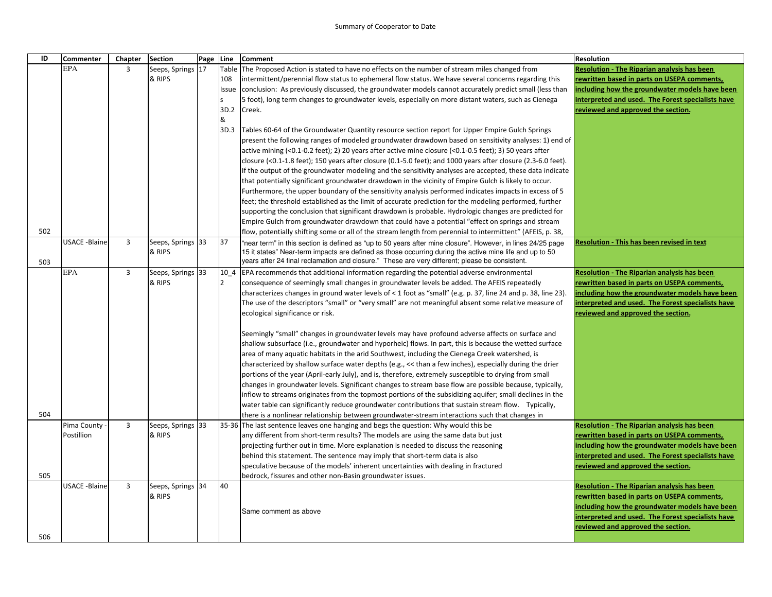| ID  | Commenter            | Chapter        | <b>Section</b>              | Page Line |              | <b>Comment</b>                                                                                                                                                                                                         | <b>Resolution</b>                                                                       |
|-----|----------------------|----------------|-----------------------------|-----------|--------------|------------------------------------------------------------------------------------------------------------------------------------------------------------------------------------------------------------------------|-----------------------------------------------------------------------------------------|
|     | <b>EPA</b>           | $\overline{3}$ | Seeps, Springs 17           |           | Table        | The Proposed Action is stated to have no effects on the number of stream miles changed from                                                                                                                            | Resolution - The Riparian analysis has been                                             |
|     |                      |                | & RIPS                      |           | 108          | intermittent/perennial flow status to ephemeral flow status. We have several concerns regarding this                                                                                                                   | rewritten based in parts on USEPA comments,                                             |
|     |                      |                |                             |           | <b>Issue</b> | conclusion: As previously discussed, the groundwater models cannot accurately predict small (less than                                                                                                                 | including how the groundwater models have been                                          |
|     |                      |                |                             |           |              | 5 foot), long term changes to groundwater levels, especially on more distant waters, such as Cienega                                                                                                                   | interpreted and used. The Forest specialists have                                       |
|     |                      |                |                             |           | 3D.2         | Creek.                                                                                                                                                                                                                 | reviewed and approved the section.                                                      |
|     |                      |                |                             |           | &            |                                                                                                                                                                                                                        |                                                                                         |
|     |                      |                |                             |           | 3D.3         | Tables 60-64 of the Groundwater Quantity resource section report for Upper Empire Gulch Springs                                                                                                                        |                                                                                         |
|     |                      |                |                             |           |              | present the following ranges of modeled groundwater drawdown based on sensitivity analyses: 1) end of                                                                                                                  |                                                                                         |
|     |                      |                |                             |           |              | active mining (<0.1-0.2 feet); 2) 20 years after active mine closure (<0.1-0.5 feet); 3) 50 years after                                                                                                                |                                                                                         |
|     |                      |                |                             |           |              | closure (<0.1-1.8 feet); 150 years after closure (0.1-5.0 feet); and 1000 years after closure (2.3-6.0 feet).                                                                                                          |                                                                                         |
|     |                      |                |                             |           |              | If the output of the groundwater modeling and the sensitivity analyses are accepted, these data indicate                                                                                                               |                                                                                         |
|     |                      |                |                             |           |              | that potentially significant groundwater drawdown in the vicinity of Empire Gulch is likely to occur.                                                                                                                  |                                                                                         |
|     |                      |                |                             |           |              | Furthermore, the upper boundary of the sensitivity analysis performed indicates impacts in excess of 5                                                                                                                 |                                                                                         |
|     |                      |                |                             |           |              | feet; the threshold established as the limit of accurate prediction for the modeling performed, further                                                                                                                |                                                                                         |
|     |                      |                |                             |           |              | supporting the conclusion that significant drawdown is probable. Hydrologic changes are predicted for                                                                                                                  |                                                                                         |
|     |                      |                |                             |           |              | Empire Gulch from groundwater drawdown that could have a potential "effect on springs and stream                                                                                                                       |                                                                                         |
| 502 | <b>USACE -Blaine</b> | $\overline{3}$ |                             |           | 37           | flow, potentially shifting some or all of the stream length from perennial to intermittent" (AFEIS, p. 38,                                                                                                             |                                                                                         |
|     |                      |                | Seeps, Springs 33<br>& RIPS |           |              | "near term" in this section is defined as "up to 50 years after mine closure". However, in lines 24/25 page<br>15 it states" Near-term impacts are defined as those occurring during the active mine life and up to 50 | <b>Resolution - This has been revised in text</b>                                       |
| 503 |                      |                |                             |           |              | years after 24 final reclamation and closure." These are very different; please be consistent.                                                                                                                         |                                                                                         |
|     | <b>EPA</b>           | $\overline{3}$ | Seeps, Springs 33           |           | 10 4         | EPA recommends that additional information regarding the potential adverse environmental                                                                                                                               | <b>Resolution - The Riparian analysis has been</b>                                      |
|     |                      |                | & RIPS                      |           | 12           | consequence of seemingly small changes in groundwater levels be added. The AFEIS repeatedly                                                                                                                            | rewritten based in parts on USEPA comments,                                             |
|     |                      |                |                             |           |              | characterizes changes in ground water levels of < 1 foot as "small" (e.g. p. 37, line 24 and p. 38, line 23).                                                                                                          | including how the groundwater models have been                                          |
|     |                      |                |                             |           |              | The use of the descriptors "small" or "very small" are not meaningful absent some relative measure of                                                                                                                  | interpreted and used. The Forest specialists have                                       |
|     |                      |                |                             |           |              | ecological significance or risk.                                                                                                                                                                                       | reviewed and approved the section.                                                      |
|     |                      |                |                             |           |              |                                                                                                                                                                                                                        |                                                                                         |
|     |                      |                |                             |           |              | Seemingly "small" changes in groundwater levels may have profound adverse affects on surface and                                                                                                                       |                                                                                         |
|     |                      |                |                             |           |              | shallow subsurface (i.e., groundwater and hyporheic) flows. In part, this is because the wetted surface                                                                                                                |                                                                                         |
|     |                      |                |                             |           |              | area of many aquatic habitats in the arid Southwest, including the Cienega Creek watershed, is                                                                                                                         |                                                                                         |
|     |                      |                |                             |           |              | characterized by shallow surface water depths (e.g., << than a few inches), especially during the drier                                                                                                                |                                                                                         |
|     |                      |                |                             |           |              | portions of the year (April-early July), and is, therefore, extremely susceptible to drying from small                                                                                                                 |                                                                                         |
|     |                      |                |                             |           |              | changes in groundwater levels. Significant changes to stream base flow are possible because, typically,                                                                                                                |                                                                                         |
|     |                      |                |                             |           |              | inflow to streams originates from the topmost portions of the subsidizing aquifer; small declines in the                                                                                                               |                                                                                         |
|     |                      |                |                             |           |              | water table can significantly reduce groundwater contributions that sustain stream flow. Typically,                                                                                                                    |                                                                                         |
| 504 |                      |                |                             |           |              | there is a nonlinear relationship between groundwater-stream interactions such that changes in                                                                                                                         |                                                                                         |
|     | Pima County          | $\overline{3}$ | Seeps, Springs 33           |           |              | 35-36 The last sentence leaves one hanging and begs the question: Why would this be                                                                                                                                    | Resolution - The Riparian analysis has been                                             |
|     | Postillion           |                | & RIPS                      |           |              | any different from short-term results? The models are using the same data but just                                                                                                                                     | rewritten based in parts on USEPA comments,                                             |
|     |                      |                |                             |           |              | projecting further out in time. More explanation is needed to discuss the reasoning                                                                                                                                    | including how the groundwater models have been                                          |
|     |                      |                |                             |           |              | behind this statement. The sentence may imply that short-term data is also<br>speculative because of the models' inherent uncertainties with dealing in fractured                                                      | interpreted and used. The Forest specialists have<br>reviewed and approved the section. |
| 505 |                      |                |                             |           |              | bedrock, fissures and other non-Basin groundwater issues.                                                                                                                                                              |                                                                                         |
|     | <b>USACE -Blaine</b> | $\overline{3}$ | Seeps, Springs 34           |           | 40           |                                                                                                                                                                                                                        | Resolution - The Riparian analysis has been                                             |
|     |                      |                | & RIPS                      |           |              |                                                                                                                                                                                                                        | rewritten based in parts on USEPA comments,                                             |
|     |                      |                |                             |           |              |                                                                                                                                                                                                                        | including how the groundwater models have been                                          |
|     |                      |                |                             |           |              | Same comment as above                                                                                                                                                                                                  | interpreted and used. The Forest specialists have                                       |
|     |                      |                |                             |           |              |                                                                                                                                                                                                                        | reviewed and approved the section.                                                      |
| 506 |                      |                |                             |           |              |                                                                                                                                                                                                                        |                                                                                         |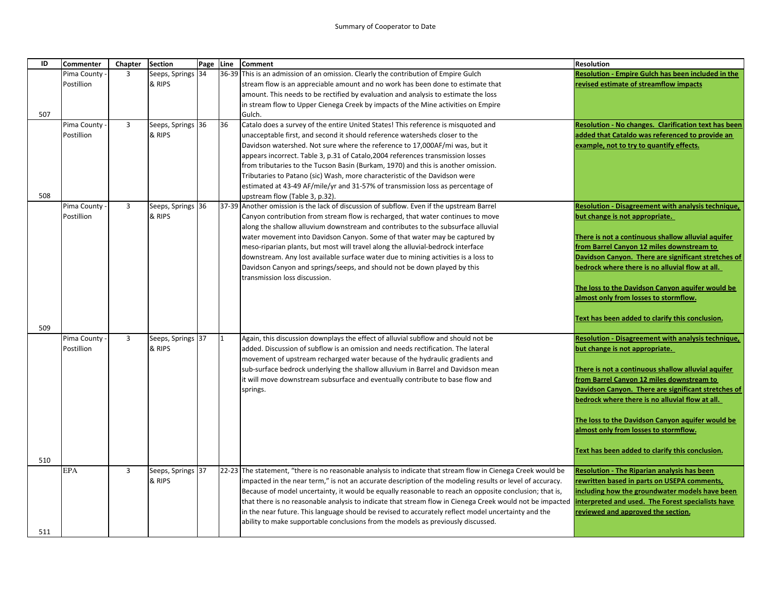| ID  | Commenter   | Chapter        | <b>Section</b>    | Page Line |    | <b>Comment</b>                                                                                                                                                | <b>Resolution</b>                                                                               |
|-----|-------------|----------------|-------------------|-----------|----|---------------------------------------------------------------------------------------------------------------------------------------------------------------|-------------------------------------------------------------------------------------------------|
|     | Pima County | $\overline{3}$ | Seeps, Springs 34 |           |    | 36-39 This is an admission of an omission. Clearly the contribution of Empire Gulch                                                                           | <b>Resolution - Empire Gulch has been included in the</b>                                       |
|     | Postillion  |                | & RIPS            |           |    | stream flow is an appreciable amount and no work has been done to estimate that                                                                               | revised estimate of streamflow impacts                                                          |
|     |             |                |                   |           |    | amount. This needs to be rectified by evaluation and analysis to estimate the loss                                                                            |                                                                                                 |
|     |             |                |                   |           |    | in stream flow to Upper Cienega Creek by impacts of the Mine activities on Empire                                                                             |                                                                                                 |
| 507 |             |                |                   |           |    | Gulch.                                                                                                                                                        |                                                                                                 |
|     | Pima County | $\overline{3}$ | Seeps, Springs 36 |           | 36 | Catalo does a survey of the entire United States! This reference is misquoted and                                                                             | <b>Resolution - No changes. Clarification text has been</b>                                     |
|     | Postillion  |                | & RIPS            |           |    | unacceptable first, and second it should reference watersheds closer to the                                                                                   | added that Cataldo was referenced to provide an                                                 |
|     |             |                |                   |           |    | Davidson watershed. Not sure where the reference to 17,000AF/mi was, but it                                                                                   | example, not to try to quantify effects.                                                        |
|     |             |                |                   |           |    | appears incorrect. Table 3, p.31 of Catalo, 2004 references transmission losses                                                                               |                                                                                                 |
|     |             |                |                   |           |    | from tributaries to the Tucson Basin (Burkam, 1970) and this is another omission.                                                                             |                                                                                                 |
|     |             |                |                   |           |    | Tributaries to Patano (sic) Wash, more characteristic of the Davidson were                                                                                    |                                                                                                 |
|     |             |                |                   |           |    | estimated at 43-49 AF/mile/yr and 31-57% of transmission loss as percentage of                                                                                |                                                                                                 |
| 508 |             |                |                   |           |    | upstream flow (Table 3, p.32).                                                                                                                                |                                                                                                 |
|     | Pima County | $\overline{3}$ | Seeps, Springs 36 |           |    | 37-39 Another omission is the lack of discussion of subflow. Even if the upstream Barrel                                                                      | Resolution - Disagreement with analysis technique,                                              |
|     | Postillion  |                | & RIPS            |           |    | Canyon contribution from stream flow is recharged, that water continues to move                                                                               | but change is not appropriate.                                                                  |
|     |             |                |                   |           |    | along the shallow alluvium downstream and contributes to the subsurface alluvial                                                                              |                                                                                                 |
|     |             |                |                   |           |    | water movement into Davidson Canyon. Some of that water may be captured by<br>meso-riparian plants, but most will travel along the alluvial-bedrock interface | There is not a continuous shallow alluvial aquifer<br>from Barrel Canyon 12 miles downstream to |
|     |             |                |                   |           |    | downstream. Any lost available surface water due to mining activities is a loss to                                                                            | Davidson Canyon. There are significant stretches of                                             |
|     |             |                |                   |           |    | Davidson Canyon and springs/seeps, and should not be down played by this                                                                                      | bedrock where there is no alluvial flow at all.                                                 |
|     |             |                |                   |           |    | transmission loss discussion.                                                                                                                                 |                                                                                                 |
|     |             |                |                   |           |    |                                                                                                                                                               | The loss to the Davidson Canyon aquifer would be                                                |
|     |             |                |                   |           |    |                                                                                                                                                               | almost only from losses to stormflow.                                                           |
|     |             |                |                   |           |    |                                                                                                                                                               |                                                                                                 |
|     |             |                |                   |           |    |                                                                                                                                                               | Text has been added to clarify this conclusion.                                                 |
| 509 |             |                |                   |           |    |                                                                                                                                                               |                                                                                                 |
|     | Pima County | $\overline{3}$ | Seeps, Springs 37 |           |    | Again, this discussion downplays the effect of alluvial subflow and should not be                                                                             | <b>Resolution - Disagreement with analysis technique,</b>                                       |
|     | Postillion  |                | & RIPS            |           |    | added. Discussion of subflow is an omission and needs rectification. The lateral                                                                              | but change is not appropriate.                                                                  |
|     |             |                |                   |           |    | movement of upstream recharged water because of the hydraulic gradients and                                                                                   |                                                                                                 |
|     |             |                |                   |           |    | sub-surface bedrock underlying the shallow alluvium in Barrel and Davidson mean                                                                               | There is not a continuous shallow alluvial aquifer                                              |
|     |             |                |                   |           |    | it will move downstream subsurface and eventually contribute to base flow and                                                                                 | from Barrel Canyon 12 miles downstream to                                                       |
|     |             |                |                   |           |    | springs.                                                                                                                                                      | Davidson Canyon. There are significant stretches of                                             |
|     |             |                |                   |           |    |                                                                                                                                                               | bedrock where there is no alluvial flow at all.                                                 |
|     |             |                |                   |           |    |                                                                                                                                                               |                                                                                                 |
|     |             |                |                   |           |    |                                                                                                                                                               | The loss to the Davidson Canyon aquifer would be                                                |
|     |             |                |                   |           |    |                                                                                                                                                               | almost only from losses to stormflow.                                                           |
|     |             |                |                   |           |    |                                                                                                                                                               |                                                                                                 |
|     |             |                |                   |           |    |                                                                                                                                                               | Text has been added to clarify this conclusion.                                                 |
| 510 | <b>EPA</b>  | $\overline{3}$ | Seeps, Springs 37 |           |    | 22-23 The statement, "there is no reasonable analysis to indicate that stream flow in Cienega Creek would be                                                  | Resolution - The Riparian analysis has been                                                     |
|     |             |                | & RIPS            |           |    | impacted in the near term," is not an accurate description of the modeling results or level of accuracy.                                                      | rewritten based in parts on USEPA comments,                                                     |
|     |             |                |                   |           |    | Because of model uncertainty, it would be equally reasonable to reach an opposite conclusion; that is,                                                        | including how the groundwater models have been                                                  |
|     |             |                |                   |           |    | that there is no reasonable analysis to indicate that stream flow in Cienega Creek would not be impacted                                                      | interpreted and used. The Forest specialists have                                               |
|     |             |                |                   |           |    | in the near future. This language should be revised to accurately reflect model uncertainty and the                                                           | reviewed and approved the section.                                                              |
|     |             |                |                   |           |    | ability to make supportable conclusions from the models as previously discussed.                                                                              |                                                                                                 |
| 511 |             |                |                   |           |    |                                                                                                                                                               |                                                                                                 |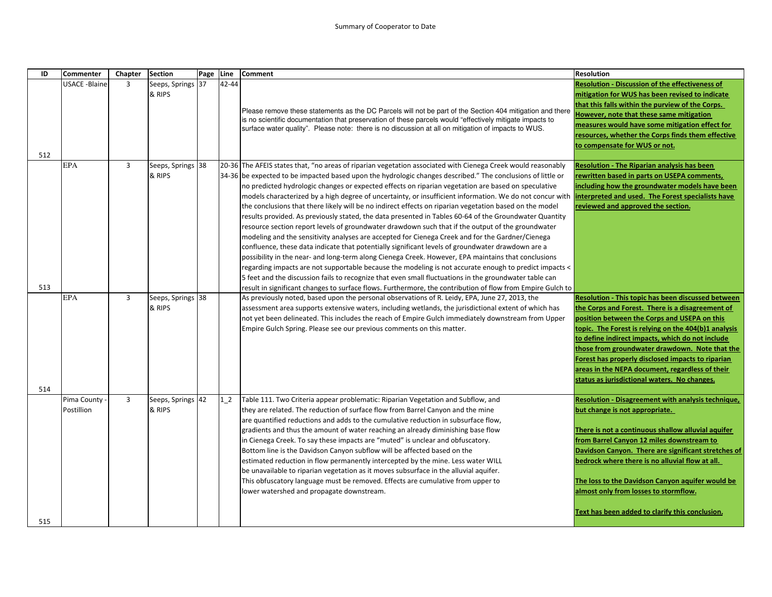| ID  | <b>Commenter</b>          | Chapter        | <b>Section</b>              | Page | Line   | Comment                                                                                                                                                                                                                                                                                                                                                                                                                                                                                                                                                                                                                                                                                                                                                                                                                                                                                                                                                                                                                                                                                                                                                                                                                                                                                                                                                                                                                    | Resolution                                                                                                                                                                                                                                                                                                                                                                                                                                                                          |
|-----|---------------------------|----------------|-----------------------------|------|--------|----------------------------------------------------------------------------------------------------------------------------------------------------------------------------------------------------------------------------------------------------------------------------------------------------------------------------------------------------------------------------------------------------------------------------------------------------------------------------------------------------------------------------------------------------------------------------------------------------------------------------------------------------------------------------------------------------------------------------------------------------------------------------------------------------------------------------------------------------------------------------------------------------------------------------------------------------------------------------------------------------------------------------------------------------------------------------------------------------------------------------------------------------------------------------------------------------------------------------------------------------------------------------------------------------------------------------------------------------------------------------------------------------------------------------|-------------------------------------------------------------------------------------------------------------------------------------------------------------------------------------------------------------------------------------------------------------------------------------------------------------------------------------------------------------------------------------------------------------------------------------------------------------------------------------|
| 512 | <b>USACE -Blaine</b>      | 3              | Seeps, Springs 37<br>& RIPS |      | 42-44  | Please remove these statements as the DC Parcels will not be part of the Section 404 mitigation and there<br>is no scientific documentation that preservation of these parcels would "effectively mitigate impacts to<br>surface water quality". Please note: there is no discussion at all on mitigation of impacts to WUS.                                                                                                                                                                                                                                                                                                                                                                                                                                                                                                                                                                                                                                                                                                                                                                                                                                                                                                                                                                                                                                                                                               | <b>Resolution - Discussion of the effectiveness of</b><br>mitigation for WUS has been revised to indicate<br>that this falls within the purview of the Corps.<br>lowever, note that these same mitigation<br>measures would have some mitigation effect for<br>resources, whether the Corps finds them effective<br>to compensate for WUS or not.                                                                                                                                   |
| 513 | <b>EPA</b>                | $\overline{3}$ | Seeps, Springs 38<br>& RIPS |      |        | 20-36 The AFEIS states that, "no areas of riparian vegetation associated with Cienega Creek would reasonably<br>34-36 be expected to be impacted based upon the hydrologic changes described." The conclusions of little or<br>no predicted hydrologic changes or expected effects on riparian vegetation are based on speculative<br>models characterized by a high degree of uncertainty, or insufficient information. We do not concur with<br>the conclusions that there likely will be no indirect effects on riparian vegetation based on the model<br>results provided. As previously stated, the data presented in Tables 60-64 of the Groundwater Quantity<br>resource section report levels of groundwater drawdown such that if the output of the groundwater<br>modeling and the sensitivity analyses are accepted for Cienega Creek and for the Gardner/Cienega<br>confluence, these data indicate that potentially significant levels of groundwater drawdown are a<br>possibility in the near- and long-term along Cienega Creek. However, EPA maintains that conclusions<br>regarding impacts are not supportable because the modeling is not accurate enough to predict impacts <<br>5 feet and the discussion fails to recognize that even small fluctuations in the groundwater table can<br>result in significant changes to surface flows. Furthermore, the contribution of flow from Empire Gulch to | <b>Resolution - The Riparian analysis has been</b><br>rewritten based in parts on USEPA comments,<br>ncluding how the groundwater models have been<br>nterpreted and used. The Forest specialists have<br>reviewed and approved the section.                                                                                                                                                                                                                                        |
| 514 | <b>EPA</b>                | $\overline{3}$ | Seeps, Springs 38<br>& RIPS |      |        | As previously noted, based upon the personal observations of R. Leidy, EPA, June 27, 2013, the<br>assessment area supports extensive waters, including wetlands, the jurisdictional extent of which has<br>not yet been delineated. This includes the reach of Empire Gulch immediately downstream from Upper<br>Empire Gulch Spring. Please see our previous comments on this matter.                                                                                                                                                                                                                                                                                                                                                                                                                                                                                                                                                                                                                                                                                                                                                                                                                                                                                                                                                                                                                                     | <b>Resolution - This topic has been discussed between</b><br>the Corps and Forest. There is a disagreement of<br>position between the Corps and USEPA on this<br>topic. The Forest is relying on the 404(b)1 analysis<br>to define indirect impacts, which do not include<br>those from groundwater drawdown. Note that the<br>Forest has properly disclosed impacts to riparian<br>areas in the NEPA document, regardless of their<br>status as jurisdictional waters. No changes. |
|     | Pima County<br>Postillion | $\overline{3}$ | Seeps, Springs<br>& RIPS    | 42   | $1\,2$ | Table 111. Two Criteria appear problematic: Riparian Vegetation and Subflow, and<br>they are related. The reduction of surface flow from Barrel Canyon and the mine<br>are quantified reductions and adds to the cumulative reduction in subsurface flow,<br>gradients and thus the amount of water reaching an already diminishing base flow<br>in Cienega Creek. To say these impacts are "muted" is unclear and obfuscatory.<br>Bottom line is the Davidson Canyon subflow will be affected based on the<br>estimated reduction in flow permanently intercepted by the mine. Less water WILL<br>be unavailable to riparian vegetation as it moves subsurface in the alluvial aquifer.<br>This obfuscatory language must be removed. Effects are cumulative from upper to<br>lower watershed and propagate downstream.                                                                                                                                                                                                                                                                                                                                                                                                                                                                                                                                                                                                   | Resolution - Disagreement with analysis technique,<br>but change is not appropriate.<br>There is not a continuous shallow alluvial aquifer<br>from Barrel Canyon 12 miles downstream to<br>Davidson Canyon. There are significant stretches of<br>bedrock where there is no alluvial flow at all.<br>The loss to the Davidson Canyon aquifer would be<br>almost only from losses to stormflow.<br>Text has been added to clarify this conclusion.                                   |
| 515 |                           |                |                             |      |        |                                                                                                                                                                                                                                                                                                                                                                                                                                                                                                                                                                                                                                                                                                                                                                                                                                                                                                                                                                                                                                                                                                                                                                                                                                                                                                                                                                                                                            |                                                                                                                                                                                                                                                                                                                                                                                                                                                                                     |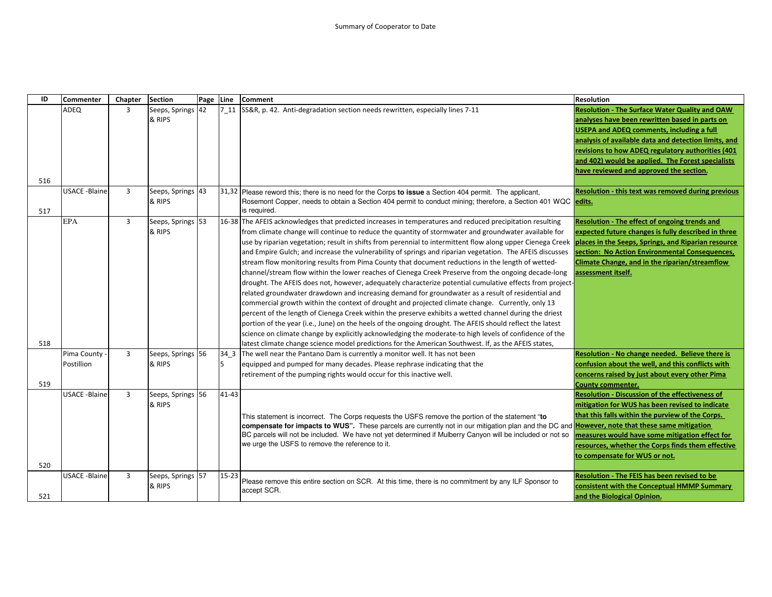| ID  | Commenter            | Chapter        | <b>Section</b>    | Page | Line      | <b>Comment</b>                                                                                                                                                 | <b>Resolution</b>                                     |
|-----|----------------------|----------------|-------------------|------|-----------|----------------------------------------------------------------------------------------------------------------------------------------------------------------|-------------------------------------------------------|
|     | ADEQ                 | 3              | Seeps, Springs 42 |      |           | 7 11 SS&R, p. 42. Anti-degradation section needs rewritten, especially lines 7-11                                                                              | <b>Resolution - The Surface Water Quality and OAW</b> |
|     |                      |                | & RIPS            |      |           |                                                                                                                                                                | analyses have been rewritten based in parts on        |
|     |                      |                |                   |      |           |                                                                                                                                                                | <b>USEPA and ADEQ comments, including a full</b>      |
|     |                      |                |                   |      |           |                                                                                                                                                                | analysis of available data and detection limits, and  |
|     |                      |                |                   |      |           |                                                                                                                                                                | revisions to how ADEQ regulatory authorities (401     |
|     |                      |                |                   |      |           |                                                                                                                                                                | and 402) would be applied. The Forest specialists     |
|     |                      |                |                   |      |           |                                                                                                                                                                | have reviewed and approved the section.               |
| 516 |                      |                |                   |      |           |                                                                                                                                                                |                                                       |
|     | <b>USACE -Blaine</b> | $\overline{3}$ | Seeps, Springs 43 |      |           | 31,32 Please reword this; there is no need for the Corps to issue a Section 404 permit. The applicant,                                                         | Resolution - this text was removed during previous    |
|     |                      |                | & RIPS            |      |           | Rosemont Copper, needs to obtain a Section 404 permit to conduct mining; therefore, a Section 401 WQC edits.                                                   |                                                       |
| 517 |                      |                |                   |      |           | is required.                                                                                                                                                   |                                                       |
|     | <b>EPA</b>           | $\overline{3}$ | Seeps, Springs 53 |      |           | 16-38 The AFEIS acknowledges that predicted increases in temperatures and reduced precipitation resulting                                                      | Resolution - The effect of ongoing trends and         |
|     |                      |                | & RIPS            |      |           | from climate change will continue to reduce the quantity of stormwater and groundwater available for                                                           | expected future changes is fully described in three   |
|     |                      |                |                   |      |           | use by riparian vegetation; result in shifts from perennial to intermittent flow along upper Cienega Creek places in the Seeps, Springs, and Riparian resource |                                                       |
|     |                      |                |                   |      |           | and Empire Gulch; and increase the vulnerability of springs and riparian vegetation. The AFEIS discusses                                                       | section: No Action Environmental Consequences,        |
|     |                      |                |                   |      |           | stream flow monitoring results from Pima County that document reductions in the length of wetted-                                                              | Climate Change, and in the riparian/streamflow        |
|     |                      |                |                   |      |           | channel/stream flow within the lower reaches of Cienega Creek Preserve from the ongoing decade-long                                                            | assessment itself.                                    |
|     |                      |                |                   |      |           | drought. The AFEIS does not, however, adequately characterize potential cumulative effects from project-                                                       |                                                       |
|     |                      |                |                   |      |           | related groundwater drawdown and increasing demand for groundwater as a result of residential and                                                              |                                                       |
|     |                      |                |                   |      |           | commercial growth within the context of drought and projected climate change. Currently, only 13                                                               |                                                       |
|     |                      |                |                   |      |           | percent of the length of Cienega Creek within the preserve exhibits a wetted channel during the driest                                                         |                                                       |
|     |                      |                |                   |      |           | portion of the year (i.e., June) on the heels of the ongoing drought. The AFEIS should reflect the latest                                                      |                                                       |
|     |                      |                |                   |      |           | science on climate change by explicitly acknowledging the moderate-to high levels of confidence of the                                                         |                                                       |
| 518 |                      |                |                   |      |           | latest climate change science model predictions for the American Southwest. If, as the AFEIS states,                                                           |                                                       |
|     | Pima County          | $\overline{3}$ | Seeps, Springs 56 |      | 34 3      | The well near the Pantano Dam is currently a monitor well. It has not been                                                                                     | Resolution - No change needed. Believe there is       |
|     | Postillion           |                | & RIPS            |      | 5         | equipped and pumped for many decades. Please rephrase indicating that the                                                                                      | confusion about the well, and this conflicts with     |
|     |                      |                |                   |      |           | retirement of the pumping rights would occur for this inactive well.                                                                                           | concerns raised by just about every other Pima        |
| 519 |                      |                |                   |      |           |                                                                                                                                                                | <b>County commenter.</b>                              |
|     | <b>USACE -Blaine</b> | $\overline{3}$ | Seeps, Springs 56 |      | 41-43     |                                                                                                                                                                | Resolution - Discussion of the effectiveness of       |
|     |                      |                | & RIPS            |      |           |                                                                                                                                                                | mitigation for WUS has been revised to indicate       |
|     |                      |                |                   |      |           | This statement is incorrect. The Corps requests the USFS remove the portion of the statement "to                                                               | that this falls within the purview of the Corps.      |
|     |                      |                |                   |      |           | compensate for impacts to WUS". These parcels are currently not in our mitigation plan and the DC and <b>However, note that these same mitigation</b>          |                                                       |
|     |                      |                |                   |      |           | BC parcels will not be included. We have not yet determined if Mulberry Canyon will be included or not so                                                      | measures would have some mitigation effect for        |
|     |                      |                |                   |      |           | we urge the USFS to remove the reference to it.                                                                                                                | resources, whether the Corps finds them effective     |
|     |                      |                |                   |      |           |                                                                                                                                                                | to compensate for WUS or not.                         |
| 520 |                      |                |                   |      |           |                                                                                                                                                                |                                                       |
|     | <b>USACE -Blaine</b> | 3              | Seeps, Springs 57 |      | $15 - 23$ |                                                                                                                                                                | <b>Resolution - The FEIS has been revised to be</b>   |
|     |                      |                | & RIPS            |      |           | Please remove this entire section on SCR. At this time, there is no commitment by any ILF Sponsor to                                                           | consistent with the Conceptual HMMP Summary           |
| 521 |                      |                |                   |      |           | accept SCR.                                                                                                                                                    | and the Biological Opinion.                           |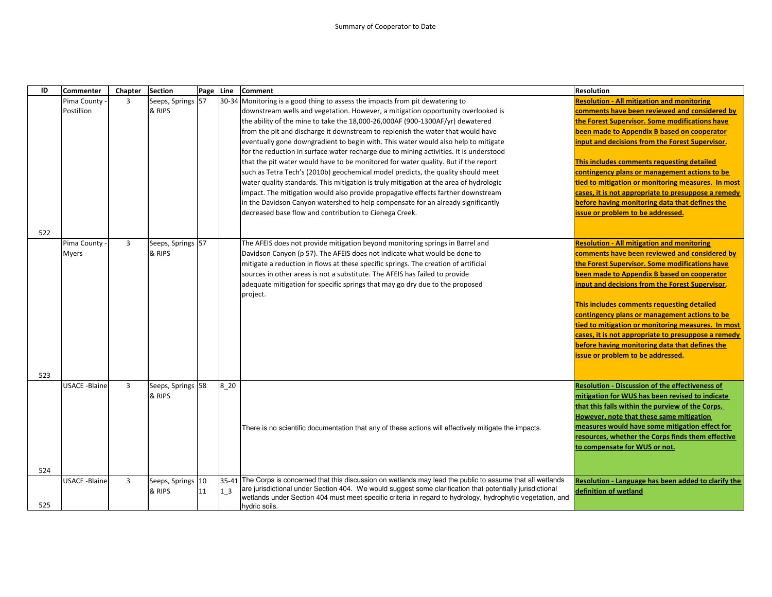| 30-34 Monitoring is a good thing to assess the impacts from pit dewatering to<br>$\overline{3}$<br>Seeps, Springs<br><b>Resolution - All mitigation and monitoring</b><br>Pima County<br>57<br>Postillion<br>& RIPS<br>downstream wells and vegetation. However, a mitigation opportunity overlooked is<br>the Forest Supervisor. Some modifications have<br>the ability of the mine to take the 18,000-26,000AF (900-1300AF/yr) dewatered<br>been made to Appendix B based on cooperator<br>from the pit and discharge it downstream to replenish the water that would have<br>eventually gone downgradient to begin with. This water would also help to mitigate<br>input and decisions from the Forest Supervisor.<br>for the reduction in surface water recharge due to mining activities. It is understood<br>This includes comments requesting detailed<br>that the pit water would have to be monitored for water quality. But if the report<br>contingency plans or management actions to be<br>such as Tetra Tech's (2010b) geochemical model predicts, the quality should meet<br>water quality standards. This mitigation is truly mitigation at the area of hydrologic<br>impact. The mitigation would also provide propagative effects farther downstream<br>in the Davidson Canyon watershed to help compensate for an already significantly<br>before having monitoring data that defines the<br>decreased base flow and contribution to Cienega Creek.<br>issue or problem to be addressed. | ID | <b>Commenter</b> | Chapter | <b>Section</b> | Page Line | <b>Comment</b> | <b>Resolution</b>                                   |
|-------------------------------------------------------------------------------------------------------------------------------------------------------------------------------------------------------------------------------------------------------------------------------------------------------------------------------------------------------------------------------------------------------------------------------------------------------------------------------------------------------------------------------------------------------------------------------------------------------------------------------------------------------------------------------------------------------------------------------------------------------------------------------------------------------------------------------------------------------------------------------------------------------------------------------------------------------------------------------------------------------------------------------------------------------------------------------------------------------------------------------------------------------------------------------------------------------------------------------------------------------------------------------------------------------------------------------------------------------------------------------------------------------------------------------------------------------------------------------------------------------------|----|------------------|---------|----------------|-----------|----------------|-----------------------------------------------------|
|                                                                                                                                                                                                                                                                                                                                                                                                                                                                                                                                                                                                                                                                                                                                                                                                                                                                                                                                                                                                                                                                                                                                                                                                                                                                                                                                                                                                                                                                                                             |    |                  |         |                |           |                |                                                     |
|                                                                                                                                                                                                                                                                                                                                                                                                                                                                                                                                                                                                                                                                                                                                                                                                                                                                                                                                                                                                                                                                                                                                                                                                                                                                                                                                                                                                                                                                                                             |    |                  |         |                |           |                | comments have been reviewed and considered by       |
|                                                                                                                                                                                                                                                                                                                                                                                                                                                                                                                                                                                                                                                                                                                                                                                                                                                                                                                                                                                                                                                                                                                                                                                                                                                                                                                                                                                                                                                                                                             |    |                  |         |                |           |                |                                                     |
|                                                                                                                                                                                                                                                                                                                                                                                                                                                                                                                                                                                                                                                                                                                                                                                                                                                                                                                                                                                                                                                                                                                                                                                                                                                                                                                                                                                                                                                                                                             |    |                  |         |                |           |                |                                                     |
|                                                                                                                                                                                                                                                                                                                                                                                                                                                                                                                                                                                                                                                                                                                                                                                                                                                                                                                                                                                                                                                                                                                                                                                                                                                                                                                                                                                                                                                                                                             |    |                  |         |                |           |                |                                                     |
|                                                                                                                                                                                                                                                                                                                                                                                                                                                                                                                                                                                                                                                                                                                                                                                                                                                                                                                                                                                                                                                                                                                                                                                                                                                                                                                                                                                                                                                                                                             |    |                  |         |                |           |                |                                                     |
|                                                                                                                                                                                                                                                                                                                                                                                                                                                                                                                                                                                                                                                                                                                                                                                                                                                                                                                                                                                                                                                                                                                                                                                                                                                                                                                                                                                                                                                                                                             |    |                  |         |                |           |                |                                                     |
|                                                                                                                                                                                                                                                                                                                                                                                                                                                                                                                                                                                                                                                                                                                                                                                                                                                                                                                                                                                                                                                                                                                                                                                                                                                                                                                                                                                                                                                                                                             |    |                  |         |                |           |                |                                                     |
|                                                                                                                                                                                                                                                                                                                                                                                                                                                                                                                                                                                                                                                                                                                                                                                                                                                                                                                                                                                                                                                                                                                                                                                                                                                                                                                                                                                                                                                                                                             |    |                  |         |                |           |                | tied to mitigation or monitoring measures. In most  |
|                                                                                                                                                                                                                                                                                                                                                                                                                                                                                                                                                                                                                                                                                                                                                                                                                                                                                                                                                                                                                                                                                                                                                                                                                                                                                                                                                                                                                                                                                                             |    |                  |         |                |           |                | cases, it is not appropriate to presuppose a remedy |
|                                                                                                                                                                                                                                                                                                                                                                                                                                                                                                                                                                                                                                                                                                                                                                                                                                                                                                                                                                                                                                                                                                                                                                                                                                                                                                                                                                                                                                                                                                             |    |                  |         |                |           |                |                                                     |
|                                                                                                                                                                                                                                                                                                                                                                                                                                                                                                                                                                                                                                                                                                                                                                                                                                                                                                                                                                                                                                                                                                                                                                                                                                                                                                                                                                                                                                                                                                             |    |                  |         |                |           |                |                                                     |
|                                                                                                                                                                                                                                                                                                                                                                                                                                                                                                                                                                                                                                                                                                                                                                                                                                                                                                                                                                                                                                                                                                                                                                                                                                                                                                                                                                                                                                                                                                             |    |                  |         |                |           |                |                                                     |
| 522                                                                                                                                                                                                                                                                                                                                                                                                                                                                                                                                                                                                                                                                                                                                                                                                                                                                                                                                                                                                                                                                                                                                                                                                                                                                                                                                                                                                                                                                                                         |    |                  |         |                |           |                |                                                     |
| $\overline{3}$<br>Pima County<br>Seeps, Springs 57<br><b>Resolution - All mitigation and monitoring</b><br>The AFEIS does not provide mitigation beyond monitoring springs in Barrel and                                                                                                                                                                                                                                                                                                                                                                                                                                                                                                                                                                                                                                                                                                                                                                                                                                                                                                                                                                                                                                                                                                                                                                                                                                                                                                                    |    |                  |         |                |           |                |                                                     |
| & RIPS<br>Davidson Canyon (p 57). The AFEIS does not indicate what would be done to<br><b>Myers</b>                                                                                                                                                                                                                                                                                                                                                                                                                                                                                                                                                                                                                                                                                                                                                                                                                                                                                                                                                                                                                                                                                                                                                                                                                                                                                                                                                                                                         |    |                  |         |                |           |                | comments have been reviewed and considered by       |
| the Forest Supervisor. Some modifications have<br>mitigate a reduction in flows at these specific springs. The creation of artificial                                                                                                                                                                                                                                                                                                                                                                                                                                                                                                                                                                                                                                                                                                                                                                                                                                                                                                                                                                                                                                                                                                                                                                                                                                                                                                                                                                       |    |                  |         |                |           |                |                                                     |
| sources in other areas is not a substitute. The AFEIS has failed to provide<br>been made to Appendix B based on cooperator                                                                                                                                                                                                                                                                                                                                                                                                                                                                                                                                                                                                                                                                                                                                                                                                                                                                                                                                                                                                                                                                                                                                                                                                                                                                                                                                                                                  |    |                  |         |                |           |                |                                                     |
| adequate mitigation for specific springs that may go dry due to the proposed<br>input and decisions from the Forest Supervisor.                                                                                                                                                                                                                                                                                                                                                                                                                                                                                                                                                                                                                                                                                                                                                                                                                                                                                                                                                                                                                                                                                                                                                                                                                                                                                                                                                                             |    |                  |         |                |           |                |                                                     |
| project.                                                                                                                                                                                                                                                                                                                                                                                                                                                                                                                                                                                                                                                                                                                                                                                                                                                                                                                                                                                                                                                                                                                                                                                                                                                                                                                                                                                                                                                                                                    |    |                  |         |                |           |                |                                                     |
| This includes comments requesting detailed                                                                                                                                                                                                                                                                                                                                                                                                                                                                                                                                                                                                                                                                                                                                                                                                                                                                                                                                                                                                                                                                                                                                                                                                                                                                                                                                                                                                                                                                  |    |                  |         |                |           |                |                                                     |
| contingency plans or management actions to be                                                                                                                                                                                                                                                                                                                                                                                                                                                                                                                                                                                                                                                                                                                                                                                                                                                                                                                                                                                                                                                                                                                                                                                                                                                                                                                                                                                                                                                               |    |                  |         |                |           |                |                                                     |
|                                                                                                                                                                                                                                                                                                                                                                                                                                                                                                                                                                                                                                                                                                                                                                                                                                                                                                                                                                                                                                                                                                                                                                                                                                                                                                                                                                                                                                                                                                             |    |                  |         |                |           |                | tied to mitigation or monitoring measures. In most  |
|                                                                                                                                                                                                                                                                                                                                                                                                                                                                                                                                                                                                                                                                                                                                                                                                                                                                                                                                                                                                                                                                                                                                                                                                                                                                                                                                                                                                                                                                                                             |    |                  |         |                |           |                | cases, it is not appropriate to presuppose a remedy |
| before having monitoring data that defines the                                                                                                                                                                                                                                                                                                                                                                                                                                                                                                                                                                                                                                                                                                                                                                                                                                                                                                                                                                                                                                                                                                                                                                                                                                                                                                                                                                                                                                                              |    |                  |         |                |           |                |                                                     |
| issue or problem to be addressed.                                                                                                                                                                                                                                                                                                                                                                                                                                                                                                                                                                                                                                                                                                                                                                                                                                                                                                                                                                                                                                                                                                                                                                                                                                                                                                                                                                                                                                                                           |    |                  |         |                |           |                |                                                     |
|                                                                                                                                                                                                                                                                                                                                                                                                                                                                                                                                                                                                                                                                                                                                                                                                                                                                                                                                                                                                                                                                                                                                                                                                                                                                                                                                                                                                                                                                                                             |    |                  |         |                |           |                |                                                     |
| 523                                                                                                                                                                                                                                                                                                                                                                                                                                                                                                                                                                                                                                                                                                                                                                                                                                                                                                                                                                                                                                                                                                                                                                                                                                                                                                                                                                                                                                                                                                         |    |                  |         |                |           |                |                                                     |
| $\overline{3}$<br>8 20<br><b>USACE -Blaine</b><br>Seeps, Springs 58<br><b>Resolution - Discussion of the effectiveness of</b>                                                                                                                                                                                                                                                                                                                                                                                                                                                                                                                                                                                                                                                                                                                                                                                                                                                                                                                                                                                                                                                                                                                                                                                                                                                                                                                                                                               |    |                  |         |                |           |                |                                                     |
| & RIPS<br>mitigation for WUS has been revised to indicate                                                                                                                                                                                                                                                                                                                                                                                                                                                                                                                                                                                                                                                                                                                                                                                                                                                                                                                                                                                                                                                                                                                                                                                                                                                                                                                                                                                                                                                   |    |                  |         |                |           |                |                                                     |
| that this falls within the purview of the Corps.                                                                                                                                                                                                                                                                                                                                                                                                                                                                                                                                                                                                                                                                                                                                                                                                                                                                                                                                                                                                                                                                                                                                                                                                                                                                                                                                                                                                                                                            |    |                  |         |                |           |                |                                                     |
| However, note that these same mitigation                                                                                                                                                                                                                                                                                                                                                                                                                                                                                                                                                                                                                                                                                                                                                                                                                                                                                                                                                                                                                                                                                                                                                                                                                                                                                                                                                                                                                                                                    |    |                  |         |                |           |                |                                                     |
| measures would have some mitigation effect for<br>There is no scientific documentation that any of these actions will effectively mitigate the impacts.                                                                                                                                                                                                                                                                                                                                                                                                                                                                                                                                                                                                                                                                                                                                                                                                                                                                                                                                                                                                                                                                                                                                                                                                                                                                                                                                                     |    |                  |         |                |           |                |                                                     |
|                                                                                                                                                                                                                                                                                                                                                                                                                                                                                                                                                                                                                                                                                                                                                                                                                                                                                                                                                                                                                                                                                                                                                                                                                                                                                                                                                                                                                                                                                                             |    |                  |         |                |           |                | resources, whether the Corps finds them effective   |
| to compensate for WUS or not.                                                                                                                                                                                                                                                                                                                                                                                                                                                                                                                                                                                                                                                                                                                                                                                                                                                                                                                                                                                                                                                                                                                                                                                                                                                                                                                                                                                                                                                                               |    |                  |         |                |           |                |                                                     |
|                                                                                                                                                                                                                                                                                                                                                                                                                                                                                                                                                                                                                                                                                                                                                                                                                                                                                                                                                                                                                                                                                                                                                                                                                                                                                                                                                                                                                                                                                                             |    |                  |         |                |           |                |                                                     |
| 524                                                                                                                                                                                                                                                                                                                                                                                                                                                                                                                                                                                                                                                                                                                                                                                                                                                                                                                                                                                                                                                                                                                                                                                                                                                                                                                                                                                                                                                                                                         |    |                  |         |                |           |                |                                                     |
| The Corps is concerned that this discussion on wetlands may lead the public to assume that all wetlands<br>3<br>10<br>35-41<br><b>USACE -Blaine</b><br>Seeps, Springs                                                                                                                                                                                                                                                                                                                                                                                                                                                                                                                                                                                                                                                                                                                                                                                                                                                                                                                                                                                                                                                                                                                                                                                                                                                                                                                                       |    |                  |         |                |           |                | Resolution - Language has been added to clarify the |
| are jurisdictional under Section 404. We would suggest some clarification that potentially jurisdictional<br>& RIPS<br>1 <sub>3</sub><br>definition of wetland<br>11                                                                                                                                                                                                                                                                                                                                                                                                                                                                                                                                                                                                                                                                                                                                                                                                                                                                                                                                                                                                                                                                                                                                                                                                                                                                                                                                        |    |                  |         |                |           |                |                                                     |
| wetlands under Section 404 must meet specific criteria in regard to hydrology, hydrophytic vegetation, and<br>525<br>hydric soils.                                                                                                                                                                                                                                                                                                                                                                                                                                                                                                                                                                                                                                                                                                                                                                                                                                                                                                                                                                                                                                                                                                                                                                                                                                                                                                                                                                          |    |                  |         |                |           |                |                                                     |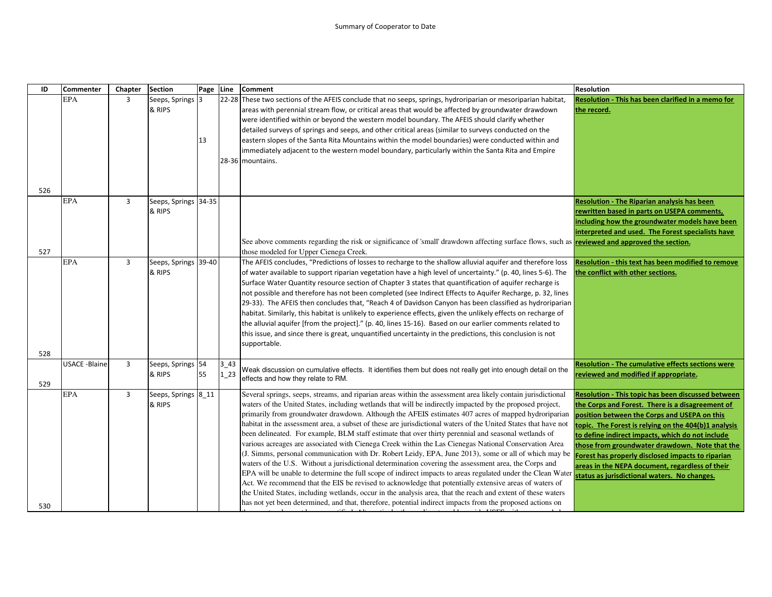| ID  | <b>Commenter</b>     | Chapter        | <b>Section</b>                 | Page Line |                    | <b>Comment</b>                                                                                                                                                                                                                                                                                                                                                                                                                                                                                                                                                                                                                                                                                                                                                                                                                                                                                                                                                                                                                                                                                                                                                                                                                                                                                                                              | <b>Resolution</b>                                                                                                                                                                                                                                                                                                                                                                                                                                                            |
|-----|----------------------|----------------|--------------------------------|-----------|--------------------|---------------------------------------------------------------------------------------------------------------------------------------------------------------------------------------------------------------------------------------------------------------------------------------------------------------------------------------------------------------------------------------------------------------------------------------------------------------------------------------------------------------------------------------------------------------------------------------------------------------------------------------------------------------------------------------------------------------------------------------------------------------------------------------------------------------------------------------------------------------------------------------------------------------------------------------------------------------------------------------------------------------------------------------------------------------------------------------------------------------------------------------------------------------------------------------------------------------------------------------------------------------------------------------------------------------------------------------------|------------------------------------------------------------------------------------------------------------------------------------------------------------------------------------------------------------------------------------------------------------------------------------------------------------------------------------------------------------------------------------------------------------------------------------------------------------------------------|
|     | <b>EPA</b>           | $\overline{3}$ | Seeps, Springs<br>& RIPS       | 3<br>13   |                    | 22-28 These two sections of the AFEIS conclude that no seeps, springs, hydroriparian or mesoriparian habitat,<br>areas with perennial stream flow, or critical areas that would be affected by groundwater drawdown<br>were identified within or beyond the western model boundary. The AFEIS should clarify whether<br>detailed surveys of springs and seeps, and other critical areas (similar to surveys conducted on the<br>eastern slopes of the Santa Rita Mountains within the model boundaries) were conducted within and                                                                                                                                                                                                                                                                                                                                                                                                                                                                                                                                                                                                                                                                                                                                                                                                           | Resolution - This has been clarified in a memo for<br>the record.                                                                                                                                                                                                                                                                                                                                                                                                            |
| 526 |                      |                |                                |           |                    | immediately adjacent to the western model boundary, particularly within the Santa Rita and Empire<br>28-36 mountains.                                                                                                                                                                                                                                                                                                                                                                                                                                                                                                                                                                                                                                                                                                                                                                                                                                                                                                                                                                                                                                                                                                                                                                                                                       |                                                                                                                                                                                                                                                                                                                                                                                                                                                                              |
|     | <b>EPA</b>           | $\overline{3}$ | Seeps, Springs 34-35<br>& RIPS |           |                    | See above comments regarding the risk or significance of 'small' drawdown affecting surface flows, such as <b>reviewed and approved the section.</b>                                                                                                                                                                                                                                                                                                                                                                                                                                                                                                                                                                                                                                                                                                                                                                                                                                                                                                                                                                                                                                                                                                                                                                                        | <b>Resolution - The Riparian analysis has been</b><br>rewritten based in parts on USEPA comments,<br>including how the groundwater models have been<br>interpreted and used. The Forest specialists have                                                                                                                                                                                                                                                                     |
| 527 |                      |                |                                |           |                    | those modeled for Upper Cienega Creek.                                                                                                                                                                                                                                                                                                                                                                                                                                                                                                                                                                                                                                                                                                                                                                                                                                                                                                                                                                                                                                                                                                                                                                                                                                                                                                      |                                                                                                                                                                                                                                                                                                                                                                                                                                                                              |
| 528 | <b>EPA</b>           | $\overline{3}$ | Seeps, Springs<br>& RIPS       | 39-40     |                    | The AFEIS concludes, "Predictions of losses to recharge to the shallow alluvial aquifer and therefore loss<br>of water available to support riparian vegetation have a high level of uncertainty." (p. 40, lines 5-6). The<br>Surface Water Quantity resource section of Chapter 3 states that quantification of aquifer recharge is<br>not possible and therefore has not been completed (see Indirect Effects to Aquifer Recharge, p. 32, lines<br>29-33). The AFEIS then concludes that, "Reach 4 of Davidson Canyon has been classified as hydroriparian<br>habitat. Similarly, this habitat is unlikely to experience effects, given the unlikely effects on recharge of<br>the alluvial aquifer [from the project]." (p. 40, lines 15-16). Based on our earlier comments related to<br>this issue, and since there is great, unquantified uncertainty in the predictions, this conclusion is not<br>supportable.                                                                                                                                                                                                                                                                                                                                                                                                                      | Resolution - this text has been modified to remove<br>the conflict with other sections.                                                                                                                                                                                                                                                                                                                                                                                      |
| 529 | <b>USACE -Blaine</b> | $\overline{3}$ | Seeps, Springs<br>& RIPS       | 54<br>55  | $3 - 43$<br>$1_23$ | Weak discussion on cumulative effects. It identifies them but does not really get into enough detail on the<br>effects and how they relate to RM.                                                                                                                                                                                                                                                                                                                                                                                                                                                                                                                                                                                                                                                                                                                                                                                                                                                                                                                                                                                                                                                                                                                                                                                           | <b>Resolution - The cumulative effects sections were</b><br>reviewed and modified if appropriate.                                                                                                                                                                                                                                                                                                                                                                            |
| 530 | <b>EPA</b>           | $\overline{3}$ | Seeps, Springs 8_11<br>& RIPS  |           |                    | Several springs, seeps, streams, and riparian areas within the assessment area likely contain jurisdictional<br>waters of the United States, including wetlands that will be indirectly impacted by the proposed project,<br>primarily from groundwater drawdown. Although the AFEIS estimates 407 acres of mapped hydroriparian<br>habitat in the assessment area, a subset of these are jurisdictional waters of the United States that have not<br>been delineated. For example, BLM staff estimate that over thirty perennial and seasonal wetlands of<br>various acreages are associated with Cienega Creek within the Las Cienegas National Conservation Area<br>(J. Simms, personal communication with Dr. Robert Leidy, EPA, June 2013), some or all of which may be<br>waters of the U.S. Without a jurisdictional determination covering the assessment area, the Corps and<br>EPA will be unable to determine the full scope of indirect impacts to areas regulated under the Clean Water<br>Act. We recommend that the EIS be revised to acknowledge that potentially extensive areas of waters of<br>the United States, including wetlands, occur in the analysis area, that the reach and extent of these waters<br>has not yet been determined, and that, therefore, potential indirect impacts from the proposed actions on | Resolution - This topic has been discussed between<br>the Corps and Forest. There is a disagreement of<br>position between the Corps and USEPA on this<br>topic. The Forest is relying on the 404(b)1 analysis<br>to define indirect impacts, which do not include<br>those from groundwater drawdown. Note that the<br>Forest has properly disclosed impacts to riparian<br>areas in the NEPA document, regardless of their<br>status as jurisdictional waters. No changes. |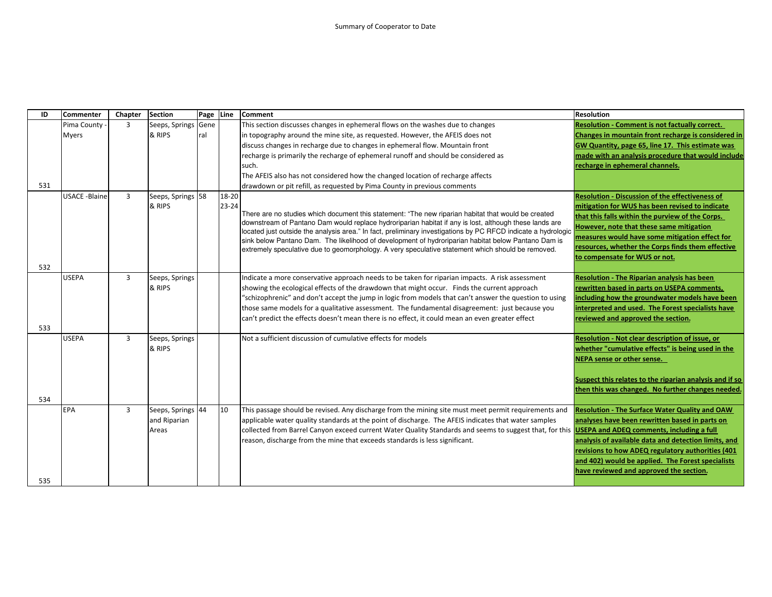| ID  | <b>Commenter</b>     | Chapter        | <b>Section</b>    | Page | Line      | <b>Comment</b>                                                                                                                                                                                                          | <b>Resolution</b>                                       |
|-----|----------------------|----------------|-------------------|------|-----------|-------------------------------------------------------------------------------------------------------------------------------------------------------------------------------------------------------------------------|---------------------------------------------------------|
|     | Pima County          | $\overline{3}$ | Seeps, Springs    | Gene |           | This section discusses changes in ephemeral flows on the washes due to changes                                                                                                                                          | <b>Resolution - Comment is not factually correct.</b>   |
|     | <b>Myers</b>         |                | & RIPS            | ral  |           | in topography around the mine site, as requested. However, the AFEIS does not                                                                                                                                           | Changes in mountain front recharge is considered in     |
|     |                      |                |                   |      |           | discuss changes in recharge due to changes in ephemeral flow. Mountain front                                                                                                                                            | GW Quantity, page 65, line 17. This estimate was        |
|     |                      |                |                   |      |           | recharge is primarily the recharge of ephemeral runoff and should be considered as                                                                                                                                      | made with an analysis procedure that would include      |
|     |                      |                |                   |      |           | such.                                                                                                                                                                                                                   | recharge in ephemeral channels.                         |
|     |                      |                |                   |      |           | The AFEIS also has not considered how the changed location of recharge affects                                                                                                                                          |                                                         |
| 531 |                      |                |                   |      |           | drawdown or pit refill, as requested by Pima County in previous comments                                                                                                                                                |                                                         |
|     | <b>USACE -Blaine</b> | $\overline{3}$ | Seeps, Springs 58 |      | 18-20     |                                                                                                                                                                                                                         | <b>Resolution - Discussion of the effectiveness of</b>  |
|     |                      |                | & RIPS            |      | $23 - 24$ |                                                                                                                                                                                                                         | mitigation for WUS has been revised to indicate         |
|     |                      |                |                   |      |           | There are no studies which document this statement: "The new riparian habitat that would be created                                                                                                                     | that this falls within the purview of the Corps.        |
|     |                      |                |                   |      |           | downstream of Pantano Dam would replace hydroriparian habitat if any is lost, although these lands are<br>located just outside the analysis area." In fact, preliminary investigations by PC RFCD indicate a hydrologic | However, note that these same mitigation                |
|     |                      |                |                   |      |           | sink below Pantano Dam. The likelihood of development of hydroriparian habitat below Pantano Dam is                                                                                                                     | measures would have some mitigation effect for          |
|     |                      |                |                   |      |           | extremely speculative due to geomorphology. A very speculative statement which should be removed.                                                                                                                       | resources, whether the Corps finds them effective       |
|     |                      |                |                   |      |           |                                                                                                                                                                                                                         | to compensate for WUS or not.                           |
| 532 |                      |                |                   |      |           |                                                                                                                                                                                                                         |                                                         |
|     | <b>USEPA</b>         | $\overline{3}$ | Seeps, Springs    |      |           | Indicate a more conservative approach needs to be taken for riparian impacts. A risk assessment                                                                                                                         | <b>Resolution - The Riparian analysis has been</b>      |
|     |                      |                | & RIPS            |      |           | showing the ecological effects of the drawdown that might occur. Finds the current approach                                                                                                                             | rewritten based in parts on USEPA comments,             |
|     |                      |                |                   |      |           | "schizophrenic" and don't accept the jump in logic from models that can't answer the question to using                                                                                                                  | including how the groundwater models have been          |
|     |                      |                |                   |      |           | those same models for a qualitative assessment. The fundamental disagreement: just because you                                                                                                                          | interpreted and used. The Forest specialists have       |
|     |                      |                |                   |      |           | can't predict the effects doesn't mean there is no effect, it could mean an even greater effect                                                                                                                         | reviewed and approved the section.                      |
| 533 |                      |                |                   |      |           |                                                                                                                                                                                                                         |                                                         |
|     | <b>USEPA</b>         | $\overline{3}$ | Seeps, Springs    |      |           | Not a sufficient discussion of cumulative effects for models                                                                                                                                                            | Resolution - Not clear description of issue, or         |
|     |                      |                | & RIPS            |      |           |                                                                                                                                                                                                                         | whether "cumulative effects" is being used in the       |
|     |                      |                |                   |      |           |                                                                                                                                                                                                                         | NEPA sense or other sense.                              |
|     |                      |                |                   |      |           |                                                                                                                                                                                                                         |                                                         |
|     |                      |                |                   |      |           |                                                                                                                                                                                                                         | Suspect this relates to the riparian analysis and if so |
|     |                      |                |                   |      |           |                                                                                                                                                                                                                         | then this was changed. No further changes needed.       |
| 534 |                      |                |                   |      |           |                                                                                                                                                                                                                         |                                                         |
|     | EPA                  | $\overline{3}$ | Seeps, Springs 44 |      | 10        | This passage should be revised. Any discharge from the mining site must meet permit requirements and                                                                                                                    | <b>Resolution - The Surface Water Quality and OAW</b>   |
|     |                      |                | and Riparian      |      |           | applicable water quality standards at the point of discharge. The AFEIS indicates that water samples                                                                                                                    | analyses have been rewritten based in parts on          |
|     |                      |                | Areas             |      |           | collected from Barrel Canyon exceed current Water Quality Standards and seems to suggest that, for this <b>USEPA and ADEQ comments, including a full</b>                                                                |                                                         |
|     |                      |                |                   |      |           | reason, discharge from the mine that exceeds standards is less significant.                                                                                                                                             | analysis of available data and detection limits, and    |
|     |                      |                |                   |      |           |                                                                                                                                                                                                                         | revisions to how ADEQ regulatory authorities (401       |
|     |                      |                |                   |      |           |                                                                                                                                                                                                                         | and 402) would be applied. The Forest specialists       |
|     |                      |                |                   |      |           |                                                                                                                                                                                                                         | have reviewed and approved the section.                 |
| 535 |                      |                |                   |      |           |                                                                                                                                                                                                                         |                                                         |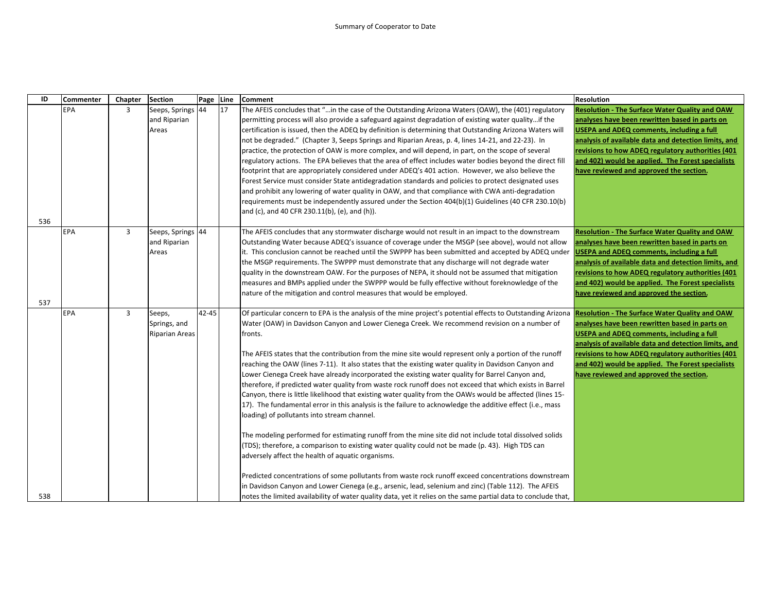| ID  | <b>Commenter</b> | Chapter        | <b>Section</b>                                  | Page  | Line | Comment                                                                                                                                                                                                                                                                                                                                                                                                                                                                                                                                                                                                                                                                                                                                                                                                                                                                                                                                                                                                                                                                                                                                                                                                                                                                                                    | <b>Resolution</b>                                                                                                                                                                                                                                                                                                                                                        |
|-----|------------------|----------------|-------------------------------------------------|-------|------|------------------------------------------------------------------------------------------------------------------------------------------------------------------------------------------------------------------------------------------------------------------------------------------------------------------------------------------------------------------------------------------------------------------------------------------------------------------------------------------------------------------------------------------------------------------------------------------------------------------------------------------------------------------------------------------------------------------------------------------------------------------------------------------------------------------------------------------------------------------------------------------------------------------------------------------------------------------------------------------------------------------------------------------------------------------------------------------------------------------------------------------------------------------------------------------------------------------------------------------------------------------------------------------------------------|--------------------------------------------------------------------------------------------------------------------------------------------------------------------------------------------------------------------------------------------------------------------------------------------------------------------------------------------------------------------------|
| 536 | EPA              | 3              | Seeps, Springs 44<br>and Riparian<br>Areas      |       | 17   | The AFEIS concludes that "in the case of the Outstanding Arizona Waters (OAW), the (401) regulatory<br>permitting process will also provide a safeguard against degradation of existing water qualityif the<br>certification is issued, then the ADEQ by definition is determining that Outstanding Arizona Waters will<br>not be degraded." (Chapter 3, Seeps Springs and Riparian Areas, p. 4, lines 14-21, and 22-23). In<br>practice, the protection of OAW is more complex, and will depend, in part, on the scope of several<br>regulatory actions. The EPA believes that the area of effect includes water bodies beyond the direct fill<br>footprint that are appropriately considered under ADEQ's 401 action. However, we also believe the<br>Forest Service must consider State antidegradation standards and policies to protect designated uses<br>and prohibit any lowering of water quality in OAW, and that compliance with CWA anti-degradation<br>requirements must be independently assured under the Section 404(b)(1) Guidelines (40 CFR 230.10(b)<br>and (c), and 40 CFR 230.11(b), (e), and (h)).                                                                                                                                                                                   | <b>Resolution - The Surface Water Quality and OAW</b><br>analyses have been rewritten based in parts on<br><b>USEPA and ADEQ comments, including a full</b><br>analysis of available data and detection limits, and<br>revisions to how ADEQ regulatory authorities (401<br>and 402) would be applied. The Forest specialists<br>have reviewed and approved the section. |
| 537 | EPA              | 3              | Seeps, Springs 44<br>and Riparian<br>Areas      |       |      | The AFEIS concludes that any stormwater discharge would not result in an impact to the downstream<br>Outstanding Water because ADEQ's issuance of coverage under the MSGP (see above), would not allow<br>it. This conclusion cannot be reached until the SWPPP has been submitted and accepted by ADEQ under<br>the MSGP requirements. The SWPPP must demonstrate that any discharge will not degrade water<br>quality in the downstream OAW. For the purposes of NEPA, it should not be assumed that mitigation<br>measures and BMPs applied under the SWPPP would be fully effective without foreknowledge of the<br>nature of the mitigation and control measures that would be employed.                                                                                                                                                                                                                                                                                                                                                                                                                                                                                                                                                                                                              | <b>Resolution - The Surface Water Quality and OAW</b><br>analyses have been rewritten based in parts on<br><b>USEPA and ADEQ comments, including a full</b><br>analysis of available data and detection limits, and<br>revisions to how ADEQ regulatory authorities (401<br>and 402) would be applied. The Forest specialists<br>have reviewed and approved the section. |
|     | <b>EPA</b>       | $\overline{3}$ | Seeps,<br>Springs, and<br><b>Riparian Areas</b> | 42-45 |      | Of particular concern to EPA is the analysis of the mine project's potential effects to Outstanding Arizona<br>Water (OAW) in Davidson Canyon and Lower Cienega Creek. We recommend revision on a number of<br>fronts.<br>The AFEIS states that the contribution from the mine site would represent only a portion of the runoff<br>reaching the OAW (lines 7-11). It also states that the existing water quality in Davidson Canyon and<br>Lower Cienega Creek have already incorporated the existing water quality for Barrel Canyon and,<br>therefore, if predicted water quality from waste rock runoff does not exceed that which exists in Barrel<br>Canyon, there is little likelihood that existing water quality from the OAWs would be affected (lines 15-<br>17). The fundamental error in this analysis is the failure to acknowledge the additive effect (i.e., mass<br>loading) of pollutants into stream channel.<br>The modeling performed for estimating runoff from the mine site did not include total dissolved solids<br>(TDS); therefore, a comparison to existing water quality could not be made (p. 43). High TDS can<br>adversely affect the health of aquatic organisms.<br>Predicted concentrations of some pollutants from waste rock runoff exceed concentrations downstream | <b>Resolution - The Surface Water Quality and OAW</b><br>analyses have been rewritten based in parts on<br><b>USEPA and ADEQ comments, including a full</b><br>analysis of available data and detection limits, and<br>revisions to how ADEQ regulatory authorities (401<br>and 402) would be applied. The Forest specialists<br>have reviewed and approved the section. |
| 538 |                  |                |                                                 |       |      | in Davidson Canyon and Lower Cienega (e.g., arsenic, lead, selenium and zinc) (Table 112). The AFEIS<br>notes the limited availability of water quality data, yet it relies on the same partial data to conclude that,                                                                                                                                                                                                                                                                                                                                                                                                                                                                                                                                                                                                                                                                                                                                                                                                                                                                                                                                                                                                                                                                                     |                                                                                                                                                                                                                                                                                                                                                                          |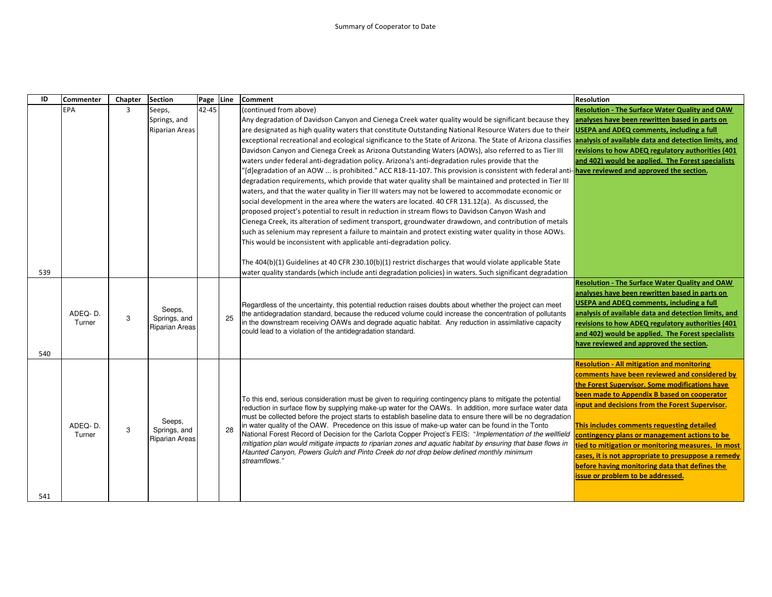| ID  | <b>Commenter</b> | Chapter        | <b>Section</b>         | Page      | Line | Comment                                                                                                                                                                                               | <b>Resolution</b>                                     |
|-----|------------------|----------------|------------------------|-----------|------|-------------------------------------------------------------------------------------------------------------------------------------------------------------------------------------------------------|-------------------------------------------------------|
|     | <b>EPA</b>       | $\overline{3}$ | Seeps,                 | $42 - 45$ |      | (continued from above)                                                                                                                                                                                | <b>Resolution - The Surface Water Quality and OAW</b> |
|     |                  |                | Springs, and           |           |      | Any degradation of Davidson Canyon and Cienega Creek water quality would be significant because they analyses have been rewritten based in parts on                                                   |                                                       |
|     |                  |                | <b>Riparian Areas</b>  |           |      | are designated as high quality waters that constitute Outstanding National Resource Waters due to their USEPA and ADEQ comments, including a full                                                     |                                                       |
|     |                  |                |                        |           |      | exceptional recreational and ecological significance to the State of Arizona. The State of Arizona classifies analysis of available data and detection limits, and                                    |                                                       |
|     |                  |                |                        |           |      | Davidson Canyon and Cienega Creek as Arizona Outstanding Waters (AOWs), also referred to as Tier III                                                                                                  | revisions to how ADEQ regulatory authorities (401     |
|     |                  |                |                        |           |      | waters under federal anti-degradation policy. Arizona's anti-degradation rules provide that the                                                                                                       | and 402) would be applied. The Forest specialists     |
|     |                  |                |                        |           |      | '[d]egradation of an AOW  is prohibited." ACC R18-11-107. This provision is consistent with federal anti- <mark>have reviewed and approved the section.</mark>                                        |                                                       |
|     |                  |                |                        |           |      | degradation requirements, which provide that water quality shall be maintained and protected in Tier III                                                                                              |                                                       |
|     |                  |                |                        |           |      | waters, and that the water quality in Tier III waters may not be lowered to accommodate economic or                                                                                                   |                                                       |
|     |                  |                |                        |           |      | social development in the area where the waters are located. 40 CFR 131.12(a). As discussed, the                                                                                                      |                                                       |
|     |                  |                |                        |           |      | proposed project's potential to result in reduction in stream flows to Davidson Canyon Wash and                                                                                                       |                                                       |
|     |                  |                |                        |           |      | Cienega Creek, its alteration of sediment transport, groundwater drawdown, and contribution of metals                                                                                                 |                                                       |
|     |                  |                |                        |           |      | such as selenium may represent a failure to maintain and protect existing water quality in those AOWs.                                                                                                |                                                       |
|     |                  |                |                        |           |      | This would be inconsistent with applicable anti-degradation policy.                                                                                                                                   |                                                       |
|     |                  |                |                        |           |      |                                                                                                                                                                                                       |                                                       |
|     |                  |                |                        |           |      | The 404(b)(1) Guidelines at 40 CFR 230.10(b)(1) restrict discharges that would violate applicable State                                                                                               |                                                       |
| 539 |                  |                |                        |           |      | water quality standards (which include anti degradation policies) in waters. Such significant degradation                                                                                             |                                                       |
|     |                  |                |                        |           |      |                                                                                                                                                                                                       | <b>Resolution - The Surface Water Quality and OAW</b> |
|     |                  |                |                        |           |      |                                                                                                                                                                                                       | analyses have been rewritten based in parts on        |
|     |                  |                |                        |           |      | Regardless of the uncertainty, this potential reduction raises doubts about whether the project can meet                                                                                              | <b>USEPA and ADEQ comments, including a full</b>      |
|     | ADEQ-D.          | 3              | Seeps,<br>Springs, and |           | 25   | the antidegradation standard, because the reduced volume could increase the concentration of pollutants                                                                                               | analysis of available data and detection limits, and  |
|     | Turner           |                | <b>Riparian Areas</b>  |           |      | in the downstream receiving OAWs and degrade aquatic habitat. Any reduction in assimilative capacity                                                                                                  | revisions to how ADEQ regulatory authorities (401     |
|     |                  |                |                        |           |      | could lead to a violation of the antidegradation standard.                                                                                                                                            | and 402) would be applied. The Forest specialists     |
|     |                  |                |                        |           |      |                                                                                                                                                                                                       | have reviewed and approved the section.               |
| 540 |                  |                |                        |           |      |                                                                                                                                                                                                       |                                                       |
|     |                  |                |                        |           |      |                                                                                                                                                                                                       | <b>Resolution - All mitigation and monitoring</b>     |
|     |                  |                |                        |           |      |                                                                                                                                                                                                       | comments have been reviewed and considered by         |
|     |                  |                |                        |           |      |                                                                                                                                                                                                       | the Forest Supervisor. Some modifications have        |
|     |                  |                |                        |           |      | To this end, serious consideration must be given to requiring contingency plans to mitigate the potential                                                                                             | been made to Appendix B based on cooperator           |
|     |                  |                |                        |           |      | reduction in surface flow by supplying make-up water for the OAWs. In addition, more surface water data                                                                                               | input and decisions from the Forest Supervisor.       |
|     |                  |                | Seeps,                 |           |      | must be collected before the project starts to establish baseline data to ensure there will be no degradation                                                                                         |                                                       |
|     | ADEQ-D.          | 3              | Springs, and           |           | 28   | in water quality of the OAW. Precedence on this issue of make-up water can be found in the Tonto                                                                                                      | This includes comments requesting detailed            |
|     | Turner           |                | <b>Riparian Areas</b>  |           |      | National Forest Record of Decision for the Carlota Copper Project's FEIS: "Implementation of the wellfield                                                                                            | contingency plans or management actions to be         |
|     |                  |                |                        |           |      | mitigation plan would mitigate impacts to riparian zones and aquatic habitat by ensuring that base flows in<br>Haunted Canyon, Powers Gulch and Pinto Creek do not drop below defined monthly minimum | tied to mitigation or monitoring measures. In most    |
|     |                  |                |                        |           |      | streamflows.'                                                                                                                                                                                         | cases, it is not appropriate to presuppose a remedy   |
|     |                  |                |                        |           |      |                                                                                                                                                                                                       | before having monitoring data that defines the        |
|     |                  |                |                        |           |      |                                                                                                                                                                                                       | issue or problem to be addressed.                     |
|     |                  |                |                        |           |      |                                                                                                                                                                                                       |                                                       |
| 541 |                  |                |                        |           |      |                                                                                                                                                                                                       |                                                       |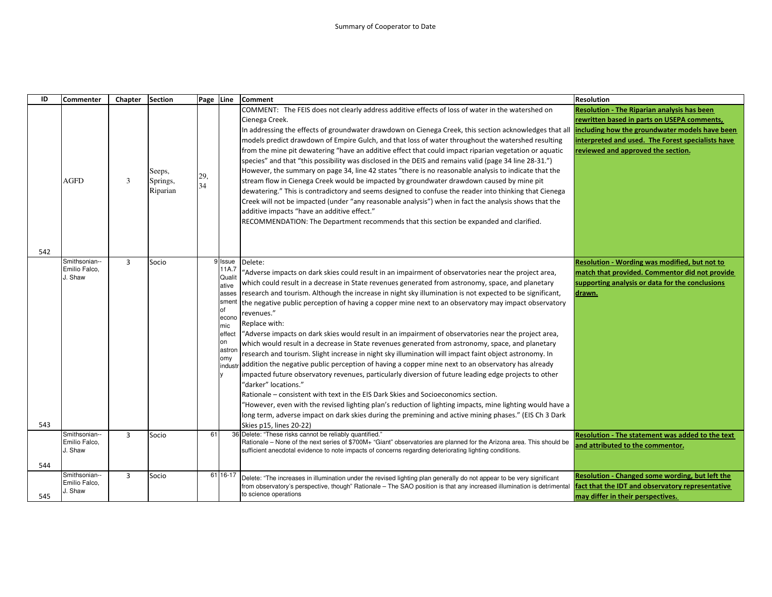| ID  | <b>Commenter</b>                          | Chapter        | <b>Section</b>                 | Page Line |                                                                                                                          | <b>Comment</b>                                                                                                                                                                                                                                                                                                                                                                                                                                                                                                                                                                                                                                                                                                                                                                                                                                                                                                                                                                                                                                                                                                                                                                                                                                                                                                                                                               | <b>Resolution</b>                                                                                                                                                                                                                              |
|-----|-------------------------------------------|----------------|--------------------------------|-----------|--------------------------------------------------------------------------------------------------------------------------|------------------------------------------------------------------------------------------------------------------------------------------------------------------------------------------------------------------------------------------------------------------------------------------------------------------------------------------------------------------------------------------------------------------------------------------------------------------------------------------------------------------------------------------------------------------------------------------------------------------------------------------------------------------------------------------------------------------------------------------------------------------------------------------------------------------------------------------------------------------------------------------------------------------------------------------------------------------------------------------------------------------------------------------------------------------------------------------------------------------------------------------------------------------------------------------------------------------------------------------------------------------------------------------------------------------------------------------------------------------------------|------------------------------------------------------------------------------------------------------------------------------------------------------------------------------------------------------------------------------------------------|
|     | AGFD                                      | 3              | Seeps,<br>Springs,<br>Riparian | 29,<br>34 |                                                                                                                          | COMMENT: The FEIS does not clearly address additive effects of loss of water in the watershed on<br>Cienega Creek.<br>In addressing the effects of groundwater drawdown on Cienega Creek, this section acknowledges that all<br>models predict drawdown of Empire Gulch, and that loss of water throughout the watershed resulting<br>from the mine pit dewatering "have an additive effect that could impact riparian vegetation or aquatic<br>species" and that "this possibility was disclosed in the DEIS and remains valid (page 34 line 28-31.")<br>However, the summary on page 34, line 42 states "there is no reasonable analysis to indicate that the<br>stream flow in Cienega Creek would be impacted by groundwater drawdown caused by mine pit<br>dewatering." This is contradictory and seems designed to confuse the reader into thinking that Cienega<br>Creek will not be impacted (under "any reasonable analysis") when in fact the analysis shows that the<br>additive impacts "have an additive effect."<br>RECOMMENDATION: The Department recommends that this section be expanded and clarified.                                                                                                                                                                                                                                                     | <b>Resolution - The Riparian analysis has been</b><br>rewritten based in parts on USEPA comments,<br>including how the groundwater models have been<br>interpreted and used. The Forest specialists have<br>reviewed and approved the section. |
| 542 |                                           |                |                                |           |                                                                                                                          |                                                                                                                                                                                                                                                                                                                                                                                                                                                                                                                                                                                                                                                                                                                                                                                                                                                                                                                                                                                                                                                                                                                                                                                                                                                                                                                                                                              |                                                                                                                                                                                                                                                |
| 543 | Smithsonian--<br>Emilio Falco.<br>J. Shaw | 3              | Socio                          |           | 9 Issue<br>11A.7<br>Qualit<br>ative<br>asses<br>sment<br>lof<br>econo<br>mic<br>effect<br>on<br>astron<br>omy<br>industr | Delete:<br>Adverse impacts on dark skies could result in an impairment of observatories near the project area,<br>which could result in a decrease in State revenues generated from astronomy, space, and planetary<br>research and tourism. Although the increase in night sky illumination is not expected to be significant,<br>the negative public perception of having a copper mine next to an observatory may impact observatory<br>revenues."<br>Replace with:<br>"Adverse impacts on dark skies would result in an impairment of observatories near the project area,<br>which would result in a decrease in State revenues generated from astronomy, space, and planetary<br>research and tourism. Slight increase in night sky illumination will impact faint object astronomy. In<br>addition the negative public perception of having a copper mine next to an observatory has already<br>impacted future observatory revenues, particularly diversion of future leading edge projects to other<br>'darker" locations."<br>Rationale – consistent with text in the EIS Dark Skies and Socioeconomics section.<br>"However, even with the revised lighting plan's reduction of lighting impacts, mine lighting would have a<br>long term, adverse impact on dark skies during the premining and active mining phases." (EIS Ch 3 Dark<br>Skies p15, lines 20-22) | Resolution - Wording was modified, but not to<br>match that provided. Commentor did not provide<br>supporting analysis or data for the conclusions<br>drawn.                                                                                   |
|     | Smithsonian--<br>Emilio Falco,<br>J. Shaw | $\overline{3}$ | Socio                          | 61        |                                                                                                                          | 36 Delete: "These risks cannot be reliably quantified."<br>Rationale – None of the next series of \$700M+ "Giant" observatories are planned for the Arizona area. This should be<br>sufficient anecdotal evidence to note impacts of concerns regarding deteriorating lighting conditions.                                                                                                                                                                                                                                                                                                                                                                                                                                                                                                                                                                                                                                                                                                                                                                                                                                                                                                                                                                                                                                                                                   | Resolution - The statement was added to the text<br>and attributed to the commentor.                                                                                                                                                           |
| 544 |                                           |                |                                |           |                                                                                                                          |                                                                                                                                                                                                                                                                                                                                                                                                                                                                                                                                                                                                                                                                                                                                                                                                                                                                                                                                                                                                                                                                                                                                                                                                                                                                                                                                                                              |                                                                                                                                                                                                                                                |
| 545 | Smithsonian--<br>Emilio Falco,<br>J. Shaw | 3              | Socio                          |           | 61 16-17                                                                                                                 | Delete: "The increases in illumination under the revised lighting plan generally do not appear to be very significant<br>rom observatory's perspective, though" Rationale - The SAO position is that any increased illumination is detrimental<br>to science operations                                                                                                                                                                                                                                                                                                                                                                                                                                                                                                                                                                                                                                                                                                                                                                                                                                                                                                                                                                                                                                                                                                      | Resolution - Changed some wording, but left the<br>fact that the IDT and observatory representative<br>may differ in their perspectives.                                                                                                       |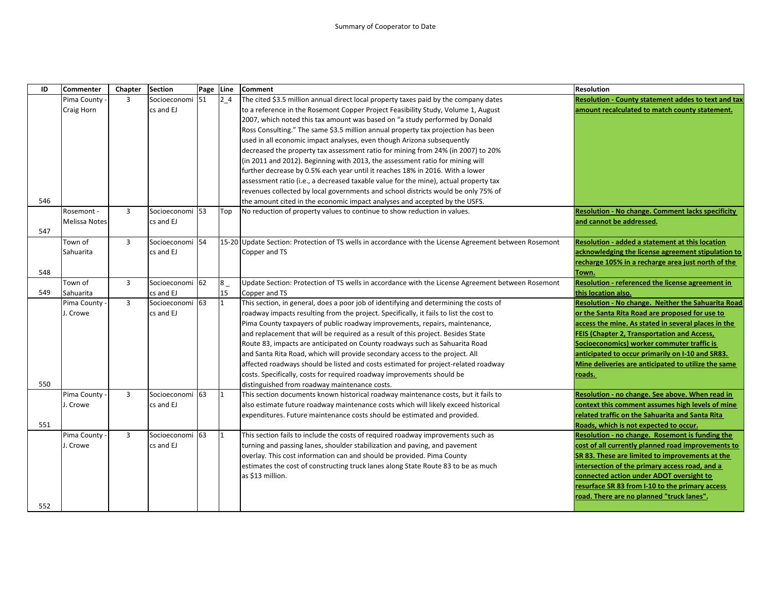| ID  | Commenter            | Chapter        | <b>Section</b>             | Page | Line    | <b>Comment</b>                                                                                         | <b>Resolution</b>                                        |
|-----|----------------------|----------------|----------------------------|------|---------|--------------------------------------------------------------------------------------------------------|----------------------------------------------------------|
|     | Pima County          | $\overline{3}$ | Socioeconomi 51            |      | 24      | The cited \$3.5 million annual direct local property taxes paid by the company dates                   | Resolution - County statement addes to text and tax      |
|     | Craig Horn           |                | cs and EJ                  |      |         | to a reference in the Rosemont Copper Project Feasibility Study, Volume 1, August                      | amount recalculated to match county statement.           |
|     |                      |                |                            |      |         | 2007, which noted this tax amount was based on "a study performed by Donald                            |                                                          |
|     |                      |                |                            |      |         | Ross Consulting." The same \$3.5 million annual property tax projection has been                       |                                                          |
|     |                      |                |                            |      |         | used in all economic impact analyses, even though Arizona subsequently                                 |                                                          |
|     |                      |                |                            |      |         | decreased the property tax assessment ratio for mining from 24% (in 2007) to 20%                       |                                                          |
|     |                      |                |                            |      |         | (in 2011 and 2012). Beginning with 2013, the assessment ratio for mining will                          |                                                          |
|     |                      |                |                            |      |         | further decrease by 0.5% each year until it reaches 18% in 2016. With a lower                          |                                                          |
|     |                      |                |                            |      |         | assessment ratio (i.e., a decreased taxable value for the mine), actual property tax                   |                                                          |
|     |                      |                |                            |      |         | revenues collected by local governments and school districts would be only 75% of                      |                                                          |
| 546 |                      |                |                            |      |         | the amount cited in the economic impact analyses and accepted by the USFS.                             |                                                          |
|     | Rosemont -           | $\overline{3}$ | Socioeconomi               | 53   | Top     | No reduction of property values to continue to show reduction in values.                               | <b>Resolution - No change. Comment lacks specificity</b> |
|     | <b>Melissa Notes</b> |                | cs and EJ                  |      |         |                                                                                                        | and cannot be addressed.                                 |
| 547 |                      |                |                            |      |         |                                                                                                        |                                                          |
|     | Town of              | $\overline{3}$ | Socioeconomi <sup>54</sup> |      |         | 15-20 Update Section: Protection of TS wells in accordance with the License Agreement between Rosemont | <b>Resolution - added a statement at this location</b>   |
|     | Sahuarita            |                | cs and EJ                  |      |         | Copper and TS                                                                                          | acknowledging the license agreement stipulation to       |
|     |                      |                |                            |      |         |                                                                                                        | recharge 105% in a recharge area just north of the       |
| 548 |                      |                |                            |      |         |                                                                                                        | Town.                                                    |
|     | Town of              | 3              | Socioeconomi 62            |      | $8_{-}$ | Update Section: Protection of TS wells in accordance with the License Agreement between Rosemont       | Resolution - referenced the license agreement in         |
| 549 | Sahuarita            |                | cs and EJ                  |      | 15      | Copper and TS                                                                                          | this location also.                                      |
|     | Pima County          | $\overline{3}$ | Socioeconomi               | 63   | 1       | This section, in general, does a poor job of identifying and determining the costs of                  | Resolution - No change. Neither the Sahuarita Road       |
|     | J. Crowe             |                | cs and EJ                  |      |         | roadway impacts resulting from the project. Specifically, it fails to list the cost to                 | or the Santa Rita Road are proposed for use to           |
|     |                      |                |                            |      |         | Pima County taxpayers of public roadway improvements, repairs, maintenance,                            | access the mine. As stated in several places in the      |
|     |                      |                |                            |      |         | and replacement that will be required as a result of this project. Besides State                       | <b>FEIS (Chapter 2, Transportation and Access,</b>       |
|     |                      |                |                            |      |         | Route 83, impacts are anticipated on County roadways such as Sahuarita Road                            | Socioeconomics) worker commuter traffic is               |
|     |                      |                |                            |      |         | and Santa Rita Road, which will provide secondary access to the project. All                           | anticipated to occur primarily on I-10 and SR83.         |
|     |                      |                |                            |      |         | affected roadways should be listed and costs estimated for project-related roadway                     | Mine deliveries are anticipated to utilize the same      |
|     |                      |                |                            |      |         | costs. Specifically, costs for required roadway improvements should be                                 | roads.                                                   |
| 550 |                      |                |                            |      |         | distinguished from roadway maintenance costs.                                                          |                                                          |
|     | Pima County          | $\overline{3}$ | Socioeconomi               | 63   | 1       | This section documents known historical roadway maintenance costs, but it fails to                     | Resolution - no change. See above. When read in          |
|     | J. Crowe             |                | cs and EJ                  |      |         | also estimate future roadway maintenance costs which will likely exceed historical                     | context this comment assumes high levels of mine         |
|     |                      |                |                            |      |         | expenditures. Future maintenance costs should be estimated and provided.                               | related traffic on the Sahuarita and Santa Rita          |
| 551 |                      |                |                            |      |         |                                                                                                        | Roads, which is not expected to occur.                   |
|     | Pima County          | $\overline{3}$ | Socioeconomi 63            |      | 1       | This section fails to include the costs of required roadway improvements such as                       | Resolution - no change. Rosemont is funding the          |
|     | J. Crowe             |                | cs and EJ                  |      |         | turning and passing lanes, shoulder stabilization and paving, and pavement                             | cost of all currently planned road improvements to       |
|     |                      |                |                            |      |         | overlay. This cost information can and should be provided. Pima County                                 | SR 83. These are limited to improvements at the          |
|     |                      |                |                            |      |         | estimates the cost of constructing truck lanes along State Route 83 to be as much                      | intersection of the primary access road, and a           |
|     |                      |                |                            |      |         | as \$13 million.                                                                                       | connected action under ADOT oversight to                 |
|     |                      |                |                            |      |         |                                                                                                        | resurface SR 83 from I-10 to the primary access          |
|     |                      |                |                            |      |         |                                                                                                        | road. There are no planned "truck lanes".                |
| 552 |                      |                |                            |      |         |                                                                                                        |                                                          |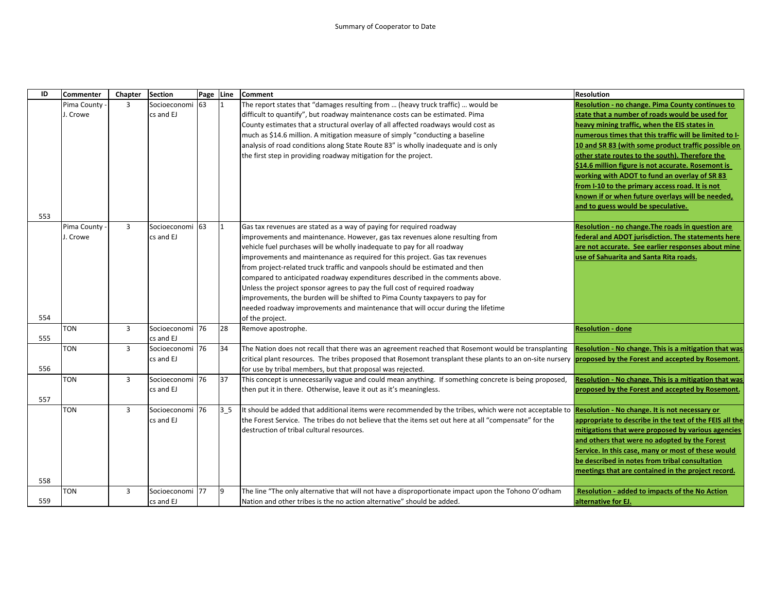| ID  | <b>Commenter</b> | Chapter        | <b>Section</b>              | Page Line |                | Comment                                                                                                                                                                                                                          | <b>Resolution</b>                                                                                |
|-----|------------------|----------------|-----------------------------|-----------|----------------|----------------------------------------------------------------------------------------------------------------------------------------------------------------------------------------------------------------------------------|--------------------------------------------------------------------------------------------------|
|     | Pima County      | 3              | Socioeconomi                | 63        |                | The report states that "damages resulting from  (heavy truck traffic)  would be                                                                                                                                                  | Resolution - no change. Pima County continues to                                                 |
|     | J. Crowe         |                | cs and EJ                   |           |                | difficult to quantify", but roadway maintenance costs can be estimated. Pima                                                                                                                                                     | state that a number of roads would be used for                                                   |
|     |                  |                |                             |           |                | County estimates that a structural overlay of all affected roadways would cost as                                                                                                                                                | heavy mining traffic, when the EIS states in                                                     |
|     |                  |                |                             |           |                | much as \$14.6 million. A mitigation measure of simply "conducting a baseline                                                                                                                                                    | numerous times that this traffic will be limited to I-                                           |
|     |                  |                |                             |           |                | analysis of road conditions along State Route 83" is wholly inadequate and is only                                                                                                                                               | 10 and SR 83 (with some product traffic possible on                                              |
|     |                  |                |                             |           |                | the first step in providing roadway mitigation for the project.                                                                                                                                                                  | other state routes to the south). Therefore the                                                  |
|     |                  |                |                             |           |                |                                                                                                                                                                                                                                  | \$14.6 million figure is not accurate. Rosemont is                                               |
|     |                  |                |                             |           |                |                                                                                                                                                                                                                                  | working with ADOT to fund an overlay of SR 83<br>from I-10 to the primary access road. It is not |
|     |                  |                |                             |           |                |                                                                                                                                                                                                                                  | known if or when future overlays will be needed,                                                 |
|     |                  |                |                             |           |                |                                                                                                                                                                                                                                  | and to guess would be speculative.                                                               |
| 553 |                  |                |                             |           |                |                                                                                                                                                                                                                                  |                                                                                                  |
|     | Pima County      | $\overline{3}$ | Socioeconomi 63             |           |                | Gas tax revenues are stated as a way of paying for required roadway                                                                                                                                                              | Resolution - no change. The roads in question are                                                |
|     | J. Crowe         |                | cs and EJ                   |           |                | improvements and maintenance. However, gas tax revenues alone resulting from                                                                                                                                                     | federal and ADOT jurisdiction. The statements here                                               |
|     |                  |                |                             |           |                | vehicle fuel purchases will be wholly inadequate to pay for all roadway                                                                                                                                                          | are not accurate. See earlier responses about mine                                               |
|     |                  |                |                             |           |                | improvements and maintenance as required for this project. Gas tax revenues                                                                                                                                                      | use of Sahuarita and Santa Rita roads.                                                           |
|     |                  |                |                             |           |                | from project-related truck traffic and vanpools should be estimated and then                                                                                                                                                     |                                                                                                  |
|     |                  |                |                             |           |                | compared to anticipated roadway expenditures described in the comments above.                                                                                                                                                    |                                                                                                  |
|     |                  |                |                             |           |                | Unless the project sponsor agrees to pay the full cost of required roadway                                                                                                                                                       |                                                                                                  |
|     |                  |                |                             |           |                | improvements, the burden will be shifted to Pima County taxpayers to pay for                                                                                                                                                     |                                                                                                  |
|     |                  |                |                             |           |                | needed roadway improvements and maintenance that will occur during the lifetime                                                                                                                                                  |                                                                                                  |
| 554 |                  |                |                             |           |                | of the project.                                                                                                                                                                                                                  |                                                                                                  |
|     | <b>TON</b>       | 3              | Socioeconomi 76             |           | 28             | Remove apostrophe.                                                                                                                                                                                                               | <b>Resolution - done</b>                                                                         |
| 555 |                  |                | cs and EJ                   |           |                |                                                                                                                                                                                                                                  |                                                                                                  |
|     | <b>TON</b>       | $\overline{3}$ | Socioeconomi 76             |           | 34             | The Nation does not recall that there was an agreement reached that Rosemont would be transplanting                                                                                                                              | Resolution - No change. This is a mitigation that was                                            |
| 556 |                  |                | cs and EJ                   |           |                | critical plant resources. The tribes proposed that Rosemont transplant these plants to an on-site nursery <b>proposed by the Forest and accepted by Rosemont</b> .<br>for use by tribal members, but that proposal was rejected. |                                                                                                  |
|     | <b>TON</b>       | $\overline{3}$ | Socioeconomi <sup>176</sup> |           | 37             | This concept is unnecessarily vague and could mean anything. If something concrete is being proposed,                                                                                                                            | Resolution - No change. This is a mitigation that was                                            |
|     |                  |                | cs and EJ                   |           |                | then put it in there. Otherwise, leave it out as it's meaningless.                                                                                                                                                               | proposed by the Forest and accepted by Rosemont.                                                 |
| 557 |                  |                |                             |           |                |                                                                                                                                                                                                                                  |                                                                                                  |
|     | <b>TON</b>       | $\overline{3}$ | Socioeconomi 76             |           | 3 <sub>5</sub> | It should be added that additional items were recommended by the tribes, which were not acceptable to Resolution - No change. It is not necessary or                                                                             |                                                                                                  |
|     |                  |                | cs and EJ                   |           |                | the Forest Service. The tribes do not believe that the items set out here at all "compensate" for the                                                                                                                            | appropriate to describe in the text of the FEIS all the                                          |
|     |                  |                |                             |           |                | destruction of tribal cultural resources.                                                                                                                                                                                        | mitigations that were proposed by various agencies                                               |
|     |                  |                |                             |           |                |                                                                                                                                                                                                                                  | and others that were no adopted by the Forest                                                    |
|     |                  |                |                             |           |                |                                                                                                                                                                                                                                  | Service. In this case, many or most of these would                                               |
|     |                  |                |                             |           |                |                                                                                                                                                                                                                                  | be described in notes from tribal consultation                                                   |
|     |                  |                |                             |           |                |                                                                                                                                                                                                                                  | meetings that are contained in the project record.                                               |
| 558 |                  |                |                             |           |                |                                                                                                                                                                                                                                  |                                                                                                  |
|     | <b>TON</b>       | 3              | Socioeconomi 77             |           | 9              | The line "The only alternative that will not have a disproportionate impact upon the Tohono O'odham                                                                                                                              | <b>Resolution - added to impacts of the No Action</b>                                            |
| 559 |                  |                | cs and EJ                   |           |                | Nation and other tribes is the no action alternative" should be added.                                                                                                                                                           | lalternative for EJ.                                                                             |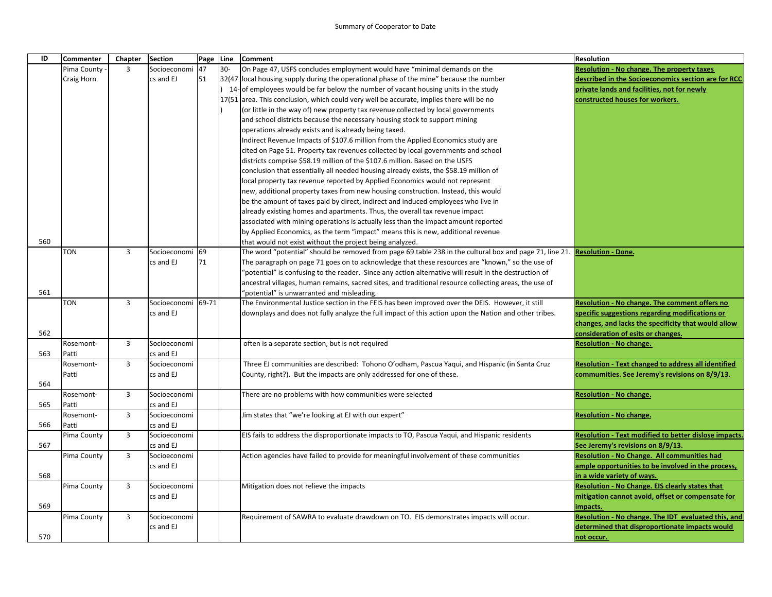| ID  | Commenter   | Chapter        | <b>Section</b> |       | Page Line | Comment                                                                                                 | <b>Resolution</b>                                     |
|-----|-------------|----------------|----------------|-------|-----------|---------------------------------------------------------------------------------------------------------|-------------------------------------------------------|
|     | Pima County | 3              | Socioeconomi   | 47    | $30-$     | On Page 47, USFS concludes employment would have "minimal demands on the                                | Resolution - No change. The property taxes            |
|     | Craig Horn  |                | cs and EJ      | 51    |           | 32(47 local housing supply during the operational phase of the mine" because the number                 | described in the Socioeconomics section are for RCC   |
|     |             |                |                |       |           | 14-of employees would be far below the number of vacant housing units in the study                      | private lands and facilities, not for newly           |
|     |             |                |                |       |           | 17(51 area. This conclusion, which could very well be accurate, implies there will be no                | constructed houses for workers.                       |
|     |             |                |                |       |           | (or little in the way of) new property tax revenue collected by local governments                       |                                                       |
|     |             |                |                |       |           | and school districts because the necessary housing stock to support mining                              |                                                       |
|     |             |                |                |       |           | operations already exists and is already being taxed.                                                   |                                                       |
|     |             |                |                |       |           | Indirect Revenue Impacts of \$107.6 million from the Applied Economics study are                        |                                                       |
|     |             |                |                |       |           | cited on Page 51. Property tax revenues collected by local governments and school                       |                                                       |
|     |             |                |                |       |           | districts comprise \$58.19 million of the \$107.6 million. Based on the USFS                            |                                                       |
|     |             |                |                |       |           | conclusion that essentially all needed housing already exists, the \$58.19 million of                   |                                                       |
|     |             |                |                |       |           | local property tax revenue reported by Applied Economics would not represent                            |                                                       |
|     |             |                |                |       |           | new, additional property taxes from new housing construction. Instead, this would                       |                                                       |
|     |             |                |                |       |           | be the amount of taxes paid by direct, indirect and induced employees who live in                       |                                                       |
|     |             |                |                |       |           | already existing homes and apartments. Thus, the overall tax revenue impact                             |                                                       |
|     |             |                |                |       |           | associated with mining operations is actually less than the impact amount reported                      |                                                       |
|     |             |                |                |       |           | by Applied Economics, as the term "impact" means this is new, additional revenue                        |                                                       |
| 560 |             |                |                |       |           | that would not exist without the project being analyzed.                                                |                                                       |
|     | <b>TON</b>  | $\overline{3}$ | Socioeconomi   | 69    |           | The word "potential" should be removed from page 69 table 238 in the cultural box and page 71, line 21. | <b>Resolution - Done.</b>                             |
|     |             |                | cs and EJ      | 71    |           | The paragraph on page 71 goes on to acknowledge that these resources are "known," so the use of         |                                                       |
|     |             |                |                |       |           | "potential" is confusing to the reader. Since any action alternative will result in the destruction of  |                                                       |
|     |             |                |                |       |           | ancestral villages, human remains, sacred sites, and traditional resource collecting areas, the use of  |                                                       |
| 561 |             |                |                |       |           | 'potential" is unwarranted and misleading.                                                              |                                                       |
|     | TON         | 3              | Socioeconomi   | 69-71 |           | The Environmental Justice section in the FEIS has been improved over the DEIS. However, it still        | Resolution - No change. The comment offers no         |
|     |             |                | cs and EJ      |       |           | downplays and does not fully analyze the full impact of this action upon the Nation and other tribes.   | specific suggestions regarding modifications or       |
|     |             |                |                |       |           |                                                                                                         | changes, and lacks the specificity that would allow   |
| 562 |             |                |                |       |           |                                                                                                         | consideration of esits or changes.                    |
|     | Rosemont-   | $\overline{3}$ | Socioeconomi   |       |           | often is a separate section, but is not required                                                        | <b>Resolution - No change.</b>                        |
| 563 | Patti       |                | cs and EJ      |       |           |                                                                                                         |                                                       |
|     | Rosemont-   | $\overline{3}$ | Socioeconomi   |       |           | Three EJ communities are described: Tohono O'odham, Pascua Yaqui, and Hispanic (in Santa Cruz           | Resolution - Text changed to address all identified   |
|     | Patti       |                | cs and EJ      |       |           | County, right?). But the impacts are only addressed for one of these.                                   | commumities. See Jeremy's revisions on 8/9/13.        |
| 564 |             |                |                |       |           |                                                                                                         |                                                       |
|     | Rosemont-   | 3              | Socioeconomi   |       |           | There are no problems with how communities were selected                                                | <b>Resolution - No change.</b>                        |
| 565 | Patti       |                | cs and EJ      |       |           |                                                                                                         |                                                       |
|     | Rosemont-   | 3              | Socioeconomi   |       |           | Jim states that "we're looking at EJ with our expert"                                                   | <b>Resolution - No change.</b>                        |
| 566 | Patti       |                | cs and EJ      |       |           |                                                                                                         |                                                       |
|     | Pima County | 3              | Socioeconomi   |       |           | EIS fails to address the disproportionate impacts to TO, Pascua Yaqui, and Hispanic residents           | Resolution - Text modified to better dislose impacts. |
| 567 |             |                | cs and EJ      |       |           |                                                                                                         | See Jeremy's revisions on 8/9/13.                     |
|     | Pima County | $\overline{3}$ | Socioeconomi   |       |           | Action agencies have failed to provide for meaningful involvement of these communities                  | Resolution - No Change. All communities had           |
|     |             |                | cs and EJ      |       |           |                                                                                                         | ample opportunities to be involved in the process,    |
| 568 |             |                |                |       |           |                                                                                                         | in a wide variety of ways.                            |
|     | Pima County | 3              | Socioeconomi   |       |           | Mitigation does not relieve the impacts                                                                 | Resolution - No Change. EIS clearly states that       |
|     |             |                | cs and EJ      |       |           |                                                                                                         | mitigation cannot avoid, offset or compensate for     |
| 569 |             |                |                |       |           |                                                                                                         | impacts.                                              |
|     | Pima County | 3              | Socioeconomi   |       |           | Requirement of SAWRA to evaluate drawdown on TO. EIS demonstrates impacts will occur.                   | Resolution - No change. The IDT evaluated this, and   |
|     |             |                | cs and EJ      |       |           |                                                                                                         | determined that disproportionate impacts would        |
| 570 |             |                |                |       |           |                                                                                                         | not occur.                                            |
|     |             |                |                |       |           |                                                                                                         |                                                       |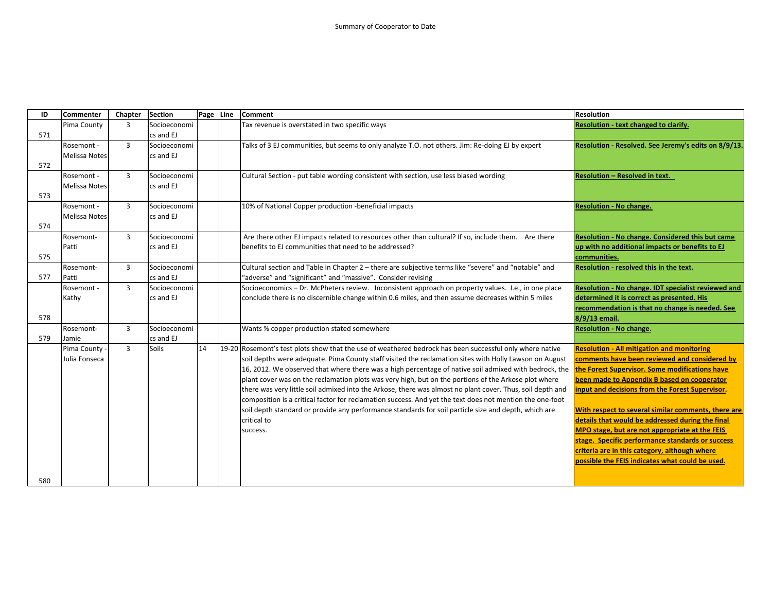| ID  | <b>Commenter</b>     | Chapter        | <b>Section</b> | Page Line | <b>Comment</b>                                                                                                                                              | <b>Resolution</b>                                       |
|-----|----------------------|----------------|----------------|-----------|-------------------------------------------------------------------------------------------------------------------------------------------------------------|---------------------------------------------------------|
|     | Pima County          | 3              | Socioeconomi   |           | Tax revenue is overstated in two specific ways                                                                                                              | Resolution - text changed to clarify.                   |
| 571 |                      |                | cs and EJ      |           |                                                                                                                                                             |                                                         |
|     | Rosemont -           | $\overline{3}$ | Socioeconomi   |           | Talks of 3 EJ communities, but seems to only analyze T.O. not others. Jim: Re-doing EJ by expert                                                            | Resolution - Resolved. See Jeremy's edits on 8/9/13     |
|     | Melissa Notes        |                | cs and EJ      |           |                                                                                                                                                             |                                                         |
| 572 |                      |                |                |           |                                                                                                                                                             |                                                         |
|     | Rosemont -           | $\overline{3}$ | Socioeconomi   |           | Cultural Section - put table wording consistent with section, use less biased wording                                                                       | <b>Resolution - Resolved in text.</b>                   |
|     | <b>Melissa Notes</b> |                | cs and EJ      |           |                                                                                                                                                             |                                                         |
| 573 |                      |                |                |           |                                                                                                                                                             |                                                         |
|     | Rosemont -           | $\overline{3}$ | Socioeconomi   |           | 10% of National Copper production -beneficial impacts                                                                                                       | <b>Resolution - No change.</b>                          |
|     | <b>Melissa Notes</b> |                | cs and EJ      |           |                                                                                                                                                             |                                                         |
| 574 |                      |                |                |           |                                                                                                                                                             |                                                         |
|     | Rosemont-            | $\overline{3}$ | Socioeconomi   |           | Are there other EJ impacts related to resources other than cultural? If so, include them. Are there                                                         | <b>Resolution - No change. Considered this but came</b> |
|     | Patti                |                | cs and EJ      |           | benefits to EJ communities that need to be addressed?                                                                                                       | up with no additional impacts or benefits to EJ         |
| 575 |                      |                |                |           |                                                                                                                                                             | communities.                                            |
|     | Rosemont-            | 3              | Socioeconomi   |           | Cultural section and Table in Chapter 2 - there are subjective terms like "severe" and "notable" and                                                        | Resolution - resolved this in the text.                 |
| 577 | Patti                |                | cs and EJ      |           | "adverse" and "significant" and "massive". Consider revising                                                                                                |                                                         |
|     | Rosemont -           | $\overline{3}$ | Socioeconomi   |           | Socioeconomics - Dr. McPheters review. Inconsistent approach on property values. I.e., in one place                                                         | Resolution - No change. IDT specialist reviewed and     |
|     | Kathy                |                | cs and EJ      |           | conclude there is no discernible change within 0.6 miles, and then assume decreases within 5 miles                                                          | determined it is correct as presented. His              |
|     |                      |                |                |           |                                                                                                                                                             | recommendation is that no change is needed. See         |
| 578 |                      |                |                |           |                                                                                                                                                             | 8/9/13 email.                                           |
|     | Rosemont-            | 3              | Socioeconomi   |           | Wants % copper production stated somewhere                                                                                                                  | <b>Resolution - No change.</b>                          |
| 579 | Jamie                |                | cs and EJ      |           |                                                                                                                                                             |                                                         |
|     | Pima County -        | $\overline{3}$ | Soils          | 14        | 19-20 Rosemont's test plots show that the use of weathered bedrock has been successful only where native                                                    | <b>Resolution - All mitigation and monitoring</b>       |
|     | Julia Fonseca        |                |                |           | soil depths were adequate. Pima County staff visited the reclamation sites with Holly Lawson on August                                                      | comments have been reviewed and considered by           |
|     |                      |                |                |           | 16, 2012. We observed that where there was a high percentage of native soil admixed with bedrock, the the <b>rorest Supervisor. Some modifications have</b> |                                                         |
|     |                      |                |                |           | plant cover was on the reclamation plots was very high, but on the portions of the Arkose plot where                                                        | been made to Appendix B based on cooperator             |
|     |                      |                |                |           | there was very little soil admixed into the Arkose, there was almost no plant cover. Thus, soil depth and                                                   | input and decisions from the Forest Supervisor.         |
|     |                      |                |                |           | composition is a critical factor for reclamation success. And yet the text does not mention the one-foot                                                    |                                                         |
|     |                      |                |                |           | soil depth standard or provide any performance standards for soil particle size and depth, which are                                                        | With respect to several similar comments, there are     |
|     |                      |                |                |           | critical to                                                                                                                                                 | details that would be addressed during the final        |
|     |                      |                |                |           | success.                                                                                                                                                    | MPO stage, but are not appropriate at the FEIS          |
|     |                      |                |                |           |                                                                                                                                                             | stage. Specific performance standards or success        |
|     |                      |                |                |           |                                                                                                                                                             | criteria are in this category, although where           |
|     |                      |                |                |           |                                                                                                                                                             | possible the FEIS indicates what could be used.         |
|     |                      |                |                |           |                                                                                                                                                             |                                                         |
| 580 |                      |                |                |           |                                                                                                                                                             |                                                         |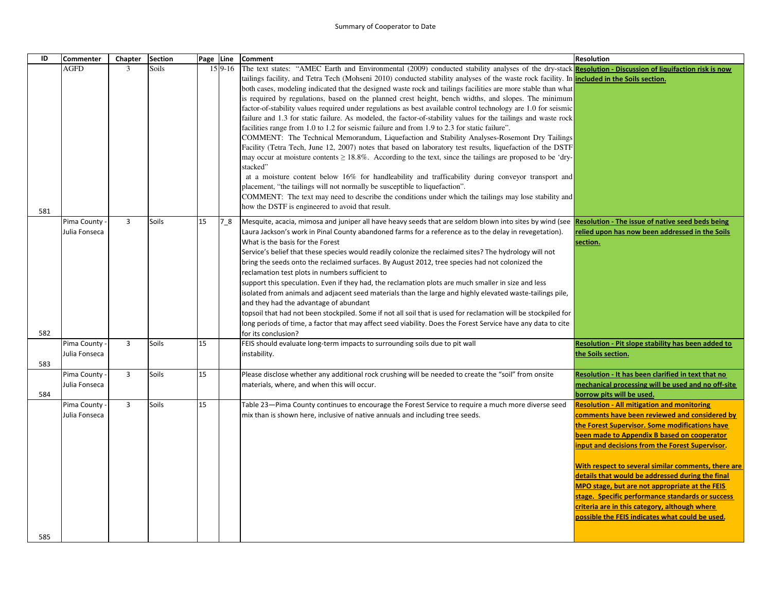## Summary of Cooperator to Date

| ID  | <b>Commenter</b> | Chapter        | <b>Section</b> |    | Page Line | <b>Comment</b>                                                                                                                                           | Resolution                                          |
|-----|------------------|----------------|----------------|----|-----------|----------------------------------------------------------------------------------------------------------------------------------------------------------|-----------------------------------------------------|
|     | <b>AGFD</b>      | 3              | <b>Soils</b>   |    | $159-16$  | The text states: "AMEC Earth and Environmental (2009) conducted stability analyses of the dry-stack Resolution - Discussion of liquifaction risk is now  |                                                     |
|     |                  |                |                |    |           | tailings facility, and Tetra Tech (Mohseni 2010) conducted stability analyses of the waste rock facility. In <b>included in the Soils section.</b>       |                                                     |
|     |                  |                |                |    |           | both cases, modeling indicated that the designed waste rock and tailings facilities are more stable than what                                            |                                                     |
|     |                  |                |                |    |           | is required by regulations, based on the planned crest height, bench widths, and slopes. The minimum                                                     |                                                     |
|     |                  |                |                |    |           | factor-of-stability values required under regulations as best available control technology are 1.0 for seismic                                           |                                                     |
|     |                  |                |                |    |           | failure and 1.3 for static failure. As modeled, the factor-of-stability values for the tailings and waste rock                                           |                                                     |
|     |                  |                |                |    |           | facilities range from 1.0 to 1.2 for seismic failure and from 1.9 to 2.3 for static failure".                                                            |                                                     |
|     |                  |                |                |    |           | COMMENT: The Technical Memorandum, Liquefaction and Stability Analyses-Rosemont Dry Tailings                                                             |                                                     |
|     |                  |                |                |    |           | Facility (Tetra Tech, June 12, 2007) notes that based on laboratory test results, liquefaction of the DSTF                                               |                                                     |
|     |                  |                |                |    |           | may occur at moisture contents $\geq 18.8\%$ . According to the text, since the tailings are proposed to be 'dry-                                        |                                                     |
|     |                  |                |                |    |           | stacked"                                                                                                                                                 |                                                     |
|     |                  |                |                |    |           | at a moisture content below 16% for handleability and trafficability during conveyor transport and                                                       |                                                     |
|     |                  |                |                |    |           | placement, "the tailings will not normally be susceptible to liquefaction".                                                                              |                                                     |
|     |                  |                |                |    |           | COMMENT: The text may need to describe the conditions under which the tailings may lose stability and                                                    |                                                     |
| 581 |                  |                |                |    |           | how the DSTF is engineered to avoid that result.                                                                                                         |                                                     |
|     | Pima County      | 3              | Soils          | 15 | 78        | Mesquite, acacia, mimosa and juniper all have heavy seeds that are seldom blown into sites by wind (see Resolution - The issue of native seed beds being |                                                     |
|     | Julia Fonseca    |                |                |    |           | Laura Jackson's work in Pinal County abandoned farms for a reference as to the delay in revegetation).                                                   | relied upon has now been addressed in the Soils     |
|     |                  |                |                |    |           | What is the basis for the Forest                                                                                                                         | section.                                            |
|     |                  |                |                |    |           | Service's belief that these species would readily colonize the reclaimed sites? The hydrology will not                                                   |                                                     |
|     |                  |                |                |    |           | bring the seeds onto the reclaimed surfaces. By August 2012, tree species had not colonized the                                                          |                                                     |
|     |                  |                |                |    |           | reclamation test plots in numbers sufficient to                                                                                                          |                                                     |
|     |                  |                |                |    |           | support this speculation. Even if they had, the reclamation plots are much smaller in size and less                                                      |                                                     |
|     |                  |                |                |    |           | isolated from animals and adjacent seed materials than the large and highly elevated waste-tailings pile,                                                |                                                     |
|     |                  |                |                |    |           | and they had the advantage of abundant                                                                                                                   |                                                     |
|     |                  |                |                |    |           | topsoil that had not been stockpiled. Some if not all soil that is used for reclamation will be stockpiled for                                           |                                                     |
|     |                  |                |                |    |           | long periods of time, a factor that may affect seed viability. Does the Forest Service have any data to cite                                             |                                                     |
| 582 |                  |                |                |    |           | for its conclusion?                                                                                                                                      |                                                     |
|     | Pima County      | $\overline{3}$ | Soils          | 15 |           | FEIS should evaluate long-term impacts to surrounding soils due to pit wall                                                                              | Resolution - Pit slope stability has been added to  |
|     | Julia Fonseca    |                |                |    |           | instability.                                                                                                                                             | the Soils section.                                  |
| 583 |                  |                |                |    |           |                                                                                                                                                          |                                                     |
|     | Pima County      | $\overline{3}$ | Soils          | 15 |           | Please disclose whether any additional rock crushing will be needed to create the "soil" from onsite                                                     | Resolution - It has been clarified in text that no  |
|     | Julia Fonseca    |                |                |    |           | materials, where, and when this will occur.                                                                                                              | mechanical processing will be used and no off-site  |
| 584 |                  |                |                |    |           |                                                                                                                                                          | borrow pits will be used.                           |
|     | Pima County      | $\overline{3}$ | Soils          | 15 |           | Table 23—Pima County continues to encourage the Forest Service to require a much more diverse seed                                                       | <b>Resolution - All mitigation and monitoring</b>   |
|     | Julia Fonseca    |                |                |    |           | mix than is shown here, inclusive of native annuals and including tree seeds.                                                                            | comments have been reviewed and considered by       |
|     |                  |                |                |    |           |                                                                                                                                                          | the Forest Supervisor. Some modifications have      |
|     |                  |                |                |    |           |                                                                                                                                                          | been made to Appendix B based on cooperator         |
|     |                  |                |                |    |           |                                                                                                                                                          | input and decisions from the Forest Supervisor.     |
|     |                  |                |                |    |           |                                                                                                                                                          |                                                     |
|     |                  |                |                |    |           |                                                                                                                                                          | With respect to several similar comments, there are |
|     |                  |                |                |    |           |                                                                                                                                                          | details that would be addressed during the final    |
|     |                  |                |                |    |           |                                                                                                                                                          | MPO stage, but are not appropriate at the FEIS      |
|     |                  |                |                |    |           |                                                                                                                                                          | stage. Specific performance standards or success    |
|     |                  |                |                |    |           |                                                                                                                                                          | criteria are in this category, although where       |
|     |                  |                |                |    |           |                                                                                                                                                          | possible the FEIS indicates what could be used.     |
| 585 |                  |                |                |    |           |                                                                                                                                                          |                                                     |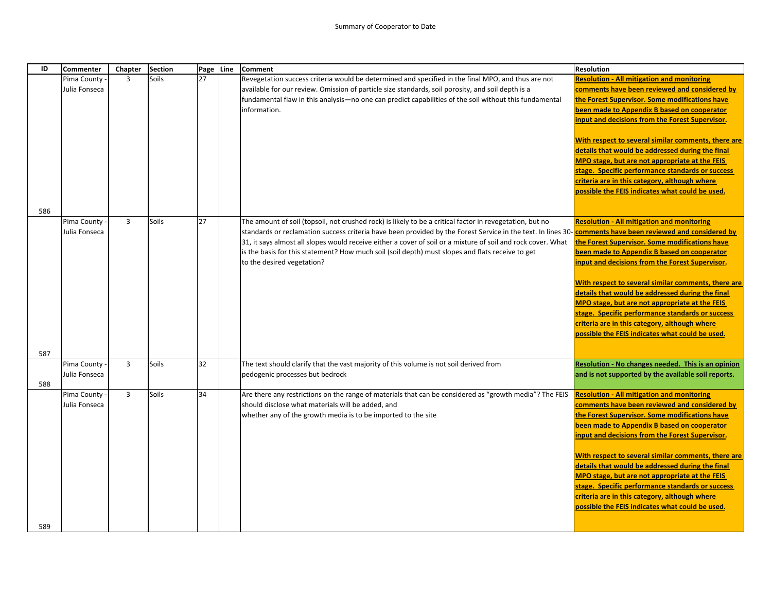| ID         | <b>Commenter</b>               | Chapter        | <b>Section</b> | Page Line | <b>Comment</b>                                                                                                                                                                                                                                                                                                                                                                                                                                                                                                                  | <b>Resolution</b>                                                                                                                                                                                                                                                                                                                                                                                                                                                                                                                                                           |
|------------|--------------------------------|----------------|----------------|-----------|---------------------------------------------------------------------------------------------------------------------------------------------------------------------------------------------------------------------------------------------------------------------------------------------------------------------------------------------------------------------------------------------------------------------------------------------------------------------------------------------------------------------------------|-----------------------------------------------------------------------------------------------------------------------------------------------------------------------------------------------------------------------------------------------------------------------------------------------------------------------------------------------------------------------------------------------------------------------------------------------------------------------------------------------------------------------------------------------------------------------------|
|            | Pima County<br>Julia Fonseca   | $\overline{3}$ | Soils          | 27        | Revegetation success criteria would be determined and specified in the final MPO, and thus are not<br>available for our review. Omission of particle size standards, soil porosity, and soil depth is a<br>fundamental flaw in this analysis—no one can predict capabilities of the soil without this fundamental<br>information.                                                                                                                                                                                               | <b>Resolution - All mitigation and monitoring</b><br>comments have been reviewed and considered by<br>the Forest Supervisor. Some modifications have<br>been made to Appendix B based on cooperator<br>input and decisions from the Forest Supervisor.<br>With respect to several similar comments, there are<br>details that would be addressed during the final<br>MPO stage, but are not appropriate at the FEIS<br>stage. Specific performance standards or success<br>criteria are in this category, although where<br>possible the FEIS indicates what could be used. |
| 586        | Pima County -<br>Julia Fonseca | $\overline{3}$ | Soils          | 27        | The amount of soil (topsoil, not crushed rock) is likely to be a critical factor in revegetation, but no<br>standards or reclamation success criteria have been provided by the Forest Service in the text. In lines 30- <b>comments have been reviewed and considered by</b><br>31, it says almost all slopes would receive either a cover of soil or a mixture of soil and rock cover. What<br>is the basis for this statement? How much soil (soil depth) must slopes and flats receive to get<br>to the desired vegetation? | <b>Resolution - All mitigation and monitoring</b><br>the Forest Supervisor. Some modifications have<br>been made to Appendix B based on cooperator<br>input and decisions from the Forest Supervisor.<br>With respect to several similar comments, there are<br>details that would be addressed during the final<br>MPO stage, but are not appropriate at the FEIS<br>stage. Specific performance standards or success<br>criteria are in this category, although where<br>possible the FEIS indicates what could be used.                                                  |
| 587<br>588 | Pima County<br>Julia Fonseca   | $\overline{3}$ | Soils          | 32        | The text should clarify that the vast majority of this volume is not soil derived from<br>pedogenic processes but bedrock                                                                                                                                                                                                                                                                                                                                                                                                       | Resolution - No changes needed. This is an opinion<br>and is not supported by the available soil reports.                                                                                                                                                                                                                                                                                                                                                                                                                                                                   |
| 589        | Pima County<br>Julia Fonseca   | $\overline{3}$ | Soils          | 34        | Are there any restrictions on the range of materials that can be considered as "growth media"? The FEIS<br>should disclose what materials will be added, and<br>whether any of the growth media is to be imported to the site                                                                                                                                                                                                                                                                                                   | <b>Resolution - All mitigation and monitoring</b><br>comments have been reviewed and considered by<br>the Forest Supervisor. Some modifications have<br>been made to Appendix B based on cooperator<br>input and decisions from the Forest Supervisor.<br>With respect to several similar comments, there are<br>details that would be addressed during the final<br>MPO stage, but are not appropriate at the FEIS<br>stage. Specific performance standards or success<br>criteria are in this category, although where<br>possible the FEIS indicates what could be used. |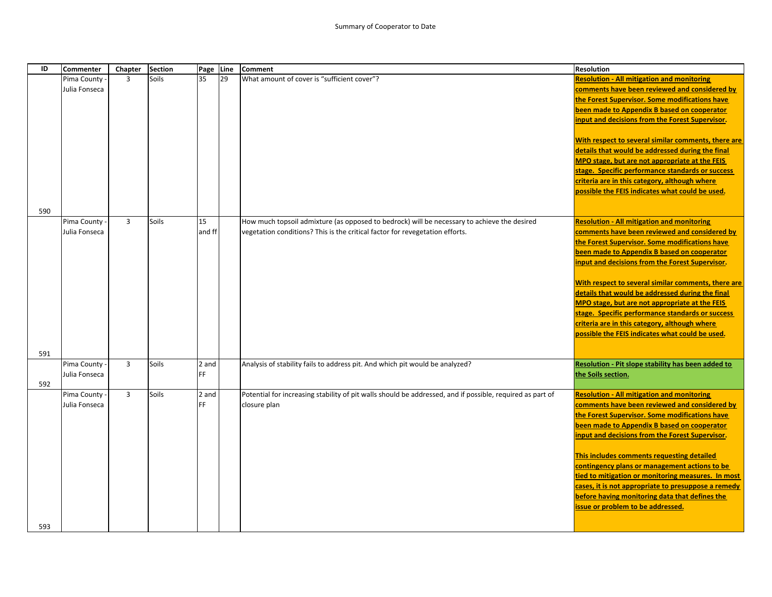| ID  | <b>Commenter</b> | Chapter        | <b>Section</b> | Page Line |    | <b>Comment</b>                                                                                            | <b>Resolution</b>                                   |
|-----|------------------|----------------|----------------|-----------|----|-----------------------------------------------------------------------------------------------------------|-----------------------------------------------------|
|     | Pima County      | $\overline{3}$ | Soils          | 35        | 29 | What amount of cover is "sufficient cover"?                                                               | <b>Resolution - All mitigation and monitoring</b>   |
|     | Julia Fonseca    |                |                |           |    |                                                                                                           | comments have been reviewed and considered by       |
|     |                  |                |                |           |    |                                                                                                           | the Forest Supervisor. Some modifications have      |
|     |                  |                |                |           |    |                                                                                                           | been made to Appendix B based on cooperator         |
|     |                  |                |                |           |    |                                                                                                           | input and decisions from the Forest Supervisor.     |
|     |                  |                |                |           |    |                                                                                                           |                                                     |
|     |                  |                |                |           |    |                                                                                                           | With respect to several similar comments, there are |
|     |                  |                |                |           |    |                                                                                                           | details that would be addressed during the final    |
|     |                  |                |                |           |    |                                                                                                           | MPO stage, but are not appropriate at the FEIS      |
|     |                  |                |                |           |    |                                                                                                           | stage. Specific performance standards or success    |
|     |                  |                |                |           |    |                                                                                                           | criteria are in this category, although where       |
|     |                  |                |                |           |    |                                                                                                           | possible the FEIS indicates what could be used.     |
|     |                  |                |                |           |    |                                                                                                           |                                                     |
| 590 |                  |                |                |           |    |                                                                                                           |                                                     |
|     | Pima County -    | $\overline{3}$ | Soils          | 15        |    | How much topsoil admixture (as opposed to bedrock) will be necessary to achieve the desired               | <b>Resolution - All mitigation and monitoring</b>   |
|     | Julia Fonseca    |                |                | and ff    |    | vegetation conditions? This is the critical factor for revegetation efforts.                              | comments have been reviewed and considered by       |
|     |                  |                |                |           |    |                                                                                                           | the Forest Supervisor. Some modifications have      |
|     |                  |                |                |           |    |                                                                                                           | been made to Appendix B based on cooperator         |
|     |                  |                |                |           |    |                                                                                                           | input and decisions from the Forest Supervisor.     |
|     |                  |                |                |           |    |                                                                                                           |                                                     |
|     |                  |                |                |           |    |                                                                                                           | With respect to several similar comments, there are |
|     |                  |                |                |           |    |                                                                                                           | details that would be addressed during the final    |
|     |                  |                |                |           |    |                                                                                                           | MPO stage, but are not appropriate at the FEIS      |
|     |                  |                |                |           |    |                                                                                                           | stage. Specific performance standards or success    |
|     |                  |                |                |           |    |                                                                                                           | criteria are in this category, although where       |
|     |                  |                |                |           |    |                                                                                                           | possible the FEIS indicates what could be used.     |
|     |                  |                |                |           |    |                                                                                                           |                                                     |
| 591 |                  |                |                |           |    |                                                                                                           |                                                     |
|     | Pima County -    | 3              | Soils          | 2 and     |    | Analysis of stability fails to address pit. And which pit would be analyzed?                              | Resolution - Pit slope stability has been added to  |
|     | Julia Fonseca    |                |                | FF        |    |                                                                                                           | the Soils section.                                  |
| 592 |                  |                |                |           |    |                                                                                                           |                                                     |
|     | Pima County -    | $\overline{3}$ | Soils          | 2 and     |    | Potential for increasing stability of pit walls should be addressed, and if possible, required as part of | <b>Resolution - All mitigation and monitoring</b>   |
|     | Julia Fonseca    |                |                | FF        |    | closure plan                                                                                              | comments have been reviewed and considered by       |
|     |                  |                |                |           |    |                                                                                                           | the Forest Supervisor. Some modifications have      |
|     |                  |                |                |           |    |                                                                                                           | been made to Appendix B based on cooperator         |
|     |                  |                |                |           |    |                                                                                                           | input and decisions from the Forest Supervisor.     |
|     |                  |                |                |           |    |                                                                                                           |                                                     |
|     |                  |                |                |           |    |                                                                                                           | This includes comments requesting detailed          |
|     |                  |                |                |           |    |                                                                                                           | contingency plans or management actions to be       |
|     |                  |                |                |           |    |                                                                                                           | tied to mitigation or monitoring measures. In most  |
|     |                  |                |                |           |    |                                                                                                           | cases, it is not appropriate to presuppose a remedy |
|     |                  |                |                |           |    |                                                                                                           | before having monitoring data that defines the      |
|     |                  |                |                |           |    |                                                                                                           | issue or problem to be addressed.                   |
|     |                  |                |                |           |    |                                                                                                           |                                                     |
| 593 |                  |                |                |           |    |                                                                                                           |                                                     |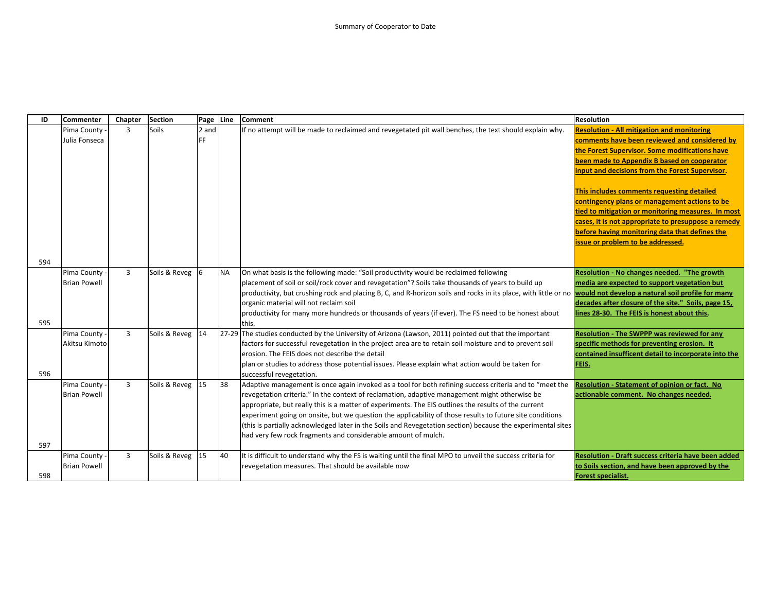| ID  | Commenter                      | Chapter | <b>Section</b> | Page           | Line      | <b>Comment</b>                                                                                                                                                           | <b>Resolution</b>                                                                                   |
|-----|--------------------------------|---------|----------------|----------------|-----------|--------------------------------------------------------------------------------------------------------------------------------------------------------------------------|-----------------------------------------------------------------------------------------------------|
|     | Pima County                    | 3       | Soils          | 2 and          |           | If no attempt will be made to reclaimed and revegetated pit wall benches, the text should explain why.                                                                   | <b>Resolution - All mitigation and monitoring</b>                                                   |
|     | Julia Fonseca                  |         |                | FF.            |           |                                                                                                                                                                          | comments have been reviewed and considered by                                                       |
|     |                                |         |                |                |           |                                                                                                                                                                          | the Forest Supervisor. Some modifications have                                                      |
|     |                                |         |                |                |           |                                                                                                                                                                          | been made to Appendix B based on cooperator                                                         |
|     |                                |         |                |                |           |                                                                                                                                                                          | input and decisions from the Forest Supervisor.                                                     |
|     |                                |         |                |                |           |                                                                                                                                                                          |                                                                                                     |
|     |                                |         |                |                |           |                                                                                                                                                                          | This includes comments requesting detailed                                                          |
|     |                                |         |                |                |           |                                                                                                                                                                          | contingency plans or management actions to be                                                       |
|     |                                |         |                |                |           |                                                                                                                                                                          | tied to mitigation or monitoring measures. In most                                                  |
|     |                                |         |                |                |           |                                                                                                                                                                          | cases, it is not appropriate to presuppose a remedy                                                 |
|     |                                |         |                |                |           |                                                                                                                                                                          | before having monitoring data that defines the                                                      |
|     |                                |         |                |                |           |                                                                                                                                                                          | issue or problem to be addressed.                                                                   |
|     |                                |         |                |                |           |                                                                                                                                                                          |                                                                                                     |
| 594 |                                |         |                |                |           |                                                                                                                                                                          |                                                                                                     |
|     | Pima County                    | 3       | Soils & Reveg  | $\overline{6}$ | <b>NA</b> | On what basis is the following made: "Soil productivity would be reclaimed following                                                                                     | Resolution - No changes needed. "The growth                                                         |
|     | <b>Brian Powell</b>            |         |                |                |           | placement of soil or soil/rock cover and revegetation"? Soils take thousands of years to build up                                                                        | media are expected to support vegetation but                                                        |
|     |                                |         |                |                |           | productivity, but crushing rock and placing B, C, and R-horizon soils and rocks in its place, with little or no <b>would not develop a natural soil profile for many</b> |                                                                                                     |
|     |                                |         |                |                |           | organic material will not reclaim soil                                                                                                                                   | decades after closure of the site." Soils, page 15,                                                 |
|     |                                |         |                |                |           | productivity for many more hundreds or thousands of years (if ever). The FS need to be honest about                                                                      | lines 28-30. The FEIS is honest about this.                                                         |
| 595 |                                |         |                | 14             |           | this.                                                                                                                                                                    |                                                                                                     |
|     | Pima County -<br>Akitsu Kimoto | 3       | Soils & Reveg  |                |           | [27-29] The studies conducted by the University of Arizona (Lawson, 2011) pointed out that the important                                                                 | Resolution - The SWPPP was reviewed for any                                                         |
|     |                                |         |                |                |           | factors for successful revegetation in the project area are to retain soil moisture and to prevent soil<br>erosion. The FEIS does not describe the detail                | specific methods for preventing erosion. It<br>contained insufficent detail to incorporate into the |
|     |                                |         |                |                |           | plan or studies to address those potential issues. Please explain what action would be taken for                                                                         | FEIS.                                                                                               |
| 596 |                                |         |                |                |           | successful revegetation.                                                                                                                                                 |                                                                                                     |
|     | Pima County -                  | 3       | Soils & Reveg  | 15             | 38        | Adaptive management is once again invoked as a tool for both refining success criteria and to "meet the                                                                  | Resolution - Statement of opinion or fact. No                                                       |
|     | <b>Brian Powell</b>            |         |                |                |           | revegetation criteria." In the context of reclamation, adaptive management might otherwise be                                                                            | actionable comment. No changes needed.                                                              |
|     |                                |         |                |                |           | appropriate, but really this is a matter of experiments. The EIS outlines the results of the current                                                                     |                                                                                                     |
|     |                                |         |                |                |           | experiment going on onsite, but we question the applicability of those results to future site conditions                                                                 |                                                                                                     |
|     |                                |         |                |                |           | (this is partially acknowledged later in the Soils and Revegetation section) because the experimental sites                                                              |                                                                                                     |
|     |                                |         |                |                |           | had very few rock fragments and considerable amount of mulch.                                                                                                            |                                                                                                     |
| 597 |                                |         |                |                |           |                                                                                                                                                                          |                                                                                                     |
|     | Pima County                    | 3       | Soils & Reveg  | 15             | 40        | It is difficult to understand why the FS is waiting until the final MPO to unveil the success criteria for                                                               | Resolution - Draft success criteria have been added                                                 |
|     | <b>Brian Powell</b>            |         |                |                |           | revegetation measures. That should be available now                                                                                                                      | to Soils section, and have been approved by the                                                     |
| 598 |                                |         |                |                |           |                                                                                                                                                                          | <b>Forest specialist.</b>                                                                           |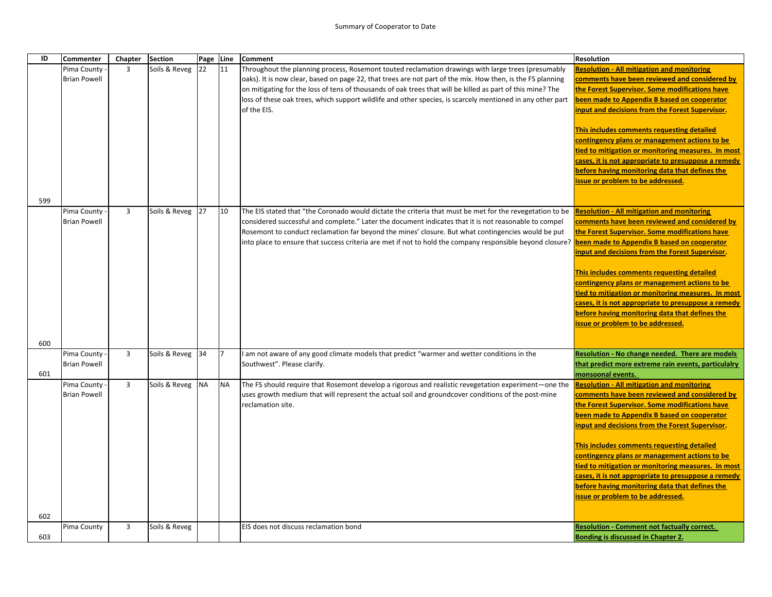| ID  | <b>Commenter</b>    | Chapter        | <b>Section</b> | Page Line |           | <b>Comment</b>                                                                                             | <b>Resolution</b>                                                                             |
|-----|---------------------|----------------|----------------|-----------|-----------|------------------------------------------------------------------------------------------------------------|-----------------------------------------------------------------------------------------------|
|     | Pima County         | 3              | Soils & Reveg  | 22        | 11        | Throughout the planning process, Rosemont touted reclamation drawings with large trees (presumably         | <b>Resolution - All mitigation and monitoring</b>                                             |
|     | <b>Brian Powell</b> |                |                |           |           | oaks). It is now clear, based on page 22, that trees are not part of the mix. How then, is the FS planning | comments have been reviewed and considered by                                                 |
|     |                     |                |                |           |           | on mitigating for the loss of tens of thousands of oak trees that will be killed as part of this mine? The | the Forest Supervisor. Some modifications have                                                |
|     |                     |                |                |           |           | loss of these oak trees, which support wildlife and other species, is scarcely mentioned in any other part | been made to Appendix B based on cooperator                                                   |
|     |                     |                |                |           |           | of the EIS.                                                                                                | input and decisions from the Forest Supervisor.                                               |
|     |                     |                |                |           |           |                                                                                                            | This includes comments requesting detailed                                                    |
|     |                     |                |                |           |           |                                                                                                            | contingency plans or management actions to be                                                 |
|     |                     |                |                |           |           |                                                                                                            | tied to mitigation or monitoring measures. In most                                            |
|     |                     |                |                |           |           |                                                                                                            | cases, it is not appropriate to presuppose a remedy                                           |
|     |                     |                |                |           |           |                                                                                                            | before having monitoring data that defines the                                                |
|     |                     |                |                |           |           |                                                                                                            | issue or problem to be addressed.                                                             |
|     |                     |                |                |           |           |                                                                                                            |                                                                                               |
| 599 |                     |                |                |           |           |                                                                                                            |                                                                                               |
|     | Pima County         | $\overline{3}$ | Soils & Reveg  | 27        | 10        | The EIS stated that "the Coronado would dictate the criteria that must be met for the revegetation to be   | <b>Resolution - All mitigation and monitoring</b>                                             |
|     | <b>Brian Powell</b> |                |                |           |           | considered successful and complete." Later the document indicates that it is not reasonable to compel      | comments have been reviewed and considered by                                                 |
|     |                     |                |                |           |           | Rosemont to conduct reclamation far beyond the mines' closure. But what contingencies would be put         | the Forest Supervisor. Some modifications have<br>been made to Appendix B based on cooperator |
|     |                     |                |                |           |           | [?into place to ensure that success criteria are met if not to hold the company responsible beyond closure | input and decisions from the Forest Supervisor.                                               |
|     |                     |                |                |           |           |                                                                                                            |                                                                                               |
|     |                     |                |                |           |           |                                                                                                            | This includes comments requesting detailed                                                    |
|     |                     |                |                |           |           |                                                                                                            | contingency plans or management actions to be                                                 |
|     |                     |                |                |           |           |                                                                                                            | tied to mitigation or monitoring measures. In most                                            |
|     |                     |                |                |           |           |                                                                                                            | cases, it is not appropriate to presuppose a remedy                                           |
|     |                     |                |                |           |           |                                                                                                            | before having monitoring data that defines the                                                |
|     |                     |                |                |           |           |                                                                                                            | issue or problem to be addressed.                                                             |
|     |                     |                |                |           |           |                                                                                                            |                                                                                               |
| 600 | Pima County         | $\overline{3}$ | Soils & Reveg  | 34        | 17        | am not aware of any good climate models that predict "warmer and wetter conditions in the                  | Resolution - No change needed. There are models                                               |
|     | <b>Brian Powell</b> |                |                |           |           | Southwest". Please clarify.                                                                                | that predict more extreme rain events, particulalry                                           |
| 601 |                     |                |                |           |           |                                                                                                            | monsoonal events.                                                                             |
|     | Pima County         | $\overline{3}$ | Soils & Reveg  | <b>NA</b> | <b>NA</b> | The FS should require that Rosemont develop a rigorous and realistic revegetation experiment—one the       | <b>Resolution - All mitigation and monitoring</b>                                             |
|     | <b>Brian Powell</b> |                |                |           |           | uses growth medium that will represent the actual soil and groundcover conditions of the post-mine         | comments have been reviewed and considered by                                                 |
|     |                     |                |                |           |           | reclamation site.                                                                                          | the Forest Supervisor. Some modifications have                                                |
|     |                     |                |                |           |           |                                                                                                            | been made to Appendix B based on cooperator                                                   |
|     |                     |                |                |           |           |                                                                                                            | input and decisions from the Forest Supervisor.                                               |
|     |                     |                |                |           |           |                                                                                                            |                                                                                               |
|     |                     |                |                |           |           |                                                                                                            | This includes comments requesting detailed                                                    |
|     |                     |                |                |           |           |                                                                                                            | contingency plans or management actions to be                                                 |
|     |                     |                |                |           |           |                                                                                                            | tied to mitigation or monitoring measures. In most                                            |
|     |                     |                |                |           |           |                                                                                                            | cases, it is not appropriate to presuppose a remedy                                           |
|     |                     |                |                |           |           |                                                                                                            | before having monitoring data that defines the                                                |
|     |                     |                |                |           |           |                                                                                                            | issue or problem to be addressed.                                                             |
| 602 |                     |                |                |           |           |                                                                                                            |                                                                                               |
|     | Pima County         | $\overline{3}$ | Soils & Reveg  |           |           | EIS does not discuss reclamation bond                                                                      | <b>Resolution - Comment not factually correct.</b>                                            |
| 603 |                     |                |                |           |           |                                                                                                            | Bonding is discussed in Chapter 2.                                                            |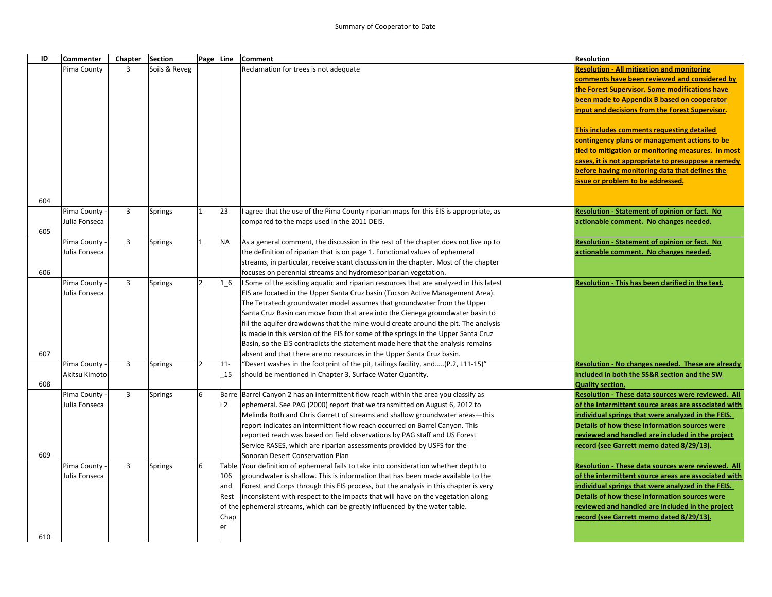| ID  | Commenter                    | Chapter        | <b>Section</b> | Page Line      |           | <b>Comment</b>                                                                                                                     | <b>Resolution</b>                                                                                 |
|-----|------------------------------|----------------|----------------|----------------|-----------|------------------------------------------------------------------------------------------------------------------------------------|---------------------------------------------------------------------------------------------------|
|     | Pima County                  | 3              | Soils & Reveg  |                |           | Reclamation for trees is not adequate                                                                                              | <b>Resolution - All mitigation and monitoring</b>                                                 |
|     |                              |                |                |                |           |                                                                                                                                    | comments have been reviewed and considered by                                                     |
|     |                              |                |                |                |           |                                                                                                                                    | the Forest Supervisor. Some modifications have                                                    |
|     |                              |                |                |                |           |                                                                                                                                    | been made to Appendix B based on cooperator                                                       |
|     |                              |                |                |                |           |                                                                                                                                    | input and decisions from the Forest Supervisor.                                                   |
|     |                              |                |                |                |           |                                                                                                                                    | This includes comments requesting detailed                                                        |
|     |                              |                |                |                |           |                                                                                                                                    | contingency plans or management actions to be                                                     |
|     |                              |                |                |                |           |                                                                                                                                    | tied to mitigation or monitoring measures. In most                                                |
|     |                              |                |                |                |           |                                                                                                                                    | cases, it is not appropriate to presuppose a remedy                                               |
|     |                              |                |                |                |           |                                                                                                                                    | before having monitoring data that defines the                                                    |
|     |                              |                |                |                |           |                                                                                                                                    | issue or problem to be addressed.                                                                 |
|     |                              |                |                |                |           |                                                                                                                                    |                                                                                                   |
| 604 |                              | 3              |                |                | 23        |                                                                                                                                    |                                                                                                   |
|     | Pima County<br>Julia Fonseca |                | Springs        |                |           | agree that the use of the Pima County riparian maps for this EIS is appropriate, as<br>compared to the maps used in the 2011 DEIS. | <b>Resolution - Statement of opinion or fact. No</b><br>actionable comment. No changes needed.    |
| 605 |                              |                |                |                |           |                                                                                                                                    |                                                                                                   |
|     | Pima County -                | $\overline{3}$ | <b>Springs</b> | 1              | <b>NA</b> | As a general comment, the discussion in the rest of the chapter does not live up to                                                | Resolution - Statement of opinion or fact. No                                                     |
|     | Julia Fonseca                |                |                |                |           | the definition of riparian that is on page 1. Functional values of ephemeral                                                       | actionable comment. No changes needed.                                                            |
|     |                              |                |                |                |           | streams, in particular, receive scant discussion in the chapter. Most of the chapter                                               |                                                                                                   |
| 606 |                              |                |                |                |           | focuses on perennial streams and hydromesoriparian vegetation.                                                                     |                                                                                                   |
|     | Pima County                  | 3              | <b>Springs</b> | $\overline{2}$ | $1\_6$    | I Some of the existing aquatic and riparian resources that are analyzed in this latest                                             | Resolution - This has been clarified in the text.                                                 |
|     | Julia Fonseca                |                |                |                |           | EIS are located in the Upper Santa Cruz basin (Tucson Active Management Area).                                                     |                                                                                                   |
|     |                              |                |                |                |           | The Tetratech groundwater model assumes that groundwater from the Upper                                                            |                                                                                                   |
|     |                              |                |                |                |           | Santa Cruz Basin can move from that area into the Cienega groundwater basin to                                                     |                                                                                                   |
|     |                              |                |                |                |           | fill the aquifer drawdowns that the mine would create around the pit. The analysis                                                 |                                                                                                   |
|     |                              |                |                |                |           | is made in this version of the EIS for some of the springs in the Upper Santa Cruz                                                 |                                                                                                   |
|     |                              |                |                |                |           | Basin, so the EIS contradicts the statement made here that the analysis remains                                                    |                                                                                                   |
| 607 |                              |                |                |                |           | absent and that there are no resources in the Upper Santa Cruz basin.                                                              |                                                                                                   |
|     | Pima County -                | $\overline{3}$ | <b>Springs</b> | $\overline{2}$ | $11-$     | "Desert washes in the footprint of the pit, tailings facility, and(P.2, L11-15)"                                                   | Resolution - No changes needed. These are already                                                 |
|     | Akitsu Kimoto                |                |                |                | 15        | should be mentioned in Chapter 3, Surface Water Quantity.                                                                          | included in both the SS&R section and the SW                                                      |
| 608 |                              |                |                |                |           |                                                                                                                                    | <b>Quality section.</b>                                                                           |
|     | Pima County                  | $\overline{3}$ | <b>Springs</b> | 6              |           | Barre Barrel Canyon 2 has an intermittent flow reach within the area you classify as                                               | Resolution - These data sources were reviewed. All                                                |
|     | Julia Fonseca                |                |                |                | 2         | ephemeral. See PAG (2000) report that we transmitted on August 6, 2012 to                                                          | of the intermittent source areas are associated with                                              |
|     |                              |                |                |                |           | Melinda Roth and Chris Garrett of streams and shallow groundwater areas-this                                                       | ndividual springs that were analyzed in the FEIS.                                                 |
|     |                              |                |                |                |           | report indicates an intermittent flow reach occurred on Barrel Canyon. This                                                        | Details of how these information sources were<br>reviewed and handled are included in the project |
|     |                              |                |                |                |           | reported reach was based on field observations by PAG staff and US Forest                                                          | record (see Garrett memo dated 8/29/13).                                                          |
| 609 |                              |                |                |                |           | Service RASES, which are riparian assessments provided by USFS for the<br>Sonoran Desert Conservation Plan                         |                                                                                                   |
|     | Pima County                  | $\overline{3}$ | <b>Springs</b> | 6              | Table     | Your definition of ephemeral fails to take into consideration whether depth to                                                     | Resolution - These data sources were reviewed. All                                                |
|     | Julia Fonseca                |                |                |                | 106       | groundwater is shallow. This is information that has been made available to the                                                    | of the intermittent source areas are associated with                                              |
|     |                              |                |                |                | and       | Forest and Corps through this EIS process, but the analysis in this chapter is very                                                | ndividual springs that were analyzed in the FEIS.                                                 |
|     |                              |                |                |                | Rest      | inconsistent with respect to the impacts that will have on the vegetation along                                                    | Details of how these information sources were                                                     |
|     |                              |                |                |                | of the    | ephemeral streams, which can be greatly influenced by the water table.                                                             | reviewed and handled are included in the project                                                  |
|     |                              |                |                |                | Chap      |                                                                                                                                    | record (see Garrett memo dated 8/29/13).                                                          |
|     |                              |                |                |                | er        |                                                                                                                                    |                                                                                                   |
| 610 |                              |                |                |                |           |                                                                                                                                    |                                                                                                   |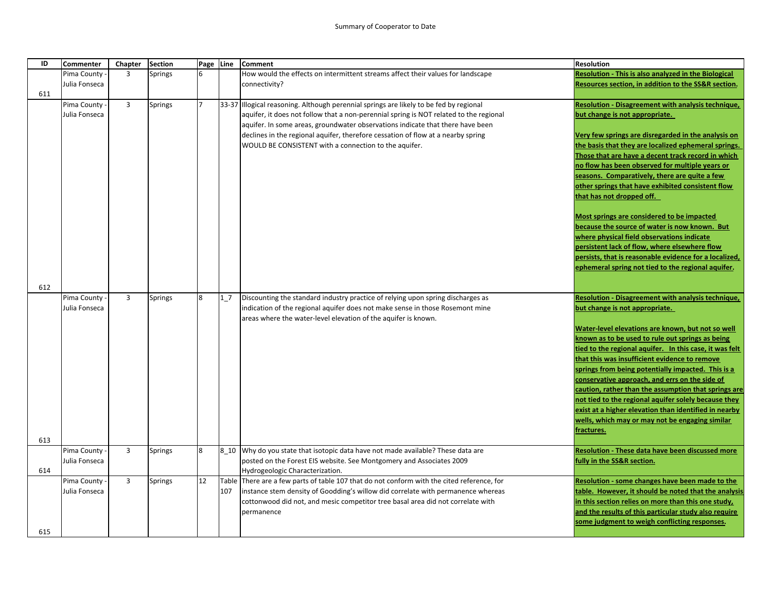| ID  | <b>Commenter</b>               | Chapter        | <b>Section</b> | Page Line      |     | <b>Comment</b>                                                                                                                                  | <b>Resolution</b>                                                                                     |
|-----|--------------------------------|----------------|----------------|----------------|-----|-------------------------------------------------------------------------------------------------------------------------------------------------|-------------------------------------------------------------------------------------------------------|
|     | Pima County                    | 3              | <b>Springs</b> |                |     | How would the effects on intermittent streams affect their values for landscape                                                                 | <b>Resolution - This is also analyzed in the Biological</b>                                           |
|     | Julia Fonseca                  |                |                |                |     | connectivity?                                                                                                                                   | Resources section, in addition to the SS&R section.                                                   |
| 611 |                                |                |                |                |     |                                                                                                                                                 |                                                                                                       |
|     | Pima County                    | $\overline{3}$ | <b>Springs</b> | $\overline{7}$ |     | 33-37 Illogical reasoning. Although perennial springs are likely to be fed by regional                                                          | Resolution - Disagreement with analysis technique,                                                    |
|     | Julia Fonseca                  |                |                |                |     | aquifer, it does not follow that a non-perennial spring is NOT related to the regional                                                          | but change is not appropriate.                                                                        |
|     |                                |                |                |                |     | aquifer. In some areas, groundwater observations indicate that there have been                                                                  |                                                                                                       |
|     |                                |                |                |                |     | declines in the regional aquifer, therefore cessation of flow at a nearby spring                                                                | Very few springs are disregarded in the analysis on                                                   |
|     |                                |                |                |                |     | WOULD BE CONSISTENT with a connection to the aquifer.                                                                                           | the basis that they are localized ephemeral springs.                                                  |
|     |                                |                |                |                |     |                                                                                                                                                 | Those that are have a decent track record in which<br>no flow has been observed for multiple years or |
|     |                                |                |                |                |     |                                                                                                                                                 | seasons. Comparatively, there are quite a few                                                         |
|     |                                |                |                |                |     |                                                                                                                                                 | other springs that have exhibited consistent flow                                                     |
|     |                                |                |                |                |     |                                                                                                                                                 | that has not dropped off.                                                                             |
|     |                                |                |                |                |     |                                                                                                                                                 |                                                                                                       |
|     |                                |                |                |                |     |                                                                                                                                                 | Most springs are considered to be impacted                                                            |
|     |                                |                |                |                |     |                                                                                                                                                 | because the source of water is now known. But                                                         |
|     |                                |                |                |                |     |                                                                                                                                                 | where physical field observations indicate                                                            |
|     |                                |                |                |                |     |                                                                                                                                                 | persistent lack of flow, where elsewhere flow                                                         |
|     |                                |                |                |                |     |                                                                                                                                                 | persists, that is reasonable evidence for a localized,                                                |
|     |                                |                |                |                |     |                                                                                                                                                 | ephemeral spring not tied to the regional aquifer.                                                    |
|     |                                |                |                |                |     |                                                                                                                                                 |                                                                                                       |
| 612 |                                |                |                |                |     |                                                                                                                                                 |                                                                                                       |
|     | Pima County -<br>Julia Fonseca | $\overline{3}$ | <b>Springs</b> | 8              | 1/7 | Discounting the standard industry practice of relying upon spring discharges as                                                                 | Resolution - Disagreement with analysis technique,                                                    |
|     |                                |                |                |                |     | indication of the regional aquifer does not make sense in those Rosemont mine<br>areas where the water-level elevation of the aquifer is known. | but change is not appropriate.                                                                        |
|     |                                |                |                |                |     |                                                                                                                                                 | Water-level elevations are known, but not so well                                                     |
|     |                                |                |                |                |     |                                                                                                                                                 | known as to be used to rule out springs as being                                                      |
|     |                                |                |                |                |     |                                                                                                                                                 | tied to the regional aquifer. In this case, it was felt                                               |
|     |                                |                |                |                |     |                                                                                                                                                 | that this was insufficient evidence to remove                                                         |
|     |                                |                |                |                |     |                                                                                                                                                 | springs from being potentially impacted. This is a                                                    |
|     |                                |                |                |                |     |                                                                                                                                                 | conservative approach, and errs on the side of                                                        |
|     |                                |                |                |                |     |                                                                                                                                                 | caution, rather than the assumption that springs are                                                  |
|     |                                |                |                |                |     |                                                                                                                                                 | not tied to the regional aquifer solely because they                                                  |
|     |                                |                |                |                |     |                                                                                                                                                 | exist at a higher elevation than identified in nearby                                                 |
|     |                                |                |                |                |     |                                                                                                                                                 | wells, which may or may not be engaging similar                                                       |
|     |                                |                |                |                |     |                                                                                                                                                 | fractures.                                                                                            |
| 613 | Pima County -                  | $\overline{3}$ | <b>Springs</b> | 8              |     | 8 10 Why do you state that isotopic data have not made available? These data are                                                                | <b>Resolution - These data have been discussed more</b>                                               |
|     | Julia Fonseca                  |                |                |                |     | posted on the Forest EIS website. See Montgomery and Associates 2009                                                                            | fully in the SS&R section.                                                                            |
| 614 |                                |                |                |                |     | Hydrogeologic Characterization.                                                                                                                 |                                                                                                       |
|     | Pima County -                  | 3              | <b>Springs</b> | 12             |     | Table There are a few parts of table 107 that do not conform with the cited reference, for                                                      | Resolution - some changes have been made to the                                                       |
|     | Julia Fonseca                  |                |                |                | 107 | instance stem density of Goodding's willow did correlate with permanence whereas                                                                | table. However, it should be noted that the analysis                                                  |
|     |                                |                |                |                |     | cottonwood did not, and mesic competitor tree basal area did not correlate with                                                                 | in this section relies on more than this one study,                                                   |
|     |                                |                |                |                |     | permanence                                                                                                                                      | and the results of this particular study also require                                                 |
|     |                                |                |                |                |     |                                                                                                                                                 | some judgment to weigh conflicting responses.                                                         |
| 615 |                                |                |                |                |     |                                                                                                                                                 |                                                                                                       |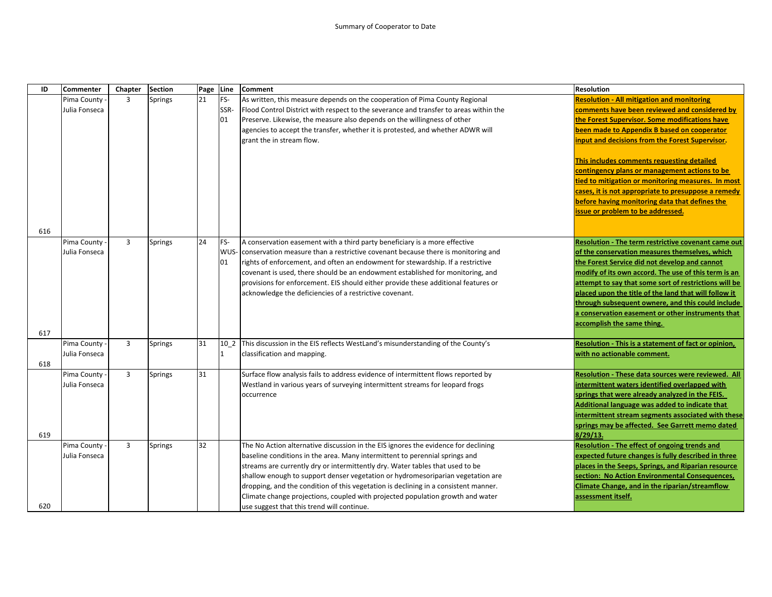| ID  | Commenter     | Chapter | Section        | Page Line |      | Comment                                                                               | <b>Resolution</b>                                     |
|-----|---------------|---------|----------------|-----------|------|---------------------------------------------------------------------------------------|-------------------------------------------------------|
|     | Pima County   | 3       | <b>Springs</b> | 21        | FS-  | As written, this measure depends on the cooperation of Pima County Regional           | <b>Resolution - All mitigation and monitoring</b>     |
|     | Julia Fonseca |         |                |           | SSR- | Flood Control District with respect to the severance and transfer to areas within the | comments have been reviewed and considered by         |
|     |               |         |                |           | 01   | Preserve. Likewise, the measure also depends on the willingness of other              | the Forest Supervisor. Some modifications have        |
|     |               |         |                |           |      | agencies to accept the transfer, whether it is protested, and whether ADWR will       | been made to Appendix B based on cooperator           |
|     |               |         |                |           |      | grant the in stream flow.                                                             | input and decisions from the Forest Supervisor.       |
|     |               |         |                |           |      |                                                                                       | This includes comments requesting detailed            |
|     |               |         |                |           |      |                                                                                       | contingency plans or management actions to be         |
|     |               |         |                |           |      |                                                                                       | tied to mitigation or monitoring measures. In most    |
|     |               |         |                |           |      |                                                                                       | cases, it is not appropriate to presuppose a remedy   |
|     |               |         |                |           |      |                                                                                       | before having monitoring data that defines the        |
|     |               |         |                |           |      |                                                                                       | issue or problem to be addressed.                     |
|     |               |         |                |           |      |                                                                                       |                                                       |
| 616 |               |         |                |           |      |                                                                                       |                                                       |
|     | Pima County - | 3       | Springs        | 24        | FS-  | A conservation easement with a third party beneficiary is a more effective            | Resolution - The term restrictive covenant came out   |
|     | Julia Fonseca |         |                |           | WUS- | conservation measure than a restrictive covenant because there is monitoring and      | of the conservation measures themselves, which        |
|     |               |         |                |           | 01   | rights of enforcement, and often an endowment for stewardship. If a restrictive       | the Forest Service did not develop and cannot         |
|     |               |         |                |           |      | covenant is used, there should be an endowment established for monitoring, and        | modify of its own accord. The use of this term is an  |
|     |               |         |                |           |      | provisions for enforcement. EIS should either provide these additional features or    | attempt to say that some sort of restrictions will be |
|     |               |         |                |           |      | acknowledge the deficiencies of a restrictive covenant.                               | placed upon the title of the land that will follow it |
|     |               |         |                |           |      |                                                                                       | through subsequent ownere, and this could include     |
|     |               |         |                |           |      |                                                                                       | a conservation easement or other instruments that     |
| 617 |               |         |                |           |      |                                                                                       | accomplish the same thing.                            |
|     | Pima County   | 3       | <b>Springs</b> | 31        | 10 2 | This discussion in the EIS reflects WestLand's misunderstanding of the County's       | Resolution - This is a statement of fact or opinion,  |
|     | Julia Fonseca |         |                |           | 11   | classification and mapping.                                                           | with no actionable comment.                           |
| 618 |               |         |                |           |      |                                                                                       |                                                       |
|     | Pima County - | 3       | Springs        | 31        |      | Surface flow analysis fails to address evidence of intermittent flows reported by     | Resolution - These data sources were reviewed. All    |
|     | Julia Fonseca |         |                |           |      | Westland in various years of surveying intermittent streams for leopard frogs         | intermittent waters identified overlapped with        |
|     |               |         |                |           |      | occurrence                                                                            | springs that were already analyzed in the FEIS.       |
|     |               |         |                |           |      |                                                                                       | Additional language was added to indicate that        |
|     |               |         |                |           |      |                                                                                       | intermittent stream segments associated with these    |
|     |               |         |                |           |      |                                                                                       | springs may be affected. See Garrett memo dated       |
| 619 |               |         |                |           |      |                                                                                       | 8/29/13                                               |
|     | Pima County - | 3       | <b>Springs</b> | 32        |      | The No Action alternative discussion in the EIS ignores the evidence for declining    | Resolution - The effect of ongoing trends and         |
|     | Julia Fonseca |         |                |           |      | baseline conditions in the area. Many intermittent to perennial springs and           | expected future changes is fully described in three   |
|     |               |         |                |           |      | streams are currently dry or intermittently dry. Water tables that used to be         | places in the Seeps, Springs, and Riparian resource   |
|     |               |         |                |           |      | shallow enough to support denser vegetation or hydromesoriparian vegetation are       | section: No Action Environmental Consequences,        |
|     |               |         |                |           |      | dropping, and the condition of this vegetation is declining in a consistent manner.   | Climate Change, and in the riparian/streamflow        |
|     |               |         |                |           |      | Climate change projections, coupled with projected population growth and water        | assessment itself.                                    |
| 620 |               |         |                |           |      | use suggest that this trend will continue.                                            |                                                       |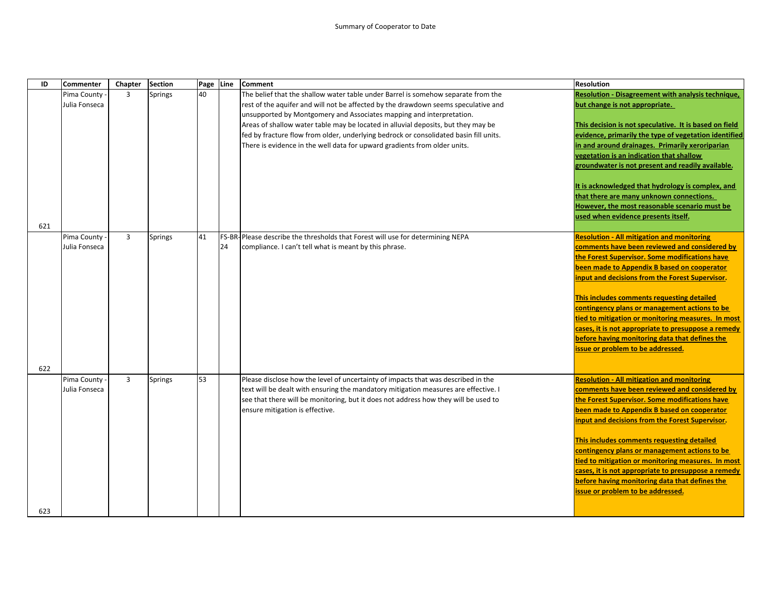| ID  | <b>Commenter</b> | Chapter        | <b>Section</b> | Page Line |    | <b>Comment</b>                                                                        | <b>Resolution</b>                                         |
|-----|------------------|----------------|----------------|-----------|----|---------------------------------------------------------------------------------------|-----------------------------------------------------------|
|     | Pima County -    | 3              | Springs        | 40        |    | The belief that the shallow water table under Barrel is somehow separate from the     | <b>Resolution - Disagreement with analysis technique,</b> |
|     | Julia Fonseca    |                |                |           |    | rest of the aquifer and will not be affected by the drawdown seems speculative and    | but change is not appropriate.                            |
|     |                  |                |                |           |    | unsupported by Montgomery and Associates mapping and interpretation.                  |                                                           |
|     |                  |                |                |           |    | Areas of shallow water table may be located in alluvial deposits, but they may be     | This decision is not speculative. It is based on field    |
|     |                  |                |                |           |    | fed by fracture flow from older, underlying bedrock or consolidated basin fill units. | evidence, primarily the type of vegetation identified     |
|     |                  |                |                |           |    | There is evidence in the well data for upward gradients from older units.             | in and around drainages. Primarily xeroriparian           |
|     |                  |                |                |           |    |                                                                                       | vegetation is an indication that shallow                  |
|     |                  |                |                |           |    |                                                                                       | groundwater is not present and readily available.         |
|     |                  |                |                |           |    |                                                                                       | It is acknowledged that hydrology is complex, and         |
|     |                  |                |                |           |    |                                                                                       | that there are many unknown connections.                  |
|     |                  |                |                |           |    |                                                                                       | However, the most reasonable scenario must be             |
|     |                  |                |                |           |    |                                                                                       | used when evidence presents itself.                       |
| 621 |                  |                |                |           |    |                                                                                       |                                                           |
|     | Pima County -    | $\overline{3}$ | Springs        | 41        |    | FS-BR-Please describe the thresholds that Forest will use for determining NEPA        | <b>Resolution - All mitigation and monitoring</b>         |
|     | Julia Fonseca    |                |                |           | 24 | compliance. I can't tell what is meant by this phrase.                                | comments have been reviewed and considered by             |
|     |                  |                |                |           |    |                                                                                       | the Forest Supervisor. Some modifications have            |
|     |                  |                |                |           |    |                                                                                       | been made to Appendix B based on cooperator               |
|     |                  |                |                |           |    |                                                                                       | input and decisions from the Forest Supervisor.           |
|     |                  |                |                |           |    |                                                                                       |                                                           |
|     |                  |                |                |           |    |                                                                                       | This includes comments requesting detailed                |
|     |                  |                |                |           |    |                                                                                       | contingency plans or management actions to be             |
|     |                  |                |                |           |    |                                                                                       | tied to mitigation or monitoring measures. In most        |
|     |                  |                |                |           |    |                                                                                       | cases, it is not appropriate to presuppose a remedy       |
|     |                  |                |                |           |    |                                                                                       | before having monitoring data that defines the            |
|     |                  |                |                |           |    |                                                                                       | issue or problem to be addressed.                         |
|     |                  |                |                |           |    |                                                                                       |                                                           |
| 622 |                  |                |                |           |    |                                                                                       |                                                           |
|     | Pima County -    | $\overline{3}$ | <b>Springs</b> | 53        |    | Please disclose how the level of uncertainty of impacts that was described in the     | <b>Resolution - All mitigation and monitoring</b>         |
|     | Julia Fonseca    |                |                |           |    | text will be dealt with ensuring the mandatory mitigation measures are effective. I   | comments have been reviewed and considered by             |
|     |                  |                |                |           |    | see that there will be monitoring, but it does not address how they will be used to   | the Forest Supervisor. Some modifications have            |
|     |                  |                |                |           |    | ensure mitigation is effective.                                                       | been made to Appendix B based on cooperator               |
|     |                  |                |                |           |    |                                                                                       | input and decisions from the Forest Supervisor.           |
|     |                  |                |                |           |    |                                                                                       | This includes comments requesting detailed                |
|     |                  |                |                |           |    |                                                                                       | contingency plans or management actions to be             |
|     |                  |                |                |           |    |                                                                                       | tied to mitigation or monitoring measures. In most        |
|     |                  |                |                |           |    |                                                                                       | cases, it is not appropriate to presuppose a remedy       |
|     |                  |                |                |           |    |                                                                                       | before having monitoring data that defines the            |
|     |                  |                |                |           |    |                                                                                       | issue or problem to be addressed.                         |
|     |                  |                |                |           |    |                                                                                       |                                                           |
| 623 |                  |                |                |           |    |                                                                                       |                                                           |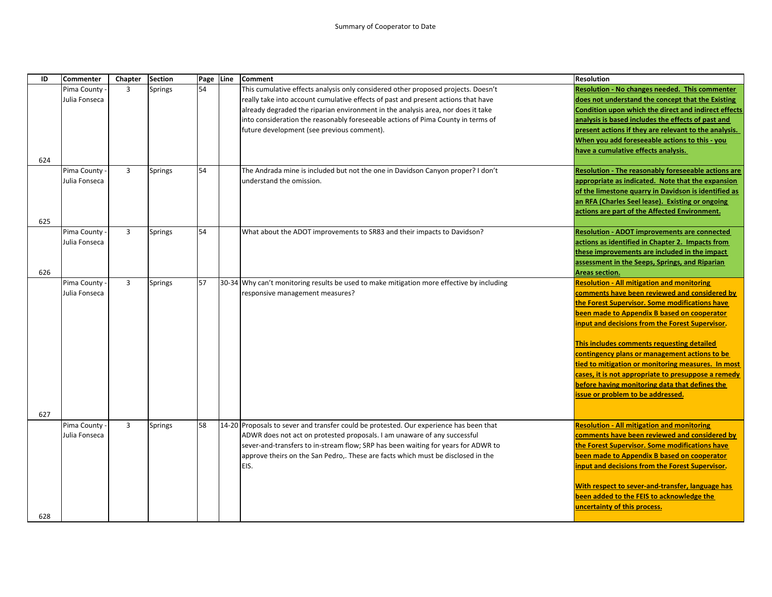| ID         | <b>Commenter</b>             | Chapter        | <b>Section</b> | Page Line | <b>Comment</b>                                                                                                                                                                                                                                                                                                                                      | <b>Resolution</b>                                                                                                                                                                                                                                                                                                                                                                                                                                                                                                                                                                                                                            |
|------------|------------------------------|----------------|----------------|-----------|-----------------------------------------------------------------------------------------------------------------------------------------------------------------------------------------------------------------------------------------------------------------------------------------------------------------------------------------------------|----------------------------------------------------------------------------------------------------------------------------------------------------------------------------------------------------------------------------------------------------------------------------------------------------------------------------------------------------------------------------------------------------------------------------------------------------------------------------------------------------------------------------------------------------------------------------------------------------------------------------------------------|
|            | Pima County                  | 3              | <b>Springs</b> | 54        | This cumulative effects analysis only considered other proposed projects. Doesn't                                                                                                                                                                                                                                                                   | <b>Resolution - No changes needed. This commenter</b>                                                                                                                                                                                                                                                                                                                                                                                                                                                                                                                                                                                        |
|            | Julia Fonseca                |                |                |           | really take into account cumulative effects of past and present actions that have                                                                                                                                                                                                                                                                   | does not understand the concept that the Existing                                                                                                                                                                                                                                                                                                                                                                                                                                                                                                                                                                                            |
|            |                              |                |                |           | already degraded the riparian environment in the analysis area, nor does it take                                                                                                                                                                                                                                                                    | Condition upon which the direct and indirect effects                                                                                                                                                                                                                                                                                                                                                                                                                                                                                                                                                                                         |
|            |                              |                |                |           | into consideration the reasonably foreseeable actions of Pima County in terms of                                                                                                                                                                                                                                                                    | analysis is based includes the effects of past and                                                                                                                                                                                                                                                                                                                                                                                                                                                                                                                                                                                           |
|            |                              |                |                |           | future development (see previous comment).                                                                                                                                                                                                                                                                                                          | present actions if they are relevant to the analysis.                                                                                                                                                                                                                                                                                                                                                                                                                                                                                                                                                                                        |
|            |                              |                |                |           |                                                                                                                                                                                                                                                                                                                                                     | When you add foreseeable actions to this - you                                                                                                                                                                                                                                                                                                                                                                                                                                                                                                                                                                                               |
|            |                              |                |                |           |                                                                                                                                                                                                                                                                                                                                                     | have a cumulative effects analysis.                                                                                                                                                                                                                                                                                                                                                                                                                                                                                                                                                                                                          |
| 624        |                              |                |                |           |                                                                                                                                                                                                                                                                                                                                                     |                                                                                                                                                                                                                                                                                                                                                                                                                                                                                                                                                                                                                                              |
|            | Pima County                  | $\overline{3}$ | <b>Springs</b> | 54        | The Andrada mine is included but not the one in Davidson Canyon proper? I don't                                                                                                                                                                                                                                                                     | Resolution - The reasonably foreseeable actions are                                                                                                                                                                                                                                                                                                                                                                                                                                                                                                                                                                                          |
|            | Julia Fonseca                |                |                |           | understand the omission.                                                                                                                                                                                                                                                                                                                            | appropriate as indicated. Note that the expansion                                                                                                                                                                                                                                                                                                                                                                                                                                                                                                                                                                                            |
|            |                              |                |                |           |                                                                                                                                                                                                                                                                                                                                                     | of the limestone quarry in Davidson is identified as                                                                                                                                                                                                                                                                                                                                                                                                                                                                                                                                                                                         |
|            |                              |                |                |           |                                                                                                                                                                                                                                                                                                                                                     | an RFA (Charles Seel lease). Existing or ongoing                                                                                                                                                                                                                                                                                                                                                                                                                                                                                                                                                                                             |
|            |                              |                |                |           |                                                                                                                                                                                                                                                                                                                                                     | actions are part of the Affected Environment.                                                                                                                                                                                                                                                                                                                                                                                                                                                                                                                                                                                                |
| 625        |                              |                |                |           |                                                                                                                                                                                                                                                                                                                                                     |                                                                                                                                                                                                                                                                                                                                                                                                                                                                                                                                                                                                                                              |
|            | Pima County                  | $\overline{3}$ | <b>Springs</b> | 54        | What about the ADOT improvements to SR83 and their impacts to Davidson?                                                                                                                                                                                                                                                                             | <b>Resolution - ADOT improvements are connected</b>                                                                                                                                                                                                                                                                                                                                                                                                                                                                                                                                                                                          |
|            | Julia Fonseca                |                |                |           |                                                                                                                                                                                                                                                                                                                                                     | actions as identified in Chapter 2. Impacts from                                                                                                                                                                                                                                                                                                                                                                                                                                                                                                                                                                                             |
|            |                              |                |                |           |                                                                                                                                                                                                                                                                                                                                                     | these improvements are included in the impact                                                                                                                                                                                                                                                                                                                                                                                                                                                                                                                                                                                                |
|            |                              |                |                |           |                                                                                                                                                                                                                                                                                                                                                     | assessment in the Seeps, Springs, and Riparian                                                                                                                                                                                                                                                                                                                                                                                                                                                                                                                                                                                               |
| 626        |                              |                |                |           |                                                                                                                                                                                                                                                                                                                                                     | Areas section.                                                                                                                                                                                                                                                                                                                                                                                                                                                                                                                                                                                                                               |
|            | Pima County                  | $\overline{3}$ | <b>Springs</b> | 57        | 30-34 Why can't monitoring results be used to make mitigation more effective by including                                                                                                                                                                                                                                                           | <b>Resolution - All mitigation and monitoring</b>                                                                                                                                                                                                                                                                                                                                                                                                                                                                                                                                                                                            |
|            | Julia Fonseca                |                |                |           | responsive management measures?                                                                                                                                                                                                                                                                                                                     | comments have been reviewed and considered by                                                                                                                                                                                                                                                                                                                                                                                                                                                                                                                                                                                                |
|            |                              |                |                |           |                                                                                                                                                                                                                                                                                                                                                     | the Forest Supervisor. Some modifications have                                                                                                                                                                                                                                                                                                                                                                                                                                                                                                                                                                                               |
|            |                              |                |                |           |                                                                                                                                                                                                                                                                                                                                                     | been made to Appendix B based on cooperator                                                                                                                                                                                                                                                                                                                                                                                                                                                                                                                                                                                                  |
|            |                              |                |                |           |                                                                                                                                                                                                                                                                                                                                                     | input and decisions from the Forest Supervisor.                                                                                                                                                                                                                                                                                                                                                                                                                                                                                                                                                                                              |
|            |                              |                |                |           |                                                                                                                                                                                                                                                                                                                                                     |                                                                                                                                                                                                                                                                                                                                                                                                                                                                                                                                                                                                                                              |
|            |                              |                |                |           |                                                                                                                                                                                                                                                                                                                                                     | This includes comments requesting detailed                                                                                                                                                                                                                                                                                                                                                                                                                                                                                                                                                                                                   |
|            |                              |                |                |           |                                                                                                                                                                                                                                                                                                                                                     |                                                                                                                                                                                                                                                                                                                                                                                                                                                                                                                                                                                                                                              |
|            |                              |                |                |           |                                                                                                                                                                                                                                                                                                                                                     |                                                                                                                                                                                                                                                                                                                                                                                                                                                                                                                                                                                                                                              |
|            |                              |                |                |           |                                                                                                                                                                                                                                                                                                                                                     |                                                                                                                                                                                                                                                                                                                                                                                                                                                                                                                                                                                                                                              |
|            |                              |                |                |           |                                                                                                                                                                                                                                                                                                                                                     |                                                                                                                                                                                                                                                                                                                                                                                                                                                                                                                                                                                                                                              |
|            |                              |                |                |           |                                                                                                                                                                                                                                                                                                                                                     |                                                                                                                                                                                                                                                                                                                                                                                                                                                                                                                                                                                                                                              |
|            |                              |                |                |           |                                                                                                                                                                                                                                                                                                                                                     |                                                                                                                                                                                                                                                                                                                                                                                                                                                                                                                                                                                                                                              |
|            |                              |                |                |           |                                                                                                                                                                                                                                                                                                                                                     |                                                                                                                                                                                                                                                                                                                                                                                                                                                                                                                                                                                                                                              |
|            |                              |                |                |           |                                                                                                                                                                                                                                                                                                                                                     |                                                                                                                                                                                                                                                                                                                                                                                                                                                                                                                                                                                                                                              |
|            |                              |                |                |           |                                                                                                                                                                                                                                                                                                                                                     |                                                                                                                                                                                                                                                                                                                                                                                                                                                                                                                                                                                                                                              |
|            |                              |                |                |           |                                                                                                                                                                                                                                                                                                                                                     |                                                                                                                                                                                                                                                                                                                                                                                                                                                                                                                                                                                                                                              |
|            |                              |                |                |           |                                                                                                                                                                                                                                                                                                                                                     |                                                                                                                                                                                                                                                                                                                                                                                                                                                                                                                                                                                                                                              |
|            |                              |                |                |           |                                                                                                                                                                                                                                                                                                                                                     |                                                                                                                                                                                                                                                                                                                                                                                                                                                                                                                                                                                                                                              |
|            |                              |                |                |           |                                                                                                                                                                                                                                                                                                                                                     |                                                                                                                                                                                                                                                                                                                                                                                                                                                                                                                                                                                                                                              |
|            |                              |                |                |           |                                                                                                                                                                                                                                                                                                                                                     |                                                                                                                                                                                                                                                                                                                                                                                                                                                                                                                                                                                                                                              |
|            |                              |                |                |           |                                                                                                                                                                                                                                                                                                                                                     |                                                                                                                                                                                                                                                                                                                                                                                                                                                                                                                                                                                                                                              |
|            |                              |                |                |           |                                                                                                                                                                                                                                                                                                                                                     |                                                                                                                                                                                                                                                                                                                                                                                                                                                                                                                                                                                                                                              |
|            |                              |                |                |           |                                                                                                                                                                                                                                                                                                                                                     |                                                                                                                                                                                                                                                                                                                                                                                                                                                                                                                                                                                                                                              |
| 627<br>628 | Pima County<br>Julia Fonseca | $\overline{3}$ | <b>Springs</b> | 58        | 14-20 Proposals to sever and transfer could be protested. Our experience has been that<br>ADWR does not act on protested proposals. I am unaware of any successful<br>sever-and-transfers to in-stream flow; SRP has been waiting for years for ADWR to<br>approve theirs on the San Pedro,. These are facts which must be disclosed in the<br>EIS. | contingency plans or management actions to be<br>tied to mitigation or monitoring measures. In most<br>cases, it is not appropriate to presuppose a remedy<br>before having monitoring data that defines the<br>issue or problem to be addressed.<br><b>Resolution - All mitigation and monitoring</b><br>comments have been reviewed and considered by<br>the Forest Supervisor. Some modifications have<br>been made to Appendix B based on cooperator<br>input and decisions from the Forest Supervisor.<br>With respect to sever-and-transfer, language has<br>been added to the FEIS to acknowledge the<br>uncertainty of this process. |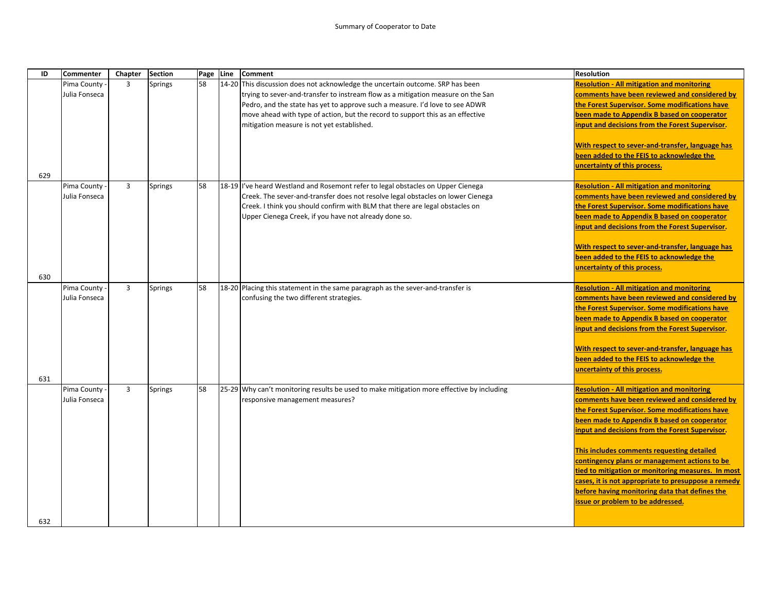| ID  | <b>Commenter</b> | Chapter        | <b>Section</b> |    | Page Line | <b>Comment</b>                                                                            | <b>Resolution</b>                                                                                                             |
|-----|------------------|----------------|----------------|----|-----------|-------------------------------------------------------------------------------------------|-------------------------------------------------------------------------------------------------------------------------------|
|     | Pima County -    | 3              | Springs        | 58 |           | 14-20 This discussion does not acknowledge the uncertain outcome. SRP has been            | <b>Resolution - All mitigation and monitoring</b>                                                                             |
|     | Julia Fonseca    |                |                |    |           | trying to sever-and-transfer to instream flow as a mitigation measure on the San          | comments have been reviewed and considered by                                                                                 |
|     |                  |                |                |    |           | Pedro, and the state has yet to approve such a measure. I'd love to see ADWR              | the Forest Supervisor. Some modifications have                                                                                |
|     |                  |                |                |    |           | move ahead with type of action, but the record to support this as an effective            | been made to Appendix B based on cooperator                                                                                   |
|     |                  |                |                |    |           | mitigation measure is not yet established.                                                | input and decisions from the Forest Supervisor.                                                                               |
| 629 |                  |                |                |    |           |                                                                                           | With respect to sever-and-transfer, language has<br>been added to the FEIS to acknowledge the<br>uncertainty of this process. |
|     | Pima County      | 3              | <b>Springs</b> | 58 |           | 18-19 l've heard Westland and Rosemont refer to legal obstacles on Upper Cienega          | <b>Resolution - All mitigation and monitoring</b>                                                                             |
|     | Julia Fonseca    |                |                |    |           | Creek. The sever-and-transfer does not resolve legal obstacles on lower Cienega           | comments have been reviewed and considered by                                                                                 |
|     |                  |                |                |    |           | Creek. I think you should confirm with BLM that there are legal obstacles on              | the Forest Supervisor. Some modifications have                                                                                |
|     |                  |                |                |    |           | Upper Cienega Creek, if you have not already done so.                                     | been made to Appendix B based on cooperator                                                                                   |
|     |                  |                |                |    |           |                                                                                           | input and decisions from the Forest Supervisor.                                                                               |
|     |                  |                |                |    |           |                                                                                           | With respect to sever-and-transfer, language has                                                                              |
|     |                  |                |                |    |           |                                                                                           | been added to the FEIS to acknowledge the                                                                                     |
|     |                  |                |                |    |           |                                                                                           | uncertainty of this process.                                                                                                  |
| 630 |                  |                |                |    |           |                                                                                           |                                                                                                                               |
|     | Pima County -    | 3              | <b>Springs</b> | 58 |           | 18-20 Placing this statement in the same paragraph as the sever-and-transfer is           | <b>Resolution - All mitigation and monitoring</b>                                                                             |
|     | Julia Fonseca    |                |                |    |           | confusing the two different strategies.                                                   | comments have been reviewed and considered by                                                                                 |
|     |                  |                |                |    |           |                                                                                           | the Forest Supervisor. Some modifications have                                                                                |
|     |                  |                |                |    |           |                                                                                           | been made to Appendix B based on cooperator                                                                                   |
|     |                  |                |                |    |           |                                                                                           | input and decisions from the Forest Supervisor.                                                                               |
|     |                  |                |                |    |           |                                                                                           | With respect to sever-and-transfer, language has                                                                              |
|     |                  |                |                |    |           |                                                                                           | been added to the FEIS to acknowledge the                                                                                     |
|     |                  |                |                |    |           |                                                                                           | uncertainty of this process.                                                                                                  |
| 631 |                  |                |                |    |           |                                                                                           |                                                                                                                               |
|     | Pima County -    | $\overline{3}$ | <b>Springs</b> | 58 |           | 25-29 Why can't monitoring results be used to make mitigation more effective by including | <b>Resolution - All mitigation and monitoring</b>                                                                             |
|     | Julia Fonseca    |                |                |    |           | responsive management measures?                                                           | comments have been reviewed and considered by                                                                                 |
|     |                  |                |                |    |           |                                                                                           | the Forest Supervisor. Some modifications have                                                                                |
|     |                  |                |                |    |           |                                                                                           | been made to Appendix B based on cooperator                                                                                   |
|     |                  |                |                |    |           |                                                                                           | input and decisions from the Forest Supervisor.                                                                               |
|     |                  |                |                |    |           |                                                                                           | This includes comments requesting detailed                                                                                    |
|     |                  |                |                |    |           |                                                                                           | contingency plans or management actions to be                                                                                 |
|     |                  |                |                |    |           |                                                                                           | tied to mitigation or monitoring measures. In most                                                                            |
|     |                  |                |                |    |           |                                                                                           | cases, it is not appropriate to presuppose a remedy                                                                           |
|     |                  |                |                |    |           |                                                                                           | before having monitoring data that defines the                                                                                |
|     |                  |                |                |    |           |                                                                                           | issue or problem to be addressed.                                                                                             |
|     |                  |                |                |    |           |                                                                                           |                                                                                                                               |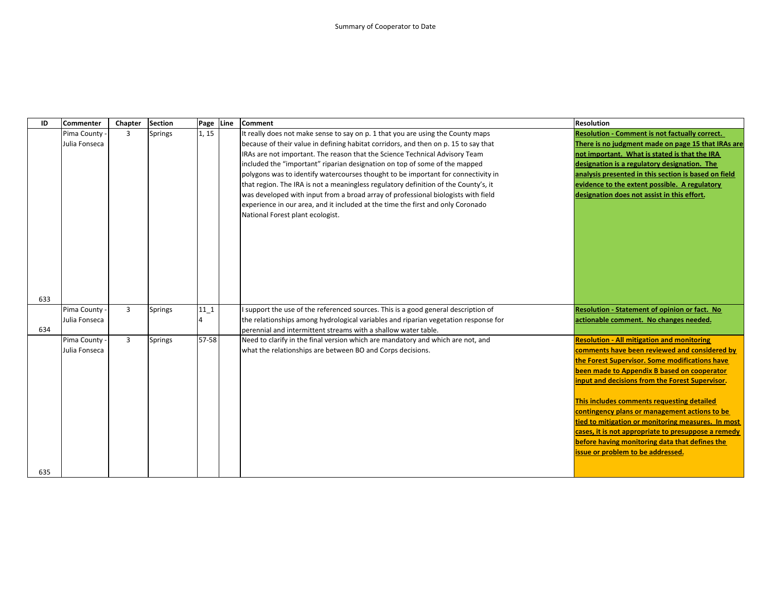| ID  | Commenter     | Chapter        | <b>Section</b> | Page Line | <b>Comment</b>                                                                      | <b>Resolution</b>                                     |
|-----|---------------|----------------|----------------|-----------|-------------------------------------------------------------------------------------|-------------------------------------------------------|
|     | Pima County   | $\overline{3}$ | <b>Springs</b> | 1, 15     | It really does not make sense to say on p. 1 that you are using the County maps     | <b>Resolution - Comment is not factually correct.</b> |
|     | Julia Fonseca |                |                |           | because of their value in defining habitat corridors, and then on p. 15 to say that | There is no judgment made on page 15 that IRAs are    |
|     |               |                |                |           | IRAs are not important. The reason that the Science Technical Advisory Team         | not important. What is stated is that the IRA         |
|     |               |                |                |           | included the "important" riparian designation on top of some of the mapped          | designation is a regulatory designation. The          |
|     |               |                |                |           | polygons was to identify watercourses thought to be important for connectivity in   | analysis presented in this section is based on field  |
|     |               |                |                |           | that region. The IRA is not a meaningless regulatory definition of the County's, it | evidence to the extent possible. A regulatory         |
|     |               |                |                |           | was developed with input from a broad array of professional biologists with field   | designation does not assist in this effort.           |
|     |               |                |                |           | experience in our area, and it included at the time the first and only Coronado     |                                                       |
|     |               |                |                |           | National Forest plant ecologist.                                                    |                                                       |
|     |               |                |                |           |                                                                                     |                                                       |
|     |               |                |                |           |                                                                                     |                                                       |
|     |               |                |                |           |                                                                                     |                                                       |
|     |               |                |                |           |                                                                                     |                                                       |
|     |               |                |                |           |                                                                                     |                                                       |
|     |               |                |                |           |                                                                                     |                                                       |
|     |               |                |                |           |                                                                                     |                                                       |
| 633 |               |                |                |           |                                                                                     |                                                       |
|     | Pima County - | $\overline{3}$ | <b>Springs</b> | $11_1$    | I support the use of the referenced sources. This is a good general description of  | Resolution - Statement of opinion or fact. No         |
|     | Julia Fonseca |                |                |           | the relationships among hydrological variables and riparian vegetation response for | actionable comment. No changes needed.                |
| 634 |               |                |                |           | perennial and intermittent streams with a shallow water table.                      |                                                       |
|     | Pima County - | $\overline{3}$ | <b>Springs</b> | 57-58     | Need to clarify in the final version which are mandatory and which are not, and     | <b>Resolution - All mitigation and monitoring</b>     |
|     | Julia Fonseca |                |                |           | what the relationships are between BO and Corps decisions.                          | comments have been reviewed and considered by         |
|     |               |                |                |           |                                                                                     | the Forest Supervisor. Some modifications have        |
|     |               |                |                |           |                                                                                     | been made to Appendix B based on cooperator           |
|     |               |                |                |           |                                                                                     | input and decisions from the Forest Supervisor.       |
|     |               |                |                |           |                                                                                     | This includes comments requesting detailed            |
|     |               |                |                |           |                                                                                     | contingency plans or management actions to be         |
|     |               |                |                |           |                                                                                     | tied to mitigation or monitoring measures. In most    |
|     |               |                |                |           |                                                                                     | cases, it is not appropriate to presuppose a remedy   |
|     |               |                |                |           |                                                                                     | before having monitoring data that defines the        |
|     |               |                |                |           |                                                                                     | issue or problem to be addressed.                     |
|     |               |                |                |           |                                                                                     |                                                       |
| 635 |               |                |                |           |                                                                                     |                                                       |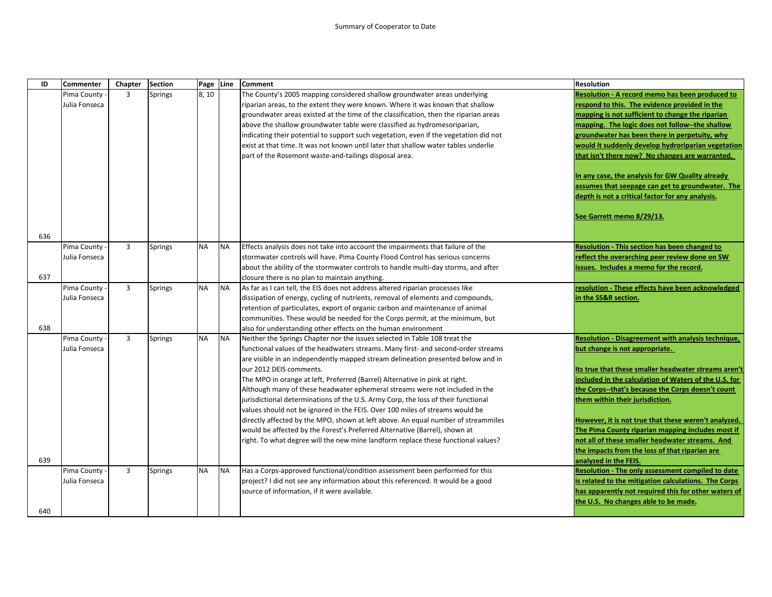| ID  | <b>Commenter</b> | Chapter        | <b>Section</b> | Page Line |           | <b>Comment</b>                                                                        | <b>Resolution</b>                                     |
|-----|------------------|----------------|----------------|-----------|-----------|---------------------------------------------------------------------------------------|-------------------------------------------------------|
|     | Pima County -    | 3              | Springs        | 8,10      |           | The County's 2005 mapping considered shallow groundwater areas underlying             | Resolution - A record memo has been produced to       |
|     | Julia Fonseca    |                |                |           |           | riparian areas, to the extent they were known. Where it was known that shallow        | respond to this. The evidence provided in the         |
|     |                  |                |                |           |           | groundwater areas existed at the time of the classification, then the riparian areas  | mapping is not sufficient to change the riparian      |
|     |                  |                |                |           |           | above the shallow groundwater table were classified as hydromesoriparian,             | mapping. The logic does not follow--the shallow       |
|     |                  |                |                |           |           | indicating their potential to support such vegetation, even if the vegetation did not | groundwater has been there in perpetuity, why         |
|     |                  |                |                |           |           | exist at that time. It was not known until later that shallow water tables underlie   | would it suddenly develop hydroriparian vegetation    |
|     |                  |                |                |           |           | part of the Rosemont waste-and-tailings disposal area.                                | that isn't there now? No changes are warranted.       |
|     |                  |                |                |           |           |                                                                                       | In any case, the analysis for GW Quality already      |
|     |                  |                |                |           |           |                                                                                       | assumes that seepage can get to groundwater. The      |
|     |                  |                |                |           |           |                                                                                       | depth is not a critical factor for any analysis.      |
|     |                  |                |                |           |           |                                                                                       | See Garrett memo 8/29/13.                             |
| 636 |                  |                |                |           |           |                                                                                       |                                                       |
|     | Pima County -    | 3              | Springs        | <b>NA</b> | <b>NA</b> | Effects analysis does not take into account the impairments that failure of the       | Resolution - This section has been changed to         |
|     | Julia Fonseca    |                |                |           |           | stormwater controls will have. Pima County Flood Control has serious concerns         | reflect the overarching peer review done on SW        |
|     |                  |                |                |           |           | about the ability of the stormwater controls to handle multi-day storms, and after    | issues. Includes a memo for the record.               |
| 637 |                  |                |                |           |           | closure there is no plan to maintain anything.                                        |                                                       |
|     | Pima County -    | 3              | Springs        | <b>NA</b> | <b>NA</b> | As far as I can tell, the EIS does not address altered riparian processes like        | resolution - These effects have been acknowledged     |
|     | Julia Fonseca    |                |                |           |           | dissipation of energy, cycling of nutrients, removal of elements and compounds,       | in the SS&R section.                                  |
|     |                  |                |                |           |           | retention of particulates, export of organic carbon and maintenance of animal         |                                                       |
|     |                  |                |                |           |           | communities. These would be needed for the Corps permit, at the minimum, but          |                                                       |
| 638 |                  |                |                |           |           | also for understanding other effects on the human environment                         |                                                       |
|     | Pima County -    | $\overline{3}$ | Springs        | <b>NA</b> | <b>NA</b> | Neither the Springs Chapter nor the issues selected in Table 108 treat the            | Resolution - Disagreement with analysis technique,    |
|     | Julia Fonseca    |                |                |           |           | functional values of the headwaters streams. Many first- and second-order streams     | but change is not appropriate.                        |
|     |                  |                |                |           |           | are visible in an independently mapped stream delineation presented below and in      |                                                       |
|     |                  |                |                |           |           | our 2012 DEIS comments.                                                               | Its true that these smaller headwater streams aren't  |
|     |                  |                |                |           |           | The MPO in orange at left, Preferred (Barrel) Alternative in pink at right.           | included in the calculation of Waters of the U.S. for |
|     |                  |                |                |           |           | Although many of these headwater ephemeral streams were not included in the           | the Corps--that's because the Corps doesn't count     |
|     |                  |                |                |           |           | jurisdictional determinations of the U.S. Army Corp, the loss of their functional     | them within their jurisdiction.                       |
|     |                  |                |                |           |           | values should not be ignored in the FEIS. Over 100 miles of streams would be          |                                                       |
|     |                  |                |                |           |           | directly affected by the MPO, shown at left above. An equal number of streammiles     | However, it is not true that these weren't analyzed.  |
|     |                  |                |                |           |           | would be affected by the Forest's Preferred Alternative (Barrel), shown at            | The Pima County riparian mapping includes most if     |
|     |                  |                |                |           |           | right. To what degree will the new mine landform replace these functional values?     | not all of these smaller headwater streams. And       |
|     |                  |                |                |           |           |                                                                                       | the impacts from the loss of that riparian are        |
| 639 |                  |                |                |           |           |                                                                                       | analyzed in the FEIS.                                 |
|     | Pima County -    | 3              | <b>Springs</b> | <b>NA</b> | <b>NA</b> | Has a Corps-approved functional/condition assessment been performed for this          | Resolution - The only assessment compiled to date     |
|     | Julia Fonseca    |                |                |           |           | project? I did not see any information about this referenced. It would be a good      | is related to the mitigation calculations. The Corps  |
|     |                  |                |                |           |           | source of information, if it were available.                                          | has apparently not required this for other waters of  |
|     |                  |                |                |           |           |                                                                                       | the U.S. No changes able to be made.                  |
| 640 |                  |                |                |           |           |                                                                                       |                                                       |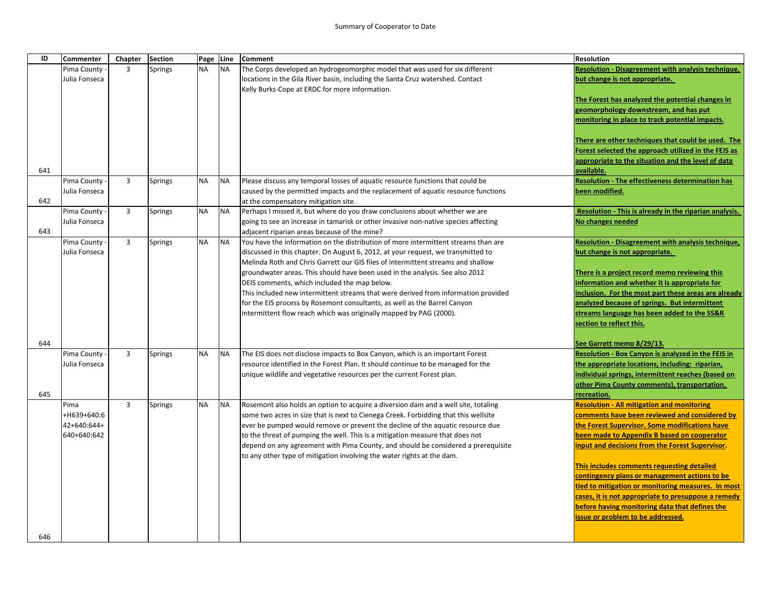| ID  | <b>Commenter</b>             | Chapter | <b>Section</b> | Page Line |           | <b>Comment</b>                                                                                                                                                       | <b>Resolution</b>                                                                               |
|-----|------------------------------|---------|----------------|-----------|-----------|----------------------------------------------------------------------------------------------------------------------------------------------------------------------|-------------------------------------------------------------------------------------------------|
|     | Pima County                  | 3       | <b>Springs</b> | <b>NA</b> | <b>NA</b> | The Corps developed an hydrogeomorphic model that was used for six different                                                                                         | <b>Resolution - Disagreement with analysis technique,</b>                                       |
|     | Julia Fonseca                |         |                |           |           | locations in the Gila River basin, including the Santa Cruz watershed. Contact                                                                                       | but change is not appropriate.                                                                  |
|     |                              |         |                |           |           | Kelly Burks-Cope at ERDC for more information.                                                                                                                       |                                                                                                 |
|     |                              |         |                |           |           |                                                                                                                                                                      | The Forest has analyzed the potential changes in                                                |
|     |                              |         |                |           |           |                                                                                                                                                                      | geomorphology downstream, and has put                                                           |
|     |                              |         |                |           |           |                                                                                                                                                                      | monitoring in place to track potential impacts.                                                 |
|     |                              |         |                |           |           |                                                                                                                                                                      | There are other techniques that could be used. The                                              |
|     |                              |         |                |           |           |                                                                                                                                                                      | Forest selected the approach utilized in the FEIS as                                            |
|     |                              |         |                |           |           |                                                                                                                                                                      | appropriate to the situation and the level of data                                              |
| 641 |                              |         |                |           |           |                                                                                                                                                                      | available.                                                                                      |
|     | Pima County                  | 3       | Springs        | <b>NA</b> | <b>NA</b> | Please discuss any temporal losses of aquatic resource functions that could be                                                                                       | <b>Resolution - The effectiveness determination has</b>                                         |
|     | Julia Fonseca                |         |                |           |           | caused by the permitted impacts and the replacement of aquatic resource functions                                                                                    | been modified.                                                                                  |
| 642 |                              |         |                |           |           | at the compensatory mitigation site.                                                                                                                                 |                                                                                                 |
|     | Pima County                  | 3       | Springs        | <b>NA</b> | <b>NA</b> | Perhaps I missed it, but where do you draw conclusions about whether we are                                                                                          | Resolution - This is already in the riparian analysis.                                          |
|     | Julia Fonseca                |         |                |           |           | going to see an increase in tamarisk or other invasive non-native species affecting                                                                                  | No changes needed                                                                               |
| 643 |                              |         |                |           |           | adjacent riparian areas because of the mine?                                                                                                                         |                                                                                                 |
|     | Pima County<br>Julia Fonseca | 3       | Springs        | <b>NA</b> | <b>NA</b> | You have the information on the distribution of more intermittent streams than are                                                                                   | <b>Resolution - Disagreement with analysis technique,</b>                                       |
|     |                              |         |                |           |           | discussed in this chapter. On August 6, 2012, at your request, we transmitted to<br>Melinda Roth and Chris Garrett our GIS files of intermittent streams and shallow | but change is not appropriate.                                                                  |
|     |                              |         |                |           |           | groundwater areas. This should have been used in the analysis. See also 2012                                                                                         | There is a project record memo reviewing this                                                   |
|     |                              |         |                |           |           | DEIS comments, which included the map below.                                                                                                                         | nformation and whether it is appropriate for                                                    |
|     |                              |         |                |           |           | This included new intermittent streams that were derived from information provided                                                                                   | nclusion. For the most part these areas are already                                             |
|     |                              |         |                |           |           | for the EIS process by Rosemont consultants, as well as the Barrel Canyon                                                                                            | analyzed because of springs. But intermittent                                                   |
|     |                              |         |                |           |           | intermittent flow reach which was originally mapped by PAG (2000).                                                                                                   | streams language has been added to the SS&R                                                     |
|     |                              |         |                |           |           |                                                                                                                                                                      | section to reflect this.                                                                        |
|     |                              |         |                |           |           |                                                                                                                                                                      |                                                                                                 |
| 644 |                              |         |                |           |           |                                                                                                                                                                      | See Garrett memo 8/29/13.                                                                       |
|     | Pima County                  | 3       | Springs        | <b>NA</b> | <b>NA</b> | The EIS does not disclose impacts to Box Canyon, which is an important Forest                                                                                        | Resolution - Box Canyon is analyzed in the FEIS in                                              |
|     | Julia Fonseca                |         |                |           |           | resource identified in the Forest Plan. It should continue to be managed for the                                                                                     | the appropriate locations, including: riparian,                                                 |
|     |                              |         |                |           |           | unique wildlife and vegetative resources per the current Forest plan.                                                                                                | individual springs, intermittent reaches (based on                                              |
|     |                              |         |                |           |           |                                                                                                                                                                      | other Pima County comments), transportation,                                                    |
| 645 |                              |         |                |           |           |                                                                                                                                                                      | recreation.                                                                                     |
|     | Pima                         | 3       | <b>Springs</b> | <b>NA</b> | <b>NA</b> | Rosemont also holds an option to acquire a diversion dam and a well site, totaling                                                                                   | <b>Resolution - All mitigation and monitoring</b>                                               |
|     | +H639+640:6<br>42+640:644+   |         |                |           |           | some two acres in size that is next to Cienega Creek. Forbidding that this wellsite                                                                                  | comments have been reviewed and considered by<br>the Forest Supervisor. Some modifications have |
|     | 640+640:642                  |         |                |           |           | ever be pumped would remove or prevent the decline of the aquatic resource due<br>to the threat of pumping the well. This is a mitigation measure that does not      | been made to Appendix B based on cooperator                                                     |
|     |                              |         |                |           |           | depend on any agreement with Pima County, and should be considered a prerequisite                                                                                    | input and decisions from the Forest Supervisor.                                                 |
|     |                              |         |                |           |           | to any other type of mitigation involving the water rights at the dam.                                                                                               |                                                                                                 |
|     |                              |         |                |           |           |                                                                                                                                                                      | This includes comments requesting detailed                                                      |
|     |                              |         |                |           |           |                                                                                                                                                                      | contingency plans or management actions to be                                                   |
|     |                              |         |                |           |           |                                                                                                                                                                      | tied to mitigation or monitoring measures. In most                                              |
|     |                              |         |                |           |           |                                                                                                                                                                      | cases, it is not appropriate to presuppose a remedy                                             |
|     |                              |         |                |           |           |                                                                                                                                                                      | before having monitoring data that defines the                                                  |
|     |                              |         |                |           |           |                                                                                                                                                                      | issue or problem to be addressed.                                                               |
|     |                              |         |                |           |           |                                                                                                                                                                      |                                                                                                 |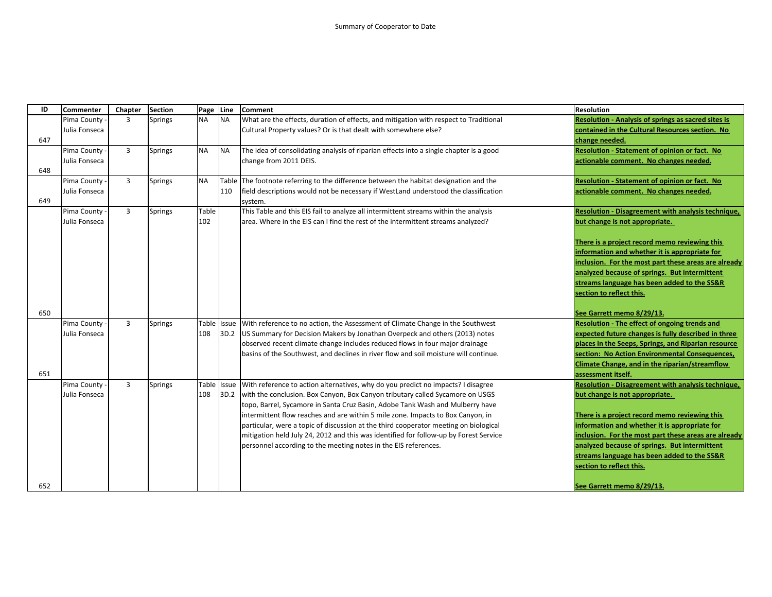| ID  | Commenter     | Chapter        | <b>Section</b> | Page      | Line         | <b>Comment</b>                                                                         | <b>Resolution</b>                                    |
|-----|---------------|----------------|----------------|-----------|--------------|----------------------------------------------------------------------------------------|------------------------------------------------------|
|     | Pima County   | $\overline{3}$ | <b>Springs</b> | <b>NA</b> | <b>NA</b>    | What are the effects, duration of effects, and mitigation with respect to Traditional  | Resolution - Analysis of springs as sacred sites is  |
|     | Julia Fonseca |                |                |           |              | Cultural Property values? Or is that dealt with somewhere else?                        | contained in the Cultural Resources section. No      |
| 647 |               |                |                |           |              |                                                                                        | change needed.                                       |
|     | Pima County   | $\overline{3}$ | <b>Springs</b> | <b>NA</b> | <b>NA</b>    | The idea of consolidating analysis of riparian effects into a single chapter is a good | Resolution - Statement of opinion or fact. No        |
|     | Julia Fonseca |                |                |           |              | change from 2011 DEIS.                                                                 | actionable comment. No changes needed.               |
| 648 |               |                |                |           |              |                                                                                        |                                                      |
|     | Pima County   | $\overline{3}$ | <b>Springs</b> | <b>NA</b> |              | Table The footnote referring to the difference between the habitat designation and the | Resolution - Statement of opinion or fact. No        |
|     | Julia Fonseca |                |                |           | 110          | field descriptions would not be necessary if WestLand understood the classification    | actionable comment. No changes needed.               |
| 649 |               |                |                |           |              | system.                                                                                |                                                      |
|     | Pima County   | $\overline{3}$ | <b>Springs</b> | Table     |              | This Table and this EIS fail to analyze all intermittent streams within the analysis   | Resolution - Disagreement with analysis technique,   |
|     | Julia Fonseca |                |                | 102       |              | area. Where in the EIS can I find the rest of the intermittent streams analyzed?       | but change is not appropriate.                       |
|     |               |                |                |           |              |                                                                                        |                                                      |
|     |               |                |                |           |              |                                                                                        | There is a project record memo reviewing this        |
|     |               |                |                |           |              |                                                                                        | information and whether it is appropriate for        |
|     |               |                |                |           |              |                                                                                        | inclusion. For the most part these areas are already |
|     |               |                |                |           |              |                                                                                        | analyzed because of springs. But intermittent        |
|     |               |                |                |           |              |                                                                                        | streams language has been added to the SS&R          |
|     |               |                |                |           |              |                                                                                        | section to reflect this.                             |
|     |               |                |                |           |              |                                                                                        |                                                      |
| 650 |               |                |                |           |              |                                                                                        | See Garrett memo 8/29/13.                            |
|     | Pima County   | 3              | <b>Springs</b> | Table     | Issue        | With reference to no action, the Assessment of Climate Change in the Southwest         | Resolution - The effect of ongoing trends and        |
|     | Julia Fonseca |                |                | 108       | 3D.2         | US Summary for Decision Makers by Jonathan Overpeck and others (2013) notes            | expected future changes is fully described in three  |
|     |               |                |                |           |              | observed recent climate change includes reduced flows in four major drainage           | places in the Seeps, Springs, and Riparian resource  |
|     |               |                |                |           |              | basins of the Southwest, and declines in river flow and soil moisture will continue.   | section: No Action Environmental Consequences,       |
|     |               |                |                |           |              |                                                                                        | Climate Change, and in the riparian/streamflow       |
| 651 |               |                |                |           |              |                                                                                        | assessment itself.                                   |
|     | Pima County   | $\overline{3}$ | <b>Springs</b> | Table     | <b>Issue</b> | With reference to action alternatives, why do you predict no impacts? I disagree       | Resolution - Disagreement with analysis technique,   |
|     | Julia Fonseca |                |                | 108       | 3D.2         | with the conclusion. Box Canyon, Box Canyon tributary called Sycamore on USGS          | but change is not appropriate.                       |
|     |               |                |                |           |              | topo, Barrel, Sycamore in Santa Cruz Basin, Adobe Tank Wash and Mulberry have          |                                                      |
|     |               |                |                |           |              | intermittent flow reaches and are within 5 mile zone. Impacts to Box Canyon, in        | There is a project record memo reviewing this        |
|     |               |                |                |           |              | particular, were a topic of discussion at the third cooperator meeting on biological   | information and whether it is appropriate for        |
|     |               |                |                |           |              | mitigation held July 24, 2012 and this was identified for follow-up by Forest Service  | inclusion. For the most part these areas are already |
|     |               |                |                |           |              | personnel according to the meeting notes in the EIS references.                        | analyzed because of springs. But intermittent        |
|     |               |                |                |           |              |                                                                                        | streams language has been added to the SS&R          |
|     |               |                |                |           |              |                                                                                        | section to reflect this.                             |
|     |               |                |                |           |              |                                                                                        |                                                      |
| 652 |               |                |                |           |              |                                                                                        | See Garrett memo 8/29/13.                            |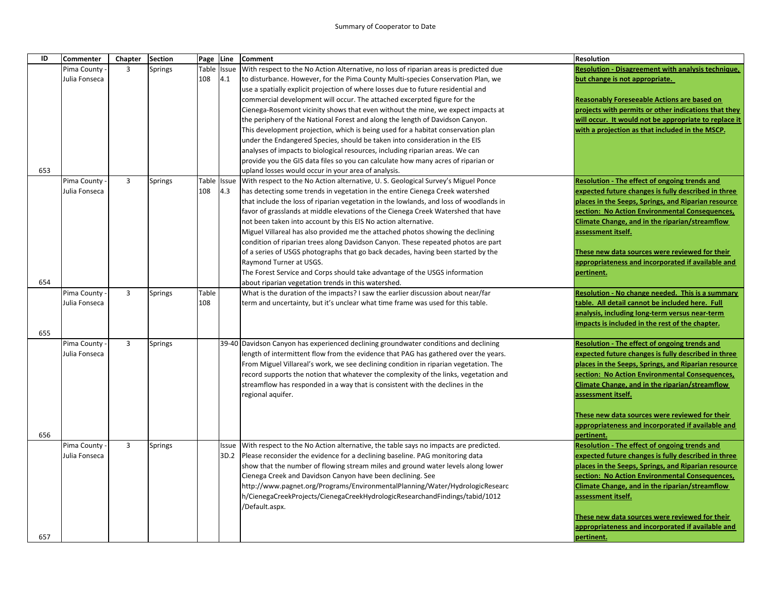| ID  | <b>Commenter</b>               | Chapter        | <b>Section</b> |       | Page Line   | <b>Comment</b>                                                                                                                                                              | <b>Resolution</b>                                                                                           |
|-----|--------------------------------|----------------|----------------|-------|-------------|-----------------------------------------------------------------------------------------------------------------------------------------------------------------------------|-------------------------------------------------------------------------------------------------------------|
|     | Pima County -                  | 3              | <b>Springs</b> | Table | Issue       | With respect to the No Action Alternative, no loss of riparian areas is predicted due                                                                                       | Resolution - Disagreement with analysis technique,                                                          |
|     | Julia Fonseca                  |                |                | 108   | 4.1         | to disturbance. However, for the Pima County Multi-species Conservation Plan, we                                                                                            | but change is not appropriate.                                                                              |
|     |                                |                |                |       |             | use a spatially explicit projection of where losses due to future residential and                                                                                           |                                                                                                             |
|     |                                |                |                |       |             | commercial development will occur. The attached excerpted figure for the                                                                                                    | <b>Reasonably Foreseeable Actions are based on</b>                                                          |
|     |                                |                |                |       |             | Cienega-Rosemont vicinity shows that even without the mine, we expect impacts at                                                                                            | projects with permits or other indications that they                                                        |
|     |                                |                |                |       |             | the periphery of the National Forest and along the length of Davidson Canyon.                                                                                               | will occur. It would not be appropriate to replace it                                                       |
|     |                                |                |                |       |             | This development projection, which is being used for a habitat conservation plan                                                                                            | with a projection as that included in the MSCP.                                                             |
|     |                                |                |                |       |             | under the Endangered Species, should be taken into consideration in the EIS                                                                                                 |                                                                                                             |
|     |                                |                |                |       |             | analyses of impacts to biological resources, including riparian areas. We can                                                                                               |                                                                                                             |
| 653 |                                |                |                |       |             | provide you the GIS data files so you can calculate how many acres of riparian or                                                                                           |                                                                                                             |
|     | Pima County                    | $\overline{3}$ | Springs        |       | Table Issue | upland losses would occur in your area of analysis.<br>With respect to the No Action alternative, U.S. Geological Survey's Miguel Ponce                                     | Resolution - The effect of ongoing trends and                                                               |
|     | Julia Fonseca                  |                |                | 108   | 4.3         | has detecting some trends in vegetation in the entire Cienega Creek watershed                                                                                               | expected future changes is fully described in three                                                         |
|     |                                |                |                |       |             | that include the loss of riparian vegetation in the lowlands, and loss of woodlands in                                                                                      | places in the Seeps, Springs, and Riparian resource                                                         |
|     |                                |                |                |       |             | favor of grasslands at middle elevations of the Cienega Creek Watershed that have                                                                                           | section: No Action Environmental Consequences,                                                              |
|     |                                |                |                |       |             | not been taken into account by this EIS No action alternative.                                                                                                              | Climate Change, and in the riparian/streamflow                                                              |
|     |                                |                |                |       |             | Miguel Villareal has also provided me the attached photos showing the declining                                                                                             | assessment itself.                                                                                          |
|     |                                |                |                |       |             | condition of riparian trees along Davidson Canyon. These repeated photos are part                                                                                           |                                                                                                             |
|     |                                |                |                |       |             | of a series of USGS photographs that go back decades, having been started by the                                                                                            | These new data sources were reviewed for their                                                              |
|     |                                |                |                |       |             | Raymond Turner at USGS.                                                                                                                                                     | appropriateness and incorporated if available and                                                           |
|     |                                |                |                |       |             | The Forest Service and Corps should take advantage of the USGS information                                                                                                  | pertinent.                                                                                                  |
| 654 |                                |                |                |       |             | about riparian vegetation trends in this watershed.                                                                                                                         |                                                                                                             |
|     | Pima County                    | 3              | Springs        | Table |             | What is the duration of the impacts? I saw the earlier discussion about near/far                                                                                            | Resolution - No change needed. This is a summary                                                            |
|     | Julia Fonseca                  |                |                | 108   |             | term and uncertainty, but it's unclear what time frame was used for this table.                                                                                             | table. All detail cannot be included here. Full                                                             |
|     |                                |                |                |       |             |                                                                                                                                                                             | analysis, including long-term versus near-term                                                              |
|     |                                |                |                |       |             |                                                                                                                                                                             | impacts is included in the rest of the chapter.                                                             |
| 655 |                                |                |                |       |             |                                                                                                                                                                             |                                                                                                             |
|     | Pima County -<br>Julia Fonseca | 3              | Springs        |       |             | 39-40 Davidson Canyon has experienced declining groundwater conditions and declining<br>length of intermittent flow from the evidence that PAG has gathered over the years. | <b>Resolution - The effect of ongoing trends and</b><br>expected future changes is fully described in three |
|     |                                |                |                |       |             | From Miguel Villareal's work, we see declining condition in riparian vegetation. The                                                                                        | places in the Seeps, Springs, and Riparian resource                                                         |
|     |                                |                |                |       |             | record supports the notion that whatever the complexity of the links, vegetation and                                                                                        | section: No Action Environmental Consequences,                                                              |
|     |                                |                |                |       |             | streamflow has responded in a way that is consistent with the declines in the                                                                                               | Climate Change, and in the riparian/streamflow                                                              |
|     |                                |                |                |       |             | regional aquifer.                                                                                                                                                           | assessment itself.                                                                                          |
|     |                                |                |                |       |             |                                                                                                                                                                             |                                                                                                             |
|     |                                |                |                |       |             |                                                                                                                                                                             | These new data sources were reviewed for their                                                              |
|     |                                |                |                |       |             |                                                                                                                                                                             | appropriateness and incorporated if available and                                                           |
| 656 |                                |                |                |       |             |                                                                                                                                                                             | pertinent.                                                                                                  |
|     | Pima County                    | 3              | Springs        |       | Issue       | With respect to the No Action alternative, the table says no impacts are predicted.                                                                                         | <b>Resolution - The effect of ongoing trends and</b>                                                        |
|     | Julia Fonseca                  |                |                |       | 3D.2        | Please reconsider the evidence for a declining baseline. PAG monitoring data                                                                                                | expected future changes is fully described in three                                                         |
|     |                                |                |                |       |             | show that the number of flowing stream miles and ground water levels along lower                                                                                            | places in the Seeps, Springs, and Riparian resource                                                         |
|     |                                |                |                |       |             | Cienega Creek and Davidson Canyon have been declining. See                                                                                                                  | section: No Action Environmental Consequences,                                                              |
|     |                                |                |                |       |             | http://www.pagnet.org/Programs/EnvironmentalPlanning/Water/HydrologicResearc                                                                                                | Climate Change, and in the riparian/streamflow                                                              |
|     |                                |                |                |       |             | h/CienegaCreekProjects/CienegaCreekHydrologicResearchandFindings/tabid/1012                                                                                                 | assessment itself.                                                                                          |
|     |                                |                |                |       |             | /Default.aspx.                                                                                                                                                              |                                                                                                             |
|     |                                |                |                |       |             |                                                                                                                                                                             | These new data sources were reviewed for their                                                              |
|     |                                |                |                |       |             |                                                                                                                                                                             | appropriateness and incorporated if available and                                                           |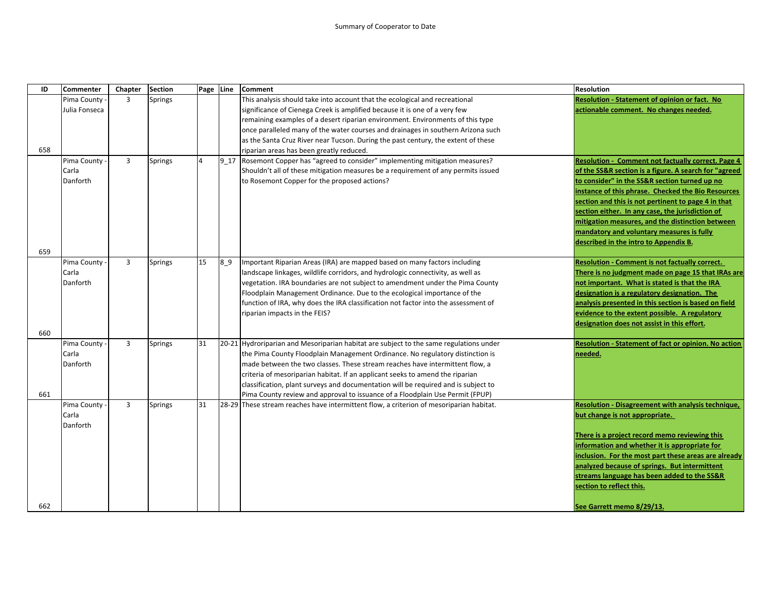| ID  | <b>Commenter</b> | Chapter        | <b>Section</b> | Page Line      |                | <b>Comment</b>                                                                          | <b>Resolution</b>                                         |
|-----|------------------|----------------|----------------|----------------|----------------|-----------------------------------------------------------------------------------------|-----------------------------------------------------------|
|     | Pima County      | 3              | <b>Springs</b> |                |                | This analysis should take into account that the ecological and recreational             | Resolution - Statement of opinion or fact. No             |
|     | Julia Fonseca    |                |                |                |                | significance of Cienega Creek is amplified because it is one of a very few              | actionable comment. No changes needed.                    |
|     |                  |                |                |                |                | remaining examples of a desert riparian environment. Environments of this type          |                                                           |
|     |                  |                |                |                |                | once paralleled many of the water courses and drainages in southern Arizona such        |                                                           |
|     |                  |                |                |                |                | as the Santa Cruz River near Tucson. During the past century, the extent of these       |                                                           |
| 658 |                  |                |                |                |                | riparian areas has been greatly reduced.                                                |                                                           |
|     | Pima County      | $\overline{3}$ | <b>Springs</b> | $\overline{4}$ |                | 9_17 Rosemont Copper has "agreed to consider" implementing mitigation measures?         | <b>Resolution - Comment not factually correct. Page 4</b> |
|     | Carla            |                |                |                |                | Shouldn't all of these mitigation measures be a requirement of any permits issued       | of the SS&R section is a figure. A search for "agreed     |
|     | Danforth         |                |                |                |                | to Rosemont Copper for the proposed actions?                                            | to consider" in the SS&R section turned up no             |
|     |                  |                |                |                |                |                                                                                         | instance of this phrase. Checked the Bio Resources        |
|     |                  |                |                |                |                |                                                                                         | section and this is not pertinent to page 4 in that       |
|     |                  |                |                |                |                |                                                                                         | section either. In any case, the jurisdiction of          |
|     |                  |                |                |                |                |                                                                                         | mitigation measures, and the distinction between          |
|     |                  |                |                |                |                |                                                                                         | mandatory and voluntary measures is fully                 |
|     |                  |                |                |                |                |                                                                                         | described in the intro to Appendix B.                     |
| 659 |                  |                |                |                |                |                                                                                         |                                                           |
|     | Pima County      | $\overline{3}$ | Springs        | 15             | 8 <sub>0</sub> | Important Riparian Areas (IRA) are mapped based on many factors including               | <b>Resolution - Comment is not factually correct.</b>     |
|     | Carla            |                |                |                |                | landscape linkages, wildlife corridors, and hydrologic connectivity, as well as         | There is no judgment made on page 15 that IRAs are        |
|     | Danforth         |                |                |                |                | vegetation. IRA boundaries are not subject to amendment under the Pima County           | not important. What is stated is that the IRA             |
|     |                  |                |                |                |                | Floodplain Management Ordinance. Due to the ecological importance of the                | designation is a regulatory designation. The              |
|     |                  |                |                |                |                | function of IRA, why does the IRA classification not factor into the assessment of      | analysis presented in this section is based on field      |
|     |                  |                |                |                |                | riparian impacts in the FEIS?                                                           | evidence to the extent possible. A regulatory             |
|     |                  |                |                |                |                |                                                                                         | designation does not assist in this effort.               |
| 660 | Pima County      | $\overline{3}$ | <b>Springs</b> | 31             |                | 20-21 Hydroriparian and Mesoriparian habitat are subject to the same regulations under  | Resolution - Statement of fact or opinion. No action      |
|     | Carla            |                |                |                |                | the Pima County Floodplain Management Ordinance. No regulatory distinction is           | needed.                                                   |
|     | Danforth         |                |                |                |                | made between the two classes. These stream reaches have intermittent flow, a            |                                                           |
|     |                  |                |                |                |                | criteria of mesoriparian habitat. If an applicant seeks to amend the riparian           |                                                           |
|     |                  |                |                |                |                | classification, plant surveys and documentation will be required and is subject to      |                                                           |
| 661 |                  |                |                |                |                | Pima County review and approval to issuance of a Floodplain Use Permit (FPUP)           |                                                           |
|     | Pima County      | $\overline{3}$ | Springs        | 31             |                | 28-29 These stream reaches have intermittent flow, a criterion of mesoriparian habitat. | <b>Resolution - Disagreement with analysis technique,</b> |
|     | Carla            |                |                |                |                |                                                                                         | but change is not appropriate.                            |
|     | Danforth         |                |                |                |                |                                                                                         |                                                           |
|     |                  |                |                |                |                |                                                                                         | There is a project record memo reviewing this             |
|     |                  |                |                |                |                |                                                                                         | information and whether it is appropriate for             |
|     |                  |                |                |                |                |                                                                                         | inclusion. For the most part these areas are already      |
|     |                  |                |                |                |                |                                                                                         | analyzed because of springs. But intermittent             |
|     |                  |                |                |                |                |                                                                                         | streams language has been added to the SS&R               |
|     |                  |                |                |                |                |                                                                                         | section to reflect this.                                  |
|     |                  |                |                |                |                |                                                                                         |                                                           |
| 662 |                  |                |                |                |                |                                                                                         | See Garrett memo 8/29/13.                                 |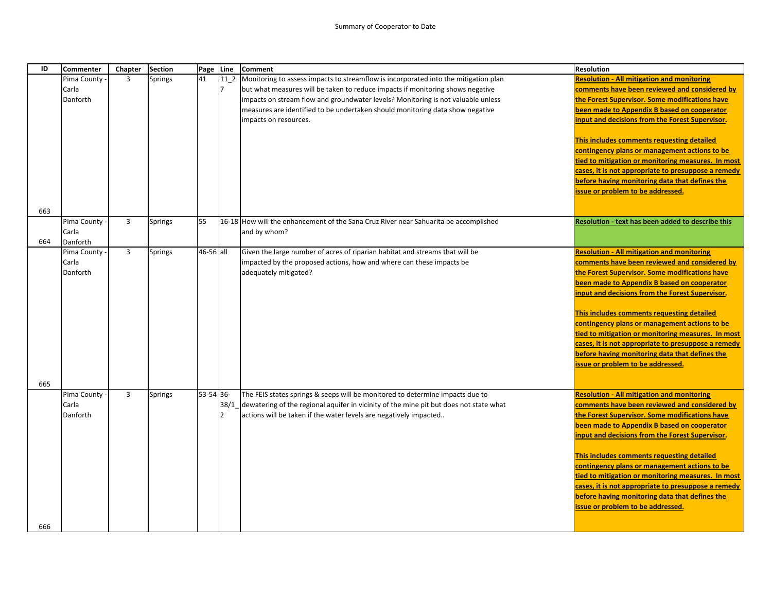| ID  | <b>Commenter</b> | Chapter        | <b>Section</b> | Page      | Line            | <b>Comment</b>                                                                              | <b>Resolution</b>                                                                           |
|-----|------------------|----------------|----------------|-----------|-----------------|---------------------------------------------------------------------------------------------|---------------------------------------------------------------------------------------------|
|     | Pima County      | $\overline{3}$ | Springs        | 41        | 11 <sub>2</sub> | Monitoring to assess impacts to streamflow is incorporated into the mitigation plan         | <b>Resolution - All mitigation and monitoring</b>                                           |
|     | Carla            |                |                |           | 7               | but what measures will be taken to reduce impacts if monitoring shows negative              | comments have been reviewed and considered by                                               |
|     | Danforth         |                |                |           |                 | impacts on stream flow and groundwater levels? Monitoring is not valuable unless            | the Forest Supervisor. Some modifications have                                              |
|     |                  |                |                |           |                 | measures are identified to be undertaken should monitoring data show negative               | been made to Appendix B based on cooperator                                                 |
|     |                  |                |                |           |                 | impacts on resources.                                                                       | input and decisions from the Forest Supervisor.                                             |
|     |                  |                |                |           |                 |                                                                                             | This includes comments requesting detailed                                                  |
|     |                  |                |                |           |                 |                                                                                             | contingency plans or management actions to be                                               |
|     |                  |                |                |           |                 |                                                                                             | tied to mitigation or monitoring measures. In most                                          |
|     |                  |                |                |           |                 |                                                                                             | cases, it is not appropriate to presuppose a remedy                                         |
|     |                  |                |                |           |                 |                                                                                             | before having monitoring data that defines the                                              |
|     |                  |                |                |           |                 |                                                                                             | issue or problem to be addressed.                                                           |
| 663 |                  |                |                |           |                 |                                                                                             |                                                                                             |
|     | Pima County      | $\overline{3}$ | Springs        | 55        |                 | 16-18 How will the enhancement of the Sana Cruz River near Sahuarita be accomplished        | <b>Resolution - text has been added to describe this</b>                                    |
|     | Carla            |                |                |           |                 | and by whom?                                                                                |                                                                                             |
| 664 | Danforth         |                |                |           |                 |                                                                                             |                                                                                             |
|     | Pima County      | 3              | <b>Springs</b> | 46-56 all |                 | Given the large number of acres of riparian habitat and streams that will be                | <b>Resolution - All mitigation and monitoring</b>                                           |
|     | Carla            |                |                |           |                 | impacted by the proposed actions, how and where can these impacts be                        | comments have been reviewed and considered by                                               |
|     | Danforth         |                |                |           |                 | adequately mitigated?                                                                       | the Forest Supervisor. Some modifications have                                              |
|     |                  |                |                |           |                 |                                                                                             | been made to Appendix B based on cooperator                                                 |
|     |                  |                |                |           |                 |                                                                                             | input and decisions from the Forest Supervisor.                                             |
|     |                  |                |                |           |                 |                                                                                             | This includes comments requesting detailed                                                  |
|     |                  |                |                |           |                 |                                                                                             | contingency plans or management actions to be                                               |
|     |                  |                |                |           |                 |                                                                                             | tied to mitigation or monitoring measures. In most                                          |
|     |                  |                |                |           |                 |                                                                                             | cases, it is not appropriate to presuppose a remedy                                         |
|     |                  |                |                |           |                 |                                                                                             | before having monitoring data that defines the                                              |
|     |                  |                |                |           |                 |                                                                                             | issue or problem to be addressed.                                                           |
|     |                  |                |                |           |                 |                                                                                             |                                                                                             |
| 665 |                  |                |                |           |                 |                                                                                             |                                                                                             |
|     | Pima County      | 3              | <b>Springs</b> | 53-54 36- |                 | The FEIS states springs & seeps will be monitored to determine impacts due to               | <b>Resolution - All mitigation and monitoring</b>                                           |
|     | Carla            |                |                |           |                 | 38/1_dewatering of the regional aquifer in vicinity of the mine pit but does not state what | comments have been reviewed and considered by                                               |
|     | Danforth         |                |                |           | $\overline{2}$  | actions will be taken if the water levels are negatively impacted                           | the Forest Supervisor. Some modifications have                                              |
|     |                  |                |                |           |                 |                                                                                             | been made to Appendix B based on cooperator                                                 |
|     |                  |                |                |           |                 |                                                                                             | input and decisions from the Forest Supervisor.                                             |
|     |                  |                |                |           |                 |                                                                                             |                                                                                             |
|     |                  |                |                |           |                 |                                                                                             | This includes comments requesting detailed<br>contingency plans or management actions to be |
|     |                  |                |                |           |                 |                                                                                             | tied to mitigation or monitoring measures. In most                                          |
|     |                  |                |                |           |                 |                                                                                             | cases, it is not appropriate to presuppose a remedy                                         |
|     |                  |                |                |           |                 |                                                                                             | before having monitoring data that defines the                                              |
|     |                  |                |                |           |                 |                                                                                             | issue or problem to be addressed.                                                           |
|     |                  |                |                |           |                 |                                                                                             |                                                                                             |
| 666 |                  |                |                |           |                 |                                                                                             |                                                                                             |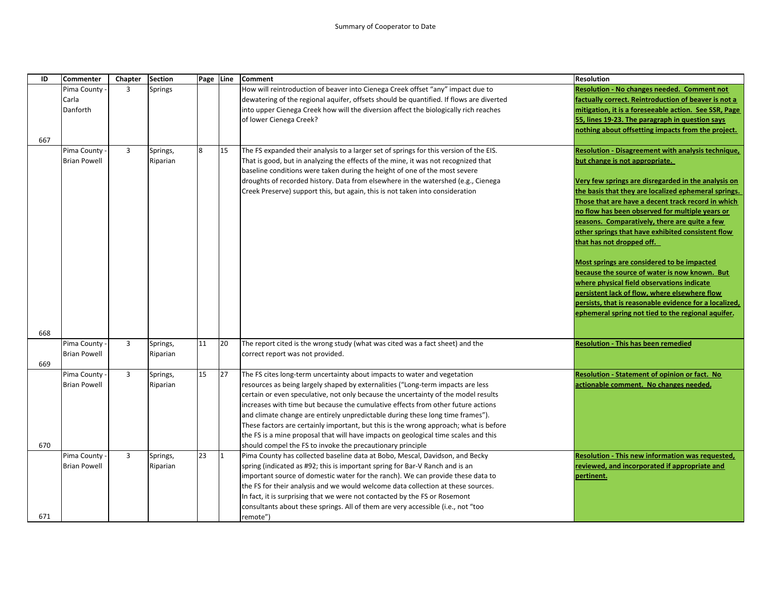| ID         | Commenter                          | Chapter        | <b>Section</b>       |                | Page Line | Comment                                                                                                                                                                                                                                                                                                                                                                                                                                                                                                                                                                                                                                                               | <b>Resolution</b>                                                                                                                                                                                                                                                                                                                                                                                                                                                                                                                                                                                                                                                                                                                                                    |
|------------|------------------------------------|----------------|----------------------|----------------|-----------|-----------------------------------------------------------------------------------------------------------------------------------------------------------------------------------------------------------------------------------------------------------------------------------------------------------------------------------------------------------------------------------------------------------------------------------------------------------------------------------------------------------------------------------------------------------------------------------------------------------------------------------------------------------------------|----------------------------------------------------------------------------------------------------------------------------------------------------------------------------------------------------------------------------------------------------------------------------------------------------------------------------------------------------------------------------------------------------------------------------------------------------------------------------------------------------------------------------------------------------------------------------------------------------------------------------------------------------------------------------------------------------------------------------------------------------------------------|
| 667        | Pima County<br>Carla<br>Danforth   | 3              | Springs              |                |           | How will reintroduction of beaver into Cienega Creek offset "any" impact due to<br>dewatering of the regional aquifer, offsets should be quantified. If flows are diverted<br>into upper Cienega Creek how will the diversion affect the biologically rich reaches<br>of lower Cienega Creek?                                                                                                                                                                                                                                                                                                                                                                         | <b>Resolution - No changes needed. Comment not</b><br>factually correct. Reintroduction of beaver is not a<br>mitigation, it is a foreseeable action. See SSR, Page<br>55, lines 19-23. The paragraph in question says<br>nothing about offsetting impacts from the project.                                                                                                                                                                                                                                                                                                                                                                                                                                                                                         |
|            | Pima County<br><b>Brian Powell</b> | $\overline{3}$ | Springs,<br>Riparian | $\overline{8}$ | 15        | The FS expanded their analysis to a larger set of springs for this version of the EIS.<br>That is good, but in analyzing the effects of the mine, it was not recognized that<br>baseline conditions were taken during the height of one of the most severe<br>droughts of recorded history. Data from elsewhere in the watershed (e.g., Cienega<br>Creek Preserve) support this, but again, this is not taken into consideration                                                                                                                                                                                                                                      | <b>Resolution - Disagreement with analysis technique,</b><br>but change is not appropriate.<br>Very few springs are disregarded in the analysis on<br>the basis that they are localized ephemeral springs.<br>Those that are have a decent track record in which<br>no flow has been observed for multiple years or<br>seasons. Comparatively, there are quite a few<br>other springs that have exhibited consistent flow<br>that has not dropped off.<br>Most springs are considered to be impacted<br>because the source of water is now known. But<br>where physical field observations indicate<br>persistent lack of flow, where elsewhere flow<br>persists, that is reasonable evidence for a localized,<br>ephemeral spring not tied to the regional aquifer. |
| 668<br>669 | Pima County<br><b>Brian Powell</b> | 3              | Springs,<br>Riparian | 11             | 20        | The report cited is the wrong study (what was cited was a fact sheet) and the<br>correct report was not provided.                                                                                                                                                                                                                                                                                                                                                                                                                                                                                                                                                     | <b>Resolution - This has been remedied</b>                                                                                                                                                                                                                                                                                                                                                                                                                                                                                                                                                                                                                                                                                                                           |
| 670        | Pima County<br><b>Brian Powell</b> | 3              | Springs,<br>Riparian | 15             | 27        | The FS cites long-term uncertainty about impacts to water and vegetation<br>resources as being largely shaped by externalities ("Long-term impacts are less<br>certain or even speculative, not only because the uncertainty of the model results<br>increases with time but because the cumulative effects from other future actions<br>and climate change are entirely unpredictable during these long time frames").<br>These factors are certainly important, but this is the wrong approach; what is before<br>the FS is a mine proposal that will have impacts on geological time scales and this<br>should compel the FS to invoke the precautionary principle | Resolution - Statement of opinion or fact. No<br>actionable comment. No changes needed.                                                                                                                                                                                                                                                                                                                                                                                                                                                                                                                                                                                                                                                                              |
| 671        | Pima County<br><b>Brian Powell</b> | 3              | Springs,<br>Riparian | 23             | $\vert$ 1 | Pima County has collected baseline data at Bobo, Mescal, Davidson, and Becky<br>spring (indicated as #92; this is important spring for Bar-V Ranch and is an<br>important source of domestic water for the ranch). We can provide these data to<br>the FS for their analysis and we would welcome data collection at these sources.<br>In fact, it is surprising that we were not contacted by the FS or Rosemont<br>consultants about these springs. All of them are very accessible (i.e., not "too<br>remote")                                                                                                                                                     | Resolution - This new information was requested,<br>reviewed, and incorporated if appropriate and<br>pertinent.                                                                                                                                                                                                                                                                                                                                                                                                                                                                                                                                                                                                                                                      |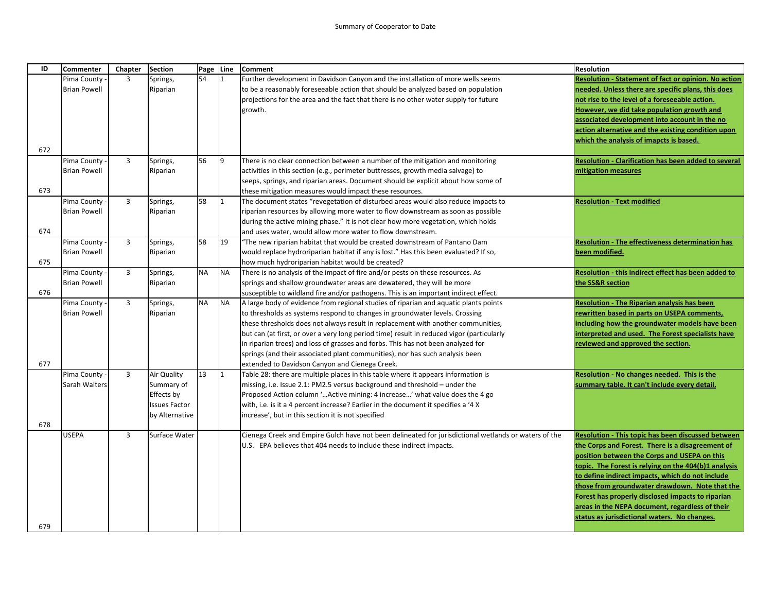| ID  | <b>Commenter</b>    | Chapter        | <b>Section</b>       | Page Line |              | <b>Comment</b>                                                                                                                          | <b>Resolution</b>                                       |
|-----|---------------------|----------------|----------------------|-----------|--------------|-----------------------------------------------------------------------------------------------------------------------------------------|---------------------------------------------------------|
|     | Pima County         | $\overline{3}$ | Springs,             | 54        | $\mathbf{1}$ | Further development in Davidson Canyon and the installation of more wells seems                                                         | Resolution - Statement of fact or opinion. No action    |
|     | <b>Brian Powell</b> |                | Riparian             |           |              | to be a reasonably foreseeable action that should be analyzed based on population                                                       | needed. Unless there are specific plans, this does      |
|     |                     |                |                      |           |              | projections for the area and the fact that there is no other water supply for future                                                    | not rise to the level of a foreseeable action.          |
|     |                     |                |                      |           |              | growth.                                                                                                                                 | However, we did take population growth and              |
|     |                     |                |                      |           |              |                                                                                                                                         | associated development into account in the no           |
|     |                     |                |                      |           |              |                                                                                                                                         | action alternative and the existing condition upon      |
|     |                     |                |                      |           |              |                                                                                                                                         | which the analysis of imapcts is based.                 |
| 672 |                     |                |                      |           |              |                                                                                                                                         |                                                         |
|     | Pima County -       | $\overline{3}$ | Springs,             | 56        | 9            | There is no clear connection between a number of the mitigation and monitoring                                                          | Resolution - Clarification has been added to several    |
|     | <b>Brian Powell</b> |                | Riparian             |           |              | activities in this section (e.g., perimeter buttresses, growth media salvage) to                                                        | mitigation measures                                     |
|     |                     |                |                      |           |              | seeps, springs, and riparian areas. Document should be explicit about how some of                                                       |                                                         |
| 673 |                     |                |                      |           |              | these mitigation measures would impact these resources.                                                                                 |                                                         |
|     | Pima County         | $\overline{3}$ | Springs,             | 58        | $\mathbf{1}$ | The document states "revegetation of disturbed areas would also reduce impacts to                                                       | <b>Resolution - Text modified</b>                       |
|     | <b>Brian Powell</b> |                | Riparian             |           |              | riparian resources by allowing more water to flow downstream as soon as possible                                                        |                                                         |
| 674 |                     |                |                      |           |              | during the active mining phase." It is not clear how more vegetation, which holds                                                       |                                                         |
|     | Pima County -       | $\overline{3}$ | Springs,             | 58        | 19           | and uses water, would allow more water to flow downstream.<br>"The new riparian habitat that would be created downstream of Pantano Dam | <b>Resolution - The effectiveness determination has</b> |
|     | <b>Brian Powell</b> |                | Riparian             |           |              | would replace hydroriparian habitat if any is lost." Has this been evaluated? If so,                                                    | been modified.                                          |
| 675 |                     |                |                      |           |              | how much hydroriparian habitat would be created?                                                                                        |                                                         |
|     | Pima County -       | $\overline{3}$ | Springs,             | <b>NA</b> | <b>NA</b>    | There is no analysis of the impact of fire and/or pests on these resources. As                                                          | Resolution - this indirect effect has been added to     |
|     | <b>Brian Powell</b> |                | Riparian             |           |              | springs and shallow groundwater areas are dewatered, they will be more                                                                  | the SS&R section                                        |
| 676 |                     |                |                      |           |              | susceptible to wildland fire and/or pathogens. This is an important indirect effect.                                                    |                                                         |
|     | Pima County -       | $\overline{3}$ | Springs,             | <b>NA</b> | <b>NA</b>    | A large body of evidence from regional studies of riparian and aquatic plants points                                                    | <b>Resolution - The Riparian analysis has been</b>      |
|     | <b>Brian Powell</b> |                | Riparian             |           |              | to thresholds as systems respond to changes in groundwater levels. Crossing                                                             | rewritten based in parts on USEPA comments,             |
|     |                     |                |                      |           |              | these thresholds does not always result in replacement with another communities,                                                        | including how the groundwater models have been          |
|     |                     |                |                      |           |              | but can (at first, or over a very long period time) result in reduced vigor (particularly                                               | interpreted and used. The Forest specialists have       |
|     |                     |                |                      |           |              | in riparian trees) and loss of grasses and forbs. This has not been analyzed for                                                        | reviewed and approved the section.                      |
|     |                     |                |                      |           |              | springs (and their associated plant communities), nor has such analysis been                                                            |                                                         |
| 677 |                     |                |                      |           |              | extended to Davidson Canyon and Cienega Creek.                                                                                          |                                                         |
|     | Pima County -       | $\overline{3}$ | Air Quality          | 13        | I1           | Table 28: there are multiple places in this table where it appears information is                                                       | Resolution - No changes needed. This is the             |
|     | Sarah Walters       |                | Summary of           |           |              | missing, i.e. Issue 2.1: PM2.5 versus background and threshold - under the                                                              | summary table. It can't include every detail.           |
|     |                     |                | Effects by           |           |              | Proposed Action column ' Active mining: 4 increase' what value does the 4 go                                                            |                                                         |
|     |                     |                | <b>Issues Factor</b> |           |              | with, i.e. is it a 4 percent increase? Earlier in the document it specifies a '4 X                                                      |                                                         |
|     |                     |                | by Alternative       |           |              | increase', but in this section it is not specified                                                                                      |                                                         |
| 678 |                     |                |                      |           |              |                                                                                                                                         |                                                         |
|     | <b>USEPA</b>        | $\overline{3}$ | Surface Water        |           |              | Cienega Creek and Empire Gulch have not been delineated for jurisdictional wetlands or waters of the                                    | Resolution - This topic has been discussed between      |
|     |                     |                |                      |           |              | U.S. EPA believes that 404 needs to include these indirect impacts.                                                                     | the Corps and Forest. There is a disagreement of        |
|     |                     |                |                      |           |              |                                                                                                                                         | position between the Corps and USEPA on this            |
|     |                     |                |                      |           |              |                                                                                                                                         | topic. The Forest is relying on the 404(b)1 analysis    |
|     |                     |                |                      |           |              |                                                                                                                                         | to define indirect impacts, which do not include        |
|     |                     |                |                      |           |              |                                                                                                                                         | those from groundwater drawdown. Note that the          |
|     |                     |                |                      |           |              |                                                                                                                                         | Forest has properly disclosed impacts to riparian       |
|     |                     |                |                      |           |              |                                                                                                                                         | areas in the NEPA document, regardless of their         |
|     |                     |                |                      |           |              |                                                                                                                                         | status as jurisdictional waters. No changes.            |
| 679 |                     |                |                      |           |              |                                                                                                                                         |                                                         |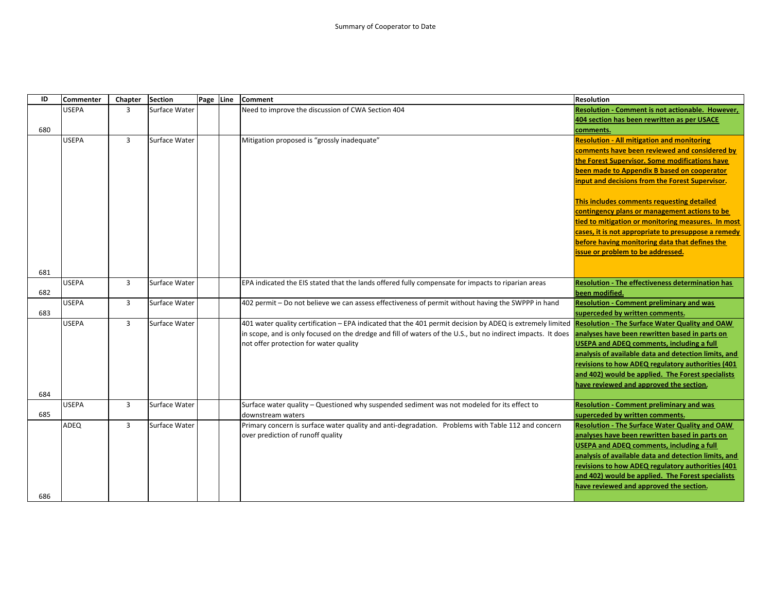| ID  | <b>Commenter</b> | Chapter        | <b>Section</b> | Page Line | <b>Comment</b>                                                                                                                                           | <b>Resolution</b>                                       |
|-----|------------------|----------------|----------------|-----------|----------------------------------------------------------------------------------------------------------------------------------------------------------|---------------------------------------------------------|
|     | <b>USEPA</b>     | 3              | Surface Water  |           | Need to improve the discussion of CWA Section 404                                                                                                        | Resolution - Comment is not actionable. However,        |
|     |                  |                |                |           |                                                                                                                                                          | 404 section has been rewritten as per USACE             |
| 680 |                  |                |                |           |                                                                                                                                                          | comments.                                               |
|     | <b>USEPA</b>     | 3              | Surface Water  |           | Mitigation proposed is "grossly inadequate"                                                                                                              | <b>Resolution - All mitigation and monitoring</b>       |
|     |                  |                |                |           |                                                                                                                                                          | comments have been reviewed and considered by           |
|     |                  |                |                |           |                                                                                                                                                          | the Forest Supervisor. Some modifications have          |
|     |                  |                |                |           |                                                                                                                                                          | been made to Appendix B based on cooperator             |
|     |                  |                |                |           |                                                                                                                                                          | input and decisions from the Forest Supervisor.         |
|     |                  |                |                |           |                                                                                                                                                          | This includes comments requesting detailed              |
|     |                  |                |                |           |                                                                                                                                                          | contingency plans or management actions to be           |
|     |                  |                |                |           |                                                                                                                                                          | tied to mitigation or monitoring measures. In most      |
|     |                  |                |                |           |                                                                                                                                                          | cases, it is not appropriate to presuppose a remedy     |
|     |                  |                |                |           |                                                                                                                                                          | before having monitoring data that defines the          |
|     |                  |                |                |           |                                                                                                                                                          | issue or problem to be addressed.                       |
|     |                  |                |                |           |                                                                                                                                                          |                                                         |
| 681 |                  |                |                |           |                                                                                                                                                          |                                                         |
|     | <b>USEPA</b>     | $\overline{3}$ | Surface Water  |           | EPA indicated the EIS stated that the lands offered fully compensate for impacts to riparian areas                                                       | <b>Resolution - The effectiveness determination has</b> |
| 682 |                  |                |                |           |                                                                                                                                                          | been modified.                                          |
|     | <b>USEPA</b>     | $\overline{3}$ | Surface Water  |           | 402 permit - Do not believe we can assess effectiveness of permit without having the SWPPP in hand                                                       | <b>Resolution - Comment preliminary and was</b>         |
| 683 |                  |                |                |           |                                                                                                                                                          | superceded by written comments.                         |
|     | <b>USEPA</b>     | 3              | Surface Water  |           | 401 water quality certification – EPA indicated that the 401 permit decision by ADEQ is extremely limited Resolution - The Surface Water Quality and OAW |                                                         |
|     |                  |                |                |           | in scope, and is only focused on the dredge and fill of waters of the U.S., but no indirect impacts. It does                                             | analyses have been rewritten based in parts on          |
|     |                  |                |                |           | not offer protection for water quality                                                                                                                   | <b>USEPA and ADEQ comments, including a full</b>        |
|     |                  |                |                |           |                                                                                                                                                          | analysis of available data and detection limits, and    |
|     |                  |                |                |           |                                                                                                                                                          | revisions to how ADEQ regulatory authorities (401       |
|     |                  |                |                |           |                                                                                                                                                          | and 402) would be applied. The Forest specialists       |
|     |                  |                |                |           |                                                                                                                                                          | have reviewed and approved the section.                 |
| 684 |                  |                |                |           |                                                                                                                                                          |                                                         |
|     | <b>USEPA</b>     | 3              | Surface Water  |           | Surface water quality - Questioned why suspended sediment was not modeled for its effect to                                                              | <b>Resolution - Comment preliminary and was</b>         |
| 685 |                  |                |                |           | downstream waters                                                                                                                                        | superceded by written comments.                         |
|     | ADEQ             | $\overline{3}$ | Surface Water  |           | Primary concern is surface water quality and anti-degradation. Problems with Table 112 and concern                                                       | <b>Resolution - The Surface Water Quality and OAW</b>   |
|     |                  |                |                |           | over prediction of runoff quality                                                                                                                        | analyses have been rewritten based in parts on          |
|     |                  |                |                |           |                                                                                                                                                          | <b>USEPA and ADEQ comments, including a full</b>        |
|     |                  |                |                |           |                                                                                                                                                          | analysis of available data and detection limits, and    |
|     |                  |                |                |           |                                                                                                                                                          | revisions to how ADEQ regulatory authorities (401       |
|     |                  |                |                |           |                                                                                                                                                          | and 402) would be applied. The Forest specialists       |
|     |                  |                |                |           |                                                                                                                                                          | have reviewed and approved the section.                 |
| 686 |                  |                |                |           |                                                                                                                                                          |                                                         |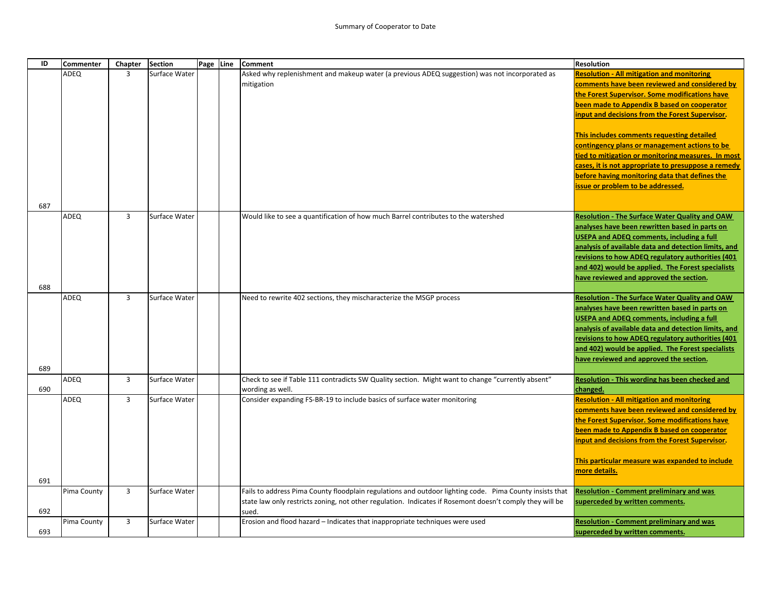| ID         | Commenter   | Chapter        | <b>Section</b> | Page Line | <b>Comment</b>                                                                                                                                                                                                               | <b>Resolution</b>                                                                                                                                                                                                                                                                                                                                                                                                                                                                                                                                         |
|------------|-------------|----------------|----------------|-----------|------------------------------------------------------------------------------------------------------------------------------------------------------------------------------------------------------------------------------|-----------------------------------------------------------------------------------------------------------------------------------------------------------------------------------------------------------------------------------------------------------------------------------------------------------------------------------------------------------------------------------------------------------------------------------------------------------------------------------------------------------------------------------------------------------|
|            | ADEQ        | $\overline{3}$ | Surface Water  |           | Asked why replenishment and makeup water (a previous ADEQ suggestion) was not incorporated as<br>mitigation                                                                                                                  | <b>Resolution - All mitigation and monitoring</b><br>comments have been reviewed and considered by<br>the Forest Supervisor. Some modifications have<br>been made to Appendix B based on cooperator<br>input and decisions from the Forest Supervisor.<br>This includes comments requesting detailed<br>contingency plans or management actions to be<br>tied to mitigation or monitoring measures. In most<br>cases, it is not appropriate to presuppose a remedy<br>before having monitoring data that defines the<br>issue or problem to be addressed. |
| 687        | ADEQ        | $\overline{3}$ | Surface Water  |           | Would like to see a quantification of how much Barrel contributes to the watershed                                                                                                                                           | <b>Resolution - The Surface Water Quality and OAW</b><br>analyses have been rewritten based in parts on<br><b>USEPA and ADEQ comments, including a full</b><br>analysis of available data and detection limits, and<br>revisions to how ADEQ regulatory authorities (401<br>and 402) would be applied. The Forest specialists<br>have reviewed and approved the section.                                                                                                                                                                                  |
| 688<br>689 | ADEQ        | $\overline{3}$ | Surface Water  |           | Need to rewrite 402 sections, they mischaracterize the MSGP process                                                                                                                                                          | <b>Resolution - The Surface Water Quality and OAW</b><br>analyses have been rewritten based in parts on<br><b>USEPA and ADEQ comments, including a full</b><br>analysis of available data and detection limits, and<br>revisions to how ADEQ regulatory authorities (401<br>and 402) would be applied. The Forest specialists<br>have reviewed and approved the section.                                                                                                                                                                                  |
| 690        | ADEQ        | $\overline{3}$ | Surface Water  |           | Check to see if Table 111 contradicts SW Quality section. Might want to change "currently absent"<br>wording as well.                                                                                                        | <b>Resolution - This wording has been checked and</b><br>changed.                                                                                                                                                                                                                                                                                                                                                                                                                                                                                         |
| 691        | ADEQ        | $\overline{3}$ | Surface Water  |           | Consider expanding FS-BR-19 to include basics of surface water monitoring                                                                                                                                                    | <b>Resolution - All mitigation and monitoring</b><br>comments have been reviewed and considered by<br>the Forest Supervisor. Some modifications have<br>been made to Appendix B based on cooperator<br>input and decisions from the Forest Supervisor.<br>This particular measure was expanded to include<br>more details.                                                                                                                                                                                                                                |
| 692        | Pima County | $\overline{3}$ | Surface Water  |           | Fails to address Pima County floodplain regulations and outdoor lighting code. Pima County insists that<br>state law only restricts zoning, not other regulation. Indicates if Rosemont doesn't comply they will be<br>sued. | <b>Resolution - Comment preliminary and was</b><br>superceded by written comments.                                                                                                                                                                                                                                                                                                                                                                                                                                                                        |
| 693        | Pima County | $\overline{3}$ | Surface Water  |           | Erosion and flood hazard - Indicates that inappropriate techniques were used                                                                                                                                                 | <b>Resolution - Comment preliminary and was</b><br>superceded by written comments.                                                                                                                                                                                                                                                                                                                                                                                                                                                                        |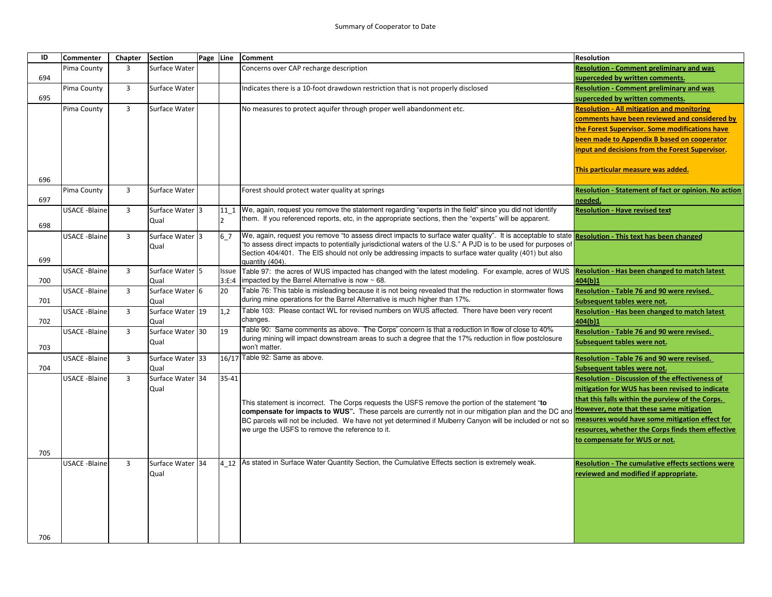| ID  | Commenter            | Chapter        | <b>Section</b>           | Page Line |                | <b>Comment</b>                                                                                                                                               | <b>Resolution</b>                                                                   |
|-----|----------------------|----------------|--------------------------|-----------|----------------|--------------------------------------------------------------------------------------------------------------------------------------------------------------|-------------------------------------------------------------------------------------|
|     | Pima County          | 3              | Surface Water            |           |                | Concerns over CAP recharge description                                                                                                                       | <b>Resolution - Comment preliminary and was</b>                                     |
| 694 |                      |                |                          |           |                |                                                                                                                                                              | superceded by written comments.                                                     |
|     | Pima County          | 3              | Surface Water            |           |                | Indicates there is a 10-foot drawdown restriction that is not properly disclosed                                                                             | <b>Resolution - Comment preliminary and was</b>                                     |
| 695 |                      |                |                          |           |                |                                                                                                                                                              | superceded by written comments.                                                     |
|     | Pima County          | 3              | Surface Water            |           |                | No measures to protect aquifer through proper well abandonment etc.                                                                                          | <b>Resolution - All mitigation and monitoring</b>                                   |
|     |                      |                |                          |           |                |                                                                                                                                                              | comments have been reviewed and considered by                                       |
|     |                      |                |                          |           |                |                                                                                                                                                              | the Forest Supervisor. Some modifications have                                      |
|     |                      |                |                          |           |                |                                                                                                                                                              | been made to Appendix B based on cooperator                                         |
|     |                      |                |                          |           |                |                                                                                                                                                              | nput and decisions from the Forest Supervisor.                                      |
|     |                      |                |                          |           |                |                                                                                                                                                              |                                                                                     |
|     |                      |                |                          |           |                |                                                                                                                                                              | This particular measure was added.                                                  |
| 696 |                      |                |                          |           |                |                                                                                                                                                              |                                                                                     |
|     | Pima County          | 3              | Surface Water            |           |                | Forest should protect water quality at springs                                                                                                               | Resolution - Statement of fact or opinion. No action                                |
| 697 |                      |                |                          |           |                |                                                                                                                                                              | needed.                                                                             |
|     | <b>USACE -Blaine</b> | 3              | Surface Water 3          |           | 11 1           | We, again, request you remove the statement regarding "experts in the field" since you did not identify                                                      | <b>Resolution - Have revised text</b>                                               |
| 698 |                      |                | Qual                     |           | $\overline{2}$ | them. If you referenced reports, etc, in the appropriate sections, then the "experts" will be apparent.                                                      |                                                                                     |
|     | <b>USACE -Blaine</b> | 3              | Surface Water 3          |           | 6 7            | We, again, request you remove "to assess direct impacts to surface water quality". It is acceptable to state Resolution - This text has been changed         |                                                                                     |
|     |                      |                | Qual                     |           |                | "to assess direct impacts to potentially jurisdictional waters of the U.S." A PJD is to be used for purposes of                                              |                                                                                     |
|     |                      |                |                          |           |                | Section 404/401. The EIS should not only be addressing impacts to surface water quality (401) but also                                                       |                                                                                     |
| 699 |                      |                |                          |           |                | quantity (404).                                                                                                                                              |                                                                                     |
|     | <b>USACE -Blaine</b> | $\overline{3}$ | Surface Water 5          |           | Issue          | Table 97: the acres of WUS impacted has changed with the latest modeling. For example, acres of WUS<br>impacted by the Barrel Alternative is now $\sim 68$ . | Resolution - Has been changed to match latest                                       |
| 700 |                      |                | Qual                     |           | 3: E:4         | Table 76: This table is misleading because it is not being revealed that the reduction in stormwater flows                                                   | 404(b)1                                                                             |
|     | <b>USACE -Blaine</b> | $\overline{3}$ | Surface Water 6          |           | 20             | during mine operations for the Barrel Alternative is much higher than 17%.                                                                                   | <b>Resolution - Table 76 and 90 were revised.</b>                                   |
| 701 | <b>USACE -Blaine</b> | $\overline{3}$ | Qual<br>Surface Water 19 |           |                | Table 103: Please contact WL for revised numbers on WUS affected. There have been very recent                                                                | Subsequent tables were not.<br><b>Resolution - Has been changed to match latest</b> |
| 702 |                      |                | Qual                     |           | 1,2            | changes.                                                                                                                                                     | 404(b)1                                                                             |
|     | <b>USACE -Blaine</b> | 3              | Surface Water 30         |           | 19             | Table 90: Same comments as above. The Corps' concern is that a reduction in flow of close to 40%                                                             | Resolution - Table 76 and 90 were revised.                                          |
|     |                      |                | Qual                     |           |                | during mining will impact downstream areas to such a degree that the 17% reduction in flow postclosure                                                       | Subsequent tables were not.                                                         |
| 703 |                      |                |                          |           |                | won't matter.                                                                                                                                                |                                                                                     |
|     | <b>USACE -Blaine</b> | 3              | Surface Water 33         |           |                | 16/17 Table 92: Same as above.                                                                                                                               | Resolution - Table 76 and 90 were revised.                                          |
| 704 |                      |                | Qual                     |           |                |                                                                                                                                                              | Subsequent tables were not.                                                         |
|     | <b>USACE -Blaine</b> | $\overline{3}$ | Surface Water 34         |           | 35-41          |                                                                                                                                                              | <b>Resolution - Discussion of the effectiveness of</b>                              |
|     |                      |                | Qual                     |           |                |                                                                                                                                                              | mitigation for WUS has been revised to indicate                                     |
|     |                      |                |                          |           |                | This statement is incorrect. The Corps requests the USFS remove the portion of the statement "to                                                             | that this falls within the purview of the Corps.                                    |
|     |                      |                |                          |           |                | compensate for impacts to WUS". These parcels are currently not in our mitigation plan and the DC and <b>However, note that these same mitigation</b>        |                                                                                     |
|     |                      |                |                          |           |                | BC parcels will not be included. We have not yet determined if Mulberry Canyon will be included or not so                                                    | measures would have some mitigation effect for                                      |
|     |                      |                |                          |           |                | we urge the USFS to remove the reference to it.                                                                                                              | resources, whether the Corps finds them effective                                   |
|     |                      |                |                          |           |                |                                                                                                                                                              | to compensate for WUS or not.                                                       |
| 705 |                      |                |                          |           |                |                                                                                                                                                              |                                                                                     |
|     | <b>USACE -Blaine</b> | 3              | Surface Water 34         |           |                | 4 12 As stated in Surface Water Quantity Section, the Cumulative Effects section is extremely weak.                                                          | Resolution - The cumulative effects sections were                                   |
|     |                      |                | Qual                     |           |                |                                                                                                                                                              | reviewed and modified if appropriate.                                               |
|     |                      |                |                          |           |                |                                                                                                                                                              |                                                                                     |
|     |                      |                |                          |           |                |                                                                                                                                                              |                                                                                     |
|     |                      |                |                          |           |                |                                                                                                                                                              |                                                                                     |
|     |                      |                |                          |           |                |                                                                                                                                                              |                                                                                     |
|     |                      |                |                          |           |                |                                                                                                                                                              |                                                                                     |
| 706 |                      |                |                          |           |                |                                                                                                                                                              |                                                                                     |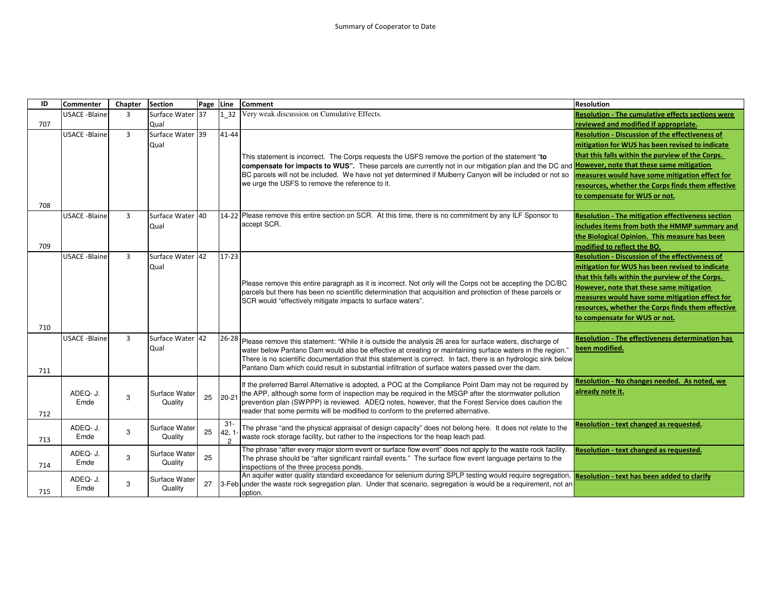| ID  | <b>Commenter</b>     | Chapter        | <b>Section</b>   | Page | Line           | <b>Comment</b>                                                                                                                                                                                                           | <b>Resolution</b>                                        |
|-----|----------------------|----------------|------------------|------|----------------|--------------------------------------------------------------------------------------------------------------------------------------------------------------------------------------------------------------------------|----------------------------------------------------------|
|     | <b>USACE -Blaine</b> | 3              | Surface Water 37 |      |                | 1 32 Very weak discussion on Cumulative Effects.                                                                                                                                                                         | <b>Resolution - The cumulative effects sections were</b> |
| 707 |                      |                | Qual             |      |                |                                                                                                                                                                                                                          | reviewed and modified if appropriate.                    |
|     | <b>USACE -Blaine</b> | $\overline{3}$ | Surface Water 39 |      | 41-44          |                                                                                                                                                                                                                          | <b>Resolution - Discussion of the effectiveness of</b>   |
|     |                      |                | Qual             |      |                |                                                                                                                                                                                                                          | mitigation for WUS has been revised to indicate          |
|     |                      |                |                  |      |                | This statement is incorrect. The Corps requests the USFS remove the portion of the statement "to                                                                                                                         | that this falls within the purview of the Corps.         |
|     |                      |                |                  |      |                | compensate for impacts to WUS". These parcels are currently not in our mitigation plan and the DC and However, note that these same mitigation                                                                           |                                                          |
|     |                      |                |                  |      |                | BC parcels will not be included. We have not yet determined if Mulberry Canyon will be included or not so                                                                                                                | measures would have some mitigation effect for           |
|     |                      |                |                  |      |                | we urge the USFS to remove the reference to it.                                                                                                                                                                          | resources, whether the Corps finds them effective        |
|     |                      |                |                  |      |                |                                                                                                                                                                                                                          | to compensate for WUS or not.                            |
| 708 |                      |                |                  |      |                |                                                                                                                                                                                                                          |                                                          |
|     | <b>USACE -Blaine</b> | $\overline{3}$ | Surface Water 40 |      |                | 14-22 Please remove this entire section on SCR. At this time, there is no commitment by any ILF Sponsor to                                                                                                               | <b>Resolution - The mitigation effectiveness section</b> |
|     |                      |                | Qual             |      |                | accept SCR.                                                                                                                                                                                                              | includes items from both the HMMP summary and            |
|     |                      |                |                  |      |                |                                                                                                                                                                                                                          | the Biological Opinion. This measure has been            |
| 709 |                      |                |                  |      |                |                                                                                                                                                                                                                          | modified to reflect the BO.                              |
|     | <b>USACE -Blaine</b> | $\overline{3}$ | Surface Water 42 |      | $17 - 23$      |                                                                                                                                                                                                                          | <b>Resolution - Discussion of the effectiveness of</b>   |
|     |                      |                | Qual             |      |                |                                                                                                                                                                                                                          | mitigation for WUS has been revised to indicate          |
|     |                      |                |                  |      |                |                                                                                                                                                                                                                          | that this falls within the purview of the Corps.         |
|     |                      |                |                  |      |                | Please remove this entire paragraph as it is incorrect. Not only will the Corps not be accepting the DC/BC<br>parcels but there has been no scientific determination that acquisition and protection of these parcels or | However, note that these same mitigation                 |
|     |                      |                |                  |      |                | SCR would "effectively mitigate impacts to surface waters".                                                                                                                                                              | measures would have some mitigation effect for           |
|     |                      |                |                  |      |                |                                                                                                                                                                                                                          | resources, whether the Corps finds them effective        |
|     |                      |                |                  |      |                |                                                                                                                                                                                                                          | to compensate for WUS or not.                            |
| 710 |                      |                |                  |      |                |                                                                                                                                                                                                                          |                                                          |
|     | <b>USACE -Blaine</b> | $\overline{3}$ | Surface Water 42 |      | $26 - 28$      | Please remove this statement: "While it is outside the analysis 26 area for surface waters, discharge of                                                                                                                 | <b>Resolution - The effectiveness determination has</b>  |
|     |                      |                | Qual             |      |                | water below Pantano Dam would also be effective at creating or maintaining surface waters in the region."                                                                                                                | been modified.                                           |
|     |                      |                |                  |      |                | There is no scientific documentation that this statement is correct. In fact, there is an hydrologic sink below                                                                                                          |                                                          |
| 711 |                      |                |                  |      |                | Pantano Dam which could result in substantial infiltration of surface waters passed over the dam.                                                                                                                        |                                                          |
|     |                      |                |                  |      |                | If the preferred Barrel Alternative is adopted, a POC at the Compliance Point Dam may not be required by                                                                                                                 | Resolution - No changes needed. As noted, we             |
|     | ADEQ- J.             |                | Surface Water    |      |                | the APP, although some form of inspection may be required in the MSGP after the stormwater pollution                                                                                                                     | already note it.                                         |
|     | Emde                 | 3              | Quality          | 25   | $20 - 21$      | prevention plan (SWPPP) is reviewed. ADEQ notes, however, that the Forest Service does caution the                                                                                                                       |                                                          |
| 712 |                      |                |                  |      |                | reader that some permits will be modified to conform to the preferred alternative.                                                                                                                                       |                                                          |
|     |                      |                |                  |      | $31 -$         |                                                                                                                                                                                                                          | Resolution - text changed as requested.                  |
|     | ADEQ- J.<br>Emde     | 3              | Surface Water    | 25   | 42, 1          | The phrase "and the physical appraisal of design capacity" does not belong here. It does not relate to the<br>waste rock storage facility, but rather to the inspections for the heap leach pad.                         |                                                          |
| 713 |                      |                | Quality          |      | $\overline{c}$ |                                                                                                                                                                                                                          |                                                          |
|     | ADEQ- J.             |                | Surface Water    |      |                | The phrase "after every major storm event or surface flow event" does not apply to the waste rock facility.                                                                                                              | Resolution - text changed as requested.                  |
| 714 | Emde                 | 3              | Quality          | 25   |                | The phrase should be "after significant rainfall events." The surface flow event language pertains to the<br>inspections of the three process ponds.                                                                     |                                                          |
|     |                      |                |                  |      |                | An aquifer water quality standard exceedance for selenium during SPLP testing would require segregation,                                                                                                                 | Resolution - text has been added to clarify              |
|     | ADEQ- J.             | 3              | Surface Water    | 27   |                | 3-Feb under the waste rock segregation plan. Under that scenario, segregation is would be a requirement, not an                                                                                                          |                                                          |
| 715 | Emde                 |                | Quality          |      |                | option.                                                                                                                                                                                                                  |                                                          |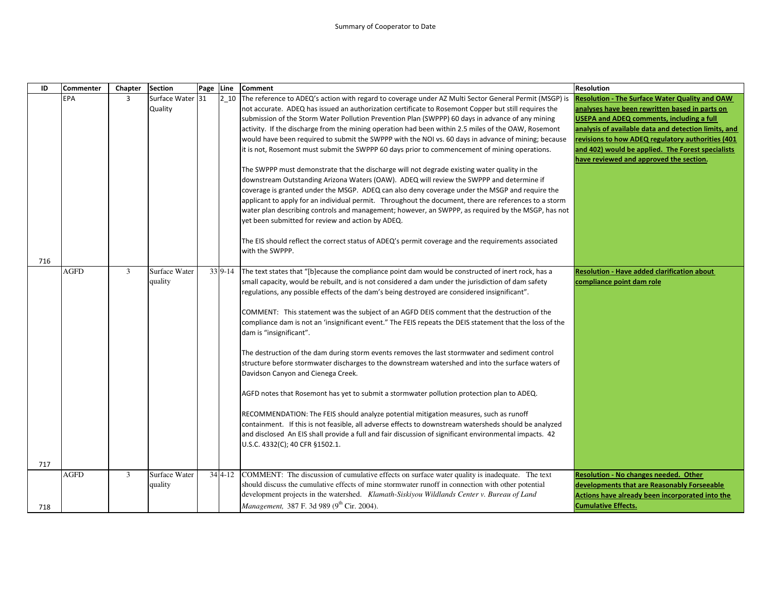## Summary of Cooperator to Date

| ID  | Commenter   | Chapter        | <b>Section</b>   | Page Line      | <b>Comment</b>                                                                                                         | <b>Resolution</b>                                     |
|-----|-------------|----------------|------------------|----------------|------------------------------------------------------------------------------------------------------------------------|-------------------------------------------------------|
|     | <b>EPA</b>  | 3              | Surface Water 31 | 2 10           | The reference to ADEQ's action with regard to coverage under AZ Multi Sector General Permit (MSGP) is                  | <b>Resolution - The Surface Water Quality and OAW</b> |
|     |             |                | Quality          |                | not accurate. ADEQ has issued an authorization certificate to Rosemont Copper but still requires the                   | analyses have been rewritten based in parts on        |
|     |             |                |                  |                | submission of the Storm Water Pollution Prevention Plan (SWPPP) 60 days in advance of any mining                       | <b>USEPA and ADEQ comments, including a full</b>      |
|     |             |                |                  |                | activity. If the discharge from the mining operation had been within 2.5 miles of the OAW, Rosemont                    | analysis of available data and detection limits, and  |
|     |             |                |                  |                | would have been required to submit the SWPPP with the NOI vs. 60 days in advance of mining; because                    | revisions to how ADEQ regulatory authorities (401     |
|     |             |                |                  |                | it is not, Rosemont must submit the SWPPP 60 days prior to commencement of mining operations.                          | and 402) would be applied. The Forest specialists     |
|     |             |                |                  |                |                                                                                                                        | have reviewed and approved the section.               |
|     |             |                |                  |                | The SWPPP must demonstrate that the discharge will not degrade existing water quality in the                           |                                                       |
|     |             |                |                  |                | downstream Outstanding Arizona Waters (OAW). ADEQ will review the SWPPP and determine if                               |                                                       |
|     |             |                |                  |                | coverage is granted under the MSGP. ADEQ can also deny coverage under the MSGP and require the                         |                                                       |
|     |             |                |                  |                | applicant to apply for an individual permit. Throughout the document, there are references to a storm                  |                                                       |
|     |             |                |                  |                | water plan describing controls and management; however, an SWPPP, as required by the MSGP, has not                     |                                                       |
|     |             |                |                  |                | yet been submitted for review and action by ADEQ.                                                                      |                                                       |
|     |             |                |                  |                |                                                                                                                        |                                                       |
|     |             |                |                  |                | The EIS should reflect the correct status of ADEQ's permit coverage and the requirements associated<br>with the SWPPP. |                                                       |
| 716 |             |                |                  |                |                                                                                                                        |                                                       |
|     | <b>AGFD</b> | 3              | Surface Water    | 33 9-14        | The text states that "[b]ecause the compliance point dam would be constructed of inert rock, has a                     | <b>Resolution - Have added clarification about</b>    |
|     |             |                | quality          |                | small capacity, would be rebuilt, and is not considered a dam under the jurisdiction of dam safety                     | compliance point dam role                             |
|     |             |                |                  |                | regulations, any possible effects of the dam's being destroyed are considered insignificant".                          |                                                       |
|     |             |                |                  |                |                                                                                                                        |                                                       |
|     |             |                |                  |                | COMMENT: This statement was the subject of an AGFD DEIS comment that the destruction of the                            |                                                       |
|     |             |                |                  |                | compliance dam is not an 'insignificant event." The FEIS repeats the DEIS statement that the loss of the               |                                                       |
|     |             |                |                  |                | dam is "insignificant".                                                                                                |                                                       |
|     |             |                |                  |                |                                                                                                                        |                                                       |
|     |             |                |                  |                | The destruction of the dam during storm events removes the last stormwater and sediment control                        |                                                       |
|     |             |                |                  |                | structure before stormwater discharges to the downstream watershed and into the surface waters of                      |                                                       |
|     |             |                |                  |                | Davidson Canyon and Cienega Creek.                                                                                     |                                                       |
|     |             |                |                  |                |                                                                                                                        |                                                       |
|     |             |                |                  |                | AGFD notes that Rosemont has yet to submit a stormwater pollution protection plan to ADEQ.                             |                                                       |
|     |             |                |                  |                | RECOMMENDATION: The FEIS should analyze potential mitigation measures, such as runoff                                  |                                                       |
|     |             |                |                  |                | containment. If this is not feasible, all adverse effects to downstream watersheds should be analyzed                  |                                                       |
|     |             |                |                  |                | and disclosed An EIS shall provide a full and fair discussion of significant environmental impacts. 42                 |                                                       |
|     |             |                |                  |                | U.S.C. 4332(C); 40 CFR §1502.1.                                                                                        |                                                       |
|     |             |                |                  |                |                                                                                                                        |                                                       |
| 717 |             |                |                  |                |                                                                                                                        |                                                       |
|     | <b>AGFD</b> | $\overline{3}$ | Surface Water    | $34 \, 4 - 12$ | COMMENT: The discussion of cumulative effects on surface water quality is inadequate. The text                         | <b>Resolution - No changes needed. Other</b>          |
|     |             |                | quality          |                | should discuss the cumulative effects of mine stormwater runoff in connection with other potential                     | developments that are Reasonably Forseeable           |
|     |             |                |                  |                | development projects in the watershed. Klamath-Siskiyou Wildlands Center v. Bureau of Land                             | Actions have already been incorporated into the       |
| 718 |             |                |                  |                | Management, 387 F. 3d 989 (9th Cir. 2004).                                                                             | <b>Cumulative Effects.</b>                            |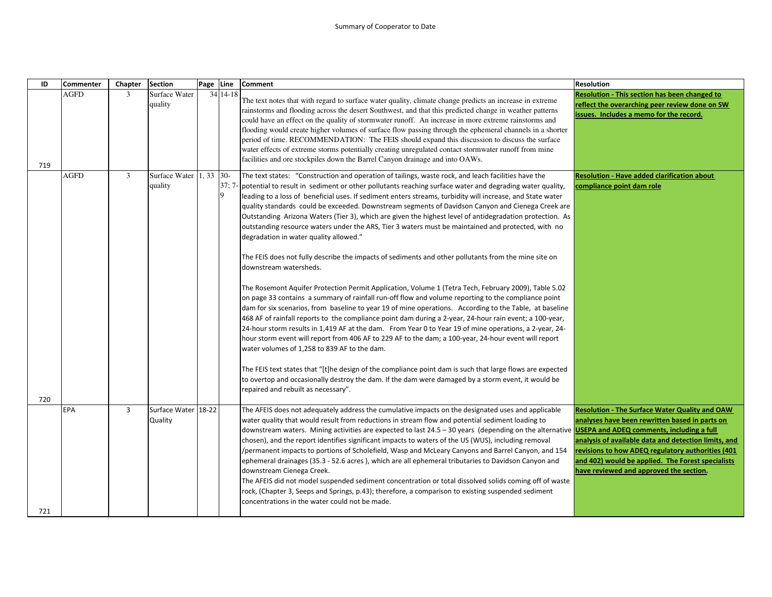| ID  | <b>Commenter</b> | Chapter        | <b>Section</b>                     | Page Line |              | <b>Comment</b>                                                                                                                                                                                                                                                                                                                                                                                                                                                                                                                                                                                                                                                                                                                                                                                                                                                                                                                                                                                                                                                                                                                                                                                                                                                                                                                                                                                                                                                                                                                                                                                                                                                                                                                                                                                   | <b>Resolution</b>                                                                                                                                                                                                                                                                                                    |
|-----|------------------|----------------|------------------------------------|-----------|--------------|--------------------------------------------------------------------------------------------------------------------------------------------------------------------------------------------------------------------------------------------------------------------------------------------------------------------------------------------------------------------------------------------------------------------------------------------------------------------------------------------------------------------------------------------------------------------------------------------------------------------------------------------------------------------------------------------------------------------------------------------------------------------------------------------------------------------------------------------------------------------------------------------------------------------------------------------------------------------------------------------------------------------------------------------------------------------------------------------------------------------------------------------------------------------------------------------------------------------------------------------------------------------------------------------------------------------------------------------------------------------------------------------------------------------------------------------------------------------------------------------------------------------------------------------------------------------------------------------------------------------------------------------------------------------------------------------------------------------------------------------------------------------------------------------------|----------------------------------------------------------------------------------------------------------------------------------------------------------------------------------------------------------------------------------------------------------------------------------------------------------------------|
| 719 | <b>AGFD</b>      | 3              | Surface Water<br>quality           |           | 34 14 - 18   | The text notes that with regard to surface water quality, climate change predicts an increase in extreme<br>rainstorms and flooding across the desert Southwest, and that this predicted change in weather patterns<br>could have an effect on the quality of stormwater runoff. An increase in more extreme rainstorms and<br>flooding would create higher volumes of surface flow passing through the ephemeral channels in a shorter<br>period of time. RECOMMENDATION: The FEIS should expand this discussion to discuss the surface<br>water effects of extreme storms potentially creating unregulated contact stormwater runoff from mine<br>facilities and ore stockpiles down the Barrel Canyon drainage and into OAWs.                                                                                                                                                                                                                                                                                                                                                                                                                                                                                                                                                                                                                                                                                                                                                                                                                                                                                                                                                                                                                                                                 | Resolution - This section has been changed to<br>reflect the overarching peer review done on SW<br>issues. Includes a memo for the record.                                                                                                                                                                           |
| 720 | <b>AGFD</b>      | 3              | Surface Water 1, 33 30-<br>quality |           | $37:7-$<br>9 | The text states: "Construction and operation of tailings, waste rock, and leach facilities have the<br>potential to result in sediment or other pollutants reaching surface water and degrading water quality,<br>leading to a loss of beneficial uses. If sediment enters streams, turbidity will increase, and State water<br>quality standards could be exceeded. Downstream segments of Davidson Canyon and Cienega Creek are<br>Outstanding Arizona Waters (Tier 3), which are given the highest level of antidegradation protection. As<br>outstanding resource waters under the ARS, Tier 3 waters must be maintained and protected, with no<br>degradation in water quality allowed."<br>The FEIS does not fully describe the impacts of sediments and other pollutants from the mine site on<br>downstream watersheds.<br>The Rosemont Aquifer Protection Permit Application, Volume 1 (Tetra Tech, February 2009), Table 5.02<br>on page 33 contains a summary of rainfall run-off flow and volume reporting to the compliance point<br>dam for six scenarios, from baseline to year 19 of mine operations. According to the Table, at baseline<br>468 AF of rainfall reports to the compliance point dam during a 2-year, 24-hour rain event; a 100-year,<br>24-hour storm results in 1,419 AF at the dam. From Year 0 to Year 19 of mine operations, a 2-year, 24-<br>hour storm event will report from 406 AF to 229 AF to the dam; a 100-year, 24-hour event will report<br>water volumes of 1,258 to 839 AF to the dam.<br>The FEIS text states that "[t]he design of the compliance point dam is such that large flows are expected<br>to overtop and occasionally destroy the dam. If the dam were damaged by a storm event, it would be<br>repaired and rebuilt as necessary". | <b>Resolution - Have added clarification about</b><br>compliance point dam role                                                                                                                                                                                                                                      |
| 721 | <b>EPA</b>       | $\overline{3}$ | Surface Water 18-22<br>Quality     |           |              | The AFEIS does not adequately address the cumulative impacts on the designated uses and applicable<br>water quality that would result from reductions in stream flow and potential sediment loading to<br>downstream waters. Mining activities are expected to last 24.5 – 30 years (depending on the alternative USEPA and ADEQ comments, including a full<br>chosen), and the report identifies significant impacts to waters of the US (WUS), including removal<br>permanent impacts to portions of Scholefield, Wasp and McLeary Canyons and Barrel Canyon, and 154<br>ephemeral drainages (35.3 - 52.6 acres), which are all ephemeral tributaries to Davidson Canyon and<br>downstream Cienega Creek.<br>The AFEIS did not model suspended sediment concentration or total dissolved solids coming off of waste<br>rock, (Chapter 3, Seeps and Springs, p.43); therefore, a comparison to existing suspended sediment<br>concentrations in the water could not be made.                                                                                                                                                                                                                                                                                                                                                                                                                                                                                                                                                                                                                                                                                                                                                                                                                    | <b>Resolution - The Surface Water Quality and OAW</b><br>analyses have been rewritten based in parts on<br>analysis of available data and detection limits, and<br>revisions to how ADEQ regulatory authorities (401<br>and 402) would be applied. The Forest specialists<br>have reviewed and approved the section. |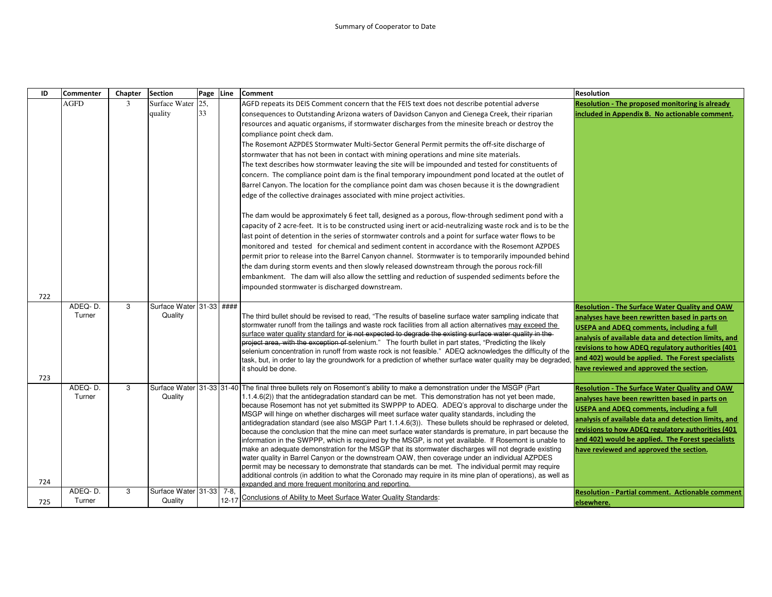| ID         | <b>Commenter</b>  | Chapter | <b>Section</b>                      | Page Line |           | <b>Comment</b>                                                                                                                                                                                                                                                                                                                                                                                                                                                                                                                                                                                                                                                                                                                                                                                                                                                                                                                                                                                                                                                                                                                                                                                                                                                                                                                                                                                                                                                                                                                                                                                                                                                                                                                   | <b>Resolution</b>                                                                                                                                                                                                                                                                                                                                                        |
|------------|-------------------|---------|-------------------------------------|-----------|-----------|----------------------------------------------------------------------------------------------------------------------------------------------------------------------------------------------------------------------------------------------------------------------------------------------------------------------------------------------------------------------------------------------------------------------------------------------------------------------------------------------------------------------------------------------------------------------------------------------------------------------------------------------------------------------------------------------------------------------------------------------------------------------------------------------------------------------------------------------------------------------------------------------------------------------------------------------------------------------------------------------------------------------------------------------------------------------------------------------------------------------------------------------------------------------------------------------------------------------------------------------------------------------------------------------------------------------------------------------------------------------------------------------------------------------------------------------------------------------------------------------------------------------------------------------------------------------------------------------------------------------------------------------------------------------------------------------------------------------------------|--------------------------------------------------------------------------------------------------------------------------------------------------------------------------------------------------------------------------------------------------------------------------------------------------------------------------------------------------------------------------|
|            | <b>AGFD</b>       | 3       | Surface Water<br>quality            | 25.<br>33 |           | AGFD repeats its DEIS Comment concern that the FEIS text does not describe potential adverse<br>consequences to Outstanding Arizona waters of Davidson Canyon and Cienega Creek, their riparian<br>resources and aquatic organisms, if stormwater discharges from the minesite breach or destroy the<br>compliance point check dam.<br>The Rosemont AZPDES Stormwater Multi-Sector General Permit permits the off-site discharge of<br>stormwater that has not been in contact with mining operations and mine site materials.<br>The text describes how stormwater leaving the site will be impounded and tested for constituents of<br>concern. The compliance point dam is the final temporary impoundment pond located at the outlet of<br>Barrel Canyon. The location for the compliance point dam was chosen because it is the downgradient<br>edge of the collective drainages associated with mine project activities.<br>The dam would be approximately 6 feet tall, designed as a porous, flow-through sediment pond with a<br>capacity of 2 acre-feet. It is to be constructed using inert or acid-neutralizing waste rock and is to be the<br>last point of detention in the series of stormwater controls and a point for surface water flows to be<br>monitored and tested for chemical and sediment content in accordance with the Rosemont AZPDES<br>permit prior to release into the Barrel Canyon channel. Stormwater is to temporarily impounded behind<br>the dam during storm events and then slowly released downstream through the porous rock-fill<br>embankment. The dam will also allow the settling and reduction of suspended sediments before the<br>impounded stormwater is discharged downstream. | <b>Resolution - The proposed monitoring is already</b><br>included in Appendix B. No actionable comment.                                                                                                                                                                                                                                                                 |
| 722<br>723 | ADEQ-D.<br>Turner | 3       | Surface Water 31-33 ####<br>Quality |           |           | The third bullet should be revised to read, "The results of baseline surface water sampling indicate that<br>stormwater runoff from the tailings and waste rock facilities from all action alternatives may exceed the<br>surface water quality standard for is not expected to degrade the existing surface water quality in the<br>project area, with the exception of selenium." The fourth bullet in part states, "Predicting the likely<br>selenium concentration in runoff from waste rock is not feasible." ADEQ acknowledges the difficulty of the<br>task, but, in order to lay the groundwork for a prediction of whether surface water quality may be degraded, and 402) would be applied. The Forest specialists<br>it should be done.                                                                                                                                                                                                                                                                                                                                                                                                                                                                                                                                                                                                                                                                                                                                                                                                                                                                                                                                                                               | <b>Resolution - The Surface Water Quality and OAW</b><br>analyses have been rewritten based in parts on<br><b>USEPA and ADEQ comments, including a full</b><br>analysis of available data and detection limits, and<br>revisions to how ADEQ regulatory authorities (401<br>have reviewed and approved the section.                                                      |
| 724        | ADEQ-D.<br>Turner | 3       | Quality                             |           |           | Surface Water 31-33 31-40 The final three bullets rely on Rosemont's ability to make a demonstration under the MSGP (Part<br>1.1.4.6(2)) that the antidegradation standard can be met. This demonstration has not yet been made,<br>because Rosemont has not yet submitted its SWPPP to ADEQ. ADEQ's approval to discharge under the<br>MSGP will hinge on whether discharges will meet surface water quality standards, including the<br>antidegradation standard (see also MSGP Part 1.1.4.6(3)). These bullets should be rephrased or deleted.<br>because the conclusion that the mine can meet surface water standards is premature, in part because the<br>information in the SWPPP, which is required by the MSGP, is not yet available. If Rosemont is unable to<br>make an adequate demonstration for the MSGP that its stormwater discharges will not degrade existing<br>water quality in Barrel Canyon or the downstream OAW, then coverage under an individual AZPDES<br>permit may be necessary to demonstrate that standards can be met. The individual permit may require<br>additional controls (in addition to what the Coronado may require in its mine plan of operations), as well as<br>expanded and more frequent monitoring and reporting.                                                                                                                                                                                                                                                                                                                                                                                                                                                                | <b>Resolution - The Surface Water Quality and OAW</b><br>analyses have been rewritten based in parts on<br><b>USEPA and ADEQ comments, including a full</b><br>analysis of available data and detection limits, and<br>revisions to how ADEQ regulatory authorities (401<br>and 402) would be applied. The Forest specialists<br>have reviewed and approved the section. |
| 725        | ADEQ-D.<br>Turner | 3       | Surface Water 31-33 7-8,<br>Quality |           | $12 - 17$ | Conclusions of Ability to Meet Surface Water Quality Standards:                                                                                                                                                                                                                                                                                                                                                                                                                                                                                                                                                                                                                                                                                                                                                                                                                                                                                                                                                                                                                                                                                                                                                                                                                                                                                                                                                                                                                                                                                                                                                                                                                                                                  | <b>Resolution - Partial comment. Actionable comment</b><br>elsewhere.                                                                                                                                                                                                                                                                                                    |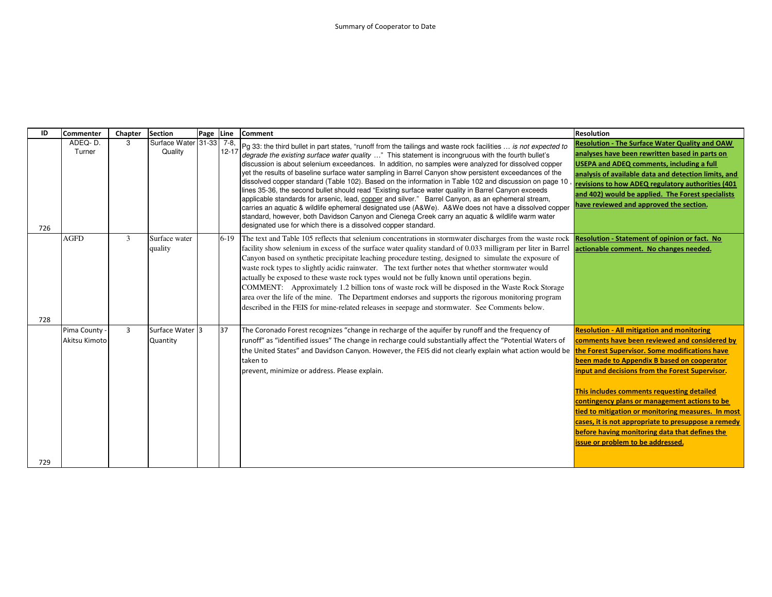| ID  | <b>Commenter</b>               | Chapter        | <b>Section</b>                      | Page Line |           | <b>Comment</b>                                                                                                                                                                                                                                                                                                                                                                                                                                                                                                                                                                                                                                                                                                                                                                                                                                                                                                                                                                                                                                | <b>Resolution</b>                                                                                                                                                                                                                                                                                                                                                                                                                                                                                       |
|-----|--------------------------------|----------------|-------------------------------------|-----------|-----------|-----------------------------------------------------------------------------------------------------------------------------------------------------------------------------------------------------------------------------------------------------------------------------------------------------------------------------------------------------------------------------------------------------------------------------------------------------------------------------------------------------------------------------------------------------------------------------------------------------------------------------------------------------------------------------------------------------------------------------------------------------------------------------------------------------------------------------------------------------------------------------------------------------------------------------------------------------------------------------------------------------------------------------------------------|---------------------------------------------------------------------------------------------------------------------------------------------------------------------------------------------------------------------------------------------------------------------------------------------------------------------------------------------------------------------------------------------------------------------------------------------------------------------------------------------------------|
| 726 | ADEQ-D.<br>Turner              | 3              | Surface Water 31-33 7-8.<br>Quality |           | $12 - 17$ | Pg 33: the third bullet in part states, "runoff from the tailings and waste rock facilities  is not expected to<br>degrade the existing surface water quality " This statement is incongruous with the fourth bullet's<br>discussion is about selenium exceedances. In addition, no samples were analyzed for dissolved copper<br>yet the results of baseline surface water sampling in Barrel Canyon show persistent exceedances of the<br>dissolved copper standard (Table 102). Based on the information in Table 102 and discussion on page 10<br>lines 35-36, the second bullet should read "Existing surface water quality in Barrel Canyon exceeds<br>applicable standards for arsenic, lead, copper and silver." Barrel Canyon, as an ephemeral stream,<br>carries an aquatic & wildlife ephemeral designated use (A&We). A&We does not have a dissolved copper<br>standard, however, both Davidson Canyon and Cienega Creek carry an aquatic & wildlife warm water<br>designated use for which there is a dissolved copper standard. | <b>Resolution - The Surface Water Quality and OAW</b><br>analyses have been rewritten based in parts on<br><b>USEPA and ADEQ comments, including a full</b><br>analysis of available data and detection limits, and<br>revisions to how ADEQ regulatory authorities (401<br>and 402) would be applied. The Forest specialists<br>have reviewed and approved the section.                                                                                                                                |
| 728 | <b>AGFD</b>                    | 3              | Surface water<br>quality            |           | $6-19$    | The text and Table 105 reflects that selenium concentrations in stormwater discharges from the waste rock<br>facility show selenium in excess of the surface water quality standard of 0.033 milligram per liter in Barrel actionable comment. No changes needed.<br>Canyon based on synthetic precipitate leaching procedure testing, designed to simulate the exposure of<br>waste rock types to slightly acidic rainwater. The text further notes that whether stormwater would<br>actually be exposed to these waste rock types would not be fully known until operations begin.<br>COMMENT: Approximately 1.2 billion tons of waste rock will be disposed in the Waste Rock Storage<br>area over the life of the mine. The Department endorses and supports the rigorous monitoring program<br>described in the FEIS for mine-related releases in seepage and stormwater. See Comments below.                                                                                                                                            | Resolution - Statement of opinion or fact. No                                                                                                                                                                                                                                                                                                                                                                                                                                                           |
|     | Pima County -<br>Akitsu Kimoto | $\overline{3}$ | Surface Water 3<br>Quantity         |           | 37        | The Coronado Forest recognizes "change in recharge of the aquifer by runoff and the frequency of<br>runoff" as "identified issues" The change in recharge could substantially affect the "Potential Waters of<br>the United States" and Davidson Canyon. However, the FEIS did not clearly explain what action would be the Forest Supervisor. Some modifications have<br>taken to<br>prevent, minimize or address. Please explain.                                                                                                                                                                                                                                                                                                                                                                                                                                                                                                                                                                                                           | <b>Resolution - All mitigation and monitoring</b><br>comments have been reviewed and considered by<br>been made to Appendix B based on cooperator<br>input and decisions from the Forest Supervisor.<br>This includes comments requesting detailed<br>contingency plans or management actions to be<br>tied to mitigation or monitoring measures. In most<br>cases, it is not appropriate to presuppose a remedy<br>before having monitoring data that defines the<br>issue or problem to be addressed. |
| 729 |                                |                |                                     |           |           |                                                                                                                                                                                                                                                                                                                                                                                                                                                                                                                                                                                                                                                                                                                                                                                                                                                                                                                                                                                                                                               |                                                                                                                                                                                                                                                                                                                                                                                                                                                                                                         |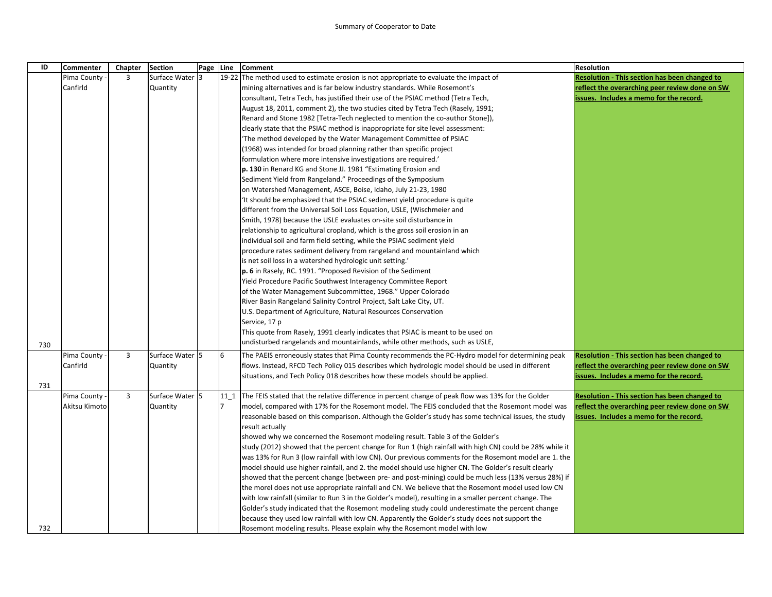| ID  | Commenter     | Chapter      | <b>Section</b>  | Page | Line           | Comment                                                                                                  | <b>Resolution</b>                                    |
|-----|---------------|--------------|-----------------|------|----------------|----------------------------------------------------------------------------------------------------------|------------------------------------------------------|
|     | Pima County   | 3            | Surface Water 3 |      | 19-22          | The method used to estimate erosion is not appropriate to evaluate the impact of                         | Resolution - This section has been changed to        |
|     | Canfirld      |              | Quantity        |      |                | mining alternatives and is far below industry standards. While Rosemont's                                | reflect the overarching peer review done on SW       |
|     |               |              |                 |      |                | consultant, Tetra Tech, has justified their use of the PSIAC method (Tetra Tech,                         | issues. Includes a memo for the record.              |
|     |               |              |                 |      |                | August 18, 2011, comment 2), the two studies cited by Tetra Tech (Rasely, 1991;                          |                                                      |
|     |               |              |                 |      |                | Renard and Stone 1982 [Tetra-Tech neglected to mention the co-author Stone]),                            |                                                      |
|     |               |              |                 |      |                | clearly state that the PSIAC method is inappropriate for site level assessment:                          |                                                      |
|     |               |              |                 |      |                | The method developed by the Water Management Committee of PSIAC                                          |                                                      |
|     |               |              |                 |      |                | (1968) was intended for broad planning rather than specific project                                      |                                                      |
|     |               |              |                 |      |                | formulation where more intensive investigations are required.'                                           |                                                      |
|     |               |              |                 |      |                | <b>p. 130</b> in Renard KG and Stone JJ. 1981 "Estimating Erosion and                                    |                                                      |
|     |               |              |                 |      |                | Sediment Yield from Rangeland." Proceedings of the Symposium                                             |                                                      |
|     |               |              |                 |      |                | on Watershed Management, ASCE, Boise, Idaho, July 21-23, 1980                                            |                                                      |
|     |               |              |                 |      |                | It should be emphasized that the PSIAC sediment yield procedure is quite                                 |                                                      |
|     |               |              |                 |      |                | different from the Universal Soil Loss Equation, USLE, (Wischmeier and                                   |                                                      |
|     |               |              |                 |      |                | Smith, 1978) because the USLE evaluates on-site soil disturbance in                                      |                                                      |
|     |               |              |                 |      |                | relationship to agricultural cropland, which is the gross soil erosion in an                             |                                                      |
|     |               |              |                 |      |                | individual soil and farm field setting, while the PSIAC sediment yield                                   |                                                      |
|     |               |              |                 |      |                | procedure rates sediment delivery from rangeland and mountainland which                                  |                                                      |
|     |               |              |                 |      |                | is net soil loss in a watershed hydrologic unit setting.'                                                |                                                      |
|     |               |              |                 |      |                | p. 6 in Rasely, RC. 1991. "Proposed Revision of the Sediment                                             |                                                      |
|     |               |              |                 |      |                | Yield Procedure Pacific Southwest Interagency Committee Report                                           |                                                      |
|     |               |              |                 |      |                | of the Water Management Subcommittee, 1968." Upper Colorado                                              |                                                      |
|     |               |              |                 |      |                | River Basin Rangeland Salinity Control Project, Salt Lake City, UT.                                      |                                                      |
|     |               |              |                 |      |                | U.S. Department of Agriculture, Natural Resources Conservation                                           |                                                      |
|     |               |              |                 |      |                | Service, 17 p                                                                                            |                                                      |
|     |               |              |                 |      |                | This quote from Rasely, 1991 clearly indicates that PSIAC is meant to be used on                         |                                                      |
| 730 |               |              |                 |      |                | undisturbed rangelands and mountainlands, while other methods, such as USLE,                             |                                                      |
|     | Pima County   | $\mathbf{3}$ | Surface Water 5 |      | 6              | The PAEIS erroneously states that Pima County recommends the PC-Hydro model for determining peak         | <b>Resolution - This section has been changed to</b> |
|     | Canfirld      |              | Quantity        |      |                | flows. Instead, RFCD Tech Policy 015 describes which hydrologic model should be used in different        | reflect the overarching peer review done on SW       |
|     |               |              |                 |      |                | situations, and Tech Policy 018 describes how these models should be applied.                            | issues. Includes a memo for the record.              |
| 731 |               |              |                 |      |                |                                                                                                          |                                                      |
|     | Pima County   | 3            | Surface Water 5 |      | 11 1           | The FEIS stated that the relative difference in percent change of peak flow was 13% for the Golder       | Resolution - This section has been changed to        |
|     | Akitsu Kimoto |              | Quantity        |      | $\overline{7}$ | model, compared with 17% for the Rosemont model. The FEIS concluded that the Rosemont model was          | eflect the overarching peer review done on SW        |
|     |               |              |                 |      |                | reasonable based on this comparison. Although the Golder's study has some technical issues, the study    | ssues. Includes a memo for the record.               |
|     |               |              |                 |      |                | result actually                                                                                          |                                                      |
|     |               |              |                 |      |                | showed why we concerned the Rosemont modeling result. Table 3 of the Golder's                            |                                                      |
|     |               |              |                 |      |                | study (2012) showed that the percent change for Run 1 (high rainfall with high CN) could be 28% while it |                                                      |
|     |               |              |                 |      |                | was 13% for Run 3 (low rainfall with low CN). Our previous comments for the Rosemont model are 1. the    |                                                      |
|     |               |              |                 |      |                | model should use higher rainfall, and 2. the model should use higher CN. The Golder's result clearly     |                                                      |
|     |               |              |                 |      |                | showed that the percent change (between pre- and post-mining) could be much less (13% versus 28%) if     |                                                      |
|     |               |              |                 |      |                | the morel does not use appropriate rainfall and CN. We believe that the Rosemont model used low CN       |                                                      |
|     |               |              |                 |      |                | with low rainfall (similar to Run 3 in the Golder's model), resulting in a smaller percent change. The   |                                                      |
|     |               |              |                 |      |                | Golder's study indicated that the Rosemont modeling study could underestimate the percent change         |                                                      |
|     |               |              |                 |      |                | because they used low rainfall with low CN. Apparently the Golder's study does not support the           |                                                      |
| 732 |               |              |                 |      |                | Rosemont modeling results. Please explain why the Rosemont model with low                                |                                                      |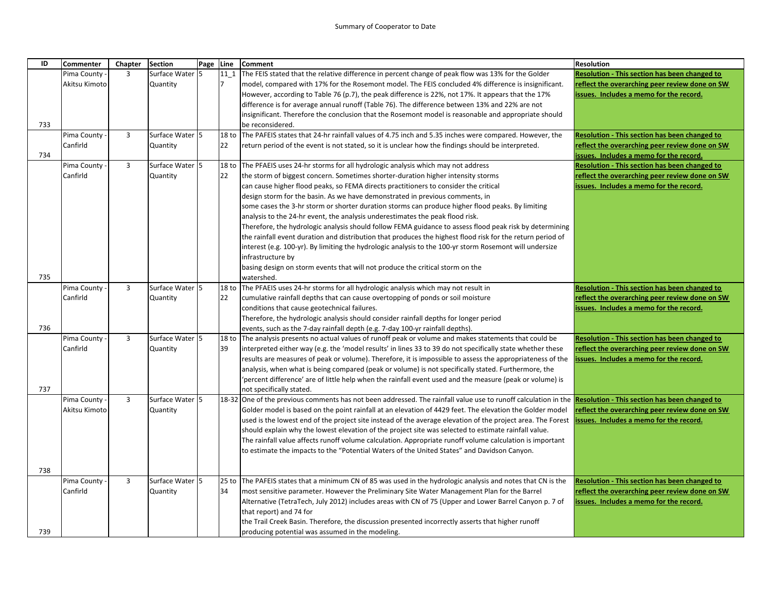| ID  | <b>Commenter</b> | Chapter        | <b>Section</b>  | Page Line |                  | <b>Comment</b>                                                                                                 | <b>Resolution</b>                                    |
|-----|------------------|----------------|-----------------|-----------|------------------|----------------------------------------------------------------------------------------------------------------|------------------------------------------------------|
|     | Pima County      | 3              | Surface Water 5 |           | $11_1$           | The FEIS stated that the relative difference in percent change of peak flow was 13% for the Golder             | <b>Resolution - This section has been changed to</b> |
|     | Akitsu Kimoto    |                | Quantity        |           | 7                | model, compared with 17% for the Rosemont model. The FEIS concluded 4% difference is insignificant.            | reflect the overarching peer review done on SW       |
|     |                  |                |                 |           |                  | However, according to Table 76 (p.7), the peak difference is 22%, not 17%. It appears that the 17%             | issues. Includes a memo for the record.              |
|     |                  |                |                 |           |                  | difference is for average annual runoff (Table 76). The difference between 13% and 22% are not                 |                                                      |
|     |                  |                |                 |           |                  | insignificant. Therefore the conclusion that the Rosemont model is reasonable and appropriate should           |                                                      |
| 733 |                  |                |                 |           |                  | be reconsidered.                                                                                               |                                                      |
|     | Pima County      | 3              | Surface Water 5 |           | 18 to            | The PAFEIS states that 24-hr rainfall values of 4.75 inch and 5.35 inches were compared. However, the          | Resolution - This section has been changed to        |
|     | Canfirld         |                | Quantity        |           | 22               | return period of the event is not stated, so it is unclear how the findings should be interpreted.             | reflect the overarching peer review done on SW       |
| 734 |                  |                |                 |           |                  |                                                                                                                | ssues. Includes a memo for the record.               |
|     | Pima County      | $\overline{3}$ | Surface Water 5 |           | 18 <sub>to</sub> | The PFAEIS uses 24-hr storms for all hydrologic analysis which may not address                                 | Resolution - This section has been changed to        |
|     | Canfirld         |                | Quantity        |           | 22               | the storm of biggest concern. Sometimes shorter-duration higher intensity storms                               | reflect the overarching peer review done on SW       |
|     |                  |                |                 |           |                  | can cause higher flood peaks, so FEMA directs practitioners to consider the critical                           | ssues. Includes a memo for the record.               |
|     |                  |                |                 |           |                  | design storm for the basin. As we have demonstrated in previous comments, in                                   |                                                      |
|     |                  |                |                 |           |                  | some cases the 3-hr storm or shorter duration storms can produce higher flood peaks. By limiting               |                                                      |
|     |                  |                |                 |           |                  | analysis to the 24-hr event, the analysis underestimates the peak flood risk.                                  |                                                      |
|     |                  |                |                 |           |                  | Therefore, the hydrologic analysis should follow FEMA guidance to assess flood peak risk by determining        |                                                      |
|     |                  |                |                 |           |                  | the rainfall event duration and distribution that produces the highest flood risk for the return period of     |                                                      |
|     |                  |                |                 |           |                  | interest (e.g. 100-yr). By limiting the hydrologic analysis to the 100-yr storm Rosemont will undersize        |                                                      |
|     |                  |                |                 |           |                  | infrastructure by                                                                                              |                                                      |
| 735 |                  |                |                 |           |                  | basing design on storm events that will not produce the critical storm on the<br>watershed.                    |                                                      |
|     | Pima County      | 3              | Surface Water 5 |           | 18 <sub>to</sub> | The PFAEIS uses 24-hr storms for all hydrologic analysis which may not result in                               | <b>Resolution - This section has been changed to</b> |
|     | Canfirld         |                | Quantity        |           | 22               | cumulative rainfall depths that can cause overtopping of ponds or soil moisture                                | reflect the overarching peer review done on SW       |
|     |                  |                |                 |           |                  | conditions that cause geotechnical failures.                                                                   | ssues. Includes a memo for the record.               |
|     |                  |                |                 |           |                  | Therefore, the hydrologic analysis should consider rainfall depths for longer period                           |                                                      |
| 736 |                  |                |                 |           |                  | events, such as the 7-day rainfall depth (e.g. 7-day 100-yr rainfall depths).                                  |                                                      |
|     | Pima County      | $\overline{3}$ | Surface Water 5 |           | 18 to            | The analysis presents no actual values of runoff peak or volume and makes statements that could be             | <b>Resolution - This section has been changed to</b> |
|     | Canfirld         |                | Quantity        |           | 39               | interpreted either way (e.g. the 'model results' in lines 33 to 39 do not specifically state whether these     | reflect the overarching peer review done on SW       |
|     |                  |                |                 |           |                  | results are measures of peak or volume). Therefore, it is impossible to assess the appropriateness of the      | ssues. Includes a memo for the record.               |
|     |                  |                |                 |           |                  | analysis, when what is being compared (peak or volume) is not specifically stated. Furthermore, the            |                                                      |
|     |                  |                |                 |           |                  | percent difference' are of little help when the rainfall event used and the measure (peak or volume) is        |                                                      |
| 737 |                  |                |                 |           |                  | not specifically stated.                                                                                       |                                                      |
|     | Pima County      | $\overline{3}$ | Surface Water 5 |           |                  | 18-32 One of the previous comments has not been addressed. The rainfall value use to runoff calculation in the | Resolution - This section has been changed to        |
|     | Akitsu Kimoto    |                | Quantity        |           |                  | Golder model is based on the point rainfall at an elevation of 4429 feet. The elevation the Golder model       | eflect the overarching peer review done on SW        |
|     |                  |                |                 |           |                  | used is the lowest end of the project site instead of the average elevation of the project area. The Forest    | ssues. Includes a memo for the record.               |
|     |                  |                |                 |           |                  | should explain why the lowest elevation of the project site was selected to estimate rainfall value.           |                                                      |
|     |                  |                |                 |           |                  | The rainfall value affects runoff volume calculation. Appropriate runoff volume calculation is important       |                                                      |
|     |                  |                |                 |           |                  | to estimate the impacts to the "Potential Waters of the United States" and Davidson Canyon.                    |                                                      |
|     |                  |                |                 |           |                  |                                                                                                                |                                                      |
| 738 |                  |                |                 |           |                  |                                                                                                                |                                                      |
|     | Pima County      | 3              | Surface Water 5 |           |                  | 25 to The PAFEIS states that a minimum CN of 85 was used in the hydrologic analysis and notes that CN is the   | Resolution - This section has been changed to        |
|     | Canfirld         |                | Quantity        |           | 34               | most sensitive parameter. However the Preliminary Site Water Management Plan for the Barrel                    | reflect the overarching peer review done on SW       |
|     |                  |                |                 |           |                  | Alternative (TetraTech, July 2012) includes areas with CN of 75 (Upper and Lower Barrel Canyon p. 7 of         | ssues. Includes a memo for the record.               |
|     |                  |                |                 |           |                  | that report) and 74 for                                                                                        |                                                      |
|     |                  |                |                 |           |                  | the Trail Creek Basin. Therefore, the discussion presented incorrectly asserts that higher runoff              |                                                      |
| 739 |                  |                |                 |           |                  | producing potential was assumed in the modeling.                                                               |                                                      |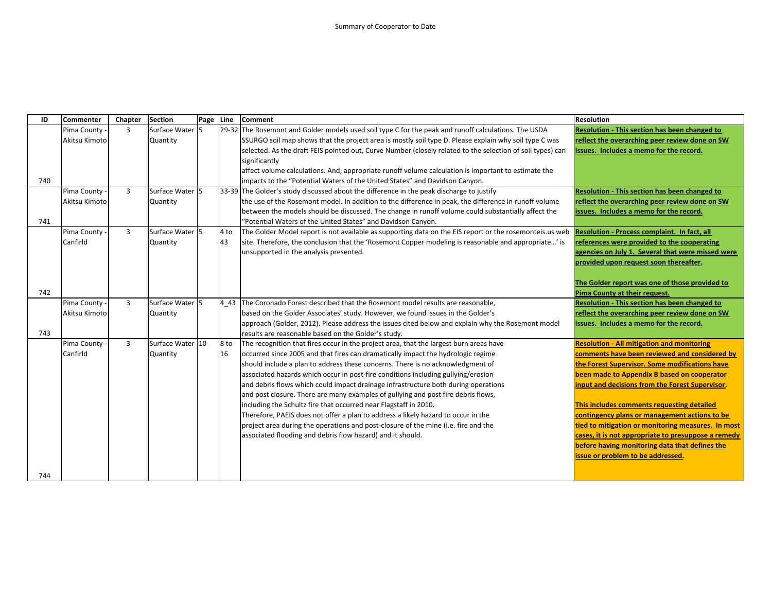| ID  | <b>Commenter</b> | Chapter        | <b>Section</b>   | Page | Line          | <b>Comment</b>                                                                                             | <b>Resolution</b>                                    |
|-----|------------------|----------------|------------------|------|---------------|------------------------------------------------------------------------------------------------------------|------------------------------------------------------|
|     | Pima County      | $\overline{3}$ | Surface Water 5  |      |               | [29-32] The Rosemont and Golder models used soil type C for the peak and runoff calculations. The USDA     | <b>Resolution - This section has been changed to</b> |
|     | Akitsu Kimoto    |                | Quantity         |      |               | SSURGO soil map shows that the project area is mostly soil type D. Please explain why soil type C was      | reflect the overarching peer review done on SW       |
|     |                  |                |                  |      |               | selected. As the draft FEIS pointed out, Curve Number (closely related to the selection of soil types) can | issues. Includes a memo for the record.              |
|     |                  |                |                  |      |               | significantly                                                                                              |                                                      |
|     |                  |                |                  |      |               | affect volume calculations. And, appropriate runoff volume calculation is important to estimate the        |                                                      |
| 740 |                  |                |                  |      |               | impacts to the "Potential Waters of the United States" and Davidson Canyon.                                |                                                      |
|     | Pima County -    | $\overline{3}$ | Surface Water 5  |      |               | 33-39 The Golder's study discussed about the difference in the peak discharge to justify                   | Resolution - This section has been changed to        |
|     | Akitsu Kimoto    |                | Quantity         |      |               | the use of the Rosemont model. In addition to the difference in peak, the difference in runoff volume      | reflect the overarching peer review done on SW       |
|     |                  |                |                  |      |               | between the models should be discussed. The change in runoff volume could substantially affect the         | issues. Includes a memo for the record.              |
| 741 |                  |                |                  |      |               | "Potential Waters of the United States" and Davidson Canyon.                                               |                                                      |
|     | Pima County      | $\overline{3}$ | Surface Water 5  |      | 4 to          | The Golder Model report is not available as supporting data on the EIS report or the rosemonteis.us web    | Resolution - Process complaint. In fact, all         |
|     | Canfirld         |                | Quantity         |      | 43            | site. Therefore, the conclusion that the 'Rosemont Copper modeling is reasonable and appropriate' is       | references were provided to the cooperating          |
|     |                  |                |                  |      |               | unsupported in the analysis presented.                                                                     | agencies on July 1. Several that were missed were    |
|     |                  |                |                  |      |               |                                                                                                            | provided upon request soon thereafter.               |
|     |                  |                |                  |      |               |                                                                                                            |                                                      |
|     |                  |                |                  |      |               |                                                                                                            | The Golder report was one of those provided to       |
| 742 |                  |                |                  |      |               |                                                                                                            | Pima County at their request.                        |
|     | Pima County -    | $\overline{3}$ | Surface Water 5  |      | 4 4 3         | The Coronado Forest described that the Rosemont model results are reasonable.                              | Resolution - This section has been changed to        |
|     | Akitsu Kimoto    |                | Quantity         |      |               | based on the Golder Associates' study. However, we found issues in the Golder's                            | reflect the overarching peer review done on SW       |
|     |                  |                |                  |      |               | approach (Golder, 2012). Please address the issues cited below and explain why the Rosemont model          | issues. Includes a memo for the record.              |
| 743 |                  |                |                  |      |               | results are reasonable based on the Golder's study.                                                        |                                                      |
|     | Pima County -    | 3              | Surface Water 10 |      | 8 to          | The recognition that fires occur in the project area, that the largest burn areas have                     | <b>Resolution - All mitigation and monitoring</b>    |
|     | Canfirld         |                | Quantity         |      | <sup>16</sup> | occurred since 2005 and that fires can dramatically impact the hydrologic regime                           | comments have been reviewed and considered by        |
|     |                  |                |                  |      |               | should include a plan to address these concerns. There is no acknowledgment of                             | the Forest Supervisor. Some modifications have       |
|     |                  |                |                  |      |               | associated hazards which occur in post-fire conditions including gullying/erosion                          | been made to Appendix B based on cooperator          |
|     |                  |                |                  |      |               | and debris flows which could impact drainage infrastructure both during operations                         | input and decisions from the Forest Supervisor.      |
|     |                  |                |                  |      |               | and post closure. There are many examples of gullying and post fire debris flows,                          |                                                      |
|     |                  |                |                  |      |               | including the Schultz fire that occurred near Flagstaff in 2010.                                           | This includes comments requesting detailed           |
|     |                  |                |                  |      |               | Therefore, PAEIS does not offer a plan to address a likely hazard to occur in the                          | contingency plans or management actions to be        |
|     |                  |                |                  |      |               | project area during the operations and post-closure of the mine (i.e. fire and the                         | tied to mitigation or monitoring measures. In most   |
|     |                  |                |                  |      |               | associated flooding and debris flow hazard) and it should.                                                 | cases, it is not appropriate to presuppose a remedy  |
|     |                  |                |                  |      |               |                                                                                                            | before having monitoring data that defines the       |
|     |                  |                |                  |      |               |                                                                                                            | issue or problem to be addressed.                    |
|     |                  |                |                  |      |               |                                                                                                            |                                                      |
| 744 |                  |                |                  |      |               |                                                                                                            |                                                      |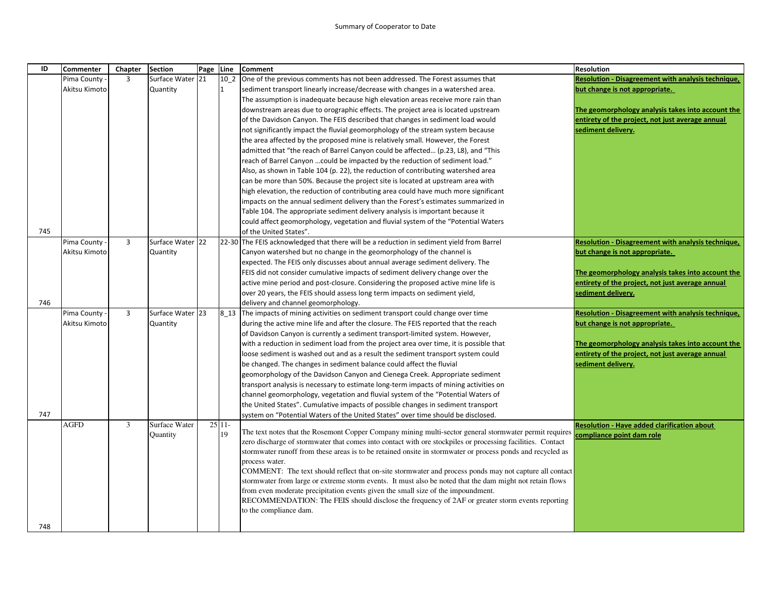| ID  | <b>Commenter</b> | Chapter        | <b>Section</b>   | Page Line |          | <b>Comment</b>                                                                                             | <b>Resolution</b>                                         |
|-----|------------------|----------------|------------------|-----------|----------|------------------------------------------------------------------------------------------------------------|-----------------------------------------------------------|
|     | Pima County      | 3              | Surface Water 21 |           | 10 2     | One of the previous comments has not been addressed. The Forest assumes that                               | <b>Resolution - Disagreement with analysis technique,</b> |
|     | Akitsu Kimoto    |                | <b>Quantity</b>  |           | 1        | sediment transport linearly increase/decrease with changes in a watershed area.                            | but change is not appropriate.                            |
|     |                  |                |                  |           |          | The assumption is inadequate because high elevation areas receive more rain than                           |                                                           |
|     |                  |                |                  |           |          | downstream areas due to orographic effects. The project area is located upstream                           | The geomorphology analysis takes into account the         |
|     |                  |                |                  |           |          | of the Davidson Canyon. The FEIS described that changes in sediment load would                             | entirety of the project, not just average annual          |
|     |                  |                |                  |           |          | not significantly impact the fluvial geomorphology of the stream system because                            | sediment delivery.                                        |
|     |                  |                |                  |           |          | the area affected by the proposed mine is relatively small. However, the Forest                            |                                                           |
|     |                  |                |                  |           |          | admitted that "the reach of Barrel Canyon could be affected (p.23, L8), and "This                          |                                                           |
|     |                  |                |                  |           |          | reach of Barrel Canyon  could be impacted by the reduction of sediment load."                              |                                                           |
|     |                  |                |                  |           |          | Also, as shown in Table 104 (p. 22), the reduction of contributing watershed area                          |                                                           |
|     |                  |                |                  |           |          | can be more than 50%. Because the project site is located at upstream area with                            |                                                           |
|     |                  |                |                  |           |          | high elevation, the reduction of contributing area could have much more significant                        |                                                           |
|     |                  |                |                  |           |          | impacts on the annual sediment delivery than the Forest's estimates summarized in                          |                                                           |
|     |                  |                |                  |           |          | Table 104. The appropriate sediment delivery analysis is important because it                              |                                                           |
|     |                  |                |                  |           |          | could affect geomorphology, vegetation and fluvial system of the "Potential Waters"                        |                                                           |
| 745 |                  |                |                  |           |          | of the United States".                                                                                     |                                                           |
|     | Pima County      | $\overline{3}$ | Surface Water 22 |           |          | 22-30 The FEIS acknowledged that there will be a reduction in sediment yield from Barrel                   | Resolution - Disagreement with analysis technique,        |
|     | Akitsu Kimoto    |                | Quantity         |           |          | Canyon watershed but no change in the geomorphology of the channel is                                      | but change is not appropriate.                            |
|     |                  |                |                  |           |          | expected. The FEIS only discusses about annual average sediment delivery. The                              |                                                           |
|     |                  |                |                  |           |          | FEIS did not consider cumulative impacts of sediment delivery change over the                              | The geomorphology analysis takes into account the         |
|     |                  |                |                  |           |          | active mine period and post-closure. Considering the proposed active mine life is                          | entirety of the project, not just average annual          |
|     |                  |                |                  |           |          | over 20 years, the FEIS should assess long term impacts on sediment yield,                                 | sediment delivery.                                        |
| 746 |                  |                |                  |           |          | delivery and channel geomorphology.                                                                        |                                                           |
|     | Pima County      | 3              | Surface Water 23 |           |          | 8 13 The impacts of mining activities on sediment transport could change over time                         | Resolution - Disagreement with analysis technique,        |
|     | Akitsu Kimoto    |                | <b>Quantity</b>  |           |          | during the active mine life and after the closure. The FEIS reported that the reach                        | but change is not appropriate.                            |
|     |                  |                |                  |           |          | of Davidson Canyon is currently a sediment transport-limited system. However,                              |                                                           |
|     |                  |                |                  |           |          | with a reduction in sediment load from the project area over time, it is possible that                     | The geomorphology analysis takes into account the         |
|     |                  |                |                  |           |          | loose sediment is washed out and as a result the sediment transport system could                           | entirety of the project, not just average annual          |
|     |                  |                |                  |           |          | be changed. The changes in sediment balance could affect the fluvial                                       | sediment delivery.                                        |
|     |                  |                |                  |           |          | geomorphology of the Davidson Canyon and Cienega Creek. Appropriate sediment                               |                                                           |
|     |                  |                |                  |           |          | transport analysis is necessary to estimate long-term impacts of mining activities on                      |                                                           |
|     |                  |                |                  |           |          | channel geomorphology, vegetation and fluvial system of the "Potential Waters of                           |                                                           |
|     |                  |                |                  |           |          | the United States". Cumulative impacts of possible changes in sediment transport                           |                                                           |
| 747 |                  |                |                  |           |          | system on "Potential Waters of the United States" over time should be disclosed.                           |                                                           |
|     | AGFD             | 3              | Surface Water    |           | $25 11-$ | The text notes that the Rosemont Copper Company mining multi-sector general stormwater permit requires     | <b>Resolution - Have added clarification about</b>        |
|     |                  |                | Quantity         |           | 19       | zero discharge of stormwater that comes into contact with ore stockpiles or processing facilities. Contact | compliance point dam role                                 |
|     |                  |                |                  |           |          | stormwater runoff from these areas is to be retained onsite in stormwater or process ponds and recycled as |                                                           |
|     |                  |                |                  |           |          | process water.                                                                                             |                                                           |
|     |                  |                |                  |           |          | COMMENT: The text should reflect that on-site stormwater and process ponds may not capture all contact     |                                                           |
|     |                  |                |                  |           |          | stormwater from large or extreme storm events. It must also be noted that the dam might not retain flows   |                                                           |
|     |                  |                |                  |           |          | from even moderate precipitation events given the small size of the impoundment.                           |                                                           |
|     |                  |                |                  |           |          | RECOMMENDATION: The FEIS should disclose the frequency of 2AF or greater storm events reporting            |                                                           |
|     |                  |                |                  |           |          | to the compliance dam.                                                                                     |                                                           |
|     |                  |                |                  |           |          |                                                                                                            |                                                           |
| 748 |                  |                |                  |           |          |                                                                                                            |                                                           |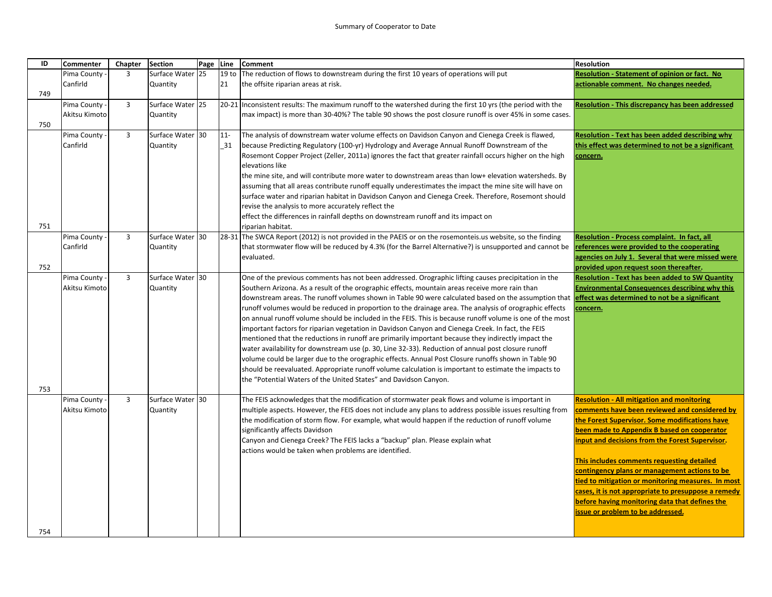| ID  | <b>Commenter</b> | Chapter                 | <b>Section</b>   | Page | Line             | Comment                                                                                                                                                  | <b>Resolution</b>                                       |
|-----|------------------|-------------------------|------------------|------|------------------|----------------------------------------------------------------------------------------------------------------------------------------------------------|---------------------------------------------------------|
|     | Pima County      | $\overline{3}$          | Surface Water 25 |      | 19 <sub>to</sub> | The reduction of flows to downstream during the first 10 years of operations will put                                                                    | Resolution - Statement of opinion or fact. No           |
|     | Canfirld         |                         | Quantity         |      | 21               | the offsite riparian areas at risk.                                                                                                                      | actionable comment. No changes needed.                  |
| 749 |                  |                         |                  |      |                  |                                                                                                                                                          |                                                         |
|     | Pima County      | $\overline{3}$          | Surface Water 25 |      | $20 - 21$        | Inconsistent results: The maximum runoff to the watershed during the first 10 yrs (the period with the                                                   | <b>Resolution - This discrepancy has been addressed</b> |
|     | Akitsu Kimoto    |                         | Quantity         |      |                  | max impact) is more than 30-40%? The table 90 shows the post closure runoff is over 45% in some cases.                                                   |                                                         |
| 750 |                  |                         |                  |      |                  |                                                                                                                                                          |                                                         |
|     | Pima County      | $\overline{3}$          | Surface Water 30 |      | $11-$            | The analysis of downstream water volume effects on Davidson Canyon and Cienega Creek is flawed,                                                          | Resolution - Text has been added describing why         |
|     | Canfirld         |                         | Quantity         |      | 31               | because Predicting Regulatory (100-yr) Hydrology and Average Annual Runoff Downstream of the                                                             | this effect was determined to not be a significant      |
|     |                  |                         |                  |      |                  | Rosemont Copper Project (Zeller, 2011a) ignores the fact that greater rainfall occurs higher on the high                                                 | concern.                                                |
|     |                  |                         |                  |      |                  | elevations like                                                                                                                                          |                                                         |
|     |                  |                         |                  |      |                  | the mine site, and will contribute more water to downstream areas than low+ elevation watersheds. By                                                     |                                                         |
|     |                  |                         |                  |      |                  | assuming that all areas contribute runoff equally underestimates the impact the mine site will have on                                                   |                                                         |
|     |                  |                         |                  |      |                  | surface water and riparian habitat in Davidson Canyon and Cienega Creek. Therefore, Rosemont should                                                      |                                                         |
|     |                  |                         |                  |      |                  | revise the analysis to more accurately reflect the                                                                                                       |                                                         |
|     |                  |                         |                  |      |                  | effect the differences in rainfall depths on downstream runoff and its impact on                                                                         |                                                         |
| 751 |                  |                         |                  |      |                  | riparian habitat.                                                                                                                                        |                                                         |
|     | Pima County      | $\overline{\mathbf{3}}$ | Surface Water    | 30   |                  | 28-31 The SWCA Report (2012) is not provided in the PAEIS or on the rosemonteis.us website, so the finding                                               | Resolution - Process complaint. In fact, all            |
|     | Canfirld         |                         | Quantity         |      |                  | that stormwater flow will be reduced by 4.3% (for the Barrel Alternative?) is unsupported and cannot be                                                  | references were provided to the cooperating             |
|     |                  |                         |                  |      |                  | evaluated.                                                                                                                                               | agencies on July 1. Several that were missed were       |
| 752 |                  |                         |                  |      |                  |                                                                                                                                                          | provided upon request soon thereafter.                  |
|     | Pima County      | $\overline{3}$          | Surface Water 30 |      |                  | One of the previous comments has not been addressed. Orographic lifting causes precipitation in the                                                      | <b>Resolution - Text has been added to SW Quantity</b>  |
|     | Akitsu Kimoto    |                         | Quantity         |      |                  | Southern Arizona. As a result of the orographic effects, mountain areas receive more rain than                                                           | <b>Environmental Consequences describing why this</b>   |
|     |                  |                         |                  |      |                  | downstream areas. The runoff volumes shown in Table 90 were calculated based on the assumption that <b>effect was determined to not be a significant</b> |                                                         |
|     |                  |                         |                  |      |                  | runoff volumes would be reduced in proportion to the drainage area. The analysis of orographic effects                                                   | concern.                                                |
|     |                  |                         |                  |      |                  | on annual runoff volume should be included in the FEIS. This is because runoff volume is one of the most                                                 |                                                         |
|     |                  |                         |                  |      |                  | important factors for riparian vegetation in Davidson Canyon and Cienega Creek. In fact, the FEIS                                                        |                                                         |
|     |                  |                         |                  |      |                  | mentioned that the reductions in runoff are primarily important because they indirectly impact the                                                       |                                                         |
|     |                  |                         |                  |      |                  | water availability for downstream use (p. 30, Line 32-33). Reduction of annual post closure runoff                                                       |                                                         |
|     |                  |                         |                  |      |                  | volume could be larger due to the orographic effects. Annual Post Closure runoffs shown in Table 90                                                      |                                                         |
|     |                  |                         |                  |      |                  | should be reevaluated. Appropriate runoff volume calculation is important to estimate the impacts to                                                     |                                                         |
|     |                  |                         |                  |      |                  | the "Potential Waters of the United States" and Davidson Canyon.                                                                                         |                                                         |
| 753 |                  |                         |                  |      |                  |                                                                                                                                                          |                                                         |
|     | Pima County      | $\overline{3}$          | Surface Water 30 |      |                  | The FEIS acknowledges that the modification of stormwater peak flows and volume is important in                                                          | <b>Resolution - All mitigation and monitoring</b>       |
|     | Akitsu Kimoto    |                         | Quantity         |      |                  | multiple aspects. However, the FEIS does not include any plans to address possible issues resulting from                                                 | comments have been reviewed and considered by           |
|     |                  |                         |                  |      |                  | the modification of storm flow. For example, what would happen if the reduction of runoff volume                                                         | the Forest Supervisor. Some modifications have          |
|     |                  |                         |                  |      |                  | significantly affects Davidson                                                                                                                           | been made to Appendix B based on cooperator             |
|     |                  |                         |                  |      |                  | Canyon and Cienega Creek? The FEIS lacks a "backup" plan. Please explain what                                                                            | input and decisions from the Forest Supervisor.         |
|     |                  |                         |                  |      |                  | actions would be taken when problems are identified.                                                                                                     |                                                         |
|     |                  |                         |                  |      |                  |                                                                                                                                                          | This includes comments requesting detailed              |
|     |                  |                         |                  |      |                  |                                                                                                                                                          | contingency plans or management actions to be           |
|     |                  |                         |                  |      |                  |                                                                                                                                                          | tied to mitigation or monitoring measures. In most      |
|     |                  |                         |                  |      |                  |                                                                                                                                                          | cases, it is not appropriate to presuppose a remedy     |
|     |                  |                         |                  |      |                  |                                                                                                                                                          | before having monitoring data that defines the          |
|     |                  |                         |                  |      |                  |                                                                                                                                                          | issue or problem to be addressed.                       |
|     |                  |                         |                  |      |                  |                                                                                                                                                          |                                                         |
| 754 |                  |                         |                  |      |                  |                                                                                                                                                          |                                                         |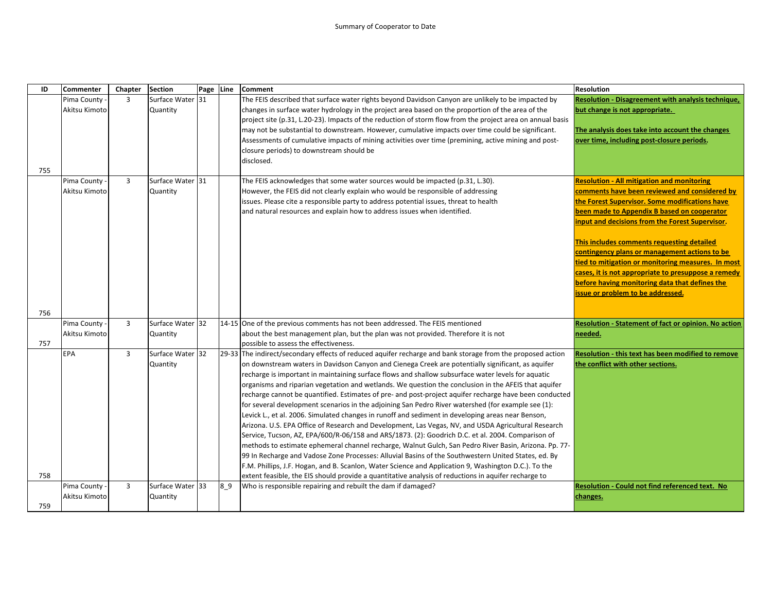| ID  | <b>Commenter</b> | Chapter        | <b>Section</b>   | Page Line |         | Comment                                                                                                    | <b>Resolution</b>                                      |
|-----|------------------|----------------|------------------|-----------|---------|------------------------------------------------------------------------------------------------------------|--------------------------------------------------------|
|     | Pima County      | $\overline{3}$ | Surface Water 31 |           |         | The FEIS described that surface water rights beyond Davidson Canyon are unlikely to be impacted by         | Resolution - Disagreement with analysis technique,     |
|     | Akitsu Kimoto    |                | Quantity         |           |         | changes in surface water hydrology in the project area based on the proportion of the area of the          | but change is not appropriate.                         |
|     |                  |                |                  |           |         | project site (p.31, L.20-23). Impacts of the reduction of storm flow from the project area on annual basis |                                                        |
|     |                  |                |                  |           |         | may not be substantial to downstream. However, cumulative impacts over time could be significant.          | The analysis does take into account the changes        |
|     |                  |                |                  |           |         | Assessments of cumulative impacts of mining activities over time (premining, active mining and post-       | over time, including post-closure periods.             |
|     |                  |                |                  |           |         | closure periods) to downstream should be                                                                   |                                                        |
|     |                  |                |                  |           |         | disclosed.                                                                                                 |                                                        |
| 755 |                  |                |                  |           |         |                                                                                                            |                                                        |
|     | Pima County      | $\overline{3}$ | Surface Water 31 |           |         | The FEIS acknowledges that some water sources would be impacted (p.31, L.30).                              | <b>Resolution - All mitigation and monitoring</b>      |
|     | Akitsu Kimoto    |                | Quantity         |           |         | However, the FEIS did not clearly explain who would be responsible of addressing                           | comments have been reviewed and considered by          |
|     |                  |                |                  |           |         | issues. Please cite a responsible party to address potential issues, threat to health                      | the Forest Supervisor. Some modifications have         |
|     |                  |                |                  |           |         | and natural resources and explain how to address issues when identified.                                   | been made to Appendix B based on cooperator            |
|     |                  |                |                  |           |         |                                                                                                            | input and decisions from the Forest Supervisor.        |
|     |                  |                |                  |           |         |                                                                                                            |                                                        |
|     |                  |                |                  |           |         |                                                                                                            | This includes comments requesting detailed             |
|     |                  |                |                  |           |         |                                                                                                            | contingency plans or management actions to be          |
|     |                  |                |                  |           |         |                                                                                                            | tied to mitigation or monitoring measures. In most     |
|     |                  |                |                  |           |         |                                                                                                            | cases, it is not appropriate to presuppose a remedy    |
|     |                  |                |                  |           |         |                                                                                                            | before having monitoring data that defines the         |
|     |                  |                |                  |           |         |                                                                                                            | issue or problem to be addressed.                      |
|     |                  |                |                  |           |         |                                                                                                            |                                                        |
| 756 |                  |                |                  |           |         |                                                                                                            |                                                        |
|     | Pima County      | $\overline{3}$ | Surface Water 32 |           |         | 14-15 One of the previous comments has not been addressed. The FEIS mentioned                              | Resolution - Statement of fact or opinion. No action   |
|     | Akitsu Kimoto    |                | Quantity         |           |         | about the best management plan, but the plan was not provided. Therefore it is not                         | needed.                                                |
| 757 |                  |                |                  |           |         | possible to assess the effectiveness.                                                                      |                                                        |
|     | <b>EPA</b>       | $\overline{3}$ | Surface Water 32 |           |         | 29-33 The indirect/secondary effects of reduced aquifer recharge and bank storage from the proposed action | Resolution - this text has been modified to remove     |
|     |                  |                | Quantity         |           |         | on downstream waters in Davidson Canyon and Cienega Creek are potentially significant, as aquifer          | the conflict with other sections.                      |
|     |                  |                |                  |           |         | recharge is important in maintaining surface flows and shallow subsurface water levels for aquatic         |                                                        |
|     |                  |                |                  |           |         | organisms and riparian vegetation and wetlands. We question the conclusion in the AFEIS that aquifer       |                                                        |
|     |                  |                |                  |           |         | recharge cannot be quantified. Estimates of pre- and post-project aquifer recharge have been conducted     |                                                        |
|     |                  |                |                  |           |         | for several development scenarios in the adjoining San Pedro River watershed (for example see (1):         |                                                        |
|     |                  |                |                  |           |         | Levick L., et al. 2006. Simulated changes in runoff and sediment in developing areas near Benson,          |                                                        |
|     |                  |                |                  |           |         | Arizona. U.S. EPA Office of Research and Development, Las Vegas, NV, and USDA Agricultural Research        |                                                        |
|     |                  |                |                  |           |         | Service, Tucson, AZ, EPA/600/R-06/158 and ARS/1873. (2): Goodrich D.C. et al. 2004. Comparison of          |                                                        |
|     |                  |                |                  |           |         | methods to estimate ephemeral channel recharge, Walnut Gulch, San Pedro River Basin, Arizona. Pp. 77-      |                                                        |
|     |                  |                |                  |           |         | 99 In Recharge and Vadose Zone Processes: Alluvial Basins of the Southwestern United States, ed. By        |                                                        |
|     |                  |                |                  |           |         | F.M. Phillips, J.F. Hogan, and B. Scanlon, Water Science and Application 9, Washington D.C.). To the       |                                                        |
| 758 |                  |                |                  |           |         | extent feasible, the EIS should provide a quantitative analysis of reductions in aquifer recharge to       |                                                        |
|     | Pima County -    | $\overline{3}$ | Surface Water 33 |           | $8 - 9$ | Who is responsible repairing and rebuilt the dam if damaged?                                               | <b>Resolution - Could not find referenced text. No</b> |
|     | Akitsu Kimoto    |                | Quantity         |           |         |                                                                                                            | changes.                                               |
| 759 |                  |                |                  |           |         |                                                                                                            |                                                        |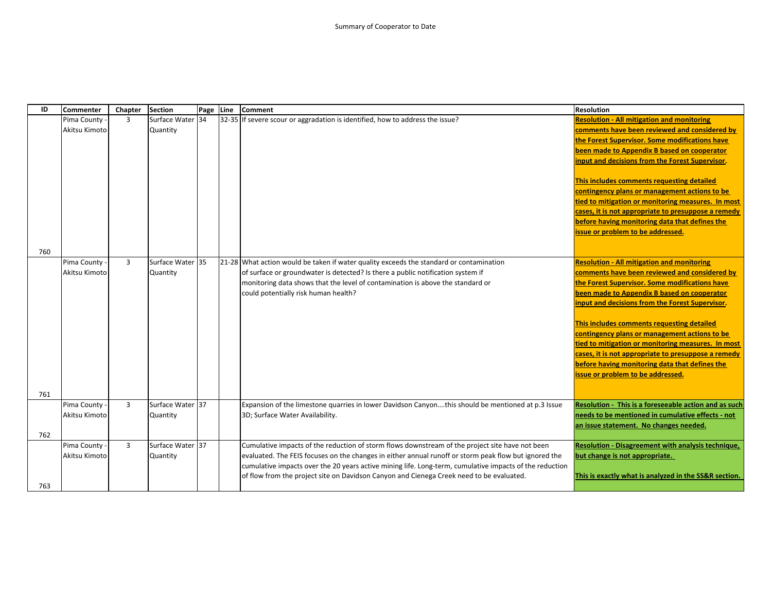| ID  | <b>Commenter</b> | Chapter        | <b>Section</b>   | Page Line | <b>Comment</b>                                                                                          | <b>Resolution</b>                                     |
|-----|------------------|----------------|------------------|-----------|---------------------------------------------------------------------------------------------------------|-------------------------------------------------------|
|     | Pima County -    | $\overline{3}$ | Surface Water 34 |           | 32-35 If severe scour or aggradation is identified, how to address the issue?                           | <b>Resolution - All mitigation and monitoring</b>     |
|     | Akitsu Kimoto    |                | Quantity         |           |                                                                                                         | comments have been reviewed and considered by         |
|     |                  |                |                  |           |                                                                                                         | the Forest Supervisor. Some modifications have        |
|     |                  |                |                  |           |                                                                                                         | been made to Appendix B based on cooperator           |
|     |                  |                |                  |           |                                                                                                         | input and decisions from the Forest Supervisor.       |
|     |                  |                |                  |           |                                                                                                         |                                                       |
|     |                  |                |                  |           |                                                                                                         | This includes comments requesting detailed            |
|     |                  |                |                  |           |                                                                                                         | contingency plans or management actions to be         |
|     |                  |                |                  |           |                                                                                                         | tied to mitigation or monitoring measures. In most    |
|     |                  |                |                  |           |                                                                                                         | cases, it is not appropriate to presuppose a remedy   |
|     |                  |                |                  |           |                                                                                                         | before having monitoring data that defines the        |
|     |                  |                |                  |           |                                                                                                         | issue or problem to be addressed.                     |
|     |                  |                |                  |           |                                                                                                         |                                                       |
| 760 |                  |                |                  |           |                                                                                                         |                                                       |
|     | Pima County -    | $\overline{3}$ | Surface Water 35 |           | 21-28 What action would be taken if water quality exceeds the standard or contamination                 | <b>Resolution - All mitigation and monitoring</b>     |
|     | Akitsu Kimoto    |                | Quantity         |           | of surface or groundwater is detected? Is there a public notification system if                         | comments have been reviewed and considered by         |
|     |                  |                |                  |           | monitoring data shows that the level of contamination is above the standard or                          | the Forest Supervisor. Some modifications have        |
|     |                  |                |                  |           | could potentially risk human health?                                                                    | been made to Appendix B based on cooperator           |
|     |                  |                |                  |           |                                                                                                         | input and decisions from the Forest Supervisor.       |
|     |                  |                |                  |           |                                                                                                         | This includes comments requesting detailed            |
|     |                  |                |                  |           |                                                                                                         | contingency plans or management actions to be         |
|     |                  |                |                  |           |                                                                                                         | tied to mitigation or monitoring measures. In most    |
|     |                  |                |                  |           |                                                                                                         | cases, it is not appropriate to presuppose a remedy   |
|     |                  |                |                  |           |                                                                                                         | before having monitoring data that defines the        |
|     |                  |                |                  |           |                                                                                                         | issue or problem to be addressed.                     |
|     |                  |                |                  |           |                                                                                                         |                                                       |
| 761 |                  |                |                  |           |                                                                                                         |                                                       |
|     | Pima County -    | $\overline{3}$ | Surface Water 37 |           | Expansion of the limestone quarries in lower Davidson Canyonthis should be mentioned at p.3 Issue       | Resolution - This is a foreseeable action and as such |
|     | Akitsu Kimoto    |                | Quantity         |           | 3D; Surface Water Availability.                                                                         | needs to be mentioned in cumulative effects - not     |
|     |                  |                |                  |           |                                                                                                         | an issue statement. No changes needed.                |
| 762 |                  |                |                  |           |                                                                                                         |                                                       |
|     | Pima County -    | $\overline{3}$ | Surface Water 37 |           | Cumulative impacts of the reduction of storm flows downstream of the project site have not been         | Resolution - Disagreement with analysis technique,    |
|     | Akitsu Kimoto    |                | Quantity         |           | evaluated. The FEIS focuses on the changes in either annual runoff or storm peak flow but ignored the   | but change is not appropriate.                        |
|     |                  |                |                  |           | cumulative impacts over the 20 years active mining life. Long-term, cumulative impacts of the reduction |                                                       |
|     |                  |                |                  |           | of flow from the project site on Davidson Canyon and Cienega Creek need to be evaluated.                | This is exactly what is analyzed in the SS&R section. |
| 763 |                  |                |                  |           |                                                                                                         |                                                       |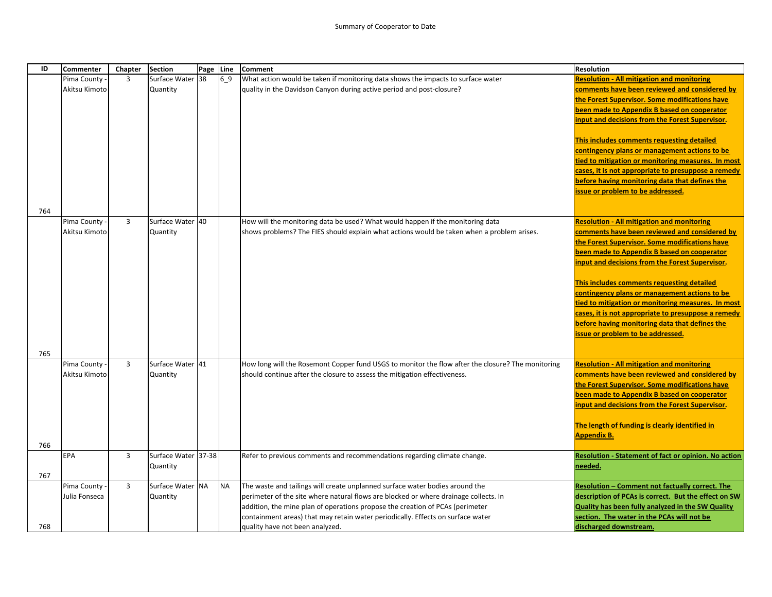| ID  | <b>Commenter</b> | Chapter        | <b>Section</b>      | Page Line |           | Comment                                                                                           | <b>Resolution</b>                                    |
|-----|------------------|----------------|---------------------|-----------|-----------|---------------------------------------------------------------------------------------------------|------------------------------------------------------|
|     | Pima County      | 3              | Surface Water 38    |           | $6 - 9$   | What action would be taken if monitoring data shows the impacts to surface water                  | <b>Resolution - All mitigation and monitoring</b>    |
|     | Akitsu Kimoto    |                | Quantity            |           |           | quality in the Davidson Canyon during active period and post-closure?                             | comments have been reviewed and considered by        |
|     |                  |                |                     |           |           |                                                                                                   | the Forest Supervisor. Some modifications have       |
|     |                  |                |                     |           |           |                                                                                                   | been made to Appendix B based on cooperator          |
|     |                  |                |                     |           |           |                                                                                                   | input and decisions from the Forest Supervisor.      |
|     |                  |                |                     |           |           |                                                                                                   | This includes comments requesting detailed           |
|     |                  |                |                     |           |           |                                                                                                   | contingency plans or management actions to be        |
|     |                  |                |                     |           |           |                                                                                                   | tied to mitigation or monitoring measures. In most   |
|     |                  |                |                     |           |           |                                                                                                   | cases, it is not appropriate to presuppose a remedy  |
|     |                  |                |                     |           |           |                                                                                                   | before having monitoring data that defines the       |
|     |                  |                |                     |           |           |                                                                                                   | issue or problem to be addressed.                    |
|     |                  |                |                     |           |           |                                                                                                   |                                                      |
| 764 | Pima County      | $\overline{3}$ | Surface Water 40    |           |           | How will the monitoring data be used? What would happen if the monitoring data                    | <b>Resolution - All mitigation and monitoring</b>    |
|     | Akitsu Kimoto    |                | Quantity            |           |           | shows problems? The FIES should explain what actions would be taken when a problem arises.        | comments have been reviewed and considered by        |
|     |                  |                |                     |           |           |                                                                                                   | the Forest Supervisor. Some modifications have       |
|     |                  |                |                     |           |           |                                                                                                   | been made to Appendix B based on cooperator          |
|     |                  |                |                     |           |           |                                                                                                   | input and decisions from the Forest Supervisor.      |
|     |                  |                |                     |           |           |                                                                                                   |                                                      |
|     |                  |                |                     |           |           |                                                                                                   | This includes comments requesting detailed           |
|     |                  |                |                     |           |           |                                                                                                   | contingency plans or management actions to be        |
|     |                  |                |                     |           |           |                                                                                                   | tied to mitigation or monitoring measures. In most   |
|     |                  |                |                     |           |           |                                                                                                   | cases, it is not appropriate to presuppose a remedy  |
|     |                  |                |                     |           |           |                                                                                                   | before having monitoring data that defines the       |
|     |                  |                |                     |           |           |                                                                                                   | issue or problem to be addressed.                    |
|     |                  |                |                     |           |           |                                                                                                   |                                                      |
| 765 | Pima County -    | $\overline{3}$ | Surface Water 41    |           |           | How long will the Rosemont Copper fund USGS to monitor the flow after the closure? The monitoring | <b>Resolution - All mitigation and monitoring</b>    |
|     | Akitsu Kimoto    |                | Quantity            |           |           | should continue after the closure to assess the mitigation effectiveness.                         | comments have been reviewed and considered by        |
|     |                  |                |                     |           |           |                                                                                                   | the Forest Supervisor. Some modifications have       |
|     |                  |                |                     |           |           |                                                                                                   | been made to Appendix B based on cooperator          |
|     |                  |                |                     |           |           |                                                                                                   | input and decisions from the Forest Supervisor.      |
|     |                  |                |                     |           |           |                                                                                                   |                                                      |
|     |                  |                |                     |           |           |                                                                                                   | The length of funding is clearly identified in       |
|     |                  |                |                     |           |           |                                                                                                   | <b>Appendix B.</b>                                   |
| 766 | <b>EPA</b>       | $\overline{3}$ | Surface Water 37-38 |           |           | Refer to previous comments and recommendations regarding climate change.                          | Resolution - Statement of fact or opinion. No action |
|     |                  |                | Quantity            |           |           |                                                                                                   | needed.                                              |
| 767 |                  |                |                     |           |           |                                                                                                   |                                                      |
|     | Pima County      | $\overline{3}$ | Surface Water NA    |           | <b>NA</b> | The waste and tailings will create unplanned surface water bodies around the                      | Resolution - Comment not factually correct. The      |
|     | Julia Fonseca    |                | Quantity            |           |           | perimeter of the site where natural flows are blocked or where drainage collects. In              | description of PCAs is correct. But the effect on SW |
|     |                  |                |                     |           |           | addition, the mine plan of operations propose the creation of PCAs (perimeter                     | Quality has been fully analyzed in the SW Quality    |
|     |                  |                |                     |           |           | containment areas) that may retain water periodically. Effects on surface water                   | section. The water in the PCAs will not be           |
| 768 |                  |                |                     |           |           | quality have not been analyzed.                                                                   | discharged downstream.                               |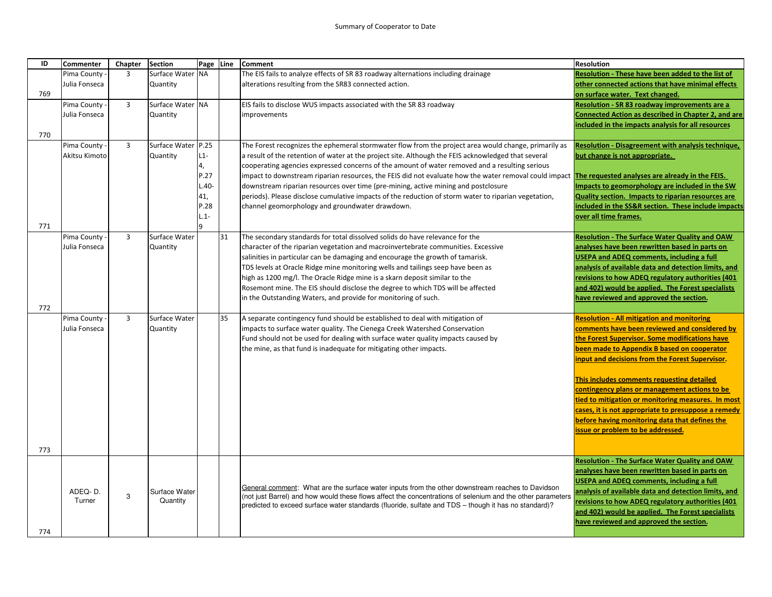| ID  | <b>Commenter</b> | Chapter        | <b>Section</b>     | Page Line |    | <b>Comment</b>                                                                                                                                        | <b>Resolution</b>                                          |
|-----|------------------|----------------|--------------------|-----------|----|-------------------------------------------------------------------------------------------------------------------------------------------------------|------------------------------------------------------------|
|     | Pima County      | 3              | Surface Water NA   |           |    | The EIS fails to analyze effects of SR 83 roadway alternations including drainage                                                                     | Resolution - These have been added to the list of          |
|     | Julia Fonseca    |                | Quantity           |           |    | alterations resulting from the SR83 connected action.                                                                                                 | other connected actions that have minimal effects          |
| 769 |                  |                |                    |           |    |                                                                                                                                                       | on surface water. Text changed.                            |
|     | Pima County      | $\overline{3}$ | Surface Water NA   |           |    | EIS fails to disclose WUS impacts associated with the SR 83 roadway                                                                                   | Resolution - SR 83 roadway improvements are a              |
|     | Julia Fonseca    |                | Quantity           |           |    | improvements                                                                                                                                          | <b>Connected Action as described in Chapter 2, and are</b> |
|     |                  |                |                    |           |    |                                                                                                                                                       | included in the impacts analysis for all resources         |
| 770 |                  |                |                    |           |    |                                                                                                                                                       |                                                            |
|     | Pima County      | $\overline{3}$ | Surface Water P.25 |           |    | The Forest recognizes the ephemeral stormwater flow from the project area would change, primarily as                                                  | <b>Resolution - Disagreement with analysis technique,</b>  |
|     | Akitsu Kimoto    |                | Quantity           | $L1-$     |    | a result of the retention of water at the project site. Although the FEIS acknowledged that several                                                   | but change is not appropriate.                             |
|     |                  |                |                    | 4,        |    | cooperating agencies expressed concerns of the amount of water removed and a resulting serious                                                        |                                                            |
|     |                  |                |                    | P.27      |    | impact to downstream riparian resources, the FEIS did not evaluate how the water removal could impact The requested analyses are already in the FEIS. |                                                            |
|     |                  |                |                    | $L.40-$   |    | downstream riparian resources over time (pre-mining, active mining and postclosure                                                                    | Impacts to geomorphology are included in the SW            |
|     |                  |                |                    | 41,       |    | periods). Please disclose cumulative impacts of the reduction of storm water to riparian vegetation,                                                  | Quality section. Impacts to riparian resources are         |
|     |                  |                |                    | P.28      |    | channel geomorphology and groundwater drawdown.                                                                                                       | included in the SS&R section. These include impacts        |
|     |                  |                |                    | $L.1-$    |    |                                                                                                                                                       | over all time frames.                                      |
| 771 |                  |                |                    | q         |    |                                                                                                                                                       |                                                            |
|     | Pima County      | $\overline{3}$ | Surface Water      |           | 31 | The secondary standards for total dissolved solids do have relevance for the                                                                          | <b>Resolution - The Surface Water Quality and OAW</b>      |
|     | Julia Fonseca    |                | Quantity           |           |    | character of the riparian vegetation and macroinvertebrate communities. Excessive                                                                     | analyses have been rewritten based in parts on             |
|     |                  |                |                    |           |    | salinities in particular can be damaging and encourage the growth of tamarisk.                                                                        | <b>USEPA and ADEQ comments, including a full</b>           |
|     |                  |                |                    |           |    | TDS levels at Oracle Ridge mine monitoring wells and tailings seep have been as                                                                       | analysis of available data and detection limits, and       |
|     |                  |                |                    |           |    | high as 1200 mg/l. The Oracle Ridge mine is a skarn deposit similar to the                                                                            | revisions to how ADEQ regulatory authorities (401          |
|     |                  |                |                    |           |    | Rosemont mine. The EIS should disclose the degree to which TDS will be affected                                                                       | and 402) would be applied. The Forest specialists          |
|     |                  |                |                    |           |    | in the Outstanding Waters, and provide for monitoring of such.                                                                                        | have reviewed and approved the section.                    |
| 772 |                  |                |                    |           |    |                                                                                                                                                       |                                                            |
|     | Pima County      | $\overline{3}$ | Surface Water      |           | 35 | A separate contingency fund should be established to deal with mitigation of                                                                          | <b>Resolution - All mitigation and monitoring</b>          |
|     | Julia Fonseca    |                | Quantity           |           |    | impacts to surface water quality. The Cienega Creek Watershed Conservation                                                                            | comments have been reviewed and considered by              |
|     |                  |                |                    |           |    | Fund should not be used for dealing with surface water quality impacts caused by                                                                      | the Forest Supervisor. Some modifications have             |
|     |                  |                |                    |           |    | the mine, as that fund is inadequate for mitigating other impacts.                                                                                    | been made to Appendix B based on cooperator                |
|     |                  |                |                    |           |    |                                                                                                                                                       | input and decisions from the Forest Supervisor.            |
|     |                  |                |                    |           |    |                                                                                                                                                       |                                                            |
|     |                  |                |                    |           |    |                                                                                                                                                       | This includes comments requesting detailed                 |
|     |                  |                |                    |           |    |                                                                                                                                                       | contingency plans or management actions to be              |
|     |                  |                |                    |           |    |                                                                                                                                                       | tied to mitigation or monitoring measures. In most         |
|     |                  |                |                    |           |    |                                                                                                                                                       | cases, it is not appropriate to presuppose a remedy        |
|     |                  |                |                    |           |    |                                                                                                                                                       | before having monitoring data that defines the             |
|     |                  |                |                    |           |    |                                                                                                                                                       | issue or problem to be addressed.                          |
|     |                  |                |                    |           |    |                                                                                                                                                       |                                                            |
| 773 |                  |                |                    |           |    |                                                                                                                                                       |                                                            |
|     |                  |                |                    |           |    |                                                                                                                                                       | <b>Resolution - The Surface Water Quality and OAW</b>      |
|     |                  |                |                    |           |    |                                                                                                                                                       | analyses have been rewritten based in parts on             |
|     |                  |                |                    |           |    | General comment: What are the surface water inputs from the other downstream reaches to Davidson                                                      | <b>USEPA and ADEQ comments, including a full</b>           |
|     | ADEQ-D.          | 3              | Surface Water      |           |    | (not just Barrel) and how would these flows affect the concentrations of selenium and the other parameters                                            | analysis of available data and detection limits, and       |
|     | Turner           |                | Quantity           |           |    | predicted to exceed surface water standards (fluoride, sulfate and TDS - though it has no standard)?                                                  | revisions to how ADEQ regulatory authorities (401          |
|     |                  |                |                    |           |    |                                                                                                                                                       | and 402) would be applied. The Forest specialists          |
|     |                  |                |                    |           |    |                                                                                                                                                       | have reviewed and approved the section.                    |
| 774 |                  |                |                    |           |    |                                                                                                                                                       |                                                            |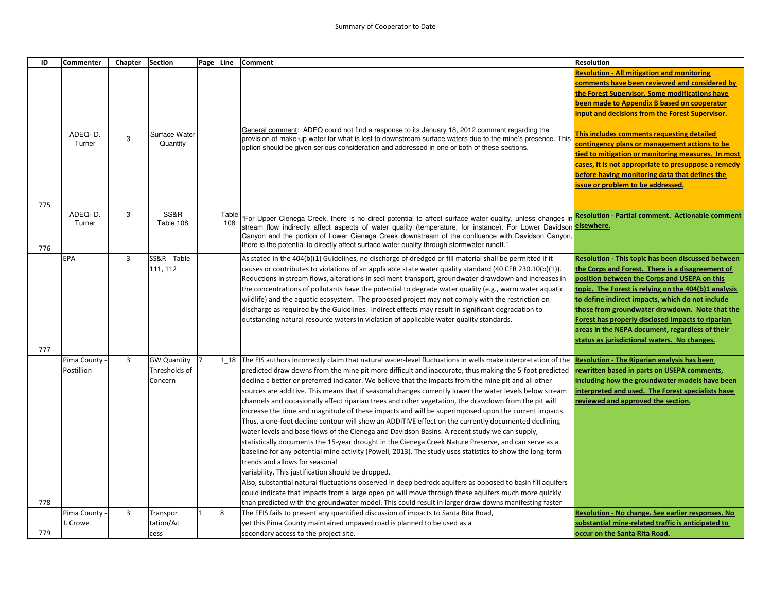| ID  | Commenter                 | Chapter        | <b>Section</b>                                 | Page Line |       | <b>Comment</b>                                                                                                                                                                                                                                                                                                                                                                                                                                                                                                                                                                                                                                                                                                                                                                                                                                                                                                                                                                                                                                                                                                                                                                                                                                                                                                                                                                                                                                                                                                                                             | <b>Resolution</b>                                                                                                                                                                                                                                                                                                                                                                                                                                                                                                                                         |
|-----|---------------------------|----------------|------------------------------------------------|-----------|-------|------------------------------------------------------------------------------------------------------------------------------------------------------------------------------------------------------------------------------------------------------------------------------------------------------------------------------------------------------------------------------------------------------------------------------------------------------------------------------------------------------------------------------------------------------------------------------------------------------------------------------------------------------------------------------------------------------------------------------------------------------------------------------------------------------------------------------------------------------------------------------------------------------------------------------------------------------------------------------------------------------------------------------------------------------------------------------------------------------------------------------------------------------------------------------------------------------------------------------------------------------------------------------------------------------------------------------------------------------------------------------------------------------------------------------------------------------------------------------------------------------------------------------------------------------------|-----------------------------------------------------------------------------------------------------------------------------------------------------------------------------------------------------------------------------------------------------------------------------------------------------------------------------------------------------------------------------------------------------------------------------------------------------------------------------------------------------------------------------------------------------------|
| 775 | ADEQ-D.<br>Turner         | 3              | Surface Water<br>Quantity                      |           |       | General comment: ADEQ could not find a response to its January 18, 2012 comment regarding the<br>provision of make-up water for what is lost to downstream surface waters due to the mine's presence. This<br>option should be given serious consideration and addressed in one or both of these sections.                                                                                                                                                                                                                                                                                                                                                                                                                                                                                                                                                                                                                                                                                                                                                                                                                                                                                                                                                                                                                                                                                                                                                                                                                                                 | <b>Resolution - All mitigation and monitoring</b><br>comments have been reviewed and considered by<br>the Forest Supervisor. Some modifications have<br>been made to Appendix B based on cooperator<br>input and decisions from the Forest Supervisor.<br>This includes comments requesting detailed<br>contingency plans or management actions to be<br>tied to mitigation or monitoring measures. In most<br>cases, it is not appropriate to presuppose a remedy<br>before having monitoring data that defines the<br>issue or problem to be addressed. |
|     | ADEQ-D.                   | 3              | SS&R                                           |           | Table | "For Upper Cienega Creek, there is no direct potential to affect surface water quality, unless changes in <mark>Resolution - Partial comment. Actionable comment</mark>                                                                                                                                                                                                                                                                                                                                                                                                                                                                                                                                                                                                                                                                                                                                                                                                                                                                                                                                                                                                                                                                                                                                                                                                                                                                                                                                                                                    |                                                                                                                                                                                                                                                                                                                                                                                                                                                                                                                                                           |
| 776 | Turner                    |                | Table 108                                      |           | 108   | stream flow indirectly affect aspects of water quality (temperature, for instance). For Lower Davidson elsewhere.<br>Canyon and the portion of Lower Cienega Creek downstream of the confluence with Davidson Canyon,<br>there is the potential to directly affect surface water quality through stormwater runoff."                                                                                                                                                                                                                                                                                                                                                                                                                                                                                                                                                                                                                                                                                                                                                                                                                                                                                                                                                                                                                                                                                                                                                                                                                                       |                                                                                                                                                                                                                                                                                                                                                                                                                                                                                                                                                           |
| 777 | <b>EPA</b>                | $\overline{3}$ | SS&R Table<br>111, 112                         |           |       | As stated in the 404(b)(1) Guidelines, no discharge of dredged or fill material shall be permitted if it<br>causes or contributes to violations of an applicable state water quality standard (40 CFR 230.10(b)(1)).<br>Reductions in stream flows, alterations in sediment transport, groundwater drawdown and increases in<br>the concentrations of pollutants have the potential to degrade water quality (e.g., warm water aquatic<br>wildlife) and the aquatic ecosystem. The proposed project may not comply with the restriction on<br>discharge as required by the Guidelines. Indirect effects may result in significant degradation to<br>outstanding natural resource waters in violation of applicable water quality standards.                                                                                                                                                                                                                                                                                                                                                                                                                                                                                                                                                                                                                                                                                                                                                                                                                | Resolution - This topic has been discussed between<br>the Corps and Forest. There is a disagreement of<br>position between the Corps and USEPA on this<br>topic. The Forest is relying on the 404(b)1 analysis<br>to define indirect impacts, which do not include<br>those from groundwater drawdown. Note that the<br>Forest has properly disclosed impacts to riparian<br>areas in the NEPA document, regardless of their<br>status as jurisdictional waters. No changes.                                                                              |
| 778 | Pima County<br>Postillion | 3              | <b>GW Quantity</b><br>Thresholds of<br>Concern |           |       | 1 18 The EIS authors incorrectly claim that natural water-level fluctuations in wells make interpretation of the Resolution - The Riparian analysis has been<br>predicted draw downs from the mine pit more difficult and inaccurate, thus making the 5-foot predicted<br>decline a better or preferred indicator. We believe that the impacts from the mine pit and all other<br>sources are additive. This means that if seasonal changes currently lower the water levels below stream<br>channels and occasionally affect riparian trees and other vegetation, the drawdown from the pit will<br>increase the time and magnitude of these impacts and will be superimposed upon the current impacts.<br>Thus, a one-foot decline contour will show an ADDITIVE effect on the currently documented declining<br>water levels and base flows of the Cienega and Davidson Basins. A recent study we can supply,<br>statistically documents the 15-year drought in the Cienega Creek Nature Preserve, and can serve as a<br>baseline for any potential mine activity (Powell, 2013). The study uses statistics to show the long-term<br>trends and allows for seasonal<br>variability. This justification should be dropped.<br>Also, substantial natural fluctuations observed in deep bedrock aquifers as opposed to basin fill aquifers<br>could indicate that impacts from a large open pit will move through these aquifers much more quickly<br>than predicted with the groundwater model. This could result in larger draw downs manifesting faster | rewritten based in parts on USEPA comments,<br>including how the groundwater models have been<br>interpreted and used. The Forest specialists have<br>reviewed and approved the section.                                                                                                                                                                                                                                                                                                                                                                  |
|     | Pima County               | $\overline{3}$ | Transpor                                       |           | 8     | The FEIS fails to present any quantified discussion of impacts to Santa Rita Road,                                                                                                                                                                                                                                                                                                                                                                                                                                                                                                                                                                                                                                                                                                                                                                                                                                                                                                                                                                                                                                                                                                                                                                                                                                                                                                                                                                                                                                                                         | Resolution - No change. See earlier responses. No                                                                                                                                                                                                                                                                                                                                                                                                                                                                                                         |
|     | J. Crowe                  |                | tation/Ac                                      |           |       | yet this Pima County maintained unpaved road is planned to be used as a                                                                                                                                                                                                                                                                                                                                                                                                                                                                                                                                                                                                                                                                                                                                                                                                                                                                                                                                                                                                                                                                                                                                                                                                                                                                                                                                                                                                                                                                                    | substantial mine-related traffic is anticipated to                                                                                                                                                                                                                                                                                                                                                                                                                                                                                                        |
| 779 |                           |                | cess                                           |           |       | secondary access to the project site.                                                                                                                                                                                                                                                                                                                                                                                                                                                                                                                                                                                                                                                                                                                                                                                                                                                                                                                                                                                                                                                                                                                                                                                                                                                                                                                                                                                                                                                                                                                      | occur on the Santa Rita Road.                                                                                                                                                                                                                                                                                                                                                                                                                                                                                                                             |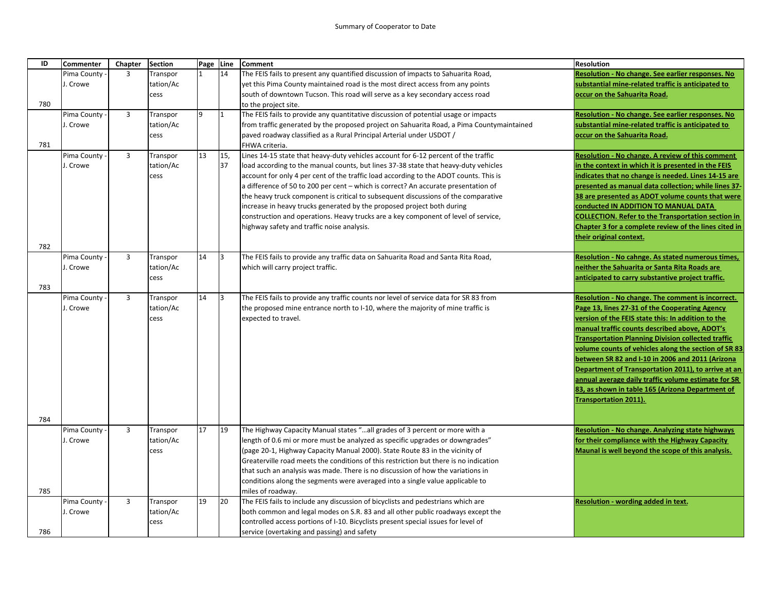| ID  | <b>Commenter</b> | Chapter        | <b>Section</b> | Page Line |     | <b>Comment</b>                                                                            | <b>Resolution</b>                                         |
|-----|------------------|----------------|----------------|-----------|-----|-------------------------------------------------------------------------------------------|-----------------------------------------------------------|
|     | Pima County      | 3              | Transpor       |           | 14  | The FEIS fails to present any quantified discussion of impacts to Sahuarita Road,         | Resolution - No change. See earlier responses. No         |
|     | J. Crowe         |                | tation/Ac      |           |     | yet this Pima County maintained road is the most direct access from any points            | substantial mine-related traffic is anticipated to        |
|     |                  |                | cess           |           |     | south of downtown Tucson. This road will serve as a key secondary access road             | occur on the Sahuarita Road.                              |
| 780 |                  |                |                |           |     | to the project site.                                                                      |                                                           |
|     | Pima County      | $\overline{3}$ | Transpor       | 9         | 11  | The FEIS fails to provide any quantitative discussion of potential usage or impacts       | Resolution - No change. See earlier responses. No         |
|     | J. Crowe         |                | tation/Ac      |           |     | from traffic generated by the proposed project on Sahuarita Road, a Pima Countymaintained | substantial mine-related traffic is anticipated to        |
|     |                  |                | cess           |           |     | paved roadway classified as a Rural Principal Arterial under USDOT /                      | occur on the Sahuarita Road.                              |
| 781 |                  |                |                |           |     | FHWA criteria.                                                                            |                                                           |
|     | Pima County      | $\overline{3}$ | Transpor       | 13        | 15, | Lines 14-15 state that heavy-duty vehicles account for 6-12 percent of the traffic        | Resolution - No change. A review of this comment          |
|     | J. Crowe         |                | tation/Ac      |           | 37  | load according to the manual counts, but lines 37-38 state that heavy-duty vehicles       | in the context in which it is presented in the FEIS       |
|     |                  |                | cess           |           |     | account for only 4 per cent of the traffic load according to the ADOT counts. This is     | indicates that no change is needed. Lines 14-15 are       |
|     |                  |                |                |           |     | a difference of 50 to 200 per cent – which is correct? An accurate presentation of        | presented as manual data collection; while lines 37-      |
|     |                  |                |                |           |     | the heavy truck component is critical to subsequent discussions of the comparative        | 38 are presented as ADOT volume counts that were          |
|     |                  |                |                |           |     | increase in heavy trucks generated by the proposed project both during                    | conducted IN ADDITION TO MANUAL DATA                      |
|     |                  |                |                |           |     | construction and operations. Heavy trucks are a key component of level of service,        | <b>COLLECTION. Refer to the Transportation section in</b> |
|     |                  |                |                |           |     | highway safety and traffic noise analysis.                                                | Chapter 3 for a complete review of the lines cited in     |
|     |                  |                |                |           |     |                                                                                           | their original context.                                   |
| 782 |                  |                |                |           |     |                                                                                           |                                                           |
|     | Pima County      | $\overline{3}$ | Transpor       | 14        | l3  | The FEIS fails to provide any traffic data on Sahuarita Road and Santa Rita Road,         | Resolution - No cahnge. As stated numerous times,         |
|     | J. Crowe         |                | tation/Ac      |           |     | which will carry project traffic.                                                         | neither the Sahuarita or Santa Rita Roads are             |
|     |                  |                | cess           |           |     |                                                                                           | anticipated to carry substantive project traffic.         |
| 783 |                  |                |                |           |     |                                                                                           |                                                           |
|     | Pima County      | $\overline{3}$ | Transpor       | 14        | 3   | The FEIS fails to provide any traffic counts nor level of service data for SR 83 from     | Resolution - No change. The comment is incorrect.         |
|     | J. Crowe         |                | tation/Ac      |           |     | the proposed mine entrance north to I-10, where the majority of mine traffic is           | Page 13, lines 27-31 of the Cooperating Agency            |
|     |                  |                | cess           |           |     | expected to travel.                                                                       | version of the FEIS state this: In addition to the        |
|     |                  |                |                |           |     |                                                                                           | manual traffic counts described above, ADOT's             |
|     |                  |                |                |           |     |                                                                                           | <b>Transportation Planning Division collected traffic</b> |
|     |                  |                |                |           |     |                                                                                           | volume counts of vehicles along the section of SR 83      |
|     |                  |                |                |           |     |                                                                                           | between SR 82 and I-10 in 2006 and 2011 (Arizona          |
|     |                  |                |                |           |     |                                                                                           | Department of Transportation 2011), to arrive at an       |
|     |                  |                |                |           |     |                                                                                           | annual average daily traffic volume estimate for SR       |
|     |                  |                |                |           |     |                                                                                           | 83, as shown in table 165 (Arizona Department of          |
|     |                  |                |                |           |     |                                                                                           | <b>Transportation 2011).</b>                              |
|     |                  |                |                |           |     |                                                                                           |                                                           |
| 784 |                  |                |                |           |     |                                                                                           |                                                           |
|     | Pima County      | $\overline{3}$ | Transpor       | 17        | 19  | The Highway Capacity Manual states "all grades of 3 percent or more with a                | Resolution - No change. Analyzing state highways          |
|     | J. Crowe         |                | tation/Ac      |           |     | length of 0.6 mi or more must be analyzed as specific upgrades or downgrades"             | for their compliance with the Highway Capacity            |
|     |                  |                | cess           |           |     | (page 20-1, Highway Capacity Manual 2000). State Route 83 in the vicinity of              | Maunal is well beyond the scope of this analysis.         |
|     |                  |                |                |           |     | Greaterville road meets the conditions of this restriction but there is no indication     |                                                           |
|     |                  |                |                |           |     | that such an analysis was made. There is no discussion of how the variations in           |                                                           |
|     |                  |                |                |           |     | conditions along the segments were averaged into a single value applicable to             |                                                           |
| 785 |                  |                |                |           |     | miles of roadway.                                                                         |                                                           |
|     | Pima County      | $\overline{3}$ | Transpor       | 19        | 20  | The FEIS fails to include any discussion of bicyclists and pedestrians which are          | Resolution - wording added in text.                       |
|     | J. Crowe         |                | tation/Ac      |           |     | both common and legal modes on S.R. 83 and all other public roadways except the           |                                                           |
|     |                  |                | cess           |           |     | controlled access portions of I-10. Bicyclists present special issues for level of        |                                                           |
| 786 |                  |                |                |           |     | service (overtaking and passing) and safety                                               |                                                           |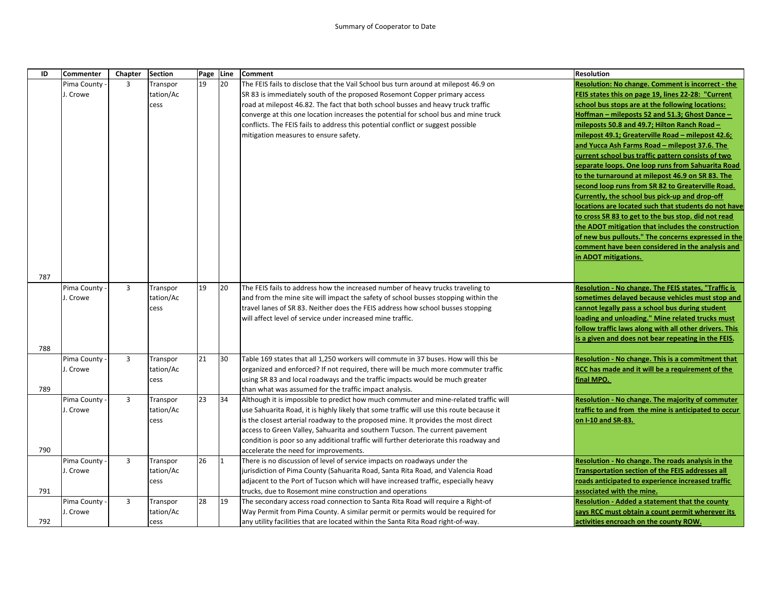| ID  | <b>Commenter</b> | Chapter        | <b>Section</b> | Page Line |    | <b>Comment</b>                                                                           | <b>Resolution</b>                                                                                          |
|-----|------------------|----------------|----------------|-----------|----|------------------------------------------------------------------------------------------|------------------------------------------------------------------------------------------------------------|
|     | Pima County      | 3              | Transpor       | 19        | 20 | The FEIS fails to disclose that the Vail School bus turn around at milepost 46.9 on      | Resolution: No change. Comment is incorrect - the                                                          |
|     | J. Crowe         |                | tation/Ac      |           |    | SR 83 is immediately south of the proposed Rosemont Copper primary access                | FEIS states this on page 19, lines 22-28: "Current                                                         |
|     |                  |                | cess           |           |    | road at milepost 46.82. The fact that both school busses and heavy truck traffic         | school bus stops are at the following locations:                                                           |
|     |                  |                |                |           |    | converge at this one location increases the potential for school bus and mine truck      | Hoffman - mileposts 52 and 51.3; Ghost Dance -                                                             |
|     |                  |                |                |           |    | conflicts. The FEIS fails to address this potential conflict or suggest possible         | mileposts 50.8 and 49.7; Hilton Ranch Road -                                                               |
|     |                  |                |                |           |    | mitigation measures to ensure safety.                                                    | milepost 49.1; Greaterville Road – milepost 42.6;                                                          |
|     |                  |                |                |           |    |                                                                                          | and Yucca Ash Farms Road - milepost 37.6. The                                                              |
|     |                  |                |                |           |    |                                                                                          | current school bus traffic pattern consists of two                                                         |
|     |                  |                |                |           |    |                                                                                          | separate loops. One loop runs from Sahuarita Road                                                          |
|     |                  |                |                |           |    |                                                                                          | to the turnaround at milepost 46.9 on SR 83. The                                                           |
|     |                  |                |                |           |    |                                                                                          | second loop runs from SR 82 to Greaterville Road.                                                          |
|     |                  |                |                |           |    |                                                                                          | Currently, the school bus pick-up and drop-off                                                             |
|     |                  |                |                |           |    |                                                                                          | locations are located such that students do not have                                                       |
|     |                  |                |                |           |    |                                                                                          | to cross SR 83 to get to the bus stop. did not read                                                        |
|     |                  |                |                |           |    |                                                                                          | the ADOT mitigation that includes the construction                                                         |
|     |                  |                |                |           |    |                                                                                          | of new bus pullouts." The concerns expressed in the                                                        |
|     |                  |                |                |           |    |                                                                                          | comment have been considered in the analysis and                                                           |
|     |                  |                |                |           |    |                                                                                          | in ADOT mitigations.                                                                                       |
|     |                  |                |                |           |    |                                                                                          |                                                                                                            |
| 787 |                  |                |                |           |    |                                                                                          |                                                                                                            |
|     | Pima County      | 3              | Transpor       | 19        | 20 | The FEIS fails to address how the increased number of heavy trucks traveling to          | Resolution - No change. The FEIS states, "Traffic is                                                       |
|     | J. Crowe         |                | tation/Ac      |           |    | and from the mine site will impact the safety of school busses stopping within the       | sometimes delayed because vehicles must stop and                                                           |
|     |                  |                | cess           |           |    | travel lanes of SR 83. Neither does the FEIS address how school busses stopping          | cannot legally pass a school bus during student                                                            |
|     |                  |                |                |           |    | will affect level of service under increased mine traffic.                               | loading and unloading." Mine related trucks must<br>follow traffic laws along with all other drivers. This |
|     |                  |                |                |           |    |                                                                                          | is a given and does not bear repeating in the FEIS.                                                        |
| 788 |                  |                |                |           |    |                                                                                          |                                                                                                            |
|     | Pima County      | 3              | Transpor       | 21        | 30 | Table 169 states that all 1,250 workers will commute in 37 buses. How will this be       | <b>Resolution - No change. This is a commitment that</b>                                                   |
|     | J. Crowe         |                | tation/Ac      |           |    | organized and enforced? If not required, there will be much more commuter traffic        | RCC has made and it will be a requirement of the                                                           |
|     |                  |                | cess           |           |    | using SR 83 and local roadways and the traffic impacts would be much greater             | final MPO.                                                                                                 |
| 789 |                  |                |                |           |    | than what was assumed for the traffic impact analysis.                                   |                                                                                                            |
|     | Pima County      | 3              | Transpor       | 23        | 34 | Although it is impossible to predict how much commuter and mine-related traffic will     | <b>Resolution - No change. The majority of commuter</b>                                                    |
|     | J. Crowe         |                | tation/Ac      |           |    | use Sahuarita Road, it is highly likely that some traffic will use this route because it | traffic to and from the mine is anticipated to occur                                                       |
|     |                  |                | cess           |           |    | is the closest arterial roadway to the proposed mine. It provides the most direct        | on I-10 and SR-83.                                                                                         |
|     |                  |                |                |           |    | access to Green Valley, Sahuarita and southern Tucson. The current pavement              |                                                                                                            |
|     |                  |                |                |           |    | condition is poor so any additional traffic will further deteriorate this roadway and    |                                                                                                            |
| 790 |                  |                |                |           |    | accelerate the need for improvements.                                                    |                                                                                                            |
|     | Pima County      | 3              | Transpor       | 26        | 11 | There is no discussion of level of service impacts on roadways under the                 | Resolution - No change. The roads analysis in the                                                          |
|     | J. Crowe         |                | tation/Ac      |           |    | urisdiction of Pima County (Sahuarita Road, Santa Rita Road, and Valencia Road           | <b>Transportation section of the FEIS addresses all</b>                                                    |
|     |                  |                | cess           |           |    | adjacent to the Port of Tucson which will have increased traffic, especially heavy       | roads anticipated to experience increased traffic                                                          |
| 791 |                  |                |                |           |    | trucks, due to Rosemont mine construction and operations                                 | associated with the mine.                                                                                  |
|     | Pima County -    | $\overline{3}$ | Transpor       | 28        | 19 | The secondary access road connection to Santa Rita Road will require a Right-of          | Resolution - Added a statement that the county                                                             |
|     | J. Crowe         |                | tation/Ac      |           |    | Way Permit from Pima County. A similar permit or permits would be required for           | says RCC must obtain a count permit wherever its                                                           |
| 792 |                  |                | cess           |           |    | any utility facilities that are located within the Santa Rita Road right-of-way.         | activities encroach on the county ROW.                                                                     |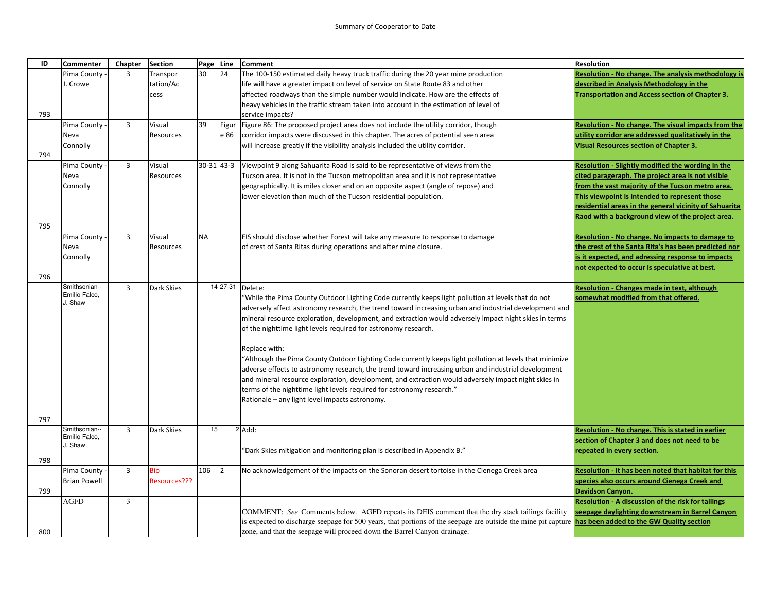| ID  | <b>Commenter</b>    | Chapter        | <b>Section</b>    | Page Line    |                      | <b>Comment</b>                                                                                                                                                            | <b>Resolution</b>                                          |
|-----|---------------------|----------------|-------------------|--------------|----------------------|---------------------------------------------------------------------------------------------------------------------------------------------------------------------------|------------------------------------------------------------|
|     | Pima County         | 3              | Transpor          | 30           | 24                   | The 100-150 estimated daily heavy truck traffic during the 20 year mine production                                                                                        | <b>Resolution - No change. The analysis methodology is</b> |
|     | J. Crowe            |                | tation/Ac         |              |                      | life will have a greater impact on level of service on State Route 83 and other                                                                                           | described in Analysis Methodology in the                   |
|     |                     |                | cess              |              |                      | affected roadways than the simple number would indicate. How are the effects of                                                                                           | <b>Transportation and Access section of Chapter 3.</b>     |
|     |                     |                |                   |              |                      | heavy vehicles in the traffic stream taken into account in the estimation of level of                                                                                     |                                                            |
| 793 |                     |                |                   |              |                      | service impacts?                                                                                                                                                          |                                                            |
|     | Pima County         | $\overline{3}$ | Visual            | 39           | Figur                | Figure 86: The proposed project area does not include the utility corridor, though                                                                                        | Resolution - No change. The visual impacts from the        |
|     | Neva                |                | Resources         |              | e 86                 | corridor impacts were discussed in this chapter. The acres of potential seen area                                                                                         | utility corridor are addressed qualitatively in the        |
|     | Connolly            |                |                   |              |                      | will increase greatly if the visibility analysis included the utility corridor.                                                                                           | <b>Visual Resources section of Chapter 3.</b>              |
| 794 |                     |                |                   |              |                      |                                                                                                                                                                           |                                                            |
|     | Pima County         | $\overline{3}$ | Visual            | $30-31$ 43-3 |                      | Viewpoint 9 along Sahuarita Road is said to be representative of views from the                                                                                           | Resolution - Slightly modified the wording in the          |
|     | Neva                |                | Resources         |              |                      | Tucson area. It is not in the Tucson metropolitan area and it is not representative                                                                                       | cited parageraph. The project area is not visible          |
|     | Connolly            |                |                   |              |                      | geographically. It is miles closer and on an opposite aspect (angle of repose) and                                                                                        | from the vast majority of the Tucson metro area.           |
|     |                     |                |                   |              |                      | lower elevation than much of the Tucson residential population.                                                                                                           | This viewpoint is intended to represent those              |
|     |                     |                |                   |              |                      |                                                                                                                                                                           | residential areas in the general vicinity of Sahuarita     |
|     |                     |                |                   |              |                      |                                                                                                                                                                           | Raod with a background view of the project area.           |
| 795 |                     |                |                   |              |                      |                                                                                                                                                                           |                                                            |
|     | Pima County         | 3              | Visual            | <b>NA</b>    |                      | EIS should disclose whether Forest will take any measure to response to damage                                                                                            | Resolution - No change. No impacts to damage to            |
|     | Neva                |                | Resources         |              |                      | of crest of Santa Ritas during operations and after mine closure.                                                                                                         | the crest of the Santa Rita's has been predicted nor       |
|     | Connolly            |                |                   |              |                      |                                                                                                                                                                           | is it expected, and adressing response to impacts          |
|     |                     |                |                   |              |                      |                                                                                                                                                                           | not expected to occur is speculative at best.              |
| 796 |                     |                |                   |              |                      |                                                                                                                                                                           |                                                            |
|     | Smithsonian--       | 3              | <b>Dark Skies</b> |              | 14 27-31             | Delete:                                                                                                                                                                   | <b>Resolution - Changes made in text, although</b>         |
|     | Emilio Falco,       |                |                   |              |                      | "While the Pima County Outdoor Lighting Code currently keeps light pollution at levels that do not                                                                        | somewhat modified from that offered.                       |
|     | J. Shaw             |                |                   |              |                      | adversely affect astronomy research, the trend toward increasing urban and industrial development and                                                                     |                                                            |
|     |                     |                |                   |              |                      | mineral resource exploration, development, and extraction would adversely impact night skies in terms                                                                     |                                                            |
|     |                     |                |                   |              |                      | of the nighttime light levels required for astronomy research.                                                                                                            |                                                            |
|     |                     |                |                   |              |                      |                                                                                                                                                                           |                                                            |
|     |                     |                |                   |              |                      | Replace with:                                                                                                                                                             |                                                            |
|     |                     |                |                   |              |                      | Although the Pima County Outdoor Lighting Code currently keeps light pollution at levels that minimize                                                                    |                                                            |
|     |                     |                |                   |              |                      | adverse effects to astronomy research, the trend toward increasing urban and industrial development                                                                       |                                                            |
|     |                     |                |                   |              |                      | and mineral resource exploration, development, and extraction would adversely impact night skies in                                                                       |                                                            |
|     |                     |                |                   |              |                      |                                                                                                                                                                           |                                                            |
|     |                     |                |                   |              |                      | terms of the nighttime light levels required for astronomy research."                                                                                                     |                                                            |
|     |                     |                |                   |              |                      | Rationale - any light level impacts astronomy.                                                                                                                            |                                                            |
| 797 |                     |                |                   |              |                      |                                                                                                                                                                           |                                                            |
|     | Smithsonian--       | 3              | <b>Dark Skies</b> | 15           |                      | 2 Add:                                                                                                                                                                    | Resolution - No change. This is stated in earlier          |
|     | Emilio Falco,       |                |                   |              |                      |                                                                                                                                                                           | section of Chapter 3 and does not need to be               |
|     | J. Shaw             |                |                   |              |                      | 'Dark Skies mitigation and monitoring plan is described in Appendix B."                                                                                                   | repeated in every section.                                 |
| 798 |                     |                |                   |              |                      |                                                                                                                                                                           |                                                            |
|     | Pima County         | $\overline{3}$ | <b>Bio</b>        | 106          | $\vert$ <sub>2</sub> | No acknowledgement of the impacts on the Sonoran desert tortoise in the Cienega Creek area                                                                                | Resolution - it has been noted that habitat for this       |
|     | <b>Brian Powell</b> |                | Resources???      |              |                      |                                                                                                                                                                           | species also occurs around Cienega Creek and               |
| 799 |                     |                |                   |              |                      |                                                                                                                                                                           | Davidson Canyon.                                           |
|     | AGFD                | 3              |                   |              |                      |                                                                                                                                                                           | Resolution - A discussion of the risk for tailings         |
|     |                     |                |                   |              |                      | COMMENT: See Comments below. AGFD repeats its DEIS comment that the dry stack tailings facility                                                                           | seepage daylighting downstream in Barrel Canyon            |
|     |                     |                |                   |              |                      | is expected to discharge seepage for 500 years, that portions of the seepage are outside the mine pit capture $\frac{1}{\text{has been added to the GW Quality section}}$ |                                                            |
| 800 |                     |                |                   |              |                      | zone, and that the seepage will proceed down the Barrel Canyon drainage.                                                                                                  |                                                            |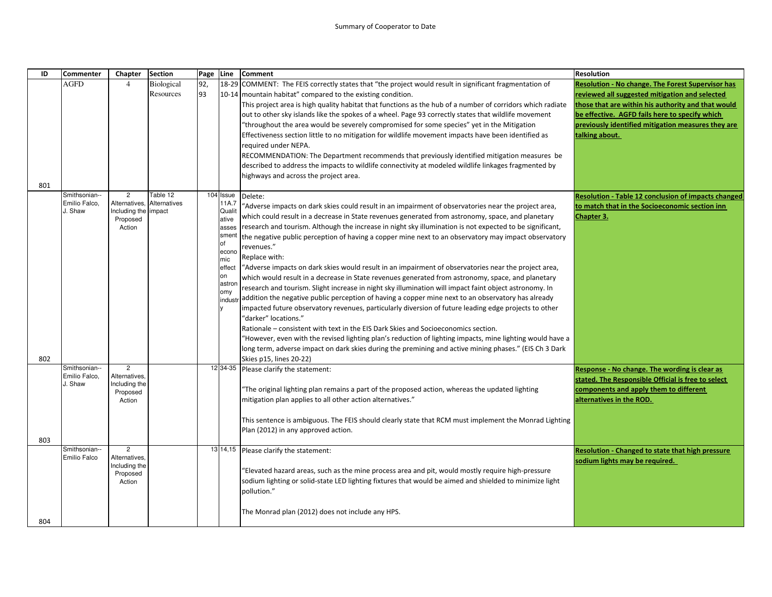| ID  | <b>Commenter</b>               | Chapter                         | <b>Section</b>           | Page | Line               | <b>Comment</b>                                                                                                                | <b>Resolution</b>                                          |
|-----|--------------------------------|---------------------------------|--------------------------|------|--------------------|-------------------------------------------------------------------------------------------------------------------------------|------------------------------------------------------------|
|     | <b>AGFD</b>                    | $\overline{4}$                  | <b>Biological</b>        | 92,  |                    | 18-29 COMMENT: The FEIS correctly states that "the project would result in significant fragmentation of                       | <b>Resolution - No change. The Forest Supervisor has</b>   |
|     |                                |                                 | Resources                | 93   |                    | 10-14   mountain habitat" compared to the existing condition.                                                                 | reviewed all suggested mitigation and selected             |
|     |                                |                                 |                          |      |                    | This project area is high quality habitat that functions as the hub of a number of corridors which radiate                    | those that are within his authority and that would         |
|     |                                |                                 |                          |      |                    | out to other sky islands like the spokes of a wheel. Page 93 correctly states that wildlife movement                          | be effective. AGFD fails here to specify which             |
|     |                                |                                 |                          |      |                    | "throughout the area would be severely compromised for some species" yet in the Mitigation                                    | previously identified mitigation measures they are         |
|     |                                |                                 |                          |      |                    | Effectiveness section little to no mitigation for wildlife movement impacts have been identified as                           | talking about.                                             |
|     |                                |                                 |                          |      |                    | required under NEPA.                                                                                                          |                                                            |
|     |                                |                                 |                          |      |                    | RECOMMENDATION: The Department recommends that previously identified mitigation measures be                                   |                                                            |
|     |                                |                                 |                          |      |                    | described to address the impacts to wildlife connectivity at modeled wildlife linkages fragmented by                          |                                                            |
|     |                                |                                 |                          |      |                    | highways and across the project area.                                                                                         |                                                            |
| 801 |                                |                                 |                          |      |                    |                                                                                                                               |                                                            |
|     | Smithsonian--<br>Emilio Falco. | $\overline{c}$<br>Alternatives, | Table 12<br>Alternatives |      | 104 Issue<br>11A.7 | Delete:                                                                                                                       | <b>Resolution - Table 12 conclusion of impacts changed</b> |
|     | J. Shaw                        | Including the impact            |                          |      | Qualit             | Adverse impacts on dark skies could result in an impairment of observatories near the project area,                           | to match that in the Socioeconomic section inn             |
|     |                                | Proposed                        |                          |      | ative              | which could result in a decrease in State revenues generated from astronomy, space, and planetary                             | Chapter 3.                                                 |
|     |                                | Action                          |                          |      | asses              | research and tourism. Although the increase in night sky illumination is not expected to be significant,                      |                                                            |
|     |                                |                                 |                          |      | sment<br><b>of</b> | the negative public perception of having a copper mine next to an observatory may impact observatory                          |                                                            |
|     |                                |                                 |                          |      | econo              | revenues."                                                                                                                    |                                                            |
|     |                                |                                 |                          |      | mic                | Replace with:                                                                                                                 |                                                            |
|     |                                |                                 |                          |      | effect             | "Adverse impacts on dark skies would result in an impairment of observatories near the project area,                          |                                                            |
|     |                                |                                 |                          |      | on<br>astron       | which would result in a decrease in State revenues generated from astronomy, space, and planetary                             |                                                            |
|     |                                |                                 |                          |      | omy                | research and tourism. Slight increase in night sky illumination will impact faint object astronomy. In                        |                                                            |
|     |                                |                                 |                          |      | industr            | addition the negative public perception of having a copper mine next to an observatory has already                            |                                                            |
|     |                                |                                 |                          |      |                    | impacted future observatory revenues, particularly diversion of future leading edge projects to other<br>'darker" locations." |                                                            |
|     |                                |                                 |                          |      |                    | Rationale – consistent with text in the EIS Dark Skies and Socioeconomics section.                                            |                                                            |
|     |                                |                                 |                          |      |                    | "However, even with the revised lighting plan's reduction of lighting impacts, mine lighting would have a                     |                                                            |
|     |                                |                                 |                          |      |                    | long term, adverse impact on dark skies during the premining and active mining phases." (EIS Ch 3 Dark                        |                                                            |
| 802 |                                |                                 |                          |      |                    | Skies p15, lines 20-22)                                                                                                       |                                                            |
|     | Smithsonian--                  | $\overline{2}$                  |                          |      |                    | 12 34-35 Please clarify the statement:                                                                                        | Response - No change. The wording is clear as              |
|     | Emilio Falco,<br>J. Shaw       | Alternatives,<br>Including the  |                          |      |                    |                                                                                                                               | stated. The Responsible Official is free to select         |
|     |                                | Proposed                        |                          |      |                    | "The original lighting plan remains a part of the proposed action, whereas the updated lighting                               | components and apply them to different                     |
|     |                                | Action                          |                          |      |                    | mitigation plan applies to all other action alternatives."                                                                    | alternatives in the ROD.                                   |
|     |                                |                                 |                          |      |                    |                                                                                                                               |                                                            |
|     |                                |                                 |                          |      |                    | This sentence is ambiguous. The FEIS should clearly state that RCM must implement the Monrad Lighting                         |                                                            |
|     |                                |                                 |                          |      |                    | Plan (2012) in any approved action.                                                                                           |                                                            |
| 803 | Smithsonian--                  | $\mathbf{2}$                    |                          |      |                    |                                                                                                                               |                                                            |
|     | <b>Emilio Falco</b>            | Alternatives,                   |                          |      |                    | 13 14,15 Please clarify the statement:                                                                                        | Resolution - Changed to state that high pressure           |
|     |                                | Including the                   |                          |      |                    | Elevated hazard areas, such as the mine process area and pit, would mostly require high-pressure"                             | sodium lights may be required.                             |
|     |                                | Proposed<br>Action              |                          |      |                    | sodium lighting or solid-state LED lighting fixtures that would be aimed and shielded to minimize light                       |                                                            |
|     |                                |                                 |                          |      |                    | pollution."                                                                                                                   |                                                            |
|     |                                |                                 |                          |      |                    |                                                                                                                               |                                                            |
|     |                                |                                 |                          |      |                    | The Monrad plan (2012) does not include any HPS.                                                                              |                                                            |
| 804 |                                |                                 |                          |      |                    |                                                                                                                               |                                                            |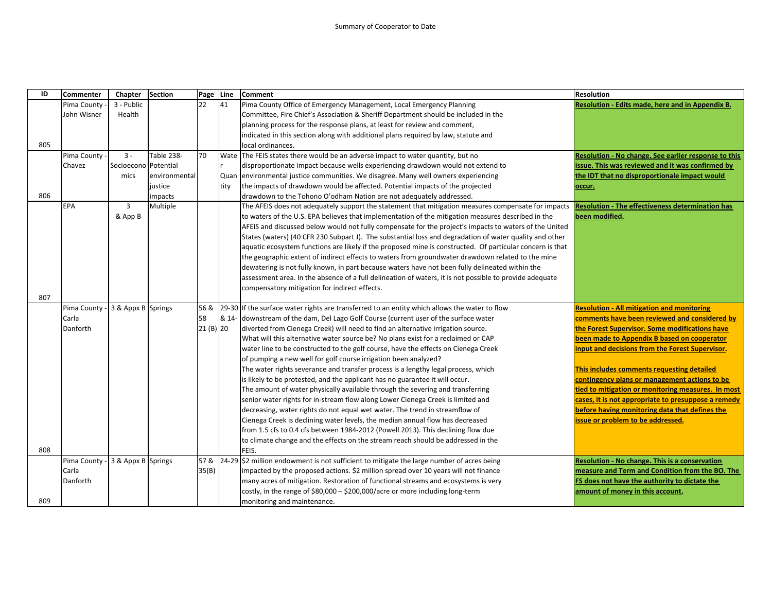| ID  | Commenter     | Chapter              | <b>Section</b> | Page Line  |       | <b>Comment</b>                                                                                            | <b>Resolution</b>                                       |
|-----|---------------|----------------------|----------------|------------|-------|-----------------------------------------------------------------------------------------------------------|---------------------------------------------------------|
|     | Pima County   | 3 - Public           |                | 22         | 41    | Pima County Office of Emergency Management, Local Emergency Planning                                      | Resolution - Edits made, here and in Appendix B.        |
|     | John Wisner   | Health               |                |            |       | Committee, Fire Chief's Association & Sheriff Department should be included in the                        |                                                         |
|     |               |                      |                |            |       | planning process for the response plans, at least for review and comment,                                 |                                                         |
|     |               |                      |                |            |       | indicated in this section along with additional plans required by law, statute and                        |                                                         |
| 805 |               |                      |                |            |       | local ordinances.                                                                                         |                                                         |
|     | Pima County   | $3 -$                | Table 238-     | 70         |       | Wate The FEIS states there would be an adverse impact to water quantity, but no                           | Resolution - No change. See earlier response to this    |
|     | Chavez        | Socioecono Potential |                |            |       | disproportionate impact because wells experiencing drawdown would not extend to                           | issue. This was reviewed and it was confirmed by        |
|     |               | mics                 | environmental  |            |       | Quan environmental justice communities. We disagree. Many well owners experiencing                        | the IDT that no disproportionale impact would           |
|     |               |                      | justice        |            | tity  | the impacts of drawdown would be affected. Potential impacts of the projected                             | occur.                                                  |
| 806 |               |                      | impacts        |            |       | drawdown to the Tohono O'odham Nation are not adequately addressed.                                       |                                                         |
|     | EPA           | 3                    | Multiple       |            |       | The AFEIS does not adequately support the statement that mitigation measures compensate for impacts       | <b>Resolution - The effectiveness determination has</b> |
|     |               | & App B              |                |            |       | to waters of the U.S. EPA believes that implementation of the mitigation measures described in the        | been modified.                                          |
|     |               |                      |                |            |       | AFEIS and discussed below would not fully compensate for the project's impacts to waters of the United    |                                                         |
|     |               |                      |                |            |       | States (waters) (40 CFR 230 Subpart J). The substantial loss and degradation of water quality and other   |                                                         |
|     |               |                      |                |            |       | aquatic ecosystem functions are likely if the proposed mine is constructed. Of particular concern is that |                                                         |
|     |               |                      |                |            |       | the geographic extent of indirect effects to waters from groundwater drawdown related to the mine         |                                                         |
|     |               |                      |                |            |       | dewatering is not fully known, in part because waters have not been fully delineated within the           |                                                         |
|     |               |                      |                |            |       | assessment area. In the absence of a full delineation of waters, it is not possible to provide adequate   |                                                         |
|     |               |                      |                |            |       | compensatory mitigation for indirect effects.                                                             |                                                         |
| 807 |               |                      |                |            |       |                                                                                                           |                                                         |
|     | Pima County - | 3 & Appx B Springs   |                | 56 &       | 29-30 | If the surface water rights are transferred to an entity which allows the water to flow                   | <b>Resolution - All mitigation and monitoring</b>       |
|     | Carla         |                      |                | 58         | & 14- | downstream of the dam, Del Lago Golf Course (current user of the surface water                            | comments have been reviewed and considered by           |
|     | Danforth      |                      |                | $21(B)$ 20 |       | diverted from Cienega Creek) will need to find an alternative irrigation source.                          | the Forest Supervisor. Some modifications have          |
|     |               |                      |                |            |       | What will this alternative water source be? No plans exist for a reclaimed or CAP                         | been made to Appendix B based on cooperator             |
|     |               |                      |                |            |       | water line to be constructed to the golf course, have the effects on Cienega Creek                        | input and decisions from the Forest Supervisor.         |
|     |               |                      |                |            |       | of pumping a new well for golf course irrigation been analyzed?                                           |                                                         |
|     |               |                      |                |            |       | The water rights severance and transfer process is a lengthy legal process, which                         | This includes comments requesting detailed              |
|     |               |                      |                |            |       | is likely to be protested, and the applicant has no guarantee it will occur.                              | contingency plans or management actions to be           |
|     |               |                      |                |            |       | The amount of water physically available through the severing and transferring                            | tied to mitigation or monitoring measures. In most      |
|     |               |                      |                |            |       | senior water rights for in-stream flow along Lower Cienega Creek is limited and                           | cases, it is not appropriate to presuppose a remedy     |
|     |               |                      |                |            |       | decreasing, water rights do not equal wet water. The trend in streamflow of                               | before having monitoring data that defines the          |
|     |               |                      |                |            |       | Cienega Creek is declining water levels, the median annual flow has decreased                             | issue or problem to be addressed.                       |
|     |               |                      |                |            |       | from 1.5 cfs to 0.4 cfs between 1984-2012 (Powell 2013). This declining flow due                          |                                                         |
|     |               |                      |                |            |       | to climate change and the effects on the stream reach should be addressed in the                          |                                                         |
| 808 |               |                      |                |            |       | FEIS.                                                                                                     |                                                         |
|     | Pima County   | 3 & Appx B Springs   |                | 57&        |       | 24-29 \$2 million endowment is not sufficient to mitigate the large number of acres being                 | Resolution - No change. This is a conservation          |
|     | Carla         |                      |                | 35(B)      |       | impacted by the proposed actions. \$2 million spread over 10 years will not finance                       | measure and Term and Condition from the BO. The         |
|     | Danforth      |                      |                |            |       | many acres of mitigation. Restoration of functional streams and ecosystems is very                        | FS does not have the authority to dictate the           |
|     |               |                      |                |            |       | costly, in the range of \$80,000 - \$200,000/acre or more including long-term                             | amount of money in this account.                        |
| 809 |               |                      |                |            |       | monitoring and maintenance.                                                                               |                                                         |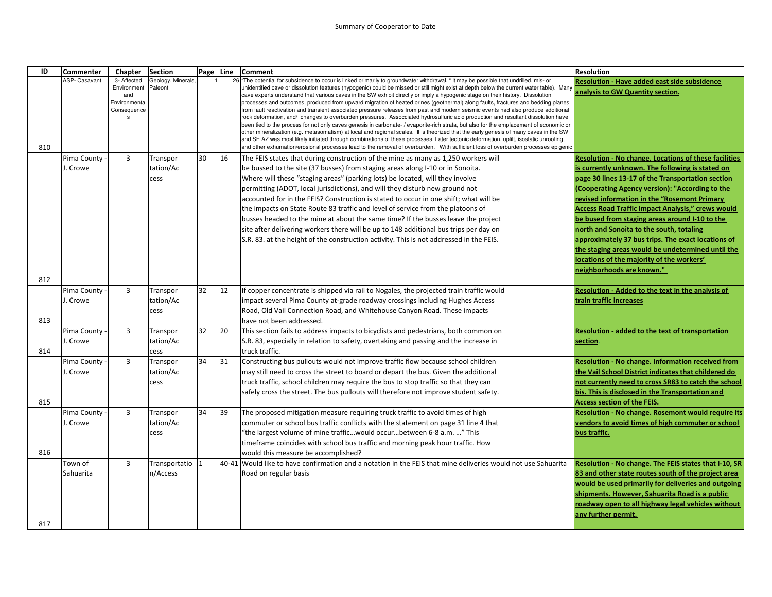## Summary of Cooperator to Date

| ID  | <b>Commenter</b>     | Chapter                                                                | <b>Section</b>               | Page Line |       | <b>Comment</b>                                                                                                                                                                                                                                                                                                                                                                                                                                                                                                                                                                                                                                                                                                                                                                                                                                                                                                                                                                                                                                                                                                                                                                                                                                                                                                                                                                               | <b>Resolution</b>                                                                                                           |
|-----|----------------------|------------------------------------------------------------------------|------------------------------|-----------|-------|----------------------------------------------------------------------------------------------------------------------------------------------------------------------------------------------------------------------------------------------------------------------------------------------------------------------------------------------------------------------------------------------------------------------------------------------------------------------------------------------------------------------------------------------------------------------------------------------------------------------------------------------------------------------------------------------------------------------------------------------------------------------------------------------------------------------------------------------------------------------------------------------------------------------------------------------------------------------------------------------------------------------------------------------------------------------------------------------------------------------------------------------------------------------------------------------------------------------------------------------------------------------------------------------------------------------------------------------------------------------------------------------|-----------------------------------------------------------------------------------------------------------------------------|
| 810 | <b>ASP- Casavant</b> | 3- Affected<br>Environment<br>and<br>Environmental<br>Consequence<br>s | Geology, Minerals<br>Paleont |           | 26    | The potential for subsidence to occur is linked primarily to groundwater withdrawal. "It may be possible that undrilled, mis- or<br>unidentified cave or dissolution features (hypogenic) could be missed or still might exist at depth below the current water table). Many<br>cave experts understand that various caves in the SW exhibit directly or imply a hypogenic stage on their history. Dissolution<br>processes and outcomes, produced from upward migration of heated brines (geothermal) along faults, fractures and bedding planes<br>from fault reactivation and transient associated pressure releases from past and modern seismic events had also produce additional<br>rock deformation, and/ changes to overburden pressures. Assocciated hydrosulfuric acid production and resultant dissolution have<br>been tied to the process for not only caves genesis in carbonate- / evaporite-rich strata, but also for the emplacement of economic or<br>other mineralization (e.g. metasomatism) at local and regional scales. It is theorized that the early genesis of many caves in the SW<br>and SE AZ was most likely initiated through combinations of these processes. Later tectonic deformation, uplift, isostatic unroofing,<br>and other exhumation/erosional processes lead to the removal of overburden. With sufficient loss of overburden processes epigenic | <b>Resolution - Have added east side subsidence</b><br>analysis to GW Quantity section.                                     |
|     | Pima County          | 3                                                                      | Transpor                     | 30        | 16    | The FEIS states that during construction of the mine as many as 1,250 workers will                                                                                                                                                                                                                                                                                                                                                                                                                                                                                                                                                                                                                                                                                                                                                                                                                                                                                                                                                                                                                                                                                                                                                                                                                                                                                                           | <b>Resolution - No change. Locations of these facilities</b>                                                                |
|     | J. Crowe             |                                                                        | tation/Ac                    |           |       | be bussed to the site (37 busses) from staging areas along I-10 or in Sonoita.                                                                                                                                                                                                                                                                                                                                                                                                                                                                                                                                                                                                                                                                                                                                                                                                                                                                                                                                                                                                                                                                                                                                                                                                                                                                                                               | is currently unknown. The following is stated on                                                                            |
|     |                      |                                                                        | cess                         |           |       | Where will these "staging areas" (parking lots) be located, will they involve                                                                                                                                                                                                                                                                                                                                                                                                                                                                                                                                                                                                                                                                                                                                                                                                                                                                                                                                                                                                                                                                                                                                                                                                                                                                                                                | page 30 lines 13-17 of the Transportation section                                                                           |
|     |                      |                                                                        |                              |           |       | permitting (ADOT, local jurisdictions), and will they disturb new ground not                                                                                                                                                                                                                                                                                                                                                                                                                                                                                                                                                                                                                                                                                                                                                                                                                                                                                                                                                                                                                                                                                                                                                                                                                                                                                                                 | (Cooperating Agency version): "According to the                                                                             |
|     |                      |                                                                        |                              |           |       | accounted for in the FEIS? Construction is stated to occur in one shift; what will be                                                                                                                                                                                                                                                                                                                                                                                                                                                                                                                                                                                                                                                                                                                                                                                                                                                                                                                                                                                                                                                                                                                                                                                                                                                                                                        | revised information in the "Rosemont Primary                                                                                |
|     |                      |                                                                        |                              |           |       | the impacts on State Route 83 traffic and level of service from the platoons of                                                                                                                                                                                                                                                                                                                                                                                                                                                                                                                                                                                                                                                                                                                                                                                                                                                                                                                                                                                                                                                                                                                                                                                                                                                                                                              | <b>Access Road Traffic Impact Analysis," crews would</b>                                                                    |
|     |                      |                                                                        |                              |           |       | busses headed to the mine at about the same time? If the busses leave the project                                                                                                                                                                                                                                                                                                                                                                                                                                                                                                                                                                                                                                                                                                                                                                                                                                                                                                                                                                                                                                                                                                                                                                                                                                                                                                            | be bused from staging areas around I-10 to the                                                                              |
|     |                      |                                                                        |                              |           |       | site after delivering workers there will be up to 148 additional bus trips per day on                                                                                                                                                                                                                                                                                                                                                                                                                                                                                                                                                                                                                                                                                                                                                                                                                                                                                                                                                                                                                                                                                                                                                                                                                                                                                                        | north and Sonoita to the south, totaling                                                                                    |
|     |                      |                                                                        |                              |           |       | S.R. 83. at the height of the construction activity. This is not addressed in the FEIS.                                                                                                                                                                                                                                                                                                                                                                                                                                                                                                                                                                                                                                                                                                                                                                                                                                                                                                                                                                                                                                                                                                                                                                                                                                                                                                      | approximately 37 bus trips. The exact locations of                                                                          |
| 812 |                      |                                                                        |                              |           |       |                                                                                                                                                                                                                                                                                                                                                                                                                                                                                                                                                                                                                                                                                                                                                                                                                                                                                                                                                                                                                                                                                                                                                                                                                                                                                                                                                                                              | the staging areas would be undetermined until the<br>locations of the majority of the workers'<br>neighborhoods are known." |
|     | Pima County          | 3                                                                      | Transpor                     | 32        | 12    | If copper concentrate is shipped via rail to Nogales, the projected train traffic would                                                                                                                                                                                                                                                                                                                                                                                                                                                                                                                                                                                                                                                                                                                                                                                                                                                                                                                                                                                                                                                                                                                                                                                                                                                                                                      | Resolution - Added to the text in the analysis of                                                                           |
|     | J. Crowe             |                                                                        | tation/Ac                    |           |       | impact several Pima County at-grade roadway crossings including Hughes Access                                                                                                                                                                                                                                                                                                                                                                                                                                                                                                                                                                                                                                                                                                                                                                                                                                                                                                                                                                                                                                                                                                                                                                                                                                                                                                                | train traffic increases                                                                                                     |
|     |                      |                                                                        | cess                         |           |       | Road, Old Vail Connection Road, and Whitehouse Canyon Road. These impacts                                                                                                                                                                                                                                                                                                                                                                                                                                                                                                                                                                                                                                                                                                                                                                                                                                                                                                                                                                                                                                                                                                                                                                                                                                                                                                                    |                                                                                                                             |
| 813 |                      |                                                                        |                              |           |       | have not been addressed.                                                                                                                                                                                                                                                                                                                                                                                                                                                                                                                                                                                                                                                                                                                                                                                                                                                                                                                                                                                                                                                                                                                                                                                                                                                                                                                                                                     |                                                                                                                             |
|     | Pima County -        | 3                                                                      | Transpor                     | 32        | 20    | This section fails to address impacts to bicyclists and pedestrians, both common on                                                                                                                                                                                                                                                                                                                                                                                                                                                                                                                                                                                                                                                                                                                                                                                                                                                                                                                                                                                                                                                                                                                                                                                                                                                                                                          | Resolution - added to the text of transportation                                                                            |
|     | J. Crowe             |                                                                        | tation/Ac                    |           |       | S.R. 83, especially in relation to safety, overtaking and passing and the increase in                                                                                                                                                                                                                                                                                                                                                                                                                                                                                                                                                                                                                                                                                                                                                                                                                                                                                                                                                                                                                                                                                                                                                                                                                                                                                                        | section.                                                                                                                    |
| 814 |                      |                                                                        | cess                         |           |       | truck traffic.                                                                                                                                                                                                                                                                                                                                                                                                                                                                                                                                                                                                                                                                                                                                                                                                                                                                                                                                                                                                                                                                                                                                                                                                                                                                                                                                                                               |                                                                                                                             |
|     | Pima County          | 3                                                                      | Transpor                     | 34        | 31    | Constructing bus pullouts would not improve traffic flow because school children                                                                                                                                                                                                                                                                                                                                                                                                                                                                                                                                                                                                                                                                                                                                                                                                                                                                                                                                                                                                                                                                                                                                                                                                                                                                                                             | Resolution - No change. Information received from                                                                           |
|     | J. Crowe             |                                                                        | tation/Ac                    |           |       | may still need to cross the street to board or depart the bus. Given the additional                                                                                                                                                                                                                                                                                                                                                                                                                                                                                                                                                                                                                                                                                                                                                                                                                                                                                                                                                                                                                                                                                                                                                                                                                                                                                                          | the Vail School District indicates that childered do                                                                        |
|     |                      |                                                                        | cess                         |           |       | truck traffic, school children may require the bus to stop traffic so that they can                                                                                                                                                                                                                                                                                                                                                                                                                                                                                                                                                                                                                                                                                                                                                                                                                                                                                                                                                                                                                                                                                                                                                                                                                                                                                                          | not currently need to cross SR83 to catch the school                                                                        |
|     |                      |                                                                        |                              |           |       | safely cross the street. The bus pullouts will therefore not improve student safety.                                                                                                                                                                                                                                                                                                                                                                                                                                                                                                                                                                                                                                                                                                                                                                                                                                                                                                                                                                                                                                                                                                                                                                                                                                                                                                         | bis. This is disclosed in the Transportation and                                                                            |
| 815 |                      |                                                                        |                              |           |       |                                                                                                                                                                                                                                                                                                                                                                                                                                                                                                                                                                                                                                                                                                                                                                                                                                                                                                                                                                                                                                                                                                                                                                                                                                                                                                                                                                                              | <b>Access section of the FEIS.</b>                                                                                          |
|     | Pima County          | 3                                                                      | Transpor                     | 34        | 39    | The proposed mitigation measure requiring truck traffic to avoid times of high                                                                                                                                                                                                                                                                                                                                                                                                                                                                                                                                                                                                                                                                                                                                                                                                                                                                                                                                                                                                                                                                                                                                                                                                                                                                                                               | Resolution - No change. Rosemont would require its                                                                          |
|     | J. Crowe             |                                                                        | tation/Ac                    |           |       | commuter or school bus traffic conflicts with the statement on page 31 line 4 that                                                                                                                                                                                                                                                                                                                                                                                                                                                                                                                                                                                                                                                                                                                                                                                                                                                                                                                                                                                                                                                                                                                                                                                                                                                                                                           | vendors to avoid times of high commuter or school                                                                           |
|     |                      |                                                                        | cess                         |           |       | "the largest volume of mine trafficwould occurbetween 6-8 a.m. " This                                                                                                                                                                                                                                                                                                                                                                                                                                                                                                                                                                                                                                                                                                                                                                                                                                                                                                                                                                                                                                                                                                                                                                                                                                                                                                                        | bus traffic.                                                                                                                |
|     |                      |                                                                        |                              |           |       | timeframe coincides with school bus traffic and morning peak hour traffic. How                                                                                                                                                                                                                                                                                                                                                                                                                                                                                                                                                                                                                                                                                                                                                                                                                                                                                                                                                                                                                                                                                                                                                                                                                                                                                                               |                                                                                                                             |
| 816 |                      |                                                                        |                              |           |       | would this measure be accomplished?                                                                                                                                                                                                                                                                                                                                                                                                                                                                                                                                                                                                                                                                                                                                                                                                                                                                                                                                                                                                                                                                                                                                                                                                                                                                                                                                                          |                                                                                                                             |
|     | Town of              | 3                                                                      | Transportatio                | 11        | 40-41 | Would like to have confirmation and a notation in the FEIS that mine deliveries would not use Sahuarita                                                                                                                                                                                                                                                                                                                                                                                                                                                                                                                                                                                                                                                                                                                                                                                                                                                                                                                                                                                                                                                                                                                                                                                                                                                                                      | Resolution - No change. The FEIS states that I-10, SR                                                                       |
|     | Sahuarita            |                                                                        | n/Access                     |           |       | Road on regular basis                                                                                                                                                                                                                                                                                                                                                                                                                                                                                                                                                                                                                                                                                                                                                                                                                                                                                                                                                                                                                                                                                                                                                                                                                                                                                                                                                                        | 83 and other state routes south of the project area                                                                         |
|     |                      |                                                                        |                              |           |       |                                                                                                                                                                                                                                                                                                                                                                                                                                                                                                                                                                                                                                                                                                                                                                                                                                                                                                                                                                                                                                                                                                                                                                                                                                                                                                                                                                                              | would be used primarily for deliveries and outgoing                                                                         |
|     |                      |                                                                        |                              |           |       |                                                                                                                                                                                                                                                                                                                                                                                                                                                                                                                                                                                                                                                                                                                                                                                                                                                                                                                                                                                                                                                                                                                                                                                                                                                                                                                                                                                              | shipments. However, Sahuarita Road is a public                                                                              |
|     |                      |                                                                        |                              |           |       |                                                                                                                                                                                                                                                                                                                                                                                                                                                                                                                                                                                                                                                                                                                                                                                                                                                                                                                                                                                                                                                                                                                                                                                                                                                                                                                                                                                              | roadway open to all highway legal vehicles without                                                                          |
|     |                      |                                                                        |                              |           |       |                                                                                                                                                                                                                                                                                                                                                                                                                                                                                                                                                                                                                                                                                                                                                                                                                                                                                                                                                                                                                                                                                                                                                                                                                                                                                                                                                                                              | any further permit.                                                                                                         |
| 817 |                      |                                                                        |                              |           |       |                                                                                                                                                                                                                                                                                                                                                                                                                                                                                                                                                                                                                                                                                                                                                                                                                                                                                                                                                                                                                                                                                                                                                                                                                                                                                                                                                                                              |                                                                                                                             |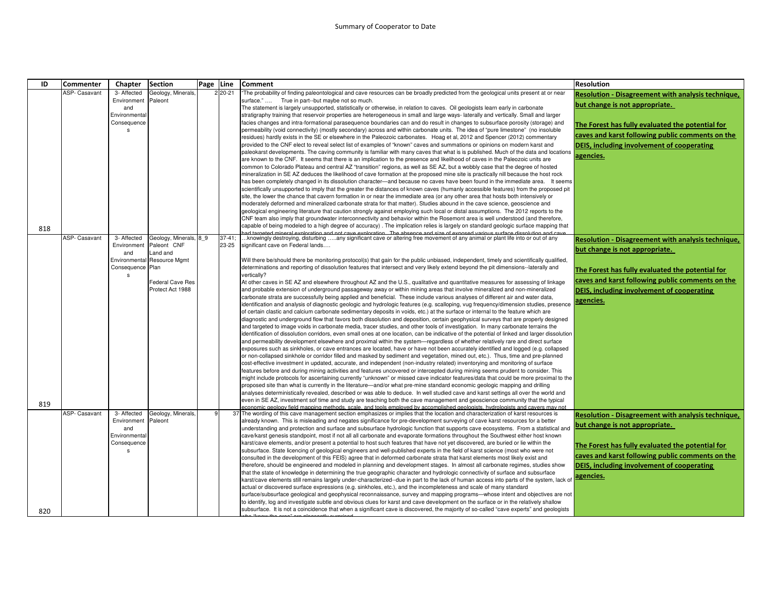## Summary of Cooperator to Date

| ID  | <b>Commenter</b> | Chapter                     | <b>Section</b>                        | Page Line |                      | <b>Comment</b>                                                                                                                                                                                                                                                      | <b>Resolution</b>                                         |
|-----|------------------|-----------------------------|---------------------------------------|-----------|----------------------|---------------------------------------------------------------------------------------------------------------------------------------------------------------------------------------------------------------------------------------------------------------------|-----------------------------------------------------------|
|     | ASP- Casavant    | 3- Affected                 | Geology, Minerals,                    |           | 2 20-21              | The probability of finding paleontological and cave resources can be broadly predicted from the geological units present at or near                                                                                                                                 | Resolution - Disagreement with analysis technique,        |
|     |                  | Environment                 | Paleont                               |           |                      | surface."<br>True in part--but maybe not so much.                                                                                                                                                                                                                   | but change is not appropriate.                            |
|     |                  | and                         |                                       |           |                      | The statement is largely unsupported, statistically or otherwise, in relation to caves. Oil geologists learn early in carbonate                                                                                                                                     |                                                           |
|     |                  | Environmenta                |                                       |           |                      | stratigraphy training that reservoir properties are heterogeneous in small and large ways- laterally and vertically. Small and larger                                                                                                                               |                                                           |
|     |                  | Consequence<br>$\mathbf{s}$ |                                       |           |                      | facies changes and intra-formational parasequence boundaries can and do result in changes to subsurface porosity (storage) and<br>permeability (void connectivity) (mostly secondary) across and within carbonate units. The idea of "pure limestone" (no insoluble | The Forest has fully evaluated the potential for          |
|     |                  |                             |                                       |           |                      | residues) hardly exists in the SE or elsewhere in the Paleozoic carbonates. Hoag et al, 2012 and Spencer (2012) commentary                                                                                                                                          | caves and karst following public comments on the          |
|     |                  |                             |                                       |           |                      | provided to the CNF elect to reveal select list of examples of "known" caves and summations or opinions on modern karst and                                                                                                                                         | DEIS, including involvement of cooperating                |
|     |                  |                             |                                       |           |                      | paleokarst developments. The caving community is familiar with many caves that what is is published. Much of the data and locations                                                                                                                                 |                                                           |
|     |                  |                             |                                       |           |                      | are known to the CNF. It seems that there is an implication to the presence and likelihood of caves in the Paleozoic units are                                                                                                                                      | agencies.                                                 |
|     |                  |                             |                                       |           |                      | common to Colorado Plateau and central AZ "transition" regions, as well as SE AZ, but a wobbly case that the degree of hosted                                                                                                                                       |                                                           |
|     |                  |                             |                                       |           |                      | mineralization in SE AZ deduces the likelihood of cave formation at the proposed mine site is practically nill because the host rock                                                                                                                                |                                                           |
|     |                  |                             |                                       |           |                      | has been completely changed in its dissolution character—and because no caves have been found in the immediate area. It seems                                                                                                                                       |                                                           |
|     |                  |                             |                                       |           |                      | scientifically unsupported to imply that the greater the distances of known caves (humanly accessible features) from the proposed pit                                                                                                                               |                                                           |
|     |                  |                             |                                       |           |                      | site, the lower the chance that cavern formation in or near the immediate area (or any other area that hosts both intensively or                                                                                                                                    |                                                           |
|     |                  |                             |                                       |           |                      | moderately deformed and mineralized carbonate strata for that matter). Studies abound in the cave science, geoscience and<br>geological engineering literature that caution strongly against employing such local or distal assumptions. The 2012 reports to the    |                                                           |
|     |                  |                             |                                       |           |                      | CNF team also imply that groundwater interconnectivity and behavior within the Rosemont area is well understood (and therefore,                                                                                                                                     |                                                           |
|     |                  |                             |                                       |           |                      | capable of being modeled to a high degree of accuracy). The implication relies is largely on standard geologic surface mapping that                                                                                                                                 |                                                           |
| 818 | ASP- Casavant    |                             |                                       |           |                      |                                                                                                                                                                                                                                                                     |                                                           |
|     |                  | 3- Affected<br>Environment  | Geology, Minerals, 8 9<br>Paleont CNF |           | $37 - 41$ ;<br>23-25 | .knowingly destroying, disturbing any significant cave or altering free movement of any animal or plant life into or out of any<br>significant cave on Federal lands                                                                                                | <b>Resolution - Disagreement with analysis technique,</b> |
|     |                  | and                         | Land and                              |           |                      |                                                                                                                                                                                                                                                                     | but change is not appropriate.                            |
|     |                  |                             | Environmental Resource Mgmt           |           |                      | Will there be/should there be monitoring protocol(s) that gain for the public unbiased, independent, timely and scientifically qualified,                                                                                                                           |                                                           |
|     |                  | Consequence Plan            |                                       |           |                      | determinations and reporting of dissolution features that intersect and very likely extend beyond the pit dimensions--laterally and                                                                                                                                 | The Forest has fully evaluated the potential for          |
|     |                  | s                           |                                       |           |                      | vertically?                                                                                                                                                                                                                                                         | caves and karst following public comments on the          |
|     |                  |                             | Federal Cave Res                      |           |                      | At other caves in SE AZ and elsewhere throughout AZ and the U.S., qualitative and quantitative measures for assessing of linkage                                                                                                                                    |                                                           |
|     |                  |                             | Protect Act 1988                      |           |                      | and probable extension of underground passageway away or within mining areas that involve mineralized and non-mineralized<br>carbonate strata are successfully being applied and beneficial. These include various analyses of different air and water data,        | DEIS, including involvement of cooperating                |
|     |                  |                             |                                       |           |                      | identification and analysis of diagnostic geologic and hydrologic features (e.g. scalloping, vug frequency/dimension studies, presence                                                                                                                              | agencies.                                                 |
|     |                  |                             |                                       |           |                      | of certain clastic and calcium carbonate sedimentary deposits in voids, etc.) at the surface or internal to the feature which are                                                                                                                                   |                                                           |
|     |                  |                             |                                       |           |                      | diagnostic and underground flow that favors both dissolution and deposition, certain geophysical surveys that are properly designed                                                                                                                                 |                                                           |
|     |                  |                             |                                       |           |                      | and targeted to image voids in carbonate media, tracer studies, and other tools of investigation. In many carbonate terrains the                                                                                                                                    |                                                           |
|     |                  |                             |                                       |           |                      | identification of dissolution corridors, even small ones at one location, can be indicative of the potential of linked and larger dissolution                                                                                                                       |                                                           |
|     |                  |                             |                                       |           |                      | and permeability development elsewhere and proximal within the system—regardless of whether relatively rare and direct surface                                                                                                                                      |                                                           |
|     |                  |                             |                                       |           |                      | exposures such as sinkholes, or cave entrances are located, have or have not been accurately identified and logged (e.g. collapsed                                                                                                                                  |                                                           |
|     |                  |                             |                                       |           |                      | or non-collapsed sinkhole or corridor filled and masked by sediment and vegetation, mined out, etc.). Thus, time and pre-planned<br>cost-effective investment in updated, accurate, and independent (non-industry related) inventorying and monitoring of surface   |                                                           |
|     |                  |                             |                                       |           |                      | features before and during mining activities and features uncovered or intercepted during mining seems prudent to consider. This                                                                                                                                    |                                                           |
|     |                  |                             |                                       |           |                      | might include protocols for ascertaining currently "unknown" or missed cave indicator features/data that could be more proximal to the                                                                                                                              |                                                           |
|     |                  |                             |                                       |           |                      | proposed site than what is currently in the literature—and/or what pre-mine standard economic geologic mapping and drilling                                                                                                                                         |                                                           |
|     |                  |                             |                                       |           |                      | analyses deterministically revealed, described or was able to deduce. In well studied cave and karst settings all over the world and                                                                                                                                |                                                           |
| 819 |                  |                             |                                       |           |                      | even in SE AZ, investment sof time and study are teaching both the cave management and geoscience community that the typical                                                                                                                                        |                                                           |
|     | ASP- Casavant    | 3- Affected                 | Geology, Minerals,                    |           |                      | conomic geology field mapping methods, scale, and tools employed by accomplished geologists, hydrologists and cavers may not<br>37 The wording of this cave management section emphasizes or implies that the location and characterization of karst resources is   | Resolution - Disagreement with analysis technique,        |
|     |                  | Environment                 | Paleont                               |           |                      | already known. This is misleading and negates significance for pre-development surveying of cave karst resources for a better                                                                                                                                       |                                                           |
|     |                  | and                         |                                       |           |                      | understanding and protection and surface and subsurface hydrologic function that supports cave ecosystems. From a statistical and                                                                                                                                   | but change is not appropriate.                            |
|     |                  | Environmenta                |                                       |           |                      | cave/karst genesis standpoint, most if not all all carbonate and evaporate formations throughout the Southwest either host known                                                                                                                                    |                                                           |
|     |                  | Consequence                 |                                       |           |                      | karst/cave elements, and/or present a potential to host such features that have not yet discovered, are buried or lie within the                                                                                                                                    | The Forest has fully evaluated the potential for          |
|     |                  |                             |                                       |           |                      | subsurface. State licencing of geological engineers and well-published experts in the field of karst science (most who were not                                                                                                                                     | caves and karst following public comments on the          |
|     |                  |                             |                                       |           |                      | consulted in the development of this FEIS) agree that in deformed carbonate strata that karst elements most likely exist and<br>therefore, should be engineered and modeled in planning and development stages. In almost all carbonate regimes, studies show       | DEIS, including involvement of cooperating                |
|     |                  |                             |                                       |           |                      | that the state of knowledge in determining the true geographic character and hydrologic connectivity of surface and subsurface                                                                                                                                      |                                                           |
|     |                  |                             |                                       |           |                      | karst/cave elements still remains largely under-characterized--due in part to the lack of human access into parts of the system, lack of                                                                                                                            | agencies.                                                 |
|     |                  |                             |                                       |           |                      | actual or discovered surface expressions (e.g. sinkholes, etc.), and the incompleteness and scale of many standard                                                                                                                                                  |                                                           |
|     |                  |                             |                                       |           |                      | surface/subsurface geological and geophysical reconnaissance, survey and mapping programs—whose intent and objectives are not                                                                                                                                       |                                                           |
|     |                  |                             |                                       |           |                      | to identify, log and investigate subtle and obvious clues for karst and cave development on the surface or in the relatively shallow                                                                                                                                |                                                           |
| 820 |                  |                             |                                       |           |                      | subsurface. It is not a coincidence that when a significant cave is discovered, the majority of so-called "cave experts" and geologists                                                                                                                             |                                                           |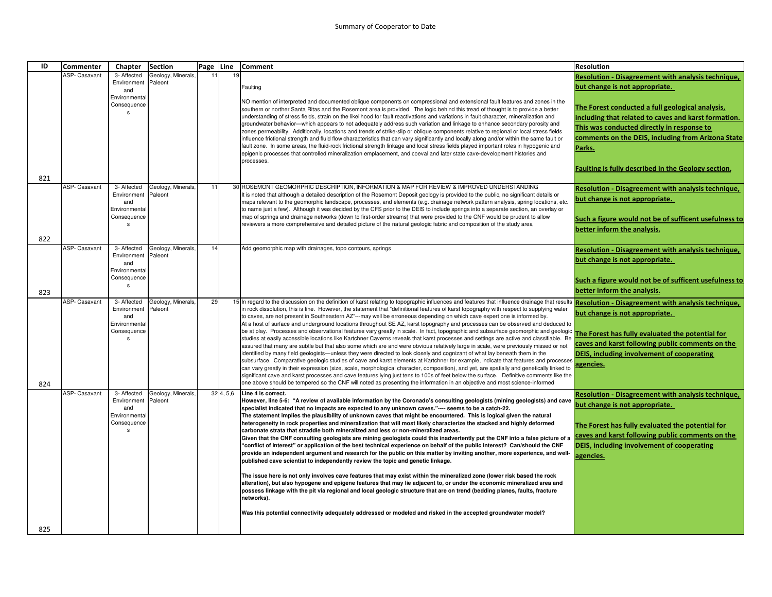| ID  | <b>Commenter</b> | <b>Chapter</b>             | <b>Section</b>                | Page | Line     | Comment                                                                                                                                                                                                                                                                              | <b>Resolution</b>                                          |
|-----|------------------|----------------------------|-------------------------------|------|----------|--------------------------------------------------------------------------------------------------------------------------------------------------------------------------------------------------------------------------------------------------------------------------------------|------------------------------------------------------------|
|     | ASP- Casavant    | 3- Affected                | Geology, Minerals.            | 11   | 19       |                                                                                                                                                                                                                                                                                      | Resolution - Disagreement with analysis technique,         |
|     |                  | Environment                | Paleont                       |      |          | Faulting                                                                                                                                                                                                                                                                             | but change is not appropriate.                             |
|     |                  | and<br>Environmental       |                               |      |          |                                                                                                                                                                                                                                                                                      |                                                            |
|     |                  | Consequence                |                               |      |          | NO mention of interpreted and documented oblique components on compressional and extensional fault features and zones in the                                                                                                                                                         | The Forest conducted a full geological analysis,           |
|     |                  | s                          |                               |      |          | southern or norther Santa Ritas and the Rosemont area is provided. The logic behind this tread of thought is to provide a better<br>understanding of stress fields, strain on the likelihood for fault reactivations and variations in fault character, mineralization and           | including that related to caves and karst formation.       |
|     |                  |                            |                               |      |          | groundwater behavior—which appears to not adequately address such variation and linkage to enhance secondary porosity and                                                                                                                                                            |                                                            |
|     |                  |                            |                               |      |          | zones permeability. Additionally, locations and trends of strike-slip or oblique components relative to regional or local stress fields                                                                                                                                              | This was conducted directly in response to                 |
|     |                  |                            |                               |      |          | influence frictional strength and fluid flow characteristics that can vary significantly and locally along and/or within the same fault or                                                                                                                                           | comments on the DEIS, including from Arizona State         |
|     |                  |                            |                               |      |          | fault zone. In some areas, the fluid-rock frictional strength linkage and local stress fields played important roles in hypogenic and<br>epigenic processes that controlled mineralization emplacement, and coeval and later state cave-development histories and                    | Parks.                                                     |
|     |                  |                            |                               |      |          | processes.                                                                                                                                                                                                                                                                           |                                                            |
|     |                  |                            |                               |      |          |                                                                                                                                                                                                                                                                                      | <b>Faulting is fully described in the Geology section.</b> |
| 821 |                  |                            |                               |      |          |                                                                                                                                                                                                                                                                                      |                                                            |
|     | ASP- Casavant    | 3- Affected                | Geology, Minerals,            | 11   |          | 30 ROSEMONT GEOMORPHIC DESCRIPTION. INFORMATION & MAP FOR REVIEW & IMPROVED UNDERSTANDING                                                                                                                                                                                            | Resolution - Disagreement with analysis technique,         |
|     |                  | Environment                | Paleont                       |      |          | It is noted that although a detailed description of the Rosemont Deposit geology is provided to the public, no significant details or                                                                                                                                                | but change is not appropriate.                             |
|     |                  | and<br>Environmental       |                               |      |          | maps relevant to the geomorphic landscape, processes, and elements (e.g. drainage network pattern analysis, spring locations, etc.<br>to name just a few). Although it was decided by the CFS prior to the DEIS to include springs into a separate section, an overlay or            |                                                            |
|     |                  | Consequence                |                               |      |          | map of springs and drainage networks (down to first-order streams) that were provided to the CNF would be prudent to allow                                                                                                                                                           |                                                            |
|     |                  | $\sf s$                    |                               |      |          | reviewers a more comprehensive and detailed picture of the natural geologic fabric and composition of the study area                                                                                                                                                                 | Such a figure would not be of sufficent usefulness to      |
|     |                  |                            |                               |      |          |                                                                                                                                                                                                                                                                                      | better inform the analysis.                                |
| 822 |                  |                            |                               |      |          |                                                                                                                                                                                                                                                                                      |                                                            |
|     | ASP- Casavant    | 3- Affected<br>Environment | Geology, Minerals,<br>Paleont | 14   |          | Add geomorphic map with drainages, topo contours, springs                                                                                                                                                                                                                            | Resolution - Disagreement with analysis technique,         |
|     |                  | and                        |                               |      |          |                                                                                                                                                                                                                                                                                      | but change is not appropriate.                             |
|     |                  | Environmental              |                               |      |          |                                                                                                                                                                                                                                                                                      |                                                            |
|     |                  | Consequence                |                               |      |          |                                                                                                                                                                                                                                                                                      | Such a figure would not be of sufficent usefulness to      |
| 823 |                  | s                          |                               |      |          |                                                                                                                                                                                                                                                                                      | better inform the analysis.                                |
|     | ASP- Casavant    | 3- Affected                | Geology, Minerals,            | 29   |          | 15 In regard to the discussion on the definition of karst relating to topographic influences and features that influence drainage that results                                                                                                                                       | <b>Resolution - Disagreement with analysis technique,</b>  |
|     |                  | Environment                | Paleont                       |      |          | in rock dissolution, this is fine. However, the statement that "definitional features of karst topography with respect to supplying water                                                                                                                                            |                                                            |
|     |                  | and                        |                               |      |          | to caves, are not present in Southeastern AZ"---may well be erroneous depending on which cave expert one is informed by.                                                                                                                                                             | but change is not appropriate.                             |
|     |                  | Environmental              |                               |      |          | At a host of surface and underground locations throughout SE AZ, karst topography and processes can be observed and deduced to                                                                                                                                                       |                                                            |
|     |                  | Consequence<br>s           |                               |      |          | be at play. Processes and observational features vary greatly in scale. In fact, topographic and subsurface geomorphic and geologic<br>studies at easily accessible locations like Kartchner Caverns reveals that karst processes and settings are active and classifiable. Be       | The Forest has fully evaluated the potential for           |
|     |                  |                            |                               |      |          | assured that many are subtle but that also some which are and were obvious relatively large in scale, were previously missed or not                                                                                                                                                  | caves and karst following public comments on the           |
|     |                  |                            |                               |      |          | identified by many field geologists—unless they were directed to look closely and cognizant of what lay beneath them in the                                                                                                                                                          | DEIS, including involvement of cooperating                 |
|     |                  |                            |                               |      |          | subsurface. Comparative geologic studies of cave and karst elements at Kartchner for example, indicate that features and processes                                                                                                                                                   | agencies.                                                  |
|     |                  |                            |                               |      |          | can vary greatly in their expression (size, scale, morphological character, composition), and yet, are spatially and genetically linked to<br>significant cave and karst processes and cave features lying just tens to 100s of feet below the surface. Definitive comments like the |                                                            |
| 824 |                  |                            |                               |      |          | one above should be tempered so the CNF will noted as presenting the information in an objective and most science-informed                                                                                                                                                           |                                                            |
|     | ASP- Casavant    | 3- Affected                | Geology, Minerals,            |      | 324, 5,6 | Line 4 is correct.                                                                                                                                                                                                                                                                   | Resolution - Disagreement with analysis technique,         |
|     |                  | Environment                | Paleont                       |      |          | However, line 5-6: "A review of available information by the Coronado's consulting geologists (mining geologists) and cave                                                                                                                                                           | but change is not appropriate.                             |
|     |                  | and<br>Environmental       |                               |      |          | specialist indicated that no impacts are expected to any unknown caves."---- seems to be a catch-22.                                                                                                                                                                                 |                                                            |
|     |                  | Consequence                |                               |      |          | The statement implies the plausibility of unknown caves that might be encountered. This is logical given the natural<br>heterogeneity in rock properties and mineralization that will most likely characterize the stacked and highly deformed                                       |                                                            |
|     |                  | s                          |                               |      |          | carbonate strata that straddle both mineralized and less or non-mineralized areas.                                                                                                                                                                                                   | The Forest has fully evaluated the potential for           |
|     |                  |                            |                               |      |          | Given that the CNF consulting geologists are mining geologists could this inadvertently put the CNF into a false picture of a                                                                                                                                                        | caves and karst following public comments on the           |
|     |                  |                            |                               |      |          | "conflict of interest" or application of the best technical experience on behalf of the public interest? Can/should the CNF                                                                                                                                                          | DEIS, including involvement of cooperating                 |
|     |                  |                            |                               |      |          | provide an independent argument and research for the public on this matter by inviting another, more experience, and well-<br>published cave scientist to independently review the topic and genetic linkage.                                                                        | agencies.                                                  |
|     |                  |                            |                               |      |          |                                                                                                                                                                                                                                                                                      |                                                            |
|     |                  |                            |                               |      |          | The issue here is not only involves cave features that may exist within the mineralized zone (lower risk based the rock                                                                                                                                                              |                                                            |
|     |                  |                            |                               |      |          | alteration), but also hypogene and epigene features that may lie adjacent to, or under the economic mineralized area and                                                                                                                                                             |                                                            |
|     |                  |                            |                               |      |          | possess linkage with the pit via regional and local geologic structure that are on trend (bedding planes, faults, fracture<br>networks).                                                                                                                                             |                                                            |
|     |                  |                            |                               |      |          |                                                                                                                                                                                                                                                                                      |                                                            |
|     |                  |                            |                               |      |          | Was this potential connectivity adequately addressed or modeled and risked in the accepted groundwater model?                                                                                                                                                                        |                                                            |
|     |                  |                            |                               |      |          |                                                                                                                                                                                                                                                                                      |                                                            |
| 825 |                  |                            |                               |      |          |                                                                                                                                                                                                                                                                                      |                                                            |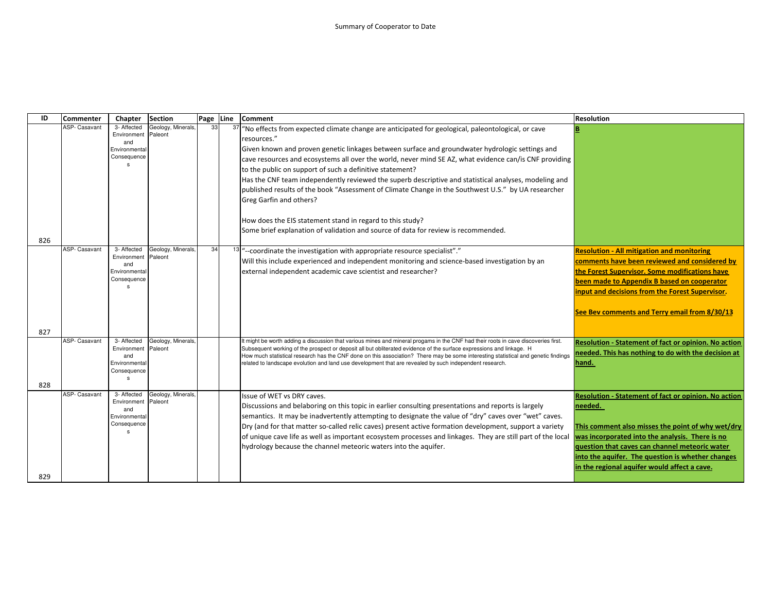| ID         | Commenter            | Chapter                                                                           | <b>Section</b>                | Page Line |    | <b>Comment</b>                                                                                                                                                                                                                                                                                                                                                                                                                                                                                                                          | <b>Resolution</b>                                                                                                                                                                                                                                                                                                                     |
|------------|----------------------|-----------------------------------------------------------------------------------|-------------------------------|-----------|----|-----------------------------------------------------------------------------------------------------------------------------------------------------------------------------------------------------------------------------------------------------------------------------------------------------------------------------------------------------------------------------------------------------------------------------------------------------------------------------------------------------------------------------------------|---------------------------------------------------------------------------------------------------------------------------------------------------------------------------------------------------------------------------------------------------------------------------------------------------------------------------------------|
|            | <b>ASP- Casavant</b> | 3- Affected<br>Environment<br>and<br>Environmental<br>Consequence                 | Geology, Minerals,<br>Paleont | 33        | 37 | "No effects from expected climate change are anticipated for geological, paleontological, or cave<br>resources."<br>Given known and proven genetic linkages between surface and groundwater hydrologic settings and<br>cave resources and ecosystems all over the world, never mind SE AZ, what evidence can/is CNF providing<br>to the public on support of such a definitive statement?<br>Has the CNF team independently reviewed the superb descriptive and statistical analyses, modeling and                                      |                                                                                                                                                                                                                                                                                                                                       |
|            |                      |                                                                                   |                               |           |    | published results of the book "Assessment of Climate Change in the Southwest U.S." by UA researcher<br>Greg Garfin and others?<br>How does the EIS statement stand in regard to this study?                                                                                                                                                                                                                                                                                                                                             |                                                                                                                                                                                                                                                                                                                                       |
| 826        |                      |                                                                                   |                               |           |    | Some brief explanation of validation and source of data for review is recommended.                                                                                                                                                                                                                                                                                                                                                                                                                                                      |                                                                                                                                                                                                                                                                                                                                       |
|            | <b>ASP- Casavant</b> | 3- Affected<br>Environment<br>and<br>Environmental<br>Consequence                 | Geology, Minerals,<br>Paleont | 34        |    | <sup>13</sup> ] "--coordinate the investigation with appropriate resource specialist"."<br>Will this include experienced and independent monitoring and science-based investigation by an<br>external independent academic cave scientist and researcher?                                                                                                                                                                                                                                                                               | <b>Resolution - All mitigation and monitoring</b><br>comments have been reviewed and considered by<br>the Forest Supervisor. Some modifications have<br>been made to Appendix B based on cooperator<br>input and decisions from the Forest Supervisor.<br>See Bev comments and Terry email from 8/30/13                               |
| 827<br>828 | ASP- Casavant        | 3- Affected<br>Environment<br>and<br>Environmental<br>Consequence<br>$\mathbf{S}$ | Geology, Minerals<br>Paleont  |           |    | It might be worth adding a discussion that various mines and mineral progams in the CNF had their roots in cave discoveries first.<br>Subsequent working of the prospect or deposit all but obliterated evidence of the surface expressions and linkage. H<br>How much statistical research has the CNF done on this association? There may be some interesting statistical and genetic findings<br>related to landscape evolution and land use development that are revealed by such independent research.                             | <b>Resolution - Statement of fact or opinion. No action</b><br>needed. This has nothing to do with the decision at<br>hand.                                                                                                                                                                                                           |
| 829        | <b>ASP- Casavant</b> | 3- Affected<br>Environment<br>and<br>Environmental<br>Consequence<br>s            | Geology, Minerals<br>Paleont  |           |    | Issue of WET vs DRY caves.<br>Discussions and belaboring on this topic in earlier consulting presentations and reports is largely<br>semantics. It may be inadvertently attempting to designate the value of "dry" caves over "wet" caves.<br>Dry (and for that matter so-called relic caves) present active formation development, support a variety<br>of unique cave life as well as important ecosystem processes and linkages. They are still part of the local<br>hydrology because the channel meteoric waters into the aquifer. | <b>Resolution - Statement of fact or opinion. No action</b><br>needed.<br>This comment also misses the point of why wet/dry<br>was incorporated into the analysis. There is no<br>question that caves can channel meteoric water<br>into the aquifer. The question is whether changes<br>in the regional aquifer would affect a cave. |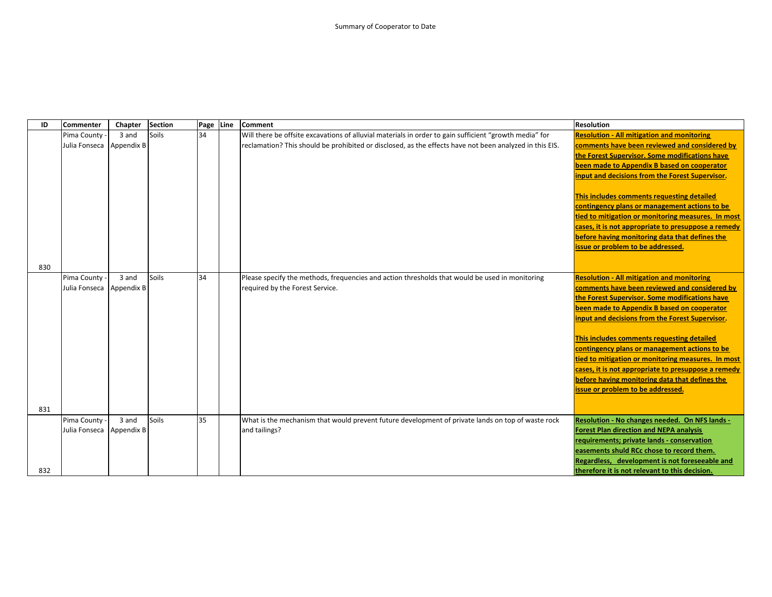| ID  | Commenter     | Chapter    | <b>Section</b> | Page Line | <b>Comment</b>                                                                                          | <b>Resolution</b>                                   |
|-----|---------------|------------|----------------|-----------|---------------------------------------------------------------------------------------------------------|-----------------------------------------------------|
|     | Pima County   | 3 and      | Soils          | 34        | Will there be offsite excavations of alluvial materials in order to gain sufficient "growth media" for  | <b>Resolution - All mitigation and monitoring</b>   |
|     | Julia Fonseca | Appendix B |                |           | reclamation? This should be prohibited or disclosed, as the effects have not been analyzed in this EIS. | comments have been reviewed and considered by       |
|     |               |            |                |           |                                                                                                         | the Forest Supervisor. Some modifications have      |
|     |               |            |                |           |                                                                                                         | been made to Appendix B based on cooperator         |
|     |               |            |                |           |                                                                                                         | input and decisions from the Forest Supervisor.     |
|     |               |            |                |           |                                                                                                         |                                                     |
|     |               |            |                |           |                                                                                                         | This includes comments requesting detailed          |
|     |               |            |                |           |                                                                                                         | contingency plans or management actions to be       |
|     |               |            |                |           |                                                                                                         | tied to mitigation or monitoring measures. In most  |
|     |               |            |                |           |                                                                                                         | cases, it is not appropriate to presuppose a remedy |
|     |               |            |                |           |                                                                                                         | before having monitoring data that defines the      |
|     |               |            |                |           |                                                                                                         | issue or problem to be addressed.                   |
|     |               |            |                |           |                                                                                                         |                                                     |
| 830 |               |            |                |           |                                                                                                         |                                                     |
|     | Pima County   | 3 and      | Soils          | 34        | Please specify the methods, frequencies and action thresholds that would be used in monitoring          | <b>Resolution - All mitigation and monitoring</b>   |
|     | Julia Fonseca | Appendix B |                |           | required by the Forest Service.                                                                         | comments have been reviewed and considered by       |
|     |               |            |                |           |                                                                                                         | the Forest Supervisor. Some modifications have      |
|     |               |            |                |           |                                                                                                         | been made to Appendix B based on cooperator         |
|     |               |            |                |           |                                                                                                         | input and decisions from the Forest Supervisor.     |
|     |               |            |                |           |                                                                                                         | This includes comments requesting detailed          |
|     |               |            |                |           |                                                                                                         | contingency plans or management actions to be       |
|     |               |            |                |           |                                                                                                         | tied to mitigation or monitoring measures. In most  |
|     |               |            |                |           |                                                                                                         | cases, it is not appropriate to presuppose a remedy |
|     |               |            |                |           |                                                                                                         | before having monitoring data that defines the      |
|     |               |            |                |           |                                                                                                         | issue or problem to be addressed.                   |
|     |               |            |                |           |                                                                                                         |                                                     |
| 831 |               |            |                |           |                                                                                                         |                                                     |
|     | Pima County - | 3 and      | Soils          | 35        | What is the mechanism that would prevent future development of private lands on top of waste rock       | Resolution - No changes needed. On NFS lands -      |
|     | Julia Fonseca | Appendix B |                |           | and tailings?                                                                                           | <b>Forest Plan direction and NEPA analysis</b>      |
|     |               |            |                |           |                                                                                                         | requirements; private lands - conservation          |
|     |               |            |                |           |                                                                                                         | easements shuld RCc chose to record them.           |
|     |               |            |                |           |                                                                                                         | Regardless, development is not foreseeable and      |
| 832 |               |            |                |           |                                                                                                         | therefore it is not relevant to this decision.      |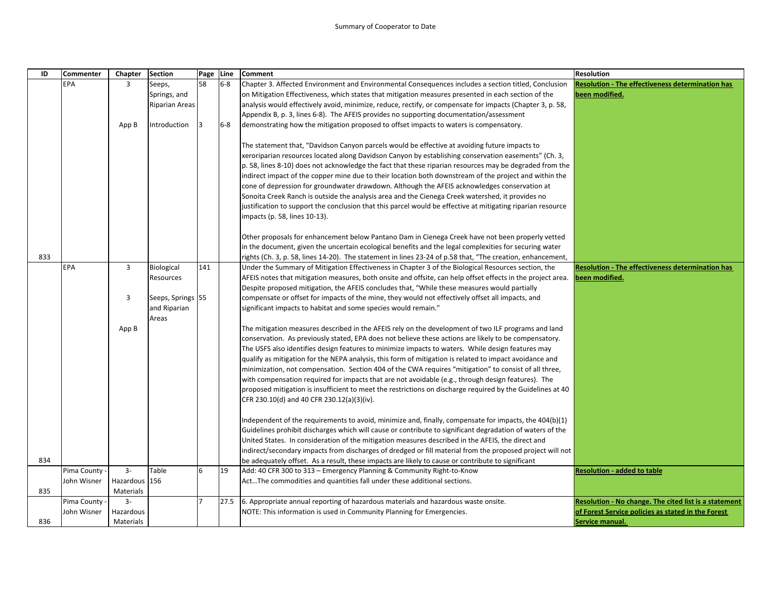| ID  | <b>Commenter</b> | Chapter       | <b>Section</b>    | Page Line |       | <b>Comment</b>                                                                                                                                                             | <b>Resolution</b>                                            |
|-----|------------------|---------------|-------------------|-----------|-------|----------------------------------------------------------------------------------------------------------------------------------------------------------------------------|--------------------------------------------------------------|
|     | EPA              | 3             | Seeps,            | 58        | $6-8$ | Chapter 3. Affected Environment and Environmental Consequences includes a section titled, Conclusion                                                                       | <b>Resolution - The effectiveness determination has</b>      |
|     |                  |               | Springs, and      |           |       | on Mitigation Effectiveness, which states that mitigation measures presented in each section of the                                                                        | been modified.                                               |
|     |                  |               | Riparian Areas    |           |       | analysis would effectively avoid, minimize, reduce, rectify, or compensate for impacts (Chapter 3, p. 58,                                                                  |                                                              |
|     |                  |               |                   |           |       | Appendix B, p. 3, lines 6-8). The AFEIS provides no supporting documentation/assessment                                                                                    |                                                              |
|     |                  | App B         | Introduction      | 13        | $6-8$ | demonstrating how the mitigation proposed to offset impacts to waters is compensatory.                                                                                     |                                                              |
|     |                  |               |                   |           |       |                                                                                                                                                                            |                                                              |
|     |                  |               |                   |           |       | The statement that, "Davidson Canyon parcels would be effective at avoiding future impacts to                                                                              |                                                              |
|     |                  |               |                   |           |       | xeroriparian resources located along Davidson Canyon by establishing conservation easements" (Ch. 3,                                                                       |                                                              |
|     |                  |               |                   |           |       | $\vert$ p. 58, lines 8-10) does not acknowledge the fact that these riparian resources may be degraded from the                                                            |                                                              |
|     |                  |               |                   |           |       | indirect impact of the copper mine due to their location both downstream of the project and within the                                                                     |                                                              |
|     |                  |               |                   |           |       | cone of depression for groundwater drawdown. Although the AFEIS acknowledges conservation at                                                                               |                                                              |
|     |                  |               |                   |           |       | Sonoita Creek Ranch is outside the analysis area and the Cienega Creek watershed, it provides no                                                                           |                                                              |
|     |                  |               |                   |           |       | justification to support the conclusion that this parcel would be effective at mitigating riparian resource                                                                |                                                              |
|     |                  |               |                   |           |       | impacts (p. 58, lines 10-13).                                                                                                                                              |                                                              |
|     |                  |               |                   |           |       |                                                                                                                                                                            |                                                              |
|     |                  |               |                   |           |       | Other proposals for enhancement below Pantano Dam in Cienega Creek have not been properly vetted                                                                           |                                                              |
|     |                  |               |                   |           |       | in the document, given the uncertain ecological benefits and the legal complexities for securing water                                                                     |                                                              |
| 833 |                  |               |                   |           |       | rights (Ch. 3, p. 58, lines 14-20). The statement in lines 23-24 of p.58 that, "The creation, enhancement,                                                                 |                                                              |
|     | <b>EPA</b>       | 3             | Biological        | 141       |       | Under the Summary of Mitigation Effectiveness in Chapter 3 of the Biological Resources section, the                                                                        | <b>Resolution - The effectiveness determination has</b>      |
|     |                  |               | Resources         |           |       | AFEIS notes that mitigation measures, both onsite and offsite, can help offset effects in the project area.                                                                | been modified.                                               |
|     |                  |               |                   |           |       | Despite proposed mitigation, the AFEIS concludes that, "While these measures would partially                                                                               |                                                              |
|     |                  | 3             | Seeps, Springs 55 |           |       | compensate or offset for impacts of the mine, they would not effectively offset all impacts, and                                                                           |                                                              |
|     |                  |               | and Riparian      |           |       | significant impacts to habitat and some species would remain."                                                                                                             |                                                              |
|     |                  |               | Areas             |           |       |                                                                                                                                                                            |                                                              |
|     |                  | App B         |                   |           |       | The mitigation measures described in the AFEIS rely on the development of two ILF programs and land                                                                        |                                                              |
|     |                  |               |                   |           |       | conservation. As previously stated, EPA does not believe these actions are likely to be compensatory.                                                                      |                                                              |
|     |                  |               |                   |           |       | The USFS also identifies design features to minimize impacts to waters. While design features may                                                                          |                                                              |
|     |                  |               |                   |           |       | qualify as mitigation for the NEPA analysis, this form of mitigation is related to impact avoidance and                                                                    |                                                              |
|     |                  |               |                   |           |       | minimization, not compensation. Section 404 of the CWA requires "mitigation" to consist of all three,                                                                      |                                                              |
|     |                  |               |                   |           |       | with compensation required for impacts that are not avoidable (e.g., through design features). The                                                                         |                                                              |
|     |                  |               |                   |           |       | proposed mitigation is insufficient to meet the restrictions on discharge required by the Guidelines at 40                                                                 |                                                              |
|     |                  |               |                   |           |       | CFR 230.10(d) and 40 CFR 230.12(a)(3)(iv).                                                                                                                                 |                                                              |
|     |                  |               |                   |           |       |                                                                                                                                                                            |                                                              |
|     |                  |               |                   |           |       | Independent of the requirements to avoid, minimize and, finally, compensate for impacts, the 404(b)(1)                                                                     |                                                              |
|     |                  |               |                   |           |       | Guidelines prohibit discharges which will cause or contribute to significant degradation of waters of the                                                                  |                                                              |
|     |                  |               |                   |           |       | United States. In consideration of the mitigation measures described in the AFEIS, the direct and                                                                          |                                                              |
| 834 |                  |               |                   |           |       | indirect/secondary impacts from discharges of dredged or fill material from the proposed project will not                                                                  |                                                              |
|     | Pima County      | $3-$          | Table             | 6         | 19    | be adequately offset. As a result, these impacts are likely to cause or contribute to significant<br>Add: 40 CFR 300 to 313 - Emergency Planning & Community Right-to-Know | <b>Resolution - added to table</b>                           |
|     | John Wisner      | Hazardous 156 |                   |           |       | ActThe commodities and quantities fall under these additional sections.                                                                                                    |                                                              |
| 835 |                  | Materials     |                   |           |       |                                                                                                                                                                            |                                                              |
|     | Pima County      | $3-$          |                   | 17        | 27.5  | 6. Appropriate annual reporting of hazardous materials and hazardous waste onsite.                                                                                         | <b>Resolution - No change. The cited list is a statement</b> |
|     | John Wisner      | Hazardous     |                   |           |       | NOTE: This information is used in Community Planning for Emergencies.                                                                                                      | of Forest Service policies as stated in the Forest           |
| 836 |                  | Materials     |                   |           |       |                                                                                                                                                                            | Service manual.                                              |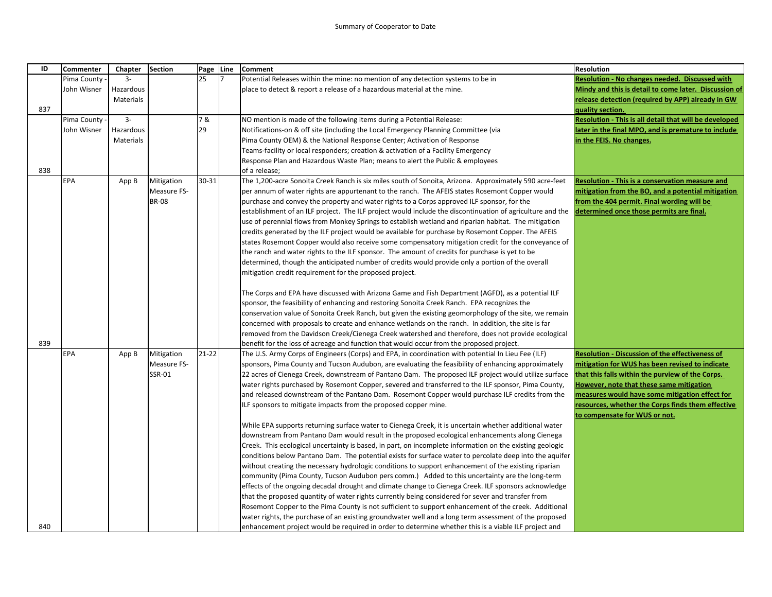| ID  | Commenter   | Chapter   | <b>Section</b> | Page Line | <b>Comment</b>                                                                                                                                                                                 | <b>Resolution</b>                                      |
|-----|-------------|-----------|----------------|-----------|------------------------------------------------------------------------------------------------------------------------------------------------------------------------------------------------|--------------------------------------------------------|
|     | Pima County | $3 -$     |                | 25        | Potential Releases within the mine: no mention of any detection systems to be in                                                                                                               | Resolution - No changes needed. Discussed with         |
|     | John Wisner | Hazardous |                |           | place to detect & report a release of a hazardous material at the mine.                                                                                                                        | Mindy and this is detail to come later. Discussion of  |
|     |             | Materials |                |           |                                                                                                                                                                                                | release detection (required by APP) already in GW      |
| 837 |             |           |                |           |                                                                                                                                                                                                | quality section.                                       |
|     | Pima County | $3-$      |                | 7 &       | NO mention is made of the following items during a Potential Release:                                                                                                                          | Resolution - This is all detail that will be developed |
|     | John Wisner | Hazardous |                | 29        | Notifications-on & off site (including the Local Emergency Planning Committee (via                                                                                                             | ater in the final MPO, and is premature to include     |
|     |             | Materials |                |           | Pima County OEM) & the National Response Center; Activation of Response                                                                                                                        | in the FEIS. No changes.                               |
|     |             |           |                |           | Teams-facility or local responders; creation & activation of a Facility Emergency                                                                                                              |                                                        |
|     |             |           |                |           | Response Plan and Hazardous Waste Plan; means to alert the Public & employees                                                                                                                  |                                                        |
| 838 |             |           |                |           | of a release;                                                                                                                                                                                  |                                                        |
|     | <b>EPA</b>  | App B     | Mitigation     | 30-31     | The 1,200-acre Sonoita Creek Ranch is six miles south of Sonoita, Arizona. Approximately 590 acre-feet                                                                                         | <b>Resolution - This is a conservation measure and</b> |
|     |             |           | Measure FS-    |           | per annum of water rights are appurtenant to the ranch. The AFEIS states Rosemont Copper would                                                                                                 | mitigation from the BO, and a potential mitigation     |
|     |             |           | <b>BR-08</b>   |           | purchase and convey the property and water rights to a Corps approved ILF sponsor, for the                                                                                                     | from the 404 permit. Final wording will be             |
|     |             |           |                |           | establishment of an ILF project. The ILF project would include the discontinuation of agriculture and the                                                                                      | determined once those permits are final.               |
|     |             |           |                |           | use of perennial flows from Monkey Springs to establish wetland and riparian habitat. The mitigation                                                                                           |                                                        |
|     |             |           |                |           | credits generated by the ILF project would be available for purchase by Rosemont Copper. The AFEIS                                                                                             |                                                        |
|     |             |           |                |           | states Rosemont Copper would also receive some compensatory mitigation credit for the conveyance of                                                                                            |                                                        |
|     |             |           |                |           | the ranch and water rights to the ILF sponsor. The amount of credits for purchase is yet to be                                                                                                 |                                                        |
|     |             |           |                |           | determined, though the anticipated number of credits would provide only a portion of the overall                                                                                               |                                                        |
|     |             |           |                |           | mitigation credit requirement for the proposed project.                                                                                                                                        |                                                        |
|     |             |           |                |           |                                                                                                                                                                                                |                                                        |
|     |             |           |                |           | The Corps and EPA have discussed with Arizona Game and Fish Department (AGFD), as a potential ILF                                                                                              |                                                        |
|     |             |           |                |           | sponsor, the feasibility of enhancing and restoring Sonoita Creek Ranch. EPA recognizes the                                                                                                    |                                                        |
|     |             |           |                |           | conservation value of Sonoita Creek Ranch, but given the existing geomorphology of the site, we remain                                                                                         |                                                        |
|     |             |           |                |           | concerned with proposals to create and enhance wetlands on the ranch. In addition, the site is far                                                                                             |                                                        |
| 839 |             |           |                |           | removed from the Davidson Creek/Cienega Creek watershed and therefore, does not provide ecological                                                                                             |                                                        |
|     | <b>EPA</b>  | App B     | Mitigation     | $21 - 22$ | benefit for the loss of acreage and function that would occur from the proposed project.<br>The U.S. Army Corps of Engineers (Corps) and EPA, in coordination with potential In Lieu Fee (ILF) | Resolution - Discussion of the effectiveness of        |
|     |             |           | Measure FS-    |           | sponsors, Pima County and Tucson Audubon, are evaluating the feasibility of enhancing approximately                                                                                            | mitigation for WUS has been revised to indicate        |
|     |             |           | SSR-01         |           | 22 acres of Cienega Creek, downstream of Pantano Dam. The proposed ILF project would utilize surface                                                                                           | that this falls within the purview of the Corps.       |
|     |             |           |                |           | water rights purchased by Rosemont Copper, severed and transferred to the ILF sponsor, Pima County,                                                                                            | However, note that these same mitigation               |
|     |             |           |                |           | and released downstream of the Pantano Dam. Rosemont Copper would purchase ILF credits from the                                                                                                | measures would have some mitigation effect for         |
|     |             |           |                |           | ILF sponsors to mitigate impacts from the proposed copper mine.                                                                                                                                | resources, whether the Corps finds them effective      |
|     |             |           |                |           |                                                                                                                                                                                                | to compensate for WUS or not.                          |
|     |             |           |                |           | While EPA supports returning surface water to Cienega Creek, it is uncertain whether additional water                                                                                          |                                                        |
|     |             |           |                |           | downstream from Pantano Dam would result in the proposed ecological enhancements along Cienega                                                                                                 |                                                        |
|     |             |           |                |           | Creek. This ecological uncertainty is based, in part, on incomplete information on the existing geologic                                                                                       |                                                        |
|     |             |           |                |           | conditions below Pantano Dam. The potential exists for surface water to percolate deep into the aquifer                                                                                        |                                                        |
|     |             |           |                |           | without creating the necessary hydrologic conditions to support enhancement of the existing riparian                                                                                           |                                                        |
|     |             |           |                |           | community (Pima County, Tucson Audubon pers comm.) Added to this uncertainty are the long-term                                                                                                 |                                                        |
|     |             |           |                |           | effects of the ongoing decadal drought and climate change to Cienega Creek. ILF sponsors acknowledge                                                                                           |                                                        |
|     |             |           |                |           | that the proposed quantity of water rights currently being considered for sever and transfer from                                                                                              |                                                        |
|     |             |           |                |           | Rosemont Copper to the Pima County is not sufficient to support enhancement of the creek. Additional                                                                                           |                                                        |
|     |             |           |                |           | water rights, the purchase of an existing groundwater well and a long term assessment of the proposed                                                                                          |                                                        |
| 840 |             |           |                |           | enhancement project would be required in order to determine whether this is a viable ILF project and                                                                                           |                                                        |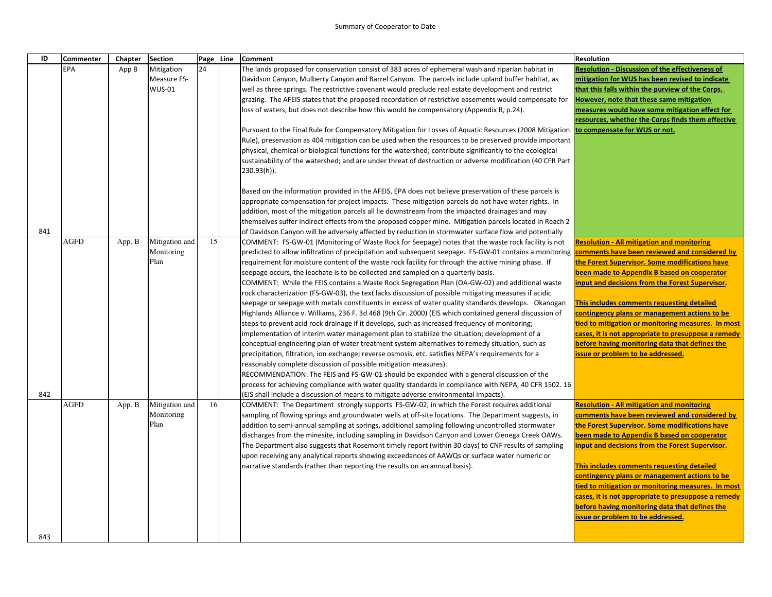| ID  | <b>Commenter</b> | Chapter | <b>Section</b>               |    | Page Line | <b>Comment</b>                                                                                                                                                                                                                                                      | <b>Resolution</b>                                      |
|-----|------------------|---------|------------------------------|----|-----------|---------------------------------------------------------------------------------------------------------------------------------------------------------------------------------------------------------------------------------------------------------------------|--------------------------------------------------------|
|     | EPA              | App B   | Mitigation                   | 24 |           | The lands proposed for conservation consist of 383 acres of ephemeral wash and riparian habitat in                                                                                                                                                                  | <b>Resolution - Discussion of the effectiveness of</b> |
|     |                  |         | Measure FS-                  |    |           | Davidson Canyon, Mulberry Canyon and Barrel Canyon. The parcels include upland buffer habitat, as                                                                                                                                                                   | mitigation for WUS has been revised to indicate        |
|     |                  |         | <b>WUS-01</b>                |    |           | well as three springs. The restrictive covenant would preclude real estate development and restrict                                                                                                                                                                 | that this falls within the purview of the Corps.       |
|     |                  |         |                              |    |           | grazing. The AFEIS states that the proposed recordation of restrictive easements would compensate for                                                                                                                                                               | However, note that these same mitigation               |
|     |                  |         |                              |    |           | loss of waters, but does not describe how this would be compensatory (Appendix B, p.24).                                                                                                                                                                            | measures would have some mitigation effect for         |
|     |                  |         |                              |    |           |                                                                                                                                                                                                                                                                     | resources, whether the Corps finds them effective      |
|     |                  |         |                              |    |           | Pursuant to the Final Rule for Compensatory Mitigation for Losses of Aquatic Resources (2008 Mitigation to compensate for WUS or not.                                                                                                                               |                                                        |
|     |                  |         |                              |    |           | Rule), preservation as 404 mitigation can be used when the resources to be preserved provide important                                                                                                                                                              |                                                        |
|     |                  |         |                              |    |           | physical, chemical or biological functions for the watershed; contribute significantly to the ecological                                                                                                                                                            |                                                        |
|     |                  |         |                              |    |           | sustainability of the watershed; and are under threat of destruction or adverse modification (40 CFR Part                                                                                                                                                           |                                                        |
|     |                  |         |                              |    |           | $230.93(h)$ ).                                                                                                                                                                                                                                                      |                                                        |
|     |                  |         |                              |    |           |                                                                                                                                                                                                                                                                     |                                                        |
|     |                  |         |                              |    |           | Based on the information provided in the AFEIS, EPA does not believe preservation of these parcels is                                                                                                                                                               |                                                        |
|     |                  |         |                              |    |           | appropriate compensation for project impacts. These mitigation parcels do not have water rights. In                                                                                                                                                                 |                                                        |
|     |                  |         |                              |    |           | addition, most of the mitigation parcels all lie downstream from the impacted drainages and may                                                                                                                                                                     |                                                        |
|     |                  |         |                              |    |           | themselves suffer indirect effects from the proposed copper mine. Mitigation parcels located in Reach 2                                                                                                                                                             |                                                        |
| 841 |                  |         |                              | 15 |           | of Davidson Canyon will be adversely affected by reduction in stormwater surface flow and potentially                                                                                                                                                               |                                                        |
|     | <b>AGFD</b>      | App. B  | Mitigation and<br>Monitoring |    |           | COMMENT: FS-GW-01 (Monitoring of Waste Rock for Seepage) notes that the waste rock facility is not                                                                                                                                                                  | <b>Resolution - All mitigation and monitoring</b>      |
|     |                  |         | Plan                         |    |           | predicted to allow infiltration of precipitation and subsequent seepage. FS-GW-01 contains a monitoring <b>comments have been reviewed and considered by</b><br>requirement for moisture content of the waste rock facility for through the active mining phase. If | the Forest Supervisor. Some modifications have         |
|     |                  |         |                              |    |           | seepage occurs, the leachate is to be collected and sampled on a quarterly basis.                                                                                                                                                                                   | been made to Appendix B based on cooperator            |
|     |                  |         |                              |    |           | COMMENT: While the FEIS contains a Waste Rock Segregation Plan (OA-GW-02) and additional waste                                                                                                                                                                      | nput and decisions from the Forest Supervisor.         |
|     |                  |         |                              |    |           | rock characterization (FS-GW-03), the text lacks discussion of possible mitigating measures if acidic                                                                                                                                                               |                                                        |
|     |                  |         |                              |    |           | seepage or seepage with metals constituents in excess of water quality standards develops. Okanogan                                                                                                                                                                 | This includes comments requesting detailed             |
|     |                  |         |                              |    |           | Highlands Alliance v. Williams, 236 F. 3d 468 (9th Cir. 2000) (EIS which contained general discussion of                                                                                                                                                            | contingency plans or management actions to be          |
|     |                  |         |                              |    |           | steps to prevent acid rock drainage if it develops, such as increased frequency of monitoring;                                                                                                                                                                      | tied to mitigation or monitoring measures. In most     |
|     |                  |         |                              |    |           | implementation of interim water management plan to stabilize the situation; development of a                                                                                                                                                                        | cases, it is not appropriate to presuppose a remedy    |
|     |                  |         |                              |    |           | conceptual engineering plan of water treatment system alternatives to remedy situation, such as                                                                                                                                                                     | before having monitoring data that defines the         |
|     |                  |         |                              |    |           | precipitation, filtration, ion exchange; reverse osmosis, etc. satisfies NEPA's requirements for a                                                                                                                                                                  | issue or problem to be addressed.                      |
|     |                  |         |                              |    |           | reasonably complete discussion of possible mitigation measures).                                                                                                                                                                                                    |                                                        |
|     |                  |         |                              |    |           | RECOMMENDATION: The FEIS and FS-GW-01 should be expanded with a general discussion of the                                                                                                                                                                           |                                                        |
|     |                  |         |                              |    |           | process for achieving compliance with water quality standards in compliance with NEPA, 40 CFR 1502. 16                                                                                                                                                              |                                                        |
| 842 |                  |         |                              |    |           | (EIS shall include a discussion of means to mitigate adverse environmental impacts).                                                                                                                                                                                |                                                        |
|     | <b>AGFD</b>      | App. B  | Mitigation and               | 16 |           | COMMENT: The Department strongly supports FS-GW-02, in which the Forest requires additional                                                                                                                                                                         | <b>Resolution - All mitigation and monitoring</b>      |
|     |                  |         | Monitoring                   |    |           | sampling of flowing springs and groundwater wells at off-site locations. The Department suggests, in                                                                                                                                                                | comments have been reviewed and considered by          |
|     |                  |         | Plan                         |    |           | addition to semi-annual sampling at springs, additional sampling following uncontrolled stormwater                                                                                                                                                                  | the Forest Supervisor. Some modifications have         |
|     |                  |         |                              |    |           | discharges from the minesite, including sampling in Davidson Canyon and Lower Cienega Creek OAWs.                                                                                                                                                                   | been made to Appendix B based on cooperator            |
|     |                  |         |                              |    |           | The Department also suggests that Rosemont timely report (within 30 days) to CNF results of sampling                                                                                                                                                                | input and decisions from the Forest Supervisor.        |
|     |                  |         |                              |    |           | upon receiving any analytical reports showing exceedances of AAWQs or surface water numeric or                                                                                                                                                                      |                                                        |
|     |                  |         |                              |    |           | narrative standards (rather than reporting the results on an annual basis).                                                                                                                                                                                         | This includes comments requesting detailed             |
|     |                  |         |                              |    |           |                                                                                                                                                                                                                                                                     | contingency plans or management actions to be          |
|     |                  |         |                              |    |           |                                                                                                                                                                                                                                                                     | tied to mitigation or monitoring measures. In most     |
|     |                  |         |                              |    |           |                                                                                                                                                                                                                                                                     | cases, it is not appropriate to presuppose a remedy    |
|     |                  |         |                              |    |           |                                                                                                                                                                                                                                                                     | before having monitoring data that defines the         |
|     |                  |         |                              |    |           |                                                                                                                                                                                                                                                                     | issue or problem to be addressed.                      |
|     |                  |         |                              |    |           |                                                                                                                                                                                                                                                                     |                                                        |
| 843 |                  |         |                              |    |           |                                                                                                                                                                                                                                                                     |                                                        |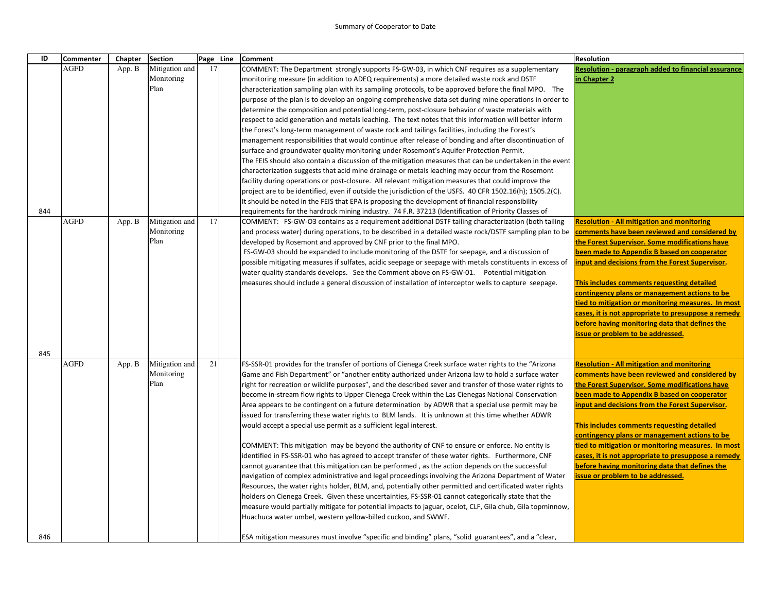| ID  | <b>Commenter</b> | Chapter | Section        | Page Line | Comment                                                                                                                                                                                              | <b>Resolution</b>                                                                                         |
|-----|------------------|---------|----------------|-----------|------------------------------------------------------------------------------------------------------------------------------------------------------------------------------------------------------|-----------------------------------------------------------------------------------------------------------|
|     | <b>AGFD</b>      | App. B  | Mitigation and | 17        | COMMENT: The Department strongly supports FS-GW-03, in which CNF requires as a supplementary                                                                                                         | Resolution - paragraph added to financial assurance                                                       |
|     |                  |         | Monitoring     |           | monitoring measure (in addition to ADEQ requirements) a more detailed waste rock and DSTF                                                                                                            | in Chapter 2                                                                                              |
|     |                  |         | Plan           |           | characterization sampling plan with its sampling protocols, to be approved before the final MPO. The                                                                                                 |                                                                                                           |
|     |                  |         |                |           | purpose of the plan is to develop an ongoing comprehensive data set during mine operations in order to                                                                                               |                                                                                                           |
|     |                  |         |                |           | determine the composition and potential long-term, post-closure behavior of waste materials with                                                                                                     |                                                                                                           |
|     |                  |         |                |           | respect to acid generation and metals leaching. The text notes that this information will better inform                                                                                              |                                                                                                           |
|     |                  |         |                |           | the Forest's long-term management of waste rock and tailings facilities, including the Forest's                                                                                                      |                                                                                                           |
|     |                  |         |                |           | management responsibilities that would continue after release of bonding and after discontinuation of                                                                                                |                                                                                                           |
|     |                  |         |                |           | surface and groundwater quality monitoring under Rosemont's Aquifer Protection Permit.<br>The FEIS should also contain a discussion of the mitigation measures that can be undertaken in the event   |                                                                                                           |
|     |                  |         |                |           | characterization suggests that acid mine drainage or metals leaching may occur from the Rosemont                                                                                                     |                                                                                                           |
|     |                  |         |                |           | facility during operations or post-closure. All relevant mitigation measures that could improve the                                                                                                  |                                                                                                           |
|     |                  |         |                |           | project are to be identified, even if outside the jurisdiction of the USFS. 40 CFR 1502.16(h); 1505.2(C).                                                                                            |                                                                                                           |
|     |                  |         |                |           | It should be noted in the FEIS that EPA is proposing the development of financial responsibility                                                                                                     |                                                                                                           |
| 844 |                  |         |                |           | requirements for the hardrock mining industry. 74 F.R. 37213 (Identification of Priority Classes of                                                                                                  |                                                                                                           |
|     | <b>AGFD</b>      | App. B  | Mitigation and | 17        | COMMENT: FS-GW-O3 contains as a requirement additional DSTF tailing characterization (both tailing                                                                                                   | <b>Resolution - All mitigation and monitoring</b>                                                         |
|     |                  |         | Monitoring     |           | and process water) during operations, to be described in a detailed waste rock/DSTF sampling plan to be                                                                                              | comments have been reviewed and considered by                                                             |
|     |                  |         | Plan           |           | developed by Rosemont and approved by CNF prior to the final MPO.                                                                                                                                    | the Forest Supervisor. Some modifications have                                                            |
|     |                  |         |                |           | FS-GW-03 should be expanded to include monitoring of the DSTF for seepage, and a discussion of                                                                                                       | been made to Appendix B based on cooperator                                                               |
|     |                  |         |                |           | possible mitigating measures if sulfates, acidic seepage or seepage with metals constituents in excess of                                                                                            | input and decisions from the Forest Supervisor.                                                           |
|     |                  |         |                |           | water quality standards develops. See the Comment above on FS-GW-01. Potential mitigation                                                                                                            |                                                                                                           |
|     |                  |         |                |           | measures should include a general discussion of installation of interceptor wells to capture seepage.                                                                                                | This includes comments requesting detailed                                                                |
|     |                  |         |                |           |                                                                                                                                                                                                      | contingency plans or management actions to be                                                             |
|     |                  |         |                |           |                                                                                                                                                                                                      | tied to mitigation or monitoring measures. In most                                                        |
|     |                  |         |                |           |                                                                                                                                                                                                      | cases, it is not appropriate to presuppose a remedy<br>before having monitoring data that defines the     |
|     |                  |         |                |           |                                                                                                                                                                                                      | issue or problem to be addressed.                                                                         |
|     |                  |         |                |           |                                                                                                                                                                                                      |                                                                                                           |
| 845 |                  |         |                |           |                                                                                                                                                                                                      |                                                                                                           |
|     | AGFD             | App. B  | Mitigation and | 21        | FS-SSR-01 provides for the transfer of portions of Cienega Creek surface water rights to the "Arizona                                                                                                | <b>Resolution - All mitigation and monitoring</b>                                                         |
|     |                  |         | Monitoring     |           | Game and Fish Department" or "another entity authorized under Arizona law to hold a surface water                                                                                                    | comments have been reviewed and considered by                                                             |
|     |                  |         | Plan           |           | right for recreation or wildlife purposes", and the described sever and transfer of those water rights to                                                                                            | the Forest Supervisor. Some modifications have                                                            |
|     |                  |         |                |           | become in-stream flow rights to Upper Cienega Creek within the Las Cienegas National Conservation                                                                                                    | been made to Appendix B based on cooperator                                                               |
|     |                  |         |                |           | Area appears to be contingent on a future determination by ADWR that a special use permit may be                                                                                                     | input and decisions from the Forest Supervisor.                                                           |
|     |                  |         |                |           | issued for transferring these water rights to BLM lands. It is unknown at this time whether ADWR                                                                                                     |                                                                                                           |
|     |                  |         |                |           | would accept a special use permit as a sufficient legal interest.                                                                                                                                    | This includes comments requesting detailed                                                                |
|     |                  |         |                |           |                                                                                                                                                                                                      | contingency plans or management actions to be                                                             |
|     |                  |         |                |           | COMMENT: This mitigation may be beyond the authority of CNF to ensure or enforce. No entity is                                                                                                       | tied to mitigation or monitoring measures. In most<br>cases, it is not appropriate to presuppose a remedy |
|     |                  |         |                |           | identified in FS-SSR-01 who has agreed to accept transfer of these water rights. Furthermore, CNF<br>cannot guarantee that this mitigation can be performed, as the action depends on the successful | before having monitoring data that defines the                                                            |
|     |                  |         |                |           | navigation of complex administrative and legal proceedings involving the Arizona Department of Water                                                                                                 | issue or problem to be addressed.                                                                         |
|     |                  |         |                |           | Resources, the water rights holder, BLM, and, potentially other permitted and certificated water rights                                                                                              |                                                                                                           |
|     |                  |         |                |           | holders on Cienega Creek. Given these uncertainties, FS-SSR-01 cannot categorically state that the                                                                                                   |                                                                                                           |
|     |                  |         |                |           | measure would partially mitigate for potential impacts to jaguar, ocelot, CLF, Gila chub, Gila topminnow,                                                                                            |                                                                                                           |
|     |                  |         |                |           | Huachuca water umbel, western yellow-billed cuckoo, and SWWF.                                                                                                                                        |                                                                                                           |
| 846 |                  |         |                |           | ESA mitigation measures must involve "specific and binding" plans, "solid guarantees", and a "clear,                                                                                                 |                                                                                                           |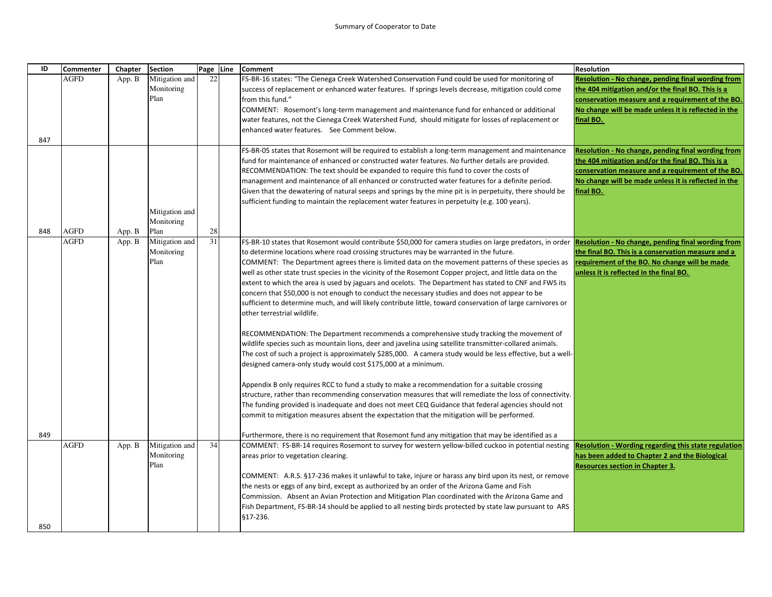| ID  | <b>Commenter</b> | Chapter | <b>Section</b>     | Page Line | <b>Comment</b>                                                                                                                                                                                                    | <b>Resolution</b>                                           |
|-----|------------------|---------|--------------------|-----------|-------------------------------------------------------------------------------------------------------------------------------------------------------------------------------------------------------------------|-------------------------------------------------------------|
|     | <b>AGFD</b>      | App. B  | Mitigation and     | 22        | FS-BR-16 states: "The Cienega Creek Watershed Conservation Fund could be used for monitoring of                                                                                                                   | Resolution - No change, pending final wording from          |
|     |                  |         | Monitoring         |           | success of replacement or enhanced water features. If springs levels decrease, mitigation could come                                                                                                              | the 404 mitigation and/or the final BO. This is a           |
|     |                  |         | Plan               |           | from this fund."                                                                                                                                                                                                  | conservation measure and a requirement of the BO.           |
|     |                  |         |                    |           | COMMENT: Rosemont's long-term management and maintenance fund for enhanced or additional                                                                                                                          | No change will be made unless it is reflected in the        |
|     |                  |         |                    |           | water features, not the Cienega Creek Watershed Fund, should mitigate for losses of replacement or                                                                                                                | final BO.                                                   |
| 847 |                  |         |                    |           | enhanced water features. See Comment below.                                                                                                                                                                       |                                                             |
|     |                  |         |                    |           | FS-BR-05 states that Rosemont will be required to establish a long-term management and maintenance                                                                                                                | Resolution - No change, pending final wording from          |
|     |                  |         |                    |           | fund for maintenance of enhanced or constructed water features. No further details are provided.                                                                                                                  | the 404 mitigation and/or the final BO. This is a           |
|     |                  |         |                    |           | RECOMMENDATION: The text should be expanded to require this fund to cover the costs of                                                                                                                            | conservation measure and a requirement of the BO.           |
|     |                  |         |                    |           | management and maintenance of all enhanced or constructed water features for a definite period.                                                                                                                   | No change will be made unless it is reflected in the        |
|     |                  |         |                    |           | Given that the dewatering of natural seeps and springs by the mine pit is in perpetuity, there should be                                                                                                          | final BO.                                                   |
|     |                  |         |                    |           | sufficient funding to maintain the replacement water features in perpetuity (e.g. 100 years).                                                                                                                     |                                                             |
|     |                  |         | Mitigation and     |           |                                                                                                                                                                                                                   |                                                             |
|     |                  |         | Monitoring         |           |                                                                                                                                                                                                                   |                                                             |
| 848 | <b>AGFD</b>      | App. B  | Plan               | 28        |                                                                                                                                                                                                                   |                                                             |
|     | <b>AGFD</b>      | App. B  | Mitigation and     | 31        | FS-BR-10 states that Rosemont would contribute \$50,000 for camera studies on large predators, in order                                                                                                           | Resolution - No change, pending final wording from          |
|     |                  |         | Monitoring<br>Plan |           | to determine locations where road crossing structures may be warranted in the future.                                                                                                                             | the final BO. This is a conservation measure and a          |
|     |                  |         |                    |           | COMMENT: The Department agrees there is limited data on the movement patterns of these species as                                                                                                                 | requirement of the BO. No change will be made               |
|     |                  |         |                    |           | well as other state trust species in the vicinity of the Rosemont Copper project, and little data on the<br>extent to which the area is used by jaguars and ocelots. The Department has stated to CNF and FWS its | unless it is reflected in the final BO.                     |
|     |                  |         |                    |           | concern that \$50,000 is not enough to conduct the necessary studies and does not appear to be                                                                                                                    |                                                             |
|     |                  |         |                    |           | sufficient to determine much, and will likely contribute little, toward conservation of large carnivores or                                                                                                       |                                                             |
|     |                  |         |                    |           | other terrestrial wildlife.                                                                                                                                                                                       |                                                             |
|     |                  |         |                    |           | RECOMMENDATION: The Department recommends a comprehensive study tracking the movement of                                                                                                                          |                                                             |
|     |                  |         |                    |           | wildlife species such as mountain lions, deer and javelina using satellite transmitter-collared animals.                                                                                                          |                                                             |
|     |                  |         |                    |           | The cost of such a project is approximately \$285,000. A camera study would be less effective, but a well-                                                                                                        |                                                             |
|     |                  |         |                    |           | designed camera-only study would cost \$175,000 at a minimum.                                                                                                                                                     |                                                             |
|     |                  |         |                    |           | Appendix B only requires RCC to fund a study to make a recommendation for a suitable crossing                                                                                                                     |                                                             |
|     |                  |         |                    |           | structure, rather than recommending conservation measures that will remediate the loss of connectivity.                                                                                                           |                                                             |
|     |                  |         |                    |           | The funding provided is inadequate and does not meet CEQ Guidance that federal agencies should not                                                                                                                |                                                             |
|     |                  |         |                    |           | commit to mitigation measures absent the expectation that the mitigation will be performed.                                                                                                                       |                                                             |
| 849 |                  |         |                    |           | Furthermore, there is no requirement that Rosemont fund any mitigation that may be identified as a                                                                                                                |                                                             |
|     | <b>AGFD</b>      | App. B  | Mitigation and     | 34        | COMMENT: FS-BR-14 requires Rosemont to survey for western yellow-billed cuckoo in potential nesting                                                                                                               | <b>Resolution - Wording regarding this state regulation</b> |
|     |                  |         | Monitoring         |           | areas prior to vegetation clearing.                                                                                                                                                                               | has been added to Chapter 2 and the Biological              |
|     |                  |         | Plan               |           |                                                                                                                                                                                                                   | <b>Resources section in Chapter 3.</b>                      |
|     |                  |         |                    |           | COMMENT: A.R.S. §17-236 makes it unlawful to take, injure or harass any bird upon its nest, or remove                                                                                                             |                                                             |
|     |                  |         |                    |           | the nests or eggs of any bird, except as authorized by an order of the Arizona Game and Fish                                                                                                                      |                                                             |
|     |                  |         |                    |           | Commission. Absent an Avian Protection and Mitigation Plan coordinated with the Arizona Game and                                                                                                                  |                                                             |
|     |                  |         |                    |           | Fish Department, FS-BR-14 should be applied to all nesting birds protected by state law pursuant to ARS                                                                                                           |                                                             |
| 850 |                  |         |                    |           | \$17-236.                                                                                                                                                                                                         |                                                             |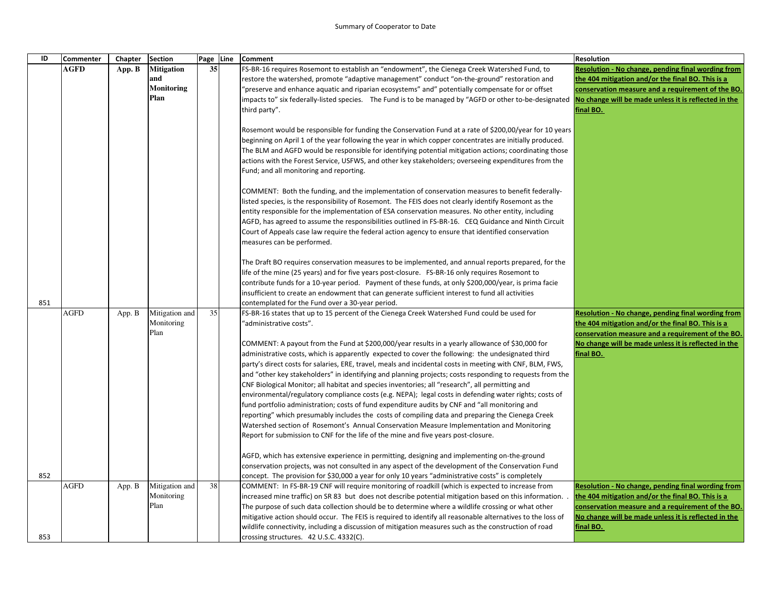| ID  | <b>Commenter</b> | Chapter | <b>Section</b>     | Page Line | <b>Comment</b>                                                                                                                                                                                                                                                                                                                                                                                                                                                                                                                                                                                                                                                                                                                                                                                                                                                                                                                                                                                                                                                                                                                                                                                                                                           | Resolution                                                                                                |
|-----|------------------|---------|--------------------|-----------|----------------------------------------------------------------------------------------------------------------------------------------------------------------------------------------------------------------------------------------------------------------------------------------------------------------------------------------------------------------------------------------------------------------------------------------------------------------------------------------------------------------------------------------------------------------------------------------------------------------------------------------------------------------------------------------------------------------------------------------------------------------------------------------------------------------------------------------------------------------------------------------------------------------------------------------------------------------------------------------------------------------------------------------------------------------------------------------------------------------------------------------------------------------------------------------------------------------------------------------------------------|-----------------------------------------------------------------------------------------------------------|
|     | <b>AGFD</b>      | App. B  | <b>Mitigation</b>  | 35        | FS-BR-16 requires Rosemont to establish an "endowment", the Cienega Creek Watershed Fund, to                                                                                                                                                                                                                                                                                                                                                                                                                                                                                                                                                                                                                                                                                                                                                                                                                                                                                                                                                                                                                                                                                                                                                             | <b>Resolution - No change, pending final wording from</b>                                                 |
|     |                  |         | and                |           | restore the watershed, promote "adaptive management" conduct "on-the-ground" restoration and                                                                                                                                                                                                                                                                                                                                                                                                                                                                                                                                                                                                                                                                                                                                                                                                                                                                                                                                                                                                                                                                                                                                                             | the 404 mitigation and/or the final BO. This is a                                                         |
|     |                  |         | <b>Monitoring</b>  |           | 'preserve and enhance aquatic and riparian ecosystems" and" potentially compensate for or offset                                                                                                                                                                                                                                                                                                                                                                                                                                                                                                                                                                                                                                                                                                                                                                                                                                                                                                                                                                                                                                                                                                                                                         | conservation measure and a requirement of the BO.                                                         |
|     |                  |         | Plan               |           | impacts to" six federally-listed species. The Fund is to be managed by "AGFD or other to-be-designated                                                                                                                                                                                                                                                                                                                                                                                                                                                                                                                                                                                                                                                                                                                                                                                                                                                                                                                                                                                                                                                                                                                                                   | No change will be made unless it is reflected in the                                                      |
|     |                  |         |                    |           | third party".                                                                                                                                                                                                                                                                                                                                                                                                                                                                                                                                                                                                                                                                                                                                                                                                                                                                                                                                                                                                                                                                                                                                                                                                                                            | final BO.                                                                                                 |
|     |                  |         |                    |           | Rosemont would be responsible for funding the Conservation Fund at a rate of \$200,00/year for 10 years<br>beginning on April 1 of the year following the year in which copper concentrates are initially produced.<br>The BLM and AGFD would be responsible for identifying potential mitigation actions; coordinating those<br>actions with the Forest Service, USFWS, and other key stakeholders; overseeing expenditures from the<br>Fund; and all monitoring and reporting.<br>COMMENT: Both the funding, and the implementation of conservation measures to benefit federally-<br>isted species, is the responsibility of Rosemont. The FEIS does not clearly identify Rosemont as the<br>entity responsible for the implementation of ESA conservation measures. No other entity, including<br>AGFD, has agreed to assume the responsibilities outlined in FS-BR-16. CEQ Guidance and Ninth Circuit<br>Court of Appeals case law require the federal action agency to ensure that identified conservation<br>measures can be performed.<br>The Draft BO requires conservation measures to be implemented, and annual reports prepared, for the<br>life of the mine (25 years) and for five years post-closure. FS-BR-16 only requires Rosemont to |                                                                                                           |
|     |                  |         |                    |           |                                                                                                                                                                                                                                                                                                                                                                                                                                                                                                                                                                                                                                                                                                                                                                                                                                                                                                                                                                                                                                                                                                                                                                                                                                                          |                                                                                                           |
|     |                  |         |                    |           | contribute funds for a 10-year period. Payment of these funds, at only \$200,000/year, is prima facie                                                                                                                                                                                                                                                                                                                                                                                                                                                                                                                                                                                                                                                                                                                                                                                                                                                                                                                                                                                                                                                                                                                                                    |                                                                                                           |
| 851 |                  |         |                    |           | insufficient to create an endowment that can generate sufficient interest to fund all activities<br>contemplated for the Fund over a 30-year period.                                                                                                                                                                                                                                                                                                                                                                                                                                                                                                                                                                                                                                                                                                                                                                                                                                                                                                                                                                                                                                                                                                     |                                                                                                           |
|     | AGFD             | App. B  | Mitigation and     | 35        | FS-BR-16 states that up to 15 percent of the Cienega Creek Watershed Fund could be used for                                                                                                                                                                                                                                                                                                                                                                                                                                                                                                                                                                                                                                                                                                                                                                                                                                                                                                                                                                                                                                                                                                                                                              | Resolution - No change, pending final wording from                                                        |
|     |                  |         | Monitoring         |           | 'administrative costs''.                                                                                                                                                                                                                                                                                                                                                                                                                                                                                                                                                                                                                                                                                                                                                                                                                                                                                                                                                                                                                                                                                                                                                                                                                                 | the 404 mitigation and/or the final BO. This is a                                                         |
|     |                  |         | Plan               |           |                                                                                                                                                                                                                                                                                                                                                                                                                                                                                                                                                                                                                                                                                                                                                                                                                                                                                                                                                                                                                                                                                                                                                                                                                                                          | conservation measure and a requirement of the BO.                                                         |
|     |                  |         |                    |           | COMMENT: A payout from the Fund at \$200,000/year results in a yearly allowance of \$30,000 for                                                                                                                                                                                                                                                                                                                                                                                                                                                                                                                                                                                                                                                                                                                                                                                                                                                                                                                                                                                                                                                                                                                                                          | No change will be made unless it is reflected in the                                                      |
|     |                  |         |                    |           | administrative costs, which is apparently expected to cover the following: the undesignated third                                                                                                                                                                                                                                                                                                                                                                                                                                                                                                                                                                                                                                                                                                                                                                                                                                                                                                                                                                                                                                                                                                                                                        | final BO.                                                                                                 |
|     |                  |         |                    |           | party's direct costs for salaries, ERE, travel, meals and incidental costs in meeting with CNF, BLM, FWS,                                                                                                                                                                                                                                                                                                                                                                                                                                                                                                                                                                                                                                                                                                                                                                                                                                                                                                                                                                                                                                                                                                                                                |                                                                                                           |
|     |                  |         |                    |           | and "other key stakeholders" in identifying and planning projects; costs responding to requests from the                                                                                                                                                                                                                                                                                                                                                                                                                                                                                                                                                                                                                                                                                                                                                                                                                                                                                                                                                                                                                                                                                                                                                 |                                                                                                           |
|     |                  |         |                    |           | CNF Biological Monitor; all habitat and species inventories; all "research", all permitting and                                                                                                                                                                                                                                                                                                                                                                                                                                                                                                                                                                                                                                                                                                                                                                                                                                                                                                                                                                                                                                                                                                                                                          |                                                                                                           |
|     |                  |         |                    |           | environmental/regulatory compliance costs (e.g. NEPA); legal costs in defending water rights; costs of                                                                                                                                                                                                                                                                                                                                                                                                                                                                                                                                                                                                                                                                                                                                                                                                                                                                                                                                                                                                                                                                                                                                                   |                                                                                                           |
|     |                  |         |                    |           | fund portfolio administration; costs of fund expenditure audits by CNF and "all monitoring and                                                                                                                                                                                                                                                                                                                                                                                                                                                                                                                                                                                                                                                                                                                                                                                                                                                                                                                                                                                                                                                                                                                                                           |                                                                                                           |
|     |                  |         |                    |           | reporting" which presumably includes the costs of compiling data and preparing the Cienega Creek                                                                                                                                                                                                                                                                                                                                                                                                                                                                                                                                                                                                                                                                                                                                                                                                                                                                                                                                                                                                                                                                                                                                                         |                                                                                                           |
|     |                  |         |                    |           | Watershed section of Rosemont's Annual Conservation Measure Implementation and Monitoring                                                                                                                                                                                                                                                                                                                                                                                                                                                                                                                                                                                                                                                                                                                                                                                                                                                                                                                                                                                                                                                                                                                                                                |                                                                                                           |
|     |                  |         |                    |           | Report for submission to CNF for the life of the mine and five years post-closure.                                                                                                                                                                                                                                                                                                                                                                                                                                                                                                                                                                                                                                                                                                                                                                                                                                                                                                                                                                                                                                                                                                                                                                       |                                                                                                           |
|     |                  |         |                    |           | AGFD, which has extensive experience in permitting, designing and implementing on-the-ground                                                                                                                                                                                                                                                                                                                                                                                                                                                                                                                                                                                                                                                                                                                                                                                                                                                                                                                                                                                                                                                                                                                                                             |                                                                                                           |
|     |                  |         |                    |           | conservation projects, was not consulted in any aspect of the development of the Conservation Fund                                                                                                                                                                                                                                                                                                                                                                                                                                                                                                                                                                                                                                                                                                                                                                                                                                                                                                                                                                                                                                                                                                                                                       |                                                                                                           |
| 852 |                  |         |                    |           | concept. The provision for \$30,000 a year for only 10 years "administrative costs" is completely                                                                                                                                                                                                                                                                                                                                                                                                                                                                                                                                                                                                                                                                                                                                                                                                                                                                                                                                                                                                                                                                                                                                                        |                                                                                                           |
|     | AGFD             | App. B  | Mitigation and     | 38        | COMMENT: In FS-BR-19 CNF will require monitoring of roadkill (which is expected to increase from                                                                                                                                                                                                                                                                                                                                                                                                                                                                                                                                                                                                                                                                                                                                                                                                                                                                                                                                                                                                                                                                                                                                                         | Resolution - No change, pending final wording from                                                        |
|     |                  |         | Monitoring<br>Plan |           | increased mine traffic) on SR 83 but does not describe potential mitigation based on this information.                                                                                                                                                                                                                                                                                                                                                                                                                                                                                                                                                                                                                                                                                                                                                                                                                                                                                                                                                                                                                                                                                                                                                   | the 404 mitigation and/or the final BO. This is a                                                         |
|     |                  |         |                    |           | The purpose of such data collection should be to determine where a wildlife crossing or what other<br>mitigative action should occur. The FEIS is required to identify all reasonable alternatives to the loss of                                                                                                                                                                                                                                                                                                                                                                                                                                                                                                                                                                                                                                                                                                                                                                                                                                                                                                                                                                                                                                        | conservation measure and a requirement of the BO.<br>No change will be made unless it is reflected in the |
|     |                  |         |                    |           | wildlife connectivity, including a discussion of mitigation measures such as the construction of road                                                                                                                                                                                                                                                                                                                                                                                                                                                                                                                                                                                                                                                                                                                                                                                                                                                                                                                                                                                                                                                                                                                                                    | final BO.                                                                                                 |
| 853 |                  |         |                    |           | crossing structures. 42 U.S.C. 4332(C).                                                                                                                                                                                                                                                                                                                                                                                                                                                                                                                                                                                                                                                                                                                                                                                                                                                                                                                                                                                                                                                                                                                                                                                                                  |                                                                                                           |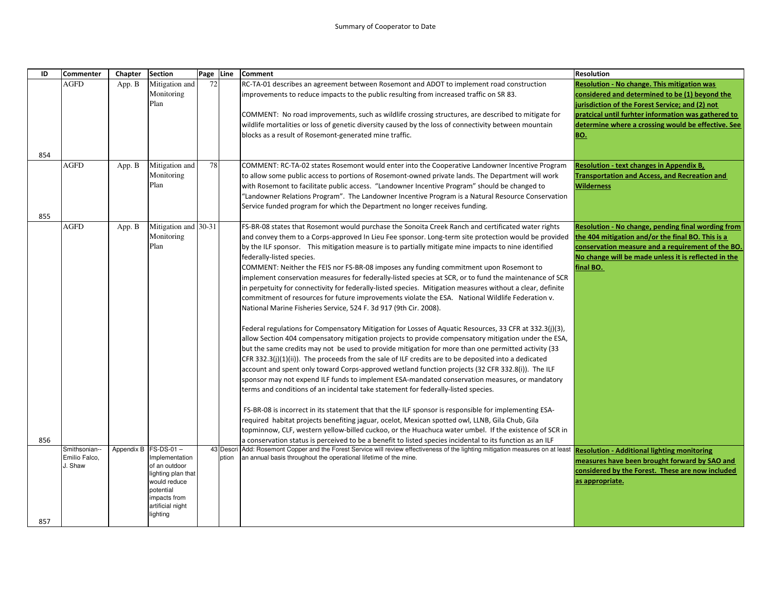| ID  | <b>Commenter</b>              | Chapter    | <b>Section</b>                   | Page Line |           | <b>Comment</b>                                                                                                                                                                            | <b>Resolution</b>                                    |
|-----|-------------------------------|------------|----------------------------------|-----------|-----------|-------------------------------------------------------------------------------------------------------------------------------------------------------------------------------------------|------------------------------------------------------|
|     | <b>AGFD</b>                   | App. B     | Mitigation and                   | 72        |           | RC-TA-01 describes an agreement between Rosemont and ADOT to implement road construction                                                                                                  | Resolution - No change. This mitigation was          |
|     |                               |            | Monitoring                       |           |           | mprovements to reduce impacts to the public resulting from increased traffic on SR 83.                                                                                                    | considered and determined to be (1) beyond the       |
|     |                               |            | Plan                             |           |           |                                                                                                                                                                                           | jurisdiction of the Forest Service; and (2) not      |
|     |                               |            |                                  |           |           | COMMENT: No road improvements, such as wildlife crossing structures, are described to mitigate for                                                                                        | pratcical until furhter information was gathered to  |
|     |                               |            |                                  |           |           | wildlife mortalities or loss of genetic diversity caused by the loss of connectivity between mountain                                                                                     | determine where a crossing would be effective. See   |
|     |                               |            |                                  |           |           | blocks as a result of Rosemont-generated mine traffic.                                                                                                                                    | <b>BO.</b>                                           |
|     |                               |            |                                  |           |           |                                                                                                                                                                                           |                                                      |
| 854 |                               |            |                                  |           |           |                                                                                                                                                                                           |                                                      |
|     | <b>AGFD</b>                   | App. B     | Mitigation and                   | 78        |           | COMMENT: RC-TA-02 states Rosemont would enter into the Cooperative Landowner Incentive Program                                                                                            | <b>Resolution - text changes in Appendix B,</b>      |
|     |                               |            | Monitoring                       |           |           | to allow some public access to portions of Rosemont-owned private lands. The Department will work                                                                                         | <b>Transportation and Access, and Recreation and</b> |
|     |                               |            | Plan                             |           |           | with Rosemont to facilitate public access. "Landowner Incentive Program" should be changed to                                                                                             | <b>Wilderness</b>                                    |
|     |                               |            |                                  |           |           | 'Landowner Relations Program". The Landowner Incentive Program is a Natural Resource Conservation                                                                                         |                                                      |
|     |                               |            |                                  |           |           | Service funded program for which the Department no longer receives funding.                                                                                                               |                                                      |
| 855 |                               |            |                                  |           |           |                                                                                                                                                                                           |                                                      |
|     | <b>AGFD</b>                   | App. B     | Mitigation and 30-31             |           |           | FS-BR-08 states that Rosemont would purchase the Sonoita Creek Ranch and certificated water rights                                                                                        | Resolution - No change, pending final wording from   |
|     |                               |            | Monitoring                       |           |           | and convey them to a Corps-approved In Lieu Fee sponsor. Long-term site protection would be provided                                                                                      | the 404 mitigation and/or the final BO. This is a    |
|     |                               |            | Plan                             |           |           | by the ILF sponsor. This mitigation measure is to partially mitigate mine impacts to nine identified                                                                                      | conservation measure and a requirement of the BO.    |
|     |                               |            |                                  |           |           | federally-listed species.                                                                                                                                                                 | No change will be made unless it is reflected in the |
|     |                               |            |                                  |           |           | COMMENT: Neither the FEIS nor FS-BR-08 imposes any funding commitment upon Rosemont to                                                                                                    | final BO.                                            |
|     |                               |            |                                  |           |           | implement conservation measures for federally-listed species at SCR, or to fund the maintenance of SCR                                                                                    |                                                      |
|     |                               |            |                                  |           |           | n perpetuity for connectivity for federally-listed species. Mitigation measures without a clear, definite                                                                                 |                                                      |
|     |                               |            |                                  |           |           | commitment of resources for future improvements violate the ESA. National Wildlife Federation v.                                                                                          |                                                      |
|     |                               |            |                                  |           |           | National Marine Fisheries Service, 524 F. 3d 917 (9th Cir. 2008).                                                                                                                         |                                                      |
|     |                               |            |                                  |           |           | Federal regulations for Compensatory Mitigation for Losses of Aquatic Resources, 33 CFR at 332.3(j)(3),                                                                                   |                                                      |
|     |                               |            |                                  |           |           | allow Section 404 compensatory mitigation projects to provide compensatory mitigation under the ESA,                                                                                      |                                                      |
|     |                               |            |                                  |           |           | but the same credits may not be used to provide mitigation for more than one permitted activity (33                                                                                       |                                                      |
|     |                               |            |                                  |           |           | CFR 332.3(j)(1)(ii)). The proceeds from the sale of ILF credits are to be deposited into a dedicated                                                                                      |                                                      |
|     |                               |            |                                  |           |           | account and spent only toward Corps-approved wetland function projects (32 CFR 332.8(i)). The ILF                                                                                         |                                                      |
|     |                               |            |                                  |           |           | sponsor may not expend ILF funds to implement ESA-mandated conservation measures, or mandatory                                                                                            |                                                      |
|     |                               |            |                                  |           |           | terms and conditions of an incidental take statement for federally-listed species.                                                                                                        |                                                      |
|     |                               |            |                                  |           |           |                                                                                                                                                                                           |                                                      |
|     |                               |            |                                  |           |           | FS-BR-08 is incorrect in its statement that that the ILF sponsor is responsible for implementing ESA-                                                                                     |                                                      |
|     |                               |            |                                  |           |           | required habitat projects benefiting jaguar, ocelot, Mexican spotted owl, LLNB, Gila Chub, Gila                                                                                           |                                                      |
|     |                               |            |                                  |           |           | topminnow, CLF, western yellow-billed cuckoo, or the Huachuca water umbel. If the existence of SCR in                                                                                     |                                                      |
| 856 |                               |            |                                  |           |           | a conservation status is perceived to be a benefit to listed species incidental to its function as an ILF                                                                                 |                                                      |
|     | Smithsonian-<br>Emilio Falco. | Appendix B | $FS-DS-01 -$                     |           | 43 Descri | Add: Rosemont Copper and the Forest Service will review effectiveness of the lighting mitigation measures on at least<br>an annual basis throughout the operational lifetime of the mine. | <b>Resolution - Additional lighting monitoring</b>   |
|     | J. Shaw                       |            | Implementation<br>of an outdoor  |           | ption     |                                                                                                                                                                                           | measures have been brought forward by SAO and        |
|     |                               |            | lighting plan that               |           |           |                                                                                                                                                                                           | considered by the Forest. These are now included     |
|     |                               |            | would reduce                     |           |           |                                                                                                                                                                                           | as appropriate.                                      |
|     |                               |            | potential                        |           |           |                                                                                                                                                                                           |                                                      |
|     |                               |            | impacts from<br>artificial night |           |           |                                                                                                                                                                                           |                                                      |
|     |                               |            | lighting                         |           |           |                                                                                                                                                                                           |                                                      |
| 857 |                               |            |                                  |           |           |                                                                                                                                                                                           |                                                      |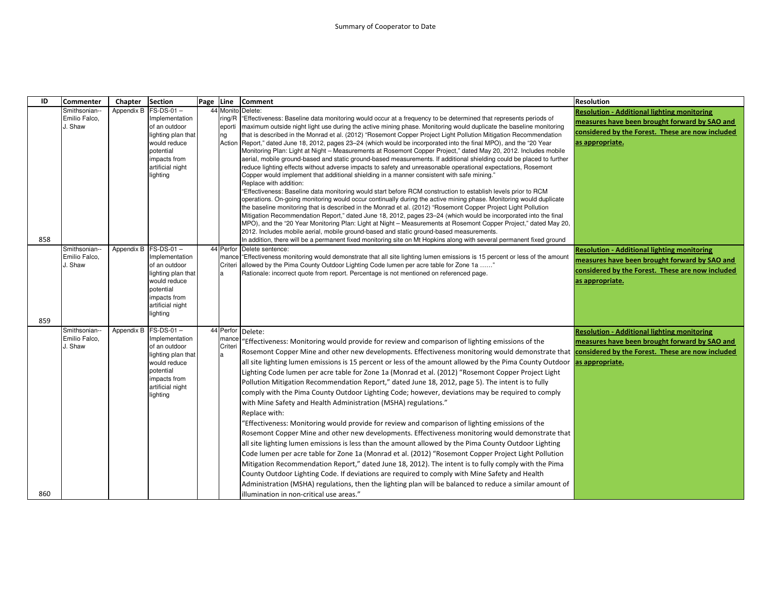| ID  | <b>Commenter</b>                          | Chapter              | <b>Section</b>                                                                                                                                            | Page | Line                   | <b>Comment</b>                                                                                                                                                                                                                                                                                                                                                                                                                                                                                                                                                                                                                                                                                                                                                                                                                                                                                                                                                                                                                                                                                                                                                                                                                                                                                                                                                                                                                                                                                                                                                                                                                                                                                                                                                                                               | <b>Resolution</b>                                                                                                                                                          |
|-----|-------------------------------------------|----------------------|-----------------------------------------------------------------------------------------------------------------------------------------------------------|------|------------------------|--------------------------------------------------------------------------------------------------------------------------------------------------------------------------------------------------------------------------------------------------------------------------------------------------------------------------------------------------------------------------------------------------------------------------------------------------------------------------------------------------------------------------------------------------------------------------------------------------------------------------------------------------------------------------------------------------------------------------------------------------------------------------------------------------------------------------------------------------------------------------------------------------------------------------------------------------------------------------------------------------------------------------------------------------------------------------------------------------------------------------------------------------------------------------------------------------------------------------------------------------------------------------------------------------------------------------------------------------------------------------------------------------------------------------------------------------------------------------------------------------------------------------------------------------------------------------------------------------------------------------------------------------------------------------------------------------------------------------------------------------------------------------------------------------------------|----------------------------------------------------------------------------------------------------------------------------------------------------------------------------|
| 858 | Smithsonian--<br>Emilio Falco,<br>J. Shaw |                      | Appendix B FS-DS-01-<br>Implementation<br>of an outdoor<br>lighting plan that<br>would reduce<br>potential<br>mpacts from<br>artificial night<br>lighting |      | ring/R<br>eporti<br>ng | 44 Monito Delete:<br>"Effectiveness: Baseline data monitoring would occur at a frequency to be determined that represents periods of<br>maximum outside night light use during the active mining phase. Monitoring would duplicate the baseline monitoring<br>that is described in the Monrad et al. (2012) "Rosemont Copper Project Light Pollution Mitigation Recommendation<br>Action Report," dated June 18, 2012, pages 23–24 (which would be incorporated into the final MPO), and the "20 Year<br>Monitoring Plan: Light at Night - Measurements at Rosemont Copper Project," dated May 20, 2012. Includes mobile<br>aerial, mobile ground-based and static ground-based measurements. If additional shielding could be placed to further<br>reduce lighting effects without adverse impacts to safety and unreasonable operational expectations, Rosemont<br>Copper would implement that additional shielding in a manner consistent with safe mining."<br>Replace with addition:<br>"Effectiveness: Baseline data monitoring would start before RCM construction to establish levels prior to RCM<br>operations. On-going monitoring would occur continually during the active mining phase. Monitoring would duplicate<br>the baseline monitoring that is described in the Monrad et al. (2012) "Rosemont Copper Project Light Pollution<br>Mitigation Recommendation Report," dated June 18, 2012, pages 23-24 (which would be incorporated into the final<br>MPO), and the "20 Year Monitoring Plan: Light at Night - Measurements at Rosemont Copper Project," dated May 20,<br>2012. Includes mobile aerial, mobile ground-based and static ground-based measurements.<br>In addition, there will be a permanent fixed monitoring site on Mt Hopkins along with several permanent fixed ground | <b>Resolution - Additional lighting monitoring</b><br>measures have been brought forward by SAO and<br>considered by the Forest. These are now included<br>as appropriate. |
| 859 | Smithsonian--<br>Emilio Falco,<br>J. Shaw | Appendix B FS-DS-01- | Implementation<br>of an outdoor<br>lighting plan that<br>would reduce<br>potential<br>mpacts from<br>artificial night<br>lighting                         |      | Criteri<br>a           | 44 Perfor Delete sentence:<br>mance effectiveness monitoring would demonstrate that all site lighting lumen emissions is 15 percent or less of the amount<br>allowed by the Pima County Outdoor Lighting Code lumen per acre table for Zone 1a "<br>Rationale: incorrect quote from report. Percentage is not mentioned on referenced page.                                                                                                                                                                                                                                                                                                                                                                                                                                                                                                                                                                                                                                                                                                                                                                                                                                                                                                                                                                                                                                                                                                                                                                                                                                                                                                                                                                                                                                                                  | <b>Resolution - Additional lighting monitoring</b><br>measures have been brought forward by SAO and<br>considered by the Forest. These are now included<br>as appropriate. |
| 860 | Smithsonian--<br>Emilio Falco,<br>J. Shaw | Appendix B           | $FS-DS-01-$<br>Implementation<br>of an outdoor<br>lighting plan that<br>would reduce<br>potential<br>mpacts from<br>artificial night<br>lighting          |      | mance<br>Criteri<br>a  | 44 Perfor Delete:<br>"Effectiveness: Monitoring would provide for review and comparison of lighting emissions of the<br>Rosemont Copper Mine and other new developments. Effectiveness monitoring would demonstrate that considered by the Forest. These are now included<br>all site lighting lumen emissions is 15 percent or less of the amount allowed by the Pima County Outdoor<br>Lighting Code lumen per acre table for Zone 1a (Monrad et al. (2012) "Rosemont Copper Project Light<br>Pollution Mitigation Recommendation Report," dated June 18, 2012, page 5). The intent is to fully<br>comply with the Pima County Outdoor Lighting Code; however, deviations may be required to comply<br>with Mine Safety and Health Administration (MSHA) regulations."<br>Replace with:<br>"Effectiveness: Monitoring would provide for review and comparison of lighting emissions of the<br>Rosemont Copper Mine and other new developments. Effectiveness monitoring would demonstrate that<br>all site lighting lumen emissions is less than the amount allowed by the Pima County Outdoor Lighting<br>Code lumen per acre table for Zone 1a (Monrad et al. (2012) "Rosemont Copper Project Light Pollution<br>Mitigation Recommendation Report," dated June 18, 2012). The intent is to fully comply with the Pima<br>County Outdoor Lighting Code. If deviations are required to comply with Mine Safety and Health<br>Administration (MSHA) regulations, then the lighting plan will be balanced to reduce a similar amount of<br>illumination in non-critical use areas."                                                                                                                                                                                                                          | <b>Resolution - Additional lighting monitoring</b><br>measures have been brought forward by SAO and<br>as appropriate.                                                     |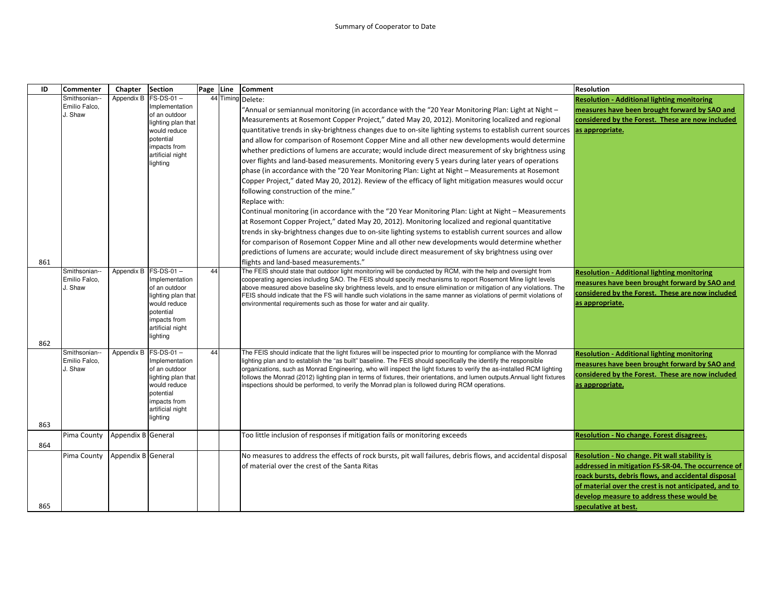| ID         | Commenter                                 | Chapter            | <b>Section</b>                                                                                                                                             | Page Line | Comment                                                                                                                                                                                                                                                                                                                                                                                                                                                                                                                                                                                                                                                                                                                                                                                                                                                                                                                                                                                                                                                                                                                                                                                                                                                                                                                                                     | <b>Resolution</b>                                                                                                                                                                                                                                                                                |
|------------|-------------------------------------------|--------------------|------------------------------------------------------------------------------------------------------------------------------------------------------------|-----------|-------------------------------------------------------------------------------------------------------------------------------------------------------------------------------------------------------------------------------------------------------------------------------------------------------------------------------------------------------------------------------------------------------------------------------------------------------------------------------------------------------------------------------------------------------------------------------------------------------------------------------------------------------------------------------------------------------------------------------------------------------------------------------------------------------------------------------------------------------------------------------------------------------------------------------------------------------------------------------------------------------------------------------------------------------------------------------------------------------------------------------------------------------------------------------------------------------------------------------------------------------------------------------------------------------------------------------------------------------------|--------------------------------------------------------------------------------------------------------------------------------------------------------------------------------------------------------------------------------------------------------------------------------------------------|
|            | Smithsonian--<br>Emilio Falco,<br>J. Shaw | Appendix B         | $FS-DS-01 -$<br>Implementation<br>of an outdoor<br>lighting plan that<br>would reduce<br>potential<br>impacts from<br>artificial night<br>lighting         |           | 44 Timing Delete:<br>- Annual or semiannual monitoring (in accordance with the "20 Year Monitoring Plan: Light at Night)<br>Measurements at Rosemont Copper Project," dated May 20, 2012). Monitoring localized and regional<br>quantitative trends in sky-brightness changes due to on-site lighting systems to establish current sources<br>and allow for comparison of Rosemont Copper Mine and all other new developments would determine<br>whether predictions of lumens are accurate; would include direct measurement of sky brightness using<br>over flights and land-based measurements. Monitoring every 5 years during later years of operations<br>phase (in accordance with the "20 Year Monitoring Plan: Light at Night - Measurements at Rosemont<br>Copper Project," dated May 20, 2012). Review of the efficacy of light mitigation measures would occur<br>following construction of the mine."<br>Replace with:<br>Continual monitoring (in accordance with the "20 Year Monitoring Plan: Light at Night – Measurements<br>at Rosemont Copper Project," dated May 20, 2012). Monitoring localized and regional quantitative<br>trends in sky-brightness changes due to on-site lighting systems to establish current sources and allow<br>for comparison of Rosemont Copper Mine and all other new developments would determine whether | <b>Resolution - Additional lighting monitoring</b><br>measures have been brought forward by SAO and<br>considered by the Forest. These are now included<br>as appropriate.                                                                                                                       |
| 861        |                                           |                    |                                                                                                                                                            |           | predictions of lumens are accurate; would include direct measurement of sky brightness using over<br>flights and land-based measurements."                                                                                                                                                                                                                                                                                                                                                                                                                                                                                                                                                                                                                                                                                                                                                                                                                                                                                                                                                                                                                                                                                                                                                                                                                  |                                                                                                                                                                                                                                                                                                  |
| 862        | Smithsonian--<br>Emilio Falco,<br>J. Shaw |                    | Appendix B FS-DS-01-<br>Implementation<br>of an outdoor<br>lighting plan that<br>would reduce<br>potential<br>impacts from<br>artificial night<br>lighting | 44        | The FEIS should state that outdoor light monitoring will be conducted by RCM, with the help and oversight from<br>cooperating agencies including SAO. The FEIS should specify mechanisms to report Rosemont Mine light levels<br>above measured above baseline sky brightness levels, and to ensure elimination or mitigation of any violations. The<br>FEIS should indicate that the FS will handle such violations in the same manner as violations of permit violations of<br>environmental requirements such as those for water and air quality.                                                                                                                                                                                                                                                                                                                                                                                                                                                                                                                                                                                                                                                                                                                                                                                                        | <b>Resolution - Additional lighting monitoring</b><br>measures have been brought forward by SAO and<br>considered by the Forest. These are now included<br>as appropriate.                                                                                                                       |
| 863        | Smithsonian--<br>Emilio Falco.<br>J. Shaw | Appendix B         | FS-DS-01-<br>Implementation<br>of an outdoor<br>lighting plan that<br>would reduce<br>potential<br>impacts from<br>artificial night<br>lighting            | 44        | The FEIS should indicate that the light fixtures will be inspected prior to mounting for compliance with the Monrad<br>lighting plan and to establish the "as built" baseline. The FEIS should specifically the identify the responsible<br>organizations, such as Monrad Engineering, who will inspect the light fixtures to verify the as-installed RCM lighting<br>follows the Monrad (2012) lighting plan in terms of fixtures, their orientations, and lumen outputs. Annual light fixtures<br>nspections should be performed, to verify the Monrad plan is followed during RCM operations.                                                                                                                                                                                                                                                                                                                                                                                                                                                                                                                                                                                                                                                                                                                                                            | <b>Resolution - Additional lighting monitoring</b><br>measures have been brought forward by SAO and<br>considered by the Forest. These are now included<br>as appropriate.                                                                                                                       |
|            | Pima County                               | Appendix B General |                                                                                                                                                            |           | Too little inclusion of responses if mitigation fails or monitoring exceeds                                                                                                                                                                                                                                                                                                                                                                                                                                                                                                                                                                                                                                                                                                                                                                                                                                                                                                                                                                                                                                                                                                                                                                                                                                                                                 | <b>Resolution - No change. Forest disagrees.</b>                                                                                                                                                                                                                                                 |
| 864<br>865 | Pima County                               | Appendix B General |                                                                                                                                                            |           | No measures to address the effects of rock bursts, pit wall failures, debris flows, and accidental disposal<br>of material over the crest of the Santa Ritas                                                                                                                                                                                                                                                                                                                                                                                                                                                                                                                                                                                                                                                                                                                                                                                                                                                                                                                                                                                                                                                                                                                                                                                                | <b>Resolution - No change. Pit wall stability is</b><br>addressed in mitigation FS-SR-04. The occurrence of<br>roack bursts, debris flows, and accidental disposal<br>of material over the crest is not anticipated, and to<br>develop measure to address these would be<br>speculative at best. |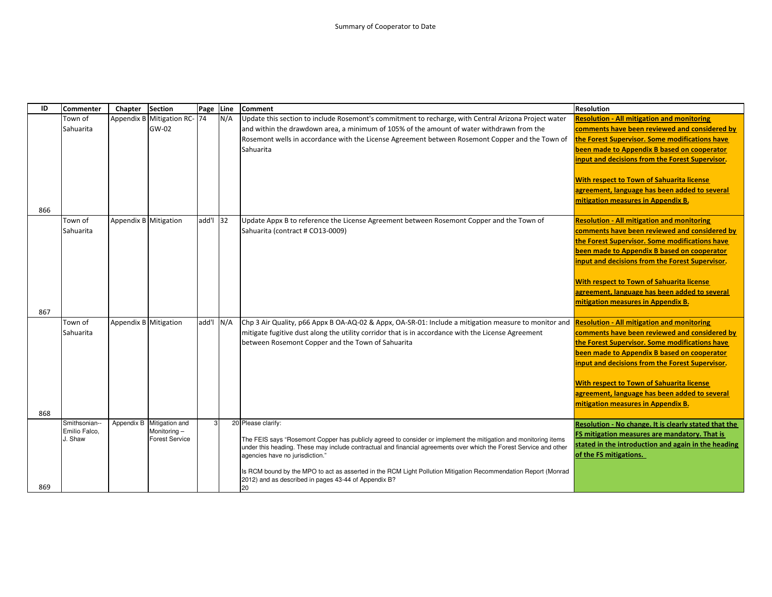| ID         | <b>Commenter</b>                          | Chapter               | <b>Section</b>                                         | Page Line |     | <b>Comment</b>                                                                                                                                                                                                                                                                                                                                                                                                                                                                 | <b>Resolution</b>                                                                                                                                                                                                                                                                                                                                                                                 |
|------------|-------------------------------------------|-----------------------|--------------------------------------------------------|-----------|-----|--------------------------------------------------------------------------------------------------------------------------------------------------------------------------------------------------------------------------------------------------------------------------------------------------------------------------------------------------------------------------------------------------------------------------------------------------------------------------------|---------------------------------------------------------------------------------------------------------------------------------------------------------------------------------------------------------------------------------------------------------------------------------------------------------------------------------------------------------------------------------------------------|
| 866        | Town of<br>Sahuarita                      |                       | Appendix B Mitigation RC- 74<br>GW-02                  |           | N/A | Update this section to include Rosemont's commitment to recharge, with Central Arizona Project water<br>and within the drawdown area, a minimum of 105% of the amount of water withdrawn from the<br>Rosemont wells in accordance with the License Agreement between Rosemont Copper and the Town of<br>Sahuarita                                                                                                                                                              | <b>Resolution - All mitigation and monitoring</b><br>comments have been reviewed and considered by<br>the Forest Supervisor. Some modifications have<br>been made to Appendix B based on cooperator<br>input and decisions from the Forest Supervisor.<br><b>With respect to Town of Sahuarita license</b><br>agreement, language has been added to several<br>mitigation measures in Appendix B. |
|            | Town of<br>Sahuarita                      | Appendix B Mitigation |                                                        | add'l 32  |     | Update Appx B to reference the License Agreement between Rosemont Copper and the Town of<br>Sahuarita (contract # CO13-0009)                                                                                                                                                                                                                                                                                                                                                   | <b>Resolution - All mitigation and monitoring</b><br>comments have been reviewed and considered by<br>the Forest Supervisor. Some modifications have<br>been made to Appendix B based on cooperator<br>input and decisions from the Forest Supervisor.<br><b>With respect to Town of Sahuarita license</b><br>agreement, language has been added to several<br>mitigation measures in Appendix B. |
| 867<br>868 | Town of<br>Sahuarita                      | Appendix B Mitigation |                                                        | add'l N/A |     | Chp 3 Air Quality, p66 Appx B OA-AQ-02 & Appx, OA-SR-01: Include a mitigation measure to monitor and <b>Resolution - All mitigation and monitoring</b><br>mitigate fugitive dust along the utility corridor that is in accordance with the License Agreement<br>between Rosemont Copper and the Town of Sahuarita                                                                                                                                                              | comments have been reviewed and considered by<br>the Forest Supervisor. Some modifications have<br>been made to Appendix B based on cooperator<br>input and decisions from the Forest Supervisor.<br><b>With respect to Town of Sahuarita license</b><br>agreement, language has been added to several<br>mitigation measures in Appendix B.                                                      |
| 869        | Smithsonian--<br>Emilio Falco,<br>J. Shaw | Appendix B            | Mitigation and<br>Monitoring-<br><b>Forest Service</b> | 3         |     | 20 Please clarify:<br>The FEIS says "Rosemont Copper has publicly agreed to consider or implement the mitigation and monitoring items<br>under this heading. These may include contractual and financial agreements over which the Forest Service and other<br>agencies have no jurisdiction."<br>Is RCM bound by the MPO to act as asserted in the RCM Light Pollution Mitigation Recommendation Report (Monrad<br>2012) and as described in pages 43-44 of Appendix B?<br>20 | Resolution - No change. It is clearly stated that the<br>FS mitigation measures are mandatory. That is<br>stated in the introduction and again in the heading<br>of the FS mitigations.                                                                                                                                                                                                           |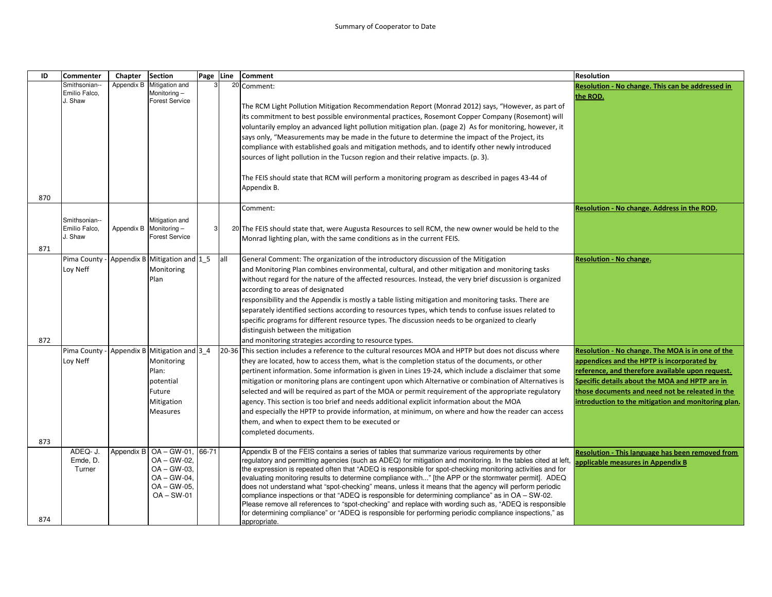| ID  | <b>Commenter</b> | Chapter    | <b>Section</b>                | Page Line |     | Comment                                                                                                                                                                                                       | <b>Resolution</b>                                   |
|-----|------------------|------------|-------------------------------|-----------|-----|---------------------------------------------------------------------------------------------------------------------------------------------------------------------------------------------------------------|-----------------------------------------------------|
|     | Smithsonian--    | Appendix B | Mitigation and                |           |     | 20 Comment:                                                                                                                                                                                                   | Resolution - No change. This can be addressed in    |
|     | Emilio Falco.    |            | Monitoring-                   |           |     |                                                                                                                                                                                                               | the ROD.                                            |
|     | J. Shaw          |            | <b>Forest Service</b>         |           |     | The RCM Light Pollution Mitigation Recommendation Report (Monrad 2012) says, "However, as part of                                                                                                             |                                                     |
|     |                  |            |                               |           |     | its commitment to best possible environmental practices, Rosemont Copper Company (Rosemont) will                                                                                                              |                                                     |
|     |                  |            |                               |           |     | voluntarily employ an advanced light pollution mitigation plan. (page 2) As for monitoring, however, it                                                                                                       |                                                     |
|     |                  |            |                               |           |     | says only, "Measurements may be made in the future to determine the impact of the Project, its                                                                                                                |                                                     |
|     |                  |            |                               |           |     | compliance with established goals and mitigation methods, and to identify other newly introduced                                                                                                              |                                                     |
|     |                  |            |                               |           |     | sources of light pollution in the Tucson region and their relative impacts. (p. 3).                                                                                                                           |                                                     |
|     |                  |            |                               |           |     |                                                                                                                                                                                                               |                                                     |
|     |                  |            |                               |           |     | The FEIS should state that RCM will perform a monitoring program as described in pages 43-44 of                                                                                                               |                                                     |
|     |                  |            |                               |           |     | Appendix B.                                                                                                                                                                                                   |                                                     |
| 870 |                  |            |                               |           |     |                                                                                                                                                                                                               |                                                     |
|     |                  |            |                               |           |     | Comment:                                                                                                                                                                                                      | Resolution - No change. Address in the ROD.         |
|     | Smithsonian--    |            | Mitigation and                |           |     |                                                                                                                                                                                                               |                                                     |
|     | Emilio Falco,    | Appendix B | Monitoring-                   | 3         |     | 20 The FEIS should state that, were Augusta Resources to sell RCM, the new owner would be held to the                                                                                                         |                                                     |
|     | J. Shaw          |            | <b>Forest Service</b>         |           |     | Monrad lighting plan, with the same conditions as in the current FEIS.                                                                                                                                        |                                                     |
| 871 |                  |            |                               |           |     |                                                                                                                                                                                                               |                                                     |
|     | Pima County      |            | Appendix B Mitigation and 1 5 |           | all | General Comment: The organization of the introductory discussion of the Mitigation                                                                                                                            | <b>Resolution - No change.</b>                      |
|     | Loy Neff         |            | Monitoring                    |           |     | and Monitoring Plan combines environmental, cultural, and other mitigation and monitoring tasks                                                                                                               |                                                     |
|     |                  |            | Plan                          |           |     | without regard for the nature of the affected resources. Instead, the very brief discussion is organized                                                                                                      |                                                     |
|     |                  |            |                               |           |     | according to areas of designated                                                                                                                                                                              |                                                     |
|     |                  |            |                               |           |     | responsibility and the Appendix is mostly a table listing mitigation and monitoring tasks. There are                                                                                                          |                                                     |
|     |                  |            |                               |           |     | separately identified sections according to resources types, which tends to confuse issues related to                                                                                                         |                                                     |
|     |                  |            |                               |           |     | specific programs for different resource types. The discussion needs to be organized to clearly                                                                                                               |                                                     |
|     |                  |            |                               |           |     | distinguish between the mitigation                                                                                                                                                                            |                                                     |
| 872 |                  |            |                               |           |     | and monitoring strategies according to resource types.                                                                                                                                                        |                                                     |
|     | Pima County      |            | Appendix B Mitigation and 3 4 |           |     | 20-36 This section includes a reference to the cultural resources MOA and HPTP but does not discuss where                                                                                                     | Resolution - No change. The MOA is in one of the    |
|     | Loy Neff         |            | Monitoring                    |           |     | they are located, how to access them, what is the completion status of the documents, or other                                                                                                                | appendices and the HPTP is incorporated by          |
|     |                  |            | Plan:                         |           |     | pertinent information. Some information is given in Lines 19-24, which include a disclaimer that some                                                                                                         | reference, and therefore available upon request.    |
|     |                  |            | potential                     |           |     | mitigation or monitoring plans are contingent upon which Alternative or combination of Alternatives is                                                                                                        | Specific details about the MOA and HPTP are in      |
|     |                  |            | Future                        |           |     | selected and will be required as part of the MOA or permit requirement of the appropriate regulatory                                                                                                          | those documents and need not be releated in the     |
|     |                  |            | Mitigation                    |           |     | agency. This section is too brief and needs additional explicit information about the MOA                                                                                                                     | introduction to the mitigation and monitoring plan. |
|     |                  |            | Measures                      |           |     | and especially the HPTP to provide information, at minimum, on where and how the reader can access                                                                                                            |                                                     |
|     |                  |            |                               |           |     | them, and when to expect them to be executed or                                                                                                                                                               |                                                     |
|     |                  |            |                               |           |     | completed documents.                                                                                                                                                                                          |                                                     |
| 873 |                  |            |                               |           |     |                                                                                                                                                                                                               |                                                     |
|     | ADEQ- J.         | Appendix B | $OA - GW-01$ , 66-71          |           |     | Appendix B of the FEIS contains a series of tables that summarize various requirements by other                                                                                                               | Resolution - This language has been removed from    |
|     | Emde, D.         |            | OA-GW-02,                     |           |     | regulatory and permitting agencies (such as ADEQ) for mitigation and monitoring. In the tables cited at left,                                                                                                 | applicable measures in Appendix B                   |
|     | Turner           |            | $OA - GW-03$                  |           |     | the expression is repeated often that "ADEQ is responsible for spot-checking monitoring activities and for                                                                                                    |                                                     |
|     |                  |            | $OA - GW-04$<br>$OA - GW-05$  |           |     | evaluating monitoring results to determine compliance with" [the APP or the stormwater permit]. ADEQ<br>does not understand what "spot-checking" means, unless it means that the agency will perform periodic |                                                     |
|     |                  |            | $OA - SW-01$                  |           |     | compliance inspections or that "ADEQ is responsible for determining compliance" as in OA - SW-02.                                                                                                             |                                                     |
|     |                  |            |                               |           |     | Please remove all references to "spot-checking" and replace with wording such as, "ADEQ is responsible                                                                                                        |                                                     |
|     |                  |            |                               |           |     | for determining compliance" or "ADEQ is responsible for performing periodic compliance inspections," as                                                                                                       |                                                     |
| 874 |                  |            |                               |           |     | appropriate.                                                                                                                                                                                                  |                                                     |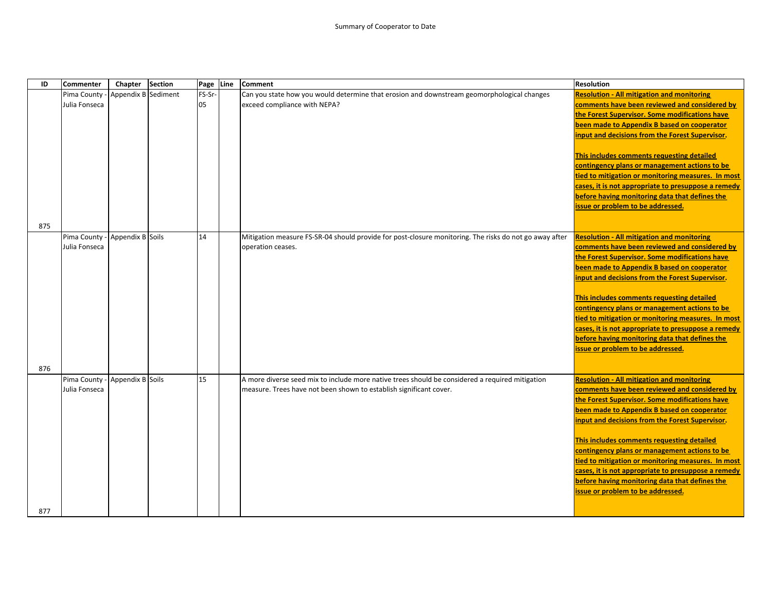| ID  | Commenter                      | Chapter             | <b>Section</b> | Page Line | Comment                                                                                                | <b>Resolution</b>                                   |
|-----|--------------------------------|---------------------|----------------|-----------|--------------------------------------------------------------------------------------------------------|-----------------------------------------------------|
|     | Pima County                    | Appendix B Sediment |                | FS-Sr-    | Can you state how you would determine that erosion and downstream geomorphological changes             | <b>Resolution - All mitigation and monitoring</b>   |
|     | Julia Fonseca                  |                     |                | 05        | exceed compliance with NEPA?                                                                           | comments have been reviewed and considered by       |
|     |                                |                     |                |           |                                                                                                        | the Forest Supervisor. Some modifications have      |
|     |                                |                     |                |           |                                                                                                        | been made to Appendix B based on cooperator         |
|     |                                |                     |                |           |                                                                                                        | input and decisions from the Forest Supervisor.     |
|     |                                |                     |                |           |                                                                                                        |                                                     |
|     |                                |                     |                |           |                                                                                                        | This includes comments requesting detailed          |
|     |                                |                     |                |           |                                                                                                        | contingency plans or management actions to be       |
|     |                                |                     |                |           |                                                                                                        | tied to mitigation or monitoring measures. In most  |
|     |                                |                     |                |           |                                                                                                        | cases, it is not appropriate to presuppose a remedy |
|     |                                |                     |                |           |                                                                                                        | before having monitoring data that defines the      |
|     |                                |                     |                |           |                                                                                                        | issue or problem to be addressed.                   |
|     |                                |                     |                |           |                                                                                                        |                                                     |
| 875 |                                |                     |                |           |                                                                                                        |                                                     |
|     | Pima County - Appendix B Soils |                     |                | 14        | Mitigation measure FS-SR-04 should provide for post-closure monitoring. The risks do not go away after | <b>Resolution - All mitigation and monitoring</b>   |
|     | Julia Fonseca                  |                     |                |           | operation ceases.                                                                                      | comments have been reviewed and considered by       |
|     |                                |                     |                |           |                                                                                                        | the Forest Supervisor. Some modifications have      |
|     |                                |                     |                |           |                                                                                                        | been made to Appendix B based on cooperator         |
|     |                                |                     |                |           |                                                                                                        | input and decisions from the Forest Supervisor.     |
|     |                                |                     |                |           |                                                                                                        |                                                     |
|     |                                |                     |                |           |                                                                                                        | This includes comments requesting detailed          |
|     |                                |                     |                |           |                                                                                                        | contingency plans or management actions to be       |
|     |                                |                     |                |           |                                                                                                        | tied to mitigation or monitoring measures. In most  |
|     |                                |                     |                |           |                                                                                                        | cases, it is not appropriate to presuppose a remedy |
|     |                                |                     |                |           |                                                                                                        | before having monitoring data that defines the      |
|     |                                |                     |                |           |                                                                                                        | issue or problem to be addressed.                   |
| 876 |                                |                     |                |           |                                                                                                        |                                                     |
|     | Pima County - Appendix B Soils |                     |                | 15        | A more diverse seed mix to include more native trees should be considered a required mitigation        | <b>Resolution - All mitigation and monitoring</b>   |
|     | Julia Fonseca                  |                     |                |           | measure. Trees have not been shown to establish significant cover.                                     | comments have been reviewed and considered by       |
|     |                                |                     |                |           |                                                                                                        | the Forest Supervisor. Some modifications have      |
|     |                                |                     |                |           |                                                                                                        | been made to Appendix B based on cooperator         |
|     |                                |                     |                |           |                                                                                                        | input and decisions from the Forest Supervisor.     |
|     |                                |                     |                |           |                                                                                                        |                                                     |
|     |                                |                     |                |           |                                                                                                        | This includes comments requesting detailed          |
|     |                                |                     |                |           |                                                                                                        | contingency plans or management actions to be       |
|     |                                |                     |                |           |                                                                                                        | tied to mitigation or monitoring measures. In most  |
|     |                                |                     |                |           |                                                                                                        | cases, it is not appropriate to presuppose a remedy |
|     |                                |                     |                |           |                                                                                                        | before having monitoring data that defines the      |
|     |                                |                     |                |           |                                                                                                        | issue or problem to be addressed.                   |
|     |                                |                     |                |           |                                                                                                        |                                                     |
| 877 |                                |                     |                |           |                                                                                                        |                                                     |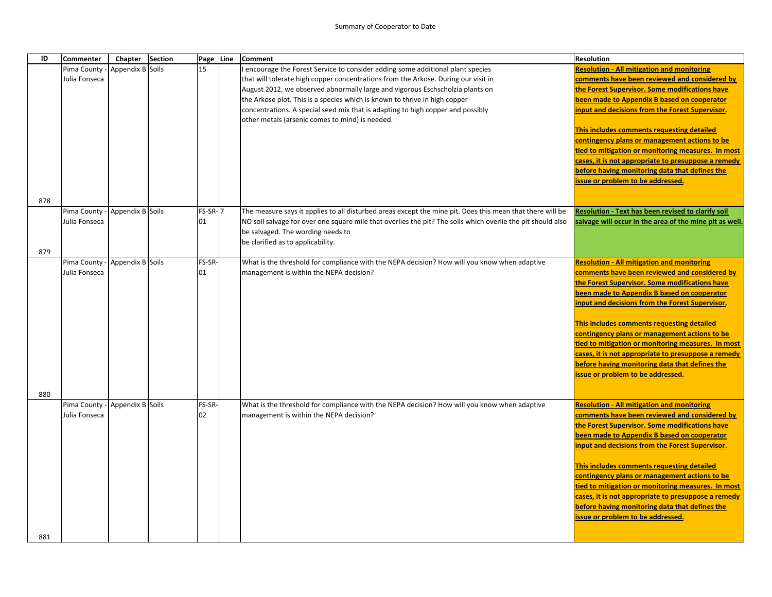| ID  | <b>Commenter</b> | Chapter          | <b>Section</b> | Page    | Line | <b>Comment</b>                                                                                                                     | <b>Resolution</b>                                       |
|-----|------------------|------------------|----------------|---------|------|------------------------------------------------------------------------------------------------------------------------------------|---------------------------------------------------------|
|     | Pima County      | Appendix B Soils |                | 15      |      | encourage the Forest Service to consider adding some additional plant species                                                      | <b>Resolution - All mitigation and monitoring</b>       |
|     | Julia Fonseca    |                  |                |         |      | that will tolerate high copper concentrations from the Arkose. During our visit in                                                 | comments have been reviewed and considered by           |
|     |                  |                  |                |         |      | August 2012, we observed abnormally large and vigorous Eschscholzia plants on                                                      | the Forest Supervisor. Some modifications have          |
|     |                  |                  |                |         |      | the Arkose plot. This is a species which is known to thrive in high copper                                                         | been made to Appendix B based on cooperator             |
|     |                  |                  |                |         |      | concentrations. A special seed mix that is adapting to high copper and possibly<br>other metals (arsenic comes to mind) is needed. | input and decisions from the Forest Supervisor.         |
|     |                  |                  |                |         |      |                                                                                                                                    | This includes comments requesting detailed              |
|     |                  |                  |                |         |      |                                                                                                                                    | contingency plans or management actions to be           |
|     |                  |                  |                |         |      |                                                                                                                                    | tied to mitigation or monitoring measures. In most      |
|     |                  |                  |                |         |      |                                                                                                                                    | cases, it is not appropriate to presuppose a remedy     |
|     |                  |                  |                |         |      |                                                                                                                                    | before having monitoring data that defines the          |
|     |                  |                  |                |         |      |                                                                                                                                    | issue or problem to be addressed.                       |
| 878 |                  |                  |                |         |      |                                                                                                                                    |                                                         |
|     | Pima County      | Appendix B Soils |                | FS-SR-7 |      | The measure says it applies to all disturbed areas except the mine pit. Does this mean that there will be                          | Resolution - Text has been revised to clarify soil      |
|     | Julia Fonseca    |                  |                | 01      |      | NO soil salvage for over one square mile that overlies the pit? The soils which overlie the pit should also                        | salvage will occur in the area of the mine pit as well. |
|     |                  |                  |                |         |      | be salvaged. The wording needs to                                                                                                  |                                                         |
|     |                  |                  |                |         |      | be clarified as to applicability.                                                                                                  |                                                         |
| 879 |                  |                  |                |         |      |                                                                                                                                    |                                                         |
|     | Pima County      | Appendix B Soils |                | FS-SR-  |      | What is the threshold for compliance with the NEPA decision? How will you know when adaptive                                       | <b>Resolution - All mitigation and monitoring</b>       |
|     | Julia Fonseca    |                  |                | 01      |      | management is within the NEPA decision?                                                                                            | comments have been reviewed and considered by           |
|     |                  |                  |                |         |      |                                                                                                                                    | the Forest Supervisor. Some modifications have          |
|     |                  |                  |                |         |      |                                                                                                                                    | been made to Appendix B based on cooperator             |
|     |                  |                  |                |         |      |                                                                                                                                    | input and decisions from the Forest Supervisor.         |
|     |                  |                  |                |         |      |                                                                                                                                    | This includes comments requesting detailed              |
|     |                  |                  |                |         |      |                                                                                                                                    | contingency plans or management actions to be           |
|     |                  |                  |                |         |      |                                                                                                                                    | tied to mitigation or monitoring measures. In most      |
|     |                  |                  |                |         |      |                                                                                                                                    | cases, it is not appropriate to presuppose a remedy     |
|     |                  |                  |                |         |      |                                                                                                                                    | before having monitoring data that defines the          |
|     |                  |                  |                |         |      |                                                                                                                                    | issue or problem to be addressed.                       |
|     |                  |                  |                |         |      |                                                                                                                                    |                                                         |
| 880 |                  |                  |                |         |      |                                                                                                                                    |                                                         |
|     | Pima County      | Appendix B Soils |                | FS-SR-  |      | What is the threshold for compliance with the NEPA decision? How will you know when adaptive                                       | <b>Resolution - All mitigation and monitoring</b>       |
|     | Julia Fonseca    |                  |                | 02      |      | management is within the NEPA decision?                                                                                            | comments have been reviewed and considered by           |
|     |                  |                  |                |         |      |                                                                                                                                    | the Forest Supervisor. Some modifications have          |
|     |                  |                  |                |         |      |                                                                                                                                    | been made to Appendix B based on cooperator             |
|     |                  |                  |                |         |      |                                                                                                                                    | input and decisions from the Forest Supervisor.         |
|     |                  |                  |                |         |      |                                                                                                                                    | This includes comments requesting detailed              |
|     |                  |                  |                |         |      |                                                                                                                                    | contingency plans or management actions to be           |
|     |                  |                  |                |         |      |                                                                                                                                    | tied to mitigation or monitoring measures. In most      |
|     |                  |                  |                |         |      |                                                                                                                                    | cases, it is not appropriate to presuppose a remedy     |
|     |                  |                  |                |         |      |                                                                                                                                    | before having monitoring data that defines the          |
|     |                  |                  |                |         |      |                                                                                                                                    | issue or problem to be addressed.                       |
|     |                  |                  |                |         |      |                                                                                                                                    |                                                         |
| 881 |                  |                  |                |         |      |                                                                                                                                    |                                                         |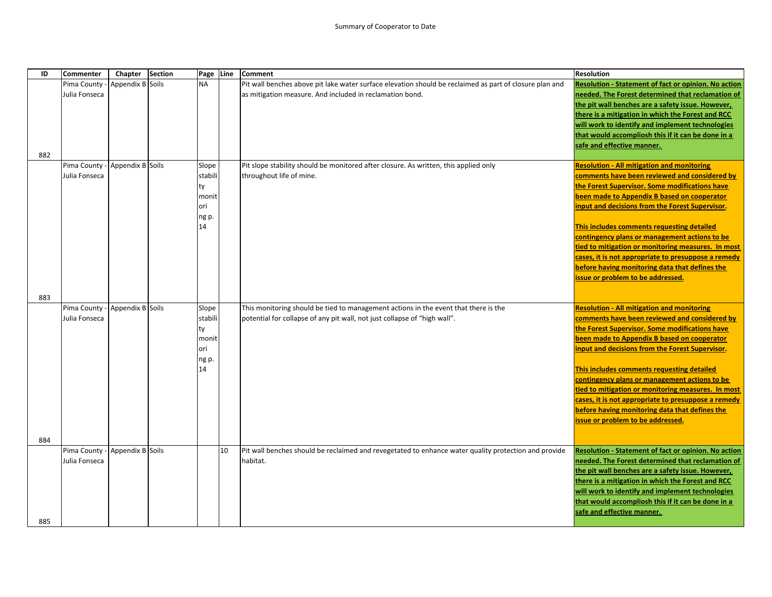| ID  | Commenter                      | Chapter          | <b>Section</b> | Page Line   |    | <b>Comment</b>                                                                                          | <b>Resolution</b>                                                                                      |
|-----|--------------------------------|------------------|----------------|-------------|----|---------------------------------------------------------------------------------------------------------|--------------------------------------------------------------------------------------------------------|
|     | Pima County                    | Appendix B Soils |                | <b>NA</b>   |    | Pit wall benches above pit lake water surface elevation should be reclaimed as part of closure plan and | Resolution - Statement of fact or opinion. No action                                                   |
|     | Julia Fonseca                  |                  |                |             |    | as mitigation measure. And included in reclamation bond.                                                | needed. The Forest determined that reclamation of                                                      |
|     |                                |                  |                |             |    |                                                                                                         | the pit wall benches are a safety issue. However,                                                      |
|     |                                |                  |                |             |    |                                                                                                         | there is a mitigation in which the Forest and RCC                                                      |
|     |                                |                  |                |             |    |                                                                                                         | will work to identify and implement technologies                                                       |
|     |                                |                  |                |             |    |                                                                                                         | that would accompliosh this if it can be done in a                                                     |
|     |                                |                  |                |             |    |                                                                                                         | safe and effective manner.                                                                             |
| 882 |                                |                  |                |             |    |                                                                                                         |                                                                                                        |
|     | Pima County - Appendix B Soils |                  |                | Slope       |    | Pit slope stability should be monitored after closure. As written, this applied only                    | <b>Resolution - All mitigation and monitoring</b>                                                      |
|     | Julia Fonseca                  |                  |                | stabili     |    | throughout life of mine.                                                                                | comments have been reviewed and considered by                                                          |
|     |                                |                  |                | tv          |    |                                                                                                         | the Forest Supervisor. Some modifications have                                                         |
|     |                                |                  |                | monit       |    |                                                                                                         | been made to Appendix B based on cooperator                                                            |
|     |                                |                  |                | ori         |    |                                                                                                         | input and decisions from the Forest Supervisor.                                                        |
|     |                                |                  |                | ng p.<br>14 |    |                                                                                                         |                                                                                                        |
|     |                                |                  |                |             |    |                                                                                                         | This includes comments requesting detailed                                                             |
|     |                                |                  |                |             |    |                                                                                                         | contingency plans or management actions to be<br>tied to mitigation or monitoring measures. In most    |
|     |                                |                  |                |             |    |                                                                                                         | cases, it is not appropriate to presuppose a remedy                                                    |
|     |                                |                  |                |             |    |                                                                                                         | before having monitoring data that defines the                                                         |
|     |                                |                  |                |             |    |                                                                                                         | issue or problem to be addressed.                                                                      |
|     |                                |                  |                |             |    |                                                                                                         |                                                                                                        |
| 883 |                                |                  |                |             |    |                                                                                                         |                                                                                                        |
|     | Pima County -                  | Appendix B Soils |                | Slope       |    | This monitoring should be tied to management actions in the event that there is the                     | <b>Resolution - All mitigation and monitoring</b>                                                      |
|     | Julia Fonseca                  |                  |                | stabili     |    | potential for collapse of any pit wall, not just collapse of "high wall".                               | comments have been reviewed and considered by                                                          |
|     |                                |                  |                | tv          |    |                                                                                                         | the Forest Supervisor. Some modifications have                                                         |
|     |                                |                  |                | monit       |    |                                                                                                         | been made to Appendix B based on cooperator                                                            |
|     |                                |                  |                | ori         |    |                                                                                                         | input and decisions from the Forest Supervisor.                                                        |
|     |                                |                  |                | ng p.       |    |                                                                                                         |                                                                                                        |
|     |                                |                  |                | 14          |    |                                                                                                         | This includes comments requesting detailed                                                             |
|     |                                |                  |                |             |    |                                                                                                         | contingency plans or management actions to be                                                          |
|     |                                |                  |                |             |    |                                                                                                         | tied to mitigation or monitoring measures. In most                                                     |
|     |                                |                  |                |             |    |                                                                                                         | cases, it is not appropriate to presuppose a remedy                                                    |
|     |                                |                  |                |             |    |                                                                                                         | before having monitoring data that defines the                                                         |
|     |                                |                  |                |             |    |                                                                                                         | issue or problem to be addressed.                                                                      |
|     |                                |                  |                |             |    |                                                                                                         |                                                                                                        |
| 884 |                                |                  |                |             |    |                                                                                                         |                                                                                                        |
|     | Pima County - Appendix B Soils |                  |                |             | 10 | Pit wall benches should be reclaimed and revegetated to enhance water quality protection and provide    | Resolution - Statement of fact or opinion. No action                                                   |
|     | Julia Fonseca                  |                  |                |             |    | habitat.                                                                                                | needed. The Forest determined that reclamation of                                                      |
|     |                                |                  |                |             |    |                                                                                                         | the pit wall benches are a safety issue. However,<br>there is a mitigation in which the Forest and RCC |
|     |                                |                  |                |             |    |                                                                                                         | will work to identify and implement technologies                                                       |
|     |                                |                  |                |             |    |                                                                                                         | that would accompliosh this if it can be done in a                                                     |
|     |                                |                  |                |             |    |                                                                                                         | safe and effective manner.                                                                             |
| 885 |                                |                  |                |             |    |                                                                                                         |                                                                                                        |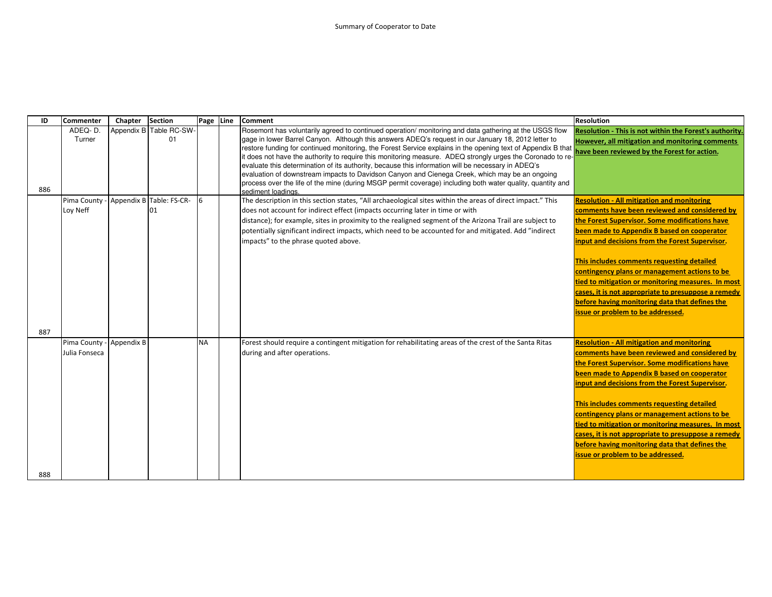| ID  | <b>Commenter</b>                          | Chapter | <b>Section</b>                 | Page Line | <b>Comment</b>                                                                                                                                                                                                                                                                                                                                                                                                                                                                                                                                                                                                                                                                                                                                                                          | <b>Resolution</b>                                                                                                                                                                                                                                                                                                                                                                                                                                                                                                                                         |
|-----|-------------------------------------------|---------|--------------------------------|-----------|-----------------------------------------------------------------------------------------------------------------------------------------------------------------------------------------------------------------------------------------------------------------------------------------------------------------------------------------------------------------------------------------------------------------------------------------------------------------------------------------------------------------------------------------------------------------------------------------------------------------------------------------------------------------------------------------------------------------------------------------------------------------------------------------|-----------------------------------------------------------------------------------------------------------------------------------------------------------------------------------------------------------------------------------------------------------------------------------------------------------------------------------------------------------------------------------------------------------------------------------------------------------------------------------------------------------------------------------------------------------|
| 886 | ADEQ-D.<br>Turner                         |         | Appendix B Table RC-SW-<br>01  |           | Rosemont has voluntarily agreed to continued operation/ monitoring and data gathering at the USGS flow<br>gage in lower Barrel Canyon. Although this answers ADEQ's request in our January 18, 2012 letter to<br>restore funding for continued monitoring, the Forest Service explains in the opening text of Appendix B that<br>it does not have the authority to require this monitoring measure. ADEQ strongly urges the Coronado to re-<br>evaluate this determination of its authority, because this information will be necessary in ADEQ's<br>evaluation of downstream impacts to Davidson Canyon and Cienega Creek, which may be an ongoing<br>process over the life of the mine (during MSGP permit coverage) including both water quality, quantity and<br>sediment loadings. | Resolution - This is not within the Forest's authority<br>However, all mitigation and monitoring comments<br>have been reviewed by the Forest for action.                                                                                                                                                                                                                                                                                                                                                                                                 |
|     | Pima County -<br>Loy Neff                 |         | Appendix B Table: FS-CR-<br>01 | 6         | The description in this section states, "All archaeological sites within the areas of direct impact." This<br>does not account for indirect effect (impacts occurring later in time or with<br>distance); for example, sites in proximity to the realigned segment of the Arizona Trail are subject to<br>potentially significant indirect impacts, which need to be accounted for and mitigated. Add "indirect<br>impacts" to the phrase quoted above.                                                                                                                                                                                                                                                                                                                                 | <b>Resolution - All mitigation and monitoring</b><br>comments have been reviewed and considered by<br>the Forest Supervisor. Some modifications have<br>been made to Appendix B based on cooperator<br>input and decisions from the Forest Supervisor.<br>This includes comments requesting detailed<br>contingency plans or management actions to be<br>tied to mitigation or monitoring measures. In most<br>cases, it is not appropriate to presuppose a remedy<br>before having monitoring data that defines the<br>issue or problem to be addressed. |
| 887 |                                           |         |                                |           |                                                                                                                                                                                                                                                                                                                                                                                                                                                                                                                                                                                                                                                                                                                                                                                         |                                                                                                                                                                                                                                                                                                                                                                                                                                                                                                                                                           |
|     | Pima County - Appendix B<br>Julia Fonseca |         |                                | <b>NA</b> | Forest should require a contingent mitigation for rehabilitating areas of the crest of the Santa Ritas<br>during and after operations.                                                                                                                                                                                                                                                                                                                                                                                                                                                                                                                                                                                                                                                  | <b>Resolution - All mitigation and monitoring</b><br>comments have been reviewed and considered by<br>the Forest Supervisor. Some modifications have<br>been made to Appendix B based on cooperator<br>input and decisions from the Forest Supervisor.<br>This includes comments requesting detailed<br>contingency plans or management actions to be<br>tied to mitigation or monitoring measures. In most<br>cases, it is not appropriate to presuppose a remedy<br>before having monitoring data that defines the<br>issue or problem to be addressed. |
| 888 |                                           |         |                                |           |                                                                                                                                                                                                                                                                                                                                                                                                                                                                                                                                                                                                                                                                                                                                                                                         |                                                                                                                                                                                                                                                                                                                                                                                                                                                                                                                                                           |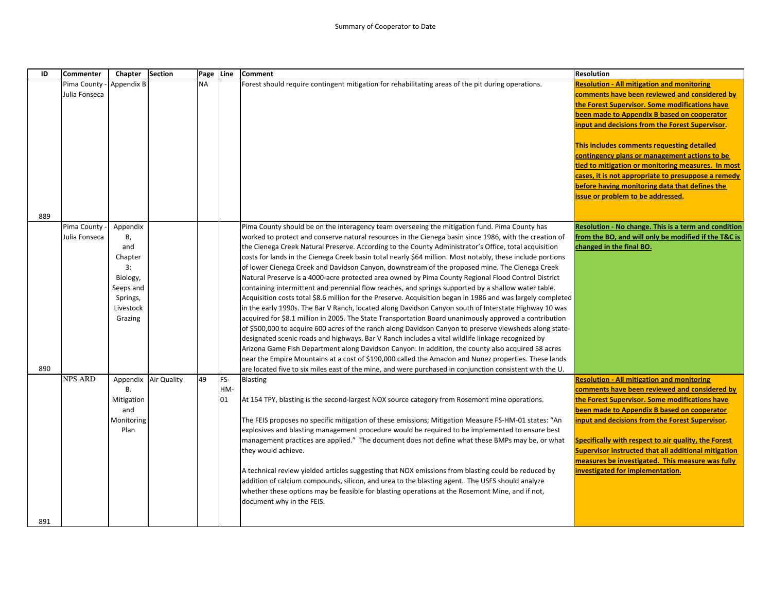| ID  | <b>Commenter</b> | Chapter               | <b>Section</b>       | Page Line |     | <b>Comment</b>                                                                                                                                                                                                       | <b>Resolution</b>                                    |
|-----|------------------|-----------------------|----------------------|-----------|-----|----------------------------------------------------------------------------------------------------------------------------------------------------------------------------------------------------------------------|------------------------------------------------------|
|     | Pima County -    | Appendix B            |                      | <b>NA</b> |     | Forest should require contingent mitigation for rehabilitating areas of the pit during operations.                                                                                                                   | <b>Resolution - All mitigation and monitoring</b>    |
|     | Julia Fonseca    |                       |                      |           |     |                                                                                                                                                                                                                      | comments have been reviewed and considered by        |
|     |                  |                       |                      |           |     |                                                                                                                                                                                                                      | the Forest Supervisor. Some modifications have       |
|     |                  |                       |                      |           |     |                                                                                                                                                                                                                      | been made to Appendix B based on cooperator          |
|     |                  |                       |                      |           |     |                                                                                                                                                                                                                      | input and decisions from the Forest Supervisor.      |
|     |                  |                       |                      |           |     |                                                                                                                                                                                                                      |                                                      |
|     |                  |                       |                      |           |     |                                                                                                                                                                                                                      | This includes comments requesting detailed           |
|     |                  |                       |                      |           |     |                                                                                                                                                                                                                      | contingency plans or management actions to be        |
|     |                  |                       |                      |           |     |                                                                                                                                                                                                                      | tied to mitigation or monitoring measures. In most   |
|     |                  |                       |                      |           |     |                                                                                                                                                                                                                      | cases, it is not appropriate to presuppose a remedy  |
|     |                  |                       |                      |           |     |                                                                                                                                                                                                                      | before having monitoring data that defines the       |
|     |                  |                       |                      |           |     |                                                                                                                                                                                                                      | issue or problem to be addressed.                    |
|     |                  |                       |                      |           |     |                                                                                                                                                                                                                      |                                                      |
| 889 |                  |                       |                      |           |     |                                                                                                                                                                                                                      |                                                      |
|     | Pima County      | Appendix              |                      |           |     | Pima County should be on the interagency team overseeing the mitigation fund. Pima County has                                                                                                                        | Resolution - No change. This is a term and condition |
|     | Julia Fonseca    | В,                    |                      |           |     | worked to protect and conserve natural resources in the Cienega basin since 1986, with the creation of                                                                                                               | from the BO, and will only be modified if the T&C is |
|     |                  | and                   |                      |           |     | the Cienega Creek Natural Preserve. According to the County Administrator's Office, total acquisition                                                                                                                | changed in the final BO.                             |
|     |                  | Chapter               |                      |           |     | costs for lands in the Cienega Creek basin total nearly \$64 million. Most notably, these include portions                                                                                                           |                                                      |
|     |                  | 3:                    |                      |           |     | of lower Cienega Creek and Davidson Canyon, downstream of the proposed mine. The Cienega Creek                                                                                                                       |                                                      |
|     |                  | Biology,              |                      |           |     | Natural Preserve is a 4000-acre protected area owned by Pima County Regional Flood Control District                                                                                                                  |                                                      |
|     |                  | Seeps and             |                      |           |     | containing intermittent and perennial flow reaches, and springs supported by a shallow water table.                                                                                                                  |                                                      |
|     |                  | Springs,<br>Livestock |                      |           |     | Acquisition costs total \$8.6 million for the Preserve. Acquisition began in 1986 and was largely completed<br>in the early 1990s. The Bar V Ranch, located along Davidson Canyon south of Interstate Highway 10 was |                                                      |
|     |                  | Grazing               |                      |           |     | acquired for \$8.1 million in 2005. The State Transportation Board unanimously approved a contribution                                                                                                               |                                                      |
|     |                  |                       |                      |           |     | of \$500,000 to acquire 600 acres of the ranch along Davidson Canyon to preserve viewsheds along state-                                                                                                              |                                                      |
|     |                  |                       |                      |           |     | designated scenic roads and highways. Bar V Ranch includes a vital wildlife linkage recognized by                                                                                                                    |                                                      |
|     |                  |                       |                      |           |     | Arizona Game Fish Department along Davidson Canyon. In addition, the county also acquired 58 acres                                                                                                                   |                                                      |
|     |                  |                       |                      |           |     | near the Empire Mountains at a cost of \$190,000 called the Amadon and Nunez properties. These lands                                                                                                                 |                                                      |
| 890 |                  |                       |                      |           |     | are located five to six miles east of the mine, and were purchased in conjunction consistent with the U.                                                                                                             |                                                      |
|     | <b>NPS ARD</b>   |                       | Appendix Air Quality | 49        | FS- | <b>Blasting</b>                                                                                                                                                                                                      | <b>Resolution - All mitigation and monitoring</b>    |
|     |                  | <b>B.</b>             |                      |           | HM- |                                                                                                                                                                                                                      | comments have been reviewed and considered by        |
|     |                  | Mitigation            |                      |           | 01  | At 154 TPY, blasting is the second-largest NOX source category from Rosemont mine operations.                                                                                                                        | the Forest Supervisor. Some modifications have       |
|     |                  | and                   |                      |           |     |                                                                                                                                                                                                                      | been made to Appendix B based on cooperator          |
|     |                  | Monitoring            |                      |           |     | The FEIS proposes no specific mitigation of these emissions; Mitigation Measure FS-HM-01 states: "An                                                                                                                 | input and decisions from the Forest Supervisor.      |
|     |                  | Plan                  |                      |           |     | explosives and blasting management procedure would be required to be implemented to ensure best                                                                                                                      |                                                      |
|     |                  |                       |                      |           |     | management practices are applied." The document does not define what these BMPs may be, or what                                                                                                                      | Specifically with respect to air quality, the Forest |
|     |                  |                       |                      |           |     | they would achieve.                                                                                                                                                                                                  | Supervisor instructed that all additional mitigation |
|     |                  |                       |                      |           |     |                                                                                                                                                                                                                      | measures be investigated. This measure was fully     |
|     |                  |                       |                      |           |     | A technical review yielded articles suggesting that NOX emissions from blasting could be reduced by                                                                                                                  | investigated for implementation.                     |
|     |                  |                       |                      |           |     | addition of calcium compounds, silicon, and urea to the blasting agent. The USFS should analyze                                                                                                                      |                                                      |
|     |                  |                       |                      |           |     | whether these options may be feasible for blasting operations at the Rosemont Mine, and if not,                                                                                                                      |                                                      |
|     |                  |                       |                      |           |     | document why in the FEIS.                                                                                                                                                                                            |                                                      |
|     |                  |                       |                      |           |     |                                                                                                                                                                                                                      |                                                      |
| 891 |                  |                       |                      |           |     |                                                                                                                                                                                                                      |                                                      |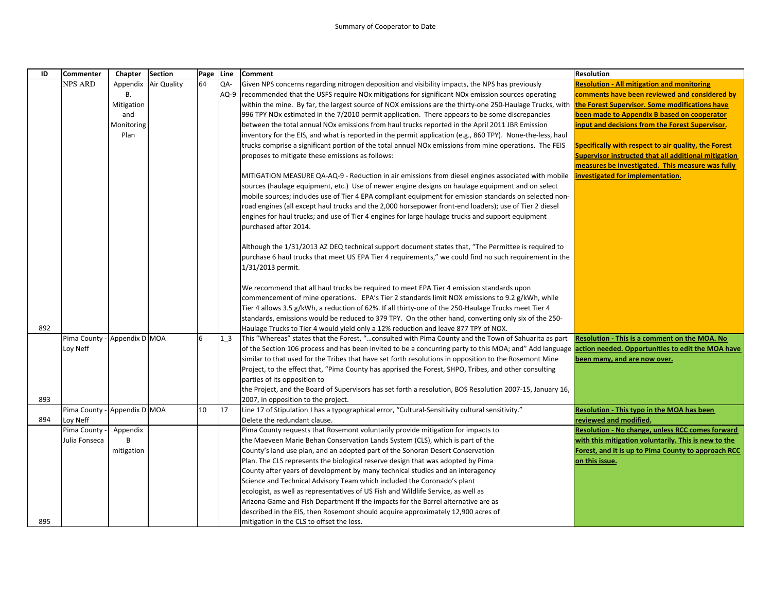| ID  | <b>Commenter</b>             | Chapter    | <b>Section</b> |    | Page Line | <b>Comment</b>                                                                                                                                             | <b>Resolution</b>                                           |
|-----|------------------------------|------------|----------------|----|-----------|------------------------------------------------------------------------------------------------------------------------------------------------------------|-------------------------------------------------------------|
|     | <b>NPS ARD</b>               | Appendix   | Air Quality    | 64 | QA-       | Given NPS concerns regarding nitrogen deposition and visibility impacts, the NPS has previously                                                            | <b>Resolution - All mitigation and monitoring</b>           |
|     |                              | В.         |                |    | AQ-9      | recommended that the USFS require NOx mitigations for significant NOx emission sources operating                                                           | comments have been reviewed and considered by               |
|     |                              | Mitigation |                |    |           | within the mine. By far, the largest source of NOX emissions are the thirty-one 250-Haulage Trucks, with latine Forest Supervisor. Some modifications have |                                                             |
|     |                              | and        |                |    |           | 996 TPY NOx estimated in the 7/2010 permit application. There appears to be some discrepancies                                                             | been made to Appendix B based on cooperator                 |
|     |                              | Monitoring |                |    |           | between the total annual NO <sub>x</sub> emissions from haul trucks reported in the April 2011 JBR Emission                                                | input and decisions from the Forest Supervisor.             |
|     |                              | Plan       |                |    |           | inventory for the EIS, and what is reported in the permit application (e.g., 860 TPY). None-the-less, haul                                                 |                                                             |
|     |                              |            |                |    |           | trucks comprise a significant portion of the total annual NOx emissions from mine operations. The FEIS                                                     | <b>Specifically with respect to air quality, the Forest</b> |
|     |                              |            |                |    |           | proposes to mitigate these emissions as follows:                                                                                                           | <b>Supervisor instructed that all additional mitigation</b> |
|     |                              |            |                |    |           |                                                                                                                                                            | measures be investigated. This measure was fully            |
|     |                              |            |                |    |           | MITIGATION MEASURE QA-AQ-9 - Reduction in air emissions from diesel engines associated with mobile languestigated for implementation.                      |                                                             |
|     |                              |            |                |    |           | sources (haulage equipment, etc.) Use of newer engine designs on haulage equipment and on select                                                           |                                                             |
|     |                              |            |                |    |           | mobile sources; includes use of Tier 4 EPA compliant equipment for emission standards on selected non-                                                     |                                                             |
|     |                              |            |                |    |           | road engines (all except haul trucks and the 2,000 horsepower front-end loaders); use of Tier 2 diesel                                                     |                                                             |
|     |                              |            |                |    |           | engines for haul trucks; and use of Tier 4 engines for large haulage trucks and support equipment                                                          |                                                             |
|     |                              |            |                |    |           | purchased after 2014.                                                                                                                                      |                                                             |
|     |                              |            |                |    |           | Although the 1/31/2013 AZ DEQ technical support document states that, "The Permittee is required to                                                        |                                                             |
|     |                              |            |                |    |           | purchase 6 haul trucks that meet US EPA Tier 4 requirements," we could find no such requirement in the                                                     |                                                             |
|     |                              |            |                |    |           | 1/31/2013 permit.                                                                                                                                          |                                                             |
|     |                              |            |                |    |           |                                                                                                                                                            |                                                             |
|     |                              |            |                |    |           | We recommend that all haul trucks be required to meet EPA Tier 4 emission standards upon                                                                   |                                                             |
|     |                              |            |                |    |           | commencement of mine operations. EPA's Tier 2 standards limit NOX emissions to 9.2 g/kWh, while                                                            |                                                             |
|     |                              |            |                |    |           | Tier 4 allows 3.5 g/kWh, a reduction of 62%. If all thirty-one of the 250-Haulage Trucks meet Tier 4                                                       |                                                             |
|     |                              |            |                |    |           | standards, emissions would be reduced to 379 TPY. On the other hand, converting only six of the 250-                                                       |                                                             |
| 892 |                              |            |                |    |           | Haulage Trucks to Tier 4 would yield only a 12% reduction and leave 877 TPY of NOX.                                                                        |                                                             |
|     | Pima County - Appendix D MOA |            |                | 6  | $1-3$     | This "Whereas" states that the Forest, "consulted with Pima County and the Town of Sahuarita as part                                                       | Resolution - This is a comment on the MOA. No               |
|     | Loy Neff                     |            |                |    |           | of the Section 106 process and has been invited to be a concurring party to this MOA; and" Add language action needed. Opportunities to edit the MOA have  |                                                             |
|     |                              |            |                |    |           | similar to that used for the Tribes that have set forth resolutions in opposition to the Rosemont Mine                                                     | been many, and are now over.                                |
|     |                              |            |                |    |           | Project, to the effect that, "Pima County has apprised the Forest, SHPO, Tribes, and other consulting                                                      |                                                             |
|     |                              |            |                |    |           | parties of its opposition to                                                                                                                               |                                                             |
|     |                              |            |                |    |           | the Project, and the Board of Supervisors has set forth a resolution, BOS Resolution 2007-15, January 16,                                                  |                                                             |
| 893 |                              |            |                |    |           | 2007, in opposition to the project.                                                                                                                        |                                                             |
|     | Pima County - Appendix D MOA |            |                | 10 | 17        | Line 17 of Stipulation J has a typographical error, "Cultural-Sensitivity cultural sensitivity."                                                           | Resolution - This typo in the MOA has been                  |
| 894 | Loy Neff                     |            |                |    |           | Delete the redundant clause.                                                                                                                               | reviewed and modified.                                      |
|     | Pima County                  | Appendix   |                |    |           | Pima County requests that Rosemont voluntarily provide mitigation for impacts to                                                                           | Resolution - No change, unless RCC comes forward            |
|     | Julia Fonseca                | B          |                |    |           | the Maeveen Marie Behan Conservation Lands System (CLS), which is part of the                                                                              | with this mitigation voluntarily. This is new to the        |
|     |                              | mitigation |                |    |           | County's land use plan, and an adopted part of the Sonoran Desert Conservation                                                                             | Forest, and it is up to Pima County to approach RCC         |
|     |                              |            |                |    |           | Plan. The CLS represents the biological reserve design that was adopted by Pima                                                                            | on this issue.                                              |
|     |                              |            |                |    |           | County after years of development by many technical studies and an interagency                                                                             |                                                             |
|     |                              |            |                |    |           | Science and Technical Advisory Team which included the Coronado's plant                                                                                    |                                                             |
|     |                              |            |                |    |           | ecologist, as well as representatives of US Fish and Wildlife Service, as well as                                                                          |                                                             |
|     |                              |            |                |    |           | Arizona Game and Fish Department If the impacts for the Barrel alternative are as                                                                          |                                                             |
|     |                              |            |                |    |           | described in the EIS, then Rosemont should acquire approximately 12,900 acres of                                                                           |                                                             |
| 895 |                              |            |                |    |           | mitigation in the CLS to offset the loss.                                                                                                                  |                                                             |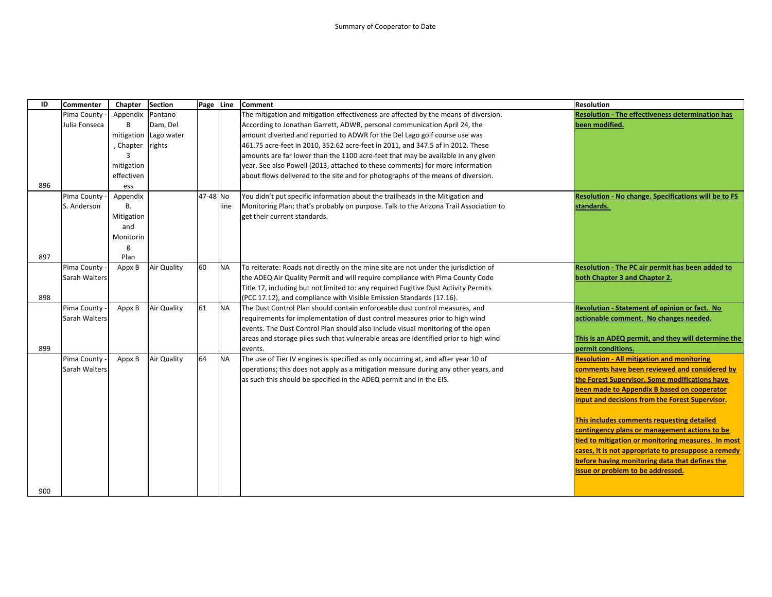| ID  | <b>Commenter</b> | Chapter    | <b>Section</b>     | Page Line |           | <b>Comment</b>                                                                        | <b>Resolution</b>                                       |
|-----|------------------|------------|--------------------|-----------|-----------|---------------------------------------------------------------------------------------|---------------------------------------------------------|
|     | Pima County      | Appendix   | Pantano            |           |           | The mitigation and mitigation effectiveness are affected by the means of diversion.   | <b>Resolution - The effectiveness determination has</b> |
|     | Julia Fonseca    | B          | Dam, Del           |           |           | According to Jonathan Garrett, ADWR, personal communication April 24, the             | been modified.                                          |
|     |                  | mitigation | Lago water         |           |           | amount diverted and reported to ADWR for the Del Lago golf course use was             |                                                         |
|     |                  | , Chapter  | rights             |           |           | 461.75 acre-feet in 2010, 352.62 acre-feet in 2011, and 347.5 af in 2012. These       |                                                         |
|     |                  | ₹          |                    |           |           | amounts are far lower than the 1100 acre-feet that may be available in any given      |                                                         |
|     |                  | mitigation |                    |           |           | year. See also Powell (2013, attached to these comments) for more information         |                                                         |
|     |                  | effectiven |                    |           |           | about flows delivered to the site and for photographs of the means of diversion.      |                                                         |
| 896 |                  | ess        |                    |           |           |                                                                                       |                                                         |
|     | Pima County      | Appendix   |                    | 47-48 No  |           | You didn't put specific information about the trailheads in the Mitigation and        | Resolution - No change. Specifications will be to FS    |
|     | S. Anderson      | <b>B.</b>  |                    |           | line      | Monitoring Plan; that's probably on purpose. Talk to the Arizona Trail Association to | standards.                                              |
|     |                  | Mitigation |                    |           |           | get their current standards.                                                          |                                                         |
|     |                  | and        |                    |           |           |                                                                                       |                                                         |
|     |                  | Monitorin  |                    |           |           |                                                                                       |                                                         |
|     |                  | g          |                    |           |           |                                                                                       |                                                         |
| 897 |                  | Plan       |                    |           |           |                                                                                       |                                                         |
|     | Pima County      | Appx B     | Air Quality        | 60        | <b>NA</b> | To reiterate: Roads not directly on the mine site are not under the jurisdiction of   | Resolution - The PC air permit has been added to        |
|     | Sarah Walters    |            |                    |           |           | the ADEQ Air Quality Permit and will require compliance with Pima County Code         | both Chapter 3 and Chapter 2.                           |
|     |                  |            |                    |           |           | Title 17, including but not limited to: any required Fugitive Dust Activity Permits   |                                                         |
| 898 |                  |            |                    |           |           | (PCC 17.12), and compliance with Visible Emission Standards (17.16).                  |                                                         |
|     | Pima County      | Appx B     | <b>Air Quality</b> | 61        | <b>NA</b> | The Dust Control Plan should contain enforceable dust control measures, and           | <b>Resolution - Statement of opinion or fact. No</b>    |
|     | Sarah Walters    |            |                    |           |           | requirements for implementation of dust control measures prior to high wind           | actionable comment. No changes needed.                  |
|     |                  |            |                    |           |           | events. The Dust Control Plan should also include visual monitoring of the open       |                                                         |
|     |                  |            |                    |           |           | areas and storage piles such that vulnerable areas are identified prior to high wind  | This is an ADEQ permit, and they will determine the     |
| 899 |                  |            |                    |           |           | events.                                                                               | permit conditions.                                      |
|     | Pima County      | Appx B     | <b>Air Quality</b> | 64        | <b>NA</b> | The use of Tier IV engines is specified as only occurring at, and after year 10 of    | <b>Resolution - All mitigation and monitoring</b>       |
|     | Sarah Walters    |            |                    |           |           | operations; this does not apply as a mitigation measure during any other years, and   | comments have been reviewed and considered by           |
|     |                  |            |                    |           |           | as such this should be specified in the ADEQ permit and in the EIS.                   | the Forest Supervisor. Some modifications have          |
|     |                  |            |                    |           |           |                                                                                       | been made to Appendix B based on cooperator             |
|     |                  |            |                    |           |           |                                                                                       | input and decisions from the Forest Supervisor.         |
|     |                  |            |                    |           |           |                                                                                       | This includes comments requesting detailed              |
|     |                  |            |                    |           |           |                                                                                       | contingency plans or management actions to be           |
|     |                  |            |                    |           |           |                                                                                       | tied to mitigation or monitoring measures. In most      |
|     |                  |            |                    |           |           |                                                                                       | cases, it is not appropriate to presuppose a remedy     |
|     |                  |            |                    |           |           |                                                                                       | before having monitoring data that defines the          |
|     |                  |            |                    |           |           |                                                                                       | issue or problem to be addressed.                       |
|     |                  |            |                    |           |           |                                                                                       |                                                         |
| 900 |                  |            |                    |           |           |                                                                                       |                                                         |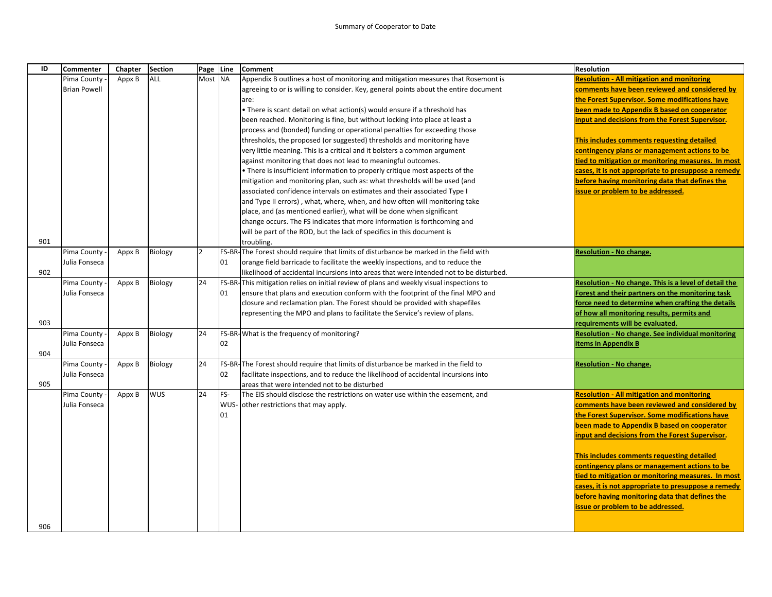| ID  | Commenter           | Chapter | <b>Section</b> | Page Line      |     | <b>Comment</b>                                                                                                                                                                     | <b>Resolution</b>                                     |
|-----|---------------------|---------|----------------|----------------|-----|------------------------------------------------------------------------------------------------------------------------------------------------------------------------------------|-------------------------------------------------------|
|     | Pima County         | Appx B  | ALL            | Most NA        |     | Appendix B outlines a host of monitoring and mitigation measures that Rosemont is                                                                                                  | <b>Resolution - All mitigation and monitoring</b>     |
|     | <b>Brian Powell</b> |         |                |                |     | agreeing to or is willing to consider. Key, general points about the entire document                                                                                               | comments have been reviewed and considered by         |
|     |                     |         |                |                |     | are:                                                                                                                                                                               | the Forest Supervisor. Some modifications have        |
|     |                     |         |                |                |     | • There is scant detail on what action(s) would ensure if a threshold has                                                                                                          | been made to Appendix B based on cooperator           |
|     |                     |         |                |                |     | been reached. Monitoring is fine, but without locking into place at least a                                                                                                        | input and decisions from the Forest Supervisor.       |
|     |                     |         |                |                |     | process and (bonded) funding or operational penalties for exceeding those                                                                                                          |                                                       |
|     |                     |         |                |                |     | thresholds, the proposed (or suggested) thresholds and monitoring have                                                                                                             | This includes comments requesting detailed            |
|     |                     |         |                |                |     | very little meaning. This is a critical and it bolsters a common argument                                                                                                          | contingency plans or management actions to be         |
|     |                     |         |                |                |     | against monitoring that does not lead to meaningful outcomes.                                                                                                                      | tied to mitigation or monitoring measures. In most    |
|     |                     |         |                |                |     | • There is insufficient information to properly critique most aspects of the                                                                                                       | cases, it is not appropriate to presuppose a remedy   |
|     |                     |         |                |                |     | mitigation and monitoring plan, such as: what thresholds will be used (and                                                                                                         | before having monitoring data that defines the        |
|     |                     |         |                |                |     | associated confidence intervals on estimates and their associated Type I                                                                                                           | issue or problem to be addressed.                     |
|     |                     |         |                |                |     | and Type II errors), what, where, when, and how often will monitoring take                                                                                                         |                                                       |
|     |                     |         |                |                |     | place, and (as mentioned earlier), what will be done when significant                                                                                                              |                                                       |
|     |                     |         |                |                |     | change occurs. The FS indicates that more information is forthcoming and                                                                                                           |                                                       |
| 901 |                     |         |                |                |     | will be part of the ROD, but the lack of specifics in this document is                                                                                                             |                                                       |
|     |                     |         |                | $\overline{2}$ |     | troubling.                                                                                                                                                                         |                                                       |
|     | Pima County         | Appx B  | Biology        |                | 01  | FS-BR-The Forest should require that limits of disturbance be marked in the field with                                                                                             | <b>Resolution - No change.</b>                        |
| 902 | Julia Fonseca       |         |                |                |     | orange field barricade to facilitate the weekly inspections, and to reduce the                                                                                                     |                                                       |
|     | Pima County         | Appx B  | Biology        | 24             |     | likelihood of accidental incursions into areas that were intended not to be disturbed.<br>FS-BR-This mitigation relies on initial review of plans and weekly visual inspections to | Resolution - No change. This is a level of detail the |
|     | Julia Fonseca       |         |                |                | 01  | ensure that plans and execution conform with the footprint of the final MPO and                                                                                                    | Forest and their partners on the monitoring task      |
|     |                     |         |                |                |     | closure and reclamation plan. The Forest should be provided with shapefiles                                                                                                        | force need to determine when crafting the details     |
|     |                     |         |                |                |     | representing the MPO and plans to facilitate the Service's review of plans.                                                                                                        | of how all monitoring results, permits and            |
| 903 |                     |         |                |                |     |                                                                                                                                                                                    | requirements will be evaluated.                       |
|     | Pima County         | Appx B  | Biology        | 24             |     | FS-BR-What is the frequency of monitoring?                                                                                                                                         | Resolution - No change. See individual monitoring     |
|     | Julia Fonseca       |         |                |                | 02  |                                                                                                                                                                                    | <b>items in Appendix B</b>                            |
| 904 |                     |         |                |                |     |                                                                                                                                                                                    |                                                       |
|     | Pima County         | Appx B  | Biology        | 24             |     | FS-BR-The Forest should require that limits of disturbance be marked in the field to                                                                                               | <b>Resolution - No change.</b>                        |
|     | Julia Fonseca       |         |                |                | 02  | facilitate inspections, and to reduce the likelihood of accidental incursions into                                                                                                 |                                                       |
| 905 |                     |         |                |                |     | areas that were intended not to be disturbed                                                                                                                                       |                                                       |
|     | Pima County         | Appx B  | <b>WUS</b>     | 24             | FS- | The EIS should disclose the restrictions on water use within the easement, and                                                                                                     | <b>Resolution - All mitigation and monitoring</b>     |
|     | Julia Fonseca       |         |                |                |     | WUS- other restrictions that may apply.                                                                                                                                            | comments have been reviewed and considered by         |
|     |                     |         |                |                | 01  |                                                                                                                                                                                    | the Forest Supervisor. Some modifications have        |
|     |                     |         |                |                |     |                                                                                                                                                                                    | been made to Appendix B based on cooperator           |
|     |                     |         |                |                |     |                                                                                                                                                                                    | input and decisions from the Forest Supervisor.       |
|     |                     |         |                |                |     |                                                                                                                                                                                    |                                                       |
|     |                     |         |                |                |     |                                                                                                                                                                                    | This includes comments requesting detailed            |
|     |                     |         |                |                |     |                                                                                                                                                                                    | contingency plans or management actions to be         |
|     |                     |         |                |                |     |                                                                                                                                                                                    | tied to mitigation or monitoring measures. In most    |
|     |                     |         |                |                |     |                                                                                                                                                                                    | cases, it is not appropriate to presuppose a remedy   |
|     |                     |         |                |                |     |                                                                                                                                                                                    | before having monitoring data that defines the        |
|     |                     |         |                |                |     |                                                                                                                                                                                    | issue or problem to be addressed.                     |
| 906 |                     |         |                |                |     |                                                                                                                                                                                    |                                                       |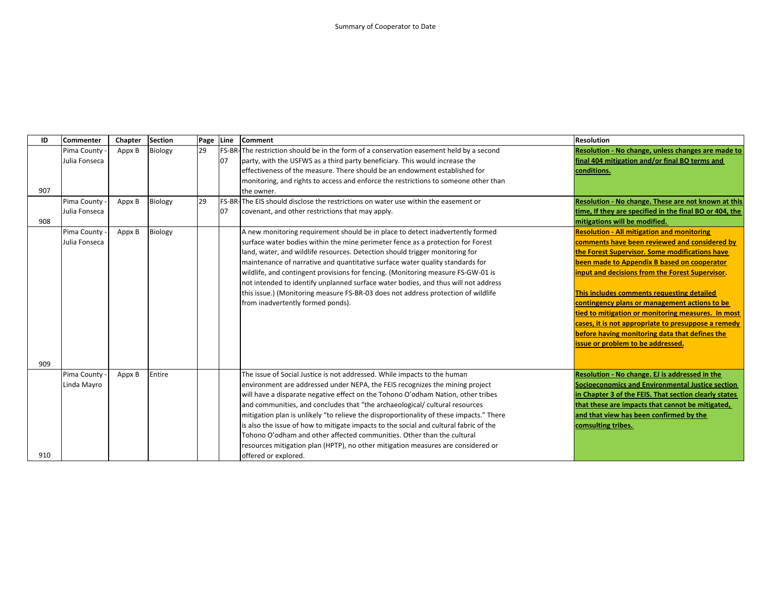| ID  | <b>Commenter</b> | Chapter | Section | Page Line |    | <b>Comment</b>                                                                            | <b>Resolution</b>                                       |
|-----|------------------|---------|---------|-----------|----|-------------------------------------------------------------------------------------------|---------------------------------------------------------|
|     | Pima County      | Appx B  | Biology | 29        |    | FS-BR-The restriction should be in the form of a conservation easement held by a second   | Resolution - No change, unless changes are made to      |
|     | Julia Fonseca    |         |         |           | 07 | party, with the USFWS as a third party beneficiary. This would increase the               | final 404 mitigation and/or final BO terms and          |
|     |                  |         |         |           |    | effectiveness of the measure. There should be an endowment established for                | conditions.                                             |
|     |                  |         |         |           |    | monitoring, and rights to access and enforce the restrictions to someone other than       |                                                         |
| 907 |                  |         |         |           |    | the owner.                                                                                |                                                         |
|     | Pima County      | Appx B  | Biology | 29        |    | <b>FS-BR-The EIS should disclose the restrictions on water use within the easement or</b> | Resolution - No change. These are not known at this     |
|     | Julia Fonseca    |         |         |           | 07 | covenant, and other restrictions that may apply.                                          | time, If they are specified in the final BO or 404, the |
| 908 |                  |         |         |           |    |                                                                                           | mitigations will be modified.                           |
|     | Pima County      | Appx B  | Biology |           |    | A new monitoring requirement should be in place to detect inadvertently formed            | <b>Resolution - All mitigation and monitoring</b>       |
|     | Julia Fonseca    |         |         |           |    | surface water bodies within the mine perimeter fence as a protection for Forest           | comments have been reviewed and considered by           |
|     |                  |         |         |           |    | land, water, and wildlife resources. Detection should trigger monitoring for              | the Forest Supervisor. Some modifications have          |
|     |                  |         |         |           |    | maintenance of narrative and quantitative surface water quality standards for             | been made to Appendix B based on cooperator             |
|     |                  |         |         |           |    | wildlife, and contingent provisions for fencing. (Monitoring measure FS-GW-01 is          | input and decisions from the Forest Supervisor.         |
|     |                  |         |         |           |    | not intended to identify unplanned surface water bodies, and thus will not address        |                                                         |
|     |                  |         |         |           |    | this issue.) (Monitoring measure FS-BR-03 does not address protection of wildlife         | This includes comments requesting detailed              |
|     |                  |         |         |           |    | from inadvertently formed ponds).                                                         | contingency plans or management actions to be           |
|     |                  |         |         |           |    |                                                                                           | tied to mitigation or monitoring measures. In most      |
|     |                  |         |         |           |    |                                                                                           | cases, it is not appropriate to presuppose a remedy     |
|     |                  |         |         |           |    |                                                                                           | before having monitoring data that defines the          |
|     |                  |         |         |           |    |                                                                                           | issue or problem to be addressed.                       |
|     |                  |         |         |           |    |                                                                                           |                                                         |
| 909 |                  |         |         |           |    |                                                                                           |                                                         |
|     | Pima County      | Appx B  | Entire  |           |    | The issue of Social Justice is not addressed. While impacts to the human                  | Resolution - No change. EJ is addressed in the          |
|     | Linda Mayro      |         |         |           |    | environment are addressed under NEPA, the FEIS recognizes the mining project              | Socioeconomics and Environmental Justice section        |
|     |                  |         |         |           |    | will have a disparate negative effect on the Tohono O'odham Nation, other tribes          | in Chapter 3 of the FEIS. That section clearly states   |
|     |                  |         |         |           |    | and communities, and concludes that "the archaeological/ cultural resources               | that these are impacts that cannot be mitigated.        |
|     |                  |         |         |           |    | mitigation plan is unlikely "to relieve the disproportionality of these impacts." There   | and that view has been confirmed by the                 |
|     |                  |         |         |           |    | is also the issue of how to mitigate impacts to the social and cultural fabric of the     | comsulting tribes.                                      |
|     |                  |         |         |           |    | Tohono O'odham and other affected communities. Other than the cultural                    |                                                         |
|     |                  |         |         |           |    | resources mitigation plan (HPTP), no other mitigation measures are considered or          |                                                         |
| 910 |                  |         |         |           |    | offered or explored.                                                                      |                                                         |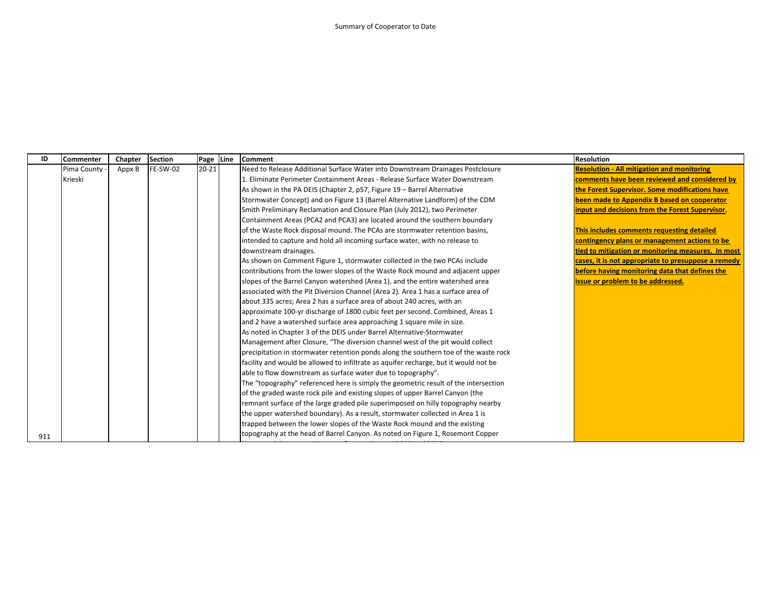| ID  | Commenter   | Chapter | <b>Section</b> | Page Line | Comment                                                                              | <b>Resolution</b>                                   |
|-----|-------------|---------|----------------|-----------|--------------------------------------------------------------------------------------|-----------------------------------------------------|
|     | Pima County | Appx B  | FE-SW-02       | $20 - 21$ | Need to Release Additional Surface Water into Downstream Drainages Postclosure       | <b>Resolution - All mitigation and monitoring</b>   |
|     | Krieski     |         |                |           | 1. Eliminate Perimeter Containment Areas - Release Surface Water Downstream          | comments have been reviewed and considered by       |
|     |             |         |                |           | As shown in the PA DEIS (Chapter 2, p57, Figure 19 - Barrel Alternative              | the Forest Supervisor. Some modifications have      |
|     |             |         |                |           | Stormwater Concept) and on Figure 13 (Barrel Alternative Landform) of the CDM        | been made to Appendix B based on cooperator         |
|     |             |         |                |           | Smith Preliminary Reclamation and Closure Plan (July 2012), two Perimeter            | input and decisions from the Forest Supervisor.     |
|     |             |         |                |           | Containment Areas (PCA2 and PCA3) are located around the southern boundary           |                                                     |
|     |             |         |                |           | of the Waste Rock disposal mound. The PCAs are stormwater retention basins,          | This includes comments requesting detailed          |
|     |             |         |                |           | intended to capture and hold all incoming surface water, with no release to          | contingency plans or management actions to be       |
|     |             |         |                |           | downstream drainages.                                                                | tied to mitigation or monitoring measures. In most  |
|     |             |         |                |           | As shown on Comment Figure 1, stormwater collected in the two PCAs include           | cases, it is not appropriate to presuppose a remedy |
|     |             |         |                |           | contributions from the lower slopes of the Waste Rock mound and adjacent upper       | before having monitoring data that defines the      |
|     |             |         |                |           | slopes of the Barrel Canyon watershed (Area 1), and the entire watershed area        | issue or problem to be addressed.                   |
|     |             |         |                |           | associated with the Pit Diversion Channel (Area 2). Area 1 has a surface area of     |                                                     |
|     |             |         |                |           | about 335 acres; Area 2 has a surface area of about 240 acres, with an               |                                                     |
|     |             |         |                |           | approximate 100-yr discharge of 1800 cubic feet per second. Combined, Areas 1        |                                                     |
|     |             |         |                |           | and 2 have a watershed surface area approaching 1 square mile in size.               |                                                     |
|     |             |         |                |           | As noted in Chapter 3 of the DEIS under Barrel Alternative-Stormwater                |                                                     |
|     |             |         |                |           | Management after Closure, "The diversion channel west of the pit would collect       |                                                     |
|     |             |         |                |           | precipitation in stormwater retention ponds along the southern toe of the waste rock |                                                     |
|     |             |         |                |           | facility and would be allowed to infiltrate as aquifer recharge, but it would not be |                                                     |
|     |             |         |                |           | able to flow downstream as surface water due to topography".                         |                                                     |
|     |             |         |                |           | The "topography" referenced here is simply the geometric result of the intersection  |                                                     |
|     |             |         |                |           | of the graded waste rock pile and existing slopes of upper Barrel Canyon (the        |                                                     |
|     |             |         |                |           | remnant surface of the large graded pile superimposed on hilly topography nearby     |                                                     |
|     |             |         |                |           | the upper watershed boundary). As a result, stormwater collected in Area 1 is        |                                                     |
|     |             |         |                |           | trapped between the lower slopes of the Waste Rock mound and the existing            |                                                     |
| 911 |             |         |                |           | topography at the head of Barrel Canyon. As noted on Figure 1, Rosemont Copper       |                                                     |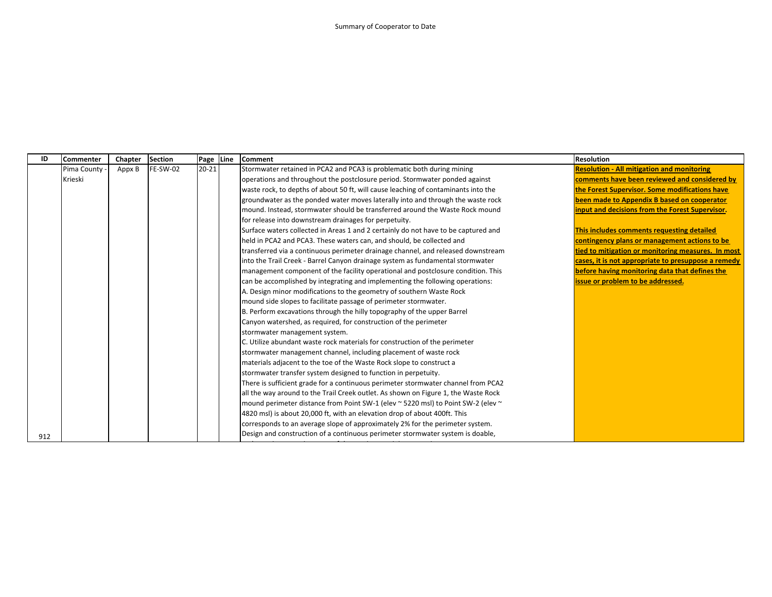| ID  | <b>Commenter</b> | Chapter | <b>Section</b> |           | Page Line | <b>Comment</b>                                                                     | <b>Resolution</b>                                   |
|-----|------------------|---------|----------------|-----------|-----------|------------------------------------------------------------------------------------|-----------------------------------------------------|
|     | Pima County      | Appx B  | FE-SW-02       | $20 - 21$ |           | Stormwater retained in PCA2 and PCA3 is problematic both during mining             | <b>Resolution - All mitigation and monitoring</b>   |
|     | Krieski          |         |                |           |           | operations and throughout the postclosure period. Stormwater ponded against        | comments have been reviewed and considered by       |
|     |                  |         |                |           |           | waste rock, to depths of about 50 ft, will cause leaching of contaminants into the | the Forest Supervisor. Some modifications have      |
|     |                  |         |                |           |           | groundwater as the ponded water moves laterally into and through the waste rock    | been made to Appendix B based on cooperator         |
|     |                  |         |                |           |           | mound. Instead, stormwater should be transferred around the Waste Rock mound       | input and decisions from the Forest Supervisor.     |
|     |                  |         |                |           |           | for release into downstream drainages for perpetuity.                              |                                                     |
|     |                  |         |                |           |           | Surface waters collected in Areas 1 and 2 certainly do not have to be captured and | This includes comments requesting detailed          |
|     |                  |         |                |           |           | held in PCA2 and PCA3. These waters can, and should, be collected and              | contingency plans or management actions to be       |
|     |                  |         |                |           |           | transferred via a continuous perimeter drainage channel, and released downstream   | tied to mitigation or monitoring measures. In most  |
|     |                  |         |                |           |           | into the Trail Creek - Barrel Canyon drainage system as fundamental stormwater     | cases, it is not appropriate to presuppose a remedy |
|     |                  |         |                |           |           | management component of the facility operational and postclosure condition. This   | before having monitoring data that defines the      |
|     |                  |         |                |           |           | can be accomplished by integrating and implementing the following operations:      | issue or problem to be addressed.                   |
|     |                  |         |                |           |           | A. Design minor modifications to the geometry of southern Waste Rock               |                                                     |
|     |                  |         |                |           |           | mound side slopes to facilitate passage of perimeter stormwater.                   |                                                     |
|     |                  |         |                |           |           | B. Perform excavations through the hilly topography of the upper Barrel            |                                                     |
|     |                  |         |                |           |           | Canyon watershed, as required, for construction of the perimeter                   |                                                     |
|     |                  |         |                |           |           | stormwater management system.                                                      |                                                     |
|     |                  |         |                |           |           | C. Utilize abundant waste rock materials for construction of the perimeter         |                                                     |
|     |                  |         |                |           |           | stormwater management channel, including placement of waste rock                   |                                                     |
|     |                  |         |                |           |           | materials adjacent to the toe of the Waste Rock slope to construct a               |                                                     |
|     |                  |         |                |           |           | stormwater transfer system designed to function in perpetuity.                     |                                                     |
|     |                  |         |                |           |           | There is sufficient grade for a continuous perimeter stormwater channel from PCA2  |                                                     |
|     |                  |         |                |           |           | all the way around to the Trail Creek outlet. As shown on Figure 1, the Waste Rock |                                                     |
|     |                  |         |                |           |           | mound perimeter distance from Point SW-1 (elev ~ 5220 msl) to Point SW-2 (elev ~   |                                                     |
|     |                  |         |                |           |           | 4820 msl) is about 20,000 ft, with an elevation drop of about 400ft. This          |                                                     |
|     |                  |         |                |           |           | corresponds to an average slope of approximately 2% for the perimeter system.      |                                                     |
| 912 |                  |         |                |           |           | Design and construction of a continuous perimeter stormwater system is doable,     |                                                     |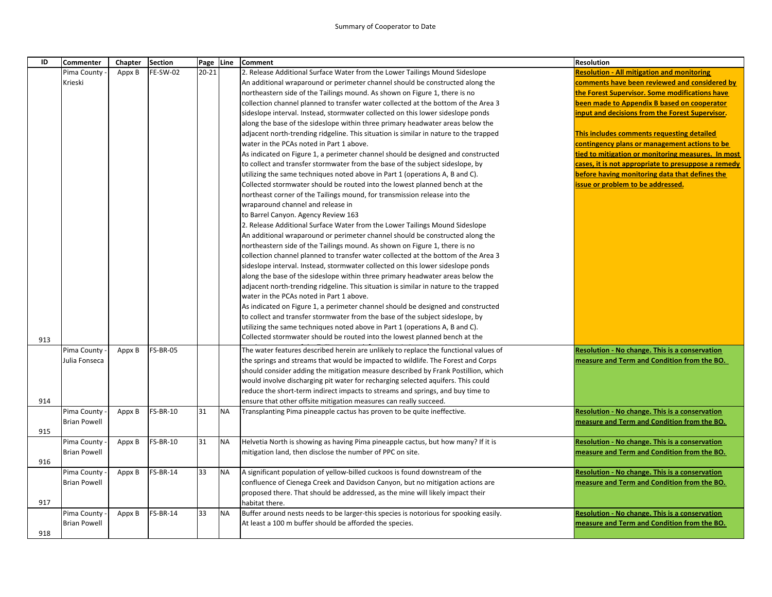## Summary of Cooperator to Date

| ID  | <b>Commenter</b>    | Chapter | <b>Section</b>  |           | Page Line | <b>Comment</b>                                                                        | <b>Resolution</b>                                     |
|-----|---------------------|---------|-----------------|-----------|-----------|---------------------------------------------------------------------------------------|-------------------------------------------------------|
|     | Pima County         | Appx B  | <b>FE-SW-02</b> | $20 - 21$ |           | 2. Release Additional Surface Water from the Lower Tailings Mound Sideslope           | <b>Resolution - All mitigation and monitoring</b>     |
|     | Krieski             |         |                 |           |           | An additional wraparound or perimeter channel should be constructed along the         | comments have been reviewed and considered by         |
|     |                     |         |                 |           |           | northeastern side of the Tailings mound. As shown on Figure 1, there is no            | the Forest Supervisor. Some modifications have        |
|     |                     |         |                 |           |           | collection channel planned to transfer water collected at the bottom of the Area 3    | been made to Appendix B based on cooperator           |
|     |                     |         |                 |           |           | sideslope interval. Instead, stormwater collected on this lower sideslope ponds       | input and decisions from the Forest Supervisor.       |
|     |                     |         |                 |           |           | along the base of the sideslope within three primary headwater areas below the        |                                                       |
|     |                     |         |                 |           |           | adjacent north-trending ridgeline. This situation is similar in nature to the trapped | This includes comments requesting detailed            |
|     |                     |         |                 |           |           | water in the PCAs noted in Part 1 above.                                              | contingency plans or management actions to be         |
|     |                     |         |                 |           |           | As indicated on Figure 1, a perimeter channel should be designed and constructed      | tied to mitigation or monitoring measures. In most    |
|     |                     |         |                 |           |           | to collect and transfer stormwater from the base of the subject sideslope, by         | cases, it is not appropriate to presuppose a remedy   |
|     |                     |         |                 |           |           | utilizing the same techniques noted above in Part 1 (operations A, B and C).          | before having monitoring data that defines the        |
|     |                     |         |                 |           |           | Collected stormwater should be routed into the lowest planned bench at the            | issue or problem to be addressed.                     |
|     |                     |         |                 |           |           | northeast corner of the Tailings mound, for transmission release into the             |                                                       |
|     |                     |         |                 |           |           | wraparound channel and release in                                                     |                                                       |
|     |                     |         |                 |           |           | to Barrel Canyon. Agency Review 163                                                   |                                                       |
|     |                     |         |                 |           |           | 2. Release Additional Surface Water from the Lower Tailings Mound Sideslope           |                                                       |
|     |                     |         |                 |           |           | An additional wraparound or perimeter channel should be constructed along the         |                                                       |
|     |                     |         |                 |           |           | northeastern side of the Tailings mound. As shown on Figure 1, there is no            |                                                       |
|     |                     |         |                 |           |           | collection channel planned to transfer water collected at the bottom of the Area 3    |                                                       |
|     |                     |         |                 |           |           | sideslope interval. Instead, stormwater collected on this lower sideslope ponds       |                                                       |
|     |                     |         |                 |           |           | along the base of the sideslope within three primary headwater areas below the        |                                                       |
|     |                     |         |                 |           |           | adjacent north-trending ridgeline. This situation is similar in nature to the trapped |                                                       |
|     |                     |         |                 |           |           | water in the PCAs noted in Part 1 above.                                              |                                                       |
|     |                     |         |                 |           |           | As indicated on Figure 1, a perimeter channel should be designed and constructed      |                                                       |
|     |                     |         |                 |           |           | to collect and transfer stormwater from the base of the subject sideslope, by         |                                                       |
|     |                     |         |                 |           |           | utilizing the same techniques noted above in Part 1 (operations A, B and C).          |                                                       |
| 913 |                     |         |                 |           |           | Collected stormwater should be routed into the lowest planned bench at the            |                                                       |
|     | Pima County         | Appx B  | <b>FS-BR-05</b> |           |           | The water features described herein are unlikely to replace the functional values of  | Resolution - No change. This is a conservation        |
|     | Julia Fonseca       |         |                 |           |           | the springs and streams that would be impacted to wildlife. The Forest and Corps      | measure and Term and Condition from the BO.           |
|     |                     |         |                 |           |           | should consider adding the mitigation measure described by Frank Postillion, which    |                                                       |
|     |                     |         |                 |           |           | would involve discharging pit water for recharging selected aquifers. This could      |                                                       |
|     |                     |         |                 |           |           | reduce the short-term indirect impacts to streams and springs, and buy time to        |                                                       |
| 914 |                     |         |                 |           |           | ensure that other offsite mitigation measures can really succeed.                     |                                                       |
|     | Pima County         | Appx B  | <b>FS-BR-10</b> | 31        | <b>NA</b> | Transplanting Pima pineapple cactus has proven to be quite ineffective.               | <b>Resolution - No change. This is a conservation</b> |
|     | <b>Brian Powell</b> |         |                 |           |           |                                                                                       | measure and Term and Condition from the BO.           |
| 915 |                     |         |                 |           |           |                                                                                       |                                                       |
|     | Pima County         | Appx B  | <b>FS-BR-10</b> | 31        | <b>NA</b> | Helvetia North is showing as having Pima pineapple cactus, but how many? If it is     | Resolution - No change. This is a conservation        |
|     | <b>Brian Powell</b> |         |                 |           |           | mitigation land, then disclose the number of PPC on site.                             | measure and Term and Condition from the BO.           |
| 916 |                     |         |                 |           |           |                                                                                       |                                                       |
|     | Pima County         | Appx B  | <b>FS-BR-14</b> | 33        | <b>NA</b> | A significant population of yellow-billed cuckoos is found downstream of the          | Resolution - No change. This is a conservation        |
|     | <b>Brian Powell</b> |         |                 |           |           | confluence of Cienega Creek and Davidson Canyon, but no mitigation actions are        | measure and Term and Condition from the BO.           |
|     |                     |         |                 |           |           | proposed there. That should be addressed, as the mine will likely impact their        |                                                       |
| 917 |                     |         |                 |           |           | habitat there.                                                                        |                                                       |
|     | Pima County         | Appx B  | <b>FS-BR-14</b> | 33        | <b>NA</b> | Buffer around nests needs to be larger-this species is notorious for spooking easily. | Resolution - No change. This is a conservation        |
|     | <b>Brian Powell</b> |         |                 |           |           | At least a 100 m buffer should be afforded the species.                               | measure and Term and Condition from the BO.           |
| 918 |                     |         |                 |           |           |                                                                                       |                                                       |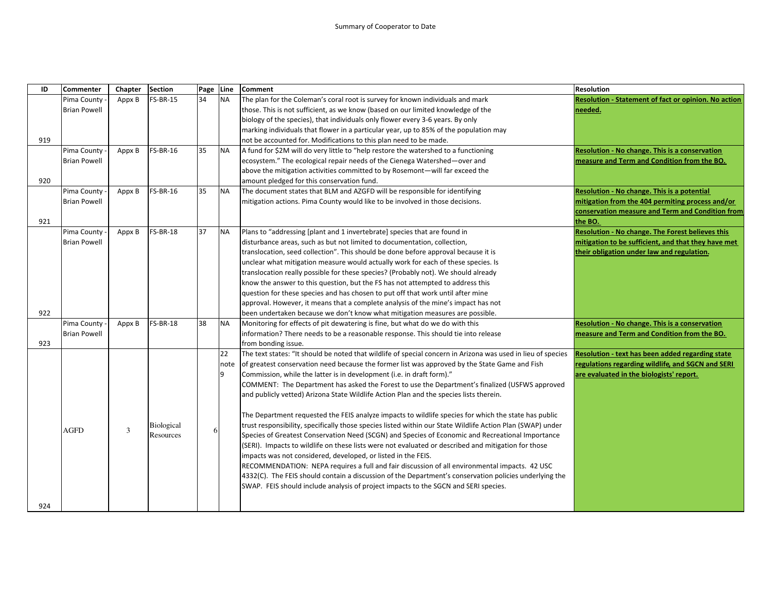| ID  | Commenter           | Chapter | <b>Section</b>    | Page Line |           | <b>Comment</b>                                                                                               | <b>Resolution</b>                                     |
|-----|---------------------|---------|-------------------|-----------|-----------|--------------------------------------------------------------------------------------------------------------|-------------------------------------------------------|
|     | Pima County         | Appx B  | <b>FS-BR-15</b>   | 34        | <b>NA</b> | The plan for the Coleman's coral root is survey for known individuals and mark                               | Resolution - Statement of fact or opinion. No action  |
|     | <b>Brian Powell</b> |         |                   |           |           | those. This is not sufficient, as we know (based on our limited knowledge of the                             | needed.                                               |
|     |                     |         |                   |           |           | biology of the species), that individuals only flower every 3-6 years. By only                               |                                                       |
|     |                     |         |                   |           |           | marking individuals that flower in a particular year, up to 85% of the population may                        |                                                       |
| 919 |                     |         |                   |           |           | not be accounted for. Modifications to this plan need to be made.                                            |                                                       |
|     | Pima County         | Appx B  | <b>FS-BR-16</b>   | 35        | <b>NA</b> | A fund for \$2M will do very little to "help restore the watershed to a functioning                          | <b>Resolution - No change. This is a conservation</b> |
|     | <b>Brian Powell</b> |         |                   |           |           | ecosystem." The ecological repair needs of the Cienega Watershed—over and                                    | measure and Term and Condition from the BO.           |
|     |                     |         |                   |           |           | above the mitigation activities committed to by Rosemont-will far exceed the                                 |                                                       |
| 920 |                     |         |                   |           |           | amount pledged for this conservation fund.                                                                   |                                                       |
|     | Pima County         | Appx B  | <b>FS-BR-16</b>   | 35        | <b>NA</b> | The document states that BLM and AZGFD will be responsible for identifying                                   | Resolution - No change. This is a potential           |
|     | <b>Brian Powell</b> |         |                   |           |           | mitigation actions. Pima County would like to be involved in those decisions.                                | mitigation from the 404 permiting process and/or      |
|     |                     |         |                   |           |           |                                                                                                              | conservation measure and Term and Condition from      |
| 921 |                     |         |                   |           |           |                                                                                                              | the BO.                                               |
|     | Pima County         | Appx B  | <b>FS-BR-18</b>   | 37        | <b>NA</b> | Plans to "addressing [plant and 1 invertebrate] species that are found in                                    | Resolution - No change. The Forest believes this      |
|     | <b>Brian Powell</b> |         |                   |           |           | disturbance areas, such as but not limited to documentation, collection,                                     | mitigation to be sufficient, and that they have met   |
|     |                     |         |                   |           |           | translocation, seed collection". This should be done before approval because it is                           | their obligation under law and regulation.            |
|     |                     |         |                   |           |           | unclear what mitigation measure would actually work for each of these species. Is                            |                                                       |
|     |                     |         |                   |           |           | translocation really possible for these species? (Probably not). We should already                           |                                                       |
|     |                     |         |                   |           |           | know the answer to this question, but the FS has not attempted to address this                               |                                                       |
|     |                     |         |                   |           |           | question for these species and has chosen to put off that work until after mine                              |                                                       |
|     |                     |         |                   |           |           | approval. However, it means that a complete analysis of the mine's impact has not                            |                                                       |
| 922 |                     |         |                   |           |           | been undertaken because we don't know what mitigation measures are possible.                                 |                                                       |
|     | Pima County         | Appx B  | <b>FS-BR-18</b>   | 38        | <b>NA</b> | Monitoring for effects of pit dewatering is fine, but what do we do with this                                | Resolution - No change. This is a conservation        |
|     | <b>Brian Powell</b> |         |                   |           |           | information? There needs to be a reasonable response. This should tie into release                           | measure and Term and Condition from the BO.           |
| 923 |                     |         |                   |           |           | from bonding issue.                                                                                          |                                                       |
|     |                     |         |                   |           | 22        | The text states: "It should be noted that wildlife of special concern in Arizona was used in lieu of species | Resolution - text has been added regarding state      |
|     |                     |         |                   |           | note      | of greatest conservation need because the former list was approved by the State Game and Fish                | regulations regarding wildlife, and SGCN and SERI     |
|     |                     |         |                   |           | 9         | Commission, while the latter is in development (i.e. in draft form)."                                        | are evaluated in the biologists' report.              |
|     |                     |         |                   |           |           | COMMENT: The Department has asked the Forest to use the Department's finalized (USFWS approved               |                                                       |
|     |                     |         |                   |           |           | and publicly vetted) Arizona State Wildlife Action Plan and the species lists therein.                       |                                                       |
|     |                     |         |                   |           |           | The Department requested the FEIS analyze impacts to wildlife species for which the state has public         |                                                       |
|     | AGFD                | 3       | <b>Biological</b> | 6         |           | trust responsibility, specifically those species listed within our State Wildlife Action Plan (SWAP) under   |                                                       |
|     |                     |         | Resources         |           |           | Species of Greatest Conservation Need (SCGN) and Species of Economic and Recreational Importance             |                                                       |
|     |                     |         |                   |           |           | (SERI). Impacts to wildlife on these lists were not evaluated or described and mitigation for those          |                                                       |
|     |                     |         |                   |           |           | impacts was not considered, developed, or listed in the FEIS.                                                |                                                       |
|     |                     |         |                   |           |           | RECOMMENDATION: NEPA requires a full and fair discussion of all environmental impacts. 42 USC                |                                                       |
|     |                     |         |                   |           |           | 4332(C). The FEIS should contain a discussion of the Department's conservation policies underlying the       |                                                       |
|     |                     |         |                   |           |           | SWAP. FEIS should include analysis of project impacts to the SGCN and SERI species.                          |                                                       |
| 924 |                     |         |                   |           |           |                                                                                                              |                                                       |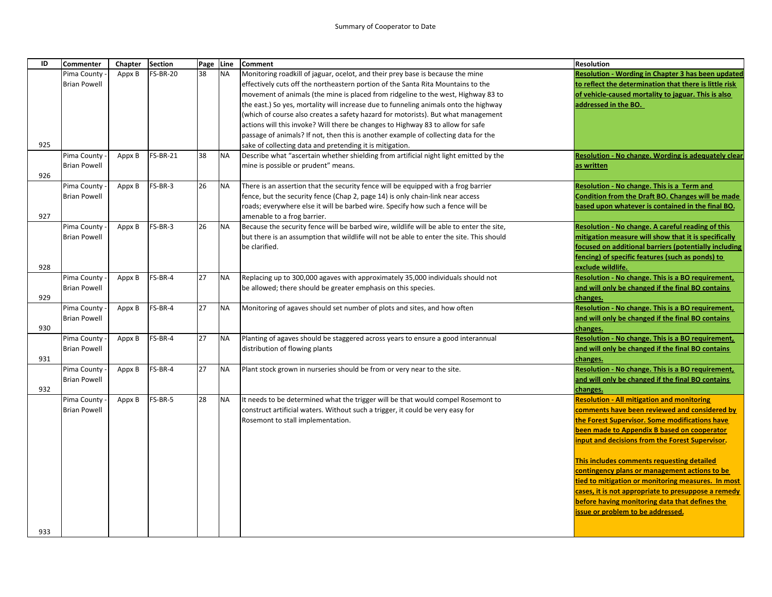| ID  | <b>Commenter</b>    | Chapter | <b>Section</b>  | Page Line |           | <b>Comment</b>                                                                           | <b>Resolution</b>                                             |
|-----|---------------------|---------|-----------------|-----------|-----------|------------------------------------------------------------------------------------------|---------------------------------------------------------------|
|     | Pima County         | Appx B  | <b>FS-BR-20</b> | 38        | <b>NA</b> | Monitoring roadkill of jaguar, ocelot, and their prey base is because the mine           | <b>Resolution - Wording in Chapter 3 has been updated</b>     |
|     | <b>Brian Powell</b> |         |                 |           |           | effectively cuts off the northeastern portion of the Santa Rita Mountains to the         | to reflect the determination that there is little risk        |
|     |                     |         |                 |           |           | movement of animals (the mine is placed from ridgeline to the west, Highway 83 to        | of vehicle-caused mortality to jaguar. This is also           |
|     |                     |         |                 |           |           | the east.) So yes, mortality will increase due to funneling animals onto the highway     | addressed in the BO.                                          |
|     |                     |         |                 |           |           | (which of course also creates a safety hazard for motorists). But what management        |                                                               |
|     |                     |         |                 |           |           | actions will this invoke? Will there be changes to Highway 83 to allow for safe          |                                                               |
|     |                     |         |                 |           |           | passage of animals? If not, then this is another example of collecting data for the      |                                                               |
| 925 |                     |         |                 |           |           | sake of collecting data and pretending it is mitigation.                                 |                                                               |
|     | Pima County         | Appx B  | <b>FS-BR-21</b> | 38        | <b>NA</b> | Describe what "ascertain whether shielding from artificial night light emitted by the    | Resolution - No change. Wording is adequately clear           |
|     | <b>Brian Powell</b> |         |                 |           |           | mine is possible or prudent" means.                                                      | as written                                                    |
| 926 |                     |         |                 |           |           |                                                                                          |                                                               |
|     | Pima County         | Appx B  | FS-BR-3         | 26        | <b>NA</b> | There is an assertion that the security fence will be equipped with a frog barrier       | Resolution - No change. This is a Term and                    |
|     | <b>Brian Powell</b> |         |                 |           |           | fence, but the security fence (Chap 2, page 14) is only chain-link near access           | Condition from the Draft BO. Changes will be made             |
|     |                     |         |                 |           |           | roads; everywhere else it will be barbed wire. Specify how such a fence will be          | based upon whatever is contained in the final BO.             |
| 927 |                     |         |                 |           |           | amenable to a frog barrier.                                                              |                                                               |
|     | Pima County         | Appx B  | FS-BR-3         | 26        | <b>NA</b> | Because the security fence will be barbed wire, wildlife will be able to enter the site, | Resolution - No change. A careful reading of this             |
|     | <b>Brian Powell</b> |         |                 |           |           | but there is an assumption that wildlife will not be able to enter the site. This should | mitigation measure will show that it is specifically          |
|     |                     |         |                 |           |           | be clarified.                                                                            | focused on additional barriers (potentially including         |
|     |                     |         |                 |           |           |                                                                                          | fencing) of specific features (such as ponds) to              |
| 928 |                     |         |                 |           |           |                                                                                          | exclude wildlife.                                             |
|     | Pima County         | Appx B  | FS-BR-4         | 27        | <b>NA</b> | Replacing up to 300,000 agaves with approximately 35,000 individuals should not          | Resolution - No change. This is a BO requirement,             |
| 929 | <b>Brian Powell</b> |         |                 |           |           | be allowed; there should be greater emphasis on this species.                            | and will only be changed if the final BO contains             |
|     | Pima County         | Appx B  | FS-BR-4         | 27        | <b>NA</b> | Monitoring of agaves should set number of plots and sites, and how often                 | changes.<br>Resolution - No change. This is a BO requirement, |
|     | <b>Brian Powell</b> |         |                 |           |           |                                                                                          | and will only be changed if the final BO contains             |
| 930 |                     |         |                 |           |           |                                                                                          | changes.                                                      |
|     | Pima County         | Appx B  | FS-BR-4         | 27        | <b>NA</b> | Planting of agaves should be staggered across years to ensure a good interannual         | Resolution - No change. This is a BO requirement,             |
|     | <b>Brian Powell</b> |         |                 |           |           | distribution of flowing plants                                                           | and will only be changed if the final BO contains             |
| 931 |                     |         |                 |           |           |                                                                                          | changes.                                                      |
|     | Pima County         | Appx B  | FS-BR-4         | 27        | <b>NA</b> | Plant stock grown in nurseries should be from or very near to the site.                  | Resolution - No change. This is a BO requirement,             |
|     | <b>Brian Powell</b> |         |                 |           |           |                                                                                          | and will only be changed if the final BO contains             |
| 932 |                     |         |                 |           |           |                                                                                          | changes.                                                      |
|     | Pima County         | Appx B  | FS-BR-5         | 28        | <b>NA</b> | It needs to be determined what the trigger will be that would compel Rosemont to         | <b>Resolution - All mitigation and monitoring</b>             |
|     | <b>Brian Powell</b> |         |                 |           |           | construct artificial waters. Without such a trigger, it could be very easy for           | comments have been reviewed and considered by                 |
|     |                     |         |                 |           |           | Rosemont to stall implementation.                                                        | the Forest Supervisor. Some modifications have                |
|     |                     |         |                 |           |           |                                                                                          | been made to Appendix B based on cooperator                   |
|     |                     |         |                 |           |           |                                                                                          | input and decisions from the Forest Supervisor.               |
|     |                     |         |                 |           |           |                                                                                          |                                                               |
|     |                     |         |                 |           |           |                                                                                          | This includes comments requesting detailed                    |
|     |                     |         |                 |           |           |                                                                                          | contingency plans or management actions to be                 |
|     |                     |         |                 |           |           |                                                                                          | tied to mitigation or monitoring measures. In most            |
|     |                     |         |                 |           |           |                                                                                          | cases, it is not appropriate to presuppose a remedy           |
|     |                     |         |                 |           |           |                                                                                          | before having monitoring data that defines the                |
|     |                     |         |                 |           |           |                                                                                          | issue or problem to be addressed.                             |
|     |                     |         |                 |           |           |                                                                                          |                                                               |
| 933 |                     |         |                 |           |           |                                                                                          |                                                               |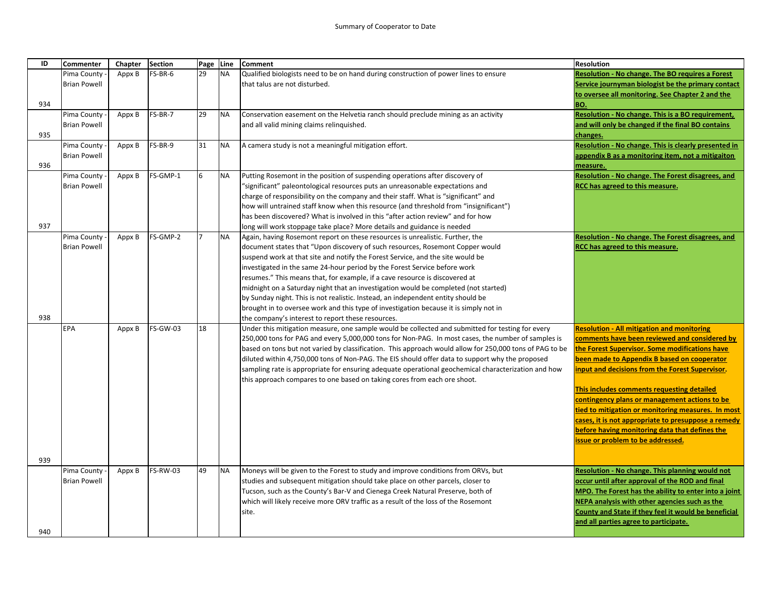| ID  | <b>Commenter</b>    | Chapter | <b>Section</b>  | Page Line |           | <b>Comment</b>                                                                                          | <b>Resolution</b>                                       |
|-----|---------------------|---------|-----------------|-----------|-----------|---------------------------------------------------------------------------------------------------------|---------------------------------------------------------|
|     | Pima County         | Appx B  | FS-BR-6         | 29        | <b>NA</b> | Qualified biologists need to be on hand during construction of power lines to ensure                    | <b>Resolution - No change. The BO requires a Forest</b> |
|     | <b>Brian Powell</b> |         |                 |           |           | that talus are not disturbed.                                                                           | Service journyman biologist be the primary contact      |
|     |                     |         |                 |           |           |                                                                                                         | to oversee all monitoring. See Chapter 2 and the        |
| 934 |                     |         |                 |           |           |                                                                                                         | BO.                                                     |
|     | Pima County         | Appx B  | FS-BR-7         | 29        | <b>NA</b> | Conservation easement on the Helvetia ranch should preclude mining as an activity                       | Resolution - No change. This is a BO requirement,       |
|     | <b>Brian Powell</b> |         |                 |           |           | and all valid mining claims relinquished.                                                               | and will only be changed if the final BO contains       |
| 935 |                     |         |                 |           |           |                                                                                                         | changes.                                                |
|     | Pima County         | Appx B  | FS-BR-9         | 31        | <b>NA</b> | A camera study is not a meaningful mitigation effort.                                                   | Resolution - No change. This is clearly presented in    |
|     | <b>Brian Powell</b> |         |                 |           |           |                                                                                                         | appendix B as a monitoring item, not a mitigaiton       |
| 936 |                     |         |                 |           |           |                                                                                                         | measure.                                                |
|     | Pima County         | Appx B  | FS-GMP-1        | 6         | <b>NA</b> | Putting Rosemont in the position of suspending operations after discovery of                            | Resolution - No change. The Forest disagrees, and       |
|     | <b>Brian Powell</b> |         |                 |           |           | "significant" paleontological resources puts an unreasonable expectations and                           | RCC has agreed to this measure.                         |
|     |                     |         |                 |           |           | charge of responsibility on the company and their staff. What is "significant" and                      |                                                         |
|     |                     |         |                 |           |           | how will untrained staff know when this resource (and threshold from "insignificant")                   |                                                         |
|     |                     |         |                 |           |           | has been discovered? What is involved in this "after action review" and for how                         |                                                         |
| 937 |                     |         |                 |           |           | long will work stoppage take place? More details and guidance is needed                                 |                                                         |
|     | Pima County         | Appx B  | FS-GMP-2        |           | <b>NA</b> | Again, having Rosemont report on these resources is unrealistic. Further, the                           | Resolution - No change. The Forest disagrees, and       |
|     | <b>Brian Powell</b> |         |                 |           |           | document states that "Upon discovery of such resources, Rosemont Copper would                           | RCC has agreed to this measure.                         |
|     |                     |         |                 |           |           | suspend work at that site and notify the Forest Service, and the site would be                          |                                                         |
|     |                     |         |                 |           |           | investigated in the same 24-hour period by the Forest Service before work                               |                                                         |
|     |                     |         |                 |           |           | resumes." This means that, for example, if a cave resource is discovered at                             |                                                         |
|     |                     |         |                 |           |           | midnight on a Saturday night that an investigation would be completed (not started)                     |                                                         |
|     |                     |         |                 |           |           | by Sunday night. This is not realistic. Instead, an independent entity should be                        |                                                         |
|     |                     |         |                 |           |           | brought in to oversee work and this type of investigation because it is simply not in                   |                                                         |
| 938 |                     |         |                 |           |           | the company's interest to report these resources.                                                       |                                                         |
|     | EPA                 | Appx B  | <b>FS-GW-03</b> | 18        |           | Under this mitigation measure, one sample would be collected and submitted for testing for every        | <b>Resolution - All mitigation and monitoring</b>       |
|     |                     |         |                 |           |           | 250,000 tons for PAG and every 5,000,000 tons for Non-PAG. In most cases, the number of samples is      | comments have been reviewed and considered by           |
|     |                     |         |                 |           |           | based on tons but not varied by classification. This approach would allow for 250,000 tons of PAG to be | the Forest Supervisor. Some modifications have          |
|     |                     |         |                 |           |           | diluted within 4,750,000 tons of Non-PAG. The EIS should offer data to support why the proposed         | been made to Appendix B based on cooperator             |
|     |                     |         |                 |           |           | sampling rate is appropriate for ensuring adequate operational geochemical characterization and how     | input and decisions from the Forest Supervisor.         |
|     |                     |         |                 |           |           | this approach compares to one based on taking cores from each ore shoot.                                |                                                         |
|     |                     |         |                 |           |           |                                                                                                         | This includes comments requesting detailed              |
|     |                     |         |                 |           |           |                                                                                                         | contingency plans or management actions to be           |
|     |                     |         |                 |           |           |                                                                                                         | tied to mitigation or monitoring measures. In most      |
|     |                     |         |                 |           |           |                                                                                                         | cases, it is not appropriate to presuppose a remedy     |
|     |                     |         |                 |           |           |                                                                                                         | before having monitoring data that defines the          |
|     |                     |         |                 |           |           |                                                                                                         | issue or problem to be addressed.                       |
| 939 |                     |         |                 |           |           |                                                                                                         |                                                         |
|     | Pima County         | Appx B  | <b>FS-RW-03</b> | 49        | <b>NA</b> | Moneys will be given to the Forest to study and improve conditions from ORVs, but                       | Resolution - No change. This planning would not         |
|     | <b>Brian Powell</b> |         |                 |           |           | studies and subsequent mitigation should take place on other parcels, closer to                         | occur until after approval of the ROD and final         |
|     |                     |         |                 |           |           | Tucson, such as the County's Bar-V and Cienega Creek Natural Preserve, both of                          | MPO. The Forest has the ability to enter into a joint   |
|     |                     |         |                 |           |           | which will likely receive more ORV traffic as a result of the loss of the Rosemont                      | NEPA analysis with other agencies such as the           |
|     |                     |         |                 |           |           | site.                                                                                                   | County and State if they feel it would be beneficial    |
|     |                     |         |                 |           |           |                                                                                                         | and all parties agree to participate.                   |
| 940 |                     |         |                 |           |           |                                                                                                         |                                                         |
|     |                     |         |                 |           |           |                                                                                                         |                                                         |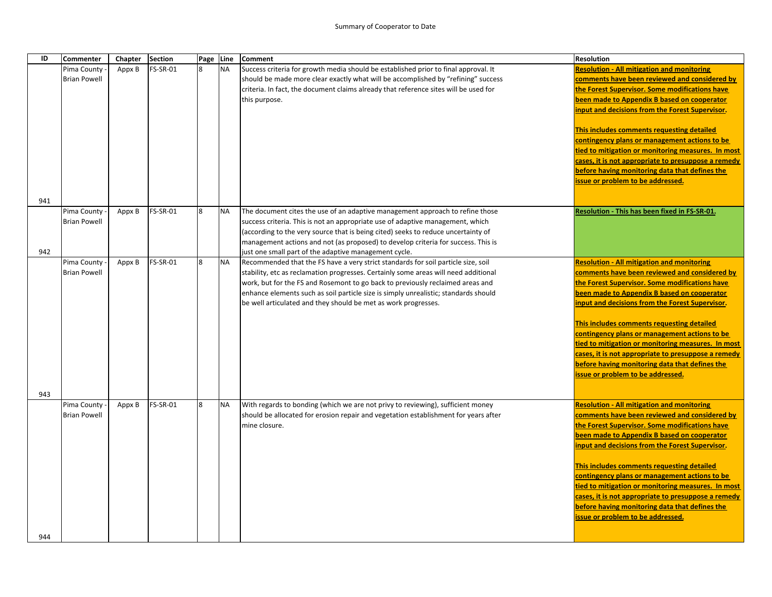| ID  | <b>Commenter</b>    | Chapter | <b>Section</b>  | Page Line |           | <b>Comment</b>                                                                       | <b>Resolution</b>                                   |
|-----|---------------------|---------|-----------------|-----------|-----------|--------------------------------------------------------------------------------------|-----------------------------------------------------|
|     | Pima County         | Appx B  | <b>FS-SR-01</b> | 8         | <b>NA</b> | Success criteria for growth media should be established prior to final approval. It  | <b>Resolution - All mitigation and monitoring</b>   |
|     | <b>Brian Powell</b> |         |                 |           |           | should be made more clear exactly what will be accomplished by "refining" success    | comments have been reviewed and considered by       |
|     |                     |         |                 |           |           | criteria. In fact, the document claims already that reference sites will be used for | the Forest Supervisor. Some modifications have      |
|     |                     |         |                 |           |           | this purpose.                                                                        | been made to Appendix B based on cooperator         |
|     |                     |         |                 |           |           |                                                                                      | input and decisions from the Forest Supervisor.     |
|     |                     |         |                 |           |           |                                                                                      | This includes comments requesting detailed          |
|     |                     |         |                 |           |           |                                                                                      | contingency plans or management actions to be       |
|     |                     |         |                 |           |           |                                                                                      | tied to mitigation or monitoring measures. In most  |
|     |                     |         |                 |           |           |                                                                                      | cases, it is not appropriate to presuppose a remedy |
|     |                     |         |                 |           |           |                                                                                      | before having monitoring data that defines the      |
|     |                     |         |                 |           |           |                                                                                      | issue or problem to be addressed.                   |
| 941 |                     |         |                 |           |           |                                                                                      |                                                     |
|     | Pima County         | Appx B  | <b>FS-SR-01</b> | 8         | <b>NA</b> | The document cites the use of an adaptive management approach to refine those        | Resolution - This has been fixed in FS-SR-01.       |
|     | <b>Brian Powell</b> |         |                 |           |           | success criteria. This is not an appropriate use of adaptive management, which       |                                                     |
|     |                     |         |                 |           |           | (according to the very source that is being cited) seeks to reduce uncertainty of    |                                                     |
|     |                     |         |                 |           |           | management actions and not (as proposed) to develop criteria for success. This is    |                                                     |
| 942 |                     |         |                 |           |           | just one small part of the adaptive management cycle.                                |                                                     |
|     | Pima County         | Appx B  | <b>FS-SR-01</b> | 8         | <b>NA</b> | Recommended that the FS have a very strict standards for soil particle size, soil    | <b>Resolution - All mitigation and monitoring</b>   |
|     | <b>Brian Powell</b> |         |                 |           |           | stability, etc as reclamation progresses. Certainly some areas will need additional  | comments have been reviewed and considered by       |
|     |                     |         |                 |           |           | work, but for the FS and Rosemont to go back to previously reclaimed areas and       | the Forest Supervisor. Some modifications have      |
|     |                     |         |                 |           |           | enhance elements such as soil particle size is simply unrealistic; standards should  | been made to Appendix B based on cooperator         |
|     |                     |         |                 |           |           | be well articulated and they should be met as work progresses.                       | input and decisions from the Forest Supervisor.     |
|     |                     |         |                 |           |           |                                                                                      | This includes comments requesting detailed          |
|     |                     |         |                 |           |           |                                                                                      | contingency plans or management actions to be       |
|     |                     |         |                 |           |           |                                                                                      | tied to mitigation or monitoring measures. In most  |
|     |                     |         |                 |           |           |                                                                                      | cases, it is not appropriate to presuppose a remedy |
|     |                     |         |                 |           |           |                                                                                      | before having monitoring data that defines the      |
|     |                     |         |                 |           |           |                                                                                      | issue or problem to be addressed.                   |
| 943 |                     |         |                 |           |           |                                                                                      |                                                     |
|     | Pima County         | Appx B  | <b>FS-SR-01</b> | 8         | <b>NA</b> | With regards to bonding (which we are not privy to reviewing), sufficient money      | <b>Resolution - All mitigation and monitoring</b>   |
|     | <b>Brian Powell</b> |         |                 |           |           | should be allocated for erosion repair and vegetation establishment for years after  | comments have been reviewed and considered by       |
|     |                     |         |                 |           |           | mine closure.                                                                        | the Forest Supervisor. Some modifications have      |
|     |                     |         |                 |           |           |                                                                                      | been made to Appendix B based on cooperator         |
|     |                     |         |                 |           |           |                                                                                      | input and decisions from the Forest Supervisor.     |
|     |                     |         |                 |           |           |                                                                                      | This includes comments requesting detailed          |
|     |                     |         |                 |           |           |                                                                                      | contingency plans or management actions to be       |
|     |                     |         |                 |           |           |                                                                                      | tied to mitigation or monitoring measures. In most  |
|     |                     |         |                 |           |           |                                                                                      | cases, it is not appropriate to presuppose a remedy |
|     |                     |         |                 |           |           |                                                                                      | before having monitoring data that defines the      |
|     |                     |         |                 |           |           |                                                                                      | issue or problem to be addressed.                   |
|     |                     |         |                 |           |           |                                                                                      |                                                     |
| 944 |                     |         |                 |           |           |                                                                                      |                                                     |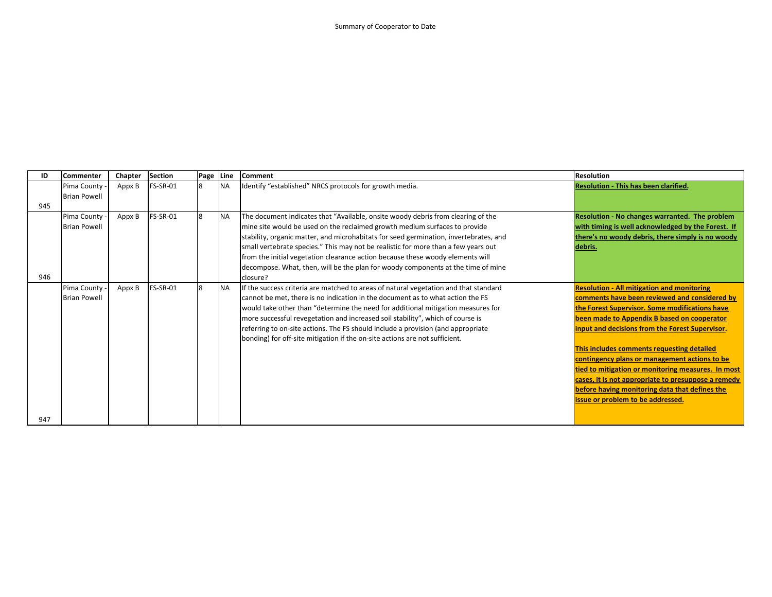| ID  | <b>Commenter</b>    | Chapter | Section         | Page Line |            | <b>Comment</b>                                                                        | <b>Resolution</b>                                   |
|-----|---------------------|---------|-----------------|-----------|------------|---------------------------------------------------------------------------------------|-----------------------------------------------------|
|     | Pima County         | Appx B  | <b>FS-SR-01</b> | 8         | <b>NA</b>  | Identify "established" NRCS protocols for growth media.                               | <b>Resolution - This has been clarified.</b>        |
|     | <b>Brian Powell</b> |         |                 |           |            |                                                                                       |                                                     |
| 945 |                     |         |                 |           |            |                                                                                       |                                                     |
|     | Pima County         | Appx B  | FS-SR-01        | 8         | <b>NA</b>  | The document indicates that "Available, onsite woody debris from clearing of the      | Resolution - No changes warranted. The problem      |
|     | <b>Brian Powell</b> |         |                 |           |            | mine site would be used on the reclaimed growth medium surfaces to provide            | with timing is well acknowledged by the Forest. If  |
|     |                     |         |                 |           |            | stability, organic matter, and microhabitats for seed germination, invertebrates, and | there's no woody debris, there simply is no woody   |
|     |                     |         |                 |           |            | small vertebrate species." This may not be realistic for more than a few years out    | debris.                                             |
|     |                     |         |                 |           |            | from the initial vegetation clearance action because these woody elements will        |                                                     |
|     |                     |         |                 |           |            | decompose. What, then, will be the plan for woody components at the time of mine      |                                                     |
| 946 |                     |         |                 |           |            | closure?                                                                              |                                                     |
|     | Pima County         | Appx B  | FS-SR-01        | 8         | <b>INA</b> | If the success criteria are matched to areas of natural vegetation and that standard  | <b>Resolution - All mitigation and monitoring</b>   |
|     | <b>Brian Powell</b> |         |                 |           |            | cannot be met, there is no indication in the document as to what action the FS        | comments have been reviewed and considered by       |
|     |                     |         |                 |           |            | would take other than "determine the need for additional mitigation measures for      | the Forest Supervisor. Some modifications have      |
|     |                     |         |                 |           |            | more successful revegetation and increased soil stability", which of course is        | been made to Appendix B based on cooperator         |
|     |                     |         |                 |           |            | referring to on-site actions. The FS should include a provision (and appropriate      | input and decisions from the Forest Supervisor.     |
|     |                     |         |                 |           |            | bonding) for off-site mitigation if the on-site actions are not sufficient.           |                                                     |
|     |                     |         |                 |           |            |                                                                                       | This includes comments requesting detailed          |
|     |                     |         |                 |           |            |                                                                                       | contingency plans or management actions to be       |
|     |                     |         |                 |           |            |                                                                                       | tied to mitigation or monitoring measures. In most  |
|     |                     |         |                 |           |            |                                                                                       | cases, it is not appropriate to presuppose a remedy |
|     |                     |         |                 |           |            |                                                                                       | before having monitoring data that defines the      |
|     |                     |         |                 |           |            |                                                                                       | issue or problem to be addressed.                   |
|     |                     |         |                 |           |            |                                                                                       |                                                     |
| 947 |                     |         |                 |           |            |                                                                                       |                                                     |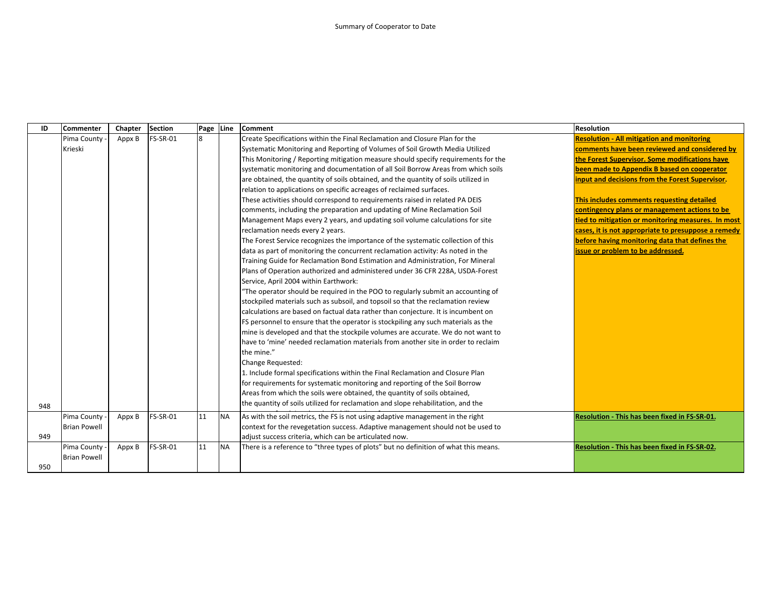| ID  | <b>Commenter</b>    | Chapter | <b>Section</b>  | Page | Line      | <b>Comment</b>                                                                       | <b>Resolution</b>                                   |
|-----|---------------------|---------|-----------------|------|-----------|--------------------------------------------------------------------------------------|-----------------------------------------------------|
|     | Pima County         | Appx B  | <b>FS-SR-01</b> | 8    |           | Create Specifications within the Final Reclamation and Closure Plan for the          | <b>Resolution - All mitigation and monitoring</b>   |
|     | Krieski             |         |                 |      |           | Systematic Monitoring and Reporting of Volumes of Soil Growth Media Utilized         | comments have been reviewed and considered by       |
|     |                     |         |                 |      |           | This Monitoring / Reporting mitigation measure should specify requirements for the   | the Forest Supervisor. Some modifications have      |
|     |                     |         |                 |      |           | systematic monitoring and documentation of all Soil Borrow Areas from which soils    | been made to Appendix B based on cooperator         |
|     |                     |         |                 |      |           | are obtained, the quantity of soils obtained, and the quantity of soils utilized in  | input and decisions from the Forest Supervisor.     |
|     |                     |         |                 |      |           | relation to applications on specific acreages of reclaimed surfaces.                 |                                                     |
|     |                     |         |                 |      |           | These activities should correspond to requirements raised in related PA DEIS         | This includes comments requesting detailed          |
|     |                     |         |                 |      |           | comments, including the preparation and updating of Mine Reclamation Soil            | contingency plans or management actions to be       |
|     |                     |         |                 |      |           | Management Maps every 2 years, and updating soil volume calculations for site        | tied to mitigation or monitoring measures. In most  |
|     |                     |         |                 |      |           | reclamation needs every 2 years.                                                     | cases, it is not appropriate to presuppose a remedy |
|     |                     |         |                 |      |           | The Forest Service recognizes the importance of the systematic collection of this    | before having monitoring data that defines the      |
|     |                     |         |                 |      |           | data as part of monitoring the concurrent reclamation activity: As noted in the      | issue or problem to be addressed.                   |
|     |                     |         |                 |      |           | Training Guide for Reclamation Bond Estimation and Administration, For Mineral       |                                                     |
|     |                     |         |                 |      |           | Plans of Operation authorized and administered under 36 CFR 228A, USDA-Forest        |                                                     |
|     |                     |         |                 |      |           | Service, April 2004 within Earthwork:                                                |                                                     |
|     |                     |         |                 |      |           | "The operator should be required in the POO to regularly submit an accounting of     |                                                     |
|     |                     |         |                 |      |           | stockpiled materials such as subsoil, and topsoil so that the reclamation review     |                                                     |
|     |                     |         |                 |      |           | calculations are based on factual data rather than conjecture. It is incumbent on    |                                                     |
|     |                     |         |                 |      |           | FS personnel to ensure that the operator is stockpiling any such materials as the    |                                                     |
|     |                     |         |                 |      |           | mine is developed and that the stockpile volumes are accurate. We do not want to     |                                                     |
|     |                     |         |                 |      |           | have to 'mine' needed reclamation materials from another site in order to reclaim    |                                                     |
|     |                     |         |                 |      |           | the mine."                                                                           |                                                     |
|     |                     |         |                 |      |           | Change Requested:                                                                    |                                                     |
|     |                     |         |                 |      |           | 1. Include formal specifications within the Final Reclamation and Closure Plan       |                                                     |
|     |                     |         |                 |      |           | for requirements for systematic monitoring and reporting of the Soil Borrow          |                                                     |
|     |                     |         |                 |      |           | Areas from which the soils were obtained, the quantity of soils obtained,            |                                                     |
| 948 |                     |         |                 |      |           | the quantity of soils utilized for reclamation and slope rehabilitation, and the     |                                                     |
|     | Pima County         | Appx B  | <b>FS-SR-01</b> | 11   | <b>NA</b> | As with the soil metrics, the FS is not using adaptive management in the right       | Resolution - This has been fixed in FS-SR-01.       |
|     | <b>Brian Powell</b> |         |                 |      |           | context for the revegetation success. Adaptive management should not be used to      |                                                     |
| 949 |                     |         |                 |      |           | adjust success criteria, which can be articulated now.                               |                                                     |
|     | Pima County         | Appx B  | FS-SR-01        | 11   | <b>NA</b> | There is a reference to "three types of plots" but no definition of what this means. | Resolution - This has been fixed in FS-SR-02.       |
|     | <b>Brian Powell</b> |         |                 |      |           |                                                                                      |                                                     |
| 950 |                     |         |                 |      |           |                                                                                      |                                                     |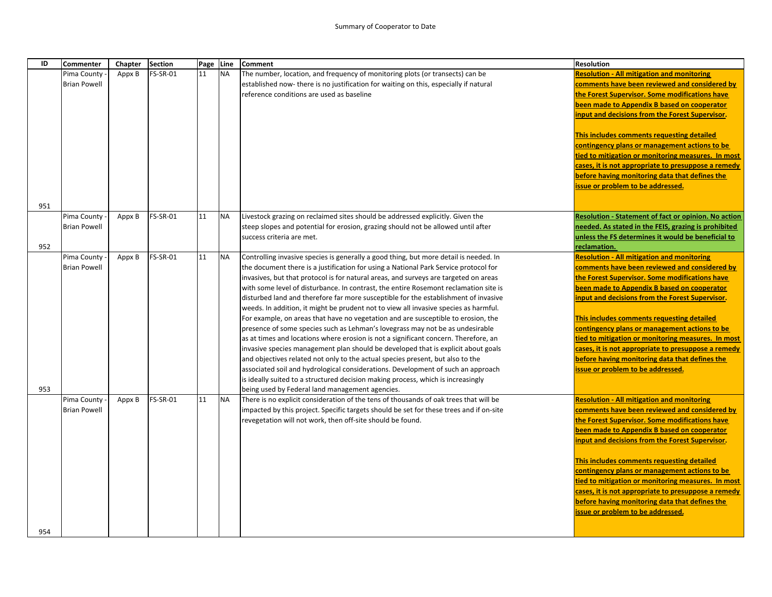| ID         | <b>Commenter</b>                   | Chapter | <b>Section</b> | Page Line |           | Comment                                                                                                                                                                                                                                                                                                                                                                                                                                                                                                                                                                                                                                                                                                                                                                                                                                                                                                                                                                                                                                                                                                                                                                                                     | <b>Resolution</b>                                                                                                                                                                                                                                                                                                                                                                                                                                                                                                                                                         |
|------------|------------------------------------|---------|----------------|-----------|-----------|-------------------------------------------------------------------------------------------------------------------------------------------------------------------------------------------------------------------------------------------------------------------------------------------------------------------------------------------------------------------------------------------------------------------------------------------------------------------------------------------------------------------------------------------------------------------------------------------------------------------------------------------------------------------------------------------------------------------------------------------------------------------------------------------------------------------------------------------------------------------------------------------------------------------------------------------------------------------------------------------------------------------------------------------------------------------------------------------------------------------------------------------------------------------------------------------------------------|---------------------------------------------------------------------------------------------------------------------------------------------------------------------------------------------------------------------------------------------------------------------------------------------------------------------------------------------------------------------------------------------------------------------------------------------------------------------------------------------------------------------------------------------------------------------------|
|            | Pima County<br><b>Brian Powell</b> | Appx B  | FS-SR-01       | 11        | <b>NA</b> | The number, location, and frequency of monitoring plots (or transects) can be<br>established now- there is no justification for waiting on this, especially if natural<br>reference conditions are used as baseline                                                                                                                                                                                                                                                                                                                                                                                                                                                                                                                                                                                                                                                                                                                                                                                                                                                                                                                                                                                         | <b>Resolution - All mitigation and monitoring</b><br>comments have been reviewed and considered by<br>the Forest Supervisor. Some modifications have                                                                                                                                                                                                                                                                                                                                                                                                                      |
|            |                                    |         |                |           |           |                                                                                                                                                                                                                                                                                                                                                                                                                                                                                                                                                                                                                                                                                                                                                                                                                                                                                                                                                                                                                                                                                                                                                                                                             | been made to Appendix B based on cooperator<br>input and decisions from the Forest Supervisor.                                                                                                                                                                                                                                                                                                                                                                                                                                                                            |
|            |                                    |         |                |           |           |                                                                                                                                                                                                                                                                                                                                                                                                                                                                                                                                                                                                                                                                                                                                                                                                                                                                                                                                                                                                                                                                                                                                                                                                             | This includes comments requesting detailed<br>contingency plans or management actions to be<br>tied to mitigation or monitoring measures. In most                                                                                                                                                                                                                                                                                                                                                                                                                         |
|            |                                    |         |                |           |           |                                                                                                                                                                                                                                                                                                                                                                                                                                                                                                                                                                                                                                                                                                                                                                                                                                                                                                                                                                                                                                                                                                                                                                                                             | cases, it is not appropriate to presuppose a remedy<br>before having monitoring data that defines the<br>issue or problem to be addressed.                                                                                                                                                                                                                                                                                                                                                                                                                                |
| 951        |                                    |         |                |           |           |                                                                                                                                                                                                                                                                                                                                                                                                                                                                                                                                                                                                                                                                                                                                                                                                                                                                                                                                                                                                                                                                                                                                                                                                             |                                                                                                                                                                                                                                                                                                                                                                                                                                                                                                                                                                           |
|            | Pima County<br><b>Brian Powell</b> | Appx B  | FS-SR-01       | 11        | <b>NA</b> | Livestock grazing on reclaimed sites should be addressed explicitly. Given the<br>steep slopes and potential for erosion, grazing should not be allowed until after<br>success criteria are met.                                                                                                                                                                                                                                                                                                                                                                                                                                                                                                                                                                                                                                                                                                                                                                                                                                                                                                                                                                                                            | <b>Resolution - Statement of fact or opinion. No action</b><br>needed. As stated in the FEIS, grazing is prohibited<br>unless the FS determines it would be beneficial to                                                                                                                                                                                                                                                                                                                                                                                                 |
| 952<br>953 | Pima County<br><b>Brian Powell</b> | Appx B  | FS-SR-01       | 11        | <b>NA</b> | Controlling invasive species is generally a good thing, but more detail is needed. In<br>the document there is a justification for using a National Park Service protocol for<br>invasives, but that protocol is for natural areas, and surveys are targeted on areas<br>with some level of disturbance. In contrast, the entire Rosemont reclamation site is<br>disturbed land and therefore far more susceptible for the establishment of invasive<br>weeds. In addition, it might be prudent not to view all invasive species as harmful.<br>For example, on areas that have no vegetation and are susceptible to erosion, the<br>presence of some species such as Lehman's lovegrass may not be as undesirable<br>as at times and locations where erosion is not a significant concern. Therefore, an<br>invasive species management plan should be developed that is explicit about goals<br>and objectives related not only to the actual species present, but also to the<br>associated soil and hydrological considerations. Development of such an approach<br>is ideally suited to a structured decision making process, which is increasingly<br>being used by Federal land management agencies. | reclamation.<br><b>Resolution - All mitigation and monitoring</b><br>comments have been reviewed and considered by<br>the Forest Supervisor. Some modifications have<br>been made to Appendix B based on cooperator<br>input and decisions from the Forest Supervisor.<br>This includes comments requesting detailed<br>contingency plans or management actions to be<br>tied to mitigation or monitoring measures. In most<br>cases, it is not appropriate to presuppose a remedy<br>before having monitoring data that defines the<br>issue or problem to be addressed. |
|            | Pima County<br><b>Brian Powell</b> | Appx B  | FS-SR-01       | 11        | <b>NA</b> | There is no explicit consideration of the tens of thousands of oak trees that will be<br>impacted by this project. Specific targets should be set for these trees and if on-site<br>revegetation will not work, then off-site should be found.                                                                                                                                                                                                                                                                                                                                                                                                                                                                                                                                                                                                                                                                                                                                                                                                                                                                                                                                                              | <b>Resolution - All mitigation and monitoring</b><br>comments have been reviewed and considered by<br>the Forest Supervisor. Some modifications have<br>been made to Appendix B based on cooperator<br>input and decisions from the Forest Supervisor.<br>This includes comments requesting detailed<br>contingency plans or management actions to be<br>tied to mitigation or monitoring measures. In most<br>cases, it is not appropriate to presuppose a remedy<br>before having monitoring data that defines the<br>issue or problem to be addressed.                 |
| 954        |                                    |         |                |           |           |                                                                                                                                                                                                                                                                                                                                                                                                                                                                                                                                                                                                                                                                                                                                                                                                                                                                                                                                                                                                                                                                                                                                                                                                             |                                                                                                                                                                                                                                                                                                                                                                                                                                                                                                                                                                           |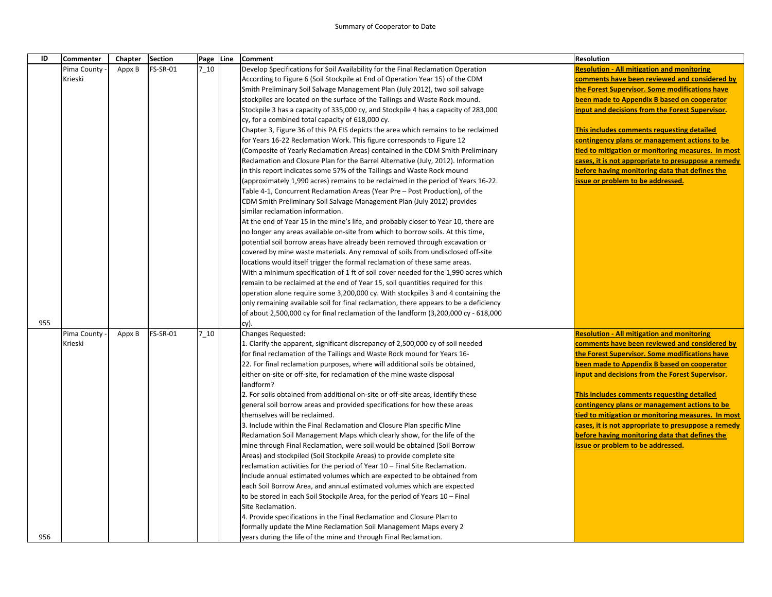## Summary of Cooperator to Date

| ID  | Commenter   | Chapter | <b>Section</b> |         | Page Line | <b>Comment</b>                                                                        | <b>Resolution</b>                                   |
|-----|-------------|---------|----------------|---------|-----------|---------------------------------------------------------------------------------------|-----------------------------------------------------|
|     | Pima County | Appx B  | FS-SR-01       | $7_10$  |           | Develop Specifications for Soil Availability for the Final Reclamation Operation      | <b>Resolution - All mitigation and monitoring</b>   |
|     | Krieski     |         |                |         |           | According to Figure 6 (Soil Stockpile at End of Operation Year 15) of the CDM         | comments have been reviewed and considered by       |
|     |             |         |                |         |           | Smith Preliminary Soil Salvage Management Plan (July 2012), two soil salvage          | the Forest Supervisor. Some modifications have      |
|     |             |         |                |         |           | stockpiles are located on the surface of the Tailings and Waste Rock mound.           | been made to Appendix B based on cooperator         |
|     |             |         |                |         |           | Stockpile 3 has a capacity of 335,000 cy, and Stockpile 4 has a capacity of 283,000   | input and decisions from the Forest Supervisor.     |
|     |             |         |                |         |           | cy, for a combined total capacity of 618,000 cy.                                      |                                                     |
|     |             |         |                |         |           | Chapter 3, Figure 36 of this PA EIS depicts the area which remains to be reclaimed    | This includes comments requesting detailed          |
|     |             |         |                |         |           | for Years 16-22 Reclamation Work. This figure corresponds to Figure 12                | contingency plans or management actions to be       |
|     |             |         |                |         |           | (Composite of Yearly Reclamation Areas) contained in the CDM Smith Preliminary        | tied to mitigation or monitoring measures. In most  |
|     |             |         |                |         |           | Reclamation and Closure Plan for the Barrel Alternative (July, 2012). Information     | cases, it is not appropriate to presuppose a remedy |
|     |             |         |                |         |           | in this report indicates some 57% of the Tailings and Waste Rock mound                | before having monitoring data that defines the      |
|     |             |         |                |         |           | approximately 1,990 acres) remains to be reclaimed in the period of Years 16-22.      | issue or problem to be addressed.                   |
|     |             |         |                |         |           | Table 4-1, Concurrent Reclamation Areas (Year Pre - Post Production), of the          |                                                     |
|     |             |         |                |         |           | CDM Smith Preliminary Soil Salvage Management Plan (July 2012) provides               |                                                     |
|     |             |         |                |         |           | similar reclamation information.                                                      |                                                     |
|     |             |         |                |         |           | At the end of Year 15 in the mine's life, and probably closer to Year 10, there are   |                                                     |
|     |             |         |                |         |           | no longer any areas available on-site from which to borrow soils. At this time,       |                                                     |
|     |             |         |                |         |           | potential soil borrow areas have already been removed through excavation or           |                                                     |
|     |             |         |                |         |           | covered by mine waste materials. Any removal of soils from undisclosed off-site       |                                                     |
|     |             |         |                |         |           | locations would itself trigger the formal reclamation of these same areas.            |                                                     |
|     |             |         |                |         |           | With a minimum specification of 1 ft of soil cover needed for the 1,990 acres which   |                                                     |
|     |             |         |                |         |           | remain to be reclaimed at the end of Year 15, soil quantities required for this       |                                                     |
|     |             |         |                |         |           | operation alone require some 3,200,000 cy. With stockpiles 3 and 4 containing the     |                                                     |
|     |             |         |                |         |           | only remaining available soil for final reclamation, there appears to be a deficiency |                                                     |
|     |             |         |                |         |           | of about 2,500,000 cy for final reclamation of the landform (3,200,000 cy - 618,000   |                                                     |
| 955 |             |         |                |         |           | су).                                                                                  |                                                     |
|     | Pima County | Appx B  | FS-SR-01       | $7\_10$ |           | Changes Requested:                                                                    | <b>Resolution - All mitigation and monitoring</b>   |
|     | Krieski     |         |                |         |           | 1. Clarify the apparent, significant discrepancy of 2,500,000 cy of soil needed       | comments have been reviewed and considered by       |
|     |             |         |                |         |           | for final reclamation of the Tailings and Waste Rock mound for Years 16-              | the Forest Supervisor. Some modifications have      |
|     |             |         |                |         |           | 22. For final reclamation purposes, where will additional soils be obtained,          | been made to Appendix B based on cooperator         |
|     |             |         |                |         |           | either on-site or off-site, for reclamation of the mine waste disposal                | input and decisions from the Forest Supervisor.     |
|     |             |         |                |         |           | landform?                                                                             |                                                     |
|     |             |         |                |         |           | 2. For soils obtained from additional on-site or off-site areas, identify these       | This includes comments requesting detailed          |
|     |             |         |                |         |           | general soil borrow areas and provided specifications for how these areas             | contingency plans or management actions to be       |
|     |             |         |                |         |           | themselves will be reclaimed.                                                         | tied to mitigation or monitoring measures. In most  |
|     |             |         |                |         |           | 3. Include within the Final Reclamation and Closure Plan specific Mine                | cases, it is not appropriate to presuppose a remedy |
|     |             |         |                |         |           | Reclamation Soil Management Maps which clearly show, for the life of the              | before having monitoring data that defines the      |
|     |             |         |                |         |           | mine through Final Reclamation, were soil would be obtained (Soil Borrow              | issue or problem to be addressed.                   |
|     |             |         |                |         |           | Areas) and stockpiled (Soil Stockpile Areas) to provide complete site                 |                                                     |
|     |             |         |                |         |           | reclamation activities for the period of Year 10 - Final Site Reclamation.            |                                                     |
|     |             |         |                |         |           | Include annual estimated volumes which are expected to be obtained from               |                                                     |
|     |             |         |                |         |           | each Soil Borrow Area, and annual estimated volumes which are expected                |                                                     |
|     |             |         |                |         |           | to be stored in each Soil Stockpile Area, for the period of Years 10 - Final          |                                                     |
|     |             |         |                |         |           | Site Reclamation.                                                                     |                                                     |
|     |             |         |                |         |           | 4. Provide specifications in the Final Reclamation and Closure Plan to                |                                                     |
|     |             |         |                |         |           | formally update the Mine Reclamation Soil Management Maps every 2                     |                                                     |
| 956 |             |         |                |         |           | years during the life of the mine and through Final Reclamation.                      |                                                     |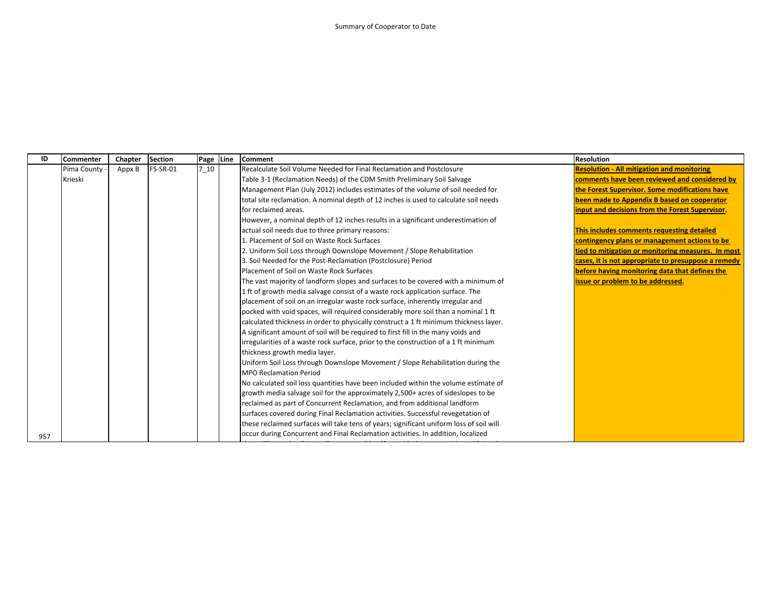| ID  | <b>Commenter</b> | Chapter | Section         |      | Page Line Comment                                                                       | Resolution                                          |
|-----|------------------|---------|-----------------|------|-----------------------------------------------------------------------------------------|-----------------------------------------------------|
|     | Pima County      | Appx B  | <b>FS-SR-01</b> | 7 10 | Recalculate Soil Volume Needed for Final Reclamation and Postclosure                    | <b>Resolution - All mitigation and monitoring</b>   |
|     | Krieski          |         |                 |      | Table 3-1 (Reclamation Needs) of the CDM Smith Preliminary Soil Salvage                 | comments have been reviewed and considered by       |
|     |                  |         |                 |      | Management Plan (July 2012) includes estimates of the volume of soil needed for         | the Forest Supervisor. Some modifications have      |
|     |                  |         |                 |      | total site reclamation. A nominal depth of 12 inches is used to calculate soil needs    | been made to Appendix B based on cooperator         |
|     |                  |         |                 |      | for reclaimed areas.                                                                    | input and decisions from the Forest Supervisor.     |
|     |                  |         |                 |      | However, a nominal depth of 12 inches results in a significant underestimation of       |                                                     |
|     |                  |         |                 |      | actual soil needs due to three primary reasons:                                         | This includes comments requesting detailed          |
|     |                  |         |                 |      | 1. Placement of Soil on Waste Rock Surfaces                                             | contingency plans or management actions to be       |
|     |                  |         |                 |      | 2. Uniform Soil Loss through Downslope Movement / Slope Rehabilitation                  | tied to mitigation or monitoring measures. In most  |
|     |                  |         |                 |      | 3. Soil Needed for the Post-Reclamation (Postclosure) Period                            | cases, it is not appropriate to presuppose a remedy |
|     |                  |         |                 |      | Placement of Soil on Waste Rock Surfaces                                                | before having monitoring data that defines the      |
|     |                  |         |                 |      | The vast majority of landform slopes and surfaces to be covered with a minimum of       | issue or problem to be addressed.                   |
|     |                  |         |                 |      | 1 ft of growth media salvage consist of a waste rock application surface. The           |                                                     |
|     |                  |         |                 |      | placement of soil on an irregular waste rock surface, inherently irregular and          |                                                     |
|     |                  |         |                 |      | pocked with void spaces, will required considerably more soil than a nominal 1 ft       |                                                     |
|     |                  |         |                 |      | calculated thickness in order to physically construct a 1 ft minimum thickness layer.   |                                                     |
|     |                  |         |                 |      | A significant amount of soil will be required to first fill in the many voids and       |                                                     |
|     |                  |         |                 |      | irregularities of a waste rock surface, prior to the construction of a 1 ft minimum     |                                                     |
|     |                  |         |                 |      | thickness growth media layer.                                                           |                                                     |
|     |                  |         |                 |      | Uniform Soil Loss through Downslope Movement / Slope Rehabilitation during the          |                                                     |
|     |                  |         |                 |      | <b>MPO Reclamation Period</b>                                                           |                                                     |
|     |                  |         |                 |      | No calculated soil loss quantities have been included within the volume estimate of     |                                                     |
|     |                  |         |                 |      | growth media salvage soil for the approximately 2,500+ acres of sideslopes to be        |                                                     |
|     |                  |         |                 |      | reclaimed as part of Concurrent Reclamation, and from additional landform               |                                                     |
|     |                  |         |                 |      | surfaces covered during Final Reclamation activities. Successful revegetation of        |                                                     |
|     |                  |         |                 |      | these reclaimed surfaces will take tens of years; significant uniform loss of soil will |                                                     |
| 957 |                  |         |                 |      | occur during Concurrent and Final Reclamation activities. In addition, localized        |                                                     |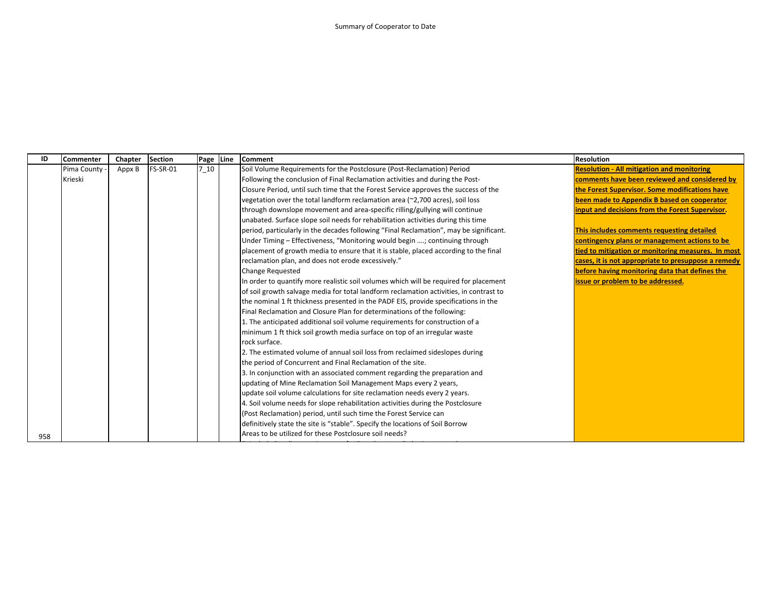| ID  | Commenter   | Chapter | <b>Section</b>  | Page Line | <b>Comment</b>                                                                         | <b>Resolution</b>                                   |
|-----|-------------|---------|-----------------|-----------|----------------------------------------------------------------------------------------|-----------------------------------------------------|
|     | Pima County | Appx B  | <b>FS-SR-01</b> | 7 10      | Soil Volume Requirements for the Postclosure (Post-Reclamation) Period                 | <b>Resolution - All mitigation and monitoring</b>   |
|     | Krieski     |         |                 |           | Following the conclusion of Final Reclamation activities and during the Post-          | comments have been reviewed and considered by       |
|     |             |         |                 |           | Closure Period, until such time that the Forest Service approves the success of the    | the Forest Supervisor. Some modifications have      |
|     |             |         |                 |           | vegetation over the total landform reclamation area (~2,700 acres), soil loss          | been made to Appendix B based on cooperator         |
|     |             |         |                 |           | through downslope movement and area-specific rilling/gullying will continue            | input and decisions from the Forest Supervisor.     |
|     |             |         |                 |           | unabated. Surface slope soil needs for rehabilitation activities during this time      |                                                     |
|     |             |         |                 |           | period, particularly in the decades following "Final Reclamation", may be significant. | This includes comments requesting detailed          |
|     |             |         |                 |           | Under Timing - Effectiveness, "Monitoring would begin ; continuing through             | contingency plans or management actions to be       |
|     |             |         |                 |           | placement of growth media to ensure that it is stable, placed according to the final   | tied to mitigation or monitoring measures. In most  |
|     |             |         |                 |           | reclamation plan, and does not erode excessively."                                     | cases, it is not appropriate to presuppose a remedy |
|     |             |         |                 |           | Change Requested                                                                       | before having monitoring data that defines the      |
|     |             |         |                 |           | In order to quantify more realistic soil volumes which will be required for placement  | issue or problem to be addressed.                   |
|     |             |         |                 |           | of soil growth salvage media for total landform reclamation activities, in contrast to |                                                     |
|     |             |         |                 |           | the nominal 1 ft thickness presented in the PADF EIS, provide specifications in the    |                                                     |
|     |             |         |                 |           | Final Reclamation and Closure Plan for determinations of the following:                |                                                     |
|     |             |         |                 |           | 1. The anticipated additional soil volume requirements for construction of a           |                                                     |
|     |             |         |                 |           | minimum 1 ft thick soil growth media surface on top of an irregular waste              |                                                     |
|     |             |         |                 |           | rock surface.                                                                          |                                                     |
|     |             |         |                 |           | 2. The estimated volume of annual soil loss from reclaimed sideslopes during           |                                                     |
|     |             |         |                 |           | the period of Concurrent and Final Reclamation of the site.                            |                                                     |
|     |             |         |                 |           | 3. In conjunction with an associated comment regarding the preparation and             |                                                     |
|     |             |         |                 |           | updating of Mine Reclamation Soil Management Maps every 2 years,                       |                                                     |
|     |             |         |                 |           | update soil volume calculations for site reclamation needs every 2 years.              |                                                     |
|     |             |         |                 |           | 4. Soil volume needs for slope rehabilitation activities during the Postclosure        |                                                     |
|     |             |         |                 |           | (Post Reclamation) period, until such time the Forest Service can                      |                                                     |
|     |             |         |                 |           | definitively state the site is "stable". Specify the locations of Soil Borrow          |                                                     |
| 958 |             |         |                 |           | Areas to be utilized for these Postclosure soil needs?                                 |                                                     |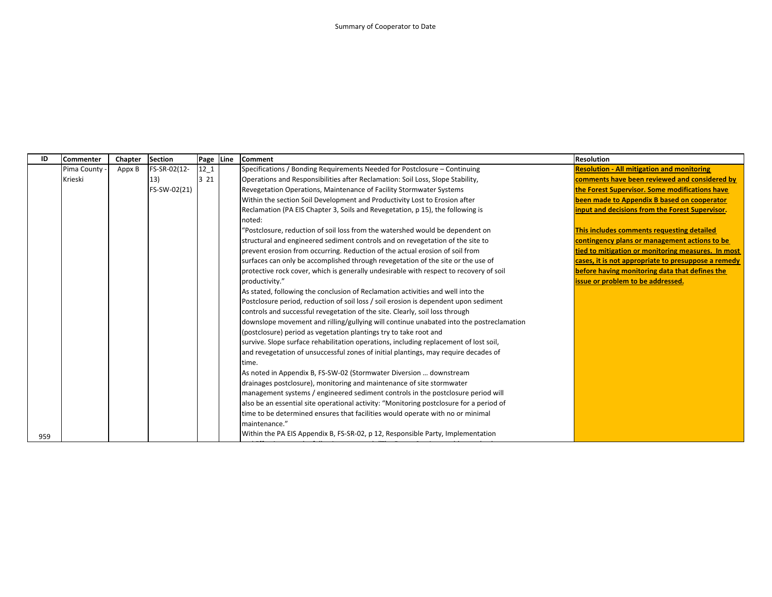| ID  | <b>Commenter</b> | Chapter | <b>Section</b> | Page Line | <b>Comment</b>                                                                          | <b>Resolution</b>                                   |
|-----|------------------|---------|----------------|-----------|-----------------------------------------------------------------------------------------|-----------------------------------------------------|
|     | Pima County      | Appx B  | FS-SR-02(12-   | $12-1$    | Specifications / Bonding Requirements Needed for Postclosure - Continuing               | <b>Resolution - All mitigation and monitoring</b>   |
|     | Krieski          |         | 13)            | 3 2 1     | Operations and Responsibilities after Reclamation: Soil Loss, Slope Stability,          | comments have been reviewed and considered by       |
|     |                  |         | FS-SW-02(21)   |           | Revegetation Operations, Maintenance of Facility Stormwater Systems                     | the Forest Supervisor. Some modifications have      |
|     |                  |         |                |           | Within the section Soil Development and Productivity Lost to Erosion after              | been made to Appendix B based on cooperator         |
|     |                  |         |                |           | Reclamation (PA EIS Chapter 3, Soils and Revegetation, p 15), the following is          | input and decisions from the Forest Supervisor.     |
|     |                  |         |                |           | noted:                                                                                  |                                                     |
|     |                  |         |                |           | "Postclosure, reduction of soil loss from the watershed would be dependent on           | This includes comments requesting detailed          |
|     |                  |         |                |           | structural and engineered sediment controls and on revegetation of the site to          | contingency plans or management actions to be       |
|     |                  |         |                |           | prevent erosion from occurring. Reduction of the actual erosion of soil from            | tied to mitigation or monitoring measures. In most  |
|     |                  |         |                |           | surfaces can only be accomplished through revegetation of the site or the use of        | cases, it is not appropriate to presuppose a remedy |
|     |                  |         |                |           | protective rock cover, which is generally undesirable with respect to recovery of soil  | before having monitoring data that defines the      |
|     |                  |         |                |           | productivity."                                                                          | issue or problem to be addressed.                   |
|     |                  |         |                |           | As stated, following the conclusion of Reclamation activities and well into the         |                                                     |
|     |                  |         |                |           | Postclosure period, reduction of soil loss / soil erosion is dependent upon sediment    |                                                     |
|     |                  |         |                |           | controls and successful revegetation of the site. Clearly, soil loss through            |                                                     |
|     |                  |         |                |           | downslope movement and rilling/gullying will continue unabated into the postreclamation |                                                     |
|     |                  |         |                |           | (postclosure) period as vegetation plantings try to take root and                       |                                                     |
|     |                  |         |                |           | survive. Slope surface rehabilitation operations, including replacement of lost soil,   |                                                     |
|     |                  |         |                |           | and revegetation of unsuccessful zones of initial plantings, may require decades of     |                                                     |
|     |                  |         |                |           | time.                                                                                   |                                                     |
|     |                  |         |                |           | As noted in Appendix B, FS-SW-02 (Stormwater Diversion  downstream                      |                                                     |
|     |                  |         |                |           | drainages postclosure), monitoring and maintenance of site stormwater                   |                                                     |
|     |                  |         |                |           | management systems / engineered sediment controls in the postclosure period will        |                                                     |
|     |                  |         |                |           | also be an essential site operational activity: "Monitoring postclosure for a period of |                                                     |
|     |                  |         |                |           | time to be determined ensures that facilities would operate with no or minimal          |                                                     |
|     |                  |         |                |           | maintenance."                                                                           |                                                     |
| 959 |                  |         |                |           | Within the PA EIS Appendix B, FS-SR-02, p 12, Responsible Party, Implementation         |                                                     |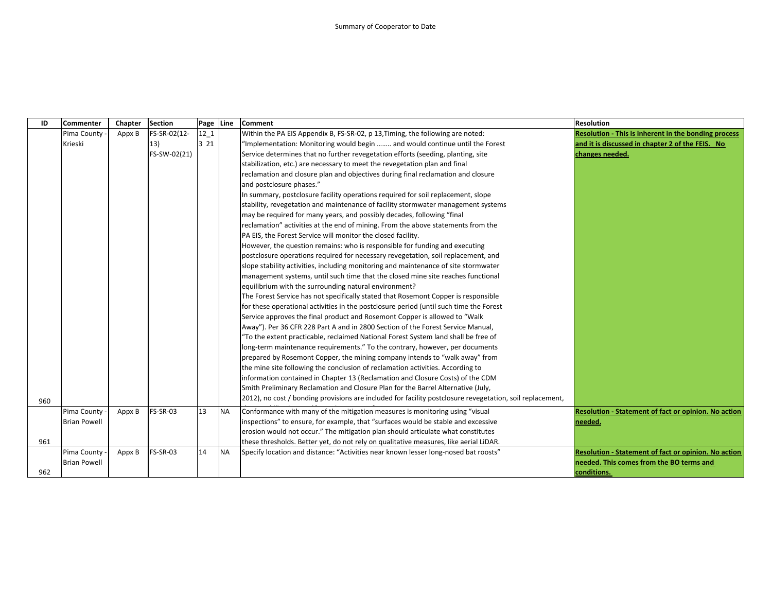| ID  | <b>Commenter</b>    | Chapter | Section         | Page Line |           | <b>Comment</b>                                                                                             | <b>Resolution</b>                                           |
|-----|---------------------|---------|-----------------|-----------|-----------|------------------------------------------------------------------------------------------------------------|-------------------------------------------------------------|
|     | Pima County         | Appx B  | FS-SR-02(12-    | $12-1$    |           | Within the PA EIS Appendix B, FS-SR-02, p 13, Timing, the following are noted:                             | <b>Resolution - This is inherent in the bonding process</b> |
|     | Krieski             |         | 13)             | 3 2 1     |           | "Implementation: Monitoring would begin  and would continue until the Forest                               | and it is discussed in chapter 2 of the FEIS. No            |
|     |                     |         | FS-SW-02(21)    |           |           | Service determines that no further revegetation efforts (seeding, planting, site                           | changes needed.                                             |
|     |                     |         |                 |           |           | stabilization, etc.) are necessary to meet the revegetation plan and final                                 |                                                             |
|     |                     |         |                 |           |           | reclamation and closure plan and objectives during final reclamation and closure                           |                                                             |
|     |                     |         |                 |           |           | and postclosure phases."                                                                                   |                                                             |
|     |                     |         |                 |           |           | In summary, postclosure facility operations required for soil replacement, slope                           |                                                             |
|     |                     |         |                 |           |           | stability, revegetation and maintenance of facility stormwater management systems                          |                                                             |
|     |                     |         |                 |           |           | may be required for many years, and possibly decades, following "final                                     |                                                             |
|     |                     |         |                 |           |           | reclamation" activities at the end of mining. From the above statements from the                           |                                                             |
|     |                     |         |                 |           |           | PA EIS, the Forest Service will monitor the closed facility.                                               |                                                             |
|     |                     |         |                 |           |           | However, the question remains: who is responsible for funding and executing                                |                                                             |
|     |                     |         |                 |           |           | postclosure operations required for necessary revegetation, soil replacement, and                          |                                                             |
|     |                     |         |                 |           |           | slope stability activities, including monitoring and maintenance of site stormwater                        |                                                             |
|     |                     |         |                 |           |           | management systems, until such time that the closed mine site reaches functional                           |                                                             |
|     |                     |         |                 |           |           | equilibrium with the surrounding natural environment?                                                      |                                                             |
|     |                     |         |                 |           |           | The Forest Service has not specifically stated that Rosemont Copper is responsible                         |                                                             |
|     |                     |         |                 |           |           | for these operational activities in the postclosure period (until such time the Forest                     |                                                             |
|     |                     |         |                 |           |           | Service approves the final product and Rosemont Copper is allowed to "Walk                                 |                                                             |
|     |                     |         |                 |           |           | Away"). Per 36 CFR 228 Part A and in 2800 Section of the Forest Service Manual,                            |                                                             |
|     |                     |         |                 |           |           | "To the extent practicable, reclaimed National Forest System land shall be free of                         |                                                             |
|     |                     |         |                 |           |           | long-term maintenance requirements." To the contrary, however, per documents                               |                                                             |
|     |                     |         |                 |           |           | prepared by Rosemont Copper, the mining company intends to "walk away" from                                |                                                             |
|     |                     |         |                 |           |           | the mine site following the conclusion of reclamation activities. According to                             |                                                             |
|     |                     |         |                 |           |           | information contained in Chapter 13 (Reclamation and Closure Costs) of the CDM                             |                                                             |
|     |                     |         |                 |           |           | Smith Preliminary Reclamation and Closure Plan for the Barrel Alternative (July,                           |                                                             |
| 960 |                     |         |                 |           |           | (2012), no cost / bonding provisions are included for facility postclosure revegetation, soil replacement, |                                                             |
|     | Pima County         | Appx B  | <b>FS-SR-03</b> | 13        | <b>NA</b> | Conformance with many of the mitigation measures is monitoring using "visual                               | Resolution - Statement of fact or opinion. No action        |
|     | <b>Brian Powell</b> |         |                 |           |           | inspections" to ensure, for example, that "surfaces would be stable and excessive                          | needed.                                                     |
|     |                     |         |                 |           |           | erosion would not occur." The mitigation plan should articulate what constitutes                           |                                                             |
| 961 |                     |         |                 |           |           | these thresholds. Better yet, do not rely on qualitative measures, like aerial LiDAR.                      |                                                             |
|     | Pima County         | Appx B  | <b>FS-SR-03</b> | 14        | <b>NA</b> | Specify location and distance: "Activities near known lesser long-nosed bat roosts"                        | Resolution - Statement of fact or opinion. No action        |
|     | <b>Brian Powell</b> |         |                 |           |           |                                                                                                            | needed. This comes from the BO terms and                    |
| 962 |                     |         |                 |           |           |                                                                                                            | conditions.                                                 |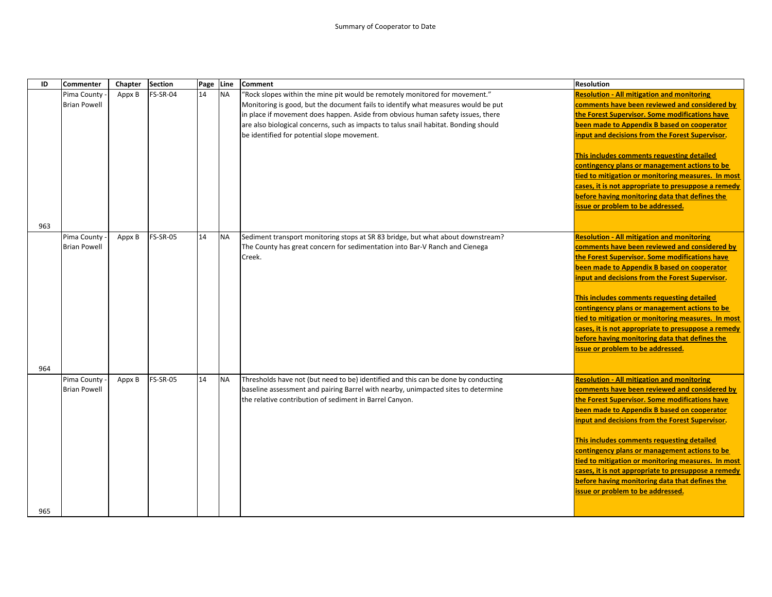| ID  | <b>Commenter</b>                   | Chapter | Section         | Page Line |           | <b>Comment</b>                                                                                                                                                 | <b>Resolution</b>                                                                                     |
|-----|------------------------------------|---------|-----------------|-----------|-----------|----------------------------------------------------------------------------------------------------------------------------------------------------------------|-------------------------------------------------------------------------------------------------------|
|     | Pima County                        | Appx B  | FS-SR-04        | 14        | <b>NA</b> | "Rock slopes within the mine pit would be remotely monitored for movement."                                                                                    | <b>Resolution - All mitigation and monitoring</b>                                                     |
|     | <b>Brian Powell</b>                |         |                 |           |           | Monitoring is good, but the document fails to identify what measures would be put                                                                              | comments have been reviewed and considered by                                                         |
|     |                                    |         |                 |           |           | in place if movement does happen. Aside from obvious human safety issues, there                                                                                | the Forest Supervisor. Some modifications have                                                        |
|     |                                    |         |                 |           |           | are also biological concerns, such as impacts to talus snail habitat. Bonding should                                                                           | been made to Appendix B based on cooperator                                                           |
|     |                                    |         |                 |           |           | be identified for potential slope movement.                                                                                                                    | input and decisions from the Forest Supervisor.                                                       |
|     |                                    |         |                 |           |           |                                                                                                                                                                |                                                                                                       |
|     |                                    |         |                 |           |           |                                                                                                                                                                | This includes comments requesting detailed                                                            |
|     |                                    |         |                 |           |           |                                                                                                                                                                | contingency plans or management actions to be                                                         |
|     |                                    |         |                 |           |           |                                                                                                                                                                | tied to mitigation or monitoring measures. In most                                                    |
|     |                                    |         |                 |           |           |                                                                                                                                                                | cases, it is not appropriate to presuppose a remedy                                                   |
|     |                                    |         |                 |           |           |                                                                                                                                                                | before having monitoring data that defines the                                                        |
|     |                                    |         |                 |           |           |                                                                                                                                                                | issue or problem to be addressed.                                                                     |
|     |                                    |         |                 |           |           |                                                                                                                                                                |                                                                                                       |
| 963 |                                    |         | <b>FS-SR-05</b> | 14        |           |                                                                                                                                                                | <b>Resolution - All mitigation and monitoring</b>                                                     |
|     | Pima County<br><b>Brian Powell</b> | Appx B  |                 |           | <b>NA</b> | Sediment transport monitoring stops at SR 83 bridge, but what about downstream?<br>The County has great concern for sedimentation into Bar-V Ranch and Cienega | comments have been reviewed and considered by                                                         |
|     |                                    |         |                 |           |           | Creek.                                                                                                                                                         | the Forest Supervisor. Some modifications have                                                        |
|     |                                    |         |                 |           |           |                                                                                                                                                                | been made to Appendix B based on cooperator                                                           |
|     |                                    |         |                 |           |           |                                                                                                                                                                | input and decisions from the Forest Supervisor.                                                       |
|     |                                    |         |                 |           |           |                                                                                                                                                                |                                                                                                       |
|     |                                    |         |                 |           |           |                                                                                                                                                                | This includes comments requesting detailed                                                            |
|     |                                    |         |                 |           |           |                                                                                                                                                                | contingency plans or management actions to be                                                         |
|     |                                    |         |                 |           |           |                                                                                                                                                                | tied to mitigation or monitoring measures. In most                                                    |
|     |                                    |         |                 |           |           |                                                                                                                                                                | cases, it is not appropriate to presuppose a remedy                                                   |
|     |                                    |         |                 |           |           |                                                                                                                                                                | before having monitoring data that defines the                                                        |
|     |                                    |         |                 |           |           |                                                                                                                                                                | issue or problem to be addressed.                                                                     |
|     |                                    |         |                 |           |           |                                                                                                                                                                |                                                                                                       |
| 964 |                                    |         |                 |           |           |                                                                                                                                                                |                                                                                                       |
|     | Pima County                        | Appx B  | <b>FS-SR-05</b> | 14        | <b>NA</b> | Thresholds have not (but need to be) identified and this can be done by conducting                                                                             | <b>Resolution - All mitigation and monitoring</b>                                                     |
|     | <b>Brian Powell</b>                |         |                 |           |           | baseline assessment and pairing Barrel with nearby, unimpacted sites to determine                                                                              | comments have been reviewed and considered by                                                         |
|     |                                    |         |                 |           |           | the relative contribution of sediment in Barrel Canyon.                                                                                                        | the Forest Supervisor. Some modifications have                                                        |
|     |                                    |         |                 |           |           |                                                                                                                                                                | been made to Appendix B based on cooperator                                                           |
|     |                                    |         |                 |           |           |                                                                                                                                                                | input and decisions from the Forest Supervisor.                                                       |
|     |                                    |         |                 |           |           |                                                                                                                                                                |                                                                                                       |
|     |                                    |         |                 |           |           |                                                                                                                                                                | This includes comments requesting detailed                                                            |
|     |                                    |         |                 |           |           |                                                                                                                                                                | contingency plans or management actions to be                                                         |
|     |                                    |         |                 |           |           |                                                                                                                                                                | tied to mitigation or monitoring measures. In most                                                    |
|     |                                    |         |                 |           |           |                                                                                                                                                                | cases, it is not appropriate to presuppose a remedy<br>before having monitoring data that defines the |
|     |                                    |         |                 |           |           |                                                                                                                                                                | issue or problem to be addressed.                                                                     |
|     |                                    |         |                 |           |           |                                                                                                                                                                |                                                                                                       |
| 965 |                                    |         |                 |           |           |                                                                                                                                                                |                                                                                                       |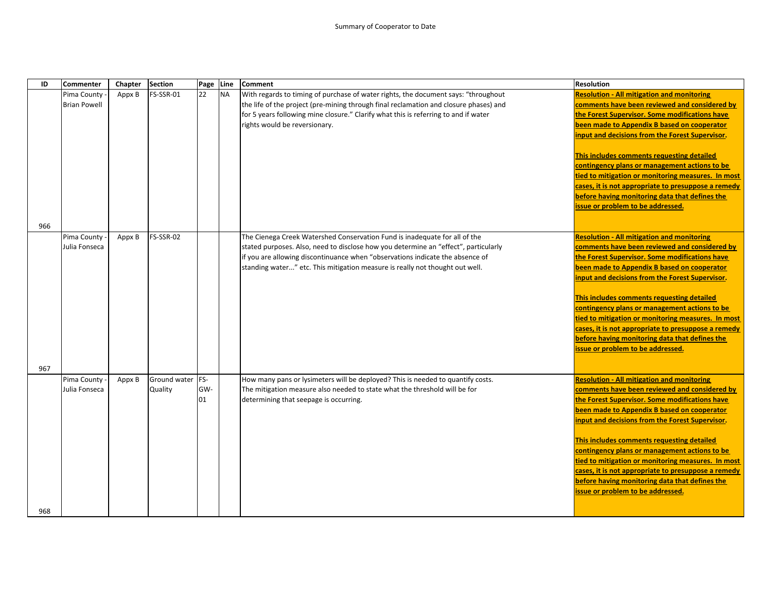| ID  | <b>Commenter</b>    | Chapter | <b>Section</b> | Page Line |           | <b>Comment</b>                                                                        | <b>Resolution</b>                                                                   |
|-----|---------------------|---------|----------------|-----------|-----------|---------------------------------------------------------------------------------------|-------------------------------------------------------------------------------------|
|     | Pima County         | Appx B  | FS-SSR-01      | 22        | <b>NA</b> | With regards to timing of purchase of water rights, the document says: "throughout    | <b>Resolution - All mitigation and monitoring</b>                                   |
|     | <b>Brian Powell</b> |         |                |           |           | the life of the project (pre-mining through final reclamation and closure phases) and | comments have been reviewed and considered by                                       |
|     |                     |         |                |           |           | for 5 years following mine closure." Clarify what this is referring to and if water   | the Forest Supervisor. Some modifications have                                      |
|     |                     |         |                |           |           | rights would be reversionary.                                                         | been made to Appendix B based on cooperator                                         |
|     |                     |         |                |           |           |                                                                                       | input and decisions from the Forest Supervisor.                                     |
|     |                     |         |                |           |           |                                                                                       | This includes comments requesting detailed                                          |
|     |                     |         |                |           |           |                                                                                       | contingency plans or management actions to be                                       |
|     |                     |         |                |           |           |                                                                                       | tied to mitigation or monitoring measures. In most                                  |
|     |                     |         |                |           |           |                                                                                       | cases, it is not appropriate to presuppose a remedy                                 |
|     |                     |         |                |           |           |                                                                                       | before having monitoring data that defines the                                      |
|     |                     |         |                |           |           |                                                                                       | issue or problem to be addressed.                                                   |
| 966 |                     |         |                |           |           |                                                                                       |                                                                                     |
|     | Pima County         | Appx B  | FS-SSR-02      |           |           | The Cienega Creek Watershed Conservation Fund is inadequate for all of the            | <b>Resolution - All mitigation and monitoring</b>                                   |
|     | Julia Fonseca       |         |                |           |           | stated purposes. Also, need to disclose how you determine an "effect", particularly   | comments have been reviewed and considered by                                       |
|     |                     |         |                |           |           | if you are allowing discontinuance when "observations indicate the absence of         | the Forest Supervisor. Some modifications have                                      |
|     |                     |         |                |           |           | standing water" etc. This mitigation measure is really not thought out well.          | been made to Appendix B based on cooperator                                         |
|     |                     |         |                |           |           |                                                                                       | input and decisions from the Forest Supervisor.                                     |
|     |                     |         |                |           |           |                                                                                       |                                                                                     |
|     |                     |         |                |           |           |                                                                                       | This includes comments requesting detailed                                          |
|     |                     |         |                |           |           |                                                                                       | contingency plans or management actions to be                                       |
|     |                     |         |                |           |           |                                                                                       | tied to mitigation or monitoring measures. In most                                  |
|     |                     |         |                |           |           |                                                                                       | cases, it is not appropriate to presuppose a remedy                                 |
|     |                     |         |                |           |           |                                                                                       | before having monitoring data that defines the<br>issue or problem to be addressed. |
|     |                     |         |                |           |           |                                                                                       |                                                                                     |
| 967 |                     |         |                |           |           |                                                                                       |                                                                                     |
|     | Pima County         | Appx B  | Ground water   | FS-       |           | How many pans or lysimeters will be deployed? This is needed to quantify costs.       | <b>Resolution - All mitigation and monitoring</b>                                   |
|     | Julia Fonseca       |         | Quality        | GW-       |           | The mitigation measure also needed to state what the threshold will be for            | comments have been reviewed and considered by                                       |
|     |                     |         |                | 01        |           | determining that seepage is occurring.                                                | the Forest Supervisor. Some modifications have                                      |
|     |                     |         |                |           |           |                                                                                       | been made to Appendix B based on cooperator                                         |
|     |                     |         |                |           |           |                                                                                       | input and decisions from the Forest Supervisor.                                     |
|     |                     |         |                |           |           |                                                                                       | This includes comments requesting detailed                                          |
|     |                     |         |                |           |           |                                                                                       | contingency plans or management actions to be                                       |
|     |                     |         |                |           |           |                                                                                       | tied to mitigation or monitoring measures. In most                                  |
|     |                     |         |                |           |           |                                                                                       | cases, it is not appropriate to presuppose a remedy                                 |
|     |                     |         |                |           |           |                                                                                       | before having monitoring data that defines the                                      |
|     |                     |         |                |           |           |                                                                                       | issue or problem to be addressed.                                                   |
|     |                     |         |                |           |           |                                                                                       |                                                                                     |
| 968 |                     |         |                |           |           |                                                                                       |                                                                                     |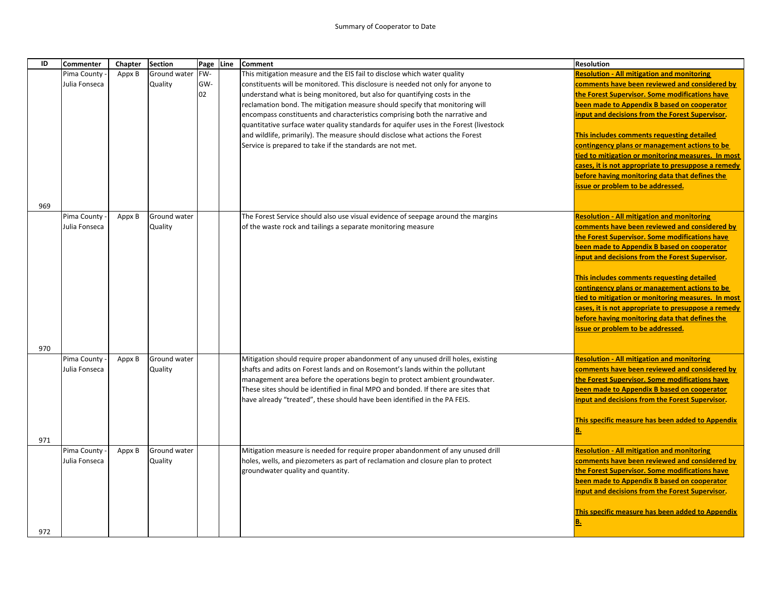| ID  | <b>Commenter</b> | Chapter | <b>Section</b> | Page | Line | <b>Comment</b>                                                                         | <b>Resolution</b>                                                                   |
|-----|------------------|---------|----------------|------|------|----------------------------------------------------------------------------------------|-------------------------------------------------------------------------------------|
|     | Pima County      | Appx B  | Ground water   | FW-  |      | This mitigation measure and the EIS fail to disclose which water quality               | <b>Resolution - All mitigation and monitoring</b>                                   |
|     | Julia Fonseca    |         | Quality        | GW-  |      | constituents will be monitored. This disclosure is needed not only for anyone to       | comments have been reviewed and considered by                                       |
|     |                  |         |                | 02   |      | understand what is being monitored, but also for quantifying costs in the              | the Forest Supervisor. Some modifications have                                      |
|     |                  |         |                |      |      | reclamation bond. The mitigation measure should specify that monitoring will           | been made to Appendix B based on cooperator                                         |
|     |                  |         |                |      |      | encompass constituents and characteristics comprising both the narrative and           | input and decisions from the Forest Supervisor.                                     |
|     |                  |         |                |      |      | quantitative surface water quality standards for aquifer uses in the Forest (livestock |                                                                                     |
|     |                  |         |                |      |      | and wildlife, primarily). The measure should disclose what actions the Forest          | This includes comments requesting detailed                                          |
|     |                  |         |                |      |      | Service is prepared to take if the standards are not met.                              | contingency plans or management actions to be                                       |
|     |                  |         |                |      |      |                                                                                        | tied to mitigation or monitoring measures. In most                                  |
|     |                  |         |                |      |      |                                                                                        | cases, it is not appropriate to presuppose a remedy                                 |
|     |                  |         |                |      |      |                                                                                        | before having monitoring data that defines the<br>issue or problem to be addressed. |
|     |                  |         |                |      |      |                                                                                        |                                                                                     |
| 969 |                  |         |                |      |      |                                                                                        |                                                                                     |
|     | Pima County      | Appx B  | Ground water   |      |      | The Forest Service should also use visual evidence of seepage around the margins       | <b>Resolution - All mitigation and monitoring</b>                                   |
|     | Julia Fonseca    |         | Quality        |      |      | of the waste rock and tailings a separate monitoring measure                           | comments have been reviewed and considered by                                       |
|     |                  |         |                |      |      |                                                                                        | the Forest Supervisor. Some modifications have                                      |
|     |                  |         |                |      |      |                                                                                        | been made to Appendix B based on cooperator                                         |
|     |                  |         |                |      |      |                                                                                        | input and decisions from the Forest Supervisor.                                     |
|     |                  |         |                |      |      |                                                                                        | This includes comments requesting detailed                                          |
|     |                  |         |                |      |      |                                                                                        | contingency plans or management actions to be                                       |
|     |                  |         |                |      |      |                                                                                        | tied to mitigation or monitoring measures. In most                                  |
|     |                  |         |                |      |      |                                                                                        | cases, it is not appropriate to presuppose a remedy                                 |
|     |                  |         |                |      |      |                                                                                        | before having monitoring data that defines the                                      |
|     |                  |         |                |      |      |                                                                                        | issue or problem to be addressed.                                                   |
|     |                  |         |                |      |      |                                                                                        |                                                                                     |
| 970 |                  |         |                |      |      |                                                                                        |                                                                                     |
|     | Pima County      | Appx B  | Ground water   |      |      | Mitigation should require proper abandonment of any unused drill holes, existing       | <b>Resolution - All mitigation and monitoring</b>                                   |
|     | Julia Fonseca    |         | Quality        |      |      | shafts and adits on Forest lands and on Rosemont's lands within the pollutant          | comments have been reviewed and considered by                                       |
|     |                  |         |                |      |      | management area before the operations begin to protect ambient groundwater.            | the Forest Supervisor. Some modifications have                                      |
|     |                  |         |                |      |      | These sites should be identified in final MPO and bonded. If there are sites that      | been made to Appendix B based on cooperator                                         |
|     |                  |         |                |      |      | have already "treated", these should have been identified in the PA FEIS.              | input and decisions from the Forest Supervisor.                                     |
|     |                  |         |                |      |      |                                                                                        | This specific measure has been added to Appendix                                    |
|     |                  |         |                |      |      |                                                                                        | <b>B.</b>                                                                           |
| 971 |                  |         |                |      |      |                                                                                        |                                                                                     |
|     | Pima County      | Appx B  | Ground water   |      |      | Mitigation measure is needed for require proper abandonment of any unused drill        | <b>Resolution - All mitigation and monitoring</b>                                   |
|     | Julia Fonseca    |         | Quality        |      |      | holes, wells, and piezometers as part of reclamation and closure plan to protect       | comments have been reviewed and considered by                                       |
|     |                  |         |                |      |      | groundwater quality and quantity.                                                      | the Forest Supervisor. Some modifications have                                      |
|     |                  |         |                |      |      |                                                                                        | been made to Appendix B based on cooperator                                         |
|     |                  |         |                |      |      |                                                                                        | input and decisions from the Forest Supervisor.                                     |
|     |                  |         |                |      |      |                                                                                        | This specific measure has been added to Appendix                                    |
|     |                  |         |                |      |      |                                                                                        | <b>B.</b>                                                                           |
| 972 |                  |         |                |      |      |                                                                                        |                                                                                     |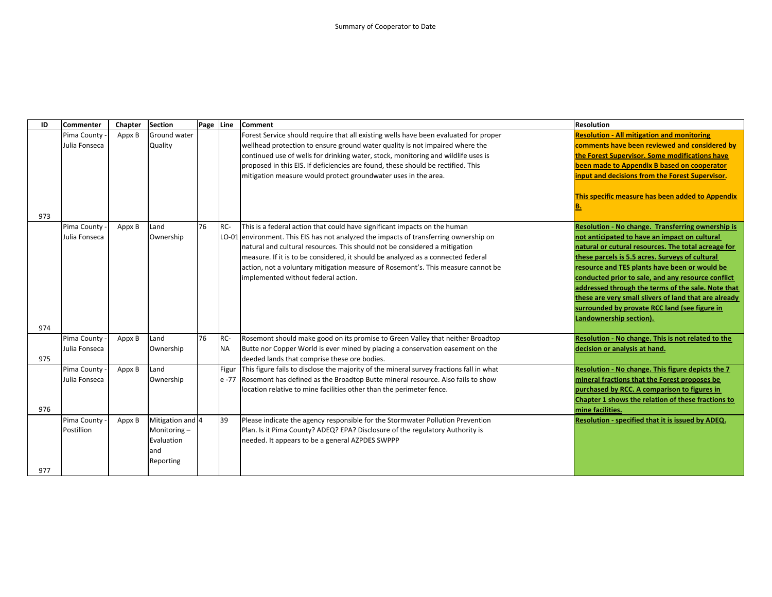| ID  | <b>Commenter</b>             | Chapter | <b>Section</b>   | Page Line |           | <b>Comment</b>                                                                                                                 | <b>Resolution</b>                                     |
|-----|------------------------------|---------|------------------|-----------|-----------|--------------------------------------------------------------------------------------------------------------------------------|-------------------------------------------------------|
|     | Pima County                  | Appx B  | Ground water     |           |           | Forest Service should require that all existing wells have been evaluated for proper                                           | <b>Resolution - All mitigation and monitoring</b>     |
|     | Julia Fonseca                |         | Quality          |           |           | wellhead protection to ensure ground water quality is not impaired where the                                                   | comments have been reviewed and considered by         |
|     |                              |         |                  |           |           | continued use of wells for drinking water, stock, monitoring and wildlife uses is                                              | the Forest Supervisor. Some modifications have        |
|     |                              |         |                  |           |           | proposed in this EIS. If deficiencies are found, these should be rectified. This                                               | been made to Appendix B based on cooperator           |
|     |                              |         |                  |           |           | mitigation measure would protect groundwater uses in the area.                                                                 | input and decisions from the Forest Supervisor.       |
|     |                              |         |                  |           |           |                                                                                                                                |                                                       |
|     |                              |         |                  |           |           |                                                                                                                                | This specific measure has been added to Appendix      |
|     |                              |         |                  |           |           |                                                                                                                                | <b>B.</b>                                             |
| 973 |                              |         |                  |           |           |                                                                                                                                |                                                       |
|     | Pima County                  | Appx B  | Land             | 76        | RC-       | This is a federal action that could have significant impacts on the human                                                      | Resolution - No change. Transferring ownership is     |
|     | Julia Fonseca                |         | Ownership        |           |           | LO-01 environment. This EIS has not analyzed the impacts of transferring ownership on                                          | not anticipated to have an impact on cultural         |
|     |                              |         |                  |           |           | natural and cultural resources. This should not be considered a mitigation                                                     | natural or cutural resources. The total acreage for   |
|     |                              |         |                  |           |           | measure. If it is to be considered, it should be analyzed as a connected federal                                               | these parcels is 5.5 acres. Surveys of cultural       |
|     |                              |         |                  |           |           | action, not a voluntary mitigation measure of Rosemont's. This measure cannot be                                               | resource and TES plants have been or would be         |
|     |                              |         |                  |           |           | implemented without federal action.                                                                                            | conducted prior to sale, and any resource conflict    |
|     |                              |         |                  |           |           |                                                                                                                                | addressed through the terms of the sale. Note that    |
|     |                              |         |                  |           |           |                                                                                                                                | these are very small slivers of land that are already |
|     |                              |         |                  |           |           |                                                                                                                                | surrounded by provate RCC land (see figure in         |
|     |                              |         |                  |           |           |                                                                                                                                | Landownership section).                               |
| 974 |                              |         |                  | 76        | RC-       |                                                                                                                                | Resolution - No change. This is not related to the    |
|     | Pima County                  | Appx B  | Land             |           |           | Rosemont should make good on its promise to Green Valley that neither Broadtop                                                 |                                                       |
| 975 | Julia Fonseca                |         | Ownership        |           | <b>NA</b> | Butte nor Copper World is ever mined by placing a conservation easement on the<br>deeded lands that comprise these ore bodies. | decision or analysis at hand.                         |
|     |                              |         | Land             |           |           | Figur This figure fails to disclose the majority of the mineral survey fractions fall in what                                  | Resolution - No change. This figure depicts the 7     |
|     | Pima County<br>Julia Fonseca | Appx B  | Ownership        |           |           | e -77 Rosemont has defined as the Broadtop Butte mineral resource. Also fails to show                                          | mineral fractions that the Forest proposes be         |
|     |                              |         |                  |           |           | location relative to mine facilities other than the perimeter fence.                                                           | purchased by RCC. A comparison to figures in          |
|     |                              |         |                  |           |           |                                                                                                                                | Chapter 1 shows the relation of these fractions to    |
| 976 |                              |         |                  |           |           |                                                                                                                                | mine facilities.                                      |
|     | Pima County                  | Appx B  | Mitigation and 4 |           | 39        | Please indicate the agency responsible for the Stormwater Pollution Prevention                                                 | Resolution - specified that it is issued by ADEQ.     |
|     | Postillion                   |         | Monitoring-      |           |           | Plan. Is it Pima County? ADEQ? EPA? Disclosure of the regulatory Authority is                                                  |                                                       |
|     |                              |         | Evaluation       |           |           | needed. It appears to be a general AZPDES SWPPP                                                                                |                                                       |
|     |                              |         | and              |           |           |                                                                                                                                |                                                       |
|     |                              |         | Reporting        |           |           |                                                                                                                                |                                                       |
| 977 |                              |         |                  |           |           |                                                                                                                                |                                                       |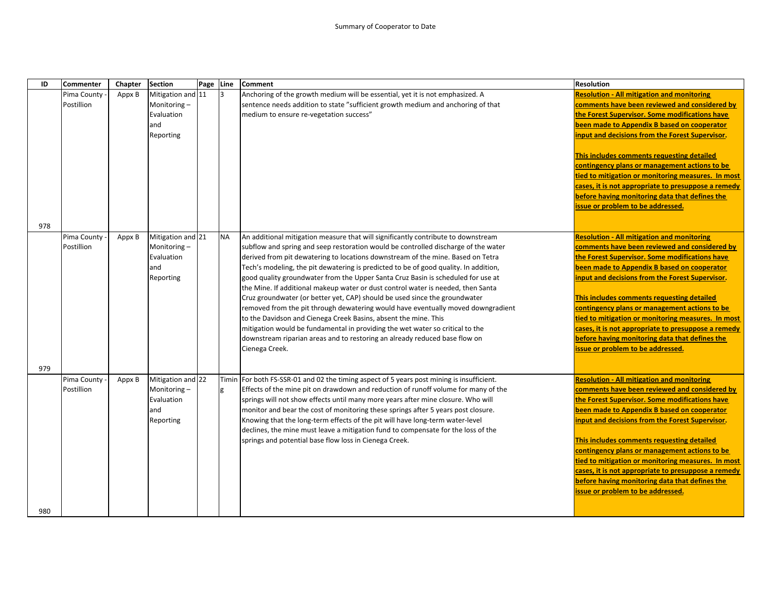| <b>Section</b><br>ID<br><b>Commenter</b><br>Chapter<br>Page<br><b>Comment</b><br><b>Line</b>                                                 | <b>Resolution</b>                                   |
|----------------------------------------------------------------------------------------------------------------------------------------------|-----------------------------------------------------|
| Mitigation and 11<br>Anchoring of the growth medium will be essential, yet it is not emphasized. A<br>Pima County<br>Appx B<br>3             | <b>Resolution - All mitigation and monitoring</b>   |
| Postillion<br>Monitoring-<br>sentence needs addition to state "sufficient growth medium and anchoring of that                                | comments have been reviewed and considered by       |
| Evaluation<br>medium to ensure re-vegetation success"                                                                                        | the Forest Supervisor. Some modifications have      |
| and                                                                                                                                          | been made to Appendix B based on cooperator         |
| Reporting                                                                                                                                    | input and decisions from the Forest Supervisor.     |
|                                                                                                                                              |                                                     |
|                                                                                                                                              | This includes comments requesting detailed          |
|                                                                                                                                              | contingency plans or management actions to be       |
|                                                                                                                                              | tied to mitigation or monitoring measures. In most  |
|                                                                                                                                              | cases, it is not appropriate to presuppose a remedy |
|                                                                                                                                              | before having monitoring data that defines the      |
|                                                                                                                                              | issue or problem to be addressed.                   |
|                                                                                                                                              |                                                     |
| 978                                                                                                                                          |                                                     |
| Mitigation and 21<br><b>NA</b><br>Pima County<br>An additional mitigation measure that will significantly contribute to downstream<br>Appx B | <b>Resolution - All mitigation and monitoring</b>   |
| Postillion<br>Monitoring-<br>subflow and spring and seep restoration would be controlled discharge of the water                              | comments have been reviewed and considered by       |
| Evaluation<br>derived from pit dewatering to locations downstream of the mine. Based on Tetra                                                | the Forest Supervisor. Some modifications have      |
| and<br>Tech's modeling, the pit dewatering is predicted to be of good quality. In addition,                                                  | been made to Appendix B based on cooperator         |
| good quality groundwater from the Upper Santa Cruz Basin is scheduled for use at<br>Reporting                                                | input and decisions from the Forest Supervisor.     |
| the Mine. If additional makeup water or dust control water is needed, then Santa                                                             |                                                     |
| Cruz groundwater (or better yet, CAP) should be used since the groundwater                                                                   | This includes comments requesting detailed          |
| removed from the pit through dewatering would have eventually moved downgradient                                                             | contingency plans or management actions to be       |
| to the Davidson and Cienega Creek Basins, absent the mine. This                                                                              | tied to mitigation or monitoring measures. In most  |
| mitigation would be fundamental in providing the wet water so critical to the                                                                | cases, it is not appropriate to presuppose a remedy |
| downstream riparian areas and to restoring an already reduced base flow on                                                                   | before having monitoring data that defines the      |
| Cienega Creek.                                                                                                                               | issue or problem to be addressed.                   |
|                                                                                                                                              |                                                     |
| 979                                                                                                                                          |                                                     |
| Mitigation and 22<br>Pima County<br>For both FS-SSR-01 and 02 the timing aspect of 5 years post mining is insufficient.<br>Appx B<br>Timin   | <b>Resolution - All mitigation and monitoring</b>   |
| Postillion<br>Monitoring-<br>Effects of the mine pit on drawdown and reduction of runoff volume for many of the<br>g                         | comments have been reviewed and considered by       |
| Evaluation<br>springs will not show effects until many more years after mine closure. Who will                                               | the Forest Supervisor. Some modifications have      |
| and<br>monitor and bear the cost of monitoring these springs after 5 years post closure.                                                     | been made to Appendix B based on cooperator         |
| Reporting<br>Knowing that the long-term effects of the pit will have long-term water-level                                                   | input and decisions from the Forest Supervisor.     |
| declines, the mine must leave a mitigation fund to compensate for the loss of the                                                            |                                                     |
| springs and potential base flow loss in Cienega Creek.                                                                                       | This includes comments requesting detailed          |
|                                                                                                                                              | contingency plans or management actions to be       |
|                                                                                                                                              | tied to mitigation or monitoring measures. In most  |
|                                                                                                                                              | cases, it is not appropriate to presuppose a remedy |
|                                                                                                                                              | before having monitoring data that defines the      |
|                                                                                                                                              | issue or problem to be addressed.                   |
|                                                                                                                                              |                                                     |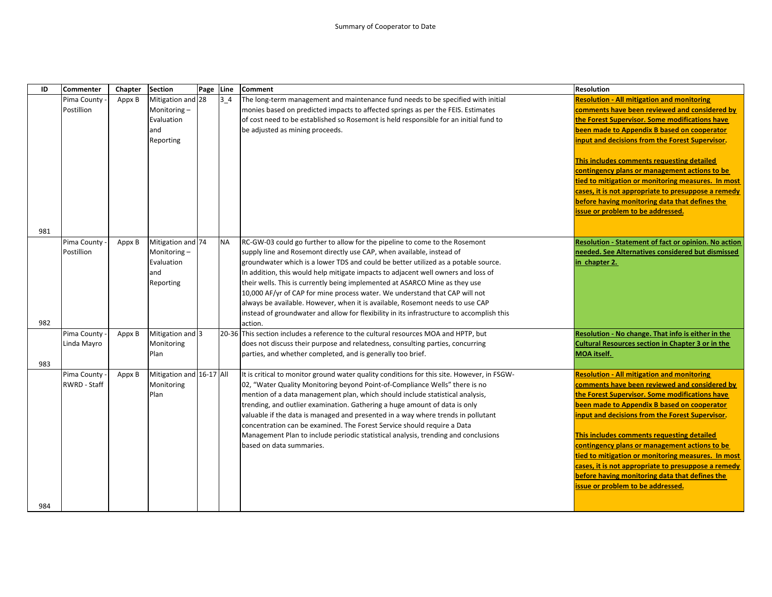| ID  | <b>Commenter</b> | Chapter | <b>Section</b>           | Page Line |                  | <b>Comment</b>                                                                                                                                              | Resolution                                                                                    |
|-----|------------------|---------|--------------------------|-----------|------------------|-------------------------------------------------------------------------------------------------------------------------------------------------------------|-----------------------------------------------------------------------------------------------|
|     | Pima County      | Appx B  | Mitigation and 28        |           | 3 <sub>1</sub> 4 | The long-term management and maintenance fund needs to be specified with initial                                                                            | <b>Resolution - All mitigation and monitoring</b>                                             |
|     | Postillion       |         | Monitoring-              |           |                  | monies based on predicted impacts to affected springs as per the FEIS. Estimates                                                                            | comments have been reviewed and considered by                                                 |
|     |                  |         | Evaluation               |           |                  | of cost need to be established so Rosemont is held responsible for an initial fund to                                                                       | the Forest Supervisor. Some modifications have                                                |
|     |                  |         | and                      |           |                  | be adjusted as mining proceeds.                                                                                                                             | been made to Appendix B based on cooperator                                                   |
|     |                  |         | Reporting                |           |                  |                                                                                                                                                             | input and decisions from the Forest Supervisor.                                               |
|     |                  |         |                          |           |                  |                                                                                                                                                             | This includes comments requesting detailed                                                    |
|     |                  |         |                          |           |                  |                                                                                                                                                             | contingency plans or management actions to be                                                 |
|     |                  |         |                          |           |                  |                                                                                                                                                             | tied to mitigation or monitoring measures. In most                                            |
|     |                  |         |                          |           |                  |                                                                                                                                                             | cases, it is not appropriate to presuppose a remedy                                           |
|     |                  |         |                          |           |                  |                                                                                                                                                             | before having monitoring data that defines the                                                |
|     |                  |         |                          |           |                  |                                                                                                                                                             | issue or problem to be addressed.                                                             |
|     |                  |         |                          |           |                  |                                                                                                                                                             |                                                                                               |
| 981 |                  |         |                          |           |                  |                                                                                                                                                             |                                                                                               |
|     | Pima County      | Appx B  | Mitigation and 74        |           | <b>NA</b>        | RC-GW-03 could go further to allow for the pipeline to come to the Rosemont                                                                                 | Resolution - Statement of fact or opinion. No action                                          |
|     | Postillion       |         | Monitoring-              |           |                  | supply line and Rosemont directly use CAP, when available, instead of                                                                                       | needed. See Alternatives considered but dismissed                                             |
|     |                  |         | Evaluation               |           |                  | groundwater which is a lower TDS and could be better utilized as a potable source.                                                                          | in chapter 2.                                                                                 |
|     |                  |         | and                      |           |                  | In addition, this would help mitigate impacts to adjacent well owners and loss of                                                                           |                                                                                               |
|     |                  |         | Reporting                |           |                  | their wells. This is currently being implemented at ASARCO Mine as they use                                                                                 |                                                                                               |
|     |                  |         |                          |           |                  | 10,000 AF/yr of CAP for mine process water. We understand that CAP will not                                                                                 |                                                                                               |
|     |                  |         |                          |           |                  | always be available. However, when it is available, Rosemont needs to use CAP                                                                               |                                                                                               |
|     |                  |         |                          |           |                  | instead of groundwater and allow for flexibility in its infrastructure to accomplish this                                                                   |                                                                                               |
| 982 |                  |         |                          |           |                  | action.                                                                                                                                                     |                                                                                               |
|     | Pima County      | Appx B  | Mitigation and 3         |           |                  | 20-36 This section includes a reference to the cultural resources MOA and HPTP, but                                                                         | Resolution - No change. That info is either in the                                            |
|     | Linda Mayro      |         | Monitoring               |           |                  | does not discuss their purpose and relatedness, consulting parties, concurring                                                                              | <b>Cultural Resources section in Chapter 3 or in the</b>                                      |
|     |                  |         | Plan                     |           |                  | parties, and whether completed, and is generally too brief.                                                                                                 | MOA itself.                                                                                   |
| 983 |                  |         |                          |           |                  |                                                                                                                                                             |                                                                                               |
|     | Pima County      | Appx B  | Mitigation and 16-17 All |           |                  | It is critical to monitor ground water quality conditions for this site. However, in FSGW-                                                                  | <b>Resolution - All mitigation and monitoring</b>                                             |
|     | RWRD - Staff     |         | Monitoring               |           |                  | 02, "Water Quality Monitoring beyond Point-of-Compliance Wells" there is no                                                                                 | comments have been reviewed and considered by                                                 |
|     |                  |         | Plan                     |           |                  | mention of a data management plan, which should include statistical analysis,<br>trending, and outlier examination. Gathering a huge amount of data is only | the Forest Supervisor. Some modifications have<br>been made to Appendix B based on cooperator |
|     |                  |         |                          |           |                  | valuable if the data is managed and presented in a way where trends in pollutant                                                                            | input and decisions from the Forest Supervisor.                                               |
|     |                  |         |                          |           |                  | concentration can be examined. The Forest Service should require a Data                                                                                     |                                                                                               |
|     |                  |         |                          |           |                  | Management Plan to include periodic statistical analysis, trending and conclusions                                                                          | This includes comments requesting detailed                                                    |
|     |                  |         |                          |           |                  | based on data summaries.                                                                                                                                    | contingency plans or management actions to be                                                 |
|     |                  |         |                          |           |                  |                                                                                                                                                             | tied to mitigation or monitoring measures. In most                                            |
|     |                  |         |                          |           |                  |                                                                                                                                                             | cases, it is not appropriate to presuppose a remedy                                           |
|     |                  |         |                          |           |                  |                                                                                                                                                             | before having monitoring data that defines the                                                |
|     |                  |         |                          |           |                  |                                                                                                                                                             | issue or problem to be addressed.                                                             |
|     |                  |         |                          |           |                  |                                                                                                                                                             |                                                                                               |
| 984 |                  |         |                          |           |                  |                                                                                                                                                             |                                                                                               |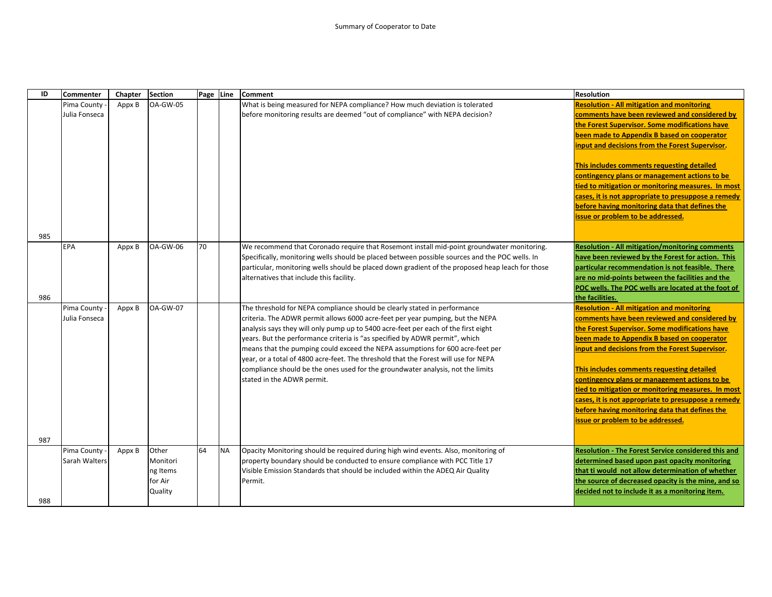| ID         | <b>Commenter</b>             | Chapter | <b>Section</b>                                      | Page Line |           | Comment                                                                                                                                                                                                                                                                                                                                                                                                                                                                                                                                                                                                                    | <b>Resolution</b>                                                                                                                                                                                                                                                                                                                                                                                                                                                                                                                                         |
|------------|------------------------------|---------|-----------------------------------------------------|-----------|-----------|----------------------------------------------------------------------------------------------------------------------------------------------------------------------------------------------------------------------------------------------------------------------------------------------------------------------------------------------------------------------------------------------------------------------------------------------------------------------------------------------------------------------------------------------------------------------------------------------------------------------------|-----------------------------------------------------------------------------------------------------------------------------------------------------------------------------------------------------------------------------------------------------------------------------------------------------------------------------------------------------------------------------------------------------------------------------------------------------------------------------------------------------------------------------------------------------------|
|            | Pima County<br>Julia Fonseca | Appx B  | <b>OA-GW-05</b>                                     |           |           | What is being measured for NEPA compliance? How much deviation is tolerated<br>before monitoring results are deemed "out of compliance" with NEPA decision?                                                                                                                                                                                                                                                                                                                                                                                                                                                                | <b>Resolution - All mitigation and monitoring</b><br>comments have been reviewed and considered by<br>the Forest Supervisor. Some modifications have<br>been made to Appendix B based on cooperator<br>input and decisions from the Forest Supervisor.<br>This includes comments requesting detailed<br>contingency plans or management actions to be<br>tied to mitigation or monitoring measures. In most<br>cases, it is not appropriate to presuppose a remedy<br>before having monitoring data that defines the<br>issue or problem to be addressed. |
| 985<br>986 | EPA                          | Appx B  | <b>OA-GW-06</b>                                     | 70        |           | We recommend that Coronado require that Rosemont install mid-point groundwater monitoring.<br>Specifically, monitoring wells should be placed between possible sources and the POC wells. In<br>particular, monitoring wells should be placed down gradient of the proposed heap leach for those<br>alternatives that include this facility.                                                                                                                                                                                                                                                                               | <b>Resolution - All mitigation/monitoring comments</b><br>have been reviewed by the Forest for action. This<br>particular recommendation is not feasible. There<br>are no mid-points between the facilities and the<br>POC wells. The POC wells are located at the foot of<br>the facilities.                                                                                                                                                                                                                                                             |
|            | Pima County<br>Julia Fonseca | Appx B  | <b>OA-GW-07</b>                                     |           |           | The threshold for NEPA compliance should be clearly stated in performance<br>criteria. The ADWR permit allows 6000 acre-feet per year pumping, but the NEPA<br>analysis says they will only pump up to 5400 acre-feet per each of the first eight<br>years. But the performance criteria is "as specified by ADWR permit", which<br>means that the pumping could exceed the NEPA assumptions for 600 acre-feet per<br>year, or a total of 4800 acre-feet. The threshold that the Forest will use for NEPA<br>compliance should be the ones used for the groundwater analysis, not the limits<br>stated in the ADWR permit. | <b>Resolution - All mitigation and monitoring</b><br>comments have been reviewed and considered by<br>the Forest Supervisor. Some modifications have<br>been made to Appendix B based on cooperator<br>input and decisions from the Forest Supervisor.<br>This includes comments requesting detailed<br>contingency plans or management actions to be<br>tied to mitigation or monitoring measures. In most<br>cases, it is not appropriate to presuppose a remedy<br>before having monitoring data that defines the<br>issue or problem to be addressed. |
| 987<br>988 | Pima County<br>Sarah Walters | Appx B  | Other<br>Monitori<br>ng Items<br>for Air<br>Quality | 64        | <b>NA</b> | Opacity Monitoring should be required during high wind events. Also, monitoring of<br>property boundary should be conducted to ensure compliance with PCC Title 17<br>Visible Emission Standards that should be included within the ADEQ Air Quality<br>Permit.                                                                                                                                                                                                                                                                                                                                                            | <b>Resolution - The Forest Service considered this and</b><br>determined based upon past opacity monitoring<br>that ti would not allow determination of whether<br>the source of decreased opacity is the mine, and so<br>decided not to include it as a monitoring item.                                                                                                                                                                                                                                                                                 |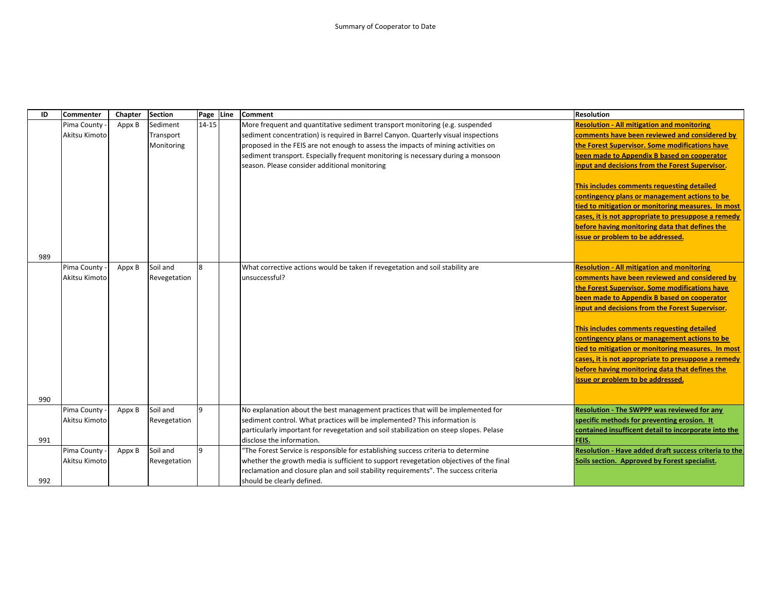| ID  | Commenter     | Chapter | <b>Section</b> | Page Line | <b>Comment</b>                                                                         | <b>Resolution</b>                                     |
|-----|---------------|---------|----------------|-----------|----------------------------------------------------------------------------------------|-------------------------------------------------------|
|     | Pima County   | Appx B  | Sediment       | $14 - 15$ | More frequent and quantitative sediment transport monitoring (e.g. suspended           | <b>Resolution - All mitigation and monitoring</b>     |
|     | Akitsu Kimoto |         | Transport      |           | sediment concentration) is required in Barrel Canyon. Quarterly visual inspections     | comments have been reviewed and considered by         |
|     |               |         | Monitoring     |           | proposed in the FEIS are not enough to assess the impacts of mining activities on      | the Forest Supervisor. Some modifications have        |
|     |               |         |                |           | sediment transport. Especially frequent monitoring is necessary during a monsoon       | been made to Appendix B based on cooperator           |
|     |               |         |                |           | season. Please consider additional monitoring                                          | input and decisions from the Forest Supervisor.       |
|     |               |         |                |           |                                                                                        |                                                       |
|     |               |         |                |           |                                                                                        | This includes comments requesting detailed            |
|     |               |         |                |           |                                                                                        | contingency plans or management actions to be         |
|     |               |         |                |           |                                                                                        | tied to mitigation or monitoring measures. In most    |
|     |               |         |                |           |                                                                                        | cases, it is not appropriate to presuppose a remedy   |
|     |               |         |                |           |                                                                                        | before having monitoring data that defines the        |
|     |               |         |                |           |                                                                                        | issue or problem to be addressed.                     |
|     |               |         |                |           |                                                                                        |                                                       |
| 989 |               |         |                |           |                                                                                        |                                                       |
|     | Pima County   | Appx B  | Soil and       | 8         | What corrective actions would be taken if revegetation and soil stability are          | <b>Resolution - All mitigation and monitoring</b>     |
|     | Akitsu Kimoto |         | Revegetation   |           | unsuccessful?                                                                          | comments have been reviewed and considered by         |
|     |               |         |                |           |                                                                                        | the Forest Supervisor. Some modifications have        |
|     |               |         |                |           |                                                                                        | been made to Appendix B based on cooperator           |
|     |               |         |                |           |                                                                                        | input and decisions from the Forest Supervisor.       |
|     |               |         |                |           |                                                                                        |                                                       |
|     |               |         |                |           |                                                                                        | This includes comments requesting detailed            |
|     |               |         |                |           |                                                                                        | contingency plans or management actions to be         |
|     |               |         |                |           |                                                                                        | tied to mitigation or monitoring measures. In most    |
|     |               |         |                |           |                                                                                        | cases, it is not appropriate to presuppose a remedy   |
|     |               |         |                |           |                                                                                        | before having monitoring data that defines the        |
|     |               |         |                |           |                                                                                        | issue or problem to be addressed.                     |
|     |               |         |                |           |                                                                                        |                                                       |
| 990 |               |         |                |           |                                                                                        |                                                       |
|     | Pima County   | Appx B  | Soil and       | 9         | No explanation about the best management practices that will be implemented for        | <b>Resolution - The SWPPP was reviewed for any</b>    |
|     | Akitsu Kimoto |         | Revegetation   |           | sediment control. What practices will be implemented? This information is              | specific methods for preventing erosion. It           |
|     |               |         |                |           | particularly important for revegetation and soil stabilization on steep slopes. Pelase | contained insufficent detail to incorporate into the  |
| 991 |               |         |                |           | disclose the information.                                                              | FEIS.                                                 |
|     | Pima County   | Appx B  | Soil and       | 9         | 'The Forest Service is responsible for establishing success criteria to determine      | Resolution - Have added draft success criteria to the |
|     | Akitsu Kimoto |         | Revegetation   |           | whether the growth media is sufficient to support revegetation objectives of the final | Soils section. Approved by Forest specialist.         |
|     |               |         |                |           | reclamation and closure plan and soil stability requirements". The success criteria    |                                                       |
| 992 |               |         |                |           | should be clearly defined.                                                             |                                                       |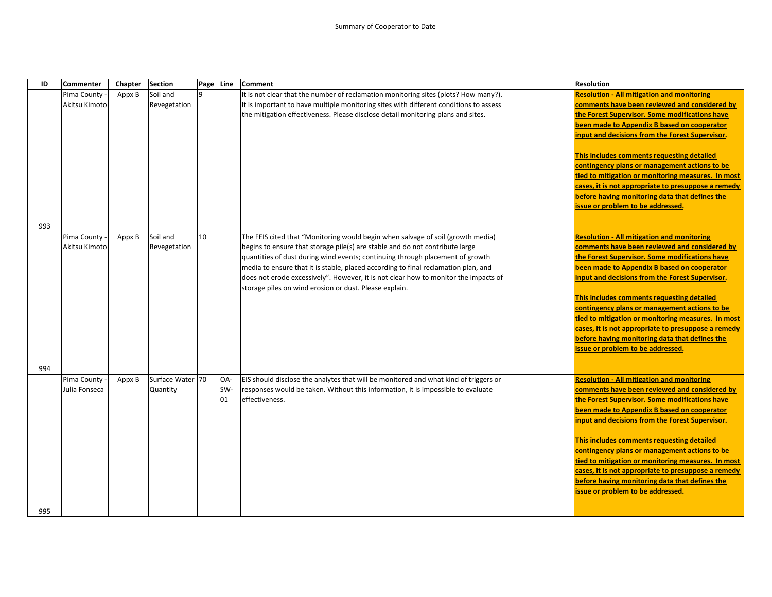| ID  | <b>Commenter</b>             | Chapter | <b>Section</b>   | Page Line |     | <b>Comment</b>                                                                                                                                                | <b>Resolution</b>                                                                               |
|-----|------------------------------|---------|------------------|-----------|-----|---------------------------------------------------------------------------------------------------------------------------------------------------------------|-------------------------------------------------------------------------------------------------|
|     | Pima County -                | Appx B  | Soil and         |           |     | It is not clear that the number of reclamation monitoring sites (plots? How many?).                                                                           | <b>Resolution - All mitigation and monitoring</b>                                               |
|     | Akitsu Kimoto                |         | Revegetation     |           |     | It is important to have multiple monitoring sites with different conditions to assess                                                                         | comments have been reviewed and considered by                                                   |
|     |                              |         |                  |           |     | the mitigation effectiveness. Please disclose detail monitoring plans and sites.                                                                              | the Forest Supervisor. Some modifications have                                                  |
|     |                              |         |                  |           |     |                                                                                                                                                               | been made to Appendix B based on cooperator                                                     |
|     |                              |         |                  |           |     |                                                                                                                                                               | input and decisions from the Forest Supervisor.                                                 |
|     |                              |         |                  |           |     |                                                                                                                                                               |                                                                                                 |
|     |                              |         |                  |           |     |                                                                                                                                                               | This includes comments requesting detailed                                                      |
|     |                              |         |                  |           |     |                                                                                                                                                               | contingency plans or management actions to be                                                   |
|     |                              |         |                  |           |     |                                                                                                                                                               | tied to mitigation or monitoring measures. In most                                              |
|     |                              |         |                  |           |     |                                                                                                                                                               | cases, it is not appropriate to presuppose a remedy                                             |
|     |                              |         |                  |           |     |                                                                                                                                                               | before having monitoring data that defines the                                                  |
|     |                              |         |                  |           |     |                                                                                                                                                               | issue or problem to be addressed.                                                               |
|     |                              |         |                  |           |     |                                                                                                                                                               |                                                                                                 |
| 993 |                              |         |                  |           |     |                                                                                                                                                               |                                                                                                 |
|     | Pima County<br>Akitsu Kimoto | Appx B  | Soil and         | 10        |     | The FEIS cited that "Monitoring would begin when salvage of soil (growth media)                                                                               | <b>Resolution - All mitigation and monitoring</b>                                               |
|     |                              |         | Revegetation     |           |     | begins to ensure that storage pile(s) are stable and do not contribute large<br>quantities of dust during wind events; continuing through placement of growth | comments have been reviewed and considered by<br>the Forest Supervisor. Some modifications have |
|     |                              |         |                  |           |     | media to ensure that it is stable, placed according to final reclamation plan, and                                                                            | been made to Appendix B based on cooperator                                                     |
|     |                              |         |                  |           |     | does not erode excessively". However, it is not clear how to monitor the impacts of                                                                           | input and decisions from the Forest Supervisor.                                                 |
|     |                              |         |                  |           |     | storage piles on wind erosion or dust. Please explain.                                                                                                        |                                                                                                 |
|     |                              |         |                  |           |     |                                                                                                                                                               | This includes comments requesting detailed                                                      |
|     |                              |         |                  |           |     |                                                                                                                                                               | contingency plans or management actions to be                                                   |
|     |                              |         |                  |           |     |                                                                                                                                                               | tied to mitigation or monitoring measures. In most                                              |
|     |                              |         |                  |           |     |                                                                                                                                                               | cases, it is not appropriate to presuppose a remedy                                             |
|     |                              |         |                  |           |     |                                                                                                                                                               | before having monitoring data that defines the                                                  |
|     |                              |         |                  |           |     |                                                                                                                                                               | issue or problem to be addressed.                                                               |
|     |                              |         |                  |           |     |                                                                                                                                                               |                                                                                                 |
| 994 |                              |         |                  |           |     |                                                                                                                                                               |                                                                                                 |
|     | Pima County                  | Appx B  | Surface Water 70 |           | OA- | EIS should disclose the analytes that will be monitored and what kind of triggers or                                                                          | <b>Resolution - All mitigation and monitoring</b>                                               |
|     | Julia Fonseca                |         | Quantity         |           | SW- | responses would be taken. Without this information, it is impossible to evaluate                                                                              | comments have been reviewed and considered by                                                   |
|     |                              |         |                  |           | 01  | effectiveness.                                                                                                                                                | the Forest Supervisor. Some modifications have                                                  |
|     |                              |         |                  |           |     |                                                                                                                                                               | been made to Appendix B based on cooperator                                                     |
|     |                              |         |                  |           |     |                                                                                                                                                               | input and decisions from the Forest Supervisor.                                                 |
|     |                              |         |                  |           |     |                                                                                                                                                               | This includes comments requesting detailed                                                      |
|     |                              |         |                  |           |     |                                                                                                                                                               | contingency plans or management actions to be                                                   |
|     |                              |         |                  |           |     |                                                                                                                                                               | tied to mitigation or monitoring measures. In most                                              |
|     |                              |         |                  |           |     |                                                                                                                                                               | cases, it is not appropriate to presuppose a remedy                                             |
|     |                              |         |                  |           |     |                                                                                                                                                               | before having monitoring data that defines the                                                  |
|     |                              |         |                  |           |     |                                                                                                                                                               | issue or problem to be addressed.                                                               |
|     |                              |         |                  |           |     |                                                                                                                                                               |                                                                                                 |
| 995 |                              |         |                  |           |     |                                                                                                                                                               |                                                                                                 |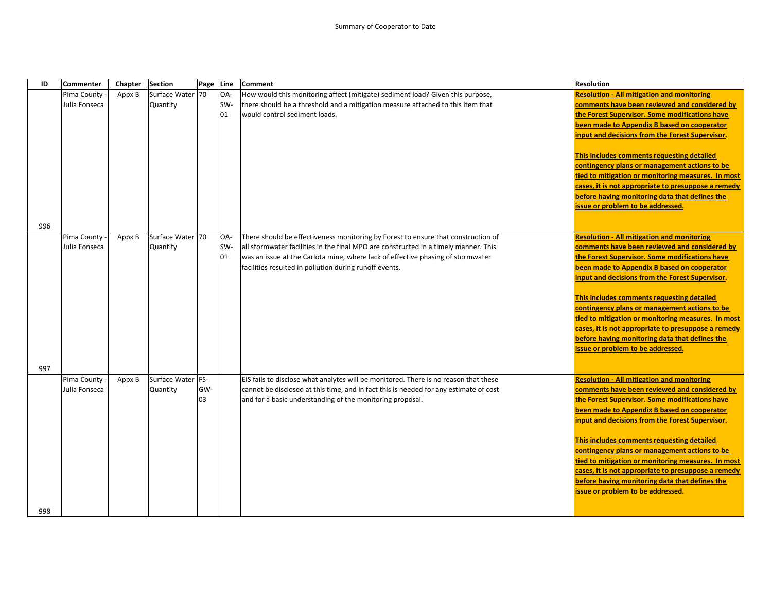| ID  | Commenter     | Chapter | Section           | Page Line |     | <b>Comment</b>                                                                        | <b>Resolution</b>                                   |
|-----|---------------|---------|-------------------|-----------|-----|---------------------------------------------------------------------------------------|-----------------------------------------------------|
|     | Pima County   | Appx B  | Surface Water 70  |           | OA- | How would this monitoring affect (mitigate) sediment load? Given this purpose,        | <b>Resolution - All mitigation and monitoring</b>   |
|     | Julia Fonseca |         | Quantity          |           | SW- | there should be a threshold and a mitigation measure attached to this item that       | comments have been reviewed and considered by       |
|     |               |         |                   |           | 01  | would control sediment loads.                                                         | the Forest Supervisor. Some modifications have      |
|     |               |         |                   |           |     |                                                                                       | been made to Appendix B based on cooperator         |
|     |               |         |                   |           |     |                                                                                       | input and decisions from the Forest Supervisor.     |
|     |               |         |                   |           |     |                                                                                       |                                                     |
|     |               |         |                   |           |     |                                                                                       | This includes comments requesting detailed          |
|     |               |         |                   |           |     |                                                                                       | contingency plans or management actions to be       |
|     |               |         |                   |           |     |                                                                                       | tied to mitigation or monitoring measures. In most  |
|     |               |         |                   |           |     |                                                                                       | cases, it is not appropriate to presuppose a remedy |
|     |               |         |                   |           |     |                                                                                       | before having monitoring data that defines the      |
|     |               |         |                   |           |     |                                                                                       | issue or problem to be addressed.                   |
|     |               |         |                   |           |     |                                                                                       |                                                     |
| 996 |               |         |                   |           |     |                                                                                       |                                                     |
|     | Pima County   | Appx B  | Surface Water 70  |           | OA- | There should be effectiveness monitoring by Forest to ensure that construction of     | <b>Resolution - All mitigation and monitoring</b>   |
|     | Julia Fonseca |         | Quantity          |           | SW- | all stormwater facilities in the final MPO are constructed in a timely manner. This   | comments have been reviewed and considered by       |
|     |               |         |                   |           | 01  | was an issue at the Carlota mine, where lack of effective phasing of stormwater       | the Forest Supervisor. Some modifications have      |
|     |               |         |                   |           |     | facilities resulted in pollution during runoff events.                                | been made to Appendix B based on cooperator         |
|     |               |         |                   |           |     |                                                                                       | input and decisions from the Forest Supervisor.     |
|     |               |         |                   |           |     |                                                                                       |                                                     |
|     |               |         |                   |           |     |                                                                                       | This includes comments requesting detailed          |
|     |               |         |                   |           |     |                                                                                       | contingency plans or management actions to be       |
|     |               |         |                   |           |     |                                                                                       | tied to mitigation or monitoring measures. In most  |
|     |               |         |                   |           |     |                                                                                       | cases, it is not appropriate to presuppose a remedy |
|     |               |         |                   |           |     |                                                                                       | before having monitoring data that defines the      |
|     |               |         |                   |           |     |                                                                                       | issue or problem to be addressed.                   |
|     |               |         |                   |           |     |                                                                                       |                                                     |
| 997 |               |         |                   |           |     |                                                                                       |                                                     |
|     | Pima County   | Appx B  | Surface Water FS- |           |     | EIS fails to disclose what analytes will be monitored. There is no reason that these  | <b>Resolution - All mitigation and monitoring</b>   |
|     | Julia Fonseca |         | Quantity          | GW-       |     | cannot be disclosed at this time, and in fact this is needed for any estimate of cost | comments have been reviewed and considered by       |
|     |               |         |                   | 03        |     | and for a basic understanding of the monitoring proposal.                             | the Forest Supervisor. Some modifications have      |
|     |               |         |                   |           |     |                                                                                       | been made to Appendix B based on cooperator         |
|     |               |         |                   |           |     |                                                                                       | input and decisions from the Forest Supervisor.     |
|     |               |         |                   |           |     |                                                                                       | This includes comments requesting detailed          |
|     |               |         |                   |           |     |                                                                                       | contingency plans or management actions to be       |
|     |               |         |                   |           |     |                                                                                       | tied to mitigation or monitoring measures. In most  |
|     |               |         |                   |           |     |                                                                                       | cases, it is not appropriate to presuppose a remedy |
|     |               |         |                   |           |     |                                                                                       | before having monitoring data that defines the      |
|     |               |         |                   |           |     |                                                                                       | issue or problem to be addressed.                   |
|     |               |         |                   |           |     |                                                                                       |                                                     |
| 998 |               |         |                   |           |     |                                                                                       |                                                     |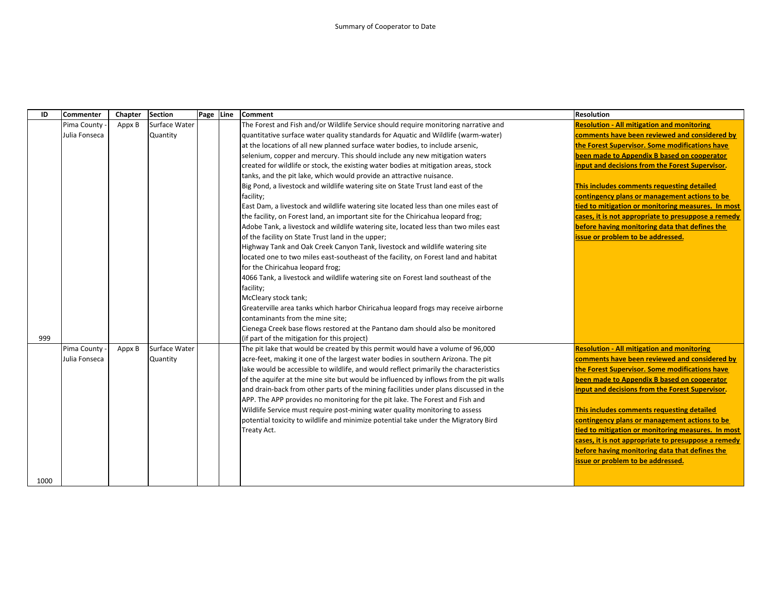| ID   | Commenter     | Chapter | <b>Section</b> | Page Line | <b>Comment</b>                                                                        | <b>Resolution</b>                                                                                     |
|------|---------------|---------|----------------|-----------|---------------------------------------------------------------------------------------|-------------------------------------------------------------------------------------------------------|
|      | Pima County   | Appx B  | Surface Water  |           | The Forest and Fish and/or Wildlife Service should require monitoring narrative and   | <b>Resolution - All mitigation and monitoring</b>                                                     |
|      | Julia Fonseca |         | Quantity       |           | quantitative surface water quality standards for Aquatic and Wildlife (warm-water)    | comments have been reviewed and considered by                                                         |
|      |               |         |                |           | at the locations of all new planned surface water bodies, to include arsenic,         | the Forest Supervisor. Some modifications have                                                        |
|      |               |         |                |           | selenium, copper and mercury. This should include any new mitigation waters           | been made to Appendix B based on cooperator                                                           |
|      |               |         |                |           | created for wildlife or stock, the existing water bodies at mitigation areas, stock   | input and decisions from the Forest Supervisor.                                                       |
|      |               |         |                |           | tanks, and the pit lake, which would provide an attractive nuisance.                  |                                                                                                       |
|      |               |         |                |           | Big Pond, a livestock and wildlife watering site on State Trust land east of the      | This includes comments requesting detailed                                                            |
|      |               |         |                |           | facility;                                                                             | contingency plans or management actions to be                                                         |
|      |               |         |                |           | East Dam, a livestock and wildlife watering site located less than one miles east of  | tied to mitigation or monitoring measures. In most                                                    |
|      |               |         |                |           | the facility, on Forest land, an important site for the Chiricahua leopard frog;      | cases, it is not appropriate to presuppose a remedy                                                   |
|      |               |         |                |           | Adobe Tank, a livestock and wildlife watering site, located less than two miles east  | before having monitoring data that defines the                                                        |
|      |               |         |                |           | of the facility on State Trust land in the upper;                                     | issue or problem to be addressed.                                                                     |
|      |               |         |                |           | Highway Tank and Oak Creek Canyon Tank, livestock and wildlife watering site          |                                                                                                       |
|      |               |         |                |           | located one to two miles east-southeast of the facility, on Forest land and habitat   |                                                                                                       |
|      |               |         |                |           | for the Chiricahua leopard frog;                                                      |                                                                                                       |
|      |               |         |                |           | 4066 Tank, a livestock and wildlife watering site on Forest land southeast of the     |                                                                                                       |
|      |               |         |                |           | facility;                                                                             |                                                                                                       |
|      |               |         |                |           | McCleary stock tank;                                                                  |                                                                                                       |
|      |               |         |                |           | Greaterville area tanks which harbor Chiricahua leopard frogs may receive airborne    |                                                                                                       |
|      |               |         |                |           | contaminants from the mine site;                                                      |                                                                                                       |
|      |               |         |                |           | Cienega Creek base flows restored at the Pantano dam should also be monitored         |                                                                                                       |
| 999  |               |         |                |           | (if part of the mitigation for this project)                                          |                                                                                                       |
|      | Pima County   | Appx B  | Surface Water  |           | The pit lake that would be created by this permit would have a volume of 96,000       | <b>Resolution - All mitigation and monitoring</b>                                                     |
|      | Julia Fonseca |         | Quantity       |           | acre-feet, making it one of the largest water bodies in southern Arizona. The pit     | comments have been reviewed and considered by                                                         |
|      |               |         |                |           | lake would be accessible to wildlife, and would reflect primarily the characteristics | the Forest Supervisor. Some modifications have                                                        |
|      |               |         |                |           | of the aquifer at the mine site but would be influenced by inflows from the pit walls | been made to Appendix B based on cooperator                                                           |
|      |               |         |                |           | and drain-back from other parts of the mining facilities under plans discussed in the | input and decisions from the Forest Supervisor.                                                       |
|      |               |         |                |           | APP. The APP provides no monitoring for the pit lake. The Forest and Fish and         |                                                                                                       |
|      |               |         |                |           | Wildlife Service must require post-mining water quality monitoring to assess          | This includes comments requesting detailed                                                            |
|      |               |         |                |           | potential toxicity to wildlife and minimize potential take under the Migratory Bird   | contingency plans or management actions to be                                                         |
|      |               |         |                |           | Treaty Act.                                                                           | tied to mitigation or monitoring measures. In most                                                    |
|      |               |         |                |           |                                                                                       | cases, it is not appropriate to presuppose a remedy<br>before having monitoring data that defines the |
|      |               |         |                |           |                                                                                       |                                                                                                       |
|      |               |         |                |           |                                                                                       | issue or problem to be addressed.                                                                     |
| 1000 |               |         |                |           |                                                                                       |                                                                                                       |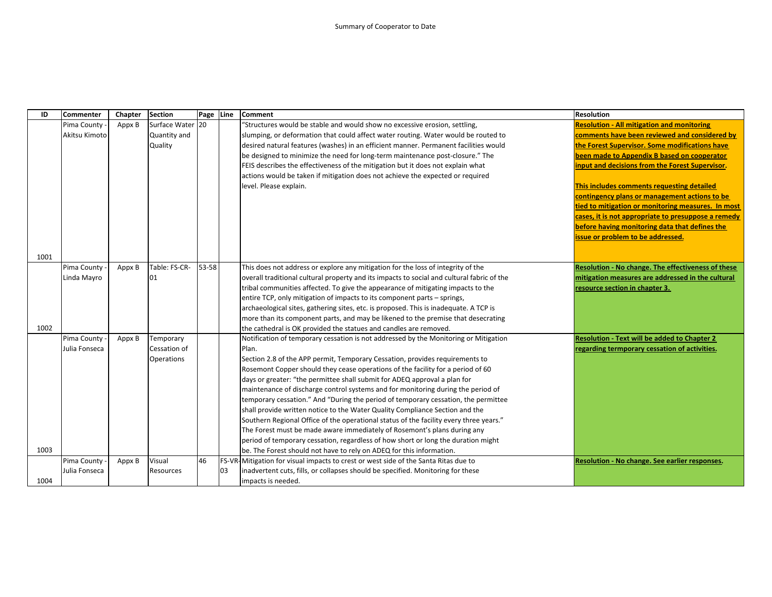| ID   | <b>Commenter</b> | Chapter | <b>Section</b> | Page Line |    | <b>Comment</b>                                                                             | <b>Resolution</b>                                   |
|------|------------------|---------|----------------|-----------|----|--------------------------------------------------------------------------------------------|-----------------------------------------------------|
|      | Pima County      | Appx B  | Surface Water  | 20        |    | "Structures would be stable and would show no excessive erosion, settling,                 | <b>Resolution - All mitigation and monitoring</b>   |
|      | Akitsu Kimoto    |         | Quantity and   |           |    | slumping, or deformation that could affect water routing. Water would be routed to         | comments have been reviewed and considered by       |
|      |                  |         | Quality        |           |    | desired natural features (washes) in an efficient manner. Permanent facilities would       | the Forest Supervisor. Some modifications have      |
|      |                  |         |                |           |    | be designed to minimize the need for long-term maintenance post-closure." The              | been made to Appendix B based on cooperator         |
|      |                  |         |                |           |    | FEIS describes the effectiveness of the mitigation but it does not explain what            | input and decisions from the Forest Supervisor.     |
|      |                  |         |                |           |    | actions would be taken if mitigation does not achieve the expected or required             |                                                     |
|      |                  |         |                |           |    | level. Please explain.                                                                     | This includes comments requesting detailed          |
|      |                  |         |                |           |    |                                                                                            | contingency plans or management actions to be       |
|      |                  |         |                |           |    |                                                                                            | tied to mitigation or monitoring measures. In most  |
|      |                  |         |                |           |    |                                                                                            | cases, it is not appropriate to presuppose a remedy |
|      |                  |         |                |           |    |                                                                                            | before having monitoring data that defines the      |
|      |                  |         |                |           |    |                                                                                            | issue or problem to be addressed.                   |
|      |                  |         |                |           |    |                                                                                            |                                                     |
| 1001 |                  |         |                |           |    |                                                                                            |                                                     |
|      | Pima County      | Appx B  | Table: FS-CR-  | 53-58     |    | This does not address or explore any mitigation for the loss of integrity of the           | Resolution - No change. The effectiveness of these  |
|      | Linda Mayro      |         | 01             |           |    | overall traditional cultural property and its impacts to social and cultural fabric of the | mitigation measures are addressed in the cultural   |
|      |                  |         |                |           |    | tribal communities affected. To give the appearance of mitigating impacts to the           | resource section in chapter 3.                      |
|      |                  |         |                |           |    | entire TCP, only mitigation of impacts to its component parts – springs,                   |                                                     |
|      |                  |         |                |           |    | archaeological sites, gathering sites, etc. is proposed. This is inadequate. A TCP is      |                                                     |
|      |                  |         |                |           |    | more than its component parts, and may be likened to the premise that desecrating          |                                                     |
| 1002 |                  |         |                |           |    | the cathedral is OK provided the statues and candles are removed.                          |                                                     |
|      | Pima County      | Appx B  | Temporary      |           |    | Notification of temporary cessation is not addressed by the Monitoring or Mitigation       | <b>Resolution - Text will be added to Chapter 2</b> |
|      | Julia Fonseca    |         | Cessation of   |           |    | Plan.                                                                                      | regarding termporary cessation of activities.       |
|      |                  |         | Operations     |           |    | Section 2.8 of the APP permit, Temporary Cessation, provides requirements to               |                                                     |
|      |                  |         |                |           |    | Rosemont Copper should they cease operations of the facility for a period of 60            |                                                     |
|      |                  |         |                |           |    | days or greater: "the permittee shall submit for ADEQ approval a plan for                  |                                                     |
|      |                  |         |                |           |    | maintenance of discharge control systems and for monitoring during the period of           |                                                     |
|      |                  |         |                |           |    | temporary cessation." And "During the period of temporary cessation, the permittee         |                                                     |
|      |                  |         |                |           |    | shall provide written notice to the Water Quality Compliance Section and the               |                                                     |
|      |                  |         |                |           |    | Southern Regional Office of the operational status of the facility every three years."     |                                                     |
|      |                  |         |                |           |    | The Forest must be made aware immediately of Rosemont's plans during any                   |                                                     |
|      |                  |         |                |           |    | period of temporary cessation, regardless of how short or long the duration might          |                                                     |
| 1003 |                  |         |                |           |    | be. The Forest should not have to rely on ADEQ for this information.                       |                                                     |
|      | Pima County      | Appx B  | Visual         | 46        |    | FS-VR-Mitigation for visual impacts to crest or west side of the Santa Ritas due to        | Resolution - No change. See earlier responses.      |
|      | Julia Fonseca    |         | Resources      |           | 03 | inadvertent cuts, fills, or collapses should be specified. Monitoring for these            |                                                     |
| 1004 |                  |         |                |           |    | impacts is needed.                                                                         |                                                     |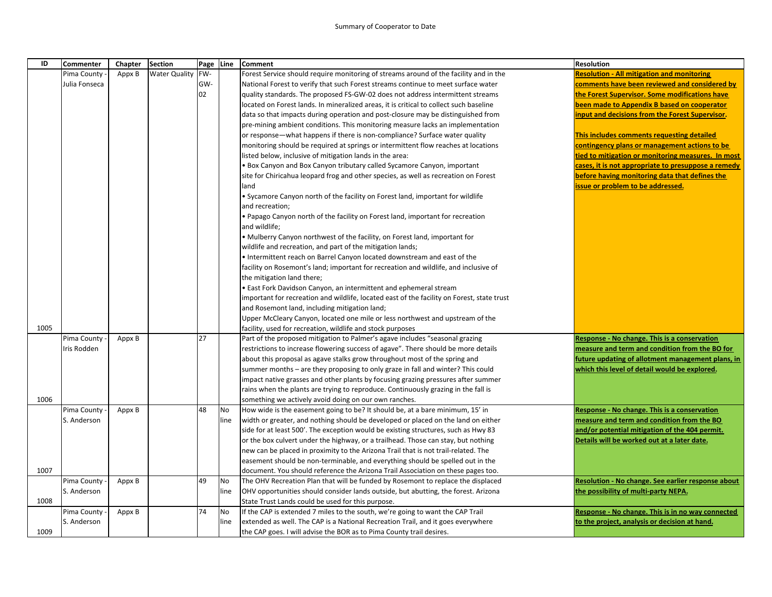## Summary of Cooperator to Date

| ID   | Commenter                  | Chapter | <b>Section</b>       |     | Page Line | <b>Comment</b>                                                                                                                          | <b>Resolution</b>                                                                          |
|------|----------------------------|---------|----------------------|-----|-----------|-----------------------------------------------------------------------------------------------------------------------------------------|--------------------------------------------------------------------------------------------|
|      | Pima County                | Appx B  | <b>Water Quality</b> | FW- |           | Forest Service should require monitoring of streams around of the facility and in the                                                   | <b>Resolution - All mitigation and monitoring</b>                                          |
|      | Julia Fonseca              |         |                      | GW- |           | National Forest to verify that such Forest streams continue to meet surface water                                                       | comments have been reviewed and considered by                                              |
|      |                            |         |                      | 02  |           | quality standards. The proposed FS-GW-02 does not address intermittent streams                                                          | the Forest Supervisor. Some modifications have                                             |
|      |                            |         |                      |     |           | located on Forest lands. In mineralized areas, it is critical to collect such baseline                                                  | been made to Appendix B based on cooperator                                                |
|      |                            |         |                      |     |           | data so that impacts during operation and post-closure may be distinguished from                                                        | input and decisions from the Forest Supervisor.                                            |
|      |                            |         |                      |     |           | pre-mining ambient conditions. This monitoring measure lacks an implementation                                                          |                                                                                            |
|      |                            |         |                      |     |           | or response—what happens if there is non-compliance? Surface water quality                                                              | This includes comments requesting detailed                                                 |
|      |                            |         |                      |     |           | monitoring should be required at springs or intermittent flow reaches at locations                                                      | contingency plans or management actions to be                                              |
|      |                            |         |                      |     |           | listed below, inclusive of mitigation lands in the area:                                                                                | tied to mitigation or monitoring measures. In most                                         |
|      |                            |         |                      |     |           | • Box Canyon and Box Canyon tributary called Sycamore Canyon, important                                                                 | cases, it is not appropriate to presuppose a remedy                                        |
|      |                            |         |                      |     |           | site for Chiricahua leopard frog and other species, as well as recreation on Forest                                                     | before having monitoring data that defines the                                             |
|      |                            |         |                      |     |           | land                                                                                                                                    | issue or problem to be addressed.                                                          |
|      |                            |         |                      |     |           | • Sycamore Canyon north of the facility on Forest land, important for wildlife                                                          |                                                                                            |
|      |                            |         |                      |     |           | and recreation;                                                                                                                         |                                                                                            |
|      |                            |         |                      |     |           | • Papago Canyon north of the facility on Forest land, important for recreation                                                          |                                                                                            |
|      |                            |         |                      |     |           | and wildlife;                                                                                                                           |                                                                                            |
|      |                            |         |                      |     |           | • Mulberry Canyon northwest of the facility, on Forest land, important for                                                              |                                                                                            |
|      |                            |         |                      |     |           | wildlife and recreation, and part of the mitigation lands;                                                                              |                                                                                            |
|      |                            |         |                      |     |           | • Intermittent reach on Barrel Canyon located downstream and east of the                                                                |                                                                                            |
|      |                            |         |                      |     |           | facility on Rosemont's land; important for recreation and wildlife, and inclusive of                                                    |                                                                                            |
|      |                            |         |                      |     |           | the mitigation land there;                                                                                                              |                                                                                            |
|      |                            |         |                      |     |           | • East Fork Davidson Canyon, an intermittent and ephemeral stream                                                                       |                                                                                            |
|      |                            |         |                      |     |           | important for recreation and wildlife, located east of the facility on Forest, state trust                                              |                                                                                            |
|      |                            |         |                      |     |           | and Rosemont land, including mitigation land;                                                                                           |                                                                                            |
|      |                            |         |                      |     |           | Upper McCleary Canyon, located one mile or less northwest and upstream of the                                                           |                                                                                            |
| 1005 |                            |         |                      |     |           | facility, used for recreation, wildlife and stock purposes                                                                              |                                                                                            |
|      | Pima County                | Appx B  |                      | 27  |           | Part of the proposed mitigation to Palmer's agave includes "seasonal grazing                                                            | Response - No change. This is a conservation                                               |
|      | Iris Rodden                |         |                      |     |           | restrictions to increase flowering success of agave". There should be more details                                                      | measure and term and condition from the BO for                                             |
|      |                            |         |                      |     |           | about this proposal as agave stalks grow throughout most of the spring and                                                              | future updating of allotment management plans, in                                          |
|      |                            |         |                      |     |           | summer months - are they proposing to only graze in fall and winter? This could                                                         | which this level of detail would be explored.                                              |
|      |                            |         |                      |     |           | impact native grasses and other plants by focusing grazing pressures after summer                                                       |                                                                                            |
|      |                            |         |                      |     |           | rains when the plants are trying to reproduce. Continuously grazing in the fall is                                                      |                                                                                            |
| 1006 |                            |         |                      |     |           | something we actively avoid doing on our own ranches.                                                                                   |                                                                                            |
|      | Pima County                | Appx B  |                      | 48  | No        | How wide is the easement going to be? It should be, at a bare minimum, 15' in                                                           | Response - No change. This is a conservation                                               |
|      | S. Anderson                |         |                      |     | line      | width or greater, and nothing should be developed or placed on the land on either                                                       | measure and term and condition from the BO                                                 |
|      |                            |         |                      |     |           | side for at least 500'. The exception would be existing structures, such as Hwy 83                                                      | and/or potential mitigation of the 404 permit.                                             |
|      |                            |         |                      |     |           | or the box culvert under the highway, or a trailhead. Those can stay, but nothing                                                       | Details will be worked out at a later date.                                                |
|      |                            |         |                      |     |           | new can be placed in proximity to the Arizona Trail that is not trail-related. The                                                      |                                                                                            |
|      |                            |         |                      |     |           | easement should be non-terminable, and everything should be spelled out in the                                                          |                                                                                            |
| 1007 |                            |         |                      | 49  | No        | document. You should reference the Arizona Trail Association on these pages too.                                                        |                                                                                            |
|      | Pima County<br>S. Anderson | Appx B  |                      |     | line      | The OHV Recreation Plan that will be funded by Rosemont to replace the displaced                                                        | Resolution - No change. See earlier response about<br>the possibility of multi-party NEPA. |
| 1008 |                            |         |                      |     |           | OHV opportunities should consider lands outside, but abutting, the forest. Arizona<br>State Trust Lands could be used for this purpose. |                                                                                            |
|      | Pima County                |         |                      | 74  | <b>No</b> | If the CAP is extended 7 miles to the south, we're going to want the CAP Trail                                                          | Response - No change. This is in no way connected                                          |
|      | S. Anderson                | Appx B  |                      |     | line      | extended as well. The CAP is a National Recreation Trail, and it goes everywhere                                                        | to the project, analysis or decision at hand.                                              |
|      |                            |         |                      |     |           |                                                                                                                                         |                                                                                            |
| 1009 |                            |         |                      |     |           | the CAP goes. I will advise the BOR as to Pima County trail desires.                                                                    |                                                                                            |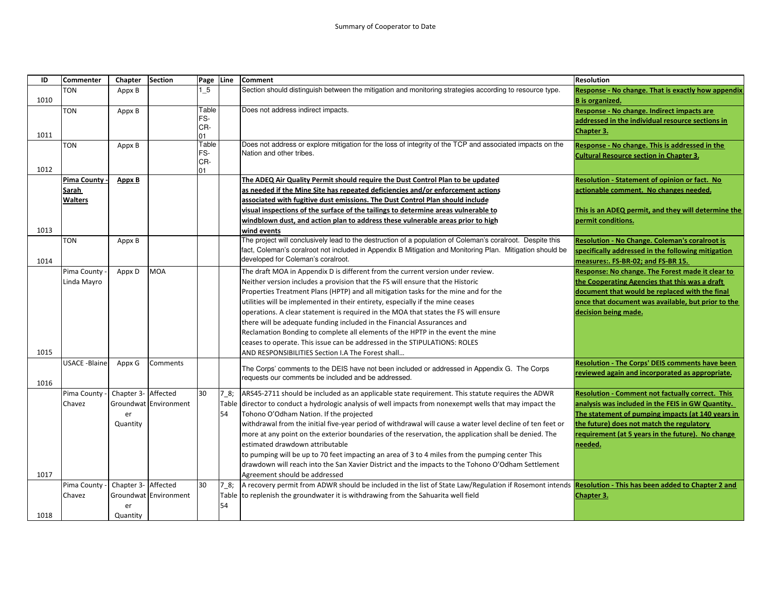| ID   | <b>Commenter</b>     | Chapter             | <b>Section</b>        | Page Line   |          | <b>Comment</b>                                                                                                                                                  | <b>Resolution</b>                                       |
|------|----------------------|---------------------|-----------------------|-------------|----------|-----------------------------------------------------------------------------------------------------------------------------------------------------------------|---------------------------------------------------------|
|      | <b>TON</b>           | Appx B              |                       | 15          |          | Section should distinguish between the mitigation and monitoring strategies according to resource type.                                                         | Response - No change. That is exactly how appendix      |
| 1010 |                      |                     |                       |             |          |                                                                                                                                                                 | <b>B</b> is organized.                                  |
|      | TON                  | Appx B              |                       | Table       |          | Does not address indirect impacts.                                                                                                                              | Response - No change. Indirect impacts are              |
|      |                      |                     |                       | FS-         |          |                                                                                                                                                                 | addressed in the individual resource sections in        |
| 1011 |                      |                     |                       | CR-         |          |                                                                                                                                                                 | Chapter 3.                                              |
|      | <b>TON</b>           | Appx B              |                       | 01<br>Table |          | Does not address or explore mitigation for the loss of integrity of the TCP and associated impacts on the                                                       | Response - No change. This is addressed in the          |
|      |                      |                     |                       | FS-         |          | Nation and other tribes.                                                                                                                                        | <b>Cultural Resource section in Chapter 3.</b>          |
|      |                      |                     |                       | CR-         |          |                                                                                                                                                                 |                                                         |
| 1012 |                      |                     |                       | 01          |          |                                                                                                                                                                 |                                                         |
|      | <b>Pima County</b>   | Appx B              |                       |             |          | The ADEQ Air Quality Permit should require the Dust Control Plan to be updated                                                                                  | <b>Resolution - Statement of opinion or fact. No</b>    |
|      | Sarah                |                     |                       |             |          | as needed if the Mine Site has repeated deficiencies and/or enforcement actions                                                                                 | actionable comment. No changes needed.                  |
|      | <b>Walters</b>       |                     |                       |             |          | associated with fugitive dust emissions. The Dust Control Plan should include                                                                                   |                                                         |
|      |                      |                     |                       |             |          | visual inspections of the surface of the tailings to determine areas vulnerable to                                                                              | This is an ADEQ permit, and they will determine the     |
|      |                      |                     |                       |             |          | windblown dust, and action plan to address these vulnerable areas prior to high                                                                                 | permit conditions.                                      |
| 1013 |                      |                     |                       |             |          | wind events                                                                                                                                                     |                                                         |
|      | TON                  | Appx B              |                       |             |          | The project will conclusively lead to the destruction of a population of Coleman's coralroot. Despite this                                                      | <b>Resolution - No Change. Coleman's coralroot is</b>   |
|      |                      |                     |                       |             |          | fact, Coleman's coralroot not included in Appendix B Mitigation and Monitoring Plan. Mitigation should be                                                       | specifically addressed in the following mitigation      |
| 1014 |                      |                     |                       |             |          | developed for Coleman's coralroot.                                                                                                                              | measures:. FS-BR-02; and FS-BR 15.                      |
|      | Pima County          | Appx D              | MOA                   |             |          | The draft MOA in Appendix D is different from the current version under review.                                                                                 | Response: No change. The Forest made it clear to        |
|      | Linda Mayro          |                     |                       |             |          | Neither version includes a provision that the FS will ensure that the Historic                                                                                  | the Cooperating Agencies that this was a draft          |
|      |                      |                     |                       |             |          | Properties Treatment Plans (HPTP) and all mitigation tasks for the mine and for the                                                                             | document that would be replaced with the final          |
|      |                      |                     |                       |             |          | utilities will be implemented in their entirety, especially if the mine ceases                                                                                  | once that document was available, but prior to the      |
|      |                      |                     |                       |             |          | operations. A clear statement is required in the MOA that states the FS will ensure                                                                             | decision being made.                                    |
|      |                      |                     |                       |             |          | there will be adequate funding included in the Financial Assurances and                                                                                         |                                                         |
|      |                      |                     |                       |             |          | Reclamation Bonding to complete all elements of the HPTP in the event the mine                                                                                  |                                                         |
|      |                      |                     |                       |             |          | ceases to operate. This issue can be addressed in the STIPULATIONS: ROLES                                                                                       |                                                         |
| 1015 |                      |                     |                       |             |          | AND RESPONSIBILITIES Section I.A The Forest shall                                                                                                               |                                                         |
|      | <b>USACE -Blaine</b> | Appx G              | Comments              |             |          | The Corps' comments to the DEIS have not been included or addressed in Appendix G. The Corps                                                                    | Resolution - The Corps' DEIS comments have been         |
|      |                      |                     |                       |             |          | equests our comments be included and be addressed.                                                                                                              | reviewed again and incorporated as appropriate.         |
| 1016 |                      |                     |                       |             |          |                                                                                                                                                                 |                                                         |
|      | Pima County          | Chapter 3- Affected |                       | 30          | $7_{.8}$ | ARS45-2711 should be included as an applicable state requirement. This statute requires the ADWR                                                                | <b>Resolution - Comment not factually correct. This</b> |
|      | Chavez               |                     | Groundwat Environment |             | Table    | director to conduct a hydrologic analysis of well impacts from nonexempt wells that may impact the                                                              | analysis was included in the FEIS in GW Quantity.       |
|      |                      | er                  |                       |             | 54       | Tohono O'Odham Nation. If the projected                                                                                                                         | The statement of pumping impacts (at 140 years in       |
|      |                      | Quantity            |                       |             |          | withdrawal from the initial five-year period of withdrawal will cause a water level decline of ten feet or                                                      | the future) does not match the regulatory               |
|      |                      |                     |                       |             |          | more at any point on the exterior boundaries of the reservation, the application shall be denied. The                                                           | requirement (at 5 years in the future). No change       |
|      |                      |                     |                       |             |          | estimated drawdown attributable                                                                                                                                 | needed.                                                 |
|      |                      |                     |                       |             |          | to pumping will be up to 70 feet impacting an area of 3 to 4 miles from the pumping center This                                                                 |                                                         |
|      |                      |                     |                       |             |          | drawdown will reach into the San Xavier District and the impacts to the Tohono O'Odham Settlement                                                               |                                                         |
| 1017 |                      |                     |                       |             |          | Agreement should be addressed                                                                                                                                   |                                                         |
|      | Pima County          | Chapter 3- Affected |                       | 30          | 78;      | A recovery permit from ADWR should be included in the list of State Law/Regulation if Rosemont intends <b>Resolution - This has been added to Chapter 2 and</b> |                                                         |
|      | Chavez               |                     | Groundwat Environment |             |          | Table to replenish the groundwater it is withdrawing from the Sahuarita well field                                                                              | Chapter 3.                                              |
|      |                      | er                  |                       |             | 54       |                                                                                                                                                                 |                                                         |
| 1018 |                      | Quantity            |                       |             |          |                                                                                                                                                                 |                                                         |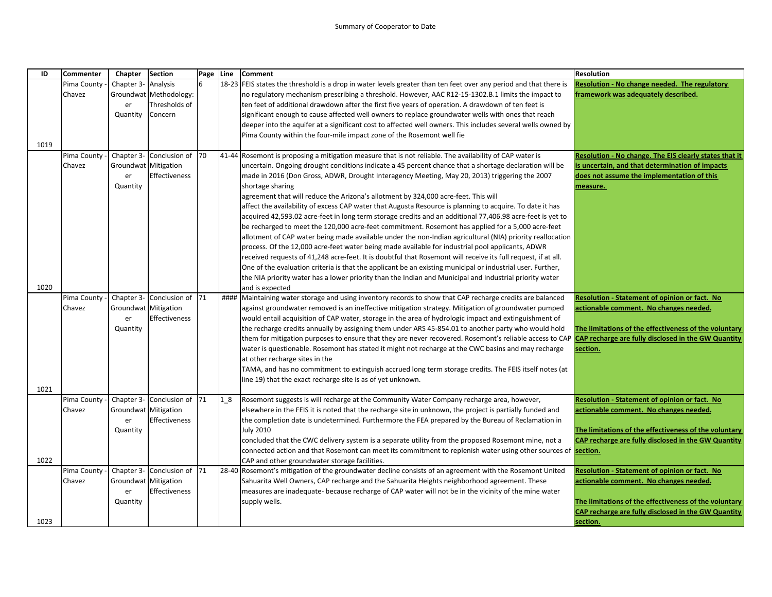| ID   | <b>Commenter</b>      | Chapter                     | <b>Section</b>              | Page Line |       | <b>Comment</b>                                                                                                                                                                                                              | <b>Resolution</b>                                      |
|------|-----------------------|-----------------------------|-----------------------------|-----------|-------|-----------------------------------------------------------------------------------------------------------------------------------------------------------------------------------------------------------------------------|--------------------------------------------------------|
|      | Pima County           | Chapter 3-                  | Analysis                    | 6         |       | 18-23 FEIS states the threshold is a drop in water levels greater than ten feet over any period and that there is                                                                                                           | Resolution - No change needed. The regulatory          |
|      | Chavez                |                             | Groundwat Methodology:      |           |       | no regulatory mechanism prescribing a threshold. However, AAC R12-15-1302.B.1 limits the impact to                                                                                                                          | framework was adequately described.                    |
|      |                       | er                          | Thresholds of               |           |       | ten feet of additional drawdown after the first five years of operation. A drawdown of ten feet is                                                                                                                          |                                                        |
|      |                       | Quantity                    | Concern                     |           |       | significant enough to cause affected well owners to replace groundwater wells with ones that reach                                                                                                                          |                                                        |
|      |                       |                             |                             |           |       | deeper into the aquifer at a significant cost to affected well owners. This includes several wells owned by                                                                                                                 |                                                        |
|      |                       |                             |                             |           |       | Pima County within the four-mile impact zone of the Rosemont well fie                                                                                                                                                       |                                                        |
| 1019 |                       |                             |                             |           |       |                                                                                                                                                                                                                             |                                                        |
|      | Pima County           |                             | Chapter 3- Conclusion of 70 |           | 41-44 | Rosemont is proposing a mitigation measure that is not reliable. The availability of CAP water is                                                                                                                           | Resolution - No change. The EIS clearly states that it |
|      | Chavez                | Groundwat Mitigation        |                             |           |       | uncertain. Ongoing drought conditions indicate a 45 percent chance that a shortage declaration will be                                                                                                                      | is uncertain, and that determination of impacts        |
|      |                       | er                          | Effectiveness               |           |       | made in 2016 (Don Gross, ADWR, Drought Interagency Meeting, May 20, 2013) triggering the 2007                                                                                                                               | does not assume the implementation of this             |
|      |                       | Quantity                    |                             |           |       | shortage sharing                                                                                                                                                                                                            | measure.                                               |
|      |                       |                             |                             |           |       | agreement that will reduce the Arizona's allotment by 324,000 acre-feet. This will                                                                                                                                          |                                                        |
|      |                       |                             |                             |           |       | affect the availability of excess CAP water that Augusta Resource is planning to acquire. To date it has                                                                                                                    |                                                        |
|      |                       |                             |                             |           |       | acquired 42,593.02 acre-feet in long term storage credits and an additional 77,406.98 acre-feet is yet to                                                                                                                   |                                                        |
|      |                       |                             |                             |           |       | be recharged to meet the 120,000 acre-feet commitment. Rosemont has applied for a 5,000 acre-feet                                                                                                                           |                                                        |
|      |                       |                             |                             |           |       | allotment of CAP water being made available under the non-Indian agricultural (NIA) priority reallocation                                                                                                                   |                                                        |
|      |                       |                             |                             |           |       | process. Of the 12,000 acre-feet water being made available for industrial pool applicants, ADWR                                                                                                                            |                                                        |
|      |                       |                             |                             |           |       | received requests of 41,248 acre-feet. It is doubtful that Rosemont will receive its full request, if at all.                                                                                                               |                                                        |
|      |                       |                             |                             |           |       | One of the evaluation criteria is that the applicant be an existing municipal or industrial user. Further,                                                                                                                  |                                                        |
|      |                       |                             |                             |           |       | the NIA priority water has a lower priority than the Indian and Municipal and Industrial priority water                                                                                                                     |                                                        |
| 1020 |                       |                             |                             |           |       | and is expected                                                                                                                                                                                                             |                                                        |
|      | Pima County           |                             | Chapter 3- Conclusion of    | 71        |       | ####  Maintaining water storage and using inventory records to show that CAP recharge credits are balanced                                                                                                                  | Resolution - Statement of opinion or fact. No          |
|      | Chavez                | <b>Groundwat Mitigation</b> |                             |           |       | against groundwater removed is an ineffective mitigation strategy. Mitigation of groundwater pumped                                                                                                                         | actionable comment. No changes needed.                 |
|      |                       | er                          | Effectiveness               |           |       | would entail acquisition of CAP water, storage in the area of hydrologic impact and extinguishment of                                                                                                                       |                                                        |
|      |                       | Quantity                    |                             |           |       | the recharge credits annually by assigning them under ARS 45-854.01 to another party who would hold                                                                                                                         | The limitations of the effectiveness of the voluntary  |
|      |                       |                             |                             |           |       | them for mitigation purposes to ensure that they are never recovered. Rosemont's reliable access to CAP CAP recharge are fully disclosed in the GW Quantity                                                                 |                                                        |
|      |                       |                             |                             |           |       | water is questionable. Rosemont has stated it might not recharge at the CWC basins and may recharge                                                                                                                         | section.                                               |
|      |                       |                             |                             |           |       | at other recharge sites in the                                                                                                                                                                                              |                                                        |
|      |                       |                             |                             |           |       | TAMA, and has no commitment to extinguish accrued long term storage credits. The FEIS itself notes (at                                                                                                                      |                                                        |
|      |                       |                             |                             |           |       | line 19) that the exact recharge site is as of yet unknown.                                                                                                                                                                 |                                                        |
| 1021 |                       |                             |                             |           |       |                                                                                                                                                                                                                             |                                                        |
|      | Pima County<br>Chavez | Groundwat Mitigation        | Chapter 3- Conclusion of    | 71        | 1 8   | Rosemont suggests is will recharge at the Community Water Company recharge area, however,                                                                                                                                   | <b>Resolution - Statement of opinion or fact. No</b>   |
|      |                       |                             | Effectiveness               |           |       | elsewhere in the FEIS it is noted that the recharge site in unknown, the project is partially funded and                                                                                                                    | actionable comment. No changes needed.                 |
|      |                       | er<br>Quantity              |                             |           |       | the completion date is undetermined. Furthermore the FEA prepared by the Bureau of Reclamation in<br><b>July 2010</b>                                                                                                       | The limitations of the effectiveness of the voluntary  |
|      |                       |                             |                             |           |       |                                                                                                                                                                                                                             | CAP recharge are fully disclosed in the GW Quantity    |
|      |                       |                             |                             |           |       | concluded that the CWC delivery system is a separate utility from the proposed Rosemont mine, not a<br>connected action and that Rosemont can meet its commitment to replenish water using other sources of <b>section.</b> |                                                        |
| 1022 |                       |                             |                             |           |       | CAP and other groundwater storage facilities.                                                                                                                                                                               |                                                        |
|      | Pima County           |                             | Chapter 3- Conclusion of    | 71        |       | 28-40 Rosemont's mitigation of the groundwater decline consists of an agreement with the Rosemont United                                                                                                                    | Resolution - Statement of opinion or fact. No          |
|      | Chavez                | Groundwat Mitigation        |                             |           |       | Sahuarita Well Owners, CAP recharge and the Sahuarita Heights neighborhood agreement. These                                                                                                                                 | actionable comment. No changes needed.                 |
|      |                       | er                          | Effectiveness               |           |       | measures are inadequate- because recharge of CAP water will not be in the vicinity of the mine water                                                                                                                        |                                                        |
|      |                       | Quantity                    |                             |           |       | supply wells.                                                                                                                                                                                                               | The limitations of the effectiveness of the voluntary  |
|      |                       |                             |                             |           |       |                                                                                                                                                                                                                             | CAP recharge are fully disclosed in the GW Quantity    |
| 1023 |                       |                             |                             |           |       |                                                                                                                                                                                                                             | section.                                               |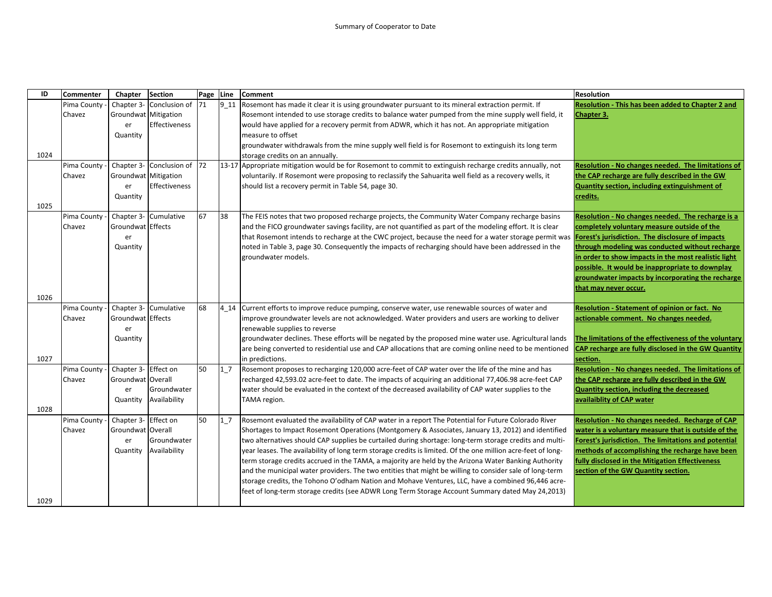| ID   | <b>Commenter</b> | Chapter              | <b>Section</b>              | Page Line |      | <b>Comment</b>                                                                                                                                                | <b>Resolution</b>                                     |
|------|------------------|----------------------|-----------------------------|-----------|------|---------------------------------------------------------------------------------------------------------------------------------------------------------------|-------------------------------------------------------|
|      | Pima County      | Chapter 3-           | Conclusion of               | <b>71</b> | 9 11 | Rosemont has made it clear it is using groundwater pursuant to its mineral extraction permit. If                                                              | Resolution - This has been added to Chapter 2 and     |
|      | Chavez           | Groundwat Mitigation |                             |           |      | Rosemont intended to use storage credits to balance water pumped from the mine supply well field, it                                                          | Chapter 3.                                            |
|      |                  | er                   | Effectiveness               |           |      | would have applied for a recovery permit from ADWR, which it has not. An appropriate mitigation                                                               |                                                       |
|      |                  | Quantity             |                             |           |      | measure to offset                                                                                                                                             |                                                       |
|      |                  |                      |                             |           |      | groundwater withdrawals from the mine supply well field is for Rosemont to extinguish its long term                                                           |                                                       |
| 1024 |                  |                      |                             |           |      | storage credits on an annually.                                                                                                                               |                                                       |
|      | Pima County      |                      | Chapter 3- Conclusion of 72 |           |      | 13-17 Appropriate mitigation would be for Rosemont to commit to extinguish recharge credits annually, not                                                     | Resolution - No changes needed. The limitations of    |
|      | Chavez           | Groundwat Mitigation |                             |           |      | voluntarily. If Rosemont were proposing to reclassify the Sahuarita well field as a recovery wells, it                                                        | the CAP recharge are fully described in the GW        |
|      |                  | er                   | Effectiveness               |           |      | should list a recovery permit in Table 54, page 30.                                                                                                           | Quantity section, including extinguishment of         |
|      |                  | Quantity             |                             |           |      |                                                                                                                                                               | credits.                                              |
| 1025 |                  |                      |                             |           |      |                                                                                                                                                               |                                                       |
|      | Pima County      |                      | Chapter 3- Cumulative       | 67        | 38   | The FEIS notes that two proposed recharge projects, the Community Water Company recharge basins                                                               | Resolution - No changes needed. The recharge is a     |
|      | Chavez           | Groundwat Effects    |                             |           |      | and the FICO groundwater savings facility, are not quantified as part of the modeling effort. It is clear                                                     | completely voluntary measure outside of the           |
|      |                  | er                   |                             |           |      | that Rosemont intends to recharge at the CWC project, because the need for a water storage permit was <b>Forest's jurisdiction. The disclosure of impacts</b> |                                                       |
|      |                  | Quantity             |                             |           |      | noted in Table 3, page 30. Consequently the impacts of recharging should have been addressed in the                                                           | through modeling was conducted without recharge       |
|      |                  |                      |                             |           |      | groundwater models.                                                                                                                                           | in order to show impacts in the most realistic light  |
|      |                  |                      |                             |           |      |                                                                                                                                                               | possible. It would be inappropriate to downplay       |
|      |                  |                      |                             |           |      |                                                                                                                                                               | groundwater impacts by incorporating the recharge     |
|      |                  |                      |                             |           |      |                                                                                                                                                               | that may never occur.                                 |
| 1026 |                  |                      |                             |           |      |                                                                                                                                                               |                                                       |
|      | Pima County      |                      | Chapter 3- Cumulative       | 68        |      | 4_14 Current efforts to improve reduce pumping, conserve water, use renewable sources of water and                                                            | Resolution - Statement of opinion or fact. No         |
|      | Chavez           | Groundwat Effects    |                             |           |      | improve groundwater levels are not acknowledged. Water providers and users are working to deliver                                                             | actionable comment. No changes needed.                |
|      |                  | er                   |                             |           |      | renewable supplies to reverse                                                                                                                                 |                                                       |
|      |                  | Quantity             |                             |           |      | groundwater declines. These efforts will be negated by the proposed mine water use. Agricultural lands                                                        | The limitations of the effectiveness of the voluntary |
|      |                  |                      |                             |           |      | are being converted to residential use and CAP allocations that are coming online need to be mentioned                                                        | CAP recharge are fully disclosed in the GW Quantity   |
| 1027 |                  |                      |                             |           |      | in predictions.                                                                                                                                               | section.                                              |
|      | Pima County      | Chapter 3- Effect on |                             | 50        | 1/7  | Rosemont proposes to recharging 120,000 acre-feet of CAP water over the life of the mine and has                                                              | Resolution - No changes needed. The limitations of    |
|      | Chavez           | Groundwat Overall    |                             |           |      | recharged 42,593.02 acre-feet to date. The impacts of acquiring an additional 77,406.98 acre-feet CAP                                                         | the CAP recharge are fully described in the GW        |
|      |                  | er                   | Groundwater                 |           |      | water should be evaluated in the context of the decreased availability of CAP water supplies to the                                                           | Quantity section, including the decreased             |
|      |                  | Quantity             | Availability                |           |      | TAMA region.                                                                                                                                                  | availaiblity of CAP water                             |
| 1028 |                  |                      |                             |           |      |                                                                                                                                                               |                                                       |
|      | Pima County      | Chapter 3- Effect on |                             | 50        | 17   | Rosemont evaluated the availability of CAP water in a report The Potential for Future Colorado River                                                          | Resolution - No changes needed. Recharge of CAP       |
|      | Chavez           | Groundwat Overall    |                             |           |      | Shortages to Impact Rosemont Operations (Montgomery & Associates, January 13, 2012) and identified                                                            | water is a voluntary measure that is outside of the   |
|      |                  | er                   | Groundwater                 |           |      | two alternatives should CAP supplies be curtailed during shortage: long-term storage credits and multi-                                                       | Forest's jurisdiction. The limitations and potential  |
|      |                  | Quantity             | Availability                |           |      | year leases. The availability of long term storage credits is limited. Of the one million acre-feet of long-                                                  | methods of accomplishing the recharge have been       |
|      |                  |                      |                             |           |      | term storage credits accrued in the TAMA, a majority are held by the Arizona Water Banking Authority                                                          | fully disclosed in the Mitigation Effectiveness       |
|      |                  |                      |                             |           |      | and the municipal water providers. The two entities that might be willing to consider sale of long-term                                                       | section of the GW Quantity section.                   |
|      |                  |                      |                             |           |      | storage credits, the Tohono O'odham Nation and Mohave Ventures, LLC, have a combined 96,446 acre-                                                             |                                                       |
|      |                  |                      |                             |           |      | feet of long-term storage credits (see ADWR Long Term Storage Account Summary dated May 24,2013)                                                              |                                                       |
| 1029 |                  |                      |                             |           |      |                                                                                                                                                               |                                                       |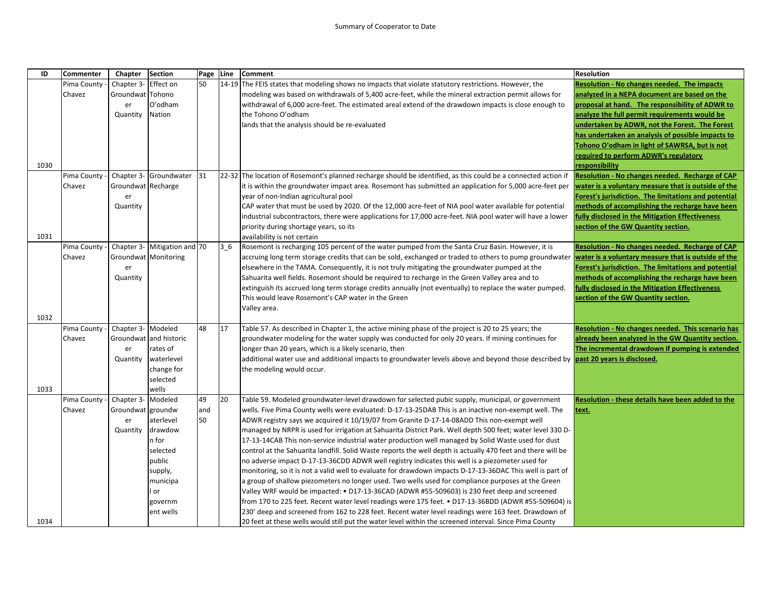| ID   | Commenter   | Chapter            | <b>Section</b>         | Page Line |                | <b>Comment</b>                                                                                                                                                    | <b>Resolution</b>                                    |
|------|-------------|--------------------|------------------------|-----------|----------------|-------------------------------------------------------------------------------------------------------------------------------------------------------------------|------------------------------------------------------|
|      | Pima County | Chapter 3-         | Effect on              | 50        |                | 14-19 The FEIS states that modeling shows no impacts that violate statutory restrictions. However, the                                                            | Resolution - No changes needed. The impacts          |
|      | Chavez      | Groundwat   Tohono |                        |           |                | modeling was based on withdrawals of 5,400 acre-feet, while the mineral extraction permit allows for                                                              | analyzed in a NEPA document are based on the         |
|      |             | er                 | O'odham                |           |                | withdrawal of 6,000 acre-feet. The estimated areal extend of the drawdown impacts is close enough to                                                              | proposal at hand. The responsibility of ADWR to      |
|      |             | Quantity           | Nation                 |           |                | the Tohono O'odham                                                                                                                                                | analyze the full permit requirements would be        |
|      |             |                    |                        |           |                | lands that the analysis should be re-evaluated                                                                                                                    | undertaken by ADWR, not the Forest. The Forest       |
|      |             |                    |                        |           |                |                                                                                                                                                                   | has undertaken an analysis of possible impacts to    |
|      |             |                    |                        |           |                |                                                                                                                                                                   | Tohono O'odham in light of SAWRSA, but is not        |
|      |             |                    |                        |           |                |                                                                                                                                                                   | required to perform ADWR's regulatory                |
| 1030 |             |                    |                        |           |                |                                                                                                                                                                   | responsibility                                       |
|      | Pima County |                    | Chapter 3- Groundwater | 31        |                | 22-32 The location of Rosemont's planned recharge should be identified, as this could be a connected action if                                                    | Resolution - No changes needed. Recharge of CAP      |
|      | Chavez      | Groundwat Recharge |                        |           |                | it is within the groundwater impact area. Rosemont has submitted an application for 5,000 acre-feet per                                                           | water is a voluntary measure that is outside of the  |
|      |             | er                 |                        |           |                | year of non-Indian agricultural pool                                                                                                                              | Forest's jurisdiction. The limitations and potential |
|      |             | Quantity           |                        |           |                | CAP water that must be used by 2020. Of the 12,000 acre-feet of NIA pool water available for potential                                                            | methods of accomplishing the recharge have been      |
|      |             |                    |                        |           |                | industrial subcontractors, there were applications for 17,000 acre-feet. NIA pool water will have a lower                                                         | fully disclosed in the Mitigation Effectiveness      |
|      |             |                    |                        |           |                | priority during shortage years, so its                                                                                                                            | section of the GW Quantity section.                  |
| 1031 |             |                    |                        |           |                | availability is not certain                                                                                                                                       |                                                      |
|      | Pima County | Chapter 3-         | Mitigation and 70      |           | 3 <sub>6</sub> | Rosemont is recharging 105 percent of the water pumped from the Santa Cruz Basin. However, it is                                                                  | Resolution - No changes needed. Recharge of CAP      |
|      | Chavez      |                    | Groundwat Monitoring   |           |                | accruing long term storage credits that can be sold, exchanged or traded to others to pump groundwater <b>water is a voluntary measure that is outside of the</b> |                                                      |
|      |             | er                 |                        |           |                | elsewhere in the TAMA. Consequently, it is not truly mitigating the groundwater pumped at the                                                                     | Forest's jurisdiction. The limitations and potential |
|      |             | Quantity           |                        |           |                | Sahuarita well fields. Rosemont should be required to recharge in the Green Valley area and to                                                                    | methods of accomplishing the recharge have been      |
|      |             |                    |                        |           |                | extinguish its accrued long term storage credits annually (not eventually) to replace the water pumped.                                                           | fully disclosed in the Mitigation Effectiveness      |
|      |             |                    |                        |           |                | This would leave Rosemont's CAP water in the Green                                                                                                                | section of the GW Quantity section.                  |
|      |             |                    |                        |           |                | Valley area.                                                                                                                                                      |                                                      |
| 1032 |             |                    |                        |           |                |                                                                                                                                                                   |                                                      |
|      | Pima County | Chapter 3- Modeled |                        | 48        | 17             | Table 57. As described in Chapter 1, the active mining phase of the project is 20 to 25 years; the                                                                | Resolution - No changes needed. This scenario has    |
|      | Chavez      |                    | Groundwat and historic |           |                | groundwater modeling for the water supply was conducted for only 20 years. If mining continues for                                                                | already been analyzed in the GW Quantity section.    |
|      |             | er                 | rates of               |           |                | longer than 20 years, which is a likely scenario, then                                                                                                            | The incremental drawdown if pumping is extended      |
|      |             | Quantity           | waterlevel             |           |                | additional water use and additional impacts to groundwater levels above and beyond those described by 10ast 20 years is disclosed.                                |                                                      |
|      |             |                    | change for             |           |                | the modeling would occur.                                                                                                                                         |                                                      |
|      |             |                    | selected               |           |                |                                                                                                                                                                   |                                                      |
| 1033 | Pima County | Chapter 3-         | wells<br>Modeled       | 49        | 20             | Table 59. Modeled groundwater-level drawdown for selected pubic supply, municipal, or government                                                                  | Resolution - these details have been added to the    |
|      | Chavez      | Groundwat groundw  |                        | and       |                | wells. Five Pima County wells were evaluated: D-17-13-25DAB This is an inactive non-exempt well. The                                                              | text.                                                |
|      |             | er                 | aterlevel              | 50        |                | ADWR registry says we acquired it 10/19/07 from Granite D-17-14-08ADD This non-exempt well                                                                        |                                                      |
|      |             | Quantity           | drawdow                |           |                | managed by NRPR is used for irrigation at Sahuarita District Park. Well depth 500 feet; water level 330 D-                                                        |                                                      |
|      |             |                    | n for                  |           |                | 17-13-14CAB This non-service industrial water production well managed by Solid Waste used for dust                                                                |                                                      |
|      |             |                    | selected               |           |                | control at the Sahuarita landfill. Solid Waste reports the well depth is actually 470 feet and there will be                                                      |                                                      |
|      |             |                    | public                 |           |                | no adverse impact D-17-13-36CDD ADWR well registry indicates this well is a piezometer used for                                                                   |                                                      |
|      |             |                    | supply,                |           |                | monitoring, so it is not a valid well to evaluate for drawdown impacts D-17-13-36DAC This well is part of                                                         |                                                      |
|      |             |                    | municipa               |           |                | group of shallow piezometers no longer used. Two wells used for compliance purposes at the Green                                                                  |                                                      |
|      |             |                    | l or                   |           |                | Valley WRF would be impacted: • D17-13-36CAD (ADWR #55-509603) is 230 feet deep and screened                                                                      |                                                      |
|      |             |                    | governm                |           |                | from 170 to 225 feet. Recent water level readings were 175 feet. • D17-13-36BDD (ADWR #55-509604) is                                                              |                                                      |
|      |             |                    | ent wells              |           |                | 230' deep and screened from 162 to 228 feet. Recent water level readings were 163 feet. Drawdown of                                                               |                                                      |
| 1034 |             |                    |                        |           |                | 20 feet at these wells would still put the water level within the screened interval. Since Pima County                                                            |                                                      |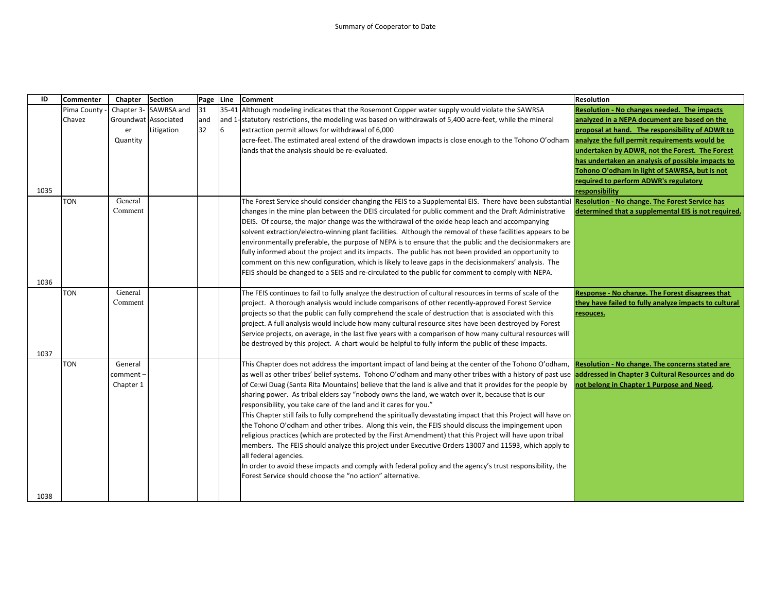| ID           | <b>Commenter</b> | Chapter                           | <b>Section</b> | Page | <b>Line</b> | <b>Comment</b>                                                                                                                                                                                                                                                                                                                                                                                                                                                                                                                                                                                                                                                                                                                                                                                                                                                                                                                                                                                                                                                                                                                                                                                                                                                                                                                                                                                                           | <b>Resolution</b>                                                                            |
|--------------|------------------|-----------------------------------|----------------|------|-------------|--------------------------------------------------------------------------------------------------------------------------------------------------------------------------------------------------------------------------------------------------------------------------------------------------------------------------------------------------------------------------------------------------------------------------------------------------------------------------------------------------------------------------------------------------------------------------------------------------------------------------------------------------------------------------------------------------------------------------------------------------------------------------------------------------------------------------------------------------------------------------------------------------------------------------------------------------------------------------------------------------------------------------------------------------------------------------------------------------------------------------------------------------------------------------------------------------------------------------------------------------------------------------------------------------------------------------------------------------------------------------------------------------------------------------|----------------------------------------------------------------------------------------------|
|              | Pima County      | Chapter 3-                        | SAWRSA and     | 31   |             | 35-41 Although modeling indicates that the Rosemont Copper water supply would violate the SAWRSA                                                                                                                                                                                                                                                                                                                                                                                                                                                                                                                                                                                                                                                                                                                                                                                                                                                                                                                                                                                                                                                                                                                                                                                                                                                                                                                         | <b>Resolution - No changes needed. The impacts</b>                                           |
|              | Chavez           | Groundwat Associated              |                | and  |             | and 1-statutory restrictions, the modeling was based on withdrawals of 5,400 acre-feet, while the mineral                                                                                                                                                                                                                                                                                                                                                                                                                                                                                                                                                                                                                                                                                                                                                                                                                                                                                                                                                                                                                                                                                                                                                                                                                                                                                                                | analyzed in a NEPA document are based on the                                                 |
|              |                  | er                                | Litigation     | 32   | 6           | extraction permit allows for withdrawal of 6,000                                                                                                                                                                                                                                                                                                                                                                                                                                                                                                                                                                                                                                                                                                                                                                                                                                                                                                                                                                                                                                                                                                                                                                                                                                                                                                                                                                         | proposal at hand. The responsibility of ADWR to                                              |
|              |                  | Quantity                          |                |      |             | acre-feet. The estimated areal extend of the drawdown impacts is close enough to the Tohono O'odham analyze the full permit requirements would be                                                                                                                                                                                                                                                                                                                                                                                                                                                                                                                                                                                                                                                                                                                                                                                                                                                                                                                                                                                                                                                                                                                                                                                                                                                                        |                                                                                              |
|              |                  |                                   |                |      |             | lands that the analysis should be re-evaluated.                                                                                                                                                                                                                                                                                                                                                                                                                                                                                                                                                                                                                                                                                                                                                                                                                                                                                                                                                                                                                                                                                                                                                                                                                                                                                                                                                                          | undertaken by ADWR, not the Forest. The Forest                                               |
|              |                  |                                   |                |      |             |                                                                                                                                                                                                                                                                                                                                                                                                                                                                                                                                                                                                                                                                                                                                                                                                                                                                                                                                                                                                                                                                                                                                                                                                                                                                                                                                                                                                                          | has undertaken an analysis of possible impacts to                                            |
|              |                  |                                   |                |      |             |                                                                                                                                                                                                                                                                                                                                                                                                                                                                                                                                                                                                                                                                                                                                                                                                                                                                                                                                                                                                                                                                                                                                                                                                                                                                                                                                                                                                                          | Tohono O'odham in light of SAWRSA, but is not                                                |
|              |                  |                                   |                |      |             |                                                                                                                                                                                                                                                                                                                                                                                                                                                                                                                                                                                                                                                                                                                                                                                                                                                                                                                                                                                                                                                                                                                                                                                                                                                                                                                                                                                                                          | required to perform ADWR's regulatory                                                        |
| 1035         |                  |                                   |                |      |             |                                                                                                                                                                                                                                                                                                                                                                                                                                                                                                                                                                                                                                                                                                                                                                                                                                                                                                                                                                                                                                                                                                                                                                                                                                                                                                                                                                                                                          | responsibility                                                                               |
|              | <b>TON</b>       | General                           |                |      |             | The Forest Service should consider changing the FEIS to a Supplemental EIS. There have been substantial <b>Resolution - No change. The Forest Service has</b>                                                                                                                                                                                                                                                                                                                                                                                                                                                                                                                                                                                                                                                                                                                                                                                                                                                                                                                                                                                                                                                                                                                                                                                                                                                            |                                                                                              |
|              |                  | Comment                           |                |      |             | changes in the mine plan between the DEIS circulated for public comment and the Draft Administrative                                                                                                                                                                                                                                                                                                                                                                                                                                                                                                                                                                                                                                                                                                                                                                                                                                                                                                                                                                                                                                                                                                                                                                                                                                                                                                                     | determined that a supplemental EIS is not required.                                          |
|              |                  |                                   |                |      |             | DEIS. Of course, the major change was the withdrawal of the oxide heap leach and accompanying                                                                                                                                                                                                                                                                                                                                                                                                                                                                                                                                                                                                                                                                                                                                                                                                                                                                                                                                                                                                                                                                                                                                                                                                                                                                                                                            |                                                                                              |
|              |                  |                                   |                |      |             | solvent extraction/electro-winning plant facilities. Although the removal of these facilities appears to be                                                                                                                                                                                                                                                                                                                                                                                                                                                                                                                                                                                                                                                                                                                                                                                                                                                                                                                                                                                                                                                                                                                                                                                                                                                                                                              |                                                                                              |
|              |                  |                                   |                |      |             | environmentally preferable, the purpose of NEPA is to ensure that the public and the decisionmakers are                                                                                                                                                                                                                                                                                                                                                                                                                                                                                                                                                                                                                                                                                                                                                                                                                                                                                                                                                                                                                                                                                                                                                                                                                                                                                                                  |                                                                                              |
|              |                  |                                   |                |      |             | fully informed about the project and its impacts. The public has not been provided an opportunity to                                                                                                                                                                                                                                                                                                                                                                                                                                                                                                                                                                                                                                                                                                                                                                                                                                                                                                                                                                                                                                                                                                                                                                                                                                                                                                                     |                                                                                              |
|              |                  |                                   |                |      |             | comment on this new configuration, which is likely to leave gaps in the decisionmakers' analysis. The                                                                                                                                                                                                                                                                                                                                                                                                                                                                                                                                                                                                                                                                                                                                                                                                                                                                                                                                                                                                                                                                                                                                                                                                                                                                                                                    |                                                                                              |
|              |                  |                                   |                |      |             | FEIS should be changed to a SEIS and re-circulated to the public for comment to comply with NEPA.                                                                                                                                                                                                                                                                                                                                                                                                                                                                                                                                                                                                                                                                                                                                                                                                                                                                                                                                                                                                                                                                                                                                                                                                                                                                                                                        |                                                                                              |
| 1036         |                  |                                   |                |      |             |                                                                                                                                                                                                                                                                                                                                                                                                                                                                                                                                                                                                                                                                                                                                                                                                                                                                                                                                                                                                                                                                                                                                                                                                                                                                                                                                                                                                                          |                                                                                              |
|              | <b>TON</b>       | General                           |                |      |             | The FEIS continues to fail to fully analyze the destruction of cultural resources in terms of scale of the                                                                                                                                                                                                                                                                                                                                                                                                                                                                                                                                                                                                                                                                                                                                                                                                                                                                                                                                                                                                                                                                                                                                                                                                                                                                                                               | Response - No change. The Forest disagrees that                                              |
|              |                  | Comment                           |                |      |             | project. A thorough analysis would include comparisons of other recently-approved Forest Service                                                                                                                                                                                                                                                                                                                                                                                                                                                                                                                                                                                                                                                                                                                                                                                                                                                                                                                                                                                                                                                                                                                                                                                                                                                                                                                         | they have failed to fully analyze impacts to cultural                                        |
|              |                  |                                   |                |      |             |                                                                                                                                                                                                                                                                                                                                                                                                                                                                                                                                                                                                                                                                                                                                                                                                                                                                                                                                                                                                                                                                                                                                                                                                                                                                                                                                                                                                                          | resouces.                                                                                    |
|              |                  |                                   |                |      |             | project. A full analysis would include how many cultural resource sites have been destroyed by Forest                                                                                                                                                                                                                                                                                                                                                                                                                                                                                                                                                                                                                                                                                                                                                                                                                                                                                                                                                                                                                                                                                                                                                                                                                                                                                                                    |                                                                                              |
|              |                  |                                   |                |      |             | Service projects, on average, in the last five years with a comparison of how many cultural resources will                                                                                                                                                                                                                                                                                                                                                                                                                                                                                                                                                                                                                                                                                                                                                                                                                                                                                                                                                                                                                                                                                                                                                                                                                                                                                                               |                                                                                              |
|              |                  |                                   |                |      |             |                                                                                                                                                                                                                                                                                                                                                                                                                                                                                                                                                                                                                                                                                                                                                                                                                                                                                                                                                                                                                                                                                                                                                                                                                                                                                                                                                                                                                          |                                                                                              |
|              |                  |                                   |                |      |             |                                                                                                                                                                                                                                                                                                                                                                                                                                                                                                                                                                                                                                                                                                                                                                                                                                                                                                                                                                                                                                                                                                                                                                                                                                                                                                                                                                                                                          |                                                                                              |
|              |                  |                                   |                |      |             |                                                                                                                                                                                                                                                                                                                                                                                                                                                                                                                                                                                                                                                                                                                                                                                                                                                                                                                                                                                                                                                                                                                                                                                                                                                                                                                                                                                                                          |                                                                                              |
|              |                  |                                   |                |      |             |                                                                                                                                                                                                                                                                                                                                                                                                                                                                                                                                                                                                                                                                                                                                                                                                                                                                                                                                                                                                                                                                                                                                                                                                                                                                                                                                                                                                                          |                                                                                              |
|              |                  |                                   |                |      |             |                                                                                                                                                                                                                                                                                                                                                                                                                                                                                                                                                                                                                                                                                                                                                                                                                                                                                                                                                                                                                                                                                                                                                                                                                                                                                                                                                                                                                          |                                                                                              |
|              |                  |                                   |                |      |             |                                                                                                                                                                                                                                                                                                                                                                                                                                                                                                                                                                                                                                                                                                                                                                                                                                                                                                                                                                                                                                                                                                                                                                                                                                                                                                                                                                                                                          |                                                                                              |
|              |                  |                                   |                |      |             |                                                                                                                                                                                                                                                                                                                                                                                                                                                                                                                                                                                                                                                                                                                                                                                                                                                                                                                                                                                                                                                                                                                                                                                                                                                                                                                                                                                                                          |                                                                                              |
|              |                  |                                   |                |      |             |                                                                                                                                                                                                                                                                                                                                                                                                                                                                                                                                                                                                                                                                                                                                                                                                                                                                                                                                                                                                                                                                                                                                                                                                                                                                                                                                                                                                                          |                                                                                              |
|              |                  |                                   |                |      |             |                                                                                                                                                                                                                                                                                                                                                                                                                                                                                                                                                                                                                                                                                                                                                                                                                                                                                                                                                                                                                                                                                                                                                                                                                                                                                                                                                                                                                          |                                                                                              |
|              |                  |                                   |                |      |             |                                                                                                                                                                                                                                                                                                                                                                                                                                                                                                                                                                                                                                                                                                                                                                                                                                                                                                                                                                                                                                                                                                                                                                                                                                                                                                                                                                                                                          |                                                                                              |
|              |                  |                                   |                |      |             |                                                                                                                                                                                                                                                                                                                                                                                                                                                                                                                                                                                                                                                                                                                                                                                                                                                                                                                                                                                                                                                                                                                                                                                                                                                                                                                                                                                                                          |                                                                                              |
|              |                  |                                   |                |      |             |                                                                                                                                                                                                                                                                                                                                                                                                                                                                                                                                                                                                                                                                                                                                                                                                                                                                                                                                                                                                                                                                                                                                                                                                                                                                                                                                                                                                                          |                                                                                              |
|              |                  |                                   |                |      |             |                                                                                                                                                                                                                                                                                                                                                                                                                                                                                                                                                                                                                                                                                                                                                                                                                                                                                                                                                                                                                                                                                                                                                                                                                                                                                                                                                                                                                          |                                                                                              |
|              |                  |                                   |                |      |             |                                                                                                                                                                                                                                                                                                                                                                                                                                                                                                                                                                                                                                                                                                                                                                                                                                                                                                                                                                                                                                                                                                                                                                                                                                                                                                                                                                                                                          |                                                                                              |
|              |                  |                                   |                |      |             |                                                                                                                                                                                                                                                                                                                                                                                                                                                                                                                                                                                                                                                                                                                                                                                                                                                                                                                                                                                                                                                                                                                                                                                                                                                                                                                                                                                                                          |                                                                                              |
| 1037<br>1038 | <b>TON</b>       | General<br>comment -<br>Chapter 1 |                |      |             | projects so that the public can fully comprehend the scale of destruction that is associated with this<br>be destroyed by this project. A chart would be helpful to fully inform the public of these impacts.<br>This Chapter does not address the important impact of land being at the center of the Tohono O'odham,<br>as well as other tribes' belief systems. Tohono O'odham and many other tribes with a history of past use addressed in Chapter 3 Cultural Resources and do<br>of Ce:wi Duag (Santa Rita Mountains) believe that the land is alive and that it provides for the people by<br>sharing power. As tribal elders say "nobody owns the land, we watch over it, because that is our<br>responsibility, you take care of the land and it cares for you."<br>This Chapter still fails to fully comprehend the spiritually devastating impact that this Project will have on<br>the Tohono O'odham and other tribes. Along this vein, the FEIS should discuss the impingement upon<br>religious practices (which are protected by the First Amendment) that this Project will have upon tribal<br>members. The FEIS should analyze this project under Executive Orders 13007 and 11593, which apply to<br>all federal agencies.<br>In order to avoid these impacts and comply with federal policy and the agency's trust responsibility, the<br>Forest Service should choose the "no action" alternative. | Resolution - No change. The concerns stated are<br>not belong in Chapter 1 Purpose and Need. |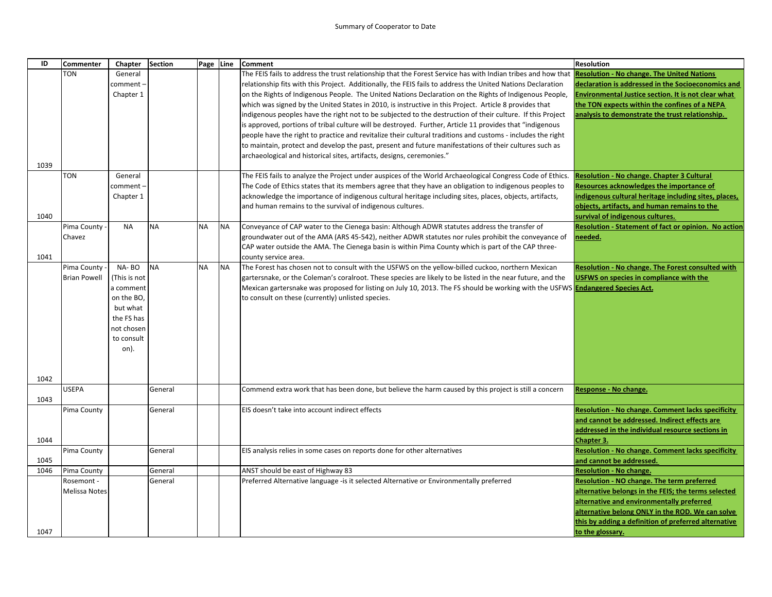| ID   | Commenter                 | Chapter      | <b>Section</b>     | Page Line |           | <b>Comment</b>                                                                                                                        | <b>Resolution</b>                                                            |
|------|---------------------------|--------------|--------------------|-----------|-----------|---------------------------------------------------------------------------------------------------------------------------------------|------------------------------------------------------------------------------|
|      | TON                       | General      |                    |           |           | The FEIS fails to address the trust relationship that the Forest Service has with Indian tribes and how that                          | <b>Resolution - No change. The United Nations</b>                            |
|      |                           | comment -    |                    |           |           | relationship fits with this Project. Additionally, the FEIS fails to address the United Nations Declaration                           | declaration is addressed in the Socioeconomics and                           |
|      |                           | Chapter 1    |                    |           |           | on the Rights of Indigenous People. The United Nations Declaration on the Rights of Indigenous People,                                | Invironmental Justice section. It is not clear what                          |
|      |                           |              |                    |           |           | which was signed by the United States in 2010, is instructive in this Project. Article 8 provides that                                | the TON expects within the confines of a NEPA                                |
|      |                           |              |                    |           |           | indigenous peoples have the right not to be subjected to the destruction of their culture. If this Project                            | analysis to demonstrate the trust relationship.                              |
|      |                           |              |                    |           |           | is approved, portions of tribal culture will be destroyed. Further, Article 11 provides that "indigenous                              |                                                                              |
|      |                           |              |                    |           |           | people have the right to practice and revitalize their cultural traditions and customs - includes the right                           |                                                                              |
|      |                           |              |                    |           |           | to maintain, protect and develop the past, present and future manifestations of their cultures such as                                |                                                                              |
|      |                           |              |                    |           |           | archaeological and historical sites, artifacts, designs, ceremonies."                                                                 |                                                                              |
| 1039 |                           |              |                    |           |           |                                                                                                                                       |                                                                              |
|      | TON                       | General      |                    |           |           | The FEIS fails to analyze the Project under auspices of the World Archaeological Congress Code of Ethics.                             | Resolution - No change. Chapter 3 Cultural                                   |
|      |                           | comment -    |                    |           |           | The Code of Ethics states that its members agree that they have an obligation to indigenous peoples to                                | Resources acknowledges the importance of                                     |
|      |                           | Chapter 1    |                    |           |           | acknowledge the importance of indigenous cultural heritage including sites, places, objects, artifacts,                               | ndigenous cultural heritage including sites, places,                         |
|      |                           |              |                    |           |           | and human remains to the survival of indigenous cultures.                                                                             | objects, artifacts, and human remains to the                                 |
| 1040 |                           |              |                    |           |           |                                                                                                                                       | survival of indigenous cultures.                                             |
|      | Pima County               | <b>NA</b>    | <b>NA</b>          | <b>NA</b> | <b>NA</b> | Conveyance of CAP water to the Cienega basin: Although ADWR statutes address the transfer of                                          | <b>Resolution - Statement of fact or opinion. No action</b>                  |
|      | Chavez                    |              |                    |           |           | groundwater out of the AMA (ARS 45-542), neither ADWR statutes nor rules prohibit the conveyance of                                   | needed.                                                                      |
|      |                           |              |                    |           |           | CAP water outside the AMA. The Cienega basin is within Pima County which is part of the CAP three-                                    |                                                                              |
| 1041 |                           |              |                    |           |           | county service area.                                                                                                                  |                                                                              |
|      | Pima County               | NA-BO        | <b>NA</b>          | <b>NA</b> | <b>NA</b> | The Forest has chosen not to consult with the USFWS on the yellow-billed cuckoo, northern Mexican                                     | Resolution - No change. The Forest consulted with                            |
|      | <b>Brian Powell</b>       | (This is not |                    |           |           | gartersnake, or the Coleman's coralroot. These species are likely to be listed in the near future, and the                            | USFWS on species in compliance with the                                      |
|      |                           | a comment    |                    |           |           | Mexican gartersnake was proposed for listing on July 10, 2013. The FS should be working with the USFWS <b>Endangered Species Act.</b> |                                                                              |
|      |                           | on the BO,   |                    |           |           | to consult on these (currently) unlisted species.                                                                                     |                                                                              |
|      |                           | but what     |                    |           |           |                                                                                                                                       |                                                                              |
|      |                           | the FS has   |                    |           |           |                                                                                                                                       |                                                                              |
|      |                           | not chosen   |                    |           |           |                                                                                                                                       |                                                                              |
|      |                           | to consult   |                    |           |           |                                                                                                                                       |                                                                              |
|      |                           | on).         |                    |           |           |                                                                                                                                       |                                                                              |
|      |                           |              |                    |           |           |                                                                                                                                       |                                                                              |
|      |                           |              |                    |           |           |                                                                                                                                       |                                                                              |
| 1042 |                           |              |                    |           |           |                                                                                                                                       |                                                                              |
|      | <b>USEPA</b>              |              | General            |           |           | Commend extra work that has been done, but believe the harm caused by this project is still a concern                                 | Response - No change.                                                        |
| 1043 |                           |              |                    |           |           |                                                                                                                                       |                                                                              |
|      | Pima County               |              | General            |           |           | EIS doesn't take into account indirect effects                                                                                        | <b>Resolution - No change. Comment lacks specificity</b>                     |
|      |                           |              |                    |           |           |                                                                                                                                       | and cannot be addressed. Indirect effects are                                |
|      |                           |              |                    |           |           |                                                                                                                                       | addressed in the individual resource sections in                             |
| 1044 |                           |              |                    |           |           |                                                                                                                                       | <b>Chapter 3.</b>                                                            |
|      | Pima County               |              | General            |           |           | EIS analysis relies in some cases on reports done for other alternatives                                                              | <b>Resolution - No change. Comment lacks specificity</b>                     |
| 1045 |                           |              |                    |           |           |                                                                                                                                       | and cannot be addressed.                                                     |
| 1046 | Pima County<br>Rosemont - |              | General<br>General |           |           | ANST should be east of Highway 83<br>Preferred Alternative language -is it selected Alternative or Environmentally preferred          | <b>Resolution - No change.</b><br>Resolution - NO change. The term preferred |
|      |                           |              |                    |           |           |                                                                                                                                       |                                                                              |
|      | Melissa Notes             |              |                    |           |           |                                                                                                                                       | alternative belongs in the FEIS; the terms selected                          |
|      |                           |              |                    |           |           |                                                                                                                                       | alternative and environmentally preferred                                    |
|      |                           |              |                    |           |           |                                                                                                                                       | alternative belong ONLY in the ROD. We can solve                             |
| 1047 |                           |              |                    |           |           |                                                                                                                                       | this by adding a definition of preferred alternative                         |
|      |                           |              |                    |           |           |                                                                                                                                       | to the glossary.                                                             |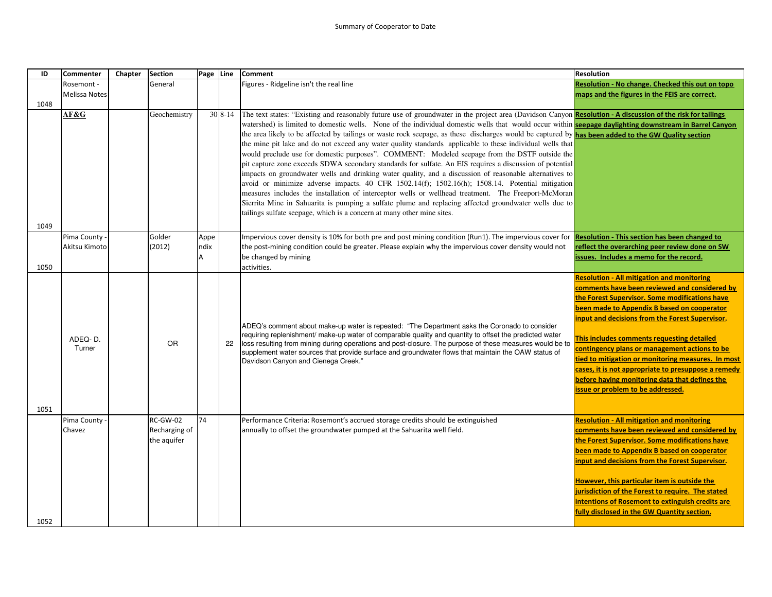| ID   | <b>Commenter</b>     | Chapter | <b>Section</b> | Page Line |          | <b>Comment</b>                                                                                                                                                                                           | <b>Resolution</b>                                    |
|------|----------------------|---------|----------------|-----------|----------|----------------------------------------------------------------------------------------------------------------------------------------------------------------------------------------------------------|------------------------------------------------------|
|      | Rosemont -           |         | General        |           |          | Figures - Ridgeline isn't the real line                                                                                                                                                                  | Resolution - No change. Checked this out on topo     |
|      | <b>Melissa Notes</b> |         |                |           |          |                                                                                                                                                                                                          | maps and the figures in the FEIS are correct.        |
| 1048 |                      |         |                |           |          |                                                                                                                                                                                                          |                                                      |
|      | AF&G                 |         | Geochemistry   |           | $308-14$ | The text states: "Existing and reasonably future use of groundwater in the project area (Davidson Canyon Resolution - A discussion of the risk for tailings                                              |                                                      |
|      |                      |         |                |           |          | watershed) is limited to domestic wells. None of the individual domestic wells that would occur within seepage daylighting downstream in Barrel Canyon                                                   |                                                      |
|      |                      |         |                |           |          | the area likely to be affected by tailings or waste rock seepage, as these discharges would be captured by has been added to the GW Quality section                                                      |                                                      |
|      |                      |         |                |           |          | the mine pit lake and do not exceed any water quality standards applicable to these individual wells that                                                                                                |                                                      |
|      |                      |         |                |           |          | would preclude use for domestic purposes". COMMENT: Modeled seepage from the DSTF outside the                                                                                                            |                                                      |
|      |                      |         |                |           |          | pit capture zone exceeds SDWA secondary standards for sulfate. An EIS requires a discussion of potential                                                                                                 |                                                      |
|      |                      |         |                |           |          | impacts on groundwater wells and drinking water quality, and a discussion of reasonable alternatives to                                                                                                  |                                                      |
|      |                      |         |                |           |          | avoid or minimize adverse impacts. 40 CFR 1502.14(f); 1502.16(h); 1508.14. Potential mitigation                                                                                                          |                                                      |
|      |                      |         |                |           |          | measures includes the installation of interceptor wells or wellhead treatment. The Freeport-McMoran                                                                                                      |                                                      |
|      |                      |         |                |           |          | Sierrita Mine in Sahuarita is pumping a sulfate plume and replacing affected groundwater wells due to                                                                                                    |                                                      |
|      |                      |         |                |           |          | tailings sulfate seepage, which is a concern at many other mine sites.                                                                                                                                   |                                                      |
| 1049 |                      |         |                |           |          |                                                                                                                                                                                                          |                                                      |
|      | Pima County          |         | Golder         | Appe      |          | Impervious cover density is 10% for both pre and post mining condition (Run1). The impervious cover for                                                                                                  | <b>Resolution - This section has been changed to</b> |
|      | Akitsu Kimoto        |         | (2012)         | ndix      |          | the post-mining condition could be greater. Please explain why the impervious cover density would not                                                                                                    | eflect the overarching peer review done on SW        |
|      |                      |         |                | А         |          | be changed by mining                                                                                                                                                                                     | issues. Includes a memo for the record.              |
| 1050 |                      |         |                |           |          | activities.                                                                                                                                                                                              |                                                      |
|      |                      |         |                |           |          |                                                                                                                                                                                                          | <b>Resolution - All mitigation and monitoring</b>    |
|      |                      |         |                |           |          |                                                                                                                                                                                                          | comments have been reviewed and considered by        |
|      |                      |         |                |           |          |                                                                                                                                                                                                          | the Forest Supervisor. Some modifications have       |
|      |                      |         |                |           |          |                                                                                                                                                                                                          | been made to Appendix B based on cooperator          |
|      |                      |         |                |           |          |                                                                                                                                                                                                          | input and decisions from the Forest Supervisor.      |
|      |                      |         |                |           |          | ADEQ's comment about make-up water is repeated: "The Department asks the Coronado to consider<br>requiring replenishment/ make-up water of comparable quality and quantity to offset the predicted water |                                                      |
|      | ADEQ-D.              |         | <b>OR</b>      |           | 22       | loss resulting from mining during operations and post-closure. The purpose of these measures would be to                                                                                                 | This includes comments requesting detailed           |
|      | Turner               |         |                |           |          | supplement water sources that provide surface and groundwater flows that maintain the OAW status of                                                                                                      | contingency plans or management actions to be        |
|      |                      |         |                |           |          | Davidson Canyon and Cienega Creek."                                                                                                                                                                      | tied to mitigation or monitoring measures. In most   |
|      |                      |         |                |           |          |                                                                                                                                                                                                          | cases, it is not appropriate to presuppose a remedy  |
|      |                      |         |                |           |          |                                                                                                                                                                                                          | before having monitoring data that defines the       |
|      |                      |         |                |           |          |                                                                                                                                                                                                          | issue or problem to be addressed.                    |
| 1051 |                      |         |                |           |          |                                                                                                                                                                                                          |                                                      |
|      | Pima County          |         | RC-GW-02       | 74        |          | Performance Criteria: Rosemont's accrued storage credits should be extinguished                                                                                                                          | <b>Resolution - All mitigation and monitoring</b>    |
|      | Chavez               |         | Recharging of  |           |          | annually to offset the groundwater pumped at the Sahuarita well field.                                                                                                                                   | comments have been reviewed and considered by        |
|      |                      |         | the aquifer    |           |          |                                                                                                                                                                                                          | the Forest Supervisor. Some modifications have       |
|      |                      |         |                |           |          |                                                                                                                                                                                                          | been made to Appendix B based on cooperator          |
|      |                      |         |                |           |          |                                                                                                                                                                                                          | input and decisions from the Forest Supervisor.      |
|      |                      |         |                |           |          |                                                                                                                                                                                                          |                                                      |
|      |                      |         |                |           |          |                                                                                                                                                                                                          | However, this particular item is outside the         |
|      |                      |         |                |           |          |                                                                                                                                                                                                          | jurisdiction of the Forest to require. The stated    |
|      |                      |         |                |           |          |                                                                                                                                                                                                          | intentions of Rosemont to extinguish credits are     |
|      |                      |         |                |           |          |                                                                                                                                                                                                          | fully disclosed in the GW Quantity section.          |
| 1052 |                      |         |                |           |          |                                                                                                                                                                                                          |                                                      |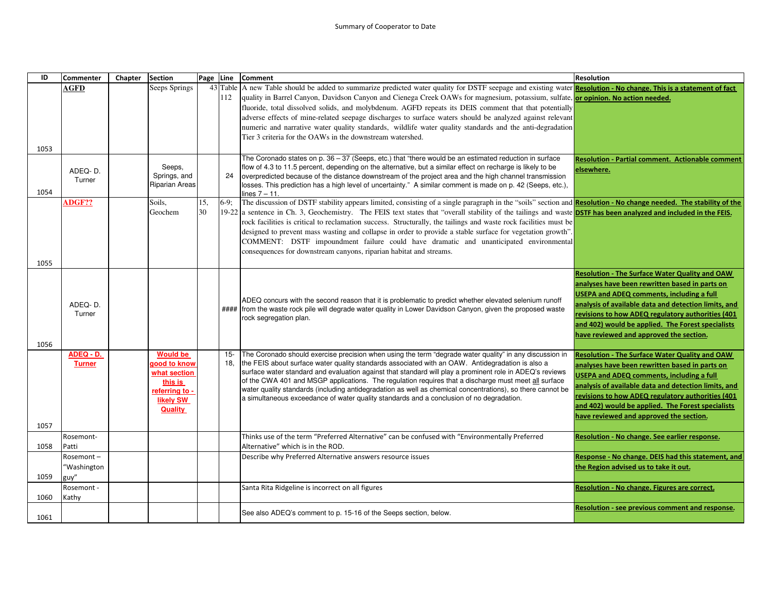| ID   | <b>Commenter</b>   | Chapter | <b>Section</b>                      | Page Line |        | <b>Comment</b>                                                                                                                                                                                                        | <b>Resolution</b>                                       |
|------|--------------------|---------|-------------------------------------|-----------|--------|-----------------------------------------------------------------------------------------------------------------------------------------------------------------------------------------------------------------------|---------------------------------------------------------|
|      | <b>AGFD</b>        |         | Seeps Springs                       |           |        | 43 Table A new Table should be added to summarize predicted water quality for DSTF seepage and existing water Resolution - No change. This is a statement of fact                                                     |                                                         |
|      |                    |         |                                     |           | 112    | quality in Barrel Canyon, Davidson Canyon and Cienega Creek OAWs for magnesium, potassium, sulfate, or opinion. No action needed.                                                                                     |                                                         |
|      |                    |         |                                     |           |        | fluoride, total dissolved solids, and molybdenum. AGFD repeats its DEIS comment that that potentially                                                                                                                 |                                                         |
|      |                    |         |                                     |           |        | adverse effects of mine-related seepage discharges to surface waters should be analyzed against relevant                                                                                                              |                                                         |
|      |                    |         |                                     |           |        | numeric and narrative water quality standards, wildlife water quality standards and the anti-degradation                                                                                                              |                                                         |
|      |                    |         |                                     |           |        | Tier 3 criteria for the OAWs in the downstream watershed.                                                                                                                                                             |                                                         |
| 1053 |                    |         |                                     |           |        |                                                                                                                                                                                                                       |                                                         |
|      |                    |         |                                     |           |        | The Coronado states on p. 36 - 37 (Seeps, etc.) that "there would be an estimated reduction in surface                                                                                                                | <b>Resolution - Partial comment. Actionable comment</b> |
|      | ADEQ-D.            |         | Seeps,<br>Springs, and              |           | 24     | flow of 4.3 to 11.5 percent, depending on the alternative, but a similar effect on recharge is likely to be<br>overpredicted because of the distance downstream of the project area and the high channel transmission | elsewhere.                                              |
|      | Turner             |         | Riparian Areas                      |           |        | losses. This prediction has a high level of uncertainty." A similar comment is made on p. 42 (Seeps, etc.),                                                                                                           |                                                         |
| 1054 |                    |         |                                     |           |        | lines $7 - 11$ .                                                                                                                                                                                                      |                                                         |
|      | ADGF??             |         | Soils.                              | 15,       | $6-9:$ | The discussion of DSTF stability appears limited, consisting of a single paragraph in the "soils" section and <b>Resolution - No change needed. The stability of the</b>                                              |                                                         |
|      |                    |         | Geochem                             | 30        |        | $19-22$ a sentence in Ch. 3, Geochemistry. The FEIS text states that "overall stability of the tailings and waste <b>DSTF has been analyzed and included in the FEIS.</b>                                             |                                                         |
|      |                    |         |                                     |           |        | rock facilities is critical to reclamation success. Structurally, the tailings and waste rock facilities must be                                                                                                      |                                                         |
|      |                    |         |                                     |           |        | designed to prevent mass wasting and collapse in order to provide a stable surface for vegetation growth".                                                                                                            |                                                         |
|      |                    |         |                                     |           |        | COMMENT: DSTF impoundment failure could have dramatic and unanticipated environmental                                                                                                                                 |                                                         |
|      |                    |         |                                     |           |        | consequences for downstream canyons, riparian habitat and streams.                                                                                                                                                    |                                                         |
| 1055 |                    |         |                                     |           |        |                                                                                                                                                                                                                       |                                                         |
|      |                    |         |                                     |           |        |                                                                                                                                                                                                                       | <b>Resolution - The Surface Water Quality and OAW</b>   |
|      |                    |         |                                     |           |        |                                                                                                                                                                                                                       | analyses have been rewritten based in parts on          |
|      |                    |         |                                     |           |        | ADEQ concurs with the second reason that it is problematic to predict whether elevated selenium runoff                                                                                                                | <b>USEPA and ADEQ comments, including a full</b>        |
|      | ADEQ-D.            |         |                                     |           |        | #### from the waste rock pile will degrade water quality in Lower Davidson Canyon, given the proposed waste                                                                                                           | analysis of available data and detection limits, and    |
|      | Turner             |         |                                     |           |        | rock segregation plan.                                                                                                                                                                                                | revisions to how ADEQ regulatory authorities (401       |
|      |                    |         |                                     |           |        |                                                                                                                                                                                                                       | and 402) would be applied. The Forest specialists       |
|      |                    |         |                                     |           |        |                                                                                                                                                                                                                       | have reviewed and approved the section.                 |
| 1056 |                    |         |                                     |           |        |                                                                                                                                                                                                                       |                                                         |
|      | ADEQ - D.          |         | <b>Would be</b>                     |           | 15-    | The Coronado should exercise precision when using the term "degrade water quality" in any discussion in                                                                                                               | <b>Resolution - The Surface Water Quality and OAW</b>   |
|      | <b>Turner</b>      |         | <b>rood to know</b><br>what section |           | 18,    | the FEIS about surface water quality standards associated with an OAW. Antidegradation is also a<br>surface water standard and evaluation against that standard will play a prominent role in ADEQ's reviews          | analyses have been rewritten based in parts on          |
|      |                    |         | this is                             |           |        | of the CWA 401 and MSGP applications. The regulation requires that a discharge must meet all surface                                                                                                                  | <b>USEPA and ADEQ comments, including a full</b>        |
|      |                    |         | referring to -                      |           |        | water quality standards (including antidegradation as well as chemical concentrations), so there cannot be                                                                                                            | analysis of available data and detection limits, and    |
|      |                    |         | <b>likely SW</b>                    |           |        | a simultaneous exceedance of water quality standards and a conclusion of no degradation.                                                                                                                              | revisions to how ADEQ regulatory authorities (401       |
|      |                    |         | Quality                             |           |        |                                                                                                                                                                                                                       | and 402) would be applied. The Forest specialists       |
|      |                    |         |                                     |           |        |                                                                                                                                                                                                                       | have reviewed and approved the section.                 |
| 1057 |                    |         |                                     |           |        |                                                                                                                                                                                                                       |                                                         |
|      | Rosemont-          |         |                                     |           |        | Thinks use of the term "Preferred Alternative" can be confused with "Environmentally Preferred                                                                                                                        | Resolution - No change. See earlier response.           |
| 1058 | Patti              |         |                                     |           |        | Alternative" which is in the ROD.                                                                                                                                                                                     |                                                         |
|      | Rosemont-          |         |                                     |           |        | Describe why Preferred Alternative answers resource issues                                                                                                                                                            | Response - No change. DEIS had this statement, and      |
| 1059 | "Washington        |         |                                     |           |        |                                                                                                                                                                                                                       | the Region advised us to take it out.                   |
|      | guy"<br>Rosemont - |         |                                     |           |        | Santa Rita Ridgeline is incorrect on all figures                                                                                                                                                                      | Resolution - No change. Figures are correct.            |
| 1060 | Kathy              |         |                                     |           |        |                                                                                                                                                                                                                       |                                                         |
|      |                    |         |                                     |           |        |                                                                                                                                                                                                                       | Resolution - see previous comment and response.         |
| 1061 |                    |         |                                     |           |        | See also ADEQ's comment to p. 15-16 of the Seeps section, below.                                                                                                                                                      |                                                         |
|      |                    |         |                                     |           |        |                                                                                                                                                                                                                       |                                                         |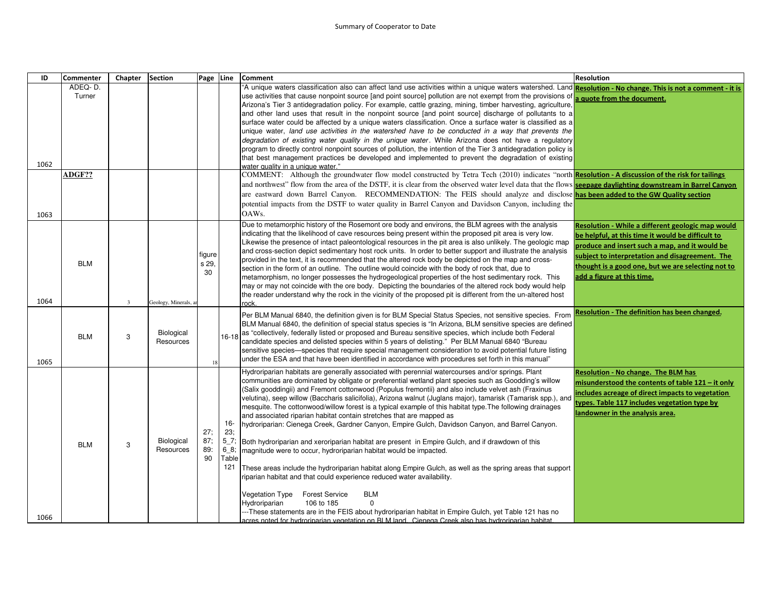| ID   | Commenter                   | Chapter      | <b>Section</b>                 | Page Line               |                                              | <b>Comment</b>                                                                                                                                                                                                                                                                                                                                                                                                                                                                                                                                                                                                                                                                                                                                                                                                                                                                                                                                                                                                                                                                                                                                                                                                                                                                                                                                                                                                                    | <b>Resolution</b>                                                                                                                                                                                                                                                                               |
|------|-----------------------------|--------------|--------------------------------|-------------------------|----------------------------------------------|-----------------------------------------------------------------------------------------------------------------------------------------------------------------------------------------------------------------------------------------------------------------------------------------------------------------------------------------------------------------------------------------------------------------------------------------------------------------------------------------------------------------------------------------------------------------------------------------------------------------------------------------------------------------------------------------------------------------------------------------------------------------------------------------------------------------------------------------------------------------------------------------------------------------------------------------------------------------------------------------------------------------------------------------------------------------------------------------------------------------------------------------------------------------------------------------------------------------------------------------------------------------------------------------------------------------------------------------------------------------------------------------------------------------------------------|-------------------------------------------------------------------------------------------------------------------------------------------------------------------------------------------------------------------------------------------------------------------------------------------------|
| 1062 | ADEQ-D.<br>Turner<br>ADGF?? |              |                                |                         |                                              | "A unique waters classification also can affect land use activities within a unique waters watershed. Land Resolution - No change. This is not a comment - it is<br>use activities that cause nonpoint source [and point source] pollution are not exempt from the provisions of<br>Arizona's Tier 3 antidegradation policy. For example, cattle grazing, mining, timber harvesting, agriculture,<br>and other land uses that result in the nonpoint source [and point source] discharge of pollutants to a<br>surface water could be affected by a unique waters classification. Once a surface water is classified as a<br>unique water, land use activities in the watershed have to be conducted in a way that prevents the<br>degradation of existing water quality in the unique water. While Arizona does not have a regulatory<br>program to directly control nonpoint sources of pollution, the intention of the Tier 3 antidegradation policy is<br>that best management practices be developed and implemented to prevent the degradation of existing<br>vater quality in a unique water."<br>COMMENT: Although the groundwater flow model constructed by Tetra Tech (2010) indicates "north Resolution - A discussion of the risk for tailings<br>and northwest" flow from the area of the DSTF, it is clear from the observed water level data that the flows <b>seepage daylighting downstream in Barrel Canyon</b> | a quote from the document.                                                                                                                                                                                                                                                                      |
| 1063 |                             |              |                                |                         |                                              | are eastward down Barrel Canyon. RECOMMENDATION: The FEIS should analyze and disclose has been added to the GW Quality section<br>potential impacts from the DSTF to water quality in Barrel Canyon and Davidson Canyon, including the<br>OAWs.                                                                                                                                                                                                                                                                                                                                                                                                                                                                                                                                                                                                                                                                                                                                                                                                                                                                                                                                                                                                                                                                                                                                                                                   |                                                                                                                                                                                                                                                                                                 |
| 1064 | <b>BLM</b>                  | $\mathbf{3}$ | Geology, Minerals,             | figure<br>s 29.<br>30   |                                              | Due to metamorphic history of the Rosemont ore body and environs, the BLM agrees with the analysis<br>indicating that the likelihood of cave resources being present within the proposed pit area is very low.<br>Likewise the presence of intact paleontological resources in the pit area is also unlikely. The geologic map<br>and cross-section depict sedimentary host rock units. In order to better support and illustrate the analysis<br>provided in the text, it is recommended that the altered rock body be depicted on the map and cross-<br>section in the form of an outline. The outline would coincide with the body of rock that, due to<br>metamorphism, no longer possesses the hydrogeological properties of the host sedimentary rock. This<br>may or may not coincide with the ore body. Depicting the boundaries of the altered rock body would help<br>the reader understand why the rock in the vicinity of the proposed pit is different from the un-altered host<br>ock.                                                                                                                                                                                                                                                                                                                                                                                                                              | Resolution - While a different geologic map would<br>be helpful, at this time it would be difficult to<br>produce and insert such a map, and it would be<br>subject to interpretation and disagreement. The<br>thought is a good one, but we are selecting not to<br>add a figure at this time. |
| 1065 | <b>BLM</b>                  | 3            | Biological<br>Resources        | 18                      | $16 - 18$                                    | Per BLM Manual 6840, the definition given is for BLM Special Status Species, not sensitive species. From<br>BLM Manual 6840, the definition of special status species is "In Arizona, BLM sensitive species are defined<br>as "collectively, federally listed or proposed and Bureau sensitive species, which include both Federal<br>candidate species and delisted species within 5 years of delisting." Per BLM Manual 6840 "Bureau<br>sensitive species—species that require special management consideration to avoid potential future listing<br>"under the ESA and that have been identified in accordance with procedures set forth in this manual                                                                                                                                                                                                                                                                                                                                                                                                                                                                                                                                                                                                                                                                                                                                                                        | <b>Resolution - The definition has been changed.</b>                                                                                                                                                                                                                                            |
| 1066 | <b>BLM</b>                  | 3            | <b>Biological</b><br>Resources | 27:<br>87:<br>89:<br>90 | 16-<br>23;<br>$5_{7}$<br>68;<br>Table<br>121 | Hydroriparian habitats are generally associated with perennial watercourses and/or springs. Plant<br>communities are dominated by obligate or preferential wetland plant species such as Goodding's willow<br>Salix gooddingii) and Fremont cottonwood (Populus fremontii) and also include velvet ash (Fraxinus)<br>velutina), seep willow (Baccharis salicifolia), Arizona walnut (Juglans major), tamarisk (Tamarisk spp.), and<br>mesquite. The cottonwood/willow forest is a typical example of this habitat type. The following drainages<br>and associated riparian habitat contain stretches that are mapped as<br>hydroriparian: Cienega Creek, Gardner Canyon, Empire Gulch, Davidson Canyon, and Barrel Canyon.<br>Both hydroriparian and xeroriparian habitat are present in Empire Gulch, and if drawdown of this<br>magnitude were to occur, hydroriparian habitat would be impacted.<br>These areas include the hydroriparian habitat along Empire Gulch, as well as the spring areas that support<br>iparian habitat and that could experience reduced water availability.<br><b>BLM</b><br>Vegetation Type<br><b>Forest Service</b><br>106 to 185<br>Hydroriparian<br>--These statements are in the FEIS about hydroriparian habitat in Empire Gulch, yet Table 121 has no<br>acres noted for hydroriparian vegetation on BLM land Cienega Creek also has hydroriparian habitat                                  | Resolution - No change. The BLM has<br>misunderstood the contents of table 121 - it only<br>includes acreage of direct impacts to vegetation<br>types. Table 117 includes vegetation type by<br>landowner in the analysis area.                                                                 |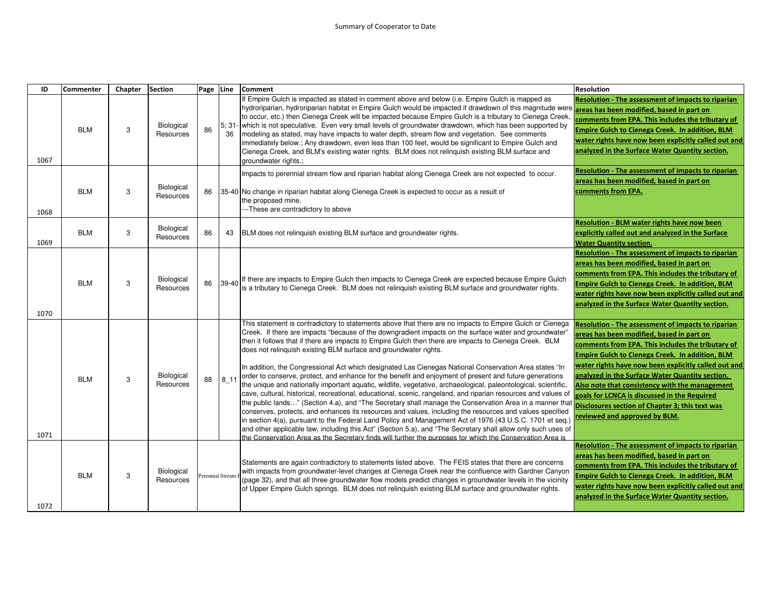| ID   | <b>Commenter</b> | Chapter | <b>Section</b>                 | Page Line |                  | <b>Comment</b>                                                                                                                                                                                                                                                                                                                                                                                                                                                                                                                                                                                                                                                                                                                                                                                                                                                                                                                                                                                                                                                                                                                                                                                                                                                                                                                                                                                                             | <b>Resolution</b>                                                                                                                                                                                                                                                                                                                                                                                                                                                                                        |
|------|------------------|---------|--------------------------------|-----------|------------------|----------------------------------------------------------------------------------------------------------------------------------------------------------------------------------------------------------------------------------------------------------------------------------------------------------------------------------------------------------------------------------------------------------------------------------------------------------------------------------------------------------------------------------------------------------------------------------------------------------------------------------------------------------------------------------------------------------------------------------------------------------------------------------------------------------------------------------------------------------------------------------------------------------------------------------------------------------------------------------------------------------------------------------------------------------------------------------------------------------------------------------------------------------------------------------------------------------------------------------------------------------------------------------------------------------------------------------------------------------------------------------------------------------------------------|----------------------------------------------------------------------------------------------------------------------------------------------------------------------------------------------------------------------------------------------------------------------------------------------------------------------------------------------------------------------------------------------------------------------------------------------------------------------------------------------------------|
| 1067 | <b>BLM</b>       | 3       | Biological<br>Resources        | 86        | 36               | If Empire Gulch is impacted as stated in comment above and below (i.e. Empire Gulch is mapped as<br>hydroriparian, hydroriparian habitat in Empire Gulch would be impacted if drawdown of this magnitude were<br>to occur, etc.) then Cienega Creek will be impacted because Empire Gulch is a tributary to Cienega Creek.<br>5; 31- which is not speculative. Even very small levels of groundwater drawdown, which has been supported by<br>modeling as stated, may have impacts to water depth, stream flow and vegetation. See comments<br>immediately below.; Any drawdown, even less than 100 feet, would be significant to Empire Gulch and<br>Cienega Creek, and BLM's existing water rights. BLM does not relinquish existing BLM surface and<br>groundwater rights.;                                                                                                                                                                                                                                                                                                                                                                                                                                                                                                                                                                                                                                             | Resolution - The assessment of impacts to riparian<br>areas has been modified, based in part on<br>comments from EPA. This includes the tributary of<br>Empire Gulch to Cienega Creek. In addition, BLM<br>water rights have now been explicitly called out and<br>analyzed in the Surface Water Quantity section.                                                                                                                                                                                       |
| 1068 | <b>BLM</b>       | 3       | <b>Biological</b><br>Resources | 86        |                  | Impacts to perennial stream flow and riparian habitat along Cienega Creek are not expected to occur.<br>35-40 No change in riparian habitat along Cienega Creek is expected to occur as a result of<br>the proposed mine.<br>---These are contradictory to above                                                                                                                                                                                                                                                                                                                                                                                                                                                                                                                                                                                                                                                                                                                                                                                                                                                                                                                                                                                                                                                                                                                                                           | Resolution - The assessment of impacts to riparian<br>areas has been modified, based in part on<br>comments from EPA.                                                                                                                                                                                                                                                                                                                                                                                    |
| 1069 | <b>BLM</b>       | 3       | Biological<br>Resources        | 86        | 43               | BLM does not relinguish existing BLM surface and groundwater rights.                                                                                                                                                                                                                                                                                                                                                                                                                                                                                                                                                                                                                                                                                                                                                                                                                                                                                                                                                                                                                                                                                                                                                                                                                                                                                                                                                       | Resolution - BLM water rights have now been<br>explicitly called out and analyzed in the Surface<br><b>Water Quantity section.</b>                                                                                                                                                                                                                                                                                                                                                                       |
| 1070 | <b>BLM</b>       | 3       | Biological<br>Resources        | 86        | 39-40            | If there are impacts to Empire Gulch then impacts to Cienega Creek are expected because Empire Gulch<br>is a tributary to Cienega Creek. BLM does not relinquish existing BLM surface and groundwater rights.                                                                                                                                                                                                                                                                                                                                                                                                                                                                                                                                                                                                                                                                                                                                                                                                                                                                                                                                                                                                                                                                                                                                                                                                              | <b>Resolution - The assessment of impacts to riparian</b><br>areas has been modified, based in part on<br>comments from EPA. This includes the tributary of<br>Empire Gulch to Cienega Creek. In addition, BLM<br>water rights have now been explicitly called out and<br>analyzed in the Surface Water Quantity section.                                                                                                                                                                                |
| 1071 | <b>BLM</b>       | 3       | <b>Biological</b><br>Resources | 88        | $8_{11}$         | This statement is contradictory to statements above that there are no impacts to Empire Gulch or Cienega<br>Creek. If there are impacts "because of the downgradient impacts on the surface water and groundwater"<br>then it follows that if there are impacts to Empire Gulch then there are impacts to Cienega Creek. BLM<br>does not relinquish existing BLM surface and groundwater rights.<br>In addition, the Congressional Act which designated Las Cienegas National Conservation Area states "In<br>order to conserve, protect, and enhance for the benefit and enjoyment of present and future generations<br>the unique and nationally important aquatic, wildlife, vegetative, archaeological, paleontological, scientific,<br>cave, cultural, historical, recreational, educational, scenic, rangeland, and riparian resources and values of<br>the public lands" (Section 4.a), and "The Secretary shall manage the Conservation Area in a manner tha<br>conserves, protects, and enhances its resources and values, including the resources and values specified<br>in section 4(a), pursuant to the Federal Land Policy and Management Act of 1976 (43 U.S.C. 1701 et seq.)<br>and other applicable law, including this Act" (Section 5.a), and "The Secretary shall allow only such uses of<br>the Conservation Area as the Secretary finds will further the purposes for which the Conservation Area is | Resolution - The assessment of impacts to riparian<br>areas has been modified, based in part on<br>comments from EPA. This includes the tributary of<br>Empire Gulch to Cienega Creek. In addition, BLM<br>water rights have now been explicitly called out and<br>analyzed in the Surface Water Quantity section.<br>Also note that consistency with the management<br>goals for LCNCA is discussed in the Required<br>Disclosures section of Chapter 3; this text was<br>reviewed and approved by BLM. |
| 1072 | <b>BLM</b>       | 3       | Biological<br>Resources        |           | Perennial Stream | Statements are again contradictory to statements listed above. The FEIS states that there are concerns<br>with impacts from groundwater-level changes at Cienega Creek near the confluence with Gardner Canyon<br>(page 32), and that all three groundwater flow models predict changes in groundwater levels in the vicinity<br>of Upper Empire Gulch springs. BLM does not relinguish existing BLM surface and groundwater rights.                                                                                                                                                                                                                                                                                                                                                                                                                                                                                                                                                                                                                                                                                                                                                                                                                                                                                                                                                                                       | <b>Resolution - The assessment of impacts to riparian</b><br>areas has been modified, based in part on<br>comments from EPA. This includes the tributary of<br>Empire Gulch to Cienega Creek. In addition, BLM<br>water rights have now been explicitly called out and<br>analyzed in the Surface Water Quantity section.                                                                                                                                                                                |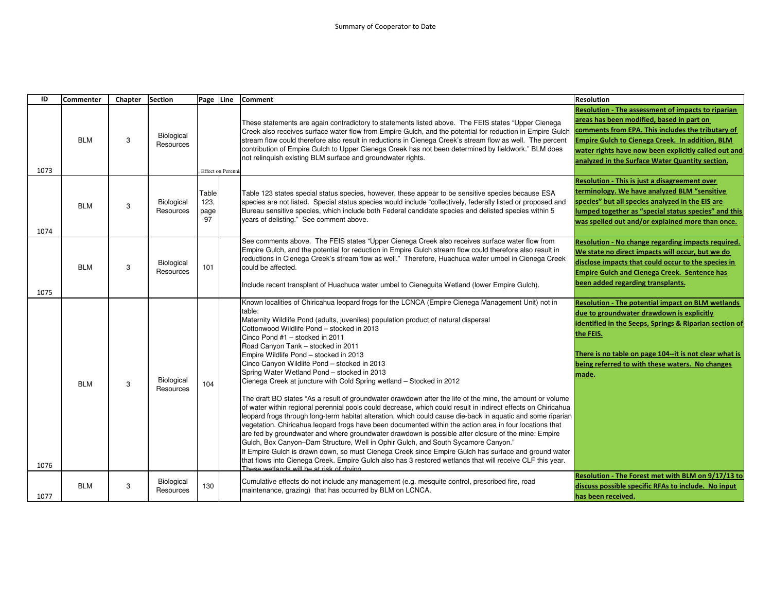| ID   | <b>Commenter</b> | Chapter | Section                        | Page Line                   |                          | <b>Comment</b>                                                                                                                                                                                                                                                                                                                                                                                                                                                                                                                                                                                                                                                                                                                                                                                                                                                                                                                                                                                                                                                                                                                                                                                                                                                                                                                                                                                                                                                   | <b>Resolution</b>                                                                                                                                                                                                                                                                                                  |
|------|------------------|---------|--------------------------------|-----------------------------|--------------------------|------------------------------------------------------------------------------------------------------------------------------------------------------------------------------------------------------------------------------------------------------------------------------------------------------------------------------------------------------------------------------------------------------------------------------------------------------------------------------------------------------------------------------------------------------------------------------------------------------------------------------------------------------------------------------------------------------------------------------------------------------------------------------------------------------------------------------------------------------------------------------------------------------------------------------------------------------------------------------------------------------------------------------------------------------------------------------------------------------------------------------------------------------------------------------------------------------------------------------------------------------------------------------------------------------------------------------------------------------------------------------------------------------------------------------------------------------------------|--------------------------------------------------------------------------------------------------------------------------------------------------------------------------------------------------------------------------------------------------------------------------------------------------------------------|
| 1073 | <b>BLM</b>       | 3       | Biological<br>Resources        |                             | <b>Effect on Perenni</b> | These statements are again contradictory to statements listed above. The FEIS states "Upper Cienega<br>Creek also receives surface water flow from Empire Gulch, and the potential for reduction in Empire Gulch<br>stream flow could therefore also result in reductions in Cienega Creek's stream flow as well. The percent<br>contribution of Empire Gulch to Upper Cienega Creek has not been determined by fieldwork." BLM does<br>not relinguish existing BLM surface and groundwater rights.                                                                                                                                                                                                                                                                                                                                                                                                                                                                                                                                                                                                                                                                                                                                                                                                                                                                                                                                                              | Resolution - The assessment of impacts to riparian<br>areas has been modified, based in part on<br>comments from EPA. This includes the tributary of<br>Empire Gulch to Cienega Creek. In addition, BLM<br>water rights have now been explicitly called out and<br>analyzed in the Surface Water Quantity section. |
| 1074 | <b>BLM</b>       | 3       | Biological<br>Resources        | Table<br>123.<br>page<br>97 |                          | Table 123 states special status species, however, these appear to be sensitive species because ESA<br>species are not listed. Special status species would include "collectively, federally listed or proposed and<br>Bureau sensitive species, which include both Federal candidate species and delisted species within 5<br>years of delisting." See comment above.                                                                                                                                                                                                                                                                                                                                                                                                                                                                                                                                                                                                                                                                                                                                                                                                                                                                                                                                                                                                                                                                                            | Resolution - This is just a disagreement over<br>terminology. We have analyzed BLM "sensitive<br>species" but all species analyzed in the EIS are<br>lumped together as "special status species" and this<br>was spelled out and/or explained more than once.                                                      |
| 1075 | <b>BLM</b>       | 3       | <b>Biological</b><br>Resources | 101                         |                          | See comments above. The FEIS states "Upper Cienega Creek also receives surface water flow from<br>Empire Gulch, and the potential for reduction in Empire Gulch stream flow could therefore also result in<br>reductions in Cienega Creek's stream flow as well." Therefore, Huachuca water umbel in Cienega Creek<br>could be affected.<br>Include recent transplant of Huachuca water umbel to Cieneguita Wetland (lower Empire Gulch).                                                                                                                                                                                                                                                                                                                                                                                                                                                                                                                                                                                                                                                                                                                                                                                                                                                                                                                                                                                                                        | Resolution - No change regarding impacts required.<br>We state no direct impacts will occur, but we do<br>disclose impacts that could occur to the species in<br><b>Empire Gulch and Cienega Creek. Sentence has</b><br>been added regarding transplants.                                                          |
| 1076 | <b>BLM</b>       | 3       | Biological<br>Resources        | 104                         |                          | Known localities of Chiricahua leopard frogs for the LCNCA (Empire Cienega Management Unit) not in<br>table:<br>Maternity Wildlife Pond (adults, juveniles) population product of natural dispersal<br>Cottonwood Wildlife Pond - stocked in 2013<br>Cinco Pond #1 - stocked in 2011<br>Road Canyon Tank - stocked in 2011<br>Empire Wildlife Pond - stocked in 2013<br>Cinco Canyon Wildlife Pond - stocked in 2013<br>Spring Water Wetland Pond - stocked in 2013<br>Cienega Creek at juncture with Cold Spring wetland - Stocked in 2012<br>The draft BO states "As a result of groundwater drawdown after the life of the mine, the amount or volume<br>of water within regional perennial pools could decrease, which could result in indirect effects on Chiricahua<br>leopard frogs through long-term habitat alteration, which could cause die-back in aquatic and some riparian<br>vegetation. Chiricahua leopard frogs have been documented within the action area in four locations that<br>are fed by groundwater and where groundwater drawdown is possible after closure of the mine: Empire<br>Gulch, Box Canyon-Dam Structure, Well in Ophir Gulch, and South Sycamore Canyon."<br>If Empire Gulch is drawn down, so must Cienega Creek since Empire Gulch has surface and ground water<br>that flows into Cienega Creek. Empire Gulch also has 3 restored wetlands that will receive CLF this year.<br>These wetlands will be at risk of drying | <b>Resolution - The potential impact on BLM wetlands</b><br>due to groundwater drawdown is explicitly<br>identified in the Seeps, Springs & Riparian section of<br>the FEIS.<br>There is no table on page 104--it is not clear what is<br>being referred to with these waters. No changes<br>made.                 |
| 1077 | <b>BLM</b>       | 3       | Biological<br>Resources        | 130                         |                          | Cumulative effects do not include any management (e.g. mesquite control, prescribed fire, road<br>maintenance, grazing) that has occurred by BLM on LCNCA.                                                                                                                                                                                                                                                                                                                                                                                                                                                                                                                                                                                                                                                                                                                                                                                                                                                                                                                                                                                                                                                                                                                                                                                                                                                                                                       | Resolution - The Forest met with BLM on 9/17/13 to<br>discuss possible specific RFAs to include. No input<br>has been received.                                                                                                                                                                                    |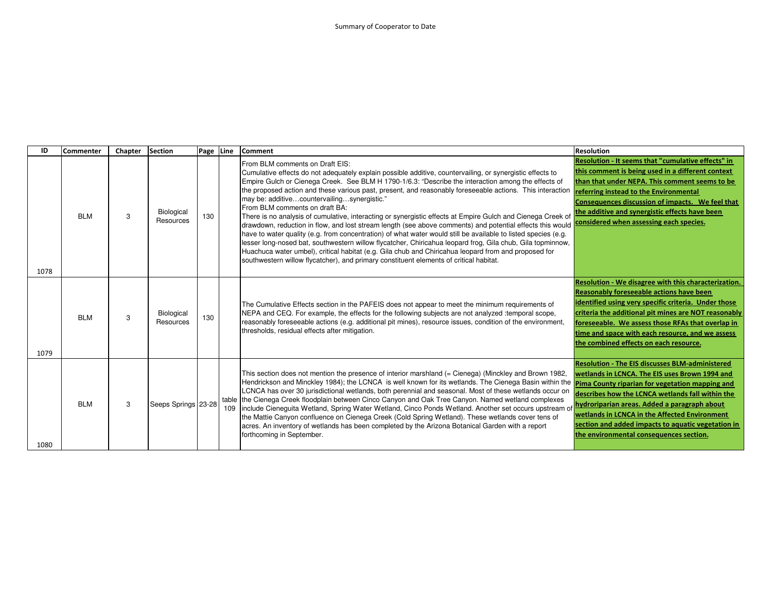| ID   | <b>Commenter</b> | Chapter | Section                 | Page Line |     | <b>Comment</b>                                                                                                                                                                                                                                                                                                                                                                                                                                                                                                                                                                                                                                                                                                                                                                                                                                                                                                                                                                                                                                                                                                  | <b>Resolution</b>                                                                                                                                                                                                                                                                                                                                                          |
|------|------------------|---------|-------------------------|-----------|-----|-----------------------------------------------------------------------------------------------------------------------------------------------------------------------------------------------------------------------------------------------------------------------------------------------------------------------------------------------------------------------------------------------------------------------------------------------------------------------------------------------------------------------------------------------------------------------------------------------------------------------------------------------------------------------------------------------------------------------------------------------------------------------------------------------------------------------------------------------------------------------------------------------------------------------------------------------------------------------------------------------------------------------------------------------------------------------------------------------------------------|----------------------------------------------------------------------------------------------------------------------------------------------------------------------------------------------------------------------------------------------------------------------------------------------------------------------------------------------------------------------------|
| 1078 | <b>BLM</b>       | 3       | Biological<br>Resources | 130       |     | From BLM comments on Draft EIS:<br>Cumulative effects do not adequately explain possible additive, countervailing, or synergistic effects to<br>Empire Gulch or Cienega Creek. See BLM H 1790-1/6.3: "Describe the interaction among the effects of<br>the proposed action and these various past, present, and reasonably foreseeable actions. This interaction<br>may be: additivecountervailingsynergistic."<br>From BLM comments on draft BA:<br>There is no analysis of cumulative, interacting or synergistic effects at Empire Gulch and Cienega Creek of<br>drawdown, reduction in flow, and lost stream length (see above comments) and potential effects this would<br>have to water quality (e.g. from concentration) of what water would still be available to listed species (e.g.<br>lesser long-nosed bat, southwestern willow flycatcher, Chiricahua leopard frog, Gila chub, Gila topminnow,<br>Huachuca water umbel), critical habitat (e.g. Gila chub and Chiricahua leopard from and proposed for<br>southwestern willow flycatcher), and primary constituent elements of critical habitat. | Resolution - It seems that "cumulative effects" in<br>this comment is being used in a different context<br>than that under NEPA. This comment seems to be<br>referring instead to the Environmental<br>Consequences discussion of impacts. We feel that<br>the additive and synergistic effects have been<br>considered when assessing each species.                       |
| 1079 | <b>BLM</b>       | 3       | Biological<br>Resources | 130       |     | The Cumulative Effects section in the PAFEIS does not appear to meet the minimum requirements of<br>NEPA and CEQ. For example, the effects for the following subjects are not analyzed :temporal scope,<br>reasonably foreseeable actions (e.g. additional pit mines), resource issues, condition of the environment,<br>thresholds, residual effects after mitigation.                                                                                                                                                                                                                                                                                                                                                                                                                                                                                                                                                                                                                                                                                                                                         | Resolution - We disagree with this characterization.<br><b>Reasonably foreseeable actions have been</b><br>identified using very specific criteria. Under those<br>criteria the additional pit mines are NOT reasonably<br>foreseeable. We assess those RFAs that overlap in<br>time and space with each resource, and we assess<br>the combined effects on each resource. |
| 1080 | <b>BLM</b>       | 3       | Seeps Springs 23-28     |           | 109 | This section does not mention the presence of interior marshland (= Cienega) (Minckley and Brown 1982,<br>Hendrickson and Minckley 1984); the LCNCA is well known for its wetlands. The Cienega Basin within the <b>Pima County riparian for vegetation mapping and</b><br>LCNCA has over 30 jurisdictional wetlands, both perennial and seasonal. Most of these wetlands occur on<br>table the Cienega Creek floodplain between Cinco Canyon and Oak Tree Canyon. Named wetland complexes<br>include Cieneguita Wetland, Spring Water Wetland, Cinco Ponds Wetland. Another set occurs upstream of<br>the Mattie Canyon confluence on Cienega Creek (Cold Spring Wetland). These wetlands cover tens of<br>acres. An inventory of wetlands has been completed by the Arizona Botanical Garden with a report<br>forthcoming in September.                                                                                                                                                                                                                                                                       | <b>Resolution - The EIS discusses BLM-administered</b><br>wetlands in LCNCA. The EIS uses Brown 1994 and<br>describes how the LCNCA wetlands fall within the<br>hydroriparian areas. Added a paragraph about<br>wetlands in LCNCA in the Affected Environment<br>section and added impacts to aquatic vegetation in<br>the environmental consequences section.             |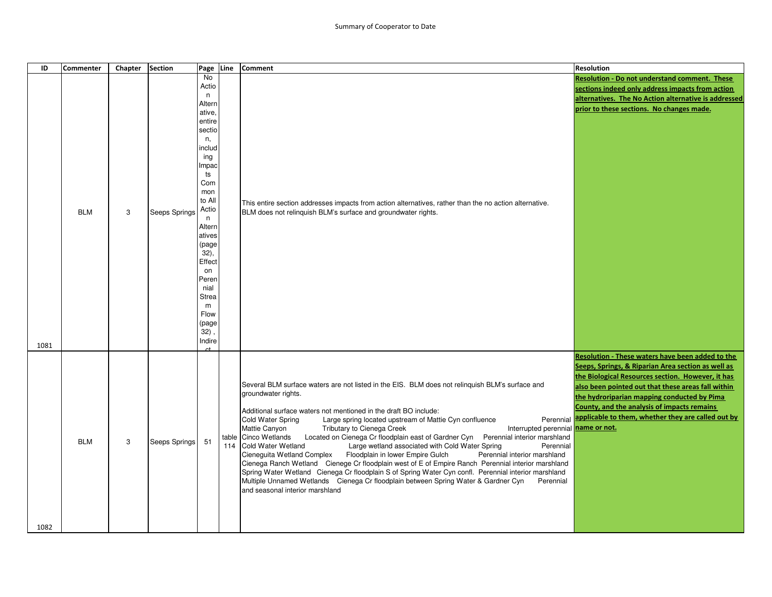| ID   | <b>Commenter</b> | Chapter | <b>Section</b> | Page Line                                                                                                                                                                                                                                                              | <b>Comment</b>                                                                                                                                                                                                                                                                                                                                                                                                                                                                                                                                                                                                                                                                                                                                                                                                                                                                                                                                                                                                                  | <b>Resolution</b>                                                                                                                                                                                                                                                                                                                                                               |
|------|------------------|---------|----------------|------------------------------------------------------------------------------------------------------------------------------------------------------------------------------------------------------------------------------------------------------------------------|---------------------------------------------------------------------------------------------------------------------------------------------------------------------------------------------------------------------------------------------------------------------------------------------------------------------------------------------------------------------------------------------------------------------------------------------------------------------------------------------------------------------------------------------------------------------------------------------------------------------------------------------------------------------------------------------------------------------------------------------------------------------------------------------------------------------------------------------------------------------------------------------------------------------------------------------------------------------------------------------------------------------------------|---------------------------------------------------------------------------------------------------------------------------------------------------------------------------------------------------------------------------------------------------------------------------------------------------------------------------------------------------------------------------------|
| 1081 | <b>BLM</b>       | 3       | Seeps Springs  | No<br>Actio<br>n<br>Altern<br>ative,<br>entire<br>sectio<br>n,<br>includ<br>ing<br>Impac<br>ts<br>Com<br>mon<br>to All<br>Actio<br>n.<br>Altern<br>atives<br>(page<br>32),<br>Effect<br>on<br>Peren<br>nial<br><b>Strea</b><br>m<br>Flow<br>(page<br>$32)$ ,<br>Indire | This entire section addresses impacts from action alternatives, rather than the no action alternative.<br>BLM does not relinguish BLM's surface and groundwater rights.                                                                                                                                                                                                                                                                                                                                                                                                                                                                                                                                                                                                                                                                                                                                                                                                                                                         | Resolution - Do not understand comment. These<br>sections indeed only address impacts from action<br>alternatives. The No Action alternative is addressed<br>prior to these sections. No changes made.                                                                                                                                                                          |
| 1082 | <b>BLM</b>       | 3       | Seeps Springs  | 51                                                                                                                                                                                                                                                                     | Several BLM surface waters are not listed in the EIS. BLM does not relinquish BLM's surface and<br>groundwater rights.<br>Additional surface waters not mentioned in the draft BO include:<br><b>Cold Water Spring</b><br>Large spring located upstream of Mattie Cyn confluence<br>Interrupted perennial name or not.<br>Mattie Canyon<br>Tributary to Cienega Creek<br>table Cinco Wetlands<br>Located on Cienega Cr floodplain east of Gardner Cyn Perennial interior marshland<br>114 Cold Water Wetland<br>Large wetland associated with Cold Water Spring<br>Perennial<br>Cieneguita Wetland Complex Floodplain in lower Empire Gulch<br>Perennial interior marshland<br>Cienega Ranch Wetland Cienege Cr floodplain west of E of Empire Ranch Perennial interior marshland<br>Spring Water Wetland Cienega Cr floodplain S of Spring Water Cyn confl. Perennial interior marshland<br>Multiple Unnamed Wetlands Cienega Cr floodplain between Spring Water & Gardner Cyn<br>Perennial<br>and seasonal interior marshland | Resolution - These waters have been added to the<br>Seeps, Springs, & Riparian Area section as well as<br>the Biological Resources section. However, it has<br>also been pointed out that these areas fall within<br>the hydroriparian mapping conducted by Pima<br>County, and the analysis of impacts remains<br>Perennial applicable to them, whether they are called out by |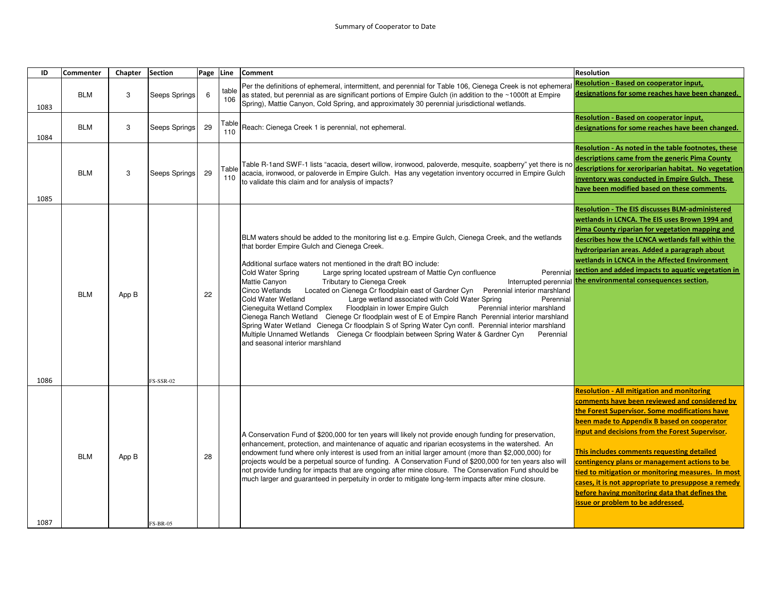| ID   | <b>Commenter</b> | Chapter | <b>Section</b>   | Page Line |              | <b>Comment</b>                                                                                                                                                                                                                                                                                                                                                                                                                                                                                                                                                                                                                                                                                                                                                                                                                                                                                                                                                                                                        | <b>Resolution</b>                                                                                                                                                                                                                                                                                                                                                                                                                                                                                                                                                |
|------|------------------|---------|------------------|-----------|--------------|-----------------------------------------------------------------------------------------------------------------------------------------------------------------------------------------------------------------------------------------------------------------------------------------------------------------------------------------------------------------------------------------------------------------------------------------------------------------------------------------------------------------------------------------------------------------------------------------------------------------------------------------------------------------------------------------------------------------------------------------------------------------------------------------------------------------------------------------------------------------------------------------------------------------------------------------------------------------------------------------------------------------------|------------------------------------------------------------------------------------------------------------------------------------------------------------------------------------------------------------------------------------------------------------------------------------------------------------------------------------------------------------------------------------------------------------------------------------------------------------------------------------------------------------------------------------------------------------------|
| 1083 | <b>BLM</b>       | 3       | Seeps Springs    | 6         | table<br>106 | Per the definitions of ephemeral, intermittent, and perennial for Table 106, Cienega Creek is not ephemera<br>as stated, but perennial as are significant portions of Empire Gulch (in addition to the ~1000ft at Empire<br>Spring), Mattie Canyon, Cold Spring, and approximately 30 perennial jurisdictional wetlands.                                                                                                                                                                                                                                                                                                                                                                                                                                                                                                                                                                                                                                                                                              | Resolution - Based on cooperator input,<br>designations for some reaches have been changed.                                                                                                                                                                                                                                                                                                                                                                                                                                                                      |
| 1084 | <b>BLM</b>       | 3       | Seeps Springs    | 29        | Table<br>110 | Reach: Cienega Creek 1 is perennial, not ephemeral.                                                                                                                                                                                                                                                                                                                                                                                                                                                                                                                                                                                                                                                                                                                                                                                                                                                                                                                                                                   | Resolution - Based on cooperator input,<br>designations for some reaches have been changed.                                                                                                                                                                                                                                                                                                                                                                                                                                                                      |
| 1085 | <b>BLM</b>       | 3       | Seeps Springs    | 29        | Table<br>110 | Table R-1 and SWF-1 lists "acacia, desert willow, ironwood, paloverde, mesquite, soapberry" yet there is no<br>acacia, ironwood, or paloverde in Empire Gulch. Has any vegetation inventory occurred in Empire Gulch<br>to validate this claim and for analysis of impacts?                                                                                                                                                                                                                                                                                                                                                                                                                                                                                                                                                                                                                                                                                                                                           | Resolution - As noted in the table footnotes, these<br>descriptions came from the generic Pima County<br>descriptions for xeroriparian habitat. No vegetation<br>inventory was conducted in Empire Gulch. These<br>have been modified based on these comments.                                                                                                                                                                                                                                                                                                   |
| 1086 | <b>BLM</b>       | App B   | <b>FS-SSR-02</b> | 22        |              | BLM waters should be added to the monitoring list e.g. Empire Gulch, Cienega Creek, and the wetlands<br>that border Empire Gulch and Cienega Creek.<br>Additional surface waters not mentioned in the draft BO include:<br>Cold Water Spring<br>Large spring located upstream of Mattie Cyn confluence<br>Perennial<br>Tributary to Cienega Creek<br>Mattie Canyon<br>Cinco Wetlands<br>Located on Cienega Cr floodplain east of Gardner Cyn Perennial interior marshland<br>Cold Water Wetland<br>Large wetland associated with Cold Water Spring<br>Perennial<br>Cienequita Wetland Complex<br>Floodplain in lower Empire Gulch<br>Perennial interior marshland<br>Cienega Ranch Wetland Cienege Cr floodplain west of E of Empire Ranch Perennial interior marshland<br>Spring Water Wetland Cienega Cr floodplain S of Spring Water Cyn confl. Perennial interior marshland<br>Multiple Unnamed Wetlands Cienega Cr floodplain between Spring Water & Gardner Cyn<br>Perennial<br>and seasonal interior marshland | <b>Resolution - The EIS discusses BLM-administered</b><br>wetlands in LCNCA. The EIS uses Brown 1994 and<br>Pima County riparian for vegetation mapping and<br>describes how the LCNCA wetlands fall within the<br>hydroriparian areas. Added a paragraph about<br>wetlands in LCNCA in the Affected Environment<br>ection and added impacts to aquatic vegetation in<br>Interrupted perennial the environmental consequences section.                                                                                                                           |
| 1087 | <b>BLM</b>       | App B   | <b>FS-BR-05</b>  | 28        |              | A Conservation Fund of \$200,000 for ten years will likely not provide enough funding for preservation,<br>enhancement, protection, and maintenance of aquatic and riparian ecosystems in the watershed. An<br>endowment fund where only interest is used from an initial larger amount (more than \$2,000,000) for<br>projects would be a perpetual source of funding. A Conservation Fund of \$200,000 for ten years also will<br>not provide funding for impacts that are ongoing after mine closure. The Conservation Fund should be<br>much larger and quaranteed in perpetuity in order to mitigate long-term impacts after mine closure.                                                                                                                                                                                                                                                                                                                                                                       | <b>Resolution - All mitigation and monitoring</b><br>comments have been reviewed and considered by<br>the Forest Supervisor. Some modifications have<br>been made to Appendix B based on cooperator<br>input and decisions from the Forest Supervisor.<br>This includes comments requesting detailed<br>contingency plans or management actions to be<br>tied to mitigation or monitoring measures. In most<br>cases, it is not appropriate to presuppose a remedy<br>before having monitoring data that defines the<br><u>issue or problem to be addressed.</u> |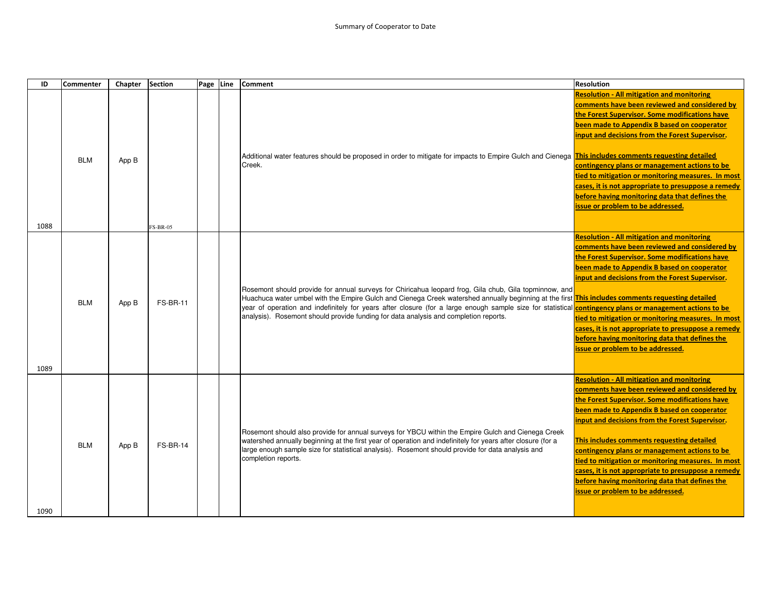| ID   | <b>Commenter</b> | Chapter | <b>Section</b>  | Page Line | Comment                                                                                                                                                                                                                                                                                                                                                                                                                                                                                                                | <b>Resolution</b>                                                                                                                                                                                                                                                                                                                                                                                                                                                                                                                                         |
|------|------------------|---------|-----------------|-----------|------------------------------------------------------------------------------------------------------------------------------------------------------------------------------------------------------------------------------------------------------------------------------------------------------------------------------------------------------------------------------------------------------------------------------------------------------------------------------------------------------------------------|-----------------------------------------------------------------------------------------------------------------------------------------------------------------------------------------------------------------------------------------------------------------------------------------------------------------------------------------------------------------------------------------------------------------------------------------------------------------------------------------------------------------------------------------------------------|
| 1088 | <b>BLM</b>       | App B   | <b>FS-BR-05</b> |           | Additional water features should be proposed in order to mitigate for impacts to Empire Gulch and Cienega <mark>This includes comments requesting detailed</mark><br>Creek.                                                                                                                                                                                                                                                                                                                                            | <b>Resolution - All mitigation and monitoring</b><br>comments have been reviewed and considered by<br>the Forest Supervisor. Some modifications have<br>been made to Appendix B based on cooperator<br>input and decisions from the Forest Supervisor.<br>contingency plans or management actions to be<br>tied to mitigation or monitoring measures. In most<br>cases, it is not appropriate to presuppose a remedy<br>before having monitoring data that defines the<br>issue or problem to be addressed.                                               |
|      |                  |         |                 |           |                                                                                                                                                                                                                                                                                                                                                                                                                                                                                                                        | <b>Resolution - All mitigation and monitoring</b>                                                                                                                                                                                                                                                                                                                                                                                                                                                                                                         |
| 1089 | <b>BLM</b>       | App B   | <b>FS-BR-11</b> |           | Rosemont should provide for annual surveys for Chiricahua leopard frog, Gila chub, Gila topminnow, and<br>Huachuca water umbel with the Empire Gulch and Cienega Creek watershed annually beginning at the first This includes comments requesting detailed<br>year of operation and indefinitely for years after closure (for a large enough sample size for statistical <b>contingency plans or management actions to be</b><br>analysis). Rosemont should provide funding for data analysis and completion reports. | comments have been reviewed and considered by<br>the Forest Supervisor. Some modifications have<br>been made to Appendix B based on cooperator<br>input and decisions from the Forest Supervisor.<br>tied to mitigation or monitoring measures. In most<br>cases, it is not appropriate to presuppose a remedy<br>before having monitoring data that defines the<br>issue or problem to be addressed.                                                                                                                                                     |
| 1090 | <b>BLM</b>       | App B   | <b>FS-BR-14</b> |           | Rosemont should also provide for annual surveys for YBCU within the Empire Gulch and Cienega Creek<br>watershed annually beginning at the first year of operation and indefinitely for years after closure (for a<br>large enough sample size for statistical analysis). Rosemont should provide for data analysis and<br>completion reports.                                                                                                                                                                          | <b>Resolution - All mitigation and monitoring</b><br>comments have been reviewed and considered by<br>the Forest Supervisor. Some modifications have<br>been made to Appendix B based on cooperator<br>input and decisions from the Forest Supervisor.<br>This includes comments requesting detailed<br>contingency plans or management actions to be<br>tied to mitigation or monitoring measures. In most<br>cases, it is not appropriate to presuppose a remedy<br>before having monitoring data that defines the<br>issue or problem to be addressed. |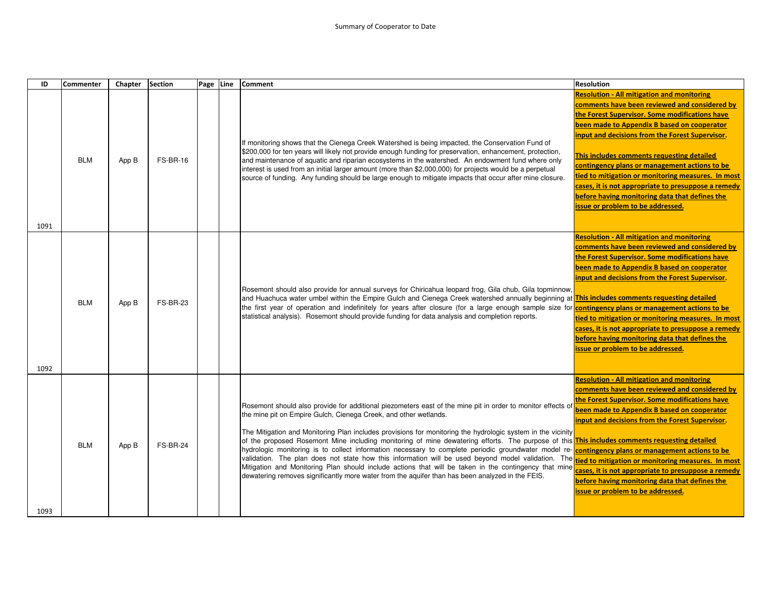| ID   | <b>Commenter</b> | Chapter | <b>Section</b>  | Page | Line | <b>Comment</b>                                                                                                                                                                                                                                                                                                                                                                                                                                                                                                                                                                                                                                                                                                                                                                                                                                                                                                                                                                            | <b>Resolution</b>                                                                                                                                                                                                                                                                                                                                                                                                                                                                                                                                         |
|------|------------------|---------|-----------------|------|------|-------------------------------------------------------------------------------------------------------------------------------------------------------------------------------------------------------------------------------------------------------------------------------------------------------------------------------------------------------------------------------------------------------------------------------------------------------------------------------------------------------------------------------------------------------------------------------------------------------------------------------------------------------------------------------------------------------------------------------------------------------------------------------------------------------------------------------------------------------------------------------------------------------------------------------------------------------------------------------------------|-----------------------------------------------------------------------------------------------------------------------------------------------------------------------------------------------------------------------------------------------------------------------------------------------------------------------------------------------------------------------------------------------------------------------------------------------------------------------------------------------------------------------------------------------------------|
| 1091 | <b>BLM</b>       | App B   | <b>FS-BR-16</b> |      |      | If monitoring shows that the Cienega Creek Watershed is being impacted, the Conservation Fund of<br>\$200,000 for ten years will likely not provide enough funding for preservation, enhancement, protection,<br>and maintenance of aquatic and riparian ecosystems in the watershed. An endowment fund where only<br>interest is used from an initial larger amount (more than \$2,000,000) for projects would be a perpetual<br>source of funding. Any funding should be large enough to mitigate impacts that occur after mine closure.                                                                                                                                                                                                                                                                                                                                                                                                                                                | <b>Resolution - All mitigation and monitoring</b><br>comments have been reviewed and considered by<br>the Forest Supervisor. Some modifications have<br>been made to Appendix B based on cooperator<br>input and decisions from the Forest Supervisor.<br>This includes comments requesting detailed<br>contingency plans or management actions to be<br>tied to mitigation or monitoring measures. In most<br>cases, it is not appropriate to presuppose a remedy<br>before having monitoring data that defines the<br>issue or problem to be addressed. |
|      |                  |         |                 |      |      |                                                                                                                                                                                                                                                                                                                                                                                                                                                                                                                                                                                                                                                                                                                                                                                                                                                                                                                                                                                           | <b>Resolution - All mitigation and monitoring</b>                                                                                                                                                                                                                                                                                                                                                                                                                                                                                                         |
|      | <b>BLM</b>       | App B   | <b>FS-BR-23</b> |      |      | Rosemont should also provide for annual surveys for Chiricahua leopard frog, Gila chub, Gila topminnow,<br>and Huachuca water umbel within the Empire Gulch and Cienega Creek watershed annually beginning at <mark>This includes comments requesting detailed</mark><br>the first year of operation and indefinitely for years after closure (for a large enough sample size for <b>contingency plans or management actions to be</b><br>statistical analysis). Rosemont should provide funding for data analysis and completion reports.                                                                                                                                                                                                                                                                                                                                                                                                                                                | comments have been reviewed and considered by<br>the Forest Supervisor, Some modifications have<br>been made to Appendix B based on cooperator<br>input and decisions from the Forest Supervisor.<br>tied to mitigation or monitoring measures. In most<br>cases, it is not appropriate to presuppose a remedy<br>before having monitoring data that defines the<br>issue or problem to be addressed.                                                                                                                                                     |
| 1092 |                  |         |                 |      |      |                                                                                                                                                                                                                                                                                                                                                                                                                                                                                                                                                                                                                                                                                                                                                                                                                                                                                                                                                                                           | <b>Resolution - All mitigation and monitoring</b><br>comments have been reviewed and considered by<br>the Forest Supervisor. Some modifications have                                                                                                                                                                                                                                                                                                                                                                                                      |
| 1093 | <b>BLM</b>       | App B   | <b>FS-BR-24</b> |      |      | Rosemont should also provide for additional piezometers east of the mine pit in order to monitor effects of<br>the mine pit on Empire Gulch, Cienega Creek, and other wetlands.<br>The Mitigation and Monitoring Plan includes provisions for monitoring the hydrologic system in the vicinity<br>of the proposed Rosemont Mine including monitoring of mine dewatering efforts. The purpose of this <b>This includes comments requesting detailed</b><br>hydrologic monitoring is to collect information necessary to complete periodic groundwater model re- <b>contingency plans or management actions to be</b><br>validation. The plan does not state how this information will be used beyond model validation. The tied to mitigation or monitoring measures. In most<br>Mitigation and Monitoring Plan should include actions that will be taken in the contingency that mine<br>dewatering removes significantly more water from the aquifer than has been analyzed in the FEIS. | been made to Appendix B based on cooperator<br>input and decisions from the Forest Supervisor.<br>cases, it is not appropriate to presuppose a remedy<br>before having monitoring data that defines the<br>issue or problem to be addressed.                                                                                                                                                                                                                                                                                                              |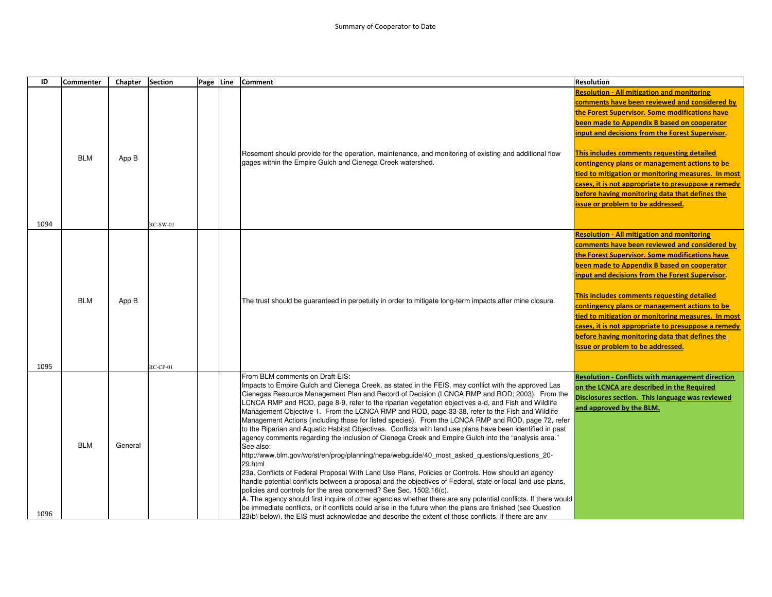| ID   | <b>Commenter</b> | Chapter | <b>Section</b>  | Page Line | <b>Comment</b>                                                                                                                                                                                                                                                                                                                                                                                                                                                                                                                                                                                                                                                                                                                                                                                                                                                                                                                                                                                                                                                                                                                                                                                                                                                                                                                                                                                                                                                                                                                         | <b>Resolution</b>                                                                                                                                                                                                                                                                                                                                                                                                                                                                                                                                                                                              |
|------|------------------|---------|-----------------|-----------|----------------------------------------------------------------------------------------------------------------------------------------------------------------------------------------------------------------------------------------------------------------------------------------------------------------------------------------------------------------------------------------------------------------------------------------------------------------------------------------------------------------------------------------------------------------------------------------------------------------------------------------------------------------------------------------------------------------------------------------------------------------------------------------------------------------------------------------------------------------------------------------------------------------------------------------------------------------------------------------------------------------------------------------------------------------------------------------------------------------------------------------------------------------------------------------------------------------------------------------------------------------------------------------------------------------------------------------------------------------------------------------------------------------------------------------------------------------------------------------------------------------------------------------|----------------------------------------------------------------------------------------------------------------------------------------------------------------------------------------------------------------------------------------------------------------------------------------------------------------------------------------------------------------------------------------------------------------------------------------------------------------------------------------------------------------------------------------------------------------------------------------------------------------|
| 1094 | <b>BLM</b>       | App B   | <b>RC-SW-01</b> |           | Rosemont should provide for the operation, maintenance, and monitoring of existing and additional flow<br>gages within the Empire Gulch and Cienega Creek watershed.                                                                                                                                                                                                                                                                                                                                                                                                                                                                                                                                                                                                                                                                                                                                                                                                                                                                                                                                                                                                                                                                                                                                                                                                                                                                                                                                                                   | <b>Resolution - All mitigation and monitoring</b><br>comments have been reviewed and considered by<br>the Forest Supervisor. Some modifications have<br>been made to Appendix B based on cooperator<br>input and decisions from the Forest Supervisor.<br>This includes comments requesting detailed<br>contingency plans or management actions to be<br>tied to mitigation or monitoring measures. In most<br>cases, it is not appropriate to presuppose a remedy<br>before having monitoring data that defines the<br>issue or problem to be addressed.<br><b>Resolution - All mitigation and monitoring</b> |
| 1095 | <b>BLM</b>       | App B   | $RC-CP-01$      |           | The trust should be guaranteed in perpetuity in order to mitigate long-term impacts after mine closure.                                                                                                                                                                                                                                                                                                                                                                                                                                                                                                                                                                                                                                                                                                                                                                                                                                                                                                                                                                                                                                                                                                                                                                                                                                                                                                                                                                                                                                | comments have been reviewed and considered by<br>the Forest Supervisor. Some modifications have<br>been made to Appendix B based on cooperator<br>input and decisions from the Forest Supervisor.<br>This includes comments requesting detailed<br>contingency plans or management actions to be<br>tied to mitigation or monitoring measures. In most<br>cases, it is not appropriate to presuppose a remedy<br>before having monitoring data that defines the<br>issue or problem to be addressed.                                                                                                           |
| 1096 | <b>BLM</b>       | General |                 |           | From BLM comments on Draft EIS:<br>mpacts to Empire Gulch and Cienega Creek, as stated in the FEIS, may conflict with the approved Las<br>Cienegas Resource Management Plan and Record of Decision (LCNCA RMP and ROD; 2003). From the<br>CNCA RMP and ROD, page 8-9, refer to the riparian vegetation objectives a-d, and Fish and Wildlife<br>Management Objective 1. From the LCNCA RMP and ROD, page 33-38, refer to the Fish and Wildlife<br>Management Actions (including those for listed species). From the LCNCA RMP and ROD, page 72, refer<br>to the Riparian and Aquatic Habitat Objectives. Conflicts with land use plans have been identified in past<br>"agency comments regarding the inclusion of Cienega Creek and Empire Gulch into the "analysis area.<br>See also:<br>http://www.blm.gov/wo/st/en/prog/planning/nepa/webguide/40_most_asked_questions/questions_20-<br>29.html<br>23a. Conflicts of Federal Proposal With Land Use Plans, Policies or Controls. How should an agency<br>handle potential conflicts between a proposal and the objectives of Federal, state or local land use plans,<br>policies and controls for the area concerned? See Sec. 1502.16(c).<br>A. The agency should first inquire of other agencies whether there are any potential conflicts. If there would<br>be immediate conflicts, or if conflicts could arise in the future when the plans are finished (see Question<br>23(b) below), the EIS must acknowledge and describe the extent of those conflicts. If there are any | <b>Resolution - Conflicts with management direction</b><br>on the LCNCA are described in the Required<br>Disclosures section. This language was reviewed<br>and approved by the BLM.                                                                                                                                                                                                                                                                                                                                                                                                                           |